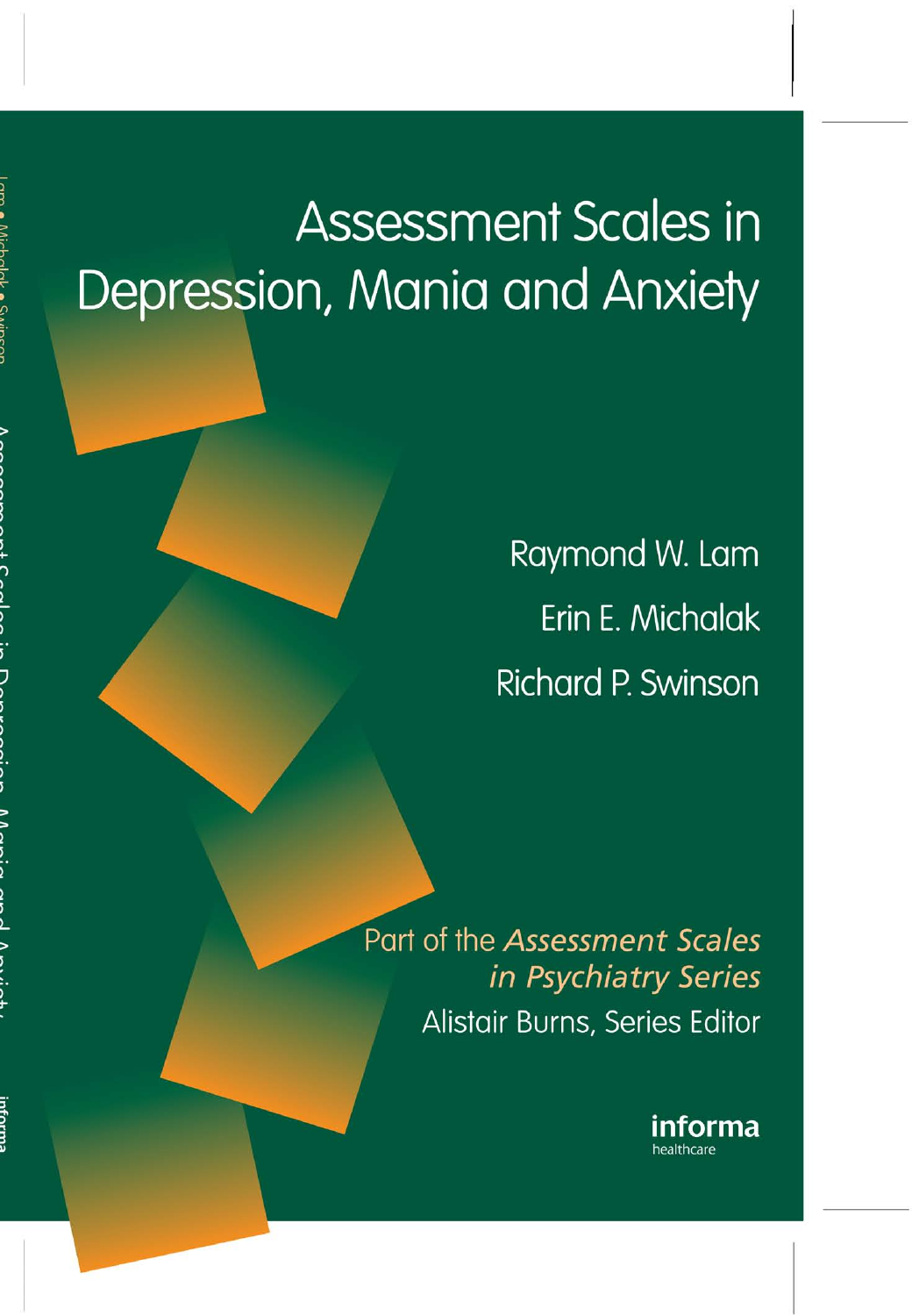# **Assessment Scales in** Depression, Mania and Anxiety

Raymond W. Lam Erin E. Michalak **Richard P. Swinson** 

Part of the Assessment Scales in Psychiatry Series Alistair Burns, Series Editor

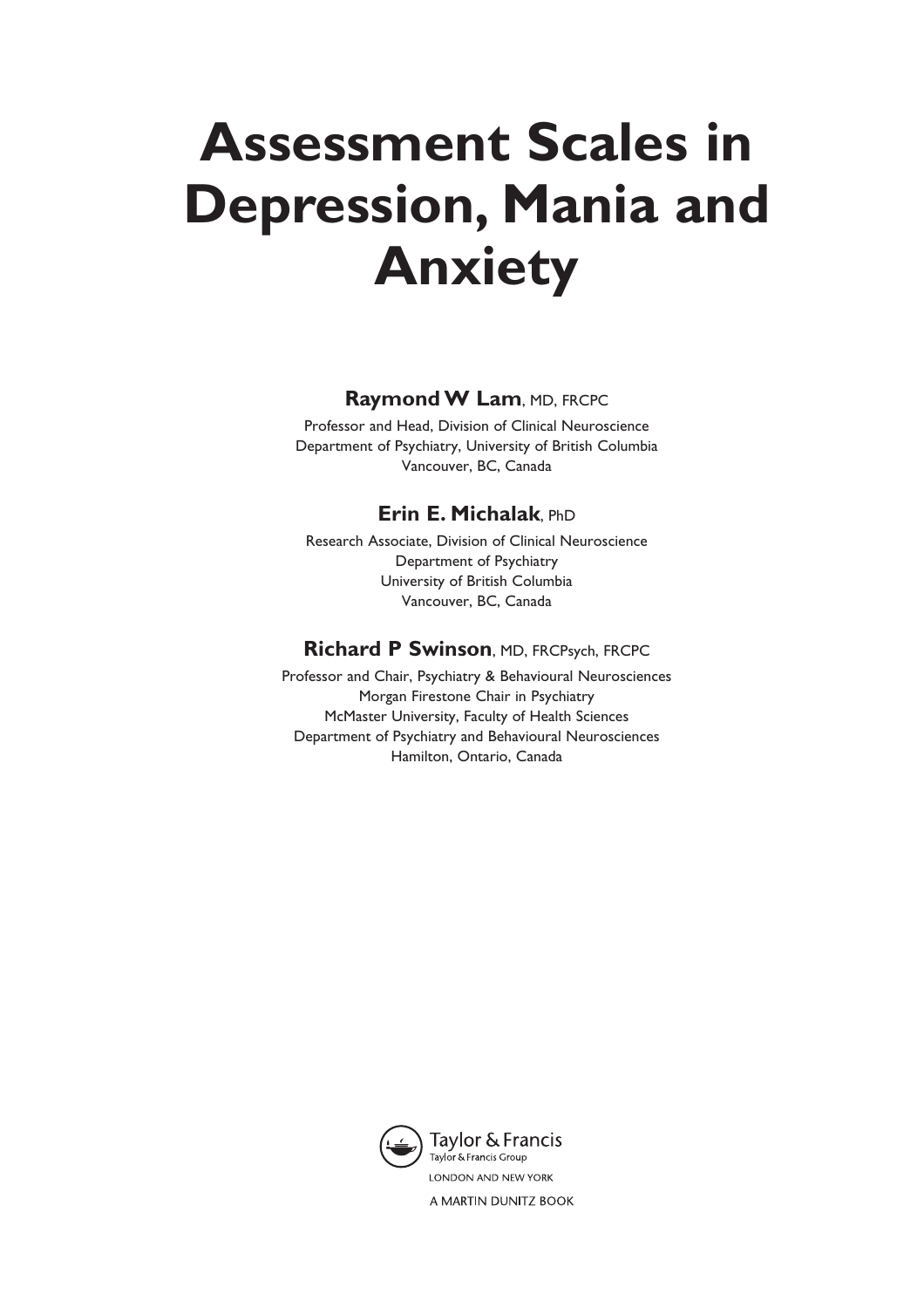# **Assessment Scales in Depression, Mania and Anxiety**

# **Raymond W Lam**, MD, FRCPC

Professor and Head, Division of Clinical Neuroscience Department of Psychiatry, University of British Columbia Vancouver, BC, Canada

# **Erin E. Michalak**, PhD

Research Associate, Division of Clinical Neuroscience Department of Psychiatry University of British Columbia Vancouver, BC, Canada

# **Richard P Swinson**, MD, FRCPsych, FRCPC

Professor and Chair, Psychiatry & Behavioural Neurosciences Morgan Firestone Chair in Psychiatry McMaster University, Faculty of Health Sciences Department of Psychiatry and Behavioural Neurosciences Hamilton, Ontario, Canada

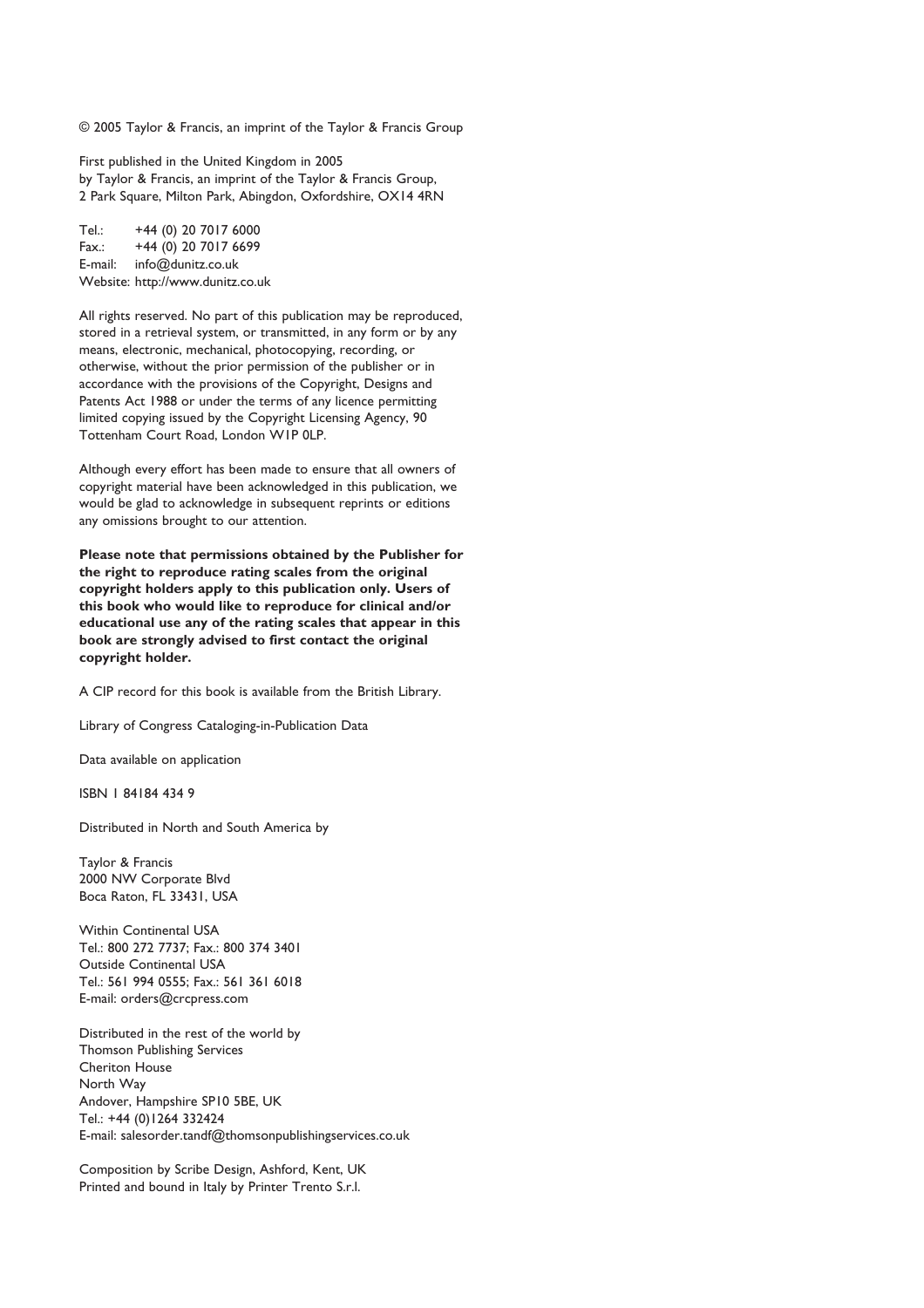© 2005 Taylor & Francis, an imprint of the Taylor & Francis Group

First published in the United Kingdom in 2005 by Taylor & Francis, an imprint of the Taylor & Francis Group, 2 Park Square, Milton Park, Abingdon, Oxfordshire, OX14 4RN

Tel.: +44 (0) 20 7017 6000 Fax.: +44 (0) 20 7017 6699 E-mail: info@dunitz.co.uk Website: http://www.dunitz.co.uk

All rights reserved. No part of this publication may be reproduced, stored in a retrieval system, or transmitted, in any form or by any means, electronic, mechanical, photocopying, recording, or otherwise, without the prior permission of the publisher or in accordance with the provisions of the Copyright, Designs and Patents Act 1988 or under the terms of any licence permitting limited copying issued by the Copyright Licensing Agency, 90 Tottenham Court Road, London W1P 0LP.

Although every effort has been made to ensure that all owners of copyright material have been acknowledged in this publication, we would be glad to acknowledge in subsequent reprints or editions any omissions brought to our attention.

**Please note that permissions obtained by the Publisher for the right to reproduce rating scales from the original copyright holders apply to this publication only. Users of this book who would like to reproduce for clinical and/or educational use any of the rating scales that appear in this book are strongly advised to first contact the original copyright holder.**

A CIP record for this book is available from the British Library.

Library of Congress Cataloging-in-Publication Data

Data available on application

ISBN 1 84184 434 9

Distributed in North and South America by

Taylor & Francis 2000 NW Corporate Blvd Boca Raton, FL 33431, USA

Within Continental USA Tel.: 800 272 7737; Fax.: 800 374 3401 Outside Continental USA Tel.: 561 994 0555; Fax.: 561 361 6018 E-mail: orders@crcpress.com

Distributed in the rest of the world by Thomson Publishing Services Cheriton House North Way Andover, Hampshire SP10 5BE, UK Tel.: +44 (0)1264 332424 E-mail: salesorder.tandf@thomsonpublishingservices.co.uk

Composition by Scribe Design, Ashford, Kent, UK Printed and bound in Italy by Printer Trento S.r.l.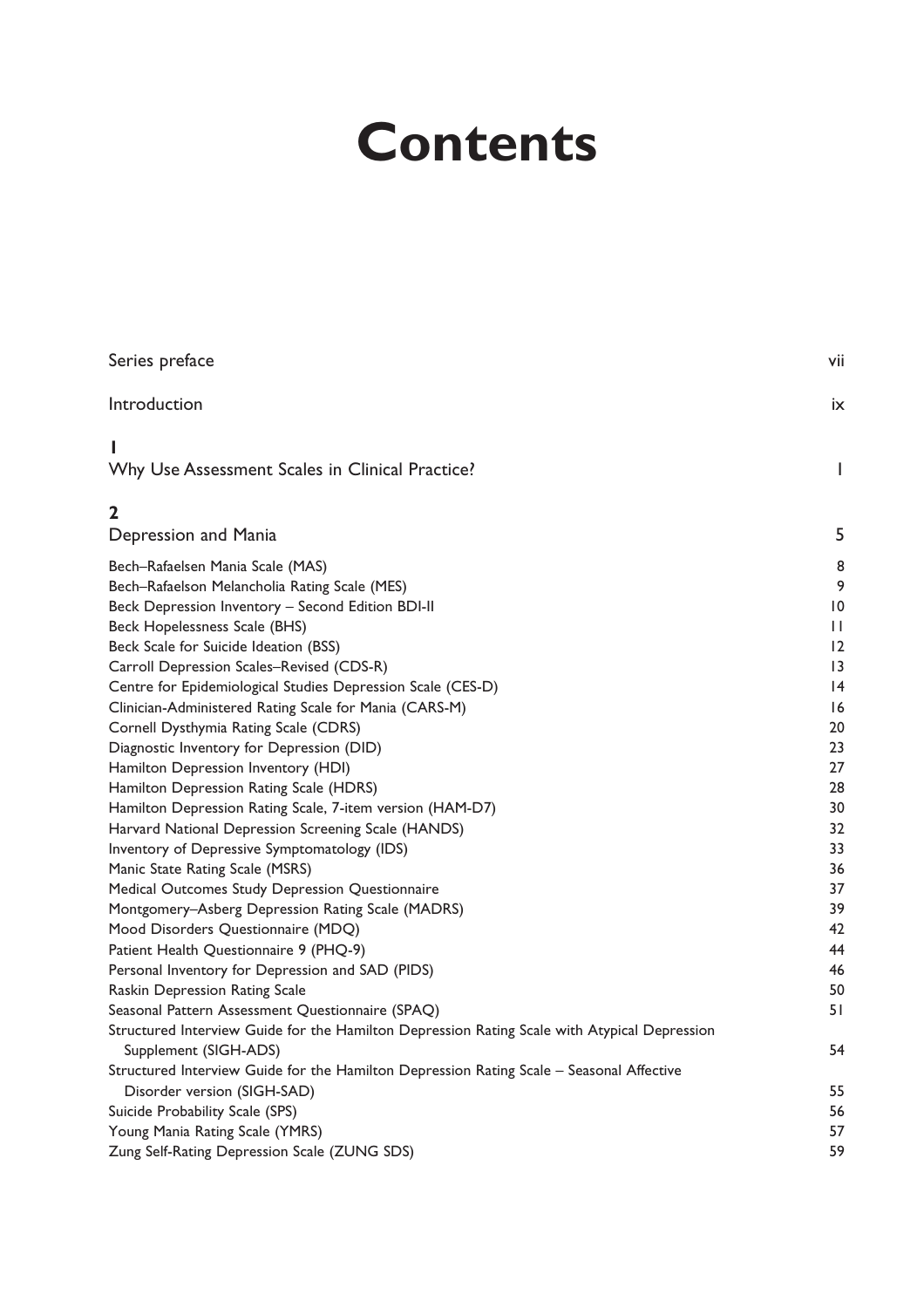# **Contents**

| Series preface                                                                               | vii             |
|----------------------------------------------------------------------------------------------|-----------------|
| Introduction                                                                                 | ix              |
| L                                                                                            |                 |
| Why Use Assessment Scales in Clinical Practice?                                              | I               |
| 2                                                                                            |                 |
| Depression and Mania                                                                         | 5               |
| Bech-Rafaelsen Mania Scale (MAS)                                                             | 8               |
| Bech-Rafaelson Melancholia Rating Scale (MES)                                                | 9               |
| Beck Depression Inventory - Second Edition BDI-II                                            | $\overline{10}$ |
| Beck Hopelessness Scale (BHS)                                                                | П               |
| Beck Scale for Suicide Ideation (BSS)                                                        | 2               |
| Carroll Depression Scales-Revised (CDS-R)                                                    | 3               |
| Centre for Epidemiological Studies Depression Scale (CES-D)                                  | 4               |
| Clinician-Administered Rating Scale for Mania (CARS-M)                                       | 16              |
| Cornell Dysthymia Rating Scale (CDRS)                                                        | 20              |
| Diagnostic Inventory for Depression (DID)                                                    | 23              |
| Hamilton Depression Inventory (HDI)                                                          | 27              |
| Hamilton Depression Rating Scale (HDRS)                                                      | 28              |
| Hamilton Depression Rating Scale, 7-item version (HAM-D7)                                    | 30              |
| Harvard National Depression Screening Scale (HANDS)                                          | 32              |
| Inventory of Depressive Symptomatology (IDS)                                                 | 33              |
| Manic State Rating Scale (MSRS)                                                              | 36              |
| Medical Outcomes Study Depression Questionnaire                                              | 37              |
| Montgomery-Asberg Depression Rating Scale (MADRS)                                            | 39              |
| Mood Disorders Questionnaire (MDQ)                                                           | 42              |
| Patient Health Questionnaire 9 (PHQ-9)                                                       | 44              |
| Personal Inventory for Depression and SAD (PIDS)                                             | 46              |
| Raskin Depression Rating Scale                                                               | 50              |
| Seasonal Pattern Assessment Questionnaire (SPAQ)                                             | 51              |
| Structured Interview Guide for the Hamilton Depression Rating Scale with Atypical Depression |                 |
| Supplement (SIGH-ADS)                                                                        | 54              |
| Structured Interview Guide for the Hamilton Depression Rating Scale - Seasonal Affective     |                 |
| Disorder version (SIGH-SAD)                                                                  | 55              |
| Suicide Probability Scale (SPS)                                                              | 56              |
| Young Mania Rating Scale (YMRS)                                                              | 57              |
| Zung Self-Rating Depression Scale (ZUNG SDS)                                                 | 59              |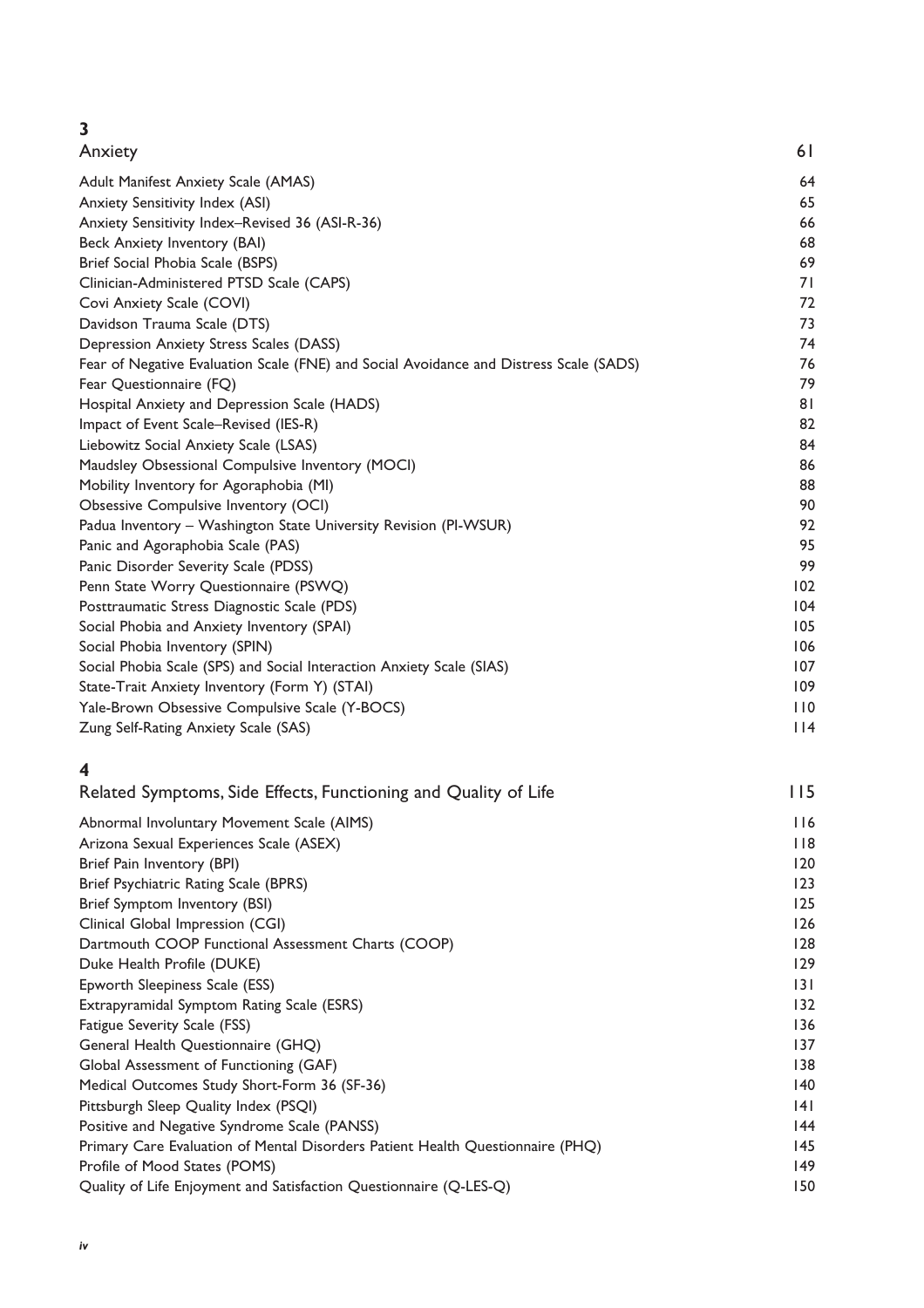# **3**

| Anxiety                                                                                | 61           |
|----------------------------------------------------------------------------------------|--------------|
| Adult Manifest Anxiety Scale (AMAS)                                                    | 64           |
| Anxiety Sensitivity Index (ASI)                                                        | 65           |
| Anxiety Sensitivity Index–Revised 36 (ASI-R-36)                                        | 66           |
| Beck Anxiety Inventory (BAI)                                                           | 68           |
| Brief Social Phobia Scale (BSPS)                                                       | 69           |
| Clinician-Administered PTSD Scale (CAPS)                                               | 71           |
| Covi Anxiety Scale (COVI)                                                              | 72           |
| Davidson Trauma Scale (DTS)                                                            | 73           |
| Depression Anxiety Stress Scales (DASS)                                                | 74           |
| Fear of Negative Evaluation Scale (FNE) and Social Avoidance and Distress Scale (SADS) | 76           |
| Fear Questionnaire (FQ)                                                                | 79           |
| Hospital Anxiety and Depression Scale (HADS)                                           | 81           |
| Impact of Event Scale-Revised (IES-R)                                                  | 82           |
| Liebowitz Social Anxiety Scale (LSAS)                                                  | 84           |
| Maudsley Obsessional Compulsive Inventory (MOCI)                                       | 86           |
| Mobility Inventory for Agoraphobia (MI)                                                | 88           |
| Obsessive Compulsive Inventory (OCI)                                                   | 90           |
| Padua Inventory - Washington State University Revision (PI-WSUR)                       | 92           |
| Panic and Agoraphobia Scale (PAS)                                                      | 95           |
| Panic Disorder Severity Scale (PDSS)                                                   | 99           |
| Penn State Worry Questionnaire (PSWQ)                                                  | 102          |
| Posttraumatic Stress Diagnostic Scale (PDS)                                            | 104          |
| Social Phobia and Anxiety Inventory (SPAI)                                             | 105          |
| Social Phobia Inventory (SPIN)                                                         | 106          |
| Social Phobia Scale (SPS) and Social Interaction Anxiety Scale (SIAS)                  | 107          |
| State-Trait Anxiety Inventory (Form Y) (STAI)                                          | 109          |
| Yale-Brown Obsessive Compulsive Scale (Y-BOCS)                                         | 110          |
| Zung Self-Rating Anxiety Scale (SAS)                                                   | $ $   4      |
| 4                                                                                      |              |
| Related Symptoms, Side Effects, Functioning and Quality of Life                        | 115          |
| Abnormal Involuntary Movement Scale (AIMS)                                             | 116          |
| Arizona Sexual Experiences Scale (ASEX)                                                | 118          |
| Brief Pain Inventory (BPI)                                                             | 120          |
| <b>Brief Psychiatric Rating Scale (BPRS)</b>                                           | 123          |
| Brief Symptom Inventory (BSI)                                                          | 125          |
| Clinical Global Impression (CGI)                                                       | 126          |
| Dartmouth COOP Functional Assessment Charts (COOP)                                     | 128          |
| Duke Health Profile (DUKE)                                                             | 129          |
| Epworth Sleepiness Scale (ESS)                                                         | 3            |
| Extrapyramidal Symptom Rating Scale (ESRS)                                             | 132          |
| Fatigue Severity Scale (FSS)                                                           | 136          |
| General Health Questionnaire (GHQ)                                                     | 137          |
| Global Assessment of Functioning (GAF)                                                 | 138          |
| Medical Outcomes Study Short-Form 36 (SF-36)                                           | 140          |
| Pittsburgh Sleep Quality Index (PSQI)                                                  | 4            |
| Positive and Negative Syndrome Scale (PANSS)                                           | 144          |
| Primary Care Evaluation of Mental Disorders Patient Health Questionnaire (PHQ)         | 145          |
| Profile of Mood States (POMS)                                                          | $ 49\rangle$ |
| Quality of Life Enjoyment and Satisfaction Questionnaire (Q-LES-Q)                     | 150          |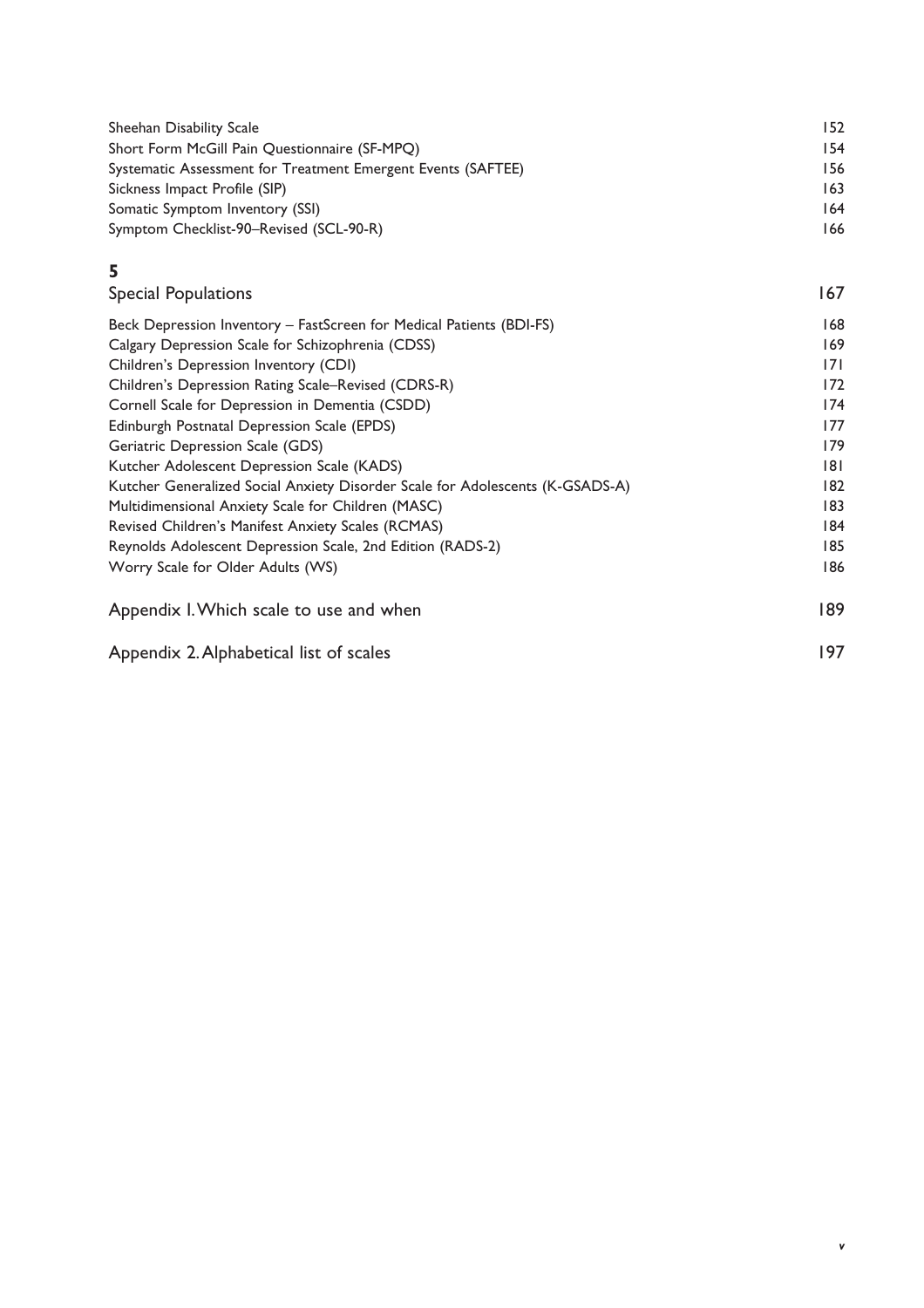| Sheehan Disability Scale                                     | 152 |
|--------------------------------------------------------------|-----|
| Short Form McGill Pain Questionnaire (SF-MPQ)                | 154 |
| Systematic Assessment for Treatment Emergent Events (SAFTEE) | 156 |
| Sickness Impact Profile (SIP)                                | 163 |
| Somatic Symptom Inventory (SSI)                              | 164 |
| Symptom Checklist-90-Revised (SCL-90-R)                      | 166 |

| 5                                                                             |     |
|-------------------------------------------------------------------------------|-----|
| <b>Special Populations</b>                                                    | 167 |
| Beck Depression Inventory – FastScreen for Medical Patients (BDI-FS)          | 168 |
| Calgary Depression Scale for Schizophrenia (CDSS)                             | 169 |
| Children's Depression Inventory (CDI)                                         | 171 |
| Children's Depression Rating Scale–Revised (CDRS-R)                           | 172 |
| Cornell Scale for Depression in Dementia (CSDD)                               | 174 |
| Edinburgh Postnatal Depression Scale (EPDS)                                   | 177 |
| Geriatric Depression Scale (GDS)                                              | 179 |
| Kutcher Adolescent Depression Scale (KADS)                                    | 181 |
| Kutcher Generalized Social Anxiety Disorder Scale for Adolescents (K-GSADS-A) | 182 |
| Multidimensional Anxiety Scale for Children (MASC)                            | 183 |
| Revised Children's Manifest Anxiety Scales (RCMAS)                            | 184 |
| Reynolds Adolescent Depression Scale, 2nd Edition (RADS-2)                    | 185 |
| Worry Scale for Older Adults (WS)                                             | 186 |
| Appendix I. Which scale to use and when                                       | 189 |

| Appendix 2. Alphabetical list of scales |
|-----------------------------------------|
|                                         |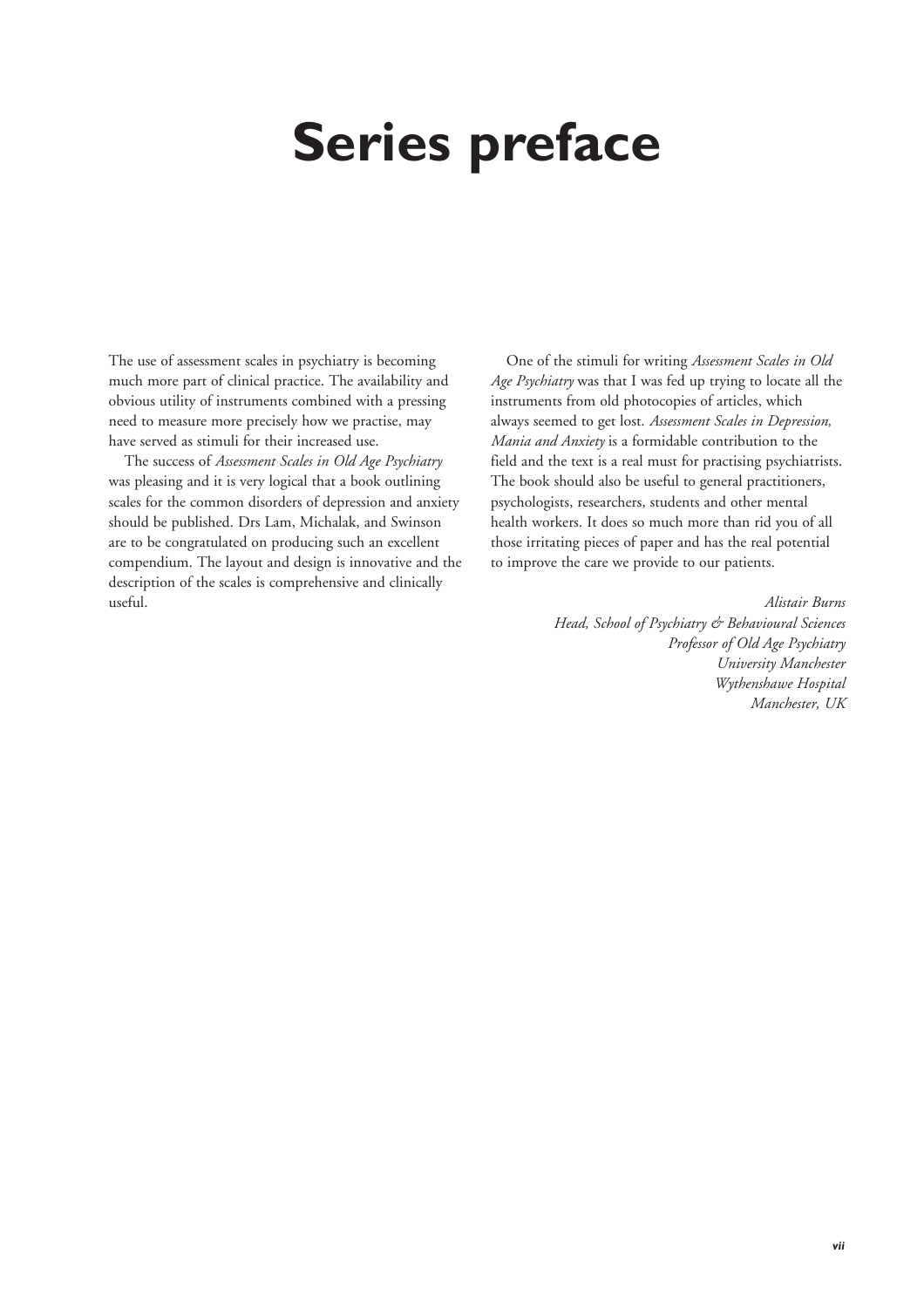# **Series preface**

The use of assessment scales in psychiatry is becoming much more part of clinical practice. The availability and obvious utility of instruments combined with a pressing need to measure more precisely how we practise, may have served as stimuli for their increased use.

The success of *Assessment Scales in Old Age Psychiatry* was pleasing and it is very logical that a book outlining scales for the common disorders of depression and anxiety should be published. Drs Lam, Michalak, and Swinson are to be congratulated on producing such an excellent compendium. The layout and design is innovative and the description of the scales is comprehensive and clinically useful.

One of the stimuli for writing *Assessment Scales in Old Age Psychiatry* was that I was fed up trying to locate all the instruments from old photocopies of articles, which always seemed to get lost. *Assessment Scales in Depression, Mania and Anxiety* is a formidable contribution to the field and the text is a real must for practising psychiatrists. The book should also be useful to general practitioners, psychologists, researchers, students and other mental health workers. It does so much more than rid you of all those irritating pieces of paper and has the real potential to improve the care we provide to our patients.

> *Alistair Burns Head, School of Psychiatry & Behavioural Sciences Professor of Old Age Psychiatry University Manchester Wythenshawe Hospital Manchester, UK*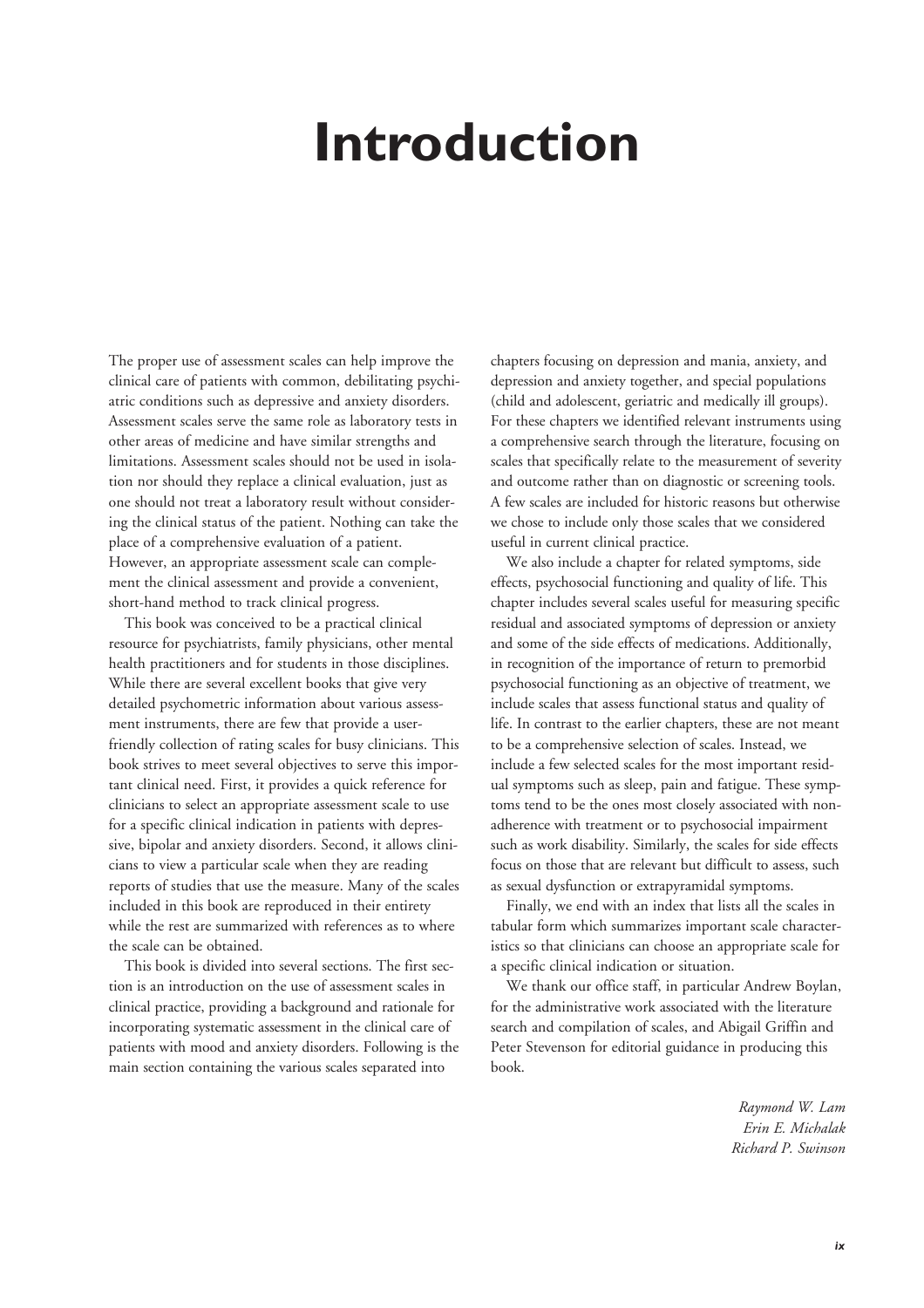# **Introduction**

The proper use of assessment scales can help improve the clinical care of patients with common, debilitating psychiatric conditions such as depressive and anxiety disorders. Assessment scales serve the same role as laboratory tests in other areas of medicine and have similar strengths and limitations. Assessment scales should not be used in isolation nor should they replace a clinical evaluation, just as one should not treat a laboratory result without considering the clinical status of the patient. Nothing can take the place of a comprehensive evaluation of a patient. However, an appropriate assessment scale can complement the clinical assessment and provide a convenient, short-hand method to track clinical progress.

This book was conceived to be a practical clinical resource for psychiatrists, family physicians, other mental health practitioners and for students in those disciplines. While there are several excellent books that give very detailed psychometric information about various assessment instruments, there are few that provide a userfriendly collection of rating scales for busy clinicians. This book strives to meet several objectives to serve this important clinical need. First, it provides a quick reference for clinicians to select an appropriate assessment scale to use for a specific clinical indication in patients with depressive, bipolar and anxiety disorders. Second, it allows clinicians to view a particular scale when they are reading reports of studies that use the measure. Many of the scales included in this book are reproduced in their entirety while the rest are summarized with references as to where the scale can be obtained.

This book is divided into several sections. The first section is an introduction on the use of assessment scales in clinical practice, providing a background and rationale for incorporating systematic assessment in the clinical care of patients with mood and anxiety disorders. Following is the main section containing the various scales separated into

chapters focusing on depression and mania, anxiety, and depression and anxiety together, and special populations (child and adolescent, geriatric and medically ill groups). For these chapters we identified relevant instruments using a comprehensive search through the literature, focusing on scales that specifically relate to the measurement of severity and outcome rather than on diagnostic or screening tools. A few scales are included for historic reasons but otherwise we chose to include only those scales that we considered useful in current clinical practice.

We also include a chapter for related symptoms, side effects, psychosocial functioning and quality of life. This chapter includes several scales useful for measuring specific residual and associated symptoms of depression or anxiety and some of the side effects of medications. Additionally, in recognition of the importance of return to premorbid psychosocial functioning as an objective of treatment, we include scales that assess functional status and quality of life. In contrast to the earlier chapters, these are not meant to be a comprehensive selection of scales. Instead, we include a few selected scales for the most important residual symptoms such as sleep, pain and fatigue. These symptoms tend to be the ones most closely associated with nonadherence with treatment or to psychosocial impairment such as work disability. Similarly, the scales for side effects focus on those that are relevant but difficult to assess, such as sexual dysfunction or extrapyramidal symptoms.

Finally, we end with an index that lists all the scales in tabular form which summarizes important scale characteristics so that clinicians can choose an appropriate scale for a specific clinical indication or situation.

We thank our office staff, in particular Andrew Boylan, for the administrative work associated with the literature search and compilation of scales, and Abigail Griffin and Peter Stevenson for editorial guidance in producing this book.

> *Raymond W. Lam Erin E. Michalak Richard P. Swinson*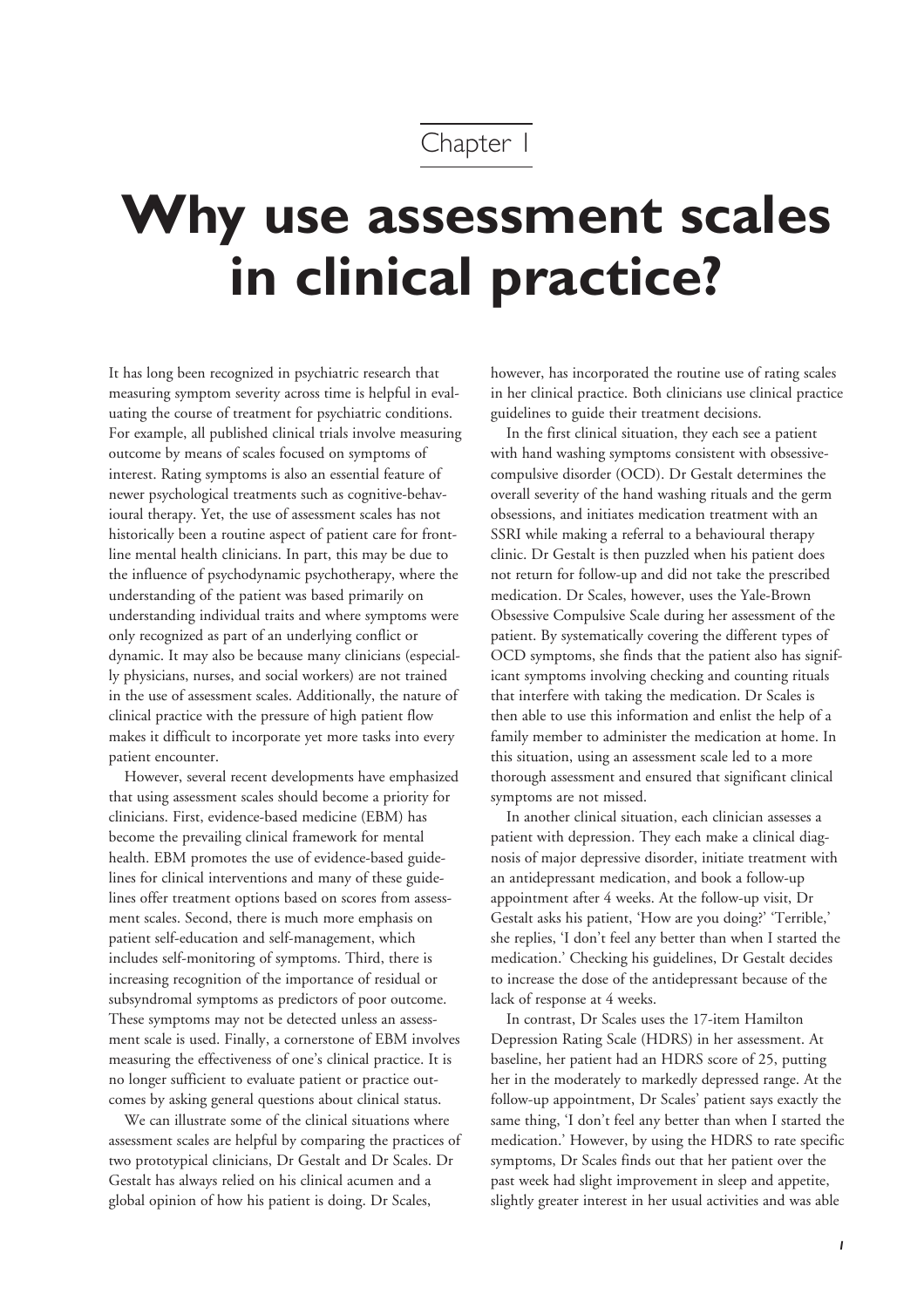# Chapter 1

# **Why use assessment scales in clinical practice?**

It has long been recognized in psychiatric research that measuring symptom severity across time is helpful in evaluating the course of treatment for psychiatric conditions. For example, all published clinical trials involve measuring outcome by means of scales focused on symptoms of interest. Rating symptoms is also an essential feature of newer psychological treatments such as cognitive-behavioural therapy. Yet, the use of assessment scales has not historically been a routine aspect of patient care for frontline mental health clinicians. In part, this may be due to the influence of psychodynamic psychotherapy, where the understanding of the patient was based primarily on understanding individual traits and where symptoms were only recognized as part of an underlying conflict or dynamic. It may also be because many clinicians (especially physicians, nurses, and social workers) are not trained in the use of assessment scales. Additionally, the nature of clinical practice with the pressure of high patient flow makes it difficult to incorporate yet more tasks into every patient encounter.

However, several recent developments have emphasized that using assessment scales should become a priority for clinicians. First, evidence-based medicine (EBM) has become the prevailing clinical framework for mental health. EBM promotes the use of evidence-based guidelines for clinical interventions and many of these guidelines offer treatment options based on scores from assessment scales. Second, there is much more emphasis on patient self-education and self-management, which includes self-monitoring of symptoms. Third, there is increasing recognition of the importance of residual or subsyndromal symptoms as predictors of poor outcome. These symptoms may not be detected unless an assessment scale is used. Finally, a cornerstone of EBM involves measuring the effectiveness of one's clinical practice. It is no longer sufficient to evaluate patient or practice outcomes by asking general questions about clinical status.

We can illustrate some of the clinical situations where assessment scales are helpful by comparing the practices of two prototypical clinicians, Dr Gestalt and Dr Scales. Dr Gestalt has always relied on his clinical acumen and a global opinion of how his patient is doing. Dr Scales,

however, has incorporated the routine use of rating scales in her clinical practice. Both clinicians use clinical practice guidelines to guide their treatment decisions.

In the first clinical situation, they each see a patient with hand washing symptoms consistent with obsessivecompulsive disorder (OCD). Dr Gestalt determines the overall severity of the hand washing rituals and the germ obsessions, and initiates medication treatment with an SSRI while making a referral to a behavioural therapy clinic. Dr Gestalt is then puzzled when his patient does not return for follow-up and did not take the prescribed medication. Dr Scales, however, uses the Yale-Brown Obsessive Compulsive Scale during her assessment of the patient. By systematically covering the different types of OCD symptoms, she finds that the patient also has significant symptoms involving checking and counting rituals that interfere with taking the medication. Dr Scales is then able to use this information and enlist the help of a family member to administer the medication at home. In this situation, using an assessment scale led to a more thorough assessment and ensured that significant clinical symptoms are not missed.

In another clinical situation, each clinician assesses a patient with depression. They each make a clinical diagnosis of major depressive disorder, initiate treatment with an antidepressant medication, and book a follow-up appointment after 4 weeks. At the follow-up visit, Dr Gestalt asks his patient, 'How are you doing?' 'Terrible,' she replies, 'I don't feel any better than when I started the medication.' Checking his guidelines, Dr Gestalt decides to increase the dose of the antidepressant because of the lack of response at 4 weeks.

In contrast, Dr Scales uses the 17-item Hamilton Depression Rating Scale (HDRS) in her assessment. At baseline, her patient had an HDRS score of 25, putting her in the moderately to markedly depressed range. At the follow-up appointment, Dr Scales' patient says exactly the same thing, 'I don't feel any better than when I started the medication.' However, by using the HDRS to rate specific symptoms, Dr Scales finds out that her patient over the past week had slight improvement in sleep and appetite, slightly greater interest in her usual activities and was able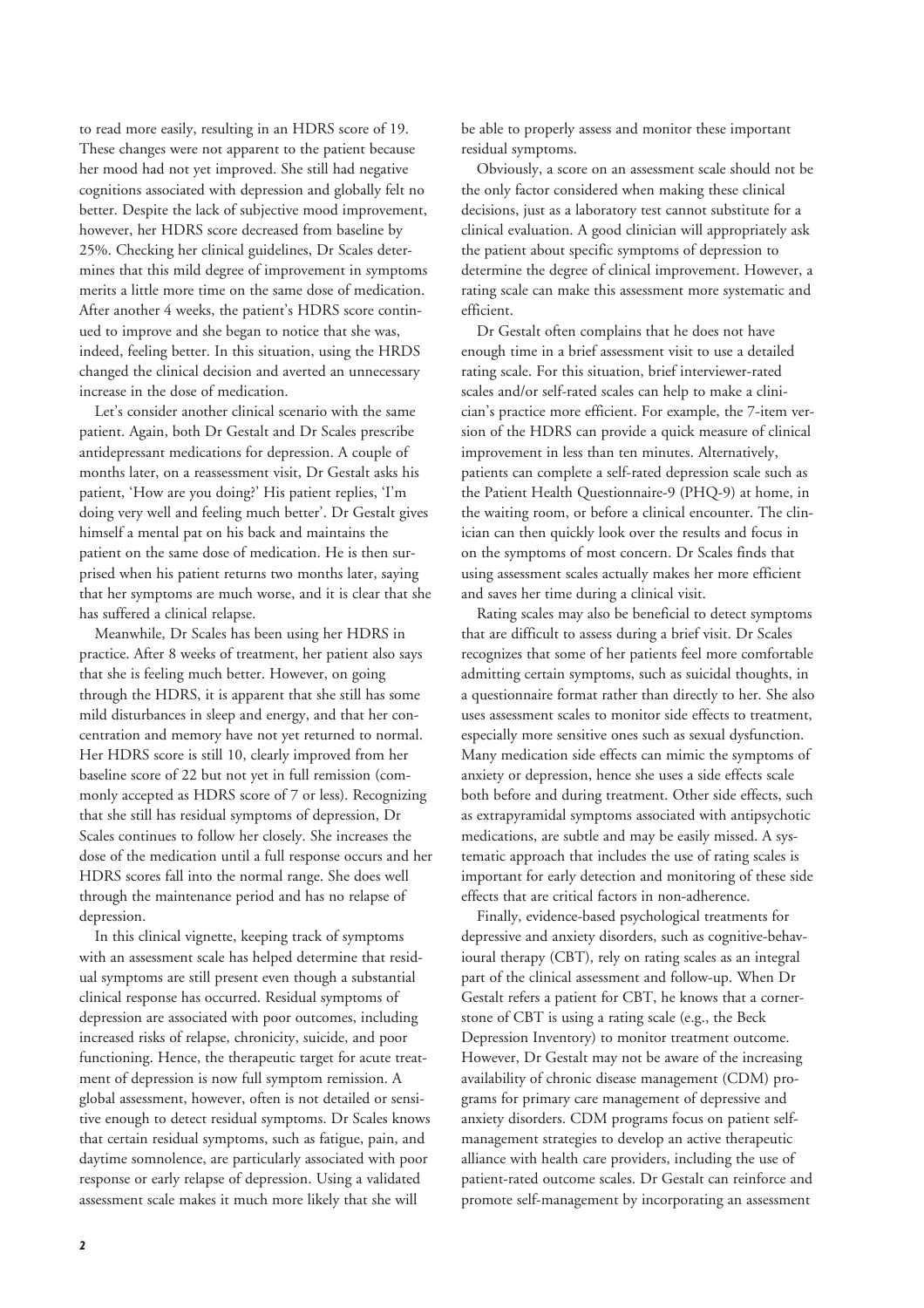to read more easily, resulting in an HDRS score of 19. These changes were not apparent to the patient because her mood had not yet improved. She still had negative cognitions associated with depression and globally felt no better. Despite the lack of subjective mood improvement, however, her HDRS score decreased from baseline by 25%. Checking her clinical guidelines, Dr Scales determines that this mild degree of improvement in symptoms merits a little more time on the same dose of medication. After another 4 weeks, the patient's HDRS score continued to improve and she began to notice that she was, indeed, feeling better. In this situation, using the HRDS changed the clinical decision and averted an unnecessary increase in the dose of medication.

Let's consider another clinical scenario with the same patient. Again, both Dr Gestalt and Dr Scales prescribe antidepressant medications for depression. A couple of months later, on a reassessment visit, Dr Gestalt asks his patient, 'How are you doing?' His patient replies, 'I'm doing very well and feeling much better'. Dr Gestalt gives himself a mental pat on his back and maintains the patient on the same dose of medication. He is then surprised when his patient returns two months later, saying that her symptoms are much worse, and it is clear that she has suffered a clinical relapse.

Meanwhile, Dr Scales has been using her HDRS in practice. After 8 weeks of treatment, her patient also says that she is feeling much better. However, on going through the HDRS, it is apparent that she still has some mild disturbances in sleep and energy, and that her concentration and memory have not yet returned to normal. Her HDRS score is still 10, clearly improved from her baseline score of 22 but not yet in full remission (commonly accepted as HDRS score of 7 or less). Recognizing that she still has residual symptoms of depression, Dr Scales continues to follow her closely. She increases the dose of the medication until a full response occurs and her HDRS scores fall into the normal range. She does well through the maintenance period and has no relapse of depression.

In this clinical vignette, keeping track of symptoms with an assessment scale has helped determine that residual symptoms are still present even though a substantial clinical response has occurred. Residual symptoms of depression are associated with poor outcomes, including increased risks of relapse, chronicity, suicide, and poor functioning. Hence, the therapeutic target for acute treatment of depression is now full symptom remission. A global assessment, however, often is not detailed or sensitive enough to detect residual symptoms. Dr Scales knows that certain residual symptoms, such as fatigue, pain, and daytime somnolence, are particularly associated with poor response or early relapse of depression. Using a validated assessment scale makes it much more likely that she will

be able to properly assess and monitor these important residual symptoms.

Obviously, a score on an assessment scale should not be the only factor considered when making these clinical decisions, just as a laboratory test cannot substitute for a clinical evaluation. A good clinician will appropriately ask the patient about specific symptoms of depression to determine the degree of clinical improvement. However, a rating scale can make this assessment more systematic and efficient.

Dr Gestalt often complains that he does not have enough time in a brief assessment visit to use a detailed rating scale. For this situation, brief interviewer-rated scales and/or self-rated scales can help to make a clinician's practice more efficient. For example, the 7-item version of the HDRS can provide a quick measure of clinical improvement in less than ten minutes. Alternatively, patients can complete a self-rated depression scale such as the Patient Health Questionnaire-9 (PHQ-9) at home, in the waiting room, or before a clinical encounter. The clinician can then quickly look over the results and focus in on the symptoms of most concern. Dr Scales finds that using assessment scales actually makes her more efficient and saves her time during a clinical visit.

Rating scales may also be beneficial to detect symptoms that are difficult to assess during a brief visit. Dr Scales recognizes that some of her patients feel more comfortable admitting certain symptoms, such as suicidal thoughts, in a questionnaire format rather than directly to her. She also uses assessment scales to monitor side effects to treatment, especially more sensitive ones such as sexual dysfunction. Many medication side effects can mimic the symptoms of anxiety or depression, hence she uses a side effects scale both before and during treatment. Other side effects, such as extrapyramidal symptoms associated with antipsychotic medications, are subtle and may be easily missed. A systematic approach that includes the use of rating scales is important for early detection and monitoring of these side effects that are critical factors in non-adherence.

Finally, evidence-based psychological treatments for depressive and anxiety disorders, such as cognitive-behavioural therapy (CBT), rely on rating scales as an integral part of the clinical assessment and follow-up. When Dr Gestalt refers a patient for CBT, he knows that a cornerstone of CBT is using a rating scale (e.g., the Beck Depression Inventory) to monitor treatment outcome. However, Dr Gestalt may not be aware of the increasing availability of chronic disease management (CDM) programs for primary care management of depressive and anxiety disorders. CDM programs focus on patient selfmanagement strategies to develop an active therapeutic alliance with health care providers, including the use of patient-rated outcome scales. Dr Gestalt can reinforce and promote self-management by incorporating an assessment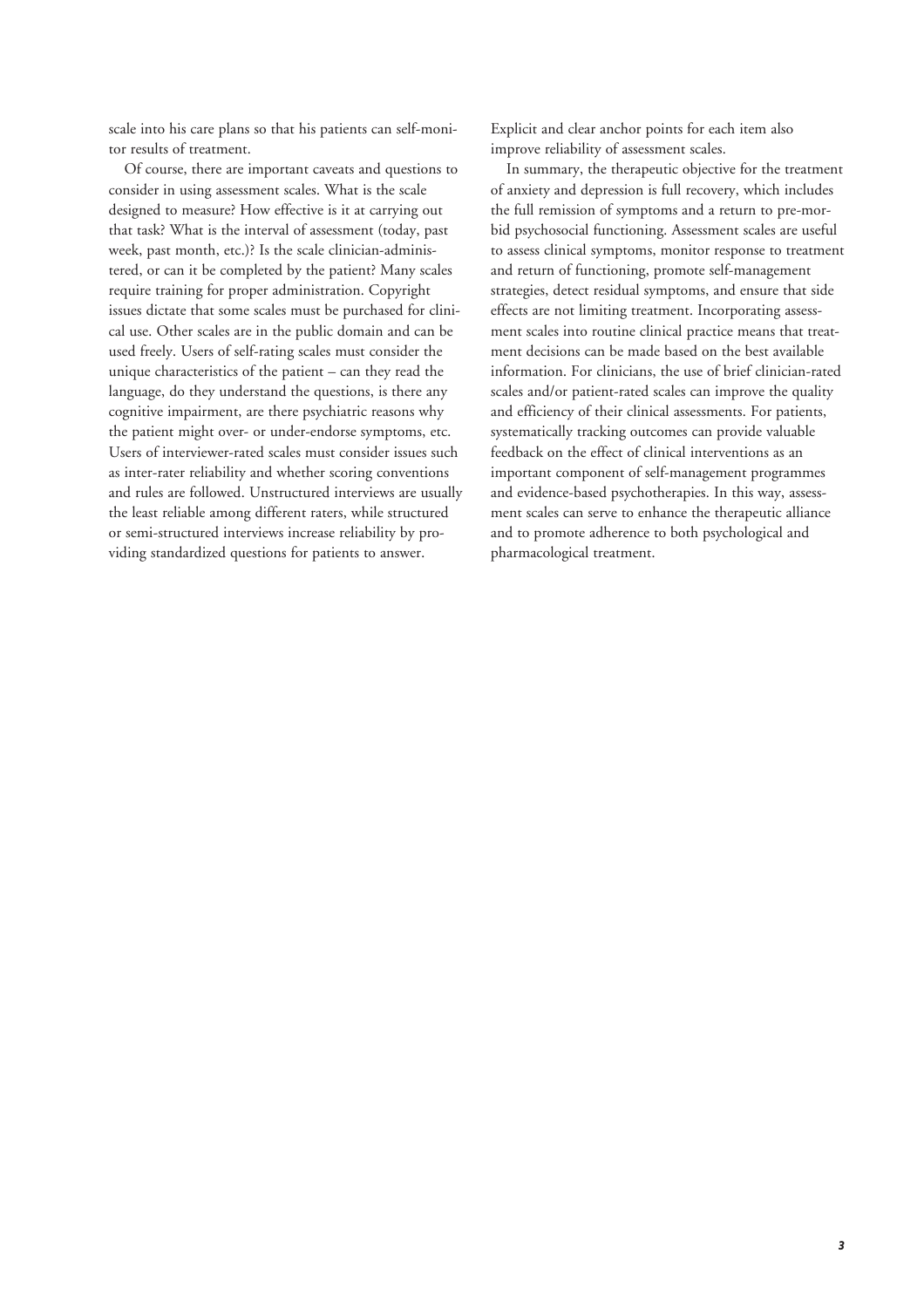scale into his care plans so that his patients can self-monitor results of treatment.

Of course, there are important caveats and questions to consider in using assessment scales. What is the scale designed to measure? How effective is it at carrying out that task? What is the interval of assessment (today, past week, past month, etc.)? Is the scale clinician-administered, or can it be completed by the patient? Many scales require training for proper administration. Copyright issues dictate that some scales must be purchased for clinical use. Other scales are in the public domain and can be used freely. Users of self-rating scales must consider the unique characteristics of the patient – can they read the language, do they understand the questions, is there any cognitive impairment, are there psychiatric reasons why the patient might over- or under-endorse symptoms, etc. Users of interviewer-rated scales must consider issues such as inter-rater reliability and whether scoring conventions and rules are followed. Unstructured interviews are usually the least reliable among different raters, while structured or semi-structured interviews increase reliability by providing standardized questions for patients to answer.

Explicit and clear anchor points for each item also improve reliability of assessment scales.

In summary, the therapeutic objective for the treatment of anxiety and depression is full recovery, which includes the full remission of symptoms and a return to pre-morbid psychosocial functioning. Assessment scales are useful to assess clinical symptoms, monitor response to treatment and return of functioning, promote self-management strategies, detect residual symptoms, and ensure that side effects are not limiting treatment. Incorporating assessment scales into routine clinical practice means that treatment decisions can be made based on the best available information. For clinicians, the use of brief clinician-rated scales and/or patient-rated scales can improve the quality and efficiency of their clinical assessments. For patients, systematically tracking outcomes can provide valuable feedback on the effect of clinical interventions as an important component of self-management programmes and evidence-based psychotherapies. In this way, assessment scales can serve to enhance the therapeutic alliance and to promote adherence to both psychological and pharmacological treatment.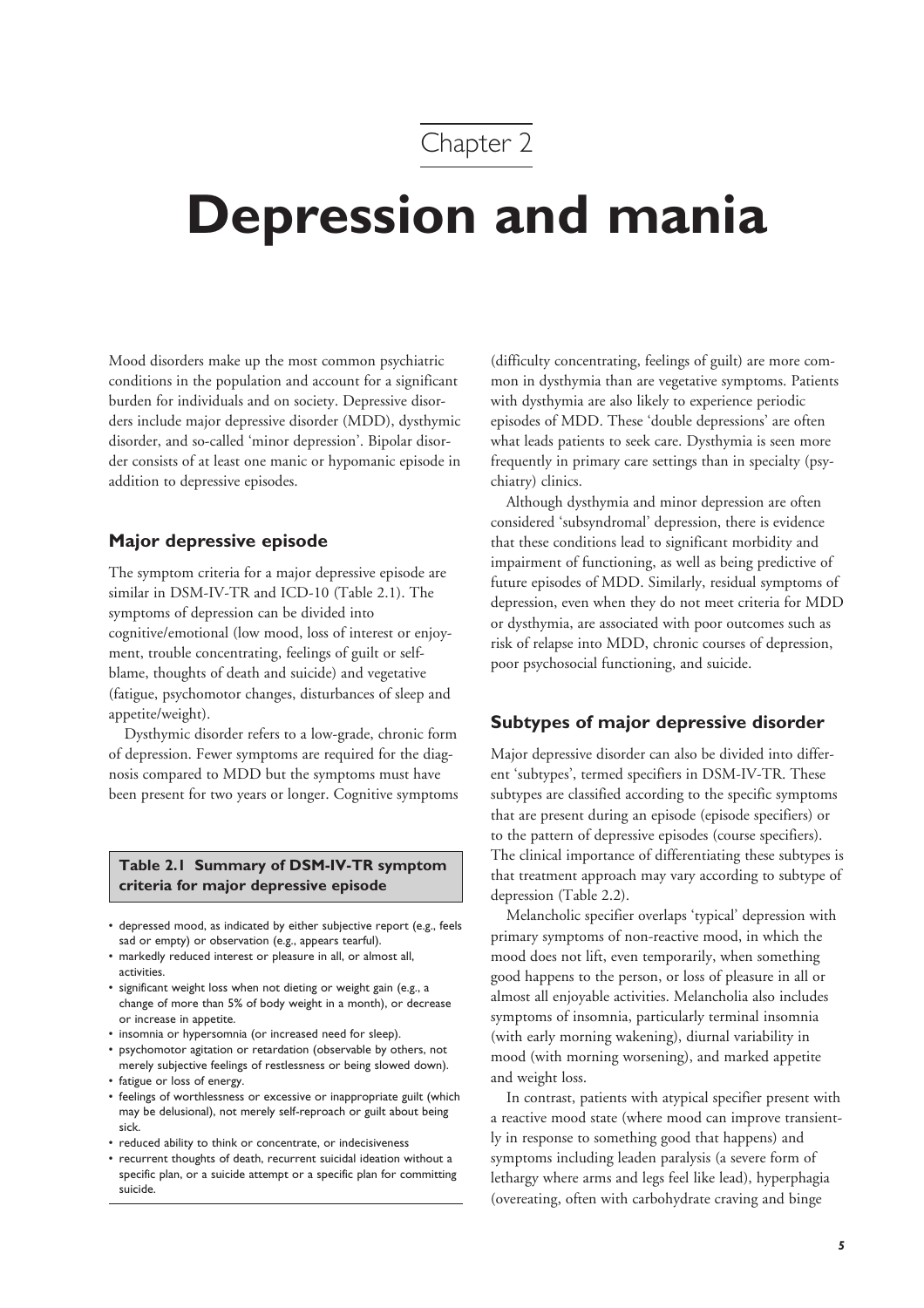# Chapter 2

# **Depression and mania**

Mood disorders make up the most common psychiatric conditions in the population and account for a significant burden for individuals and on society. Depressive disorders include major depressive disorder (MDD), dysthymic disorder, and so-called 'minor depression'. Bipolar disorder consists of at least one manic or hypomanic episode in addition to depressive episodes.

#### **Major depressive episode**

The symptom criteria for a major depressive episode are similar in DSM-IV-TR and ICD-10 (Table 2.1). The symptoms of depression can be divided into cognitive/emotional (low mood, loss of interest or enjoyment, trouble concentrating, feelings of guilt or selfblame, thoughts of death and suicide) and vegetative (fatigue, psychomotor changes, disturbances of sleep and appetite/weight).

Dysthymic disorder refers to a low-grade, chronic form of depression. Fewer symptoms are required for the diagnosis compared to MDD but the symptoms must have been present for two years or longer. Cognitive symptoms

#### **Table 2.1 Summary of DSM-IV-TR symptom criteria for major depressive episode**

- depressed mood, as indicated by either subjective report (e.g., feels sad or empty) or observation (e.g., appears tearful).
- markedly reduced interest or pleasure in all, or almost all, activities.
- significant weight loss when not dieting or weight gain (e.g., a change of more than 5% of body weight in a month), or decrease or increase in appetite.
- insomnia or hypersomnia (or increased need for sleep).
- psychomotor agitation or retardation (observable by others, not merely subjective feelings of restlessness or being slowed down).
- fatigue or loss of energy.
- feelings of worthlessness or excessive or inappropriate guilt (which may be delusional), not merely self-reproach or guilt about being sick.
- reduced ability to think or concentrate, or indecisiveness
- recurrent thoughts of death, recurrent suicidal ideation without a specific plan, or a suicide attempt or a specific plan for committing suicide.

(difficulty concentrating, feelings of guilt) are more common in dysthymia than are vegetative symptoms. Patients with dysthymia are also likely to experience periodic episodes of MDD. These 'double depressions' are often what leads patients to seek care. Dysthymia is seen more frequently in primary care settings than in specialty (psychiatry) clinics.

Although dysthymia and minor depression are often considered 'subsyndromal' depression, there is evidence that these conditions lead to significant morbidity and impairment of functioning, as well as being predictive of future episodes of MDD. Similarly, residual symptoms of depression, even when they do not meet criteria for MDD or dysthymia, are associated with poor outcomes such as risk of relapse into MDD, chronic courses of depression, poor psychosocial functioning, and suicide.

#### **Subtypes of major depressive disorder**

Major depressive disorder can also be divided into different 'subtypes', termed specifiers in DSM-IV-TR. These subtypes are classified according to the specific symptoms that are present during an episode (episode specifiers) or to the pattern of depressive episodes (course specifiers). The clinical importance of differentiating these subtypes is that treatment approach may vary according to subtype of depression (Table 2.2).

Melancholic specifier overlaps 'typical' depression with primary symptoms of non-reactive mood, in which the mood does not lift, even temporarily, when something good happens to the person, or loss of pleasure in all or almost all enjoyable activities. Melancholia also includes symptoms of insomnia, particularly terminal insomnia (with early morning wakening), diurnal variability in mood (with morning worsening), and marked appetite and weight loss.

In contrast, patients with atypical specifier present with a reactive mood state (where mood can improve transiently in response to something good that happens) and symptoms including leaden paralysis (a severe form of lethargy where arms and legs feel like lead), hyperphagia (overeating, often with carbohydrate craving and binge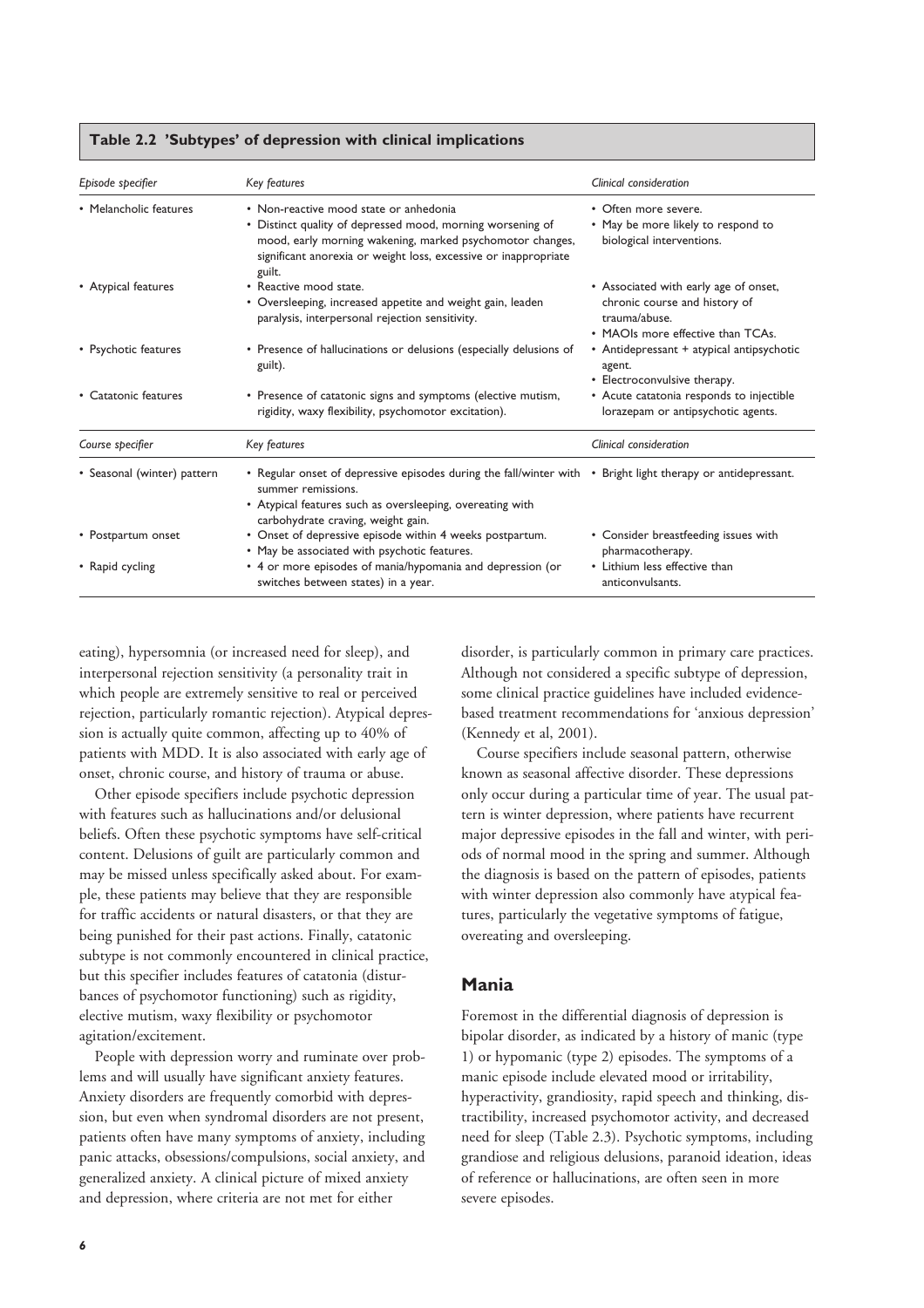| Episode specifier           | Key features                                                                                                                                                                                                                                   | Clinical consideration                                                                                                       |
|-----------------------------|------------------------------------------------------------------------------------------------------------------------------------------------------------------------------------------------------------------------------------------------|------------------------------------------------------------------------------------------------------------------------------|
| • Melancholic features      | • Non-reactive mood state or anhedonia<br>• Distinct quality of depressed mood, morning worsening of<br>mood, early morning wakening, marked psychomotor changes,<br>significant anorexia or weight loss, excessive or inappropriate<br>guilt. | • Often more severe.<br>• May be more likely to respond to<br>biological interventions.                                      |
| • Atypical features         | • Reactive mood state.<br>• Oversleeping, increased appetite and weight gain, leaden<br>paralysis, interpersonal rejection sensitivity.                                                                                                        | • Associated with early age of onset,<br>chronic course and history of<br>trauma/abuse.<br>• MAOIs more effective than TCAs. |
| • Psychotic features        | • Presence of hallucinations or delusions (especially delusions of<br>guilt).                                                                                                                                                                  | • Antidepressant + atypical antipsychotic<br>agent.<br>• Electroconvulsive therapy.                                          |
| • Catatonic features        | • Presence of catatonic signs and symptoms (elective mutism,<br>rigidity, waxy flexibility, psychomotor excitation).                                                                                                                           | • Acute catatonia responds to injectible<br>lorazepam or antipsychotic agents.                                               |
| Course specifier            | Key features                                                                                                                                                                                                                                   | Clinical consideration                                                                                                       |
| • Seasonal (winter) pattern | • Regular onset of depressive episodes during the fall/winter with • Bright light therapy or antidepressant.<br>summer remissions.<br>• Atypical features such as oversleeping, overeating with<br>carbohydrate craving, weight gain.          |                                                                                                                              |
| • Postpartum onset          | • Onset of depressive episode within 4 weeks postpartum.<br>• May be associated with psychotic features.                                                                                                                                       | • Consider breastfeeding issues with<br>pharmacotherapy.                                                                     |
| • Rapid cycling             | • 4 or more episodes of mania/hypomania and depression (or<br>switches between states) in a year.                                                                                                                                              | • Lithium less effective than<br>anticonvulsants.                                                                            |

#### **Table 2.2 'Subtypes' of depression with clinical implications**

eating), hypersomnia (or increased need for sleep), and interpersonal rejection sensitivity (a personality trait in which people are extremely sensitive to real or perceived rejection, particularly romantic rejection). Atypical depression is actually quite common, affecting up to 40% of patients with MDD. It is also associated with early age of onset, chronic course, and history of trauma or abuse.

Other episode specifiers include psychotic depression with features such as hallucinations and/or delusional beliefs. Often these psychotic symptoms have self-critical content. Delusions of guilt are particularly common and may be missed unless specifically asked about. For example, these patients may believe that they are responsible for traffic accidents or natural disasters, or that they are being punished for their past actions. Finally, catatonic subtype is not commonly encountered in clinical practice, but this specifier includes features of catatonia (disturbances of psychomotor functioning) such as rigidity, elective mutism, waxy flexibility or psychomotor agitation/excitement.

People with depression worry and ruminate over problems and will usually have significant anxiety features. Anxiety disorders are frequently comorbid with depression, but even when syndromal disorders are not present, patients often have many symptoms of anxiety, including panic attacks, obsessions/compulsions, social anxiety, and generalized anxiety. A clinical picture of mixed anxiety and depression, where criteria are not met for either

disorder, is particularly common in primary care practices. Although not considered a specific subtype of depression, some clinical practice guidelines have included evidencebased treatment recommendations for 'anxious depression' (Kennedy et al, 2001).

Course specifiers include seasonal pattern, otherwise known as seasonal affective disorder. These depressions only occur during a particular time of year. The usual pattern is winter depression, where patients have recurrent major depressive episodes in the fall and winter, with periods of normal mood in the spring and summer. Although the diagnosis is based on the pattern of episodes, patients with winter depression also commonly have atypical features, particularly the vegetative symptoms of fatigue, overeating and oversleeping.

#### **Mania**

Foremost in the differential diagnosis of depression is bipolar disorder, as indicated by a history of manic (type 1) or hypomanic (type 2) episodes. The symptoms of a manic episode include elevated mood or irritability, hyperactivity, grandiosity, rapid speech and thinking, distractibility, increased psychomotor activity, and decreased need for sleep (Table 2.3). Psychotic symptoms, including grandiose and religious delusions, paranoid ideation, ideas of reference or hallucinations, are often seen in more severe episodes.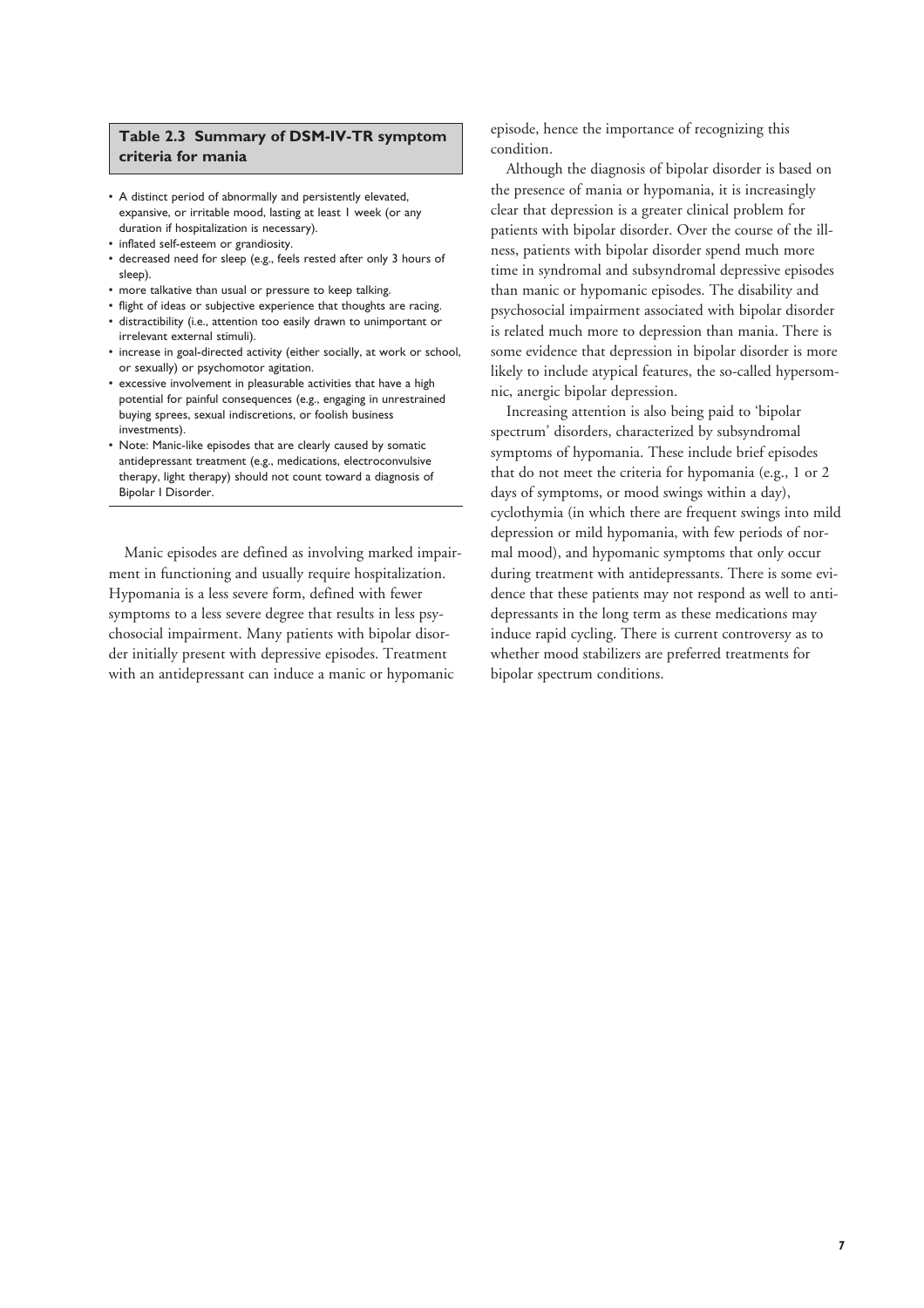#### **Table 2.3 Summary of DSM-IV-TR symptom criteria for mania**

- A distinct period of abnormally and persistently elevated, expansive, or irritable mood, lasting at least 1 week (or any duration if hospitalization is necessary).
- inflated self-esteem or grandiosity.
- decreased need for sleep (e.g., feels rested after only 3 hours of sleep).
- more talkative than usual or pressure to keep talking.
- flight of ideas or subjective experience that thoughts are racing. • distractibility (i.e., attention too easily drawn to unimportant or
- irrelevant external stimuli). • increase in goal-directed activity (either socially, at work or school,
- or sexually) or psychomotor agitation.
- excessive involvement in pleasurable activities that have a high potential for painful consequences (e.g., engaging in unrestrained buying sprees, sexual indiscretions, or foolish business investments).
- Note: Manic-like episodes that are clearly caused by somatic antidepressant treatment (e.g., medications, electroconvulsive therapy, light therapy) should not count toward a diagnosis of Bipolar I Disorder.

Manic episodes are defined as involving marked impairment in functioning and usually require hospitalization. Hypomania is a less severe form, defined with fewer symptoms to a less severe degree that results in less psychosocial impairment. Many patients with bipolar disorder initially present with depressive episodes. Treatment with an antidepressant can induce a manic or hypomanic

episode, hence the importance of recognizing this condition.

Although the diagnosis of bipolar disorder is based on the presence of mania or hypomania, it is increasingly clear that depression is a greater clinical problem for patients with bipolar disorder. Over the course of the illness, patients with bipolar disorder spend much more time in syndromal and subsyndromal depressive episodes than manic or hypomanic episodes. The disability and psychosocial impairment associated with bipolar disorder is related much more to depression than mania. There is some evidence that depression in bipolar disorder is more likely to include atypical features, the so-called hypersomnic, anergic bipolar depression.

Increasing attention is also being paid to 'bipolar spectrum' disorders, characterized by subsyndromal symptoms of hypomania. These include brief episodes that do not meet the criteria for hypomania (e.g., 1 or 2 days of symptoms, or mood swings within a day), cyclothymia (in which there are frequent swings into mild depression or mild hypomania, with few periods of normal mood), and hypomanic symptoms that only occur during treatment with antidepressants. There is some evidence that these patients may not respond as well to antidepressants in the long term as these medications may induce rapid cycling. There is current controversy as to whether mood stabilizers are preferred treatments for bipolar spectrum conditions.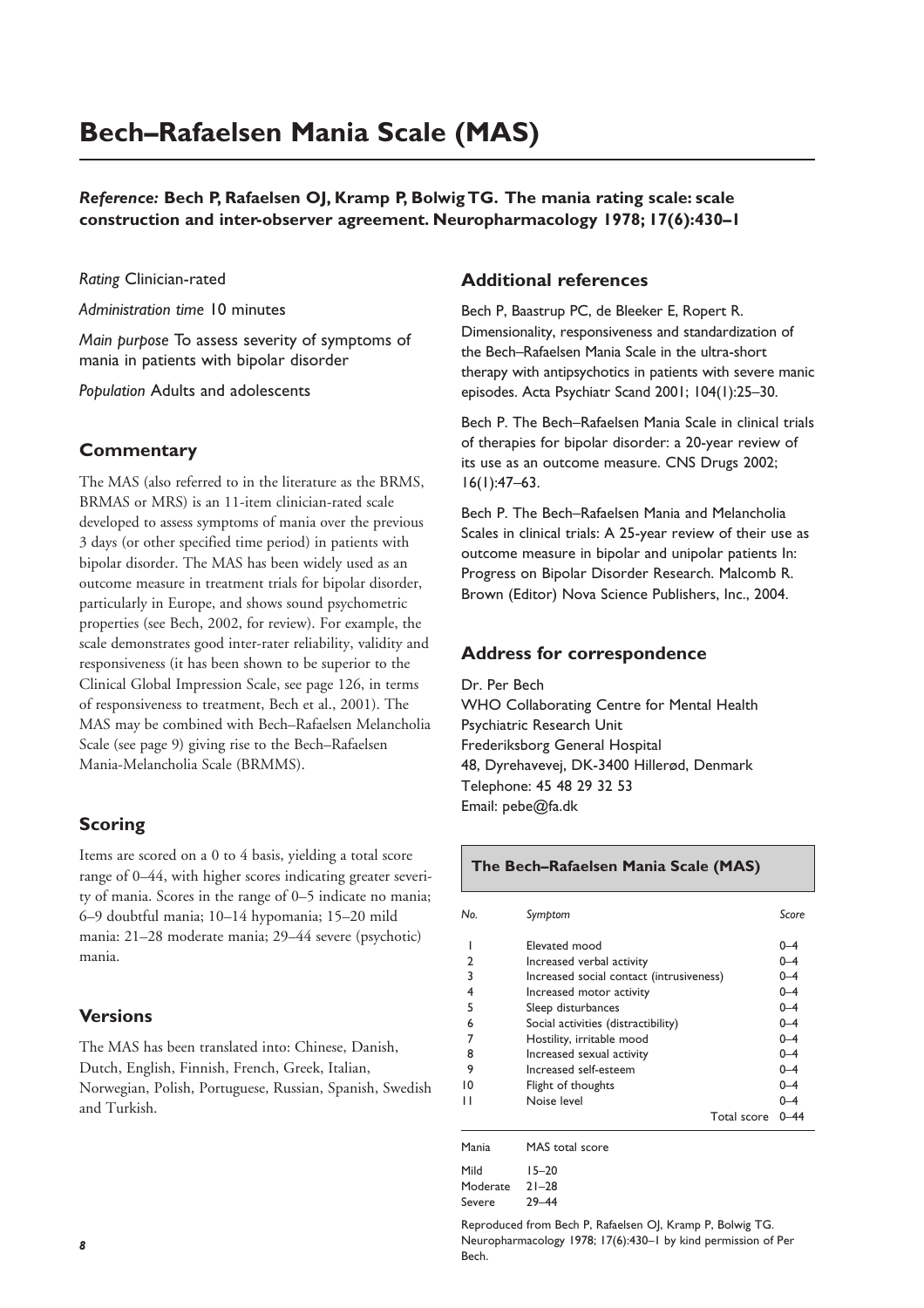*Reference:* **Bech P, Rafaelsen OJ, Kramp P, Bolwig TG. The mania rating scale: scale construction and inter-observer agreement. Neuropharmacology 1978; 17(6):430–1**

*Rating* Clinician-rated

*Administration time* 10 minutes

*Main purpose* To assess severity of symptoms of mania in patients with bipolar disorder

*Population* Adults and adolescents

#### **Commentary**

The MAS (also referred to in the literature as the BRMS, BRMAS or MRS) is an 11-item clinician-rated scale developed to assess symptoms of mania over the previous 3 days (or other specified time period) in patients with bipolar disorder. The MAS has been widely used as an outcome measure in treatment trials for bipolar disorder, particularly in Europe, and shows sound psychometric properties (see Bech, 2002, for review). For example, the scale demonstrates good inter-rater reliability, validity and responsiveness (it has been shown to be superior to the Clinical Global Impression Scale, see page 126, in terms of responsiveness to treatment, Bech et al., 2001). The MAS may be combined with Bech–Rafaelsen Melancholia Scale (see page 9) giving rise to the Bech–Rafaelsen Mania-Melancholia Scale (BRMMS).

# **Scoring**

Items are scored on a 0 to 4 basis, yielding a total score range of 0–44, with higher scores indicating greater severity of mania. Scores in the range of 0–5 indicate no mania; 6–9 doubtful mania; 10–14 hypomania; 15–20 mild mania: 21–28 moderate mania; 29–44 severe (psychotic) mania.

# **Versions**

The MAS has been translated into: Chinese, Danish, Dutch, English, Finnish, French, Greek, Italian, Norwegian, Polish, Portuguese, Russian, Spanish, Swedish and Turkish.

# **Additional references**

Bech P, Baastrup PC, de Bleeker E, Ropert R. Dimensionality, responsiveness and standardization of the Bech–Rafaelsen Mania Scale in the ultra-short therapy with antipsychotics in patients with severe manic episodes. Acta Psychiatr Scand 2001; 104(1):25–30.

Bech P. The Bech–Rafaelsen Mania Scale in clinical trials of therapies for bipolar disorder: a 20-year review of its use as an outcome measure. CNS Drugs 2002; 16(1):47–63.

Bech P. The Bech–Rafaelsen Mania and Melancholia Scales in clinical trials: A 25-year review of their use as outcome measure in bipolar and unipolar patients In: Progress on Bipolar Disorder Research. Malcomb R. Brown (Editor) Nova Science Publishers, Inc., 2004.

#### **Address for correspondence**

Dr. Per Bech

WHO Collaborating Centre for Mental Health Psychiatric Research Unit Frederiksborg General Hospital 48, Dyrehavevej, DK-3400 Hillerød, Denmark Telephone: 45 48 29 32 53 Email: pebe@fa.dk

#### **The Bech–Rafaelsen Mania Scale (MAS)**

| No. | Symptom                                  | Score   |
|-----|------------------------------------------|---------|
|     | Elevated mood                            |         |
|     | Increased verbal activity                |         |
|     | Increased social contact (intrusiveness) | 0-4     |
|     | Increased motor activity                 | $0 - 4$ |
|     | Sleep disturbances                       | $0 - 4$ |
|     | Social activities (distractibility)      | 0-4     |
|     | Hostility, irritable mood                | $0 - 4$ |
| 8   | Increased sexual activity                | $0 - 4$ |
| 9   | Increased self-esteem                    | $0 - 4$ |
| 10  | Flight of thoughts                       | $0 - 4$ |
| П   | Noise level                              | 0-4     |
|     | Total score                              |         |
|     |                                          |         |

Mania MAS total score Mild 15–20 Moderate 21–28 Severe 29–44

Reproduced from Bech P, Rafaelsen OJ, Kramp P, Bolwig TG. Neuropharmacology 1978; 17(6):430–1 by kind permission of Per Bech.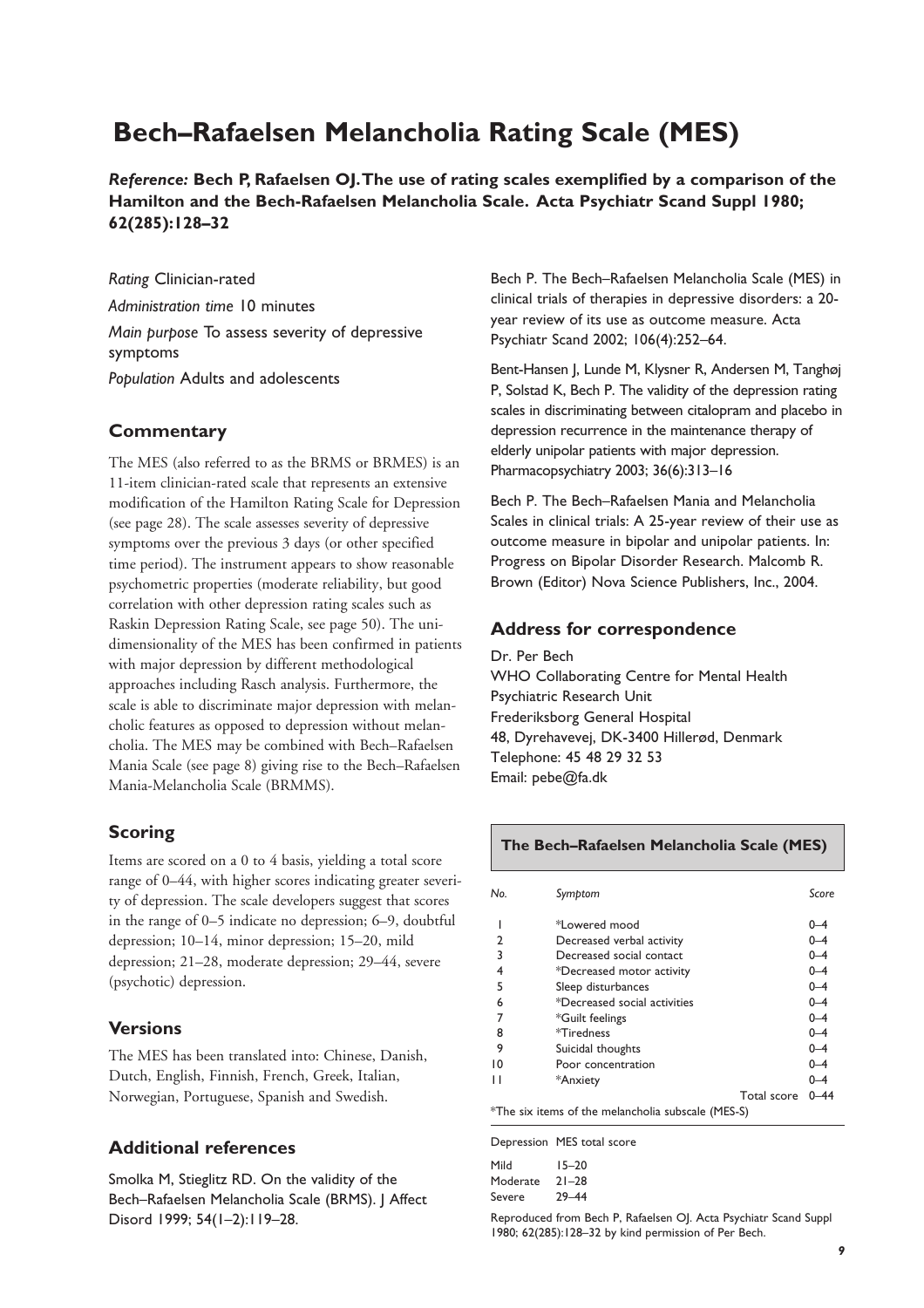# **Bech–Rafaelsen Melancholia Rating Scale (MES)**

*Reference:* **Bech P, Rafaelsen OJ.The use of rating scales exemplified by a comparison of the Hamilton and the Bech-Rafaelsen Melancholia Scale. Acta Psychiatr Scand Suppl 1980; 62(285):128–32**

*Rating* Clinician-rated *Administration time* 10 minutes *Main purpose* To assess severity of depressive symptoms *Population* Adults and adolescents

### **Commentary**

The MES (also referred to as the BRMS or BRMES) is an 11-item clinician-rated scale that represents an extensive modification of the Hamilton Rating Scale for Depression (see page 28). The scale assesses severity of depressive symptoms over the previous 3 days (or other specified time period). The instrument appears to show reasonable psychometric properties (moderate reliability, but good correlation with other depression rating scales such as Raskin Depression Rating Scale, see page 50). The unidimensionality of the MES has been confirmed in patients with major depression by different methodological approaches including Rasch analysis. Furthermore, the scale is able to discriminate major depression with melancholic features as opposed to depression without melancholia. The MES may be combined with Bech–Rafaelsen Mania Scale (see page 8) giving rise to the Bech–Rafaelsen Mania-Melancholia Scale (BRMMS).

# **Scoring**

Items are scored on a 0 to 4 basis, yielding a total score range of 0–44, with higher scores indicating greater severity of depression. The scale developers suggest that scores in the range of 0–5 indicate no depression; 6–9, doubtful depression; 10–14, minor depression; 15–20, mild depression; 21–28, moderate depression; 29–44, severe (psychotic) depression.

#### **Versions**

The MES has been translated into: Chinese, Danish, Dutch, English, Finnish, French, Greek, Italian, Norwegian, Portuguese, Spanish and Swedish.

# **Additional references**

Smolka M, Stieglitz RD. On the validity of the Bech–Rafaelsen Melancholia Scale (BRMS). J Affect Disord 1999; 54(1–2):119–28.

Bech P. The Bech–Rafaelsen Melancholia Scale (MES) in clinical trials of therapies in depressive disorders: a 20 year review of its use as outcome measure. Acta Psychiatr Scand 2002; 106(4):252–64.

Bent-Hansen J, Lunde M, Klysner R, Andersen M, Tanghøj P, Solstad K, Bech P. The validity of the depression rating scales in discriminating between citalopram and placebo in depression recurrence in the maintenance therapy of elderly unipolar patients with major depression. Pharmacopsychiatry 2003; 36(6):313–16

Bech P. The Bech–Rafaelsen Mania and Melancholia Scales in clinical trials: A 25-year review of their use as outcome measure in bipolar and unipolar patients. In: Progress on Bipolar Disorder Research. Malcomb R. Brown (Editor) Nova Science Publishers, Inc., 2004.

#### **Address for correspondence**

Dr. Per Bech WHO Collaborating Centre for Mental Health Psychiatric Research Unit Frederiksborg General Hospital 48, Dyrehavevej, DK-3400 Hillerød, Denmark Telephone: 45 48 29 32 53 Email: pebe@fa.dk

#### **The Bech–Rafaelsen Melancholia Scale (MES)**

| No.             | Symptom                                                           | Score   |
|-----------------|-------------------------------------------------------------------|---------|
|                 | *Lowered mood                                                     | $0 - 4$ |
| 2               | Decreased verbal activity                                         | $0 - 4$ |
| 3               | Decreased social contact                                          | $0 - 4$ |
|                 | *Decreased motor activity                                         | $0 - 4$ |
| 5               | Sleep disturbances                                                | $0 - 4$ |
| 6               | *Decreased social activities                                      | $0 - 4$ |
|                 | *Guilt feelings                                                   | $0 - 4$ |
| 8               | *Tiredness                                                        | $0 - 4$ |
| 9               | Suicidal thoughts                                                 | $0 - 4$ |
| $\overline{10}$ | Poor concentration                                                | $0 - 4$ |
| Н               | *Anxiety                                                          |         |
|                 | Total score<br>*The six items of the melancholia subscale (MES-S) | 0–44    |

Depression MES total score

| Mild     | $15 - 20$ |  |
|----------|-----------|--|
| Moderate | $21 - 28$ |  |
| Severe   | $79 - 44$ |  |

Reproduced from Bech P, Rafaelsen OJ. Acta Psychiatr Scand Suppl 1980; 62(285):128–32 by kind permission of Per Bech.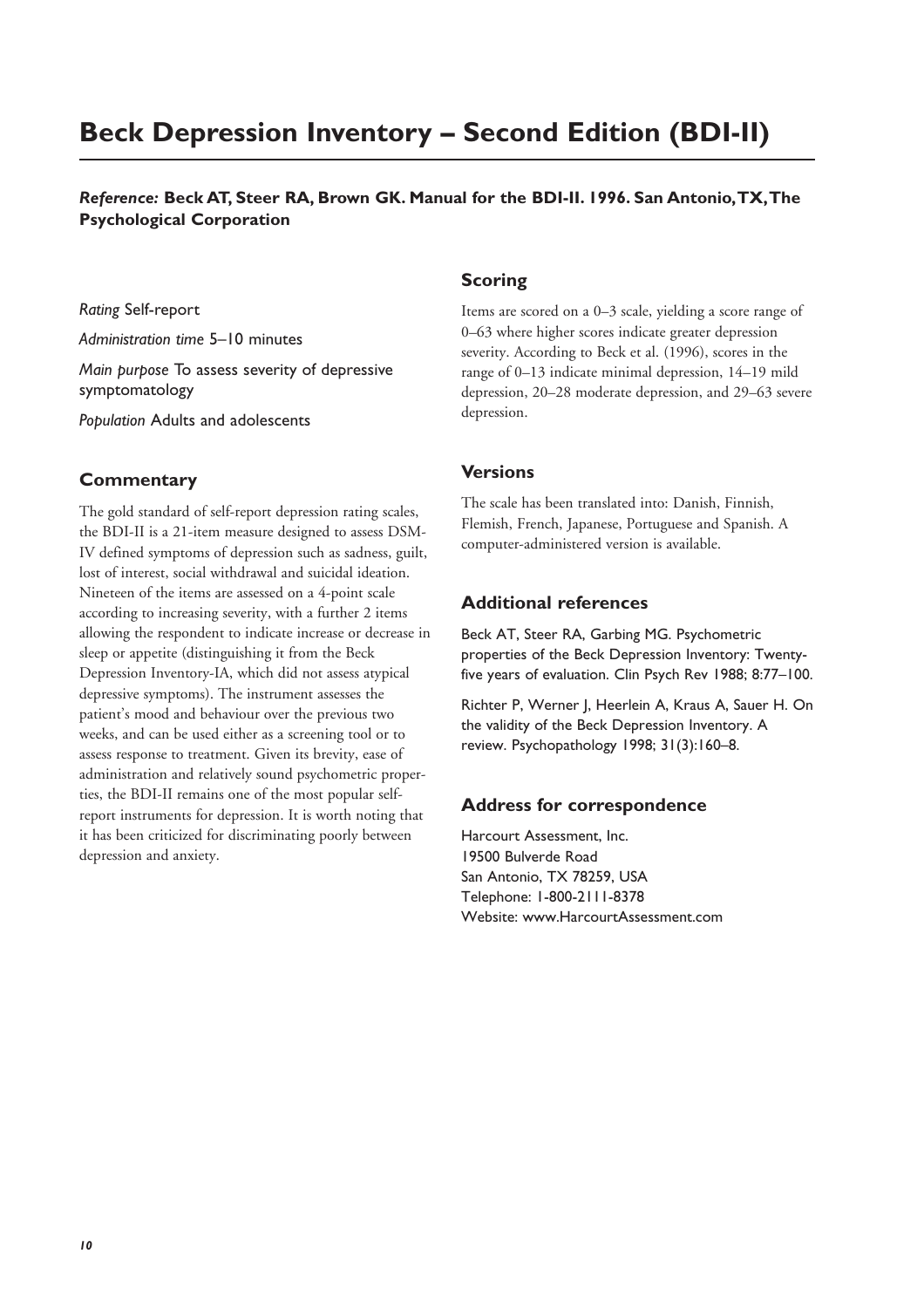# **Beck Depression Inventory – Second Edition (BDI-II)**

*Reference:* **Beck AT, Steer RA, Brown GK. Manual for the BDI-II. 1996. San Antonio,TX,The Psychological Corporation**

*Rating* Self-report

*Administration time* 5–10 minutes

*Main purpose* To assess severity of depressive symptomatology

*Population* Adults and adolescents

# **Commentary**

The gold standard of self-report depression rating scales, the BDI-II is a 21-item measure designed to assess DSM-IV defined symptoms of depression such as sadness, guilt, lost of interest, social withdrawal and suicidal ideation. Nineteen of the items are assessed on a 4-point scale according to increasing severity, with a further 2 items allowing the respondent to indicate increase or decrease in sleep or appetite (distinguishing it from the Beck Depression Inventory-IA, which did not assess atypical depressive symptoms). The instrument assesses the patient's mood and behaviour over the previous two weeks, and can be used either as a screening tool or to assess response to treatment. Given its brevity, ease of administration and relatively sound psychometric properties, the BDI-II remains one of the most popular selfreport instruments for depression. It is worth noting that it has been criticized for discriminating poorly between depression and anxiety.

#### **Scoring**

Items are scored on a 0–3 scale, yielding a score range of 0–63 where higher scores indicate greater depression severity. According to Beck et al. (1996), scores in the range of 0–13 indicate minimal depression, 14–19 mild depression, 20–28 moderate depression, and 29–63 severe depression.

### **Versions**

The scale has been translated into: Danish, Finnish, Flemish, French, Japanese, Portuguese and Spanish. A computer-administered version is available.

# **Additional references**

Beck AT, Steer RA, Garbing MG. Psychometric properties of the Beck Depression Inventory: Twentyfive years of evaluation. Clin Psych Rev 1988; 8:77–100.

Richter P, Werner J, Heerlein A, Kraus A, Sauer H. On the validity of the Beck Depression Inventory. A review. Psychopathology 1998; 31(3):160–8.

#### **Address for correspondence**

Harcourt Assessment, Inc. 19500 Bulverde Road San Antonio, TX 78259, USA Telephone: 1-800-2111-8378 Website: www.HarcourtAssessment.com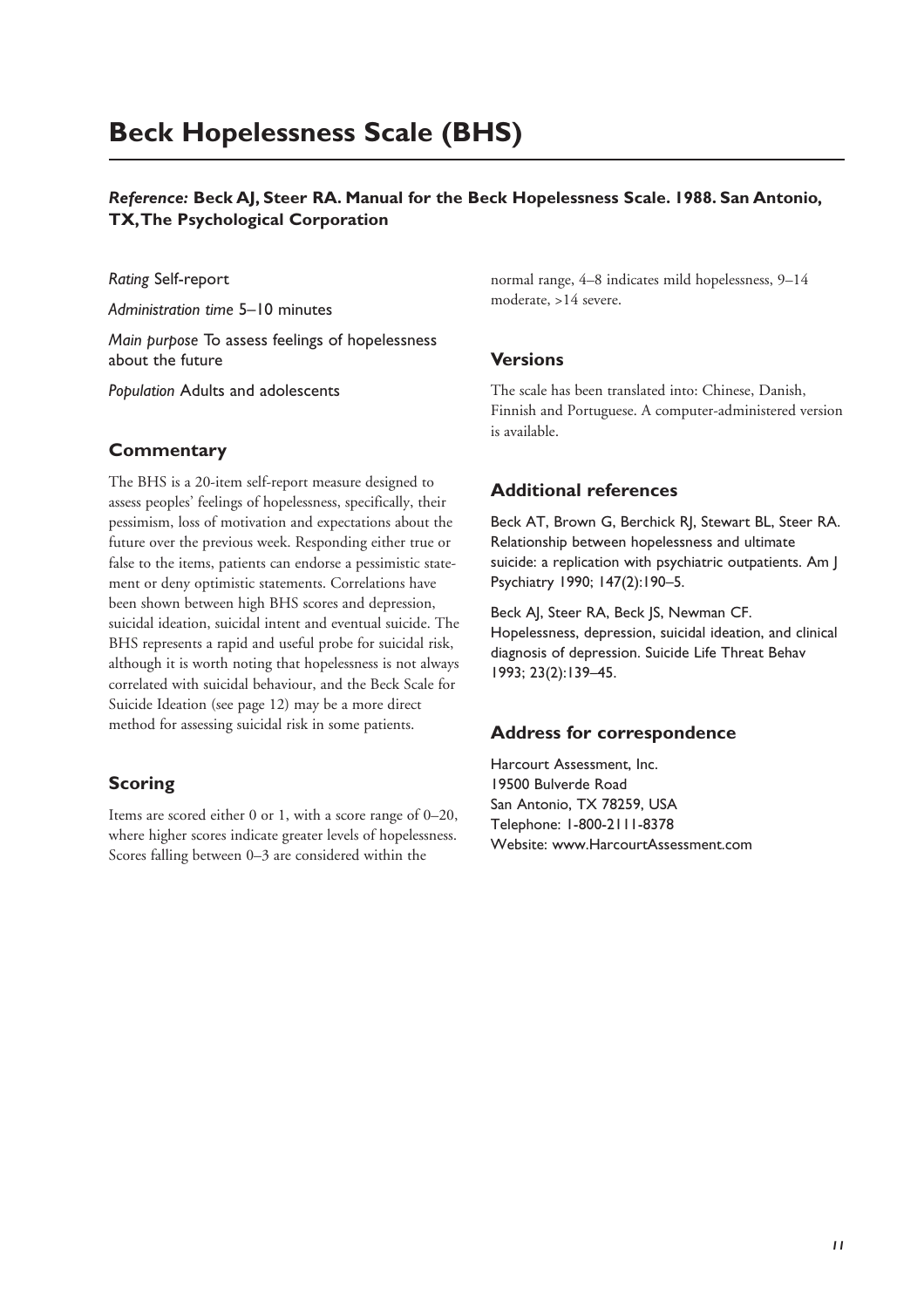# *Reference:* **Beck AJ, Steer RA. Manual for the Beck Hopelessness Scale. 1988. San Antonio, TX,The Psychological Corporation**

*Rating* Self-report

*Administration time* 5–10 minutes

*Main purpose* To assess feelings of hopelessness about the future

*Population* Adults and adolescents

# **Commentary**

The BHS is a 20-item self-report measure designed to assess peoples' feelings of hopelessness, specifically, their pessimism, loss of motivation and expectations about the future over the previous week. Responding either true or false to the items, patients can endorse a pessimistic statement or deny optimistic statements. Correlations have been shown between high BHS scores and depression, suicidal ideation, suicidal intent and eventual suicide. The BHS represents a rapid and useful probe for suicidal risk, although it is worth noting that hopelessness is not always correlated with suicidal behaviour, and the Beck Scale for Suicide Ideation (see page 12) may be a more direct method for assessing suicidal risk in some patients.

# **Scoring**

Items are scored either 0 or 1, with a score range of 0–20, where higher scores indicate greater levels of hopelessness. Scores falling between 0–3 are considered within the

normal range, 4–8 indicates mild hopelessness, 9–14 moderate, >14 severe.

# **Versions**

The scale has been translated into: Chinese, Danish, Finnish and Portuguese. A computer-administered version is available.

# **Additional references**

Beck AT, Brown G, Berchick RJ, Stewart BL, Steer RA. Relationship between hopelessness and ultimate suicide: a replication with psychiatric outpatients. Am J Psychiatry 1990; 147(2):190–5.

Beck AJ, Steer RA, Beck JS, Newman CF. Hopelessness, depression, suicidal ideation, and clinical diagnosis of depression. Suicide Life Threat Behav 1993; 23(2):139–45.

# **Address for correspondence**

Harcourt Assessment, Inc. 19500 Bulverde Road San Antonio, TX 78259, USA Telephone: 1-800-2111-8378 Website: www.HarcourtAssessment.com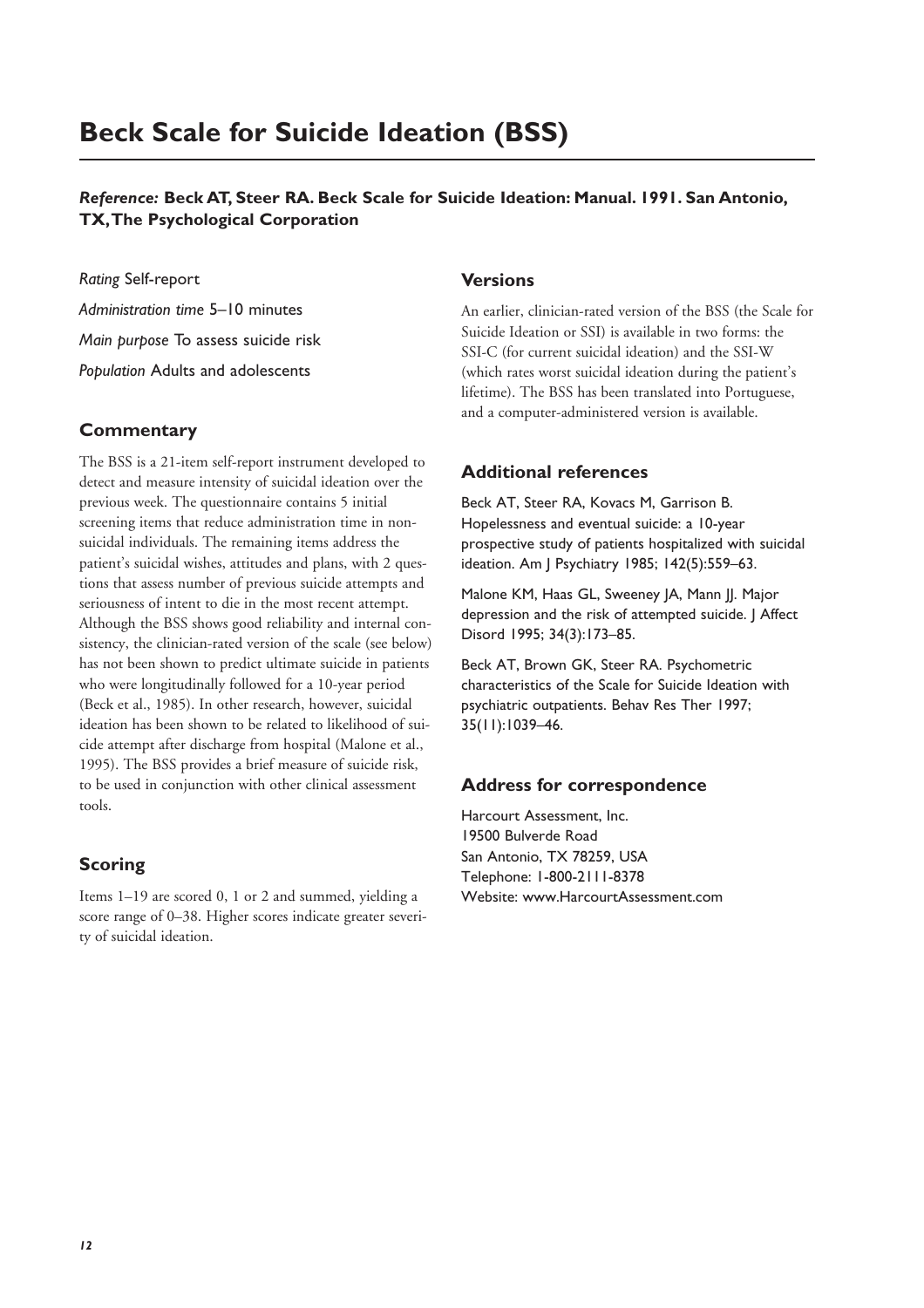*Reference:* **Beck AT, Steer RA. Beck Scale for Suicide Ideation: Manual. 1991. San Antonio, TX,The Psychological Corporation**

*Rating* Self-report *Administration time* 5–10 minutes *Main purpose* To assess suicide risk *Population* Adults and adolescents

# **Commentary**

The BSS is a 21-item self-report instrument developed to detect and measure intensity of suicidal ideation over the previous week. The questionnaire contains 5 initial screening items that reduce administration time in nonsuicidal individuals. The remaining items address the patient's suicidal wishes, attitudes and plans, with 2 questions that assess number of previous suicide attempts and seriousness of intent to die in the most recent attempt. Although the BSS shows good reliability and internal consistency, the clinician-rated version of the scale (see below) has not been shown to predict ultimate suicide in patients who were longitudinally followed for a 10-year period (Beck et al., 1985). In other research, however, suicidal ideation has been shown to be related to likelihood of suicide attempt after discharge from hospital (Malone et al., 1995). The BSS provides a brief measure of suicide risk, to be used in conjunction with other clinical assessment tools.

# **Scoring**

Items 1–19 are scored 0, 1 or 2 and summed, yielding a score range of 0–38. Higher scores indicate greater severity of suicidal ideation.

### **Versions**

An earlier, clinician-rated version of the BSS (the Scale for Suicide Ideation or SSI) is available in two forms: the SSI-C (for current suicidal ideation) and the SSI-W (which rates worst suicidal ideation during the patient's lifetime). The BSS has been translated into Portuguese, and a computer-administered version is available.

# **Additional references**

Beck AT, Steer RA, Kovacs M, Garrison B. Hopelessness and eventual suicide: a 10-year prospective study of patients hospitalized with suicidal ideation. Am J Psychiatry 1985; 142(5):559–63.

Malone KM, Haas GL, Sweeney JA, Mann JJ. Major depression and the risk of attempted suicide. J Affect Disord 1995; 34(3):173–85.

Beck AT, Brown GK, Steer RA. Psychometric characteristics of the Scale for Suicide Ideation with psychiatric outpatients. Behav Res Ther 1997; 35(11):1039–46.

# **Address for correspondence**

Harcourt Assessment, Inc. 19500 Bulverde Road San Antonio, TX 78259, USA Telephone: 1-800-2111-8378 Website: www.HarcourtAssessment.com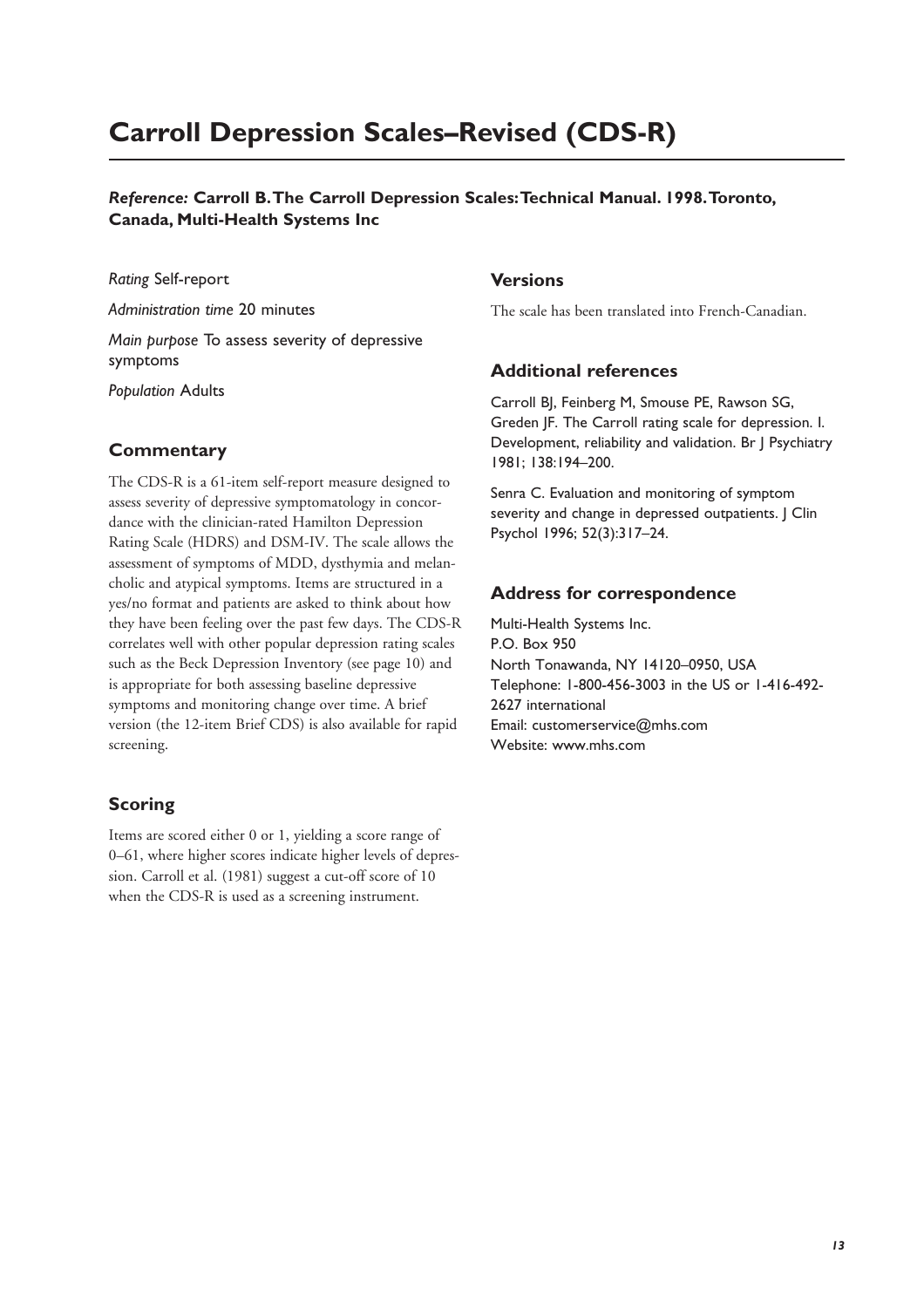# **Carroll Depression Scales–Revised (CDS-R)**

# *Reference:* **Carroll B.The Carroll Depression Scales:Technical Manual. 1998.Toronto, Canada, Multi-Health Systems Inc**

*Rating* Self-report

*Administration time* 20 minutes

*Main purpose* To assess severity of depressive symptoms

*Population* Adults

# **Commentary**

The CDS-R is a 61-item self-report measure designed to assess severity of depressive symptomatology in concordance with the clinician-rated Hamilton Depression Rating Scale (HDRS) and DSM-IV. The scale allows the assessment of symptoms of MDD, dysthymia and melancholic and atypical symptoms. Items are structured in a yes/no format and patients are asked to think about how they have been feeling over the past few days. The CDS-R correlates well with other popular depression rating scales such as the Beck Depression Inventory (see page 10) and is appropriate for both assessing baseline depressive symptoms and monitoring change over time. A brief version (the 12-item Brief CDS) is also available for rapid screening.

# **Scoring**

Items are scored either 0 or 1, yielding a score range of 0–61, where higher scores indicate higher levels of depression. Carroll et al. (1981) suggest a cut-off score of 10 when the CDS-R is used as a screening instrument.

#### **Versions**

The scale has been translated into French-Canadian.

# **Additional references**

Carroll BJ, Feinberg M, Smouse PE, Rawson SG, Greden JF. The Carroll rating scale for depression. I. Development, reliability and validation. Br J Psychiatry 1981; 138:194–200.

Senra C. Evaluation and monitoring of symptom severity and change in depressed outpatients. J Clin Psychol 1996; 52(3):317–24.

### **Address for correspondence**

Multi-Health Systems Inc. P.O. Box 950 North Tonawanda, NY 14120–0950, USA Telephone: 1-800-456-3003 in the US or 1-416-492- 2627 international Email: customerservice@mhs.com Website: www.mhs.com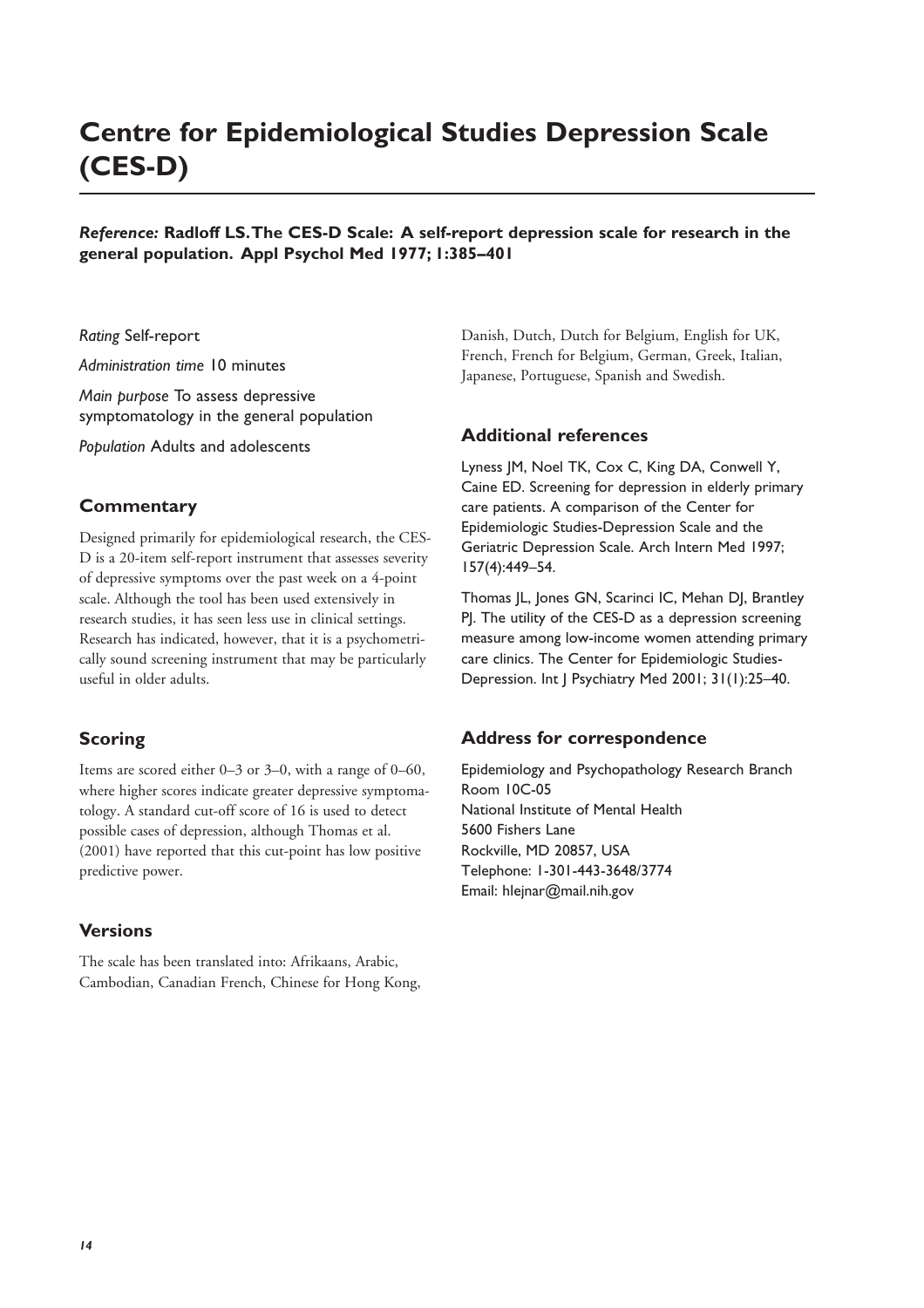# **Centre for Epidemiological Studies Depression Scale (CES-D)**

*Reference:* **Radloff LS.The CES-D Scale: A self-report depression scale for research in the general population. Appl Psychol Med 1977; 1:385–401**

*Rating* Self-report *Administration time* 10 minutes

*Main purpose* To assess depressive symptomatology in the general population

*Population* Adults and adolescents

### **Commentary**

Designed primarily for epidemiological research, the CES-D is a 20-item self-report instrument that assesses severity of depressive symptoms over the past week on a 4-point scale. Although the tool has been used extensively in research studies, it has seen less use in clinical settings. Research has indicated, however, that it is a psychometrically sound screening instrument that may be particularly useful in older adults.

# **Scoring**

Items are scored either 0–3 or 3–0, with a range of 0–60, where higher scores indicate greater depressive symptomatology. A standard cut-off score of 16 is used to detect possible cases of depression, although Thomas et al. (2001) have reported that this cut-point has low positive predictive power.

# **Versions**

The scale has been translated into: Afrikaans, Arabic, Cambodian, Canadian French, Chinese for Hong Kong,

Danish, Dutch, Dutch for Belgium, English for UK, French, French for Belgium, German, Greek, Italian, Japanese, Portuguese, Spanish and Swedish.

#### **Additional references**

Lyness JM, Noel TK, Cox C, King DA, Conwell Y, Caine ED. Screening for depression in elderly primary care patients. A comparison of the Center for Epidemiologic Studies-Depression Scale and the Geriatric Depression Scale. Arch Intern Med 1997; 157(4):449–54.

Thomas JL, Jones GN, Scarinci IC, Mehan DJ, Brantley PJ. The utility of the CES-D as a depression screening measure among low-income women attending primary care clinics. The Center for Epidemiologic Studies-Depression. Int J Psychiatry Med 2001; 31(1):25–40.

#### **Address for correspondence**

Epidemiology and Psychopathology Research Branch Room 10C-05 National Institute of Mental Health 5600 Fishers Lane Rockville, MD 20857, USA Telephone: 1-301-443-3648/3774 Email: hlejnar@mail.nih.gov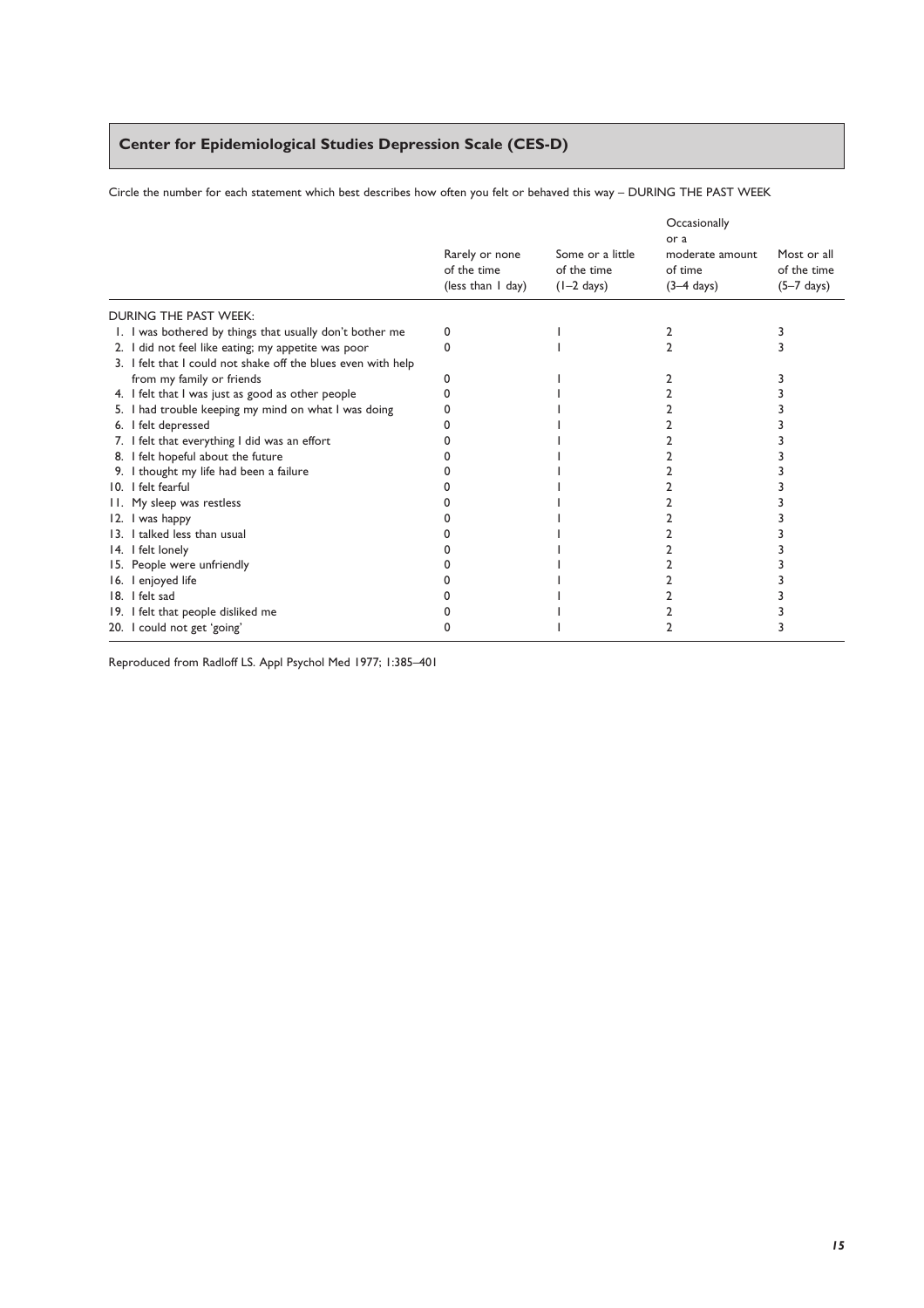# **Center for Epidemiological Studies Depression Scale (CES-D)**

Circle the number for each statement which best describes how often you felt or behaved this way – DURING THE PAST WEEK

|                                                               | Rarely or none<br>of the time<br>(less than I day) | Some or a little<br>of the time<br>$(1-2 \text{ days})$ | Occasionally<br>or a<br>moderate amount<br>of time<br>$(3-4 \text{ days})$ | Most or all<br>of the time<br>$(5-7 \text{ days})$ |
|---------------------------------------------------------------|----------------------------------------------------|---------------------------------------------------------|----------------------------------------------------------------------------|----------------------------------------------------|
| <b>DURING THE PAST WEEK:</b>                                  |                                                    |                                                         |                                                                            |                                                    |
| 1. I was bothered by things that usually don't bother me      | 0                                                  |                                                         |                                                                            |                                                    |
| 2. I did not feel like eating; my appetite was poor           | 0                                                  |                                                         |                                                                            |                                                    |
| 3. I felt that I could not shake off the blues even with help |                                                    |                                                         |                                                                            |                                                    |
| from my family or friends                                     |                                                    |                                                         |                                                                            |                                                    |
| 4. I felt that I was just as good as other people             |                                                    |                                                         |                                                                            |                                                    |
| 5. I had trouble keeping my mind on what I was doing          |                                                    |                                                         |                                                                            |                                                    |
| 6. I felt depressed                                           |                                                    |                                                         |                                                                            |                                                    |
| 7. I felt that everything I did was an effort                 |                                                    |                                                         |                                                                            |                                                    |
| 8. I felt hopeful about the future                            |                                                    |                                                         |                                                                            |                                                    |
| I thought my life had been a failure<br>9.                    |                                                    |                                                         |                                                                            |                                                    |
| 10. I felt fearful                                            |                                                    |                                                         |                                                                            |                                                    |
| 11. My sleep was restless                                     |                                                    |                                                         |                                                                            |                                                    |
| 12. I was happy                                               |                                                    |                                                         |                                                                            |                                                    |
| 13. I talked less than usual                                  |                                                    |                                                         |                                                                            |                                                    |
| 14. I felt lonely                                             |                                                    |                                                         |                                                                            |                                                    |
| 15. People were unfriendly                                    |                                                    |                                                         |                                                                            |                                                    |
| 16. I enjoyed life                                            |                                                    |                                                         |                                                                            |                                                    |
| 18. I felt sad                                                |                                                    |                                                         |                                                                            |                                                    |
| 19. I felt that people disliked me                            |                                                    |                                                         |                                                                            |                                                    |
| 20. I could not get 'going'                                   |                                                    |                                                         |                                                                            |                                                    |

Reproduced from Radloff LS. Appl Psychol Med 1977; 1:385–401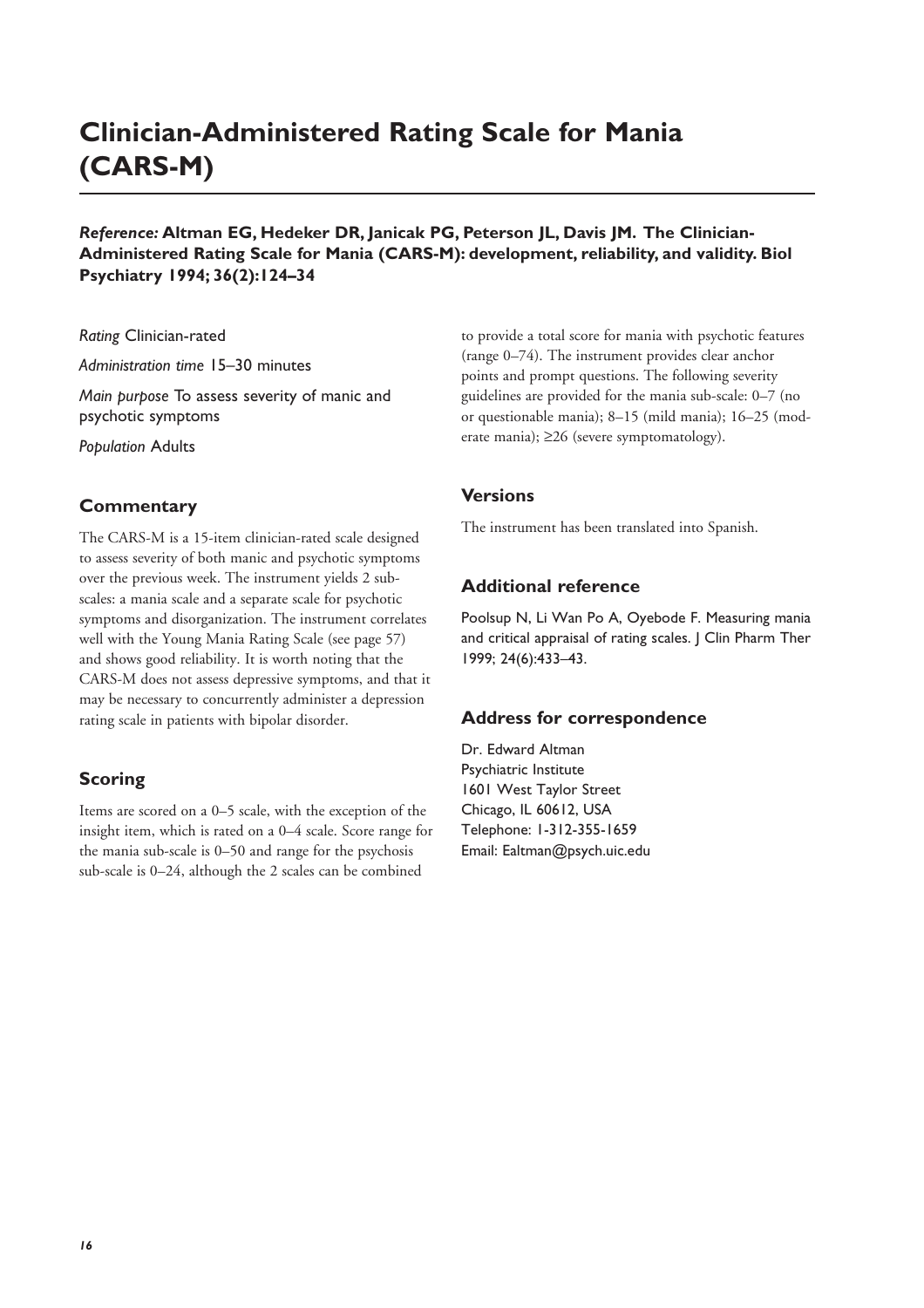# **Clinician-Administered Rating Scale for Mania (CARS-M)**

*Reference:* **Altman EG, Hedeker DR, Janicak PG, Peterson JL, Davis JM. The Clinician-Administered Rating Scale for Mania (CARS-M): development, reliability, and validity. Biol Psychiatry 1994; 36(2):124–34**

*Rating* Clinician-rated *Administration time* 15–30 minutes

*Main purpose* To assess severity of manic and psychotic symptoms

*Population* Adults

# **Commentary**

The CARS-M is a 15-item clinician-rated scale designed to assess severity of both manic and psychotic symptoms over the previous week. The instrument yields 2 subscales: a mania scale and a separate scale for psychotic symptoms and disorganization. The instrument correlates well with the Young Mania Rating Scale (see page 57) and shows good reliability. It is worth noting that the CARS-M does not assess depressive symptoms, and that it may be necessary to concurrently administer a depression rating scale in patients with bipolar disorder.

# **Scoring**

Items are scored on a 0–5 scale, with the exception of the insight item, which is rated on a 0–4 scale. Score range for the mania sub-scale is 0–50 and range for the psychosis sub-scale is 0–24, although the 2 scales can be combined

to provide a total score for mania with psychotic features (range 0–74). The instrument provides clear anchor points and prompt questions. The following severity guidelines are provided for the mania sub-scale: 0–7 (no or questionable mania); 8–15 (mild mania); 16–25 (moderate mania); ≥26 (severe symptomatology).

#### **Versions**

The instrument has been translated into Spanish.

#### **Additional reference**

Poolsup N, Li Wan Po A, Oyebode F. Measuring mania and critical appraisal of rating scales. | Clin Pharm Ther 1999; 24(6):433–43.

#### **Address for correspondence**

Dr. Edward Altman Psychiatric Institute 1601 West Taylor Street Chicago, IL 60612, USA Telephone: 1-312-355-1659 Email: Ealtman@psych.uic.edu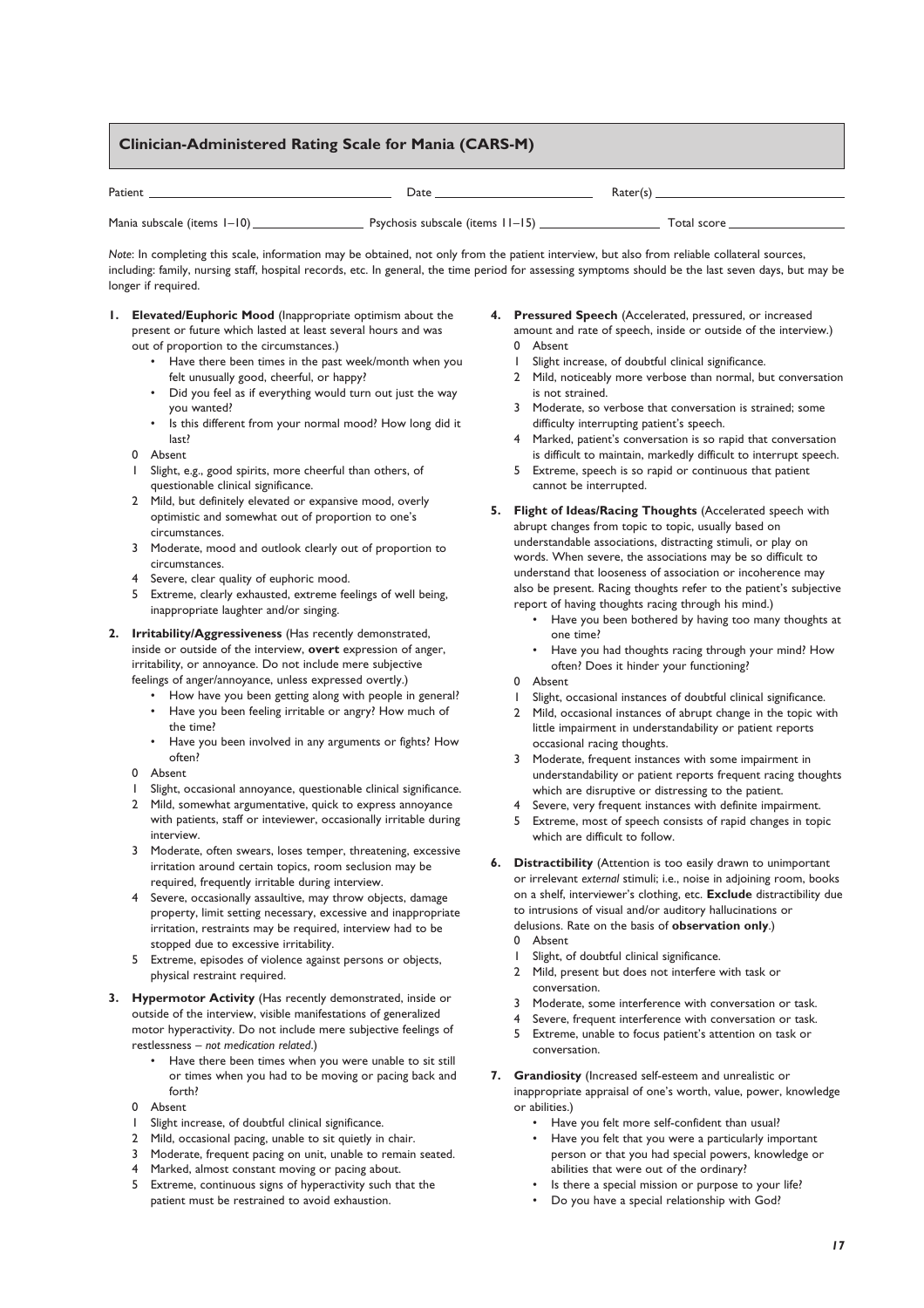#### **Clinician-Administered Rating Scale for Mania (CARS-M)**

Patient Date Rater(s)

Mania subscale (items 1–10) Psychosis subscale (items 11–15) Total score

*Note*: In completing this scale, information may be obtained, not only from the patient interview, but also from reliable collateral sources, including: family, nursing staff, hospital records, etc. In general, the time period for assessing symptoms should be the last seven days, but may be longer if required.

- **1. Elevated/Euphoric Mood** (Inappropriate optimism about the present or future which lasted at least several hours and was out of proportion to the circumstances.)
	- Have there been times in the past week/month when you felt unusually good, cheerful, or happy?
	- Did you feel as if everything would turn out just the way you wanted?
	- Is this different from your normal mood? How long did it last?
	- 0 Absent
	- Slight, e.g., good spirits, more cheerful than others, of questionable clinical significance.
	- 2 Mild, but definitely elevated or expansive mood, overly optimistic and somewhat out of proportion to one's circumstances.
	- 3 Moderate, mood and outlook clearly out of proportion to circumstances.
	- 4 Severe, clear quality of euphoric mood.
	- 5 Extreme, clearly exhausted, extreme feelings of well being, inappropriate laughter and/or singing.
- **2. Irritability/Aggressiveness** (Has recently demonstrated, inside or outside of the interview, **overt** expression of anger, irritability, or annoyance. Do not include mere subjective feelings of anger/annoyance, unless expressed overtly.)
	- How have you been getting along with people in general? • Have you been feeling irritable or angry? How much of the time?
	- Have you been involved in any arguments or fights? How often?
	- 0 Absent
	- Slight, occasional annoyance, questionable clinical significance.
	- 2 Mild, somewhat argumentative, quick to express annoyance with patients, staff or inteviewer, occasionally irritable during interview.
	- 3 Moderate, often swears, loses temper, threatening, excessive irritation around certain topics, room seclusion may be required, frequently irritable during interview.
	- 4 Severe, occasionally assaultive, may throw objects, damage property, limit setting necessary, excessive and inappropriate irritation, restraints may be required, interview had to be stopped due to excessive irritability.
	- 5 Extreme, episodes of violence against persons or objects, physical restraint required.
- **3. Hypermotor Activity** (Has recently demonstrated, inside or outside of the interview, visible manifestations of generalized motor hyperactivity. Do not include mere subjective feelings of restlessness – *not medication related*.)
	- Have there been times when you were unable to sit still or times when you had to be moving or pacing back and forth?
	- 0 Absent
	- 1 Slight increase, of doubtful clinical significance.
	- 2 Mild, occasional pacing, unable to sit quietly in chair.
	- 3 Moderate, frequent pacing on unit, unable to remain seated.
	- 4 Marked, almost constant moving or pacing about.
	- 5 Extreme, continuous signs of hyperactivity such that the patient must be restrained to avoid exhaustion.
- **4. Pressured Speech** (Accelerated, pressured, or increased amount and rate of speech, inside or outside of the interview.) 0 Absent
	- Slight increase, of doubtful clinical significance.
	- 2 Mild, noticeably more verbose than normal, but conversation is not strained.
	- 3 Moderate, so verbose that conversation is strained; some difficulty interrupting patient's speech.
	- 4 Marked, patient's conversation is so rapid that conversation is difficult to maintain, markedly difficult to interrupt speech.
	- 5 Extreme, speech is so rapid or continuous that patient cannot be interrupted.
- **5. Flight of Ideas/Racing Thoughts** (Accelerated speech with abrupt changes from topic to topic, usually based on understandable associations, distracting stimuli, or play on words. When severe, the associations may be so difficult to understand that looseness of association or incoherence may also be present. Racing thoughts refer to the patient's subjective report of having thoughts racing through his mind.)
	- Have you been bothered by having too many thoughts at one time?
	- Have you had thoughts racing through your mind? How often? Does it hinder your functioning?
	- 0 Absent
	- Slight, occasional instances of doubtful clinical significance.
	- 2 Mild, occasional instances of abrupt change in the topic with little impairment in understandability or patient reports occasional racing thoughts.
	- 3 Moderate, frequent instances with some impairment in understandability or patient reports frequent racing thoughts which are disruptive or distressing to the patient.
	- 4 Severe, very frequent instances with definite impairment.
	- 5 Extreme, most of speech consists of rapid changes in topic which are difficult to follow.

**6. Distractibility** (Attention is too easily drawn to unimportant or irrelevant *external* stimuli; i.e., noise in adjoining room, books on a shelf, interviewer's clothing, etc. **Exclude** distractibility due to intrusions of visual and/or auditory hallucinations or delusions. Rate on the basis of **observation only**.)

- 0 Absent
- 1 Slight, of doubtful clinical significance.
- 2 Mild, present but does not interfere with task or conversation.
- 3 Moderate, some interference with conversation or task.
- 4 Severe, frequent interference with conversation or task.
- 5 Extreme, unable to focus patient's attention on task or conversation.
- **7. Grandiosity** (Increased self-esteem and unrealistic or inappropriate appraisal of one's worth, value, power, knowledge or abilities.)
	- Have you felt more self-confident than usual?
	- Have you felt that you were a particularly important person or that you had special powers, knowledge or abilities that were out of the ordinary?
	- Is there a special mission or purpose to your life?
	- Do you have a special relationship with God?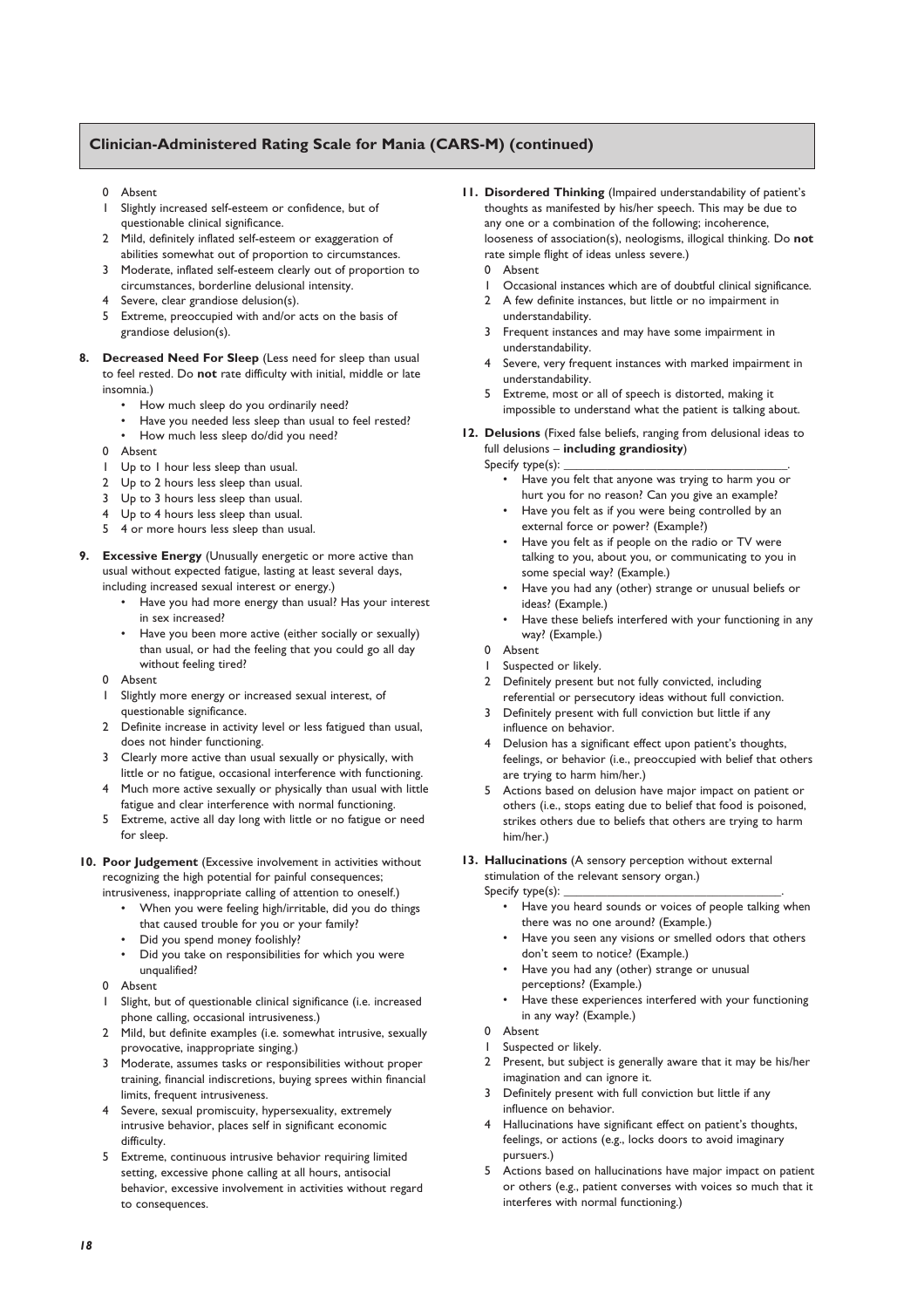#### **Clinician-Administered Rating Scale for Mania (CARS-M) (continued)**

- 0 Absent
- 1 Slightly increased self-esteem or confidence, but of questionable clinical significance.
- 2 Mild, definitely inflated self-esteem or exaggeration of abilities somewhat out of proportion to circumstances.
- 3 Moderate, inflated self-esteem clearly out of proportion to circumstances, borderline delusional intensity.
- 4 Severe, clear grandiose delusion(s).
- 5 Extreme, preoccupied with and/or acts on the basis of grandiose delusion(s).
- **8. Decreased Need For Sleep** (Less need for sleep than usual to feel rested. Do **not** rate difficulty with initial, middle or late insomnia.)
	- How much sleep do you ordinarily need?
	- Have you needed less sleep than usual to feel rested?
	- How much less sleep do/did you need?
	- 0 Absent
	- 1 Up to 1 hour less sleep than usual.
	- 2 Up to 2 hours less sleep than usual.
	- 3 Up to 3 hours less sleep than usual.
	- Up to 4 hours less sleep than usual.
	- 5 4 or more hours less sleep than usual.
- **9.** Excessive Energy (Unusually energetic or more active than usual without expected fatigue, lasting at least several days, including increased sexual interest or energy.)
	- Have you had more energy than usual? Has your interest in sex increased?
	- Have you been more active (either socially or sexually) than usual, or had the feeling that you could go all day without feeling tired?
	- 0 Absent
	- Slightly more energy or increased sexual interest, of questionable significance.
	- 2 Definite increase in activity level or less fatigued than usual, does not hinder functioning.
	- 3 Clearly more active than usual sexually or physically, with little or no fatigue, occasional interference with functioning.
	- 4 Much more active sexually or physically than usual with little fatigue and clear interference with normal functioning.
	- Extreme, active all day long with little or no fatigue or need for sleep.
- **10. Poor Judgement** (Excessive involvement in activities without recognizing the high potential for painful consequences; intrusiveness, inappropriate calling of attention to oneself.)
	- When you were feeling high/irritable, did you do things that caused trouble for you or your family?
	- Did you spend money foolishly?
	- Did you take on responsibilities for which you were unqualified?
	- 0 Absent
	- Slight, but of questionable clinical significance (i.e. increased phone calling, occasional intrusiveness.)
	- 2 Mild, but definite examples (i.e. somewhat intrusive, sexually provocative, inappropriate singing.)
	- Moderate, assumes tasks or responsibilities without proper training, financial indiscretions, buying sprees within financial limits, frequent intrusiveness.
	- 4 Severe, sexual promiscuity, hypersexuality, extremely intrusive behavior, places self in significant economic difficulty.
	- 5 Extreme, continuous intrusive behavior requiring limited setting, excessive phone calling at all hours, antisocial behavior, excessive involvement in activities without regard to consequences.
- **11. Disordered Thinking** (Impaired understandability of patient's thoughts as manifested by his/her speech. This may be due to any one or a combination of the following; incoherence, looseness of association(s), neologisms, illogical thinking. Do **not** rate simple flight of ideas unless severe.)
	- 0 Absent
	- 1 Occasional instances which are of doubtful clinical significance.
	- 2 A few definite instances, but little or no impairment in understandability.
	- 3 Frequent instances and may have some impairment in understandability.
	- Severe, very frequent instances with marked impairment in understandability.
	- 5 Extreme, most or all of speech is distorted, making it impossible to understand what the patient is talking about.
- **12. Delusions** (Fixed false beliefs, ranging from delusional ideas to full delusions – **including grandiosity**)
	- Specify type(s):
		- Have you felt that anyone was trying to harm you or hurt you for no reason? Can you give an example?
		- Have you felt as if you were being controlled by an external force or power? (Example?)
		- Have you felt as if people on the radio or TV were talking to you, about you, or communicating to you in some special way? (Example.)
		- Have you had any (other) strange or unusual beliefs or ideas? (Example.)
		- Have these beliefs interfered with your functioning in any way? (Example.)
	- 0 Absent
	- Suspected or likely.
	- 2 Definitely present but not fully convicted, including referential or persecutory ideas without full conviction.
	- 3 Definitely present with full conviction but little if any influence on behavior.
	- 4 Delusion has a significant effect upon patient's thoughts, feelings, or behavior (i.e., preoccupied with belief that others are trying to harm him/her.)
	- 5 Actions based on delusion have major impact on patient or others (i.e., stops eating due to belief that food is poisoned, strikes others due to beliefs that others are trying to harm him/her.)
- **13. Hallucinations** (A sensory perception without external stimulation of the relevant sensory organ.)
	- Specify type(s):
		- Have you heard sounds or voices of people talking when there was no one around? (Example.)
		- Have you seen any visions or smelled odors that others don't seem to notice? (Example.)
		- Have you had any (other) strange or unusual perceptions? (Example.)
		- Have these experiences interfered with your functioning in any way? (Example.)
	- 0 Absent
	- Suspected or likely.
	- 2 Present, but subject is generally aware that it may be his/her imagination and can ignore it.
	- 3 Definitely present with full conviction but little if any influence on behavior.
	- 4 Hallucinations have significant effect on patient's thoughts, feelings, or actions (e.g., locks doors to avoid imaginary pursuers.)
	- 5 Actions based on hallucinations have major impact on patient or others (e.g., patient converses with voices so much that it interferes with normal functioning.)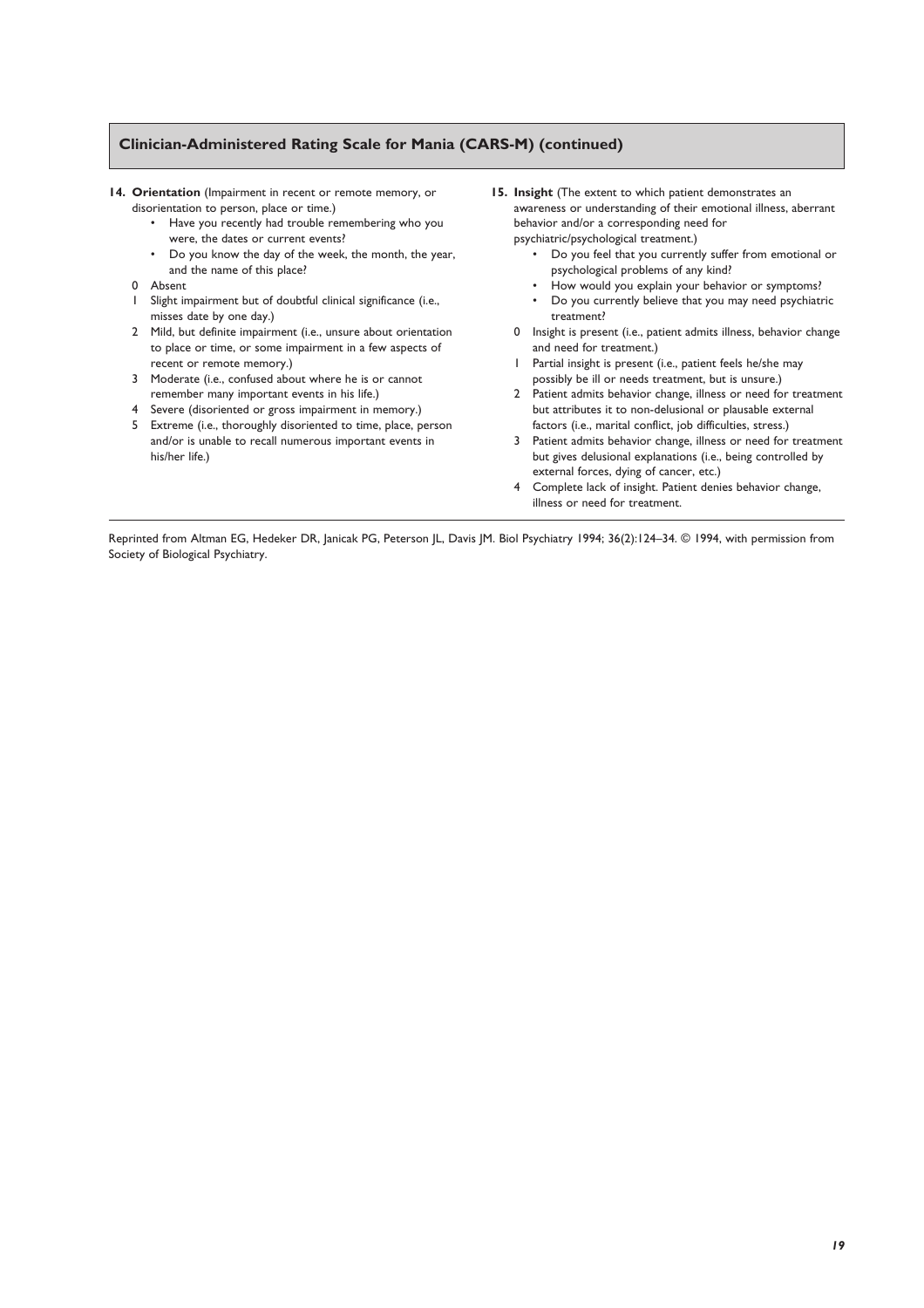#### **Clinician-Administered Rating Scale for Mania (CARS-M) (continued)**

- **14. Orientation** (Impairment in recent or remote memory, or disorientation to person, place or time.)
	- Have you recently had trouble remembering who you were, the dates or current events?
	- Do you know the day of the week, the month, the year, and the name of this place?
	- 0 Absent
	- 1 Slight impairment but of doubtful clinical significance (i.e., misses date by one day.)
	- 2 Mild, but definite impairment (i.e., unsure about orientation to place or time, or some impairment in a few aspects of recent or remote memory.)
	- 3 Moderate (i.e., confused about where he is or cannot remember many important events in his life.)
	- 4 Severe (disoriented or gross impairment in memory.)
	- 5 Extreme (i.e., thoroughly disoriented to time, place, person and/or is unable to recall numerous important events in his/her life.)
- **15. Insight** (The extent to which patient demonstrates an awareness or understanding of their emotional illness, aberrant behavior and/or a corresponding need for psychiatric/psychological treatment.)
	- Do you feel that you currently suffer from emotional or psychological problems of any kind?
	- How would you explain your behavior or symptoms?
	- Do you currently believe that you may need psychiatric treatment?
	- 0 Insight is present (i.e., patient admits illness, behavior change and need for treatment.)
	- Partial insight is present (i.e., patient feels he/she may possibly be ill or needs treatment, but is unsure.)
	- 2 Patient admits behavior change, illness or need for treatment but attributes it to non-delusional or plausable external factors (i.e., marital conflict, job difficulties, stress.)
	- 3 Patient admits behavior change, illness or need for treatment but gives delusional explanations (i.e., being controlled by external forces, dying of cancer, etc.)
	- 4 Complete lack of insight. Patient denies behavior change, illness or need for treatment.

Reprinted from Altman EG, Hedeker DR, Janicak PG, Peterson JL, Davis JM. Biol Psychiatry 1994; 36(2):124–34. © 1994, with permission from Society of Biological Psychiatry.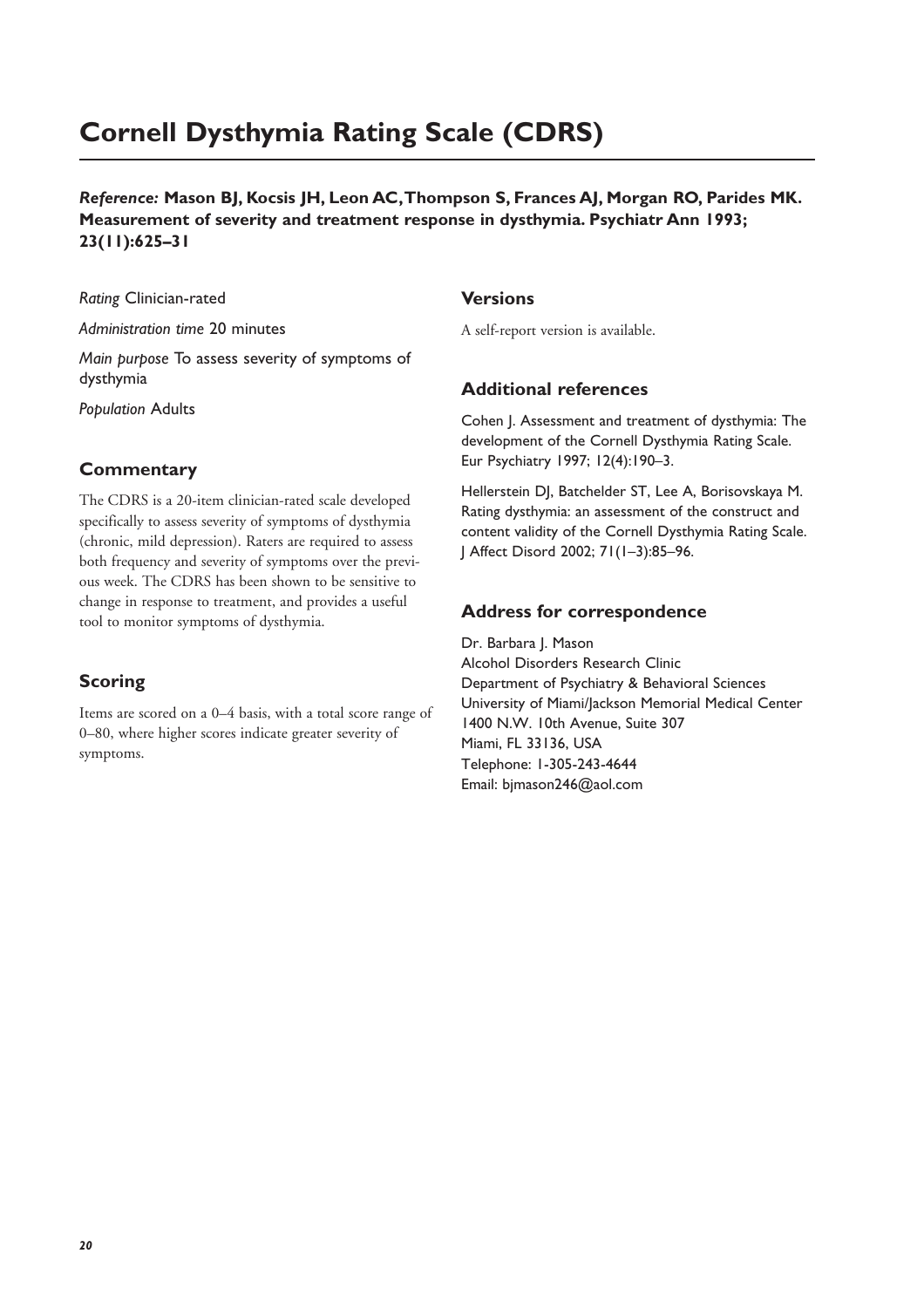# **Cornell Dysthymia Rating Scale (CDRS)**

*Reference:* **Mason BJ, Kocsis JH, Leon AC,Thompson S, Frances AJ, Morgan RO, Parides MK. Measurement of severity and treatment response in dysthymia. Psychiatr Ann 1993; 23(11):625–31**

*Rating* Clinician-rated

*Administration time* 20 minutes

*Main purpose* To assess severity of symptoms of dysthymia

*Population* Adults

# **Commentary**

The CDRS is a 20-item clinician-rated scale developed specifically to assess severity of symptoms of dysthymia (chronic, mild depression). Raters are required to assess both frequency and severity of symptoms over the previous week. The CDRS has been shown to be sensitive to change in response to treatment, and provides a useful tool to monitor symptoms of dysthymia.

# **Scoring**

Items are scored on a 0–4 basis, with a total score range of 0–80, where higher scores indicate greater severity of symptoms.

### **Versions**

A self-report version is available.

# **Additional references**

Cohen J. Assessment and treatment of dysthymia: The development of the Cornell Dysthymia Rating Scale. Eur Psychiatry 1997; 12(4):190–3.

Hellerstein DJ, Batchelder ST, Lee A, Borisovskaya M. Rating dysthymia: an assessment of the construct and content validity of the Cornell Dysthymia Rating Scale. J Affect Disord 2002; 71(1–3):85–96.

# **Address for correspondence**

Dr. Barbara J. Mason Alcohol Disorders Research Clinic Department of Psychiatry & Behavioral Sciences University of Miami/Jackson Memorial Medical Center 1400 N.W. 10th Avenue, Suite 307 Miami, FL 33136, USA Telephone: 1-305-243-4644 Email: bjmason246@aol.com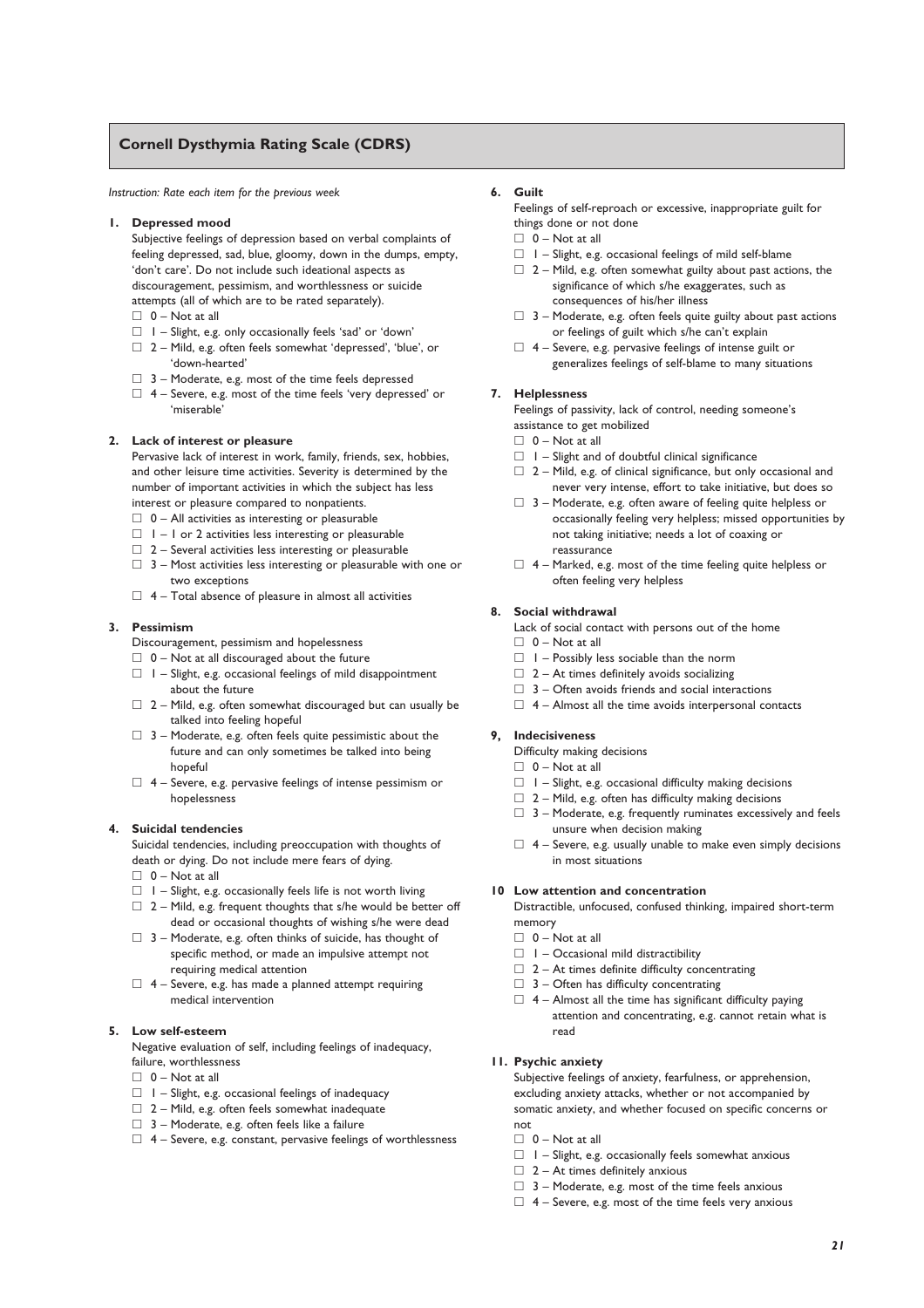#### **Cornell Dysthymia Rating Scale (CDRS)**

*Instruction: Rate each item for the previous week*

#### **1. Depressed mood**

Subjective feelings of depression based on verbal complaints of feeling depressed, sad, blue, gloomy, down in the dumps, empty, 'don't care'. Do not include such ideational aspects as discouragement, pessimism, and worthlessness or suicide

attempts (all of which are to be rated separately).

- $\Box$  0 Not at all
- 1 Slight, e.g. only occasionally feels 'sad' or 'down'
- 2 Mild, e.g. often feels somewhat 'depressed', 'blue', or 'down-hearted'
- $\Box$  3 Moderate, e.g. most of the time feels depressed
- $\Box$  4 Severe, e.g. most of the time feels 'very depressed' or 'miserable'

#### **2. Lack of interest or pleasure**

Pervasive lack of interest in work, family, friends, sex, hobbies, and other leisure time activities. Severity is determined by the number of important activities in which the subject has less interest or pleasure compared to nonpatients.

- $\Box$  0 All activities as interesting or pleasurable
- $\Box$   $I I$  or 2 activities less interesting or pleasurable
- $\Box$  2 Several activities less interesting or pleasurable
- $\Box$  3 Most activities less interesting or pleasurable with one or two exceptions
- $\Box$  4 Total absence of pleasure in almost all activities

#### **3. Pessimism**

- Discouragement, pessimism and hopelessness
- $\Box$  0 Not at all discouraged about the future
- 1 Slight, e.g. occasional feelings of mild disappointment about the future
- $\Box$  2 Mild, e.g. often somewhat discouraged but can usually be talked into feeling hopeful
- $\Box$  3 Moderate, e.g. often feels quite pessimistic about the future and can only sometimes be talked into being hopeful
- □ 4 Severe, e.g. pervasive feelings of intense pessimism or hopelessness

#### **4. Suicidal tendencies**

Suicidal tendencies, including preoccupation with thoughts of death or dying. Do not include mere fears of dying.

- $\Box$  0 Not at all
- $\Box$  I Slight, e.g. occasionally feels life is not worth living
- $\Box$  2 Mild, e.g. frequent thoughts that s/he would be better off dead or occasional thoughts of wishing s/he were dead
- $\Box$  3 Moderate, e.g. often thinks of suicide, has thought of specific method, or made an impulsive attempt not requiring medical attention
- $\Box$  4 Severe, e.g. has made a planned attempt requiring medical intervention

#### **5. Low self-esteem**

Negative evaluation of self, including feelings of inadequacy, failure, worthlessness

 $\Box$  0 – Not at all

- $\Box$  1 Slight, e.g. occasional feelings of inadequacy
- $\Box$  2 Mild, e.g. often feels somewhat inadequate
- $\Box$  3 Moderate, e.g. often feels like a failure
- $\Box$  4 Severe, e.g. constant, pervasive feelings of worthlessness

#### **6. Guilt**

Feelings of self-reproach or excessive, inappropriate guilt for things done or not done

- $\Box$  0 Not at all
- 1 Slight, e.g. occasional feelings of mild self-blame
- $\Box$  2 Mild, e.g. often somewhat guilty about past actions, the significance of which s/he exaggerates, such as consequences of his/her illness
- $\Box$  3 Moderate, e.g. often feels quite guilty about past actions or feelings of guilt which s/he can't explain
- $\Box$  4 Severe, e.g. pervasive feelings of intense guilt or generalizes feelings of self-blame to many situations

#### **7. Helplessness**

Feelings of passivity, lack of control, needing someone's assistance to get mobilized

- $\Box$  0 Not at all
- $\Box$  I Slight and of doubtful clinical significance
- $\Box$  2 Mild, e.g. of clinical significance, but only occasional and never very intense, effort to take initiative, but does so
- $\Box$  3 Moderate, e.g. often aware of feeling quite helpless or occasionally feeling very helpless; missed opportunities by not taking initiative; needs a lot of coaxing or reassurance
- $\Box$  4 Marked, e.g. most of the time feeling quite helpless or often feeling very helpless

#### **8. Social withdrawal**

Lack of social contact with persons out of the home

- $\Box$  0 Not at all
- $\Box$   $I$  Possibly less sociable than the norm
- $\Box$  2 At times definitely avoids socializing
- $\Box$  3 Often avoids friends and social interactions  $\Box$  4 – Almost all the time avoids interpersonal contacts

# **9, Indecisiveness**

- Difficulty making decisions
- $\Box$  0 Not at all
- $\Box$  I Slight, e.g. occasional difficulty making decisions
- $\Box$  2 Mild, e.g. often has difficulty making decisions
- $\Box$  3 Moderate, e.g. frequently ruminates excessively and feels unsure when decision making
- $\Box$  4 Severe, e.g. usually unable to make even simply decisions in most situations

#### **10 Low attention and concentration**

Distractible, unfocused, confused thinking, impaired short-term memory

- $\Box$  0 Not at all
- 1 Occasional mild distractibility
- $\Box$  2 At times definite difficulty concentrating
- $\Box$  3 Often has difficulty concentrating
- $\Box$  4 Almost all the time has significant difficulty paying attention and concentrating, e.g. cannot retain what is read

#### **11. Psychic anxiety**

Subjective feelings of anxiety, fearfulness, or apprehension, excluding anxiety attacks, whether or not accompanied by somatic anxiety, and whether focused on specific concerns or not

- $\Box$  0 Not at all
- $\Box$  I Slight, e.g. occasionally feels somewhat anxious
- $\Box$  2 At times definitely anxious
- $\Box$  3 Moderate, e.g. most of the time feels anxious
- $\Box$  4 Severe, e.g. most of the time feels very anxious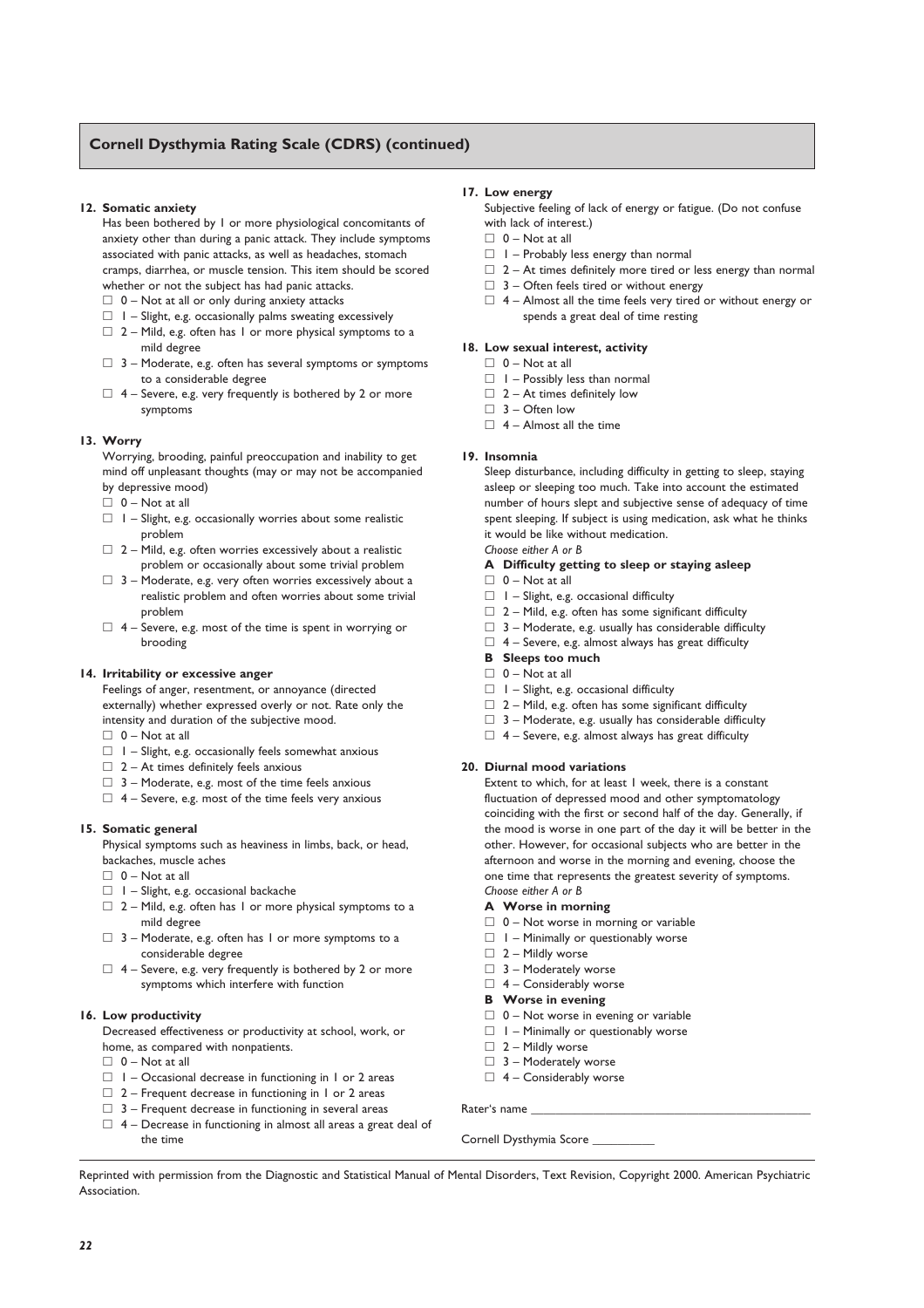#### **Cornell Dysthymia Rating Scale (CDRS) (continued)**

#### **12. Somatic anxiety**

Has been bothered by 1 or more physiological concomitants of anxiety other than during a panic attack. They include symptoms associated with panic attacks, as well as headaches, stomach cramps, diarrhea, or muscle tension. This item should be scored whether or not the subject has had panic attacks.

- $\Box$  0 Not at all or only during anxiety attacks
- □ 1 Slight, e.g. occasionally palms sweating excessively
- $\Box$  2 Mild, e.g. often has 1 or more physical symptoms to a mild degree
- $\Box$  3 Moderate, e.g. often has several symptoms or symptoms to a considerable degree
- $\Box$  4 Severe, e.g. very frequently is bothered by 2 or more symptoms

#### **13. Worry**

Worrying, brooding, painful preoccupation and inability to get mind off unpleasant thoughts (may or may not be accompanied by depressive mood)

- $\Box$  0 Not at all
- $\Box$   $I$  Slight, e.g. occasionally worries about some realistic problem
- $\Box$  2 Mild, e.g. often worries excessively about a realistic problem or occasionally about some trivial problem
- $\Box$  3 Moderate, e.g. very often worries excessively about a realistic problem and often worries about some trivial problem
- $\Box$  4 Severe, e.g. most of the time is spent in worrying or brooding

#### **14. Irritability or excessive anger**

Feelings of anger, resentment, or annoyance (directed externally) whether expressed overly or not. Rate only the intensity and duration of the subjective mood.

- $\Box$  0 Not at all
- $\Box$  I Slight, e.g. occasionally feels somewhat anxious
- $\Box$  2 At times definitely feels anxious
- $\Box$  3 Moderate, e.g. most of the time feels anxious
- $\Box$  4 Severe, e.g. most of the time feels very anxious

#### **15. Somatic general**

Physical symptoms such as heaviness in limbs, back, or head, backaches, muscle aches

- $\Box$  0 Not at all
- 1 Slight, e.g. occasional backache
- $\Box$  2 Mild, e.g. often has 1 or more physical symptoms to a mild degree
- □ 3 Moderate, e.g. often has 1 or more symptoms to a considerable degree
- $\Box$  4 Severe, e.g. very frequently is bothered by 2 or more symptoms which interfere with function

#### **16. Low productivity**

Decreased effectiveness or productivity at school, work, or home, as compared with nonpatients.

- $\Box$  0 Not at all
- 1 Occasional decrease in functioning in 1 or 2 areas
- $\Box$  2 Frequent decrease in functioning in 1 or 2 areas
- $\Box$  3 Frequent decrease in functioning in several areas
- $\Box$  4 Decrease in functioning in almost all areas a great deal of the time

#### **17. Low energy**

Subjective feeling of lack of energy or fatigue. (Do not confuse with lack of interest.)

- $\Box$  0 Not at all
- 1 Probably less energy than normal
- $\Box$  2 At times definitely more tired or less energy than normal
- $\Box$  3 Often feels tired or without energy
- $\Box$  4 Almost all the time feels very tired or without energy or spends a great deal of time resting

#### **18. Low sexual interest, activity**

- $\Box$  0 Not at all
- $\Box$  I Possibly less than normal
- $\Box$  2 At times definitely low
- $\Box$  3 Often low
- $\Box$  4 Almost all the time

#### **19. Insomnia**

Sleep disturbance, including difficulty in getting to sleep, staying asleep or sleeping too much. Take into account the estimated number of hours slept and subjective sense of adequacy of time spent sleeping. If subject is using medication, ask what he thinks it would be like without medication.

*Choose either A or B*

#### **A Difficulty getting to sleep or staying asleep**

- $\Box$  0 Not at all
- 1 Slight, e.g. occasional difficulty
- $\Box$  2 Mild, e.g. often has some significant difficulty
- $\Box$  3 Moderate, e.g. usually has considerable difficulty
- $\Box$  4 Severe, e.g. almost always has great difficulty

### **B Sleeps too much**

- $\Box$  0 Not at all - 1 – Slight, e.g. occasional difficulty
- $\Box$  2 Mild, e.g. often has some significant difficulty
- $\Box$  3 Moderate, e.g. usually has considerable difficulty
- $\Box$  4 Severe, e.g. almost always has great difficulty

#### **20. Diurnal mood variations**

Extent to which, for at least 1 week, there is a constant fluctuation of depressed mood and other symptomatology coinciding with the first or second half of the day. Generally, if the mood is worse in one part of the day it will be better in the other. However, for occasional subjects who are better in the afternoon and worse in the morning and evening, choose the one time that represents the greatest severity of symptoms. *Choose either A or B*

#### **A Worse in morning**

- $\Box$  0 Not worse in morning or variable
- □ 1 Minimally or questionably worse
- □ 2 Mildly worse
- □ 3 Moderately worse
- □ 4 Considerably worse
- **B Worse in evening**
- $\Box$  0 Not worse in evening or variable
- □ 1 Minimally or questionably worse
- □ 2 Mildly worse
- □ 3 Moderately worse
- □ 4 Considerably worse
- 

#### Rater's name

#### Cornell Dysthymia Score

Reprinted with permission from the Diagnostic and Statistical Manual of Mental Disorders, Text Revision, Copyright 2000. American Psychiatric **Association**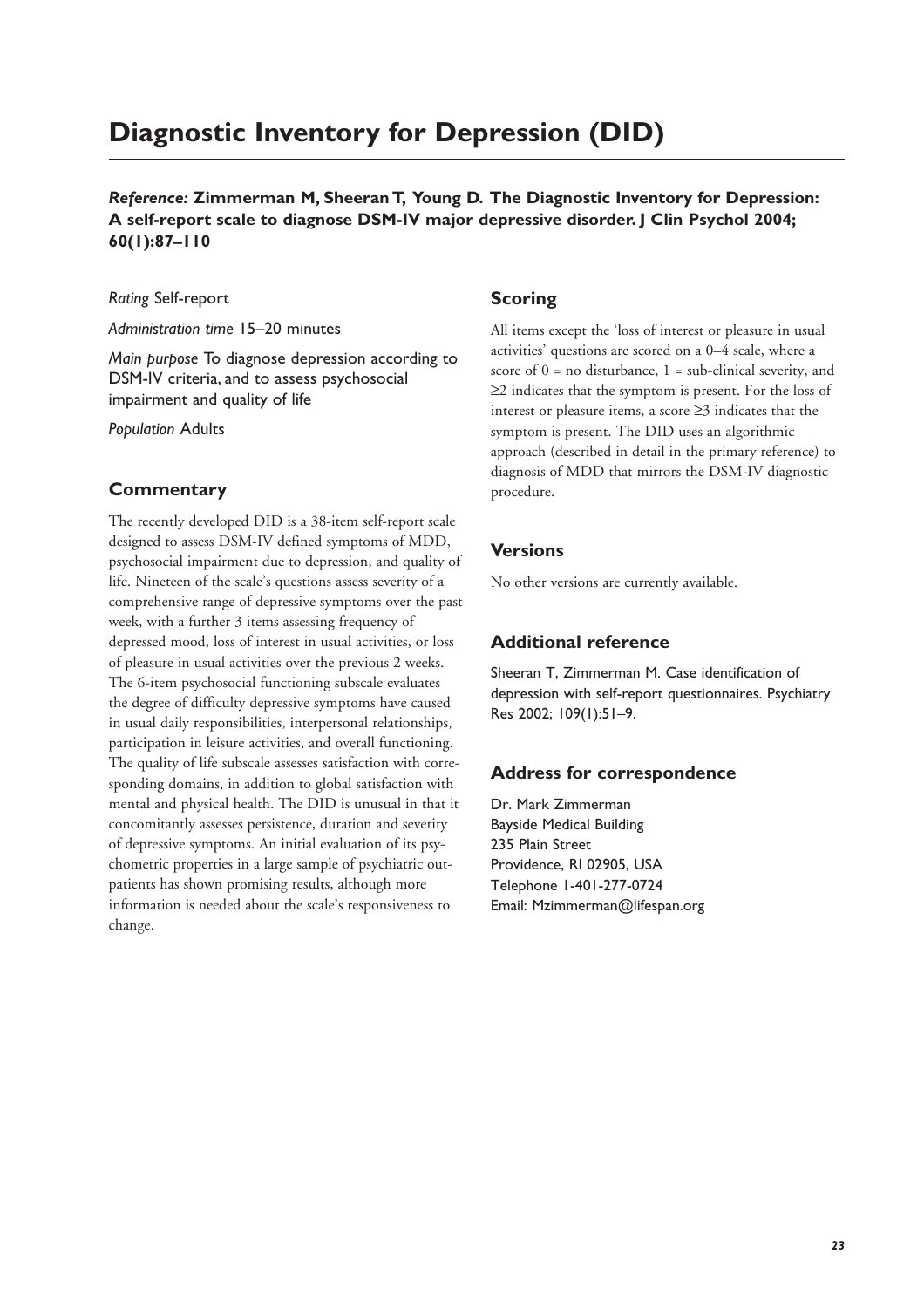# **Diagnostic Inventory for Depression (DID)**

*Reference:* **Zimmerman M, Sheeran T, Young D. The Diagnostic Inventory for Depression: A self-report scale to diagnose DSM-IV major depressive disorder. J Clin Psychol 2004; 60(1):87–110**

*Rating* Self-report

*Administration time* 15–20 minutes

*Main purpose* To diagnose depression according to DSM-IV criteria, and to assess psychosocial impairment and quality of life

*Population* Adults

# **Commentary**

The recently developed DID is a 38-item self-report scale designed to assess DSM-IV defined symptoms of MDD, psychosocial impairment due to depression, and quality of life. Nineteen of the scale's questions assess severity of a comprehensive range of depressive symptoms over the past week, with a further 3 items assessing frequency of depressed mood, loss of interest in usual activities, or loss of pleasure in usual activities over the previous 2 weeks. The 6-item psychosocial functioning subscale evaluates the degree of difficulty depressive symptoms have caused in usual daily responsibilities, interpersonal relationships, participation in leisure activities, and overall functioning. The quality of life subscale assesses satisfaction with corresponding domains, in addition to global satisfaction with mental and physical health. The DID is unusual in that it concomitantly assesses persistence, duration and severity of depressive symptoms. An initial evaluation of its psychometric properties in a large sample of psychiatric outpatients has shown promising results, although more information is needed about the scale's responsiveness to change.

#### **Scoring**

All items except the 'loss of interest or pleasure in usual activities' questions are scored on a 0–4 scale, where a score of  $0 =$  no disturbance,  $1 =$  sub-clinical severity, and ≥2 indicates that the symptom is present. For the loss of interest or pleasure items, a score ≥3 indicates that the symptom is present. The DID uses an algorithmic approach (described in detail in the primary reference) to diagnosis of MDD that mirrors the DSM-IV diagnostic procedure.

### **Versions**

No other versions are currently available.

### **Additional reference**

Sheeran T, Zimmerman M. Case identification of depression with self-report questionnaires. Psychiatry Res 2002; 109(1):51–9.

#### **Address for correspondence**

Dr. Mark Zimmerman Bayside Medical Building 235 Plain Street Providence, RI 02905, USA Telephone 1-401-277-0724 Email: Mzimmerman@lifespan.org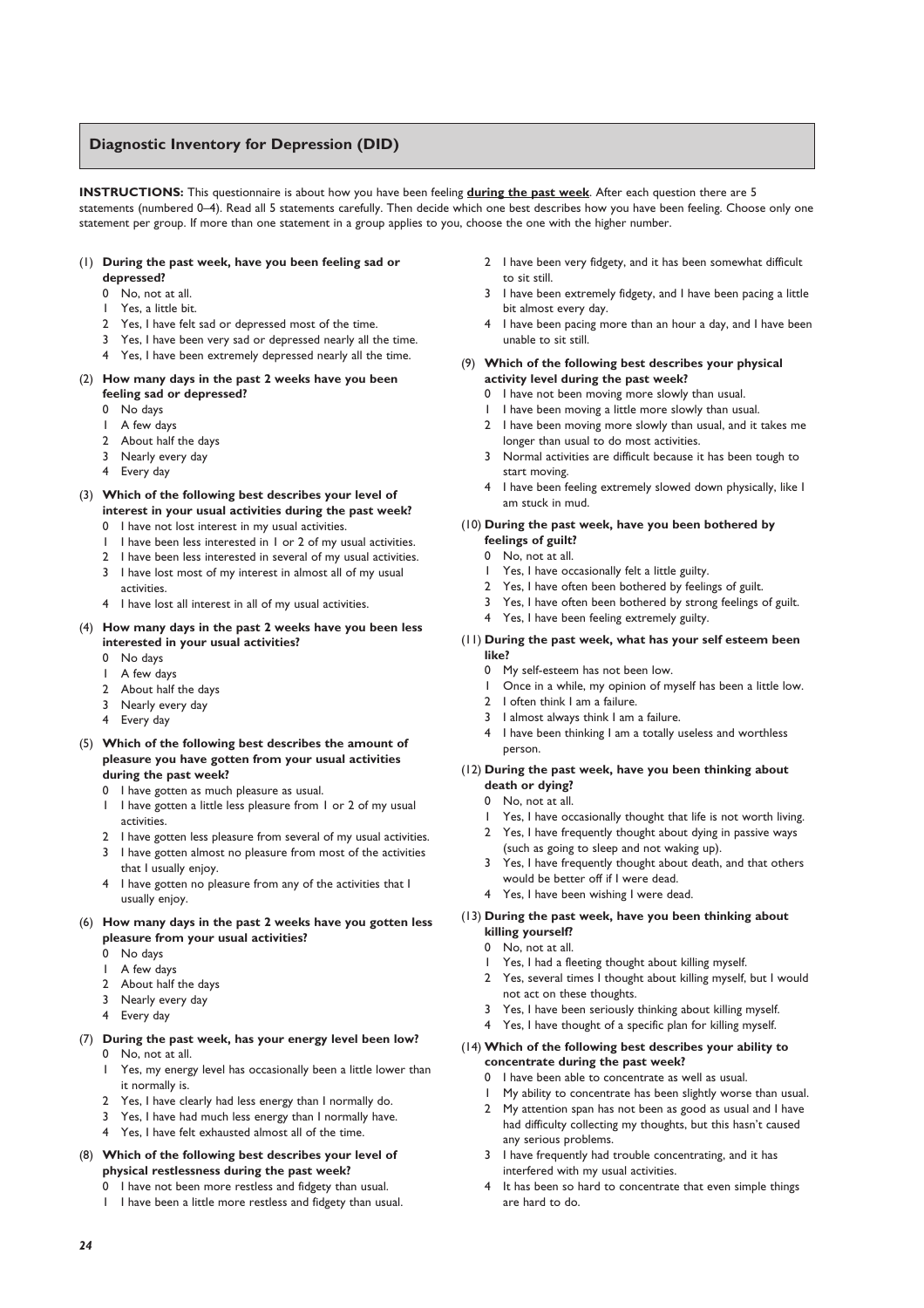#### **Diagnostic Inventory for Depression (DID)**

**INSTRUCTIONS:** This questionnaire is about how you have been feeling **during the past week**. After each question there are 5 statements (numbered 0–4). Read all 5 statements carefully. Then decide which one best describes how you have been feeling. Choose only one statement per group. If more than one statement in a group applies to you, choose the one with the higher number.

#### (1) **During the past week, have you been feeling sad or**

**depressed?**

- 0 No, not at all.
- 1 Yes, a little bit.
- 2 Yes, I have felt sad or depressed most of the time.
- 3 Yes, I have been very sad or depressed nearly all the time.
- 4 Yes, I have been extremely depressed nearly all the time.

#### (2) **How many days in the past 2 weeks have you been feeling sad or depressed?**

- 0 No days
- 1 A few days
- 2 About half the days
- 3 Nearly every day
- 4 Every day

#### (3) **Which of the following best describes your level of interest in your usual activities during the past week?**

- 0 I have not lost interest in my usual activities.
- 1 I have been less interested in 1 or 2 of my usual activities.
- 2 I have been less interested in several of my usual activities.
- 3 I have lost most of my interest in almost all of my usual activities.
- 4 I have lost all interest in all of my usual activities.

#### (4) **How many days in the past 2 weeks have you been less interested in your usual activities?**

- 0 No days
- 1 A few days
- 2 About half the days
- 3 Nearly every day
- 4 Every day

#### (5) **Which of the following best describes the amount of pleasure you have gotten from your usual activities during the past week?**

- 0 I have gotten as much pleasure as usual.
- 1 I have gotten a little less pleasure from 1 or 2 of my usual activities.
- 2 I have gotten less pleasure from several of my usual activities.
- 3 I have gotten almost no pleasure from most of the activities that I usually enjoy.
- 4 I have gotten no pleasure from any of the activities that I usually enjoy.

#### (6) **How many days in the past 2 weeks have you gotten less pleasure from your usual activities?**

- 0 No days
- 1 A few days
- 2 About half the days
- 3 Nearly every day
- 4 Every day
- (7) **During the past week, has your energy level been low?** 0 No, not at all.
	- 1 Yes, my energy level has occasionally been a little lower than it normally is.
	- 2 Yes, I have clearly had less energy than I normally do.
	- 3 Yes, I have had much less energy than I normally have.
	- 4 Yes, I have felt exhausted almost all of the time.
- (8) **Which of the following best describes your level of physical restlessness during the past week?**
	- 0 I have not been more restless and fidgety than usual.
	- 1 I have been a little more restless and fidgety than usual.
- 2 I have been very fidgety, and it has been somewhat difficult to sit still.
- I have been extremely fidgety, and I have been pacing a little bit almost every day.
- I have been pacing more than an hour a day, and I have been unable to sit still.
- (9) **Which of the following best describes your physical activity level during the past week?**
	- 0 I have not been moving more slowly than usual.
	- I have been moving a little more slowly than usual.
	- 2 I have been moving more slowly than usual, and it takes me longer than usual to do most activities.
	- 3 Normal activities are difficult because it has been tough to start moving.
	- 4 I have been feeling extremely slowed down physically, like I am stuck in mud.

#### (10) **During the past week, have you been bothered by feelings of guilt?**

- 0 No, not at all.
- 1 Yes, I have occasionally felt a little guilty.
- 2 Yes, I have often been bothered by feelings of guilt.
- 3 Yes, I have often been bothered by strong feelings of guilt.
- 4 Yes, I have been feeling extremely guilty.
- (11) **During the past week, what has your self esteem been like?**
	- 0 My self-esteem has not been low.
	- 1 Once in a while, my opinion of myself has been a little low.
	- 2 I often think I am a failure.
	- 3 I almost always think I am a failure.
	- 4 I have been thinking I am a totally useless and worthless person.
- (12) **During the past week, have you been thinking about death or dying?**
	- 0 No, not at all.
	- Yes, I have occasionally thought that life is not worth living.
	- 2 Yes, I have frequently thought about dying in passive ways (such as going to sleep and not waking up).
	- Yes, I have frequently thought about death, and that others would be better off if I were dead.
	- 4 Yes, I have been wishing I were dead.

#### (13) **During the past week, have you been thinking about killing yourself?**

- 0 No, not at all.
- 1 Yes, I had a fleeting thought about killing myself.
- 2 Yes, several times I thought about killing myself, but I would not act on these thoughts.
- 3 Yes, I have been seriously thinking about killing myself.
- 4 Yes, I have thought of a specific plan for killing myself.
- (14) **Which of the following best describes your ability to concentrate during the past week?**
	- 0 I have been able to concentrate as well as usual.
	- 1 My ability to concentrate has been slightly worse than usual.
	- 2 My attention span has not been as good as usual and I have had difficulty collecting my thoughts, but this hasn't caused any serious problems.
	- 3 I have frequently had trouble concentrating, and it has interfered with my usual activities.
	- 4 It has been so hard to concentrate that even simple things are hard to do.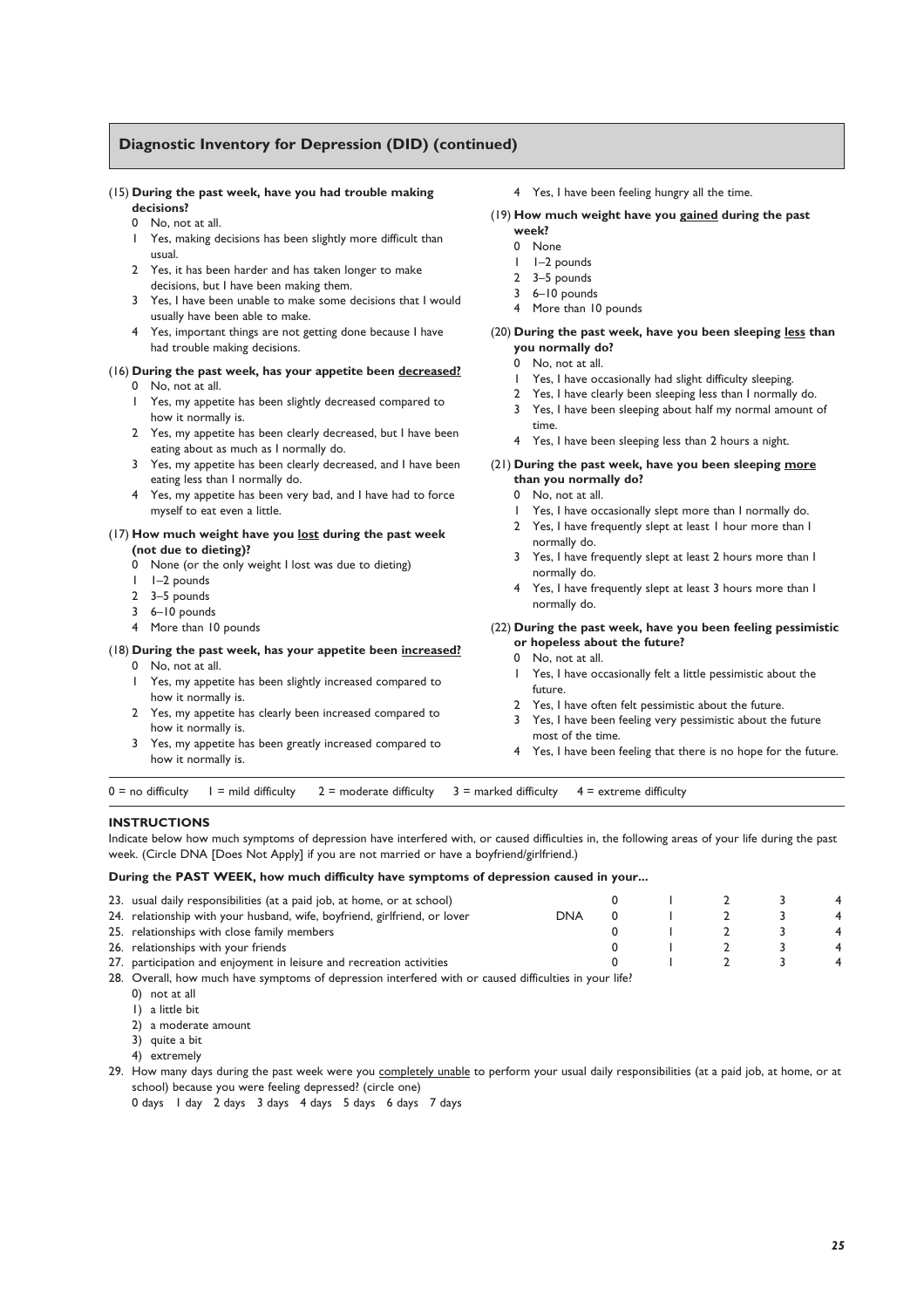#### **Diagnostic Inventory for Depression (DID) (continued)**

#### (15) **During the past week, have you had trouble making decisions?**

- 0 No, not at all.
- 1 Yes, making decisions has been slightly more difficult than usual.
- 2 Yes, it has been harder and has taken longer to make decisions, but I have been making them.
- 3 Yes, I have been unable to make some decisions that I would usually have been able to make.
- 4 Yes, important things are not getting done because I have had trouble making decisions.

#### (16) **During the past week, has your appetite been decreased?**

- 0 No, not at all.
- 1 Yes, my appetite has been slightly decreased compared to how it normally is.
- 2 Yes, my appetite has been clearly decreased, but I have been eating about as much as I normally do.
- 3 Yes, my appetite has been clearly decreased, and I have been eating less than I normally do.
- 4 Yes, my appetite has been very bad, and I have had to force myself to eat even a little.

#### (17) **How much weight have you lost during the past week (not due to dieting)?**

- 0 None (or the only weight I lost was due to dieting)
- 1 1–2 pounds
- 2 3–5 pounds
- 3 6–10 pounds
- 4 More than 10 pounds

#### (18) **During the past week, has your appetite been increased?**

- 0 No, not at all. 1 Yes, my appetite has been slightly increased compared to how it normally is.
- 2 Yes, my appetite has clearly been increased compared to how it normally is.
- 3 Yes, my appetite has been greatly increased compared to how it normally is.
- 4 Yes, I have been feeling hungry all the time.
- (19) **How much weight have you gained during the past week?**
	- 0 None
	- 1 1–2 pounds
	- 2 3–5 pounds
	- 3 6–10 pounds
	- 4 More than 10 pounds
- (20) **During the past week, have you been sleeping less than you normally do?**
	- 0 No, not at all.
	- 1 Yes, I have occasionally had slight difficulty sleeping.
	- 2 Yes, I have clearly been sleeping less than I normally do.
	- 3 Yes, I have been sleeping about half my normal amount of time.
	- 4 Yes, I have been sleeping less than 2 hours a night.

#### (21) **During the past week, have you been sleeping more than you normally do?**

- 0 No, not at all.
- Yes, I have occasionally slept more than I normally do.
- 2 Yes, I have frequently slept at least 1 hour more than I normally do.
- 3 Yes, I have frequently slept at least 2 hours more than I normally do.
- 4 Yes, I have frequently slept at least 3 hours more than I normally do.

#### (22) **During the past week, have you been feeling pessimistic or hopeless about the future?**

- 0 No, not at all.
- 1 Yes, I have occasionally felt a little pessimistic about the future.
- 2 Yes, I have often felt pessimistic about the future.
- 3 Yes, I have been feeling very pessimistic about the future most of the time.
- 4 Yes, I have been feeling that there is no hope for the future.

 $0 =$  no difficulty  $1 =$  mild difficulty  $2 =$  moderate difficulty  $3 =$  marked difficulty  $4 =$  extreme difficulty

#### **INSTRUCTIONS**

Indicate below how much symptoms of depression have interfered with, or caused difficulties in, the following areas of your life during the past week. (Circle DNA [Does Not Apply] if you are not married or have a boyfriend/girlfriend.)

#### **During the PAST WEEK, how much difficulty have symptoms of depression caused in your...**

| 23. usual daily responsibilities (at a paid job, at home, or at school)                                |     |  |  |  |
|--------------------------------------------------------------------------------------------------------|-----|--|--|--|
| 24. relationship with your husband, wife, boyfriend, girlfriend, or lover                              | DNA |  |  |  |
| 25. relationships with close family members                                                            |     |  |  |  |
| 26. relationships with your friends                                                                    |     |  |  |  |
| 27. participation and enjoyment in leisure and recreation activities                                   |     |  |  |  |
| 28. Overall, how much have symptoms of depression interfered with or caused difficulties in your life? |     |  |  |  |

- 0) not at all
- 1) a little bit
- 2) a moderate amount
- 3) quite a bit
- 4) extremely
- 29. How many days during the past week were you completely unable to perform your usual daily responsibilities (at a paid job, at home, or at school) because you were feeling depressed? (circle one)

0 days 1 day 2 days 3 days 4 days 5 days 6 days 7 days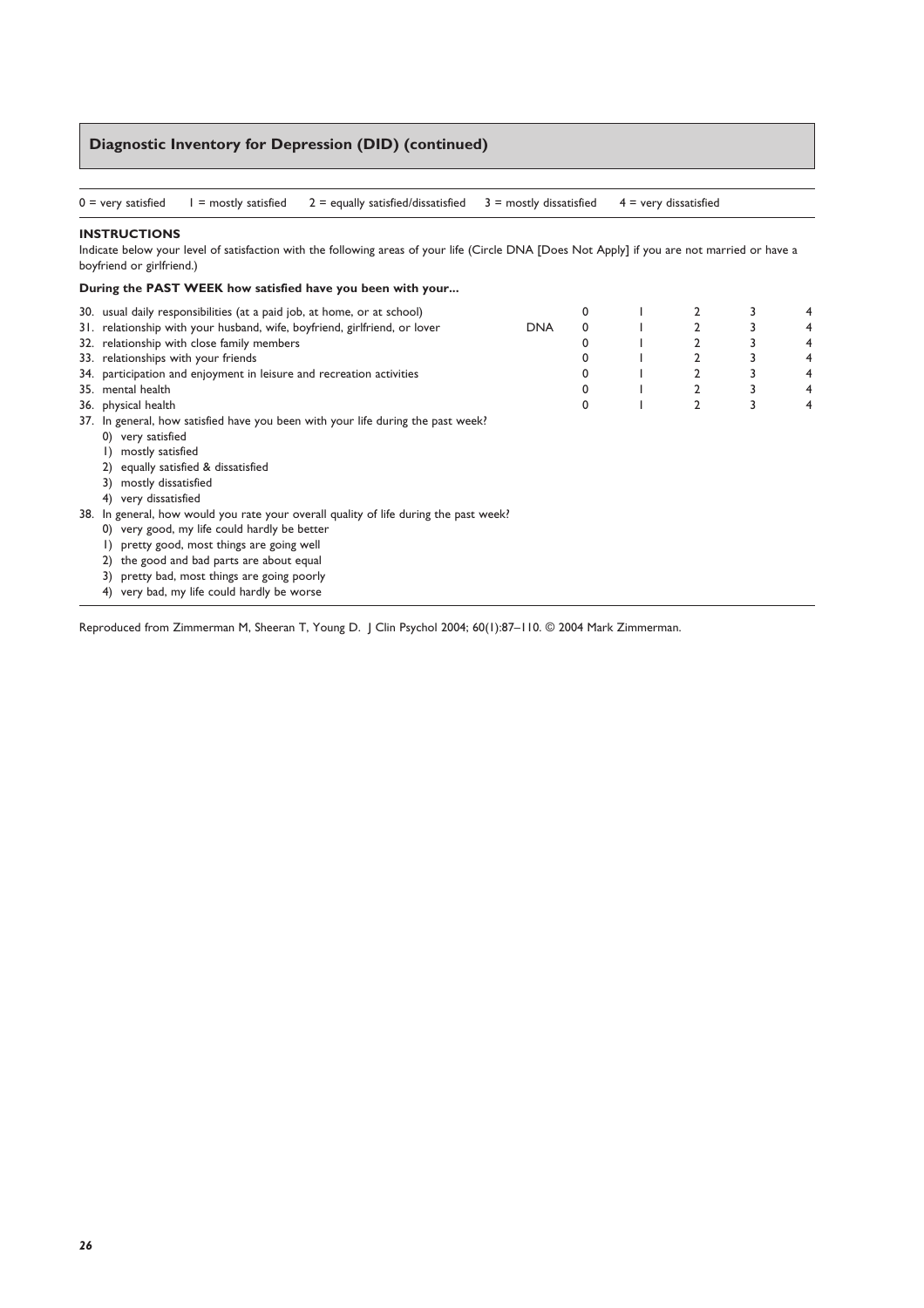# **Diagnostic Inventory for Depression (DID) (continued)**

 $0 =$  very satisfied  $1 =$  mostly satisfied  $2 =$  equally satisfied/dissatisfied  $3 =$  mostly dissatisfied  $4 =$  very dissatisfied

#### **INSTRUCTIONS**

Indicate below your level of satisfaction with the following areas of your life (Circle DNA [Does Not Apply] if you are not married or have a boyfriend or girlfriend.)

|                     | During the PAST WEEK how satisfied have you been with your                        |            |   |                |   |   |
|---------------------|-----------------------------------------------------------------------------------|------------|---|----------------|---|---|
|                     | 30. usual daily responsibilities (at a paid job, at home, or at school)           |            | 0 |                | 3 | 4 |
|                     | 31. relationship with your husband, wife, boyfriend, girlfriend, or lover         | <b>DNA</b> |   |                |   | 4 |
|                     | 32. relationship with close family members                                        |            |   |                |   | 4 |
|                     | 33. relationships with your friends                                               |            |   |                |   | 4 |
|                     | 34. participation and enjoyment in leisure and recreation activities              |            |   |                |   | 4 |
| 35. mental health   |                                                                                   |            | 0 | $\overline{2}$ |   | 4 |
| 36. physical health |                                                                                   |            | 0 | $\overline{2}$ | 3 | 4 |
|                     | 37. In general, how satisfied have you been with your life during the past week?  |            |   |                |   |   |
|                     | 0) very satisfied                                                                 |            |   |                |   |   |
|                     | mostly satisfied                                                                  |            |   |                |   |   |
|                     | 2) equally satisfied & dissatisfied                                               |            |   |                |   |   |
| 3)                  | mostly dissatisfied                                                               |            |   |                |   |   |
| 4)                  | very dissatisfied                                                                 |            |   |                |   |   |
| 38.                 | In general, how would you rate your overall quality of life during the past week? |            |   |                |   |   |
|                     | 0) very good, my life could hardly be better                                      |            |   |                |   |   |
|                     | pretty good, most things are going well                                           |            |   |                |   |   |
|                     | the good and bad parts are about equal                                            |            |   |                |   |   |
|                     | pretty bad, most things are going poorly                                          |            |   |                |   |   |
| 4)                  | very bad, my life could hardly be worse                                           |            |   |                |   |   |

Reproduced from Zimmerman M, Sheeran T, Young D. J Clin Psychol 2004; 60(1):87–110. © 2004 Mark Zimmerman.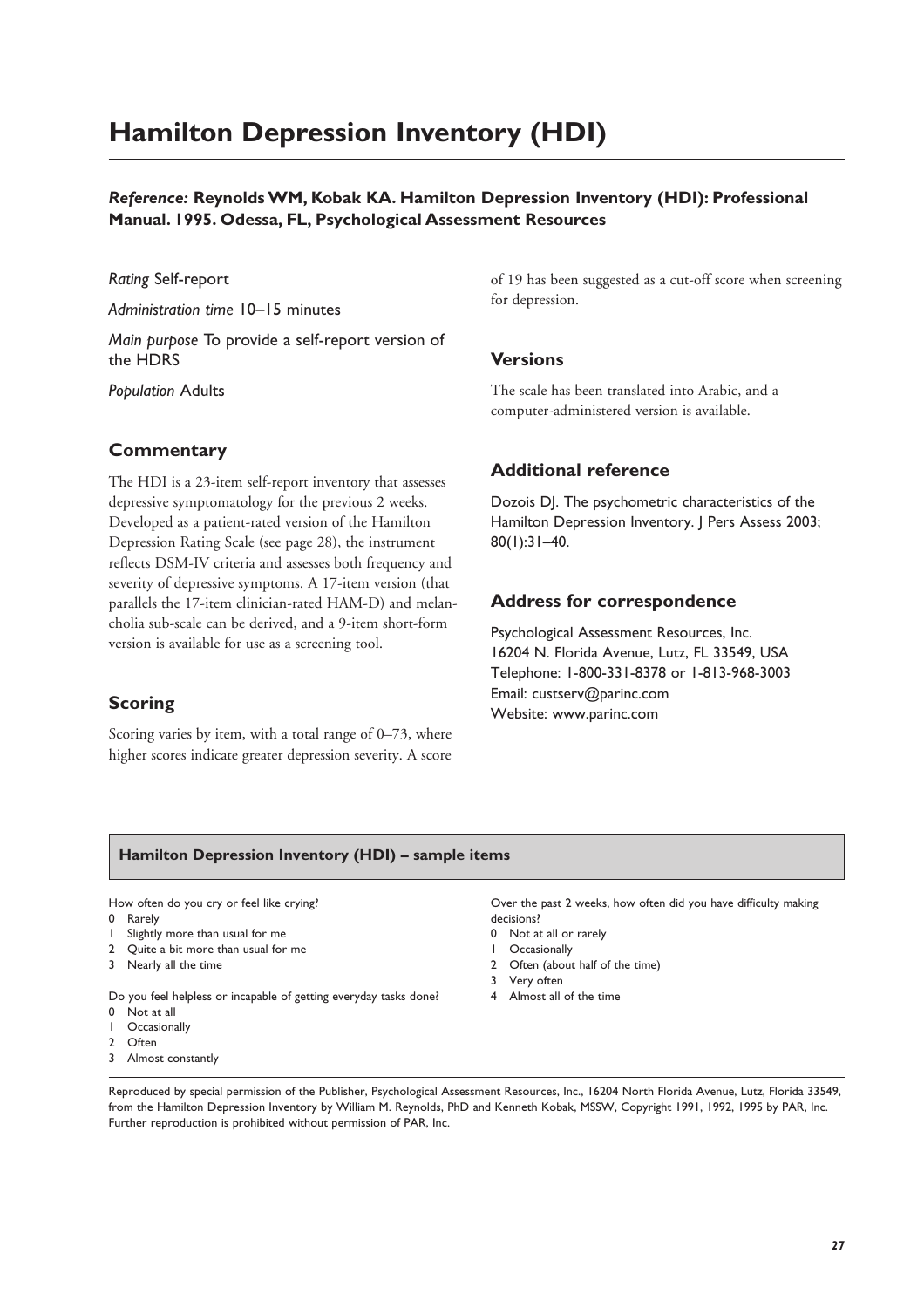# **Hamilton Depression Inventory (HDI)**

# *Reference:* **Reynolds WM, Kobak KA. Hamilton Depression Inventory (HDI): Professional Manual. 1995. Odessa, FL, Psychological Assessment Resources**

#### *Rating* Self-report

*Administration time* 10–15 minutes

*Main purpose* To provide a self-report version of the HDRS

*Population* Adults

# **Commentary**

The HDI is a 23-item self-report inventory that assesses depressive symptomatology for the previous 2 weeks. Developed as a patient-rated version of the Hamilton Depression Rating Scale (see page 28), the instrument reflects DSM-IV criteria and assesses both frequency and severity of depressive symptoms. A 17-item version (that parallels the 17-item clinician-rated HAM-D) and melancholia sub-scale can be derived, and a 9-item short-form version is available for use as a screening tool.

# **Scoring**

Scoring varies by item, with a total range of 0–73, where higher scores indicate greater depression severity. A score

of 19 has been suggested as a cut-off score when screening for depression.

# **Versions**

The scale has been translated into Arabic, and a computer-administered version is available.

# **Additional reference**

Dozois DJ. The psychometric characteristics of the Hamilton Depression Inventory. J Pers Assess 2003; 80(1):31–40.

# **Address for correspondence**

Psychological Assessment Resources, Inc. 16204 N. Florida Avenue, Lutz, FL 33549, USA Telephone: 1-800-331-8378 or 1-813-968-3003 Email: custserv@parinc.com Website: www.parinc.com

#### **Hamilton Depression Inventory (HDI) – sample items**

How often do you cry or feel like crying?

- 0 Rarely
- 1 Slightly more than usual for me
- 2 Quite a bit more than usual for me
- 3 Nearly all the time

Do you feel helpless or incapable of getting everyday tasks done?

- 0 Not at all
- 1 Occasionally
- 2 Often
- 3 Almost constantly

Over the past 2 weeks, how often did you have difficulty making decisions?

- 0 Not at all or rarely
- 1 Occasionally
- 2 Often (about half of the time)
- 3 Very often
- 4 Almost all of the time

Reproduced by special permission of the Publisher, Psychological Assessment Resources, Inc., 16204 North Florida Avenue, Lutz, Florida 33549, from the Hamilton Depression Inventory by William M. Reynolds, PhD and Kenneth Kobak, MSSW, Copyright 1991, 1992, 1995 by PAR, Inc. Further reproduction is prohibited without permission of PAR, Inc.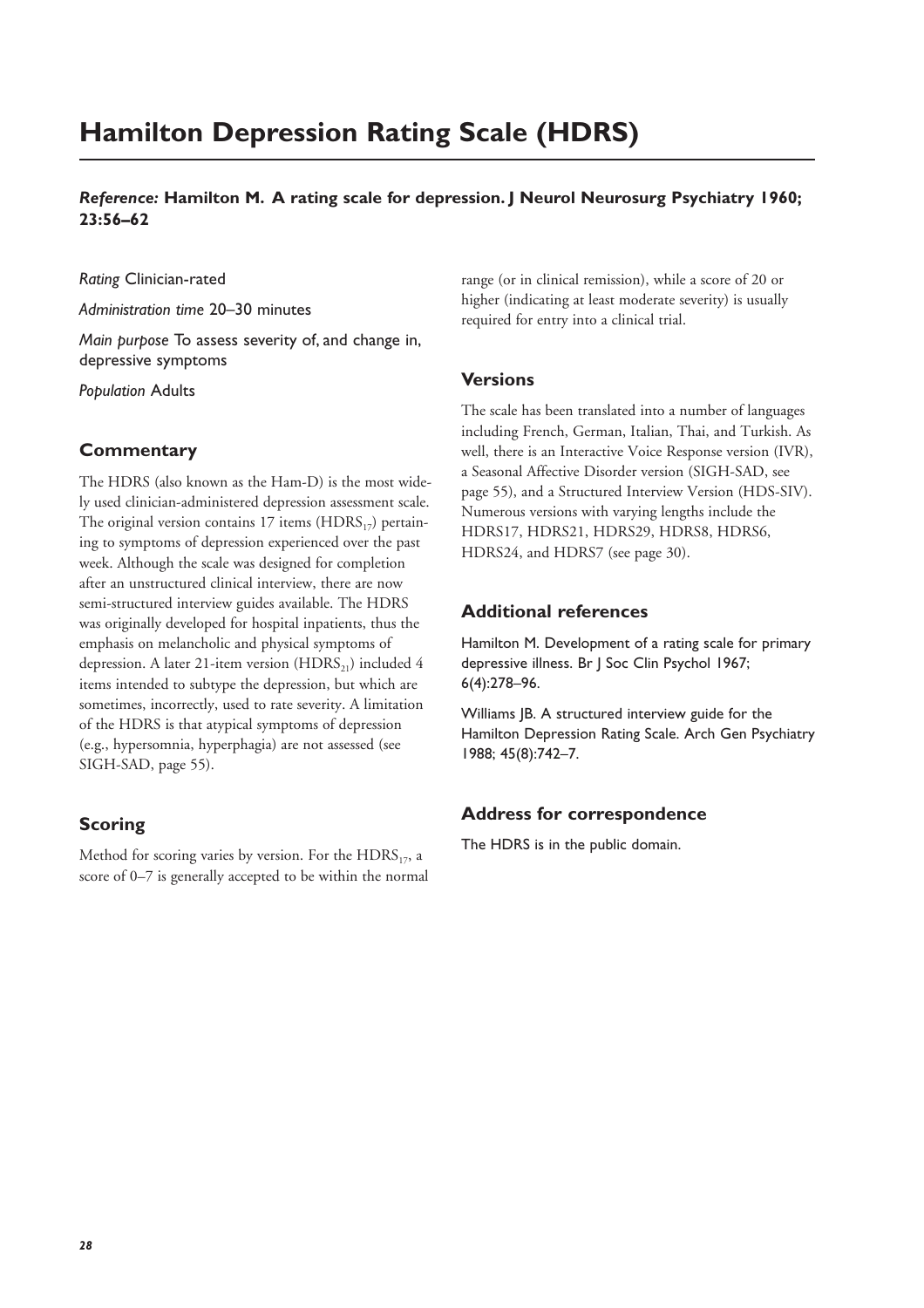# **Hamilton Depression Rating Scale (HDRS)**

# *Reference:* **Hamilton M. A rating scale for depression. J Neurol Neurosurg Psychiatry 1960; 23:56–62**

*Rating* Clinician-rated

*Administration time* 20–30 minutes

*Main purpose* To assess severity of, and change in, depressive symptoms

*Population* Adults

# **Commentary**

The HDRS (also known as the Ham-D) is the most widely used clinician-administered depression assessment scale. The original version contains 17 items  $(HDRS<sub>17</sub>)$  pertaining to symptoms of depression experienced over the past week. Although the scale was designed for completion after an unstructured clinical interview, there are now semi-structured interview guides available. The HDRS was originally developed for hospital inpatients, thus the emphasis on melancholic and physical symptoms of depression. A later 21-item version  $(HDRS_{21})$  included 4 items intended to subtype the depression, but which are sometimes, incorrectly, used to rate severity. A limitation of the HDRS is that atypical symptoms of depression (e.g., hypersomnia, hyperphagia) are not assessed (see SIGH-SAD, page 55).

# **Scoring**

Method for scoring varies by version. For the  $HDRS<sub>17</sub>$ , a score of 0–7 is generally accepted to be within the normal range (or in clinical remission), while a score of 20 or higher (indicating at least moderate severity) is usually required for entry into a clinical trial.

# **Versions**

The scale has been translated into a number of languages including French, German, Italian, Thai, and Turkish. As well, there is an Interactive Voice Response version (IVR), a Seasonal Affective Disorder version (SIGH-SAD, see page 55), and a Structured Interview Version (HDS-SIV). Numerous versions with varying lengths include the HDRS17, HDRS21, HDRS29, HDRS8, HDRS6, HDRS24, and HDRS7 (see page 30).

# **Additional references**

Hamilton M. Development of a rating scale for primary depressive illness. Br J Soc Clin Psychol 1967; 6(4):278–96.

Williams JB. A structured interview guide for the Hamilton Depression Rating Scale. Arch Gen Psychiatry 1988; 45(8):742–7.

# **Address for correspondence**

The HDRS is in the public domain.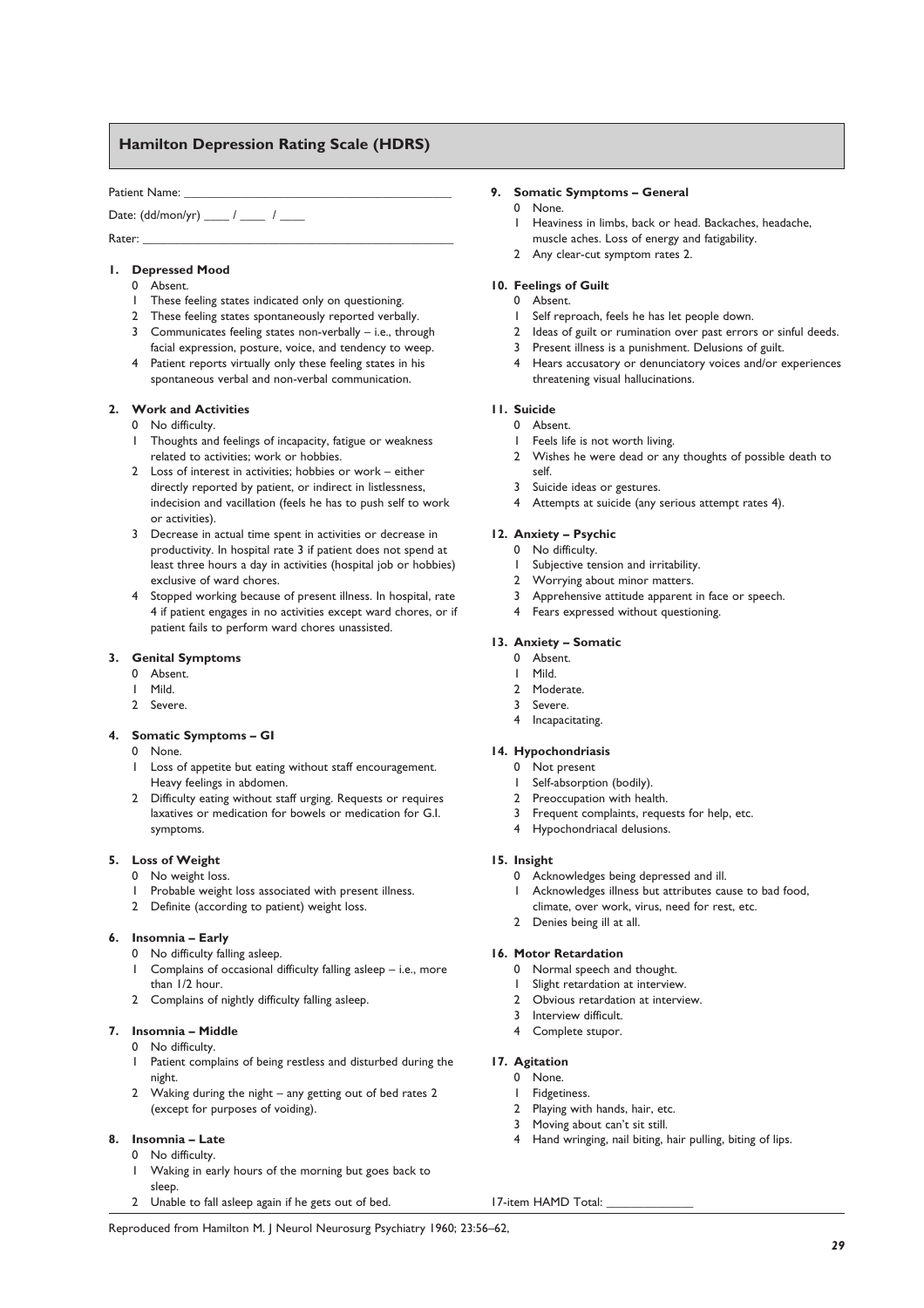## **Hamilton Depression Rating Scale (HDRS)**

#### Patient Name:

Date:  $(dd/mon/yr)$  \_\_\_\_ / \_\_\_\_ /

Rater: \_\_\_\_\_\_\_\_\_\_\_\_\_\_\_\_\_\_\_\_\_\_\_\_\_\_\_\_\_\_\_\_\_\_\_\_\_\_\_\_\_\_\_\_\_\_\_\_\_\_

#### **1. Depressed Mood**

- 0 Absent.
- 1 These feeling states indicated only on questioning.
- 2 These feeling states spontaneously reported verbally.
- 3 Communicates feeling states non-verbally i.e., through facial expression, posture, voice, and tendency to weep.
- 4 Patient reports virtually only these feeling states in his spontaneous verbal and non-verbal communication.

#### **2. Work and Activities**

- 0 No difficulty.
- 1 Thoughts and feelings of incapacity, fatigue or weakness related to activities; work or hobbies.
- 2 Loss of interest in activities; hobbies or work either directly reported by patient, or indirect in listlessness, indecision and vacillation (feels he has to push self to work or activities).
- 3 Decrease in actual time spent in activities or decrease in productivity. In hospital rate 3 if patient does not spend at least three hours a day in activities (hospital job or hobbies) exclusive of ward chores.
- 4 Stopped working because of present illness. In hospital, rate 4 if patient engages in no activities except ward chores, or if patient fails to perform ward chores unassisted.

#### **3. Genital Symptoms**

- 0 Absent.
- 1 Mild.
- 2 Severe.

#### **4. Somatic Symptoms – GI**

- 0 None.
- 1 Loss of appetite but eating without staff encouragement. Heavy feelings in abdomen.
- 2 Difficulty eating without staff urging. Requests or requires laxatives or medication for bowels or medication for G.I. symptoms.

#### **5. Loss of Weight**

- 0 No weight loss.
- 1 Probable weight loss associated with present illness.
- 2 Definite (according to patient) weight loss.

#### **6. Insomnia – Early**

- 0 No difficulty falling asleep.
- 1 Complains of occasional difficulty falling asleep i.e., more than 1/2 hour.
- 2 Complains of nightly difficulty falling asleep.

#### **7. Insomnia – Middle**

- 0 No difficulty.
- 1 Patient complains of being restless and disturbed during the night.
- 2 Waking during the night any getting out of bed rates 2 (except for purposes of voiding).

#### **8. Insomnia – Late**

- 0 No difficulty.
- 1 Waking in early hours of the morning but goes back to sleep.
- 2 Unable to fall asleep again if he gets out of bed.

#### **9. Somatic Symptoms – General**

- 0 None.
	- Heaviness in limbs, back or head. Backaches, headache, muscle aches. Loss of energy and fatigability.
	- 2 Any clear-cut symptom rates 2.

#### **10. Feelings of Guilt**

- 0 Absent.
- 1 Self reproach, feels he has let people down.
- 2 Ideas of guilt or rumination over past errors or sinful deeds.
- 3 Present illness is a punishment. Delusions of guilt.
- 4 Hears accusatory or denunciatory voices and/or experiences threatening visual hallucinations.

## **11. Suicide**

- 0 Absent.
- 1 Feels life is not worth living.
- 2 Wishes he were dead or any thoughts of possible death to self.
- 3 Suicide ideas or gestures.
- 4 Attempts at suicide (any serious attempt rates 4).

#### **12. Anxiety – Psychic**

- 0 No difficulty.
- 1 Subjective tension and irritability.
- 2 Worrying about minor matters.
- 3 Apprehensive attitude apparent in face or speech.
- 4 Fears expressed without questioning.

#### **13. Anxiety – Somatic**

- 0 Absent.
- 1 Mild.
- 2 Moderate.
- 3 Severe.
- 4 Incapacitating.

#### **14. Hypochondriasis**

- 0 Not present
- 1 Self-absorption (bodily).
- 2 Preoccupation with health.
- 3 Frequent complaints, requests for help, etc.
- 4 Hypochondriacal delusions.

#### **15. Insight**

- 0 Acknowledges being depressed and ill.
- 1 Acknowledges illness but attributes cause to bad food, climate, over work, virus, need for rest, etc.
- 2 Denies being ill at all.

#### **16. Motor Retardation**

- 0 Normal speech and thought.
- Slight retardation at interview.
- 2 Obvious retardation at interview.
- 3 Interview difficult.
- 4 Complete stupor.

## **17. Agitation**

- 0 None. 1 Fidgetiness.
- 2 Playing with hands, hair, etc.
- 3 Moving about can't sit still.
- 4 Hand wringing, nail biting, hair pulling, biting of lips.

17-item HAMD Total:

Reproduced from Hamilton M. J Neurol Neurosurg Psychiatry 1960; 23:56–62,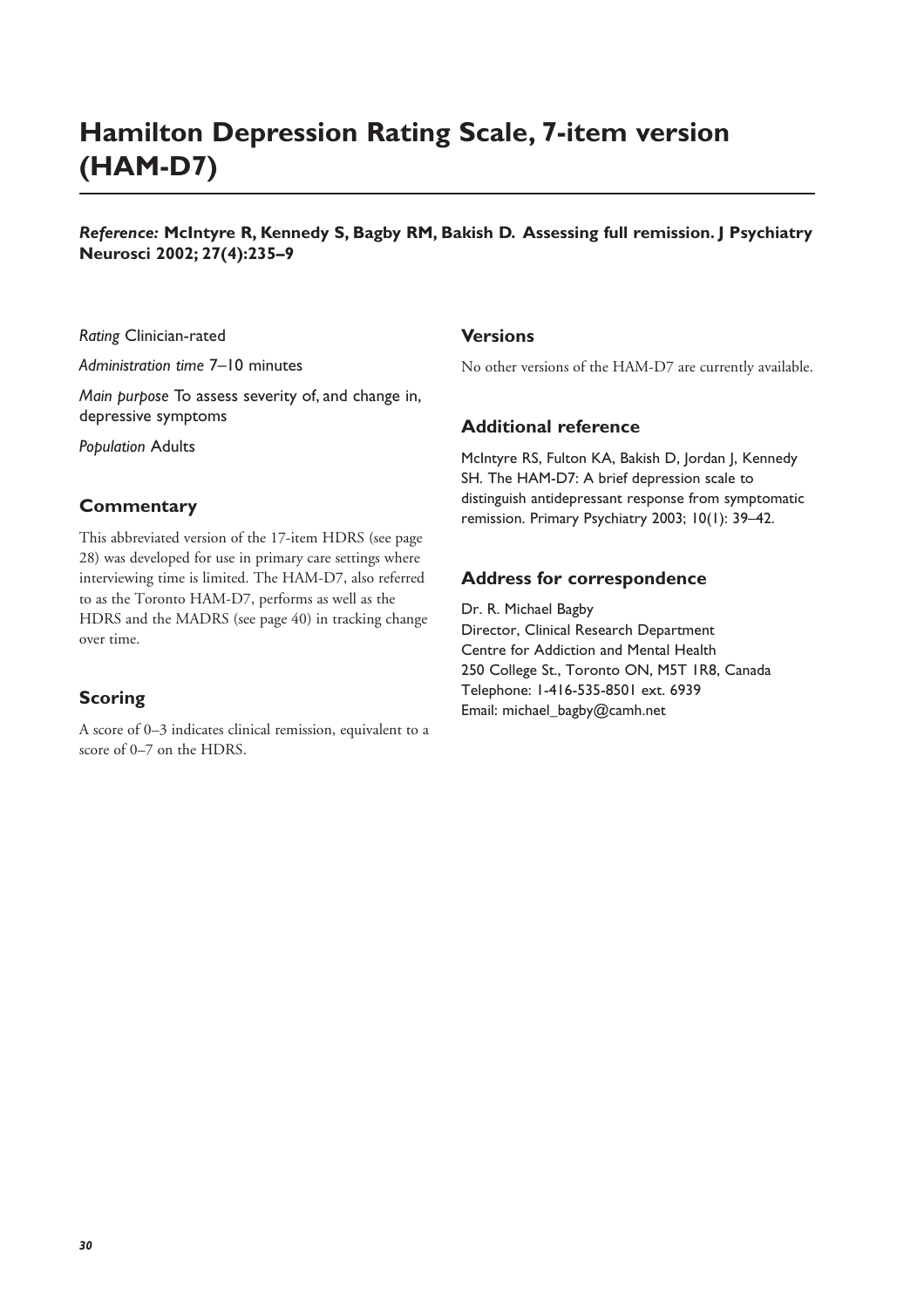# **Hamilton Depression Rating Scale, 7-item version (HAM-D7)**

*Reference:* **McIntyre R, Kennedy S, Bagby RM, Bakish D. Assessing full remission. J Psychiatry Neurosci 2002; 27(4):235–9**

*Rating* Clinician-rated

*Administration time* 7–10 minutes

*Main purpose* To assess severity of, and change in, depressive symptoms

*Population* Adults

# **Commentary**

This abbreviated version of the 17-item HDRS (see page 28) was developed for use in primary care settings where interviewing time is limited. The HAM-D7, also referred to as the Toronto HAM-D7, performs as well as the HDRS and the MADRS (see page 40) in tracking change over time.

# **Scoring**

A score of 0–3 indicates clinical remission, equivalent to a score of 0–7 on the HDRS.

# **Versions**

No other versions of the HAM-D7 are currently available.

# **Additional reference**

McIntyre RS, Fulton KA, Bakish D, Jordan J, Kennedy SH. The HAM-D7: A brief depression scale to distinguish antidepressant response from symptomatic remission. Primary Psychiatry 2003; 10(1): 39–42.

# **Address for correspondence**

Dr. R. Michael Bagby Director, Clinical Research Department Centre for Addiction and Mental Health 250 College St., Toronto ON, M5T 1R8, Canada Telephone: 1-416-535-8501 ext. 6939 Email: michael\_bagby@camh.net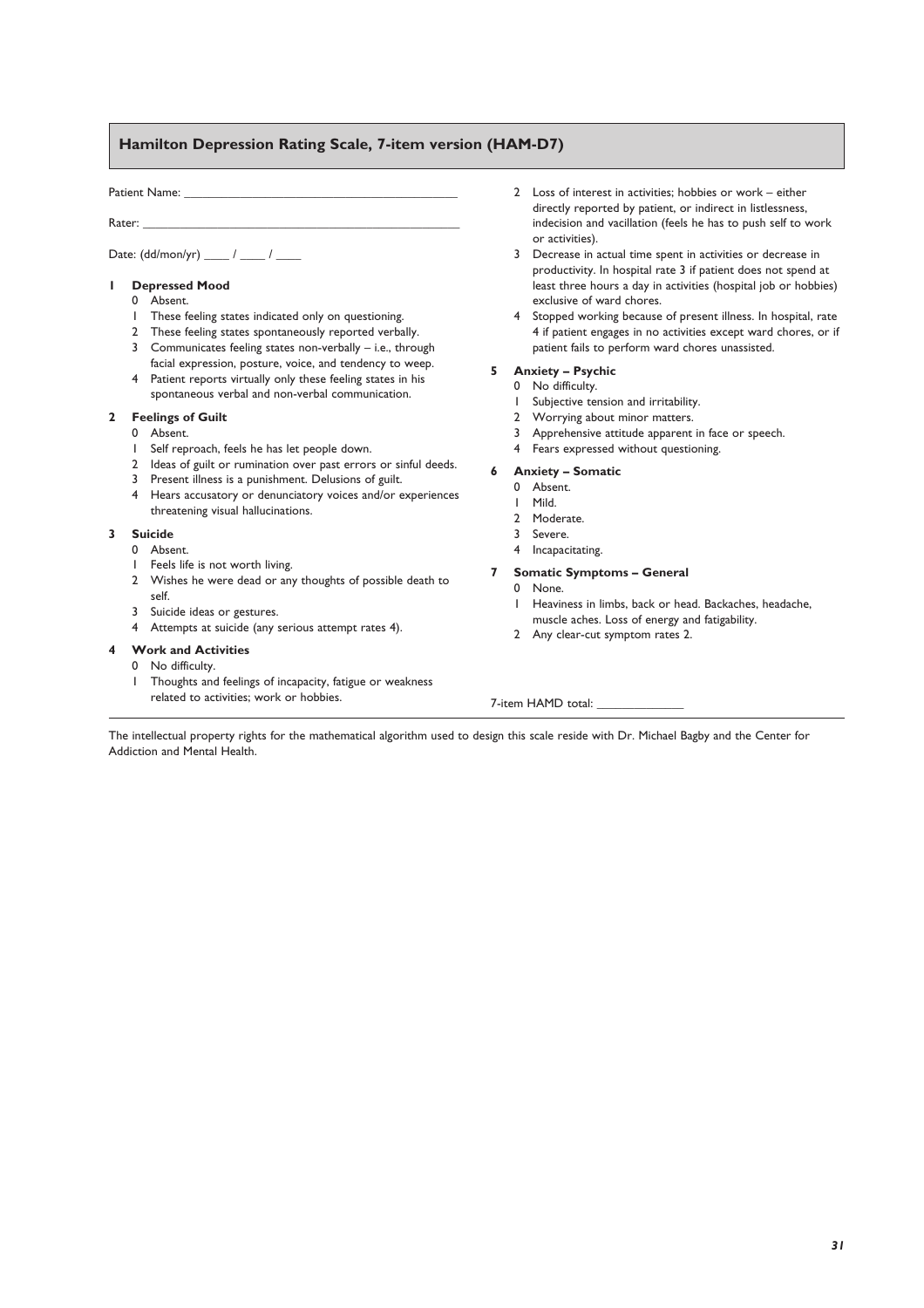## **Hamilton Depression Rating Scale, 7-item version (HAM-D7)**

Patient Name: \_

Rater: \_\_\_\_\_\_\_\_\_\_\_\_\_\_\_\_\_\_\_\_\_\_\_\_\_\_\_\_\_\_\_\_\_\_\_\_\_\_\_\_\_\_\_\_\_\_\_\_\_\_\_

Date:  $(dd/mon/yr)$  \_\_\_\_ / \_\_\_\_ / \_\_\_\_

#### **1 Depressed Mood**

- 0 Absent.
- 1 These feeling states indicated only on questioning.
- 2 These feeling states spontaneously reported verbally.
- 3 Communicates feeling states non-verbally i.e., through facial expression, posture, voice, and tendency to weep.
- 4 Patient reports virtually only these feeling states in his spontaneous verbal and non-verbal communication.

#### **2 Feelings of Guilt**

- 0 Absent.
- 1 Self reproach, feels he has let people down.
- 2 Ideas of guilt or rumination over past errors or sinful deeds.
- 3 Present illness is a punishment. Delusions of guilt.
- 4 Hears accusatory or denunciatory voices and/or experiences threatening visual hallucinations.

#### **3 Suicide**

- 0 Absent.
- 1 Feels life is not worth living.
- 2 Wishes he were dead or any thoughts of possible death to self.
- 3 Suicide ideas or gestures.
- 4 Attempts at suicide (any serious attempt rates 4).
- **4 Work and Activities**
- 0 No difficulty.
	- 1 Thoughts and feelings of incapacity, fatigue or weakness related to activities; work or hobbies.
- 2 Loss of interest in activities; hobbies or work either directly reported by patient, or indirect in listlessness, indecision and vacillation (feels he has to push self to work or activities).
- 3 Decrease in actual time spent in activities or decrease in productivity. In hospital rate 3 if patient does not spend at least three hours a day in activities (hospital job or hobbies) exclusive of ward chores.
- 4 Stopped working because of present illness. In hospital, rate 4 if patient engages in no activities except ward chores, or if patient fails to perform ward chores unassisted.

#### **5 Anxiety – Psychic**

- 0 No difficulty.
- 1 Subjective tension and irritability.
- 2 Worrying about minor matters.
- 3 Apprehensive attitude apparent in face or speech.
- 4 Fears expressed without questioning.

#### **6 Anxiety – Somatic**

- 0 Absent.
- 1 Mild.
- 2 Moderate.
- 3 Severe.
- 4 Incapacitating.

#### **7 Somatic Symptoms – General**

- 0 None. 1 Heaviness in limbs, back or head. Backaches, headache, muscle aches. Loss of energy and fatigability.
- 2 Any clear-cut symptom rates 2.

7-item HAMD total:

The intellectual property rights for the mathematical algorithm used to design this scale reside with Dr. Michael Bagby and the Center for Addiction and Mental Health.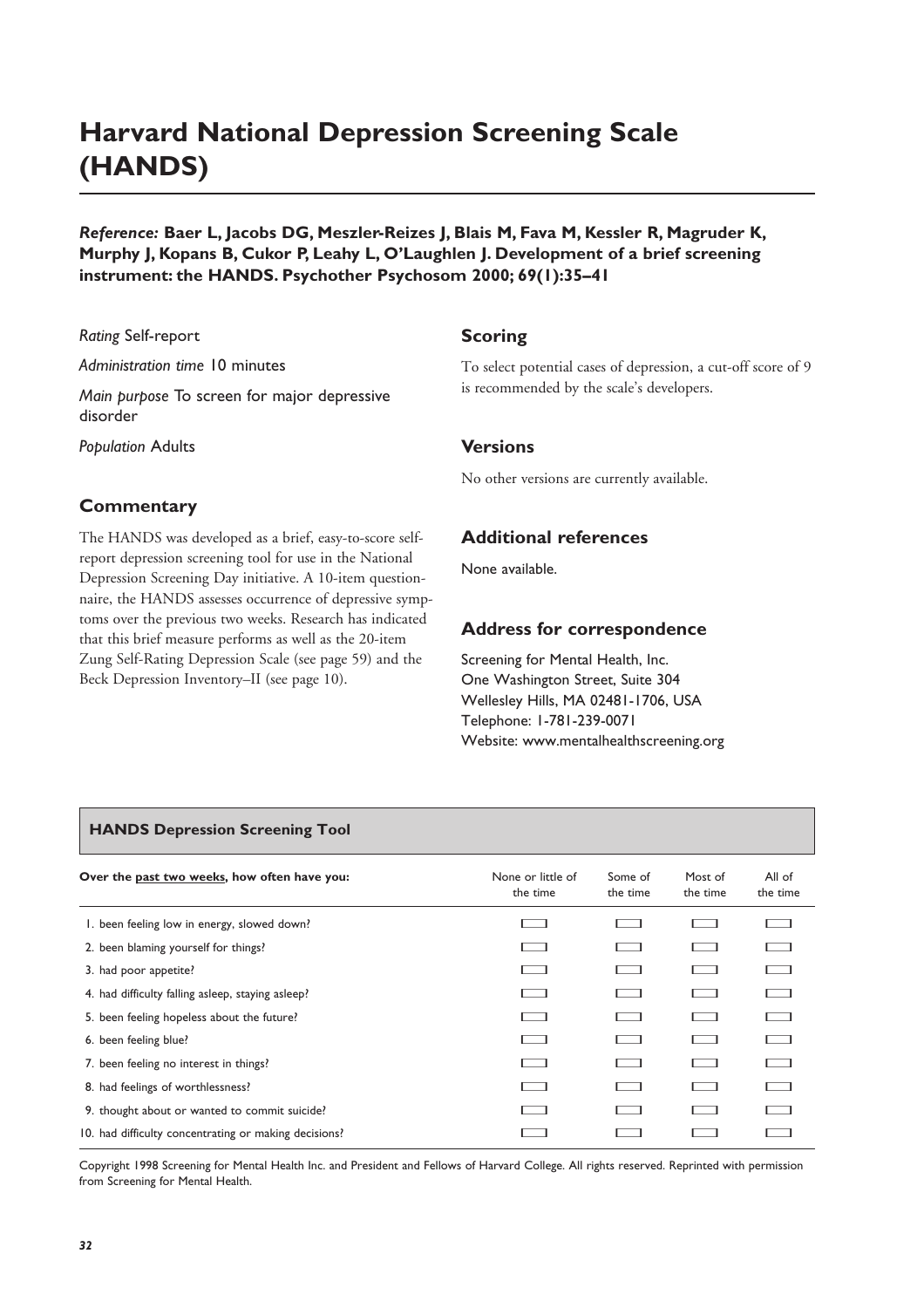# **Harvard National Depression Screening Scale (HANDS)**

*Reference:* **Baer L, Jacobs DG, Meszler-Reizes J, Blais M, Fava M, Kessler R, Magruder K, Murphy J, Kopans B, Cukor P, Leahy L, O'Laughlen J. Development of a brief screening instrument: the HANDS. Psychother Psychosom 2000; 69(1):35–41**

*Rating* Self-report

*Administration time* 10 minutes

*Main purpose* To screen for major depressive disorder

*Population* Adults

# **Commentary**

The HANDS was developed as a brief, easy-to-score selfreport depression screening tool for use in the National Depression Screening Day initiative. A 10-item questionnaire, the HANDS assesses occurrence of depressive symptoms over the previous two weeks. Research has indicated that this brief measure performs as well as the 20-item Zung Self-Rating Depression Scale (see page 59) and the Beck Depression Inventory–II (see page 10).

# **Scoring**

To select potential cases of depression, a cut-off score of 9 is recommended by the scale's developers.

# **Versions**

No other versions are currently available.

# **Additional references**

None available.

# **Address for correspondence**

Screening for Mental Health, Inc. One Washington Street, Suite 304 Wellesley Hills, MA 02481-1706, USA Telephone: 1-781-239-0071 Website: www.mentalhealthscreening.org

# **HANDS Depression Screening Tool**

| Over the past two weeks, how often have you:          | None or little of<br>the time | Some of<br>the time | Most of<br>the time | All of<br>the time |
|-------------------------------------------------------|-------------------------------|---------------------|---------------------|--------------------|
| 1. been feeling low in energy, slowed down?           |                               |                     |                     |                    |
| 2. been blaming yourself for things?                  |                               |                     |                     |                    |
| 3. had poor appetite?                                 |                               |                     |                     |                    |
| 4. had difficulty falling asleep, staying asleep?     |                               |                     |                     |                    |
| 5. been feeling hopeless about the future?            |                               |                     |                     |                    |
| 6. been feeling blue?                                 | <b>Contract</b>               |                     |                     |                    |
| 7. been feeling no interest in things?                | <b>Contract</b>               | <b>Contract</b>     | $\mathbf{I}$        | <b>Contract</b>    |
| 8. had feelings of worthlessness?                     | <b>Contract</b>               | <b>Contract</b>     | $\mathbf{I}$        |                    |
| 9. thought about or wanted to commit suicide?         | <b>Contract</b>               |                     |                     |                    |
| 10. had difficulty concentrating or making decisions? |                               |                     |                     |                    |

Copyright 1998 Screening for Mental Health Inc. and President and Fellows of Harvard College. All rights reserved. Reprinted with permission from Screening for Mental Health.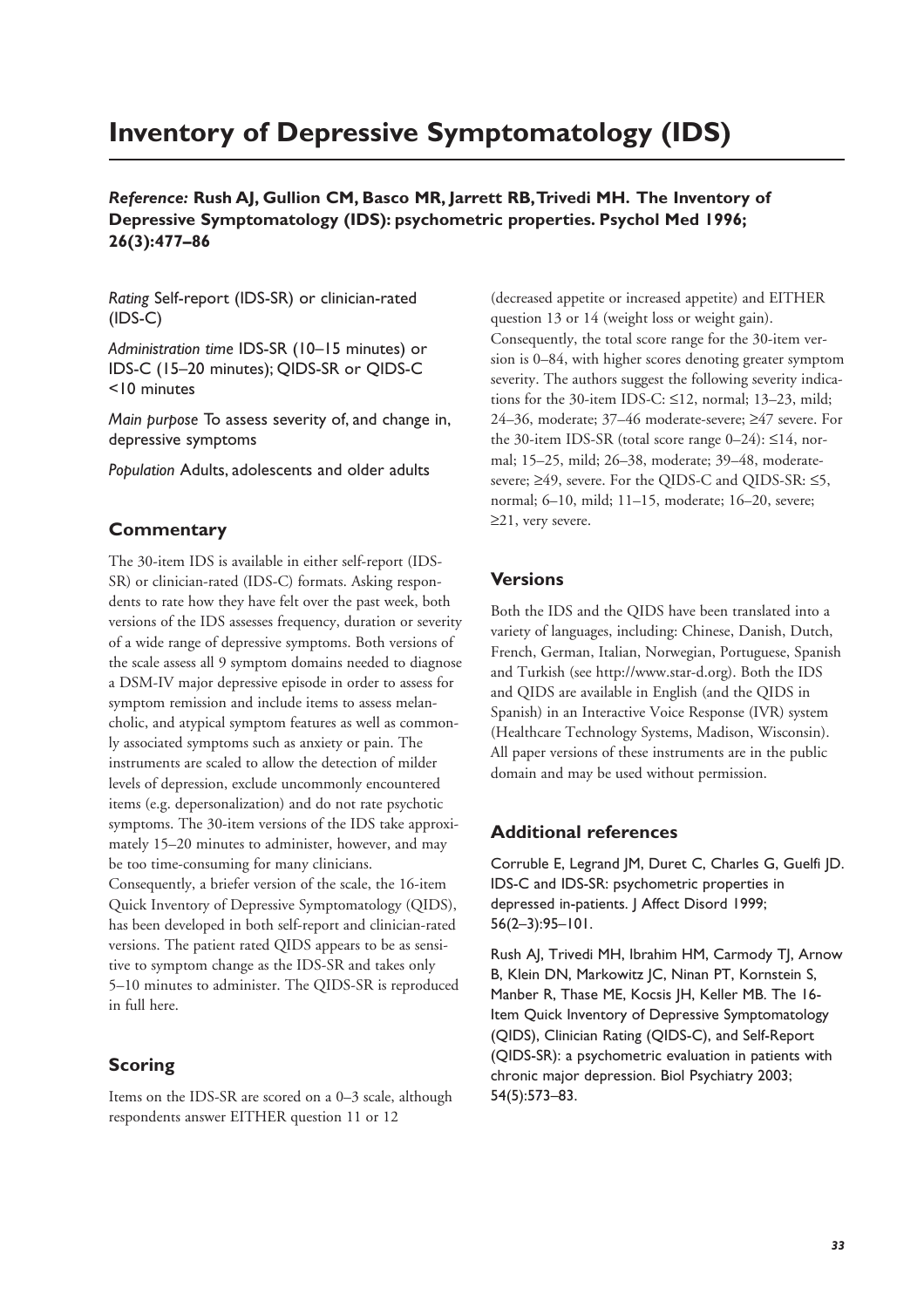# **Inventory of Depressive Symptomatology (IDS)**

*Reference:* **Rush AJ, Gullion CM, Basco MR, Jarrett RB,Trivedi MH. The Inventory of Depressive Symptomatology (IDS): psychometric properties. Psychol Med 1996; 26(3):477–86**

*Rating* Self-report (IDS-SR) or clinician-rated (IDS-C)

*Administration time* IDS-SR (10–15 minutes) or IDS-C (15–20 minutes); QIDS-SR or QIDS-C <10 minutes

*Main purpose* To assess severity of, and change in, depressive symptoms

*Population* Adults, adolescents and older adults

# **Commentary**

The 30-item IDS is available in either self-report (IDS-SR) or clinician-rated (IDS-C) formats. Asking respondents to rate how they have felt over the past week, both versions of the IDS assesses frequency, duration or severity of a wide range of depressive symptoms. Both versions of the scale assess all 9 symptom domains needed to diagnose a DSM-IV major depressive episode in order to assess for symptom remission and include items to assess melancholic, and atypical symptom features as well as commonly associated symptoms such as anxiety or pain. The instruments are scaled to allow the detection of milder levels of depression, exclude uncommonly encountered items (e.g. depersonalization) and do not rate psychotic symptoms. The 30-item versions of the IDS take approximately 15–20 minutes to administer, however, and may be too time-consuming for many clinicians. Consequently, a briefer version of the scale, the 16-item Quick Inventory of Depressive Symptomatology (QIDS), has been developed in both self-report and clinician-rated versions. The patient rated QIDS appears to be as sensitive to symptom change as the IDS-SR and takes only 5–10 minutes to administer. The QIDS-SR is reproduced in full here.

# **Scoring**

Items on the IDS-SR are scored on a 0–3 scale, although respondents answer EITHER question 11 or 12

(decreased appetite or increased appetite) and EITHER question 13 or 14 (weight loss or weight gain). Consequently, the total score range for the 30-item version is 0–84, with higher scores denoting greater symptom severity. The authors suggest the following severity indications for the 30-item IDS-C: ≤12, normal; 13–23, mild; 24–36, moderate; 37–46 moderate-severe; ≥47 severe. For the 30-item IDS-SR (total score range  $0-24$ ):  $\leq 14$ , normal; 15–25, mild; 26–38, moderate; 39–48, moderatesevere; ≥49, severe. For the QIDS-C and QIDS-SR: ≤5, normal; 6–10, mild; 11–15, moderate; 16–20, severe; ≥21, very severe.

# **Versions**

Both the IDS and the QIDS have been translated into a variety of languages, including: Chinese, Danish, Dutch, French, German, Italian, Norwegian, Portuguese, Spanish and Turkish (see http://www.star-d.org). Both the IDS and QIDS are available in English (and the QIDS in Spanish) in an Interactive Voice Response (IVR) system (Healthcare Technology Systems, Madison, Wisconsin). All paper versions of these instruments are in the public domain and may be used without permission.

# **Additional references**

Corruble E, Legrand JM, Duret C, Charles G, Guelfi JD. IDS-C and IDS-SR: psychometric properties in depressed in-patients. J Affect Disord 1999; 56(2–3):95–101.

Rush AJ, Trivedi MH, Ibrahim HM, Carmody TJ, Arnow B, Klein DN, Markowitz JC, Ninan PT, Kornstein S, Manber R, Thase ME, Kocsis JH, Keller MB. The 16- Item Quick Inventory of Depressive Symptomatology (QIDS), Clinician Rating (QIDS-C), and Self-Report (QIDS-SR): a psychometric evaluation in patients with chronic major depression. Biol Psychiatry 2003; 54(5):573–83.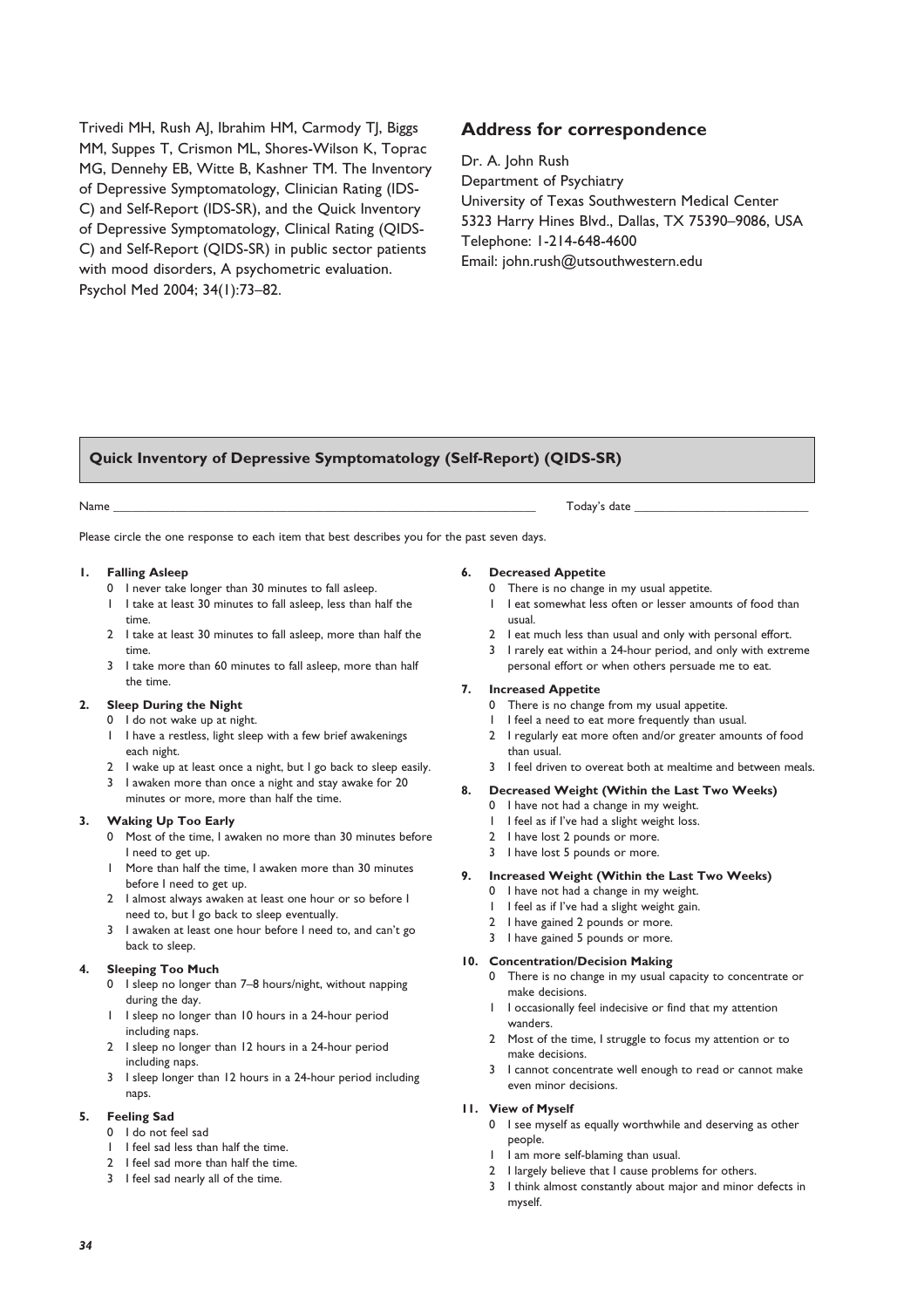Trivedi MH, Rush AJ, Ibrahim HM, Carmody TJ, Biggs MM, Suppes T, Crismon ML, Shores-Wilson K, Toprac MG, Dennehy EB, Witte B, Kashner TM. The Inventory of Depressive Symptomatology, Clinician Rating (IDS-C) and Self-Report (IDS-SR), and the Quick Inventory of Depressive Symptomatology, Clinical Rating (QIDS-C) and Self-Report (QIDS-SR) in public sector patients with mood disorders, A psychometric evaluation. Psychol Med 2004; 34(1):73–82.

# **Address for correspondence**

Dr. A. John Rush Department of Psychiatry University of Texas Southwestern Medical Center 5323 Harry Hines Blvd., Dallas, TX 75390–9086, USA Telephone: 1-214-648-4600 Email: john.rush@utsouthwestern.edu

## **Quick Inventory of Depressive Symptomatology (Self-Report) (QIDS-SR)**

Name \_\_\_\_\_\_\_\_\_\_\_\_\_\_\_\_\_\_\_\_\_\_\_\_\_\_\_\_\_\_\_\_\_\_\_\_\_\_\_\_\_\_\_\_\_\_\_\_\_\_\_\_\_\_\_\_\_\_\_\_\_\_\_\_\_\_\_\_ Today's date \_\_\_\_\_\_\_\_\_\_\_\_\_\_\_\_\_\_\_\_\_\_\_\_\_\_\_\_

Please circle the one response to each item that best describes you for the past seven days.

#### **1. Falling Asleep**

- 0 I never take longer than 30 minutes to fall asleep.
- 1 I take at least 30 minutes to fall asleep, less than half the time.
- 2 I take at least 30 minutes to fall asleep, more than half the time.
- 3 I take more than 60 minutes to fall asleep, more than half the time.

#### **2. Sleep During the Night**

- 0 I do not wake up at night.
- 1 I have a restless, light sleep with a few brief awakenings each night.
- 2 I wake up at least once a night, but I go back to sleep easily.
- 3 I awaken more than once a night and stay awake for 20 minutes or more, more than half the time.

#### **3. Waking Up Too Early**

- 0 Most of the time, I awaken no more than 30 minutes before I need to get up.
- 1 More than half the time, I awaken more than 30 minutes before I need to get up.
- 2 I almost always awaken at least one hour or so before I need to, but I go back to sleep eventually.
- 3 I awaken at least one hour before I need to, and can't go back to sleep.

#### **4. Sleeping Too Much**

- 0 I sleep no longer than 7–8 hours/night, without napping during the day.
- 1 I sleep no longer than 10 hours in a 24-hour period including naps.
- 2 I sleep no longer than 12 hours in a 24-hour period including naps.
- 3 I sleep longer than 12 hours in a 24-hour period including naps.

#### **5. Feeling Sad**

- 0 I do not feel sad
- 1 I feel sad less than half the time.
- 2 I feel sad more than half the time.
- 3 I feel sad nearly all of the time.

#### **6. Decreased Appetite**

- 0 There is no change in my usual appetite.
- 1 I eat somewhat less often or lesser amounts of food than usual.
- 2 I eat much less than usual and only with personal effort.
- 3 I rarely eat within a 24-hour period, and only with extreme personal effort or when others persuade me to eat.

#### **7. Increased Appetite**

- 0 There is no change from my usual appetite.
- 1 I feel a need to eat more frequently than usual.
- 2 I regularly eat more often and/or greater amounts of food than usual.
- 3 I feel driven to overeat both at mealtime and between meals.

#### **8. Decreased Weight (Within the Last Two Weeks)**

- 0 I have not had a change in my weight.
- 1 I feel as if I've had a slight weight loss.
- 2 I have lost 2 pounds or more.
- 3 I have lost 5 pounds or more.

#### **9. Increased Weight (Within the Last Two Weeks)**

- 0 I have not had a change in my weight.
- 1 I feel as if I've had a slight weight gain.
- 2 I have gained 2 pounds or more.
- 3 I have gained 5 pounds or more.

#### **10. Concentration/Decision Making**

- 0 There is no change in my usual capacity to concentrate or make decisions.
- 1 I occasionally feel indecisive or find that my attention wanders.
- 2 Most of the time, I struggle to focus my attention or to make decisions.
- 3 I cannot concentrate well enough to read or cannot make even minor decisions.

#### **11. View of Myself**

- 0 I see myself as equally worthwhile and deserving as other people.
- 1 I am more self-blaming than usual.
- 2 I largely believe that I cause problems for others.
- 3 I think almost constantly about major and minor defects in myself.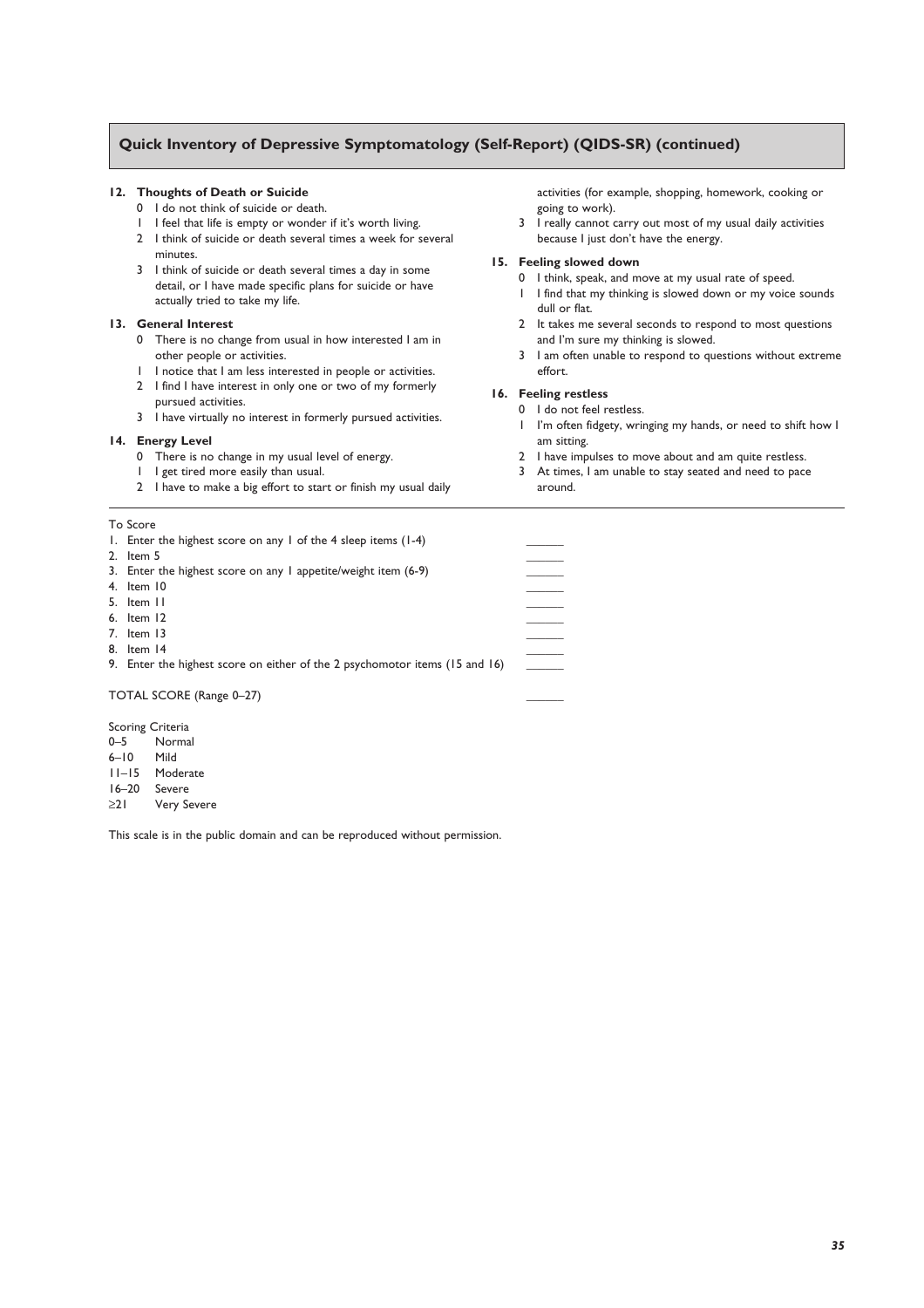## **Quick Inventory of Depressive Symptomatology (Self-Report) (QIDS-SR) (continued)**

#### **12. Thoughts of Death or Suicide**

- 0 I do not think of suicide or death.
- 1 I feel that life is empty or wonder if it's worth living.
- 2 I think of suicide or death several times a week for several minutes.
- 3 I think of suicide or death several times a day in some detail, or I have made specific plans for suicide or have actually tried to take my life.

#### **13. General Interest**

- 0 There is no change from usual in how interested I am in other people or activities.
- 1 I notice that I am less interested in people or activities.
- 2 I find I have interest in only one or two of my formerly pursued activities.
- 3 I have virtually no interest in formerly pursued activities.

#### **14. Energy Level**

- 0 There is no change in my usual level of energy.
- 1 I get tired more easily than usual.
- 2 I have to make a big effort to start or finish my usual daily

activities (for example, shopping, homework, cooking or going to work).

3 I really cannot carry out most of my usual daily activities because I just don't have the energy.

#### **15. Feeling slowed down**

- 0 I think, speak, and move at my usual rate of speed.
- 1 I find that my thinking is slowed down or my voice sounds dull or flat.
- 2 It takes me several seconds to respond to most questions and I'm sure my thinking is slowed.
- 3 I am often unable to respond to questions without extreme effort.

#### **16. Feeling restless**

- 0 I do not feel restless.
- 1 I'm often fidgety, wringing my hands, or need to shift how I am sitting.
- 2 I have impulses to move about and am quite restless.
- 3 At times, I am unable to stay seated and need to pace around.

#### $To S$

| To Score                                                         |  |
|------------------------------------------------------------------|--|
| 1. Enter the highest score on any 1 of the 4 sleep items $(1-4)$ |  |
| 2. Item 5                                                        |  |
| 3. Enter the highest score on any 1 appetite/weight item (6-9)   |  |
| 4. Item 10                                                       |  |
| 5. Item $H$                                                      |  |
| 6. Item 12                                                       |  |
| 7. Item 13                                                       |  |
| 8. Item 14                                                       |  |

9. Enter the highest score on either of the 2 psychomotor items (15 and 16)

TOTAL SCORE (Range 0-27)

Scoring Criteria<br>0.5 Norms

| $0 - 5$  | Normal |
|----------|--------|
| $6 - 10$ | Mild   |

- 11–15 Moderate
- 16–20 Severe
- ≥21 Very Severe

This scale is in the public domain and can be reproduced without permission.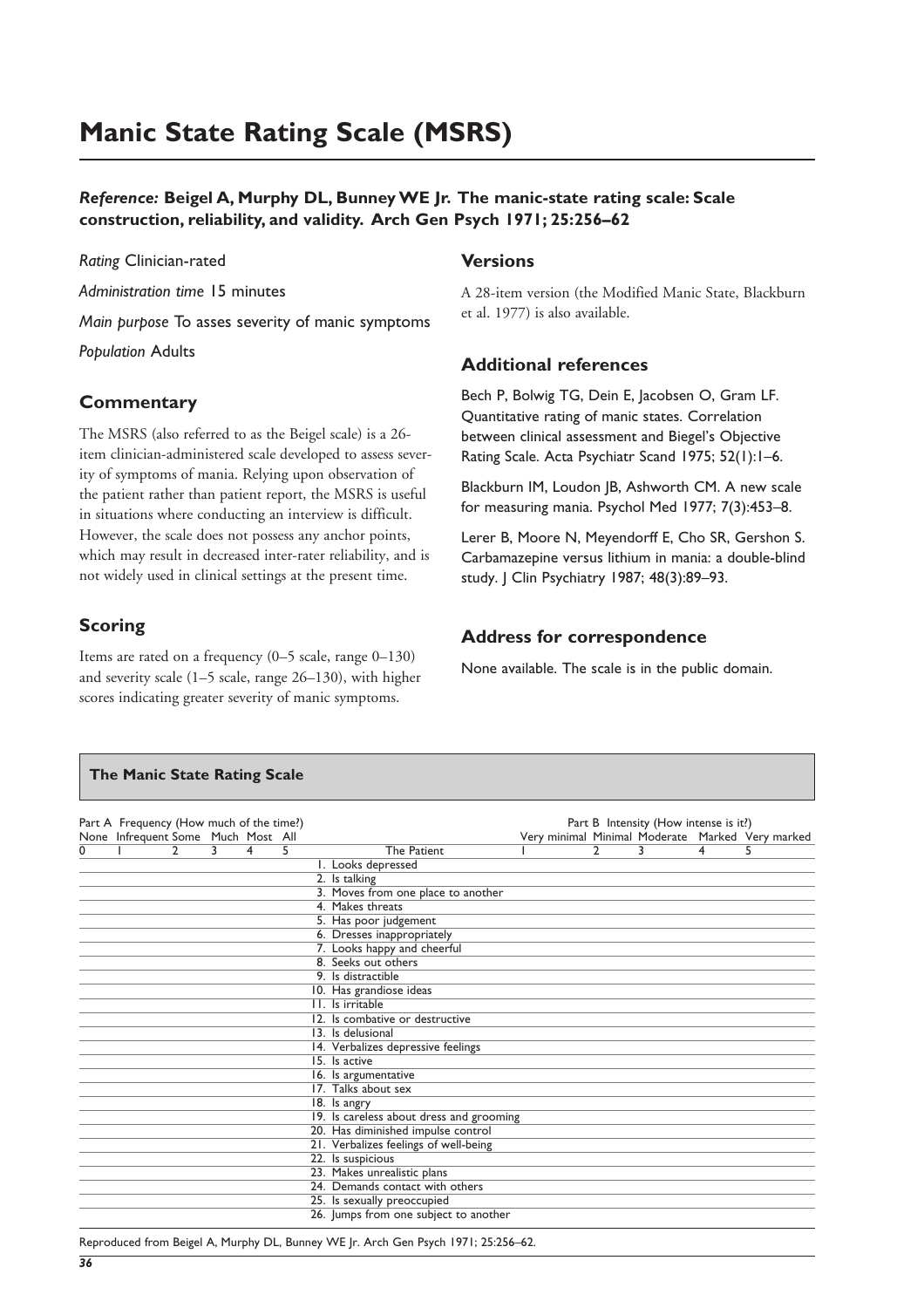# **Manic State Rating Scale (MSRS)**

# *Reference:* **Beigel A, Murphy DL, Bunney WE Jr. The manic-state rating scale: Scale construction, reliability, and validity. Arch Gen Psych 1971; 25:256–62**

*Rating* Clinician-rated

*Administration time* 15 minutes

*Main purpose* To asses severity of manic symptoms

*Population* Adults

# **Versions**

A 28-item version (the Modified Manic State, Blackburn et al. 1977) is also available.

# **Additional references**

**Commentary**

The MSRS (also referred to as the Beigel scale) is a 26 item clinician-administered scale developed to assess severity of symptoms of mania. Relying upon observation of the patient rather than patient report, the MSRS is useful in situations where conducting an interview is difficult. However, the scale does not possess any anchor points, which may result in decreased inter-rater reliability, and is not widely used in clinical settings at the present time.

# **Scoring**

Items are rated on a frequency (0–5 scale, range 0–130) and severity scale (1–5 scale, range 26–130), with higher scores indicating greater severity of manic symptoms.

**The Manic State Rating Scale**

Bech P, Bolwig TG, Dein E, Jacobsen O, Gram LF. Quantitative rating of manic states. Correlation between clinical assessment and Biegel's Objective Rating Scale. Acta Psychiatr Scand 1975; 52(1):1–6.

Blackburn IM, Loudon IB, Ashworth CM, A new scale for measuring mania. Psychol Med 1977; 7(3):453–8.

Lerer B, Moore N, Meyendorff E, Cho SR, Gershon S. Carbamazepine versus lithium in mania: a double-blind study. J Clin Psychiatry 1987; 48(3):89–93.

# **Address for correspondence**

None available. The scale is in the public domain.

|   | Part A Frequency (How much of the time?) |                |                |   |   |                                          |  |               | Part B Intensity (How intense is it?) |                |                                                  |
|---|------------------------------------------|----------------|----------------|---|---|------------------------------------------|--|---------------|---------------------------------------|----------------|--------------------------------------------------|
|   | None Infrequent Some Much Most All       |                |                |   |   |                                          |  |               |                                       |                | Very minimal Minimal Moderate Marked Very marked |
| 0 |                                          | $\overline{2}$ | $\overline{3}$ | 4 | 5 | <b>The Patient</b>                       |  | $\mathcal{P}$ | $\overline{3}$                        | $\overline{4}$ | 5                                                |
|   |                                          |                |                |   |   | 1. Looks depressed                       |  |               |                                       |                |                                                  |
|   |                                          |                |                |   |   | 2. Is talking                            |  |               |                                       |                |                                                  |
|   |                                          |                |                |   |   | 3. Moves from one place to another       |  |               |                                       |                |                                                  |
|   |                                          |                |                |   |   | 4. Makes threats                         |  |               |                                       |                |                                                  |
|   |                                          |                |                |   |   | 5. Has poor judgement                    |  |               |                                       |                |                                                  |
|   |                                          |                |                |   |   | 6. Dresses inappropriately               |  |               |                                       |                |                                                  |
|   |                                          |                |                |   |   | 7. Looks happy and cheerful              |  |               |                                       |                |                                                  |
|   |                                          |                |                |   |   | 8. Seeks out others                      |  |               |                                       |                |                                                  |
|   |                                          |                |                |   |   | 9. Is distractible                       |  |               |                                       |                |                                                  |
|   |                                          |                |                |   |   | 10. Has grandiose ideas                  |  |               |                                       |                |                                                  |
|   |                                          |                |                |   |   | 11. Is irritable                         |  |               |                                       |                |                                                  |
|   |                                          |                |                |   |   | 12. Is combative or destructive          |  |               |                                       |                |                                                  |
|   |                                          |                |                |   |   | 13. Is delusional                        |  |               |                                       |                |                                                  |
|   |                                          |                |                |   |   | 14. Verbalizes depressive feelings       |  |               |                                       |                |                                                  |
|   |                                          |                |                |   |   | 15. Is active                            |  |               |                                       |                |                                                  |
|   |                                          |                |                |   |   | 16. Is argumentative                     |  |               |                                       |                |                                                  |
|   |                                          |                |                |   |   | 17. Talks about sex                      |  |               |                                       |                |                                                  |
|   |                                          |                |                |   |   | 18. Is angry                             |  |               |                                       |                |                                                  |
|   |                                          |                |                |   |   | 19. Is careless about dress and grooming |  |               |                                       |                |                                                  |
|   |                                          |                |                |   |   | 20. Has diminished impulse control       |  |               |                                       |                |                                                  |
|   |                                          |                |                |   |   | 21. Verbalizes feelings of well-being    |  |               |                                       |                |                                                  |
|   |                                          |                |                |   |   | 22. Is suspicious                        |  |               |                                       |                |                                                  |
|   |                                          |                |                |   |   | 23. Makes unrealistic plans              |  |               |                                       |                |                                                  |
|   |                                          |                |                |   |   | 24. Demands contact with others          |  |               |                                       |                |                                                  |
|   |                                          |                |                |   |   | 25. Is sexually preoccupied              |  |               |                                       |                |                                                  |
|   |                                          |                |                |   |   | 26. Jumps from one subject to another    |  |               |                                       |                |                                                  |
|   |                                          |                |                |   |   |                                          |  |               |                                       |                |                                                  |

#### Reproduced from Beigel A, Murphy DL, Bunney WE Jr. Arch Gen Psych 1971; 25:256–62.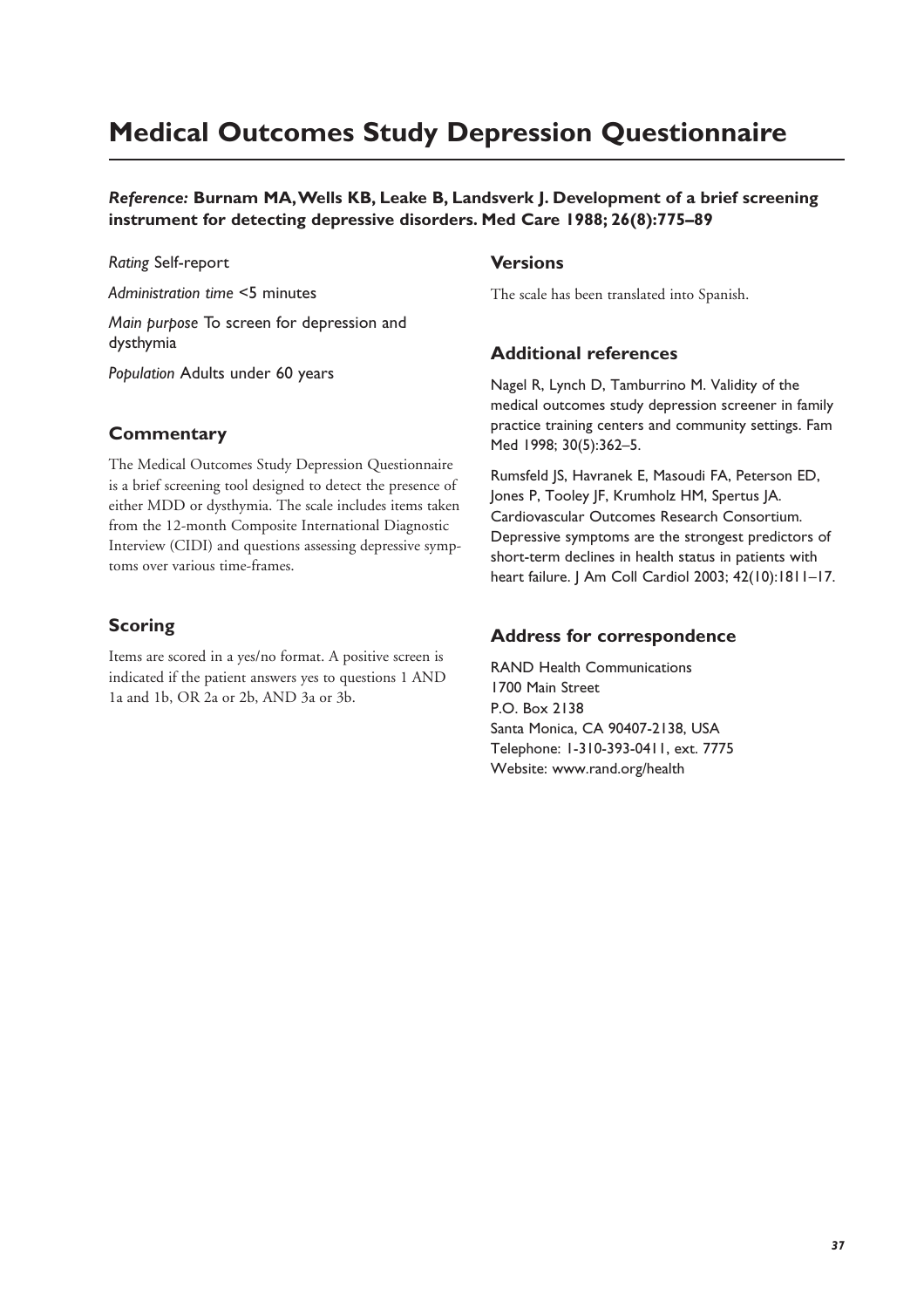# **Medical Outcomes Study Depression Questionnaire**

# *Reference:* **Burnam MA,Wells KB, Leake B, Landsverk J. Development of a brief screening instrument for detecting depressive disorders. Med Care 1988; 26(8):775–89**

*Rating* Self-report

*Administration time* <5 minutes

*Main purpose* To screen for depression and dysthymia

*Population* Adults under 60 years

# **Commentary**

The Medical Outcomes Study Depression Questionnaire is a brief screening tool designed to detect the presence of either MDD or dysthymia. The scale includes items taken from the 12-month Composite International Diagnostic Interview (CIDI) and questions assessing depressive symptoms over various time-frames.

# **Scoring**

Items are scored in a yes/no format. A positive screen is indicated if the patient answers yes to questions 1 AND 1a and 1b, OR 2a or 2b, AND 3a or 3b.

# **Versions**

The scale has been translated into Spanish.

## **Additional references**

Nagel R, Lynch D, Tamburrino M. Validity of the medical outcomes study depression screener in family practice training centers and community settings. Fam Med 1998; 30(5):362–5.

Rumsfeld JS, Havranek E, Masoudi FA, Peterson ED, Jones P, Tooley JF, Krumholz HM, Spertus JA. Cardiovascular Outcomes Research Consortium. Depressive symptoms are the strongest predictors of short-term declines in health status in patients with heart failure. J Am Coll Cardiol 2003; 42(10):1811–17.

## **Address for correspondence**

RAND Health Communications 1700 Main Street P.O. Box 2138 Santa Monica, CA 90407-2138, USA Telephone: 1-310-393-0411, ext. 7775 Website: www.rand.org/health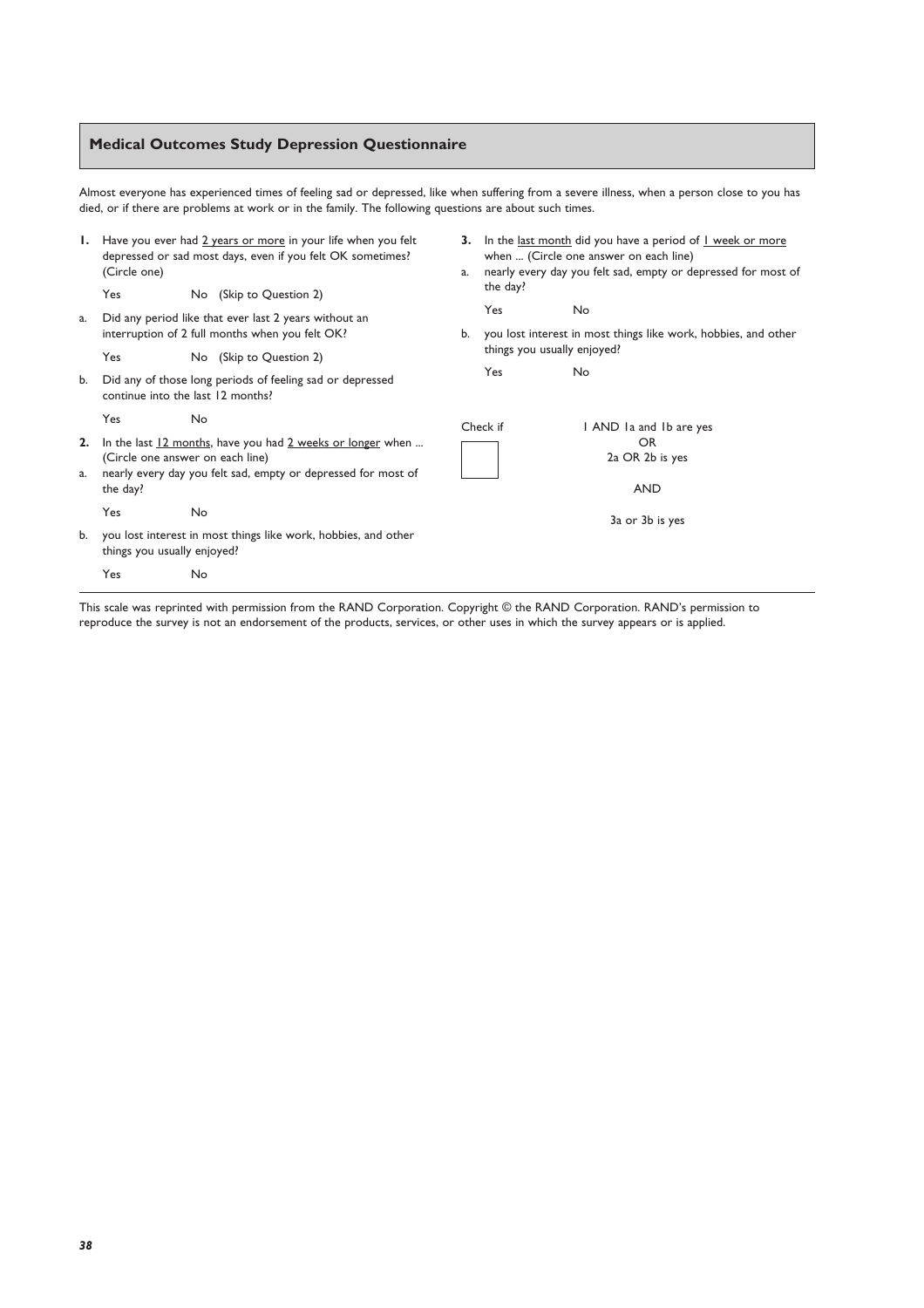## **Medical Outcomes Study Depression Questionnaire**

Almost everyone has experienced times of feeling sad or depressed, like when suffering from a severe illness, when a person close to you has died, or if there are problems at work or in the family. The following questions are about such times.

|    | (Circle one)                | I. Have you ever had 2 years or more in your life when you felt<br>depressed or sad most days, even if you felt OK sometimes? | 3.<br>a. |          | In the last month did you have a period of I week or more<br>when  (Circle one answer on each line)<br>nearly every day you felt sad, empty or depressed for most of |
|----|-----------------------------|-------------------------------------------------------------------------------------------------------------------------------|----------|----------|----------------------------------------------------------------------------------------------------------------------------------------------------------------------|
|    | Yes                         | (Skip to Question 2)<br>No.                                                                                                   |          | the day? |                                                                                                                                                                      |
| a. |                             | Did any period like that ever last 2 years without an                                                                         |          | Yes      | No                                                                                                                                                                   |
|    |                             | interruption of 2 full months when you felt OK?                                                                               |          |          | b. you lost interest in most things like work, hobbies, and other                                                                                                    |
|    | Yes                         | No (Skip to Question 2)                                                                                                       |          |          | things you usually enjoyed?                                                                                                                                          |
| b. |                             | Did any of those long periods of feeling sad or depressed<br>continue into the last 12 months?                                |          | Yes      | No                                                                                                                                                                   |
|    | Yes                         | No.                                                                                                                           |          | Check if | I AND Ia and Ib are yes                                                                                                                                              |
|    |                             | 2. In the last 12 months, have you had 2 weeks or longer when                                                                 |          |          | <b>OR</b>                                                                                                                                                            |
|    |                             | (Circle one answer on each line)                                                                                              |          |          | 2a OR 2b is yes                                                                                                                                                      |
| a. | the day?                    | nearly every day you felt sad, empty or depressed for most of                                                                 |          |          | <b>AND</b>                                                                                                                                                           |
|    | Yes                         | No                                                                                                                            |          |          | 3a or 3b is yes                                                                                                                                                      |
|    | things you usually enjoyed? | b. you lost interest in most things like work, hobbies, and other                                                             |          |          |                                                                                                                                                                      |
|    | Yes                         | No                                                                                                                            |          |          |                                                                                                                                                                      |
|    |                             |                                                                                                                               |          |          |                                                                                                                                                                      |

This scale was reprinted with permission from the RAND Corporation. Copyright © the RAND Corporation. RAND's permission to reproduce the survey is not an endorsement of the products, services, or other uses in which the survey appears or is applied.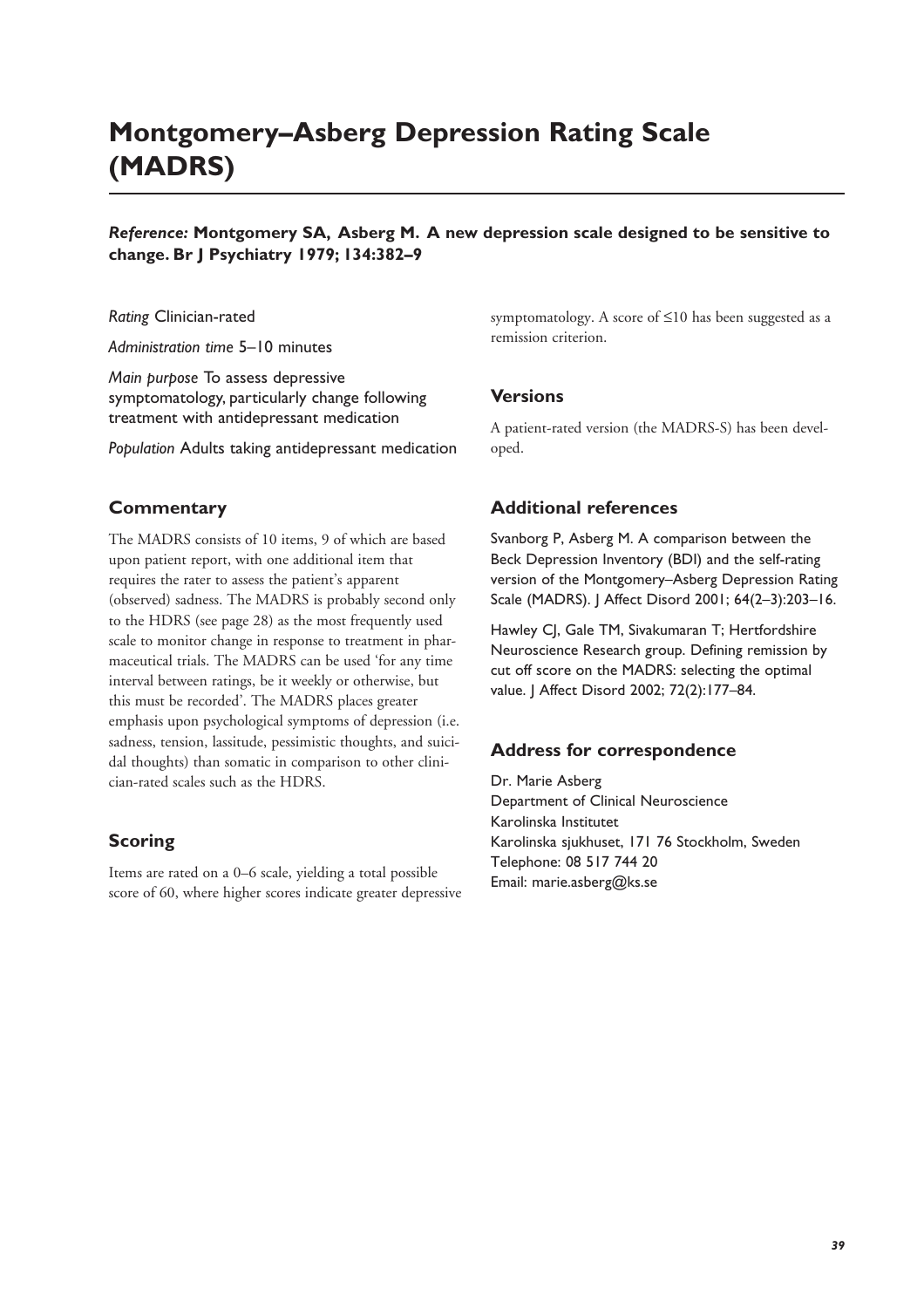# **Montgomery–Asberg Depression Rating Scale (MADRS)**

*Reference:* **Montgomery SA, Asberg M. A new depression scale designed to be sensitive to change. Br J Psychiatry 1979; 134:382–9**

*Rating* Clinician-rated

*Administration time* 5–10 minutes

*Main purpose* To assess depressive symptomatology, particularly change following treatment with antidepressant medication

*Population* Adults taking antidepressant medication

# **Commentary**

The MADRS consists of 10 items, 9 of which are based upon patient report, with one additional item that requires the rater to assess the patient's apparent (observed) sadness. The MADRS is probably second only to the HDRS (see page 28) as the most frequently used scale to monitor change in response to treatment in pharmaceutical trials. The MADRS can be used 'for any time interval between ratings, be it weekly or otherwise, but this must be recorded'. The MADRS places greater emphasis upon psychological symptoms of depression (i.e. sadness, tension, lassitude, pessimistic thoughts, and suicidal thoughts) than somatic in comparison to other clinician-rated scales such as the HDRS.

# **Scoring**

Items are rated on a 0–6 scale, yielding a total possible score of 60, where higher scores indicate greater depressive symptomatology. A score of  $\leq 10$  has been suggested as a remission criterion.

# **Versions**

A patient-rated version (the MADRS-S) has been developed.

# **Additional references**

Svanborg P, Asberg M. A comparison between the Beck Depression Inventory (BDI) and the self-rating version of the Montgomery–Asberg Depression Rating Scale (MADRS). J Affect Disord 2001; 64(2–3):203–16.

Hawley CJ, Gale TM, Sivakumaran T; Hertfordshire Neuroscience Research group. Defining remission by cut off score on the MADRS: selecting the optimal value. J Affect Disord 2002; 72(2):177–84.

# **Address for correspondence**

Dr. Marie Asberg Department of Clinical Neuroscience Karolinska Institutet Karolinska sjukhuset, 171 76 Stockholm, Sweden Telephone: 08 517 744 20 Email: marie.asberg@ks.se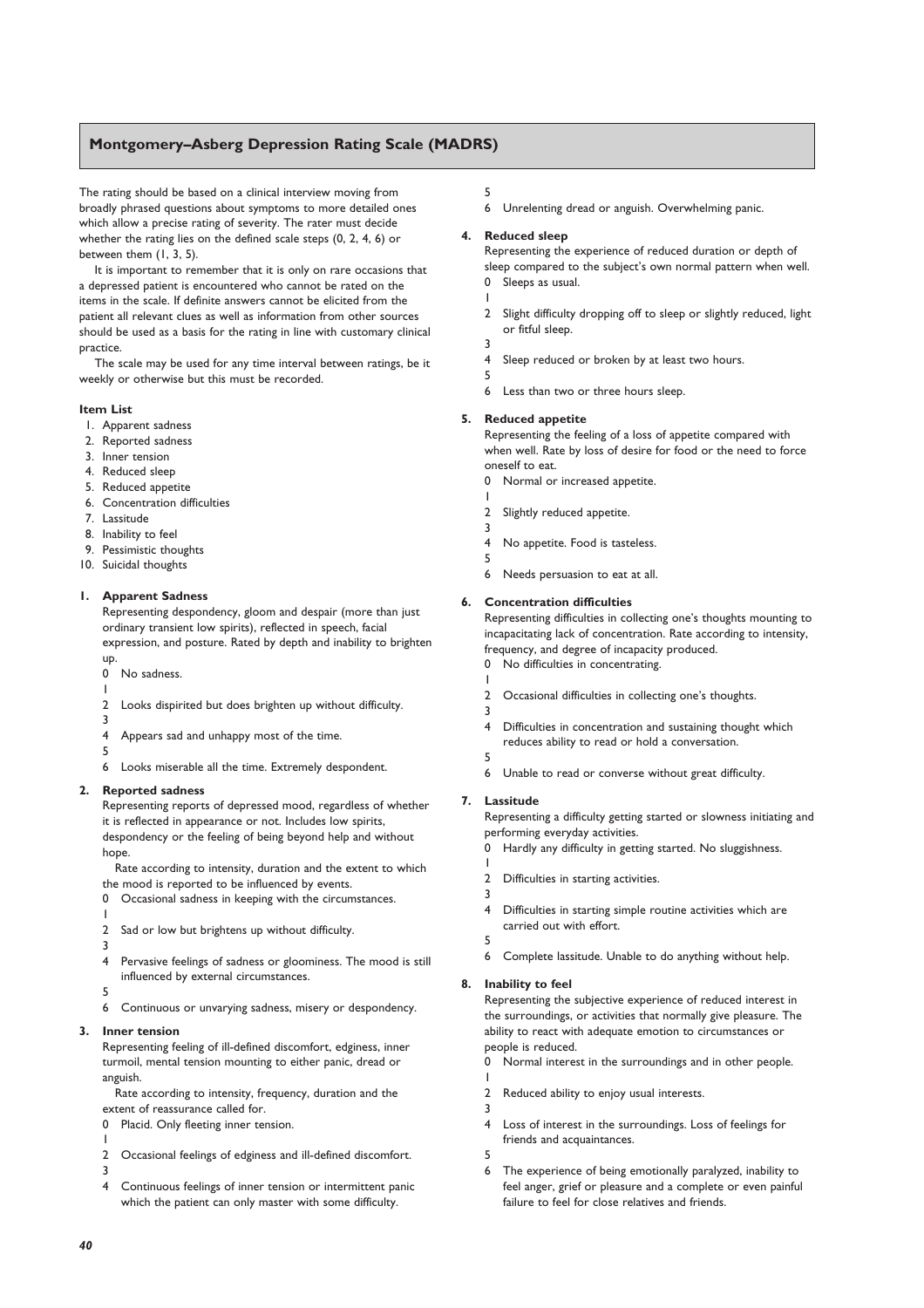## **Montgomery–Asberg Depression Rating Scale (MADRS)**

The rating should be based on a clinical interview moving from broadly phrased questions about symptoms to more detailed ones which allow a precise rating of severity. The rater must decide whether the rating lies on the defined scale steps (0, 2, 4, 6) or between them (1, 3, 5).

It is important to remember that it is only on rare occasions that a depressed patient is encountered who cannot be rated on the items in the scale. If definite answers cannot be elicited from the patient all relevant clues as well as information from other sources should be used as a basis for the rating in line with customary clinical practice.

The scale may be used for any time interval between ratings, be it weekly or otherwise but this must be recorded.

#### **Item List**

- 1. Apparent sadness
- 2. Reported sadness
- 3. Inner tension
- 4. Reduced sleep
- 5. Reduced appetite
- 6. Concentration difficulties
- 7. Lassitude
- 8. Inability to feel
- 9. Pessimistic thoughts
- 10. Suicidal thoughts

#### **1. Apparent Sadness**

Representing despondency, gloom and despair (more than just ordinary transient low spirits), reflected in speech, facial expression, and posture. Rated by depth and inability to brighten

up.

- 0 No sadness.
- 1
- 2 Looks dispirited but does brighten up without difficulty.
- 3
- 4 Appears sad and unhappy most of the time.
- 5
- 6 Looks miserable all the time. Extremely despondent.

#### **2. Reported sadness**

Representing reports of depressed mood, regardless of whether it is reflected in appearance or not. Includes low spirits, despondency or the feeling of being beyond help and without hope.

Rate according to intensity, duration and the extent to which the mood is reported to be influenced by events.

- 0 Occasional sadness in keeping with the circumstances.
- 1
- 
- 2 Sad or low but brightens up without difficulty.
- 3
- 4 Pervasive feelings of sadness or gloominess. The mood is still influenced by external circumstances.
- 5
- 6 Continuous or unvarying sadness, misery or despondency.

#### **3. Inner tension**

Representing feeling of ill-defined discomfort, edginess, inner turmoil, mental tension mounting to either panic, dread or anguish.

Rate according to intensity, frequency, duration and the extent of reassurance called for.

- 0 Placid. Only fleeting inner tension.
- 1 3
- 2 Occasional feelings of edginess and ill-defined discomfort.
- 4 Continuous feelings of inner tension or intermittent panic which the patient can only master with some difficulty.
- 5
- 6 Unrelenting dread or anguish. Overwhelming panic.

#### **4. Reduced sleep**

Representing the experience of reduced duration or depth of sleep compared to the subject's own normal pattern when well.

- 0 Sleeps as usual.
- 1
- 2 Slight difficulty dropping off to sleep or slightly reduced, light or fitful sleep.
- 3
- 4 Sleep reduced or broken by at least two hours.
- 5 6 Less than two or three hours sleep.

#### **5. Reduced appetite**

Representing the feeling of a loss of appetite compared with when well. Rate by loss of desire for food or the need to force oneself to eat.

- 0 Normal or increased appetite.
- 1 2 Slightly reduced appetite.
- 3
- 4 No appetite. Food is tasteless.
- 5
- 6 Needs persuasion to eat at all.

#### **6. Concentration difficulties**

Representing difficulties in collecting one's thoughts mounting to incapacitating lack of concentration. Rate according to intensity, frequency, and degree of incapacity produced.

- 0 No difficulties in concentrating.
- 1
- 2 Occasional difficulties in collecting one's thoughts.
- 3
- 4 Difficulties in concentration and sustaining thought which reduces ability to read or hold a conversation. 5
	-
- 6 Unable to read or converse without great difficulty.

#### **7. Lassitude**

Representing a difficulty getting started or slowness initiating and performing everyday activities.

- 0 Hardly any difficulty in getting started. No sluggishness.
- 

1

- 2 Difficulties in starting activities.
- 3
- 4 Difficulties in starting simple routine activities which are carried out with effort.
- 5
- 6 Complete lassitude. Unable to do anything without help.

#### **8. Inability to feel**

Representing the subjective experience of reduced interest in the surroundings, or activities that normally give pleasure. The ability to react with adequate emotion to circumstances or people is reduced.

- 0 Normal interest in the surroundings and in other people.
- 1

3

- 2 Reduced ability to enjoy usual interests.
	-
- 4 Loss of interest in the surroundings. Loss of feelings for friends and acquaintances.

5

6 The experience of being emotionally paralyzed, inability to feel anger, grief or pleasure and a complete or even painful failure to feel for close relatives and friends.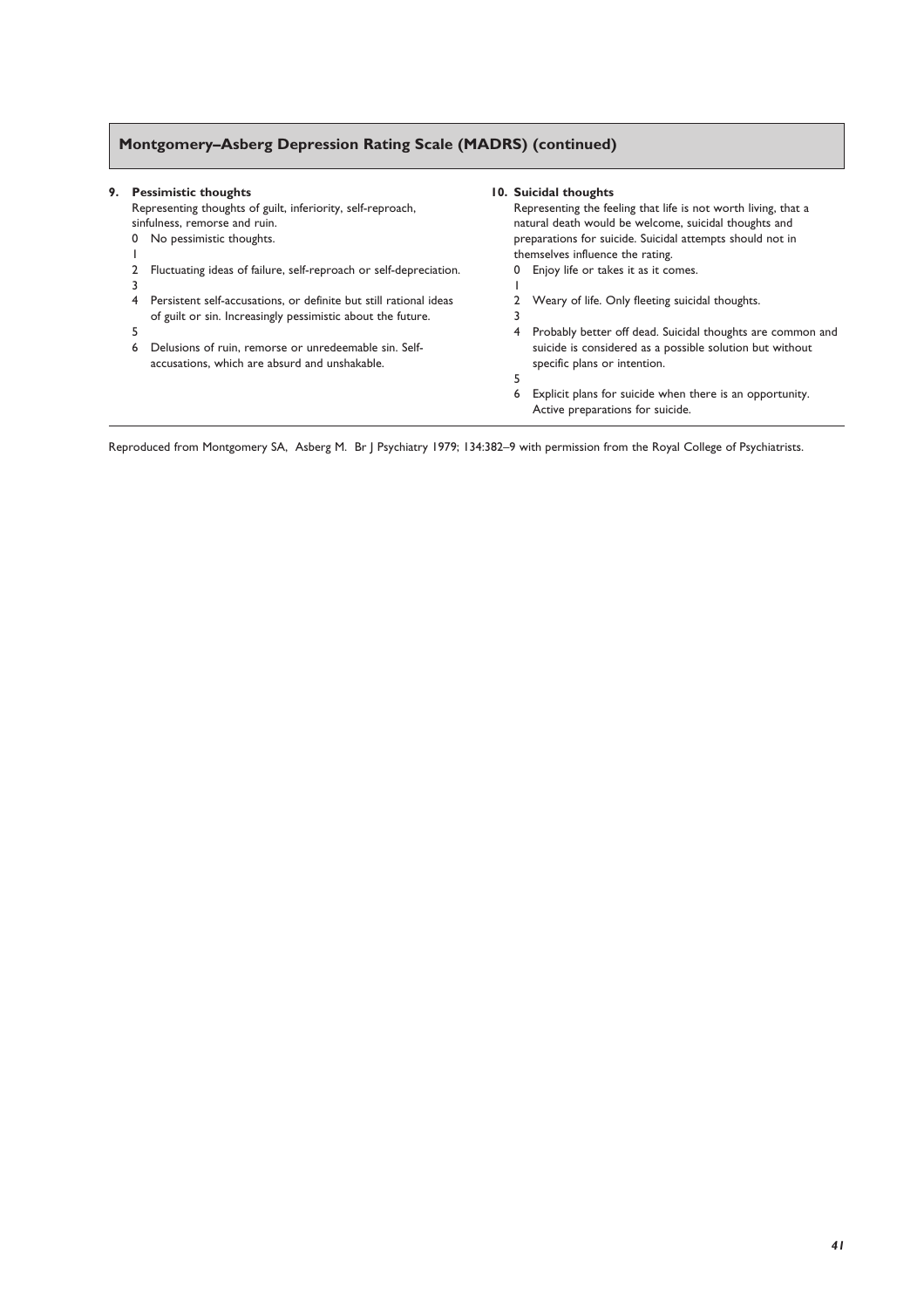# **Montgomery–Asberg Depression Rating Scale (MADRS) (continued)**

#### **9. Pessimistic thoughts** Representing thoughts of guilt, inferiority, self-reproach, sinfulness, remorse and ruin. 0 No pessimistic thoughts. 1 2 Fluctuating ideas of failure, self-reproach or self-depreciation.  $\frac{3}{4}$ Persistent self-accusations, or definite but still rational ideas of guilt or sin. Increasingly pessimistic about the future. 5 6 Delusions of ruin, remorse or unredeemable sin. Self-**10. Suicidal thoughts** themselves influence the rating. 0 Enjoy life or takes it as it comes.  $\frac{1}{2}$ 3

accusations, which are absurd and unshakable.

Representing the feeling that life is not worth living, that a natural death would be welcome, suicidal thoughts and preparations for suicide. Suicidal attempts should not in

- 
- Weary of life. Only fleeting suicidal thoughts.
- 4 Probably better off dead. Suicidal thoughts are common and suicide is considered as a possible solution but without specific plans or intention.
- 5
- 6 Explicit plans for suicide when there is an opportunity. Active preparations for suicide.

Reproduced from Montgomery SA, Asberg M. Br J Psychiatry 1979; 134:382–9 with permission from the Royal College of Psychiatrists.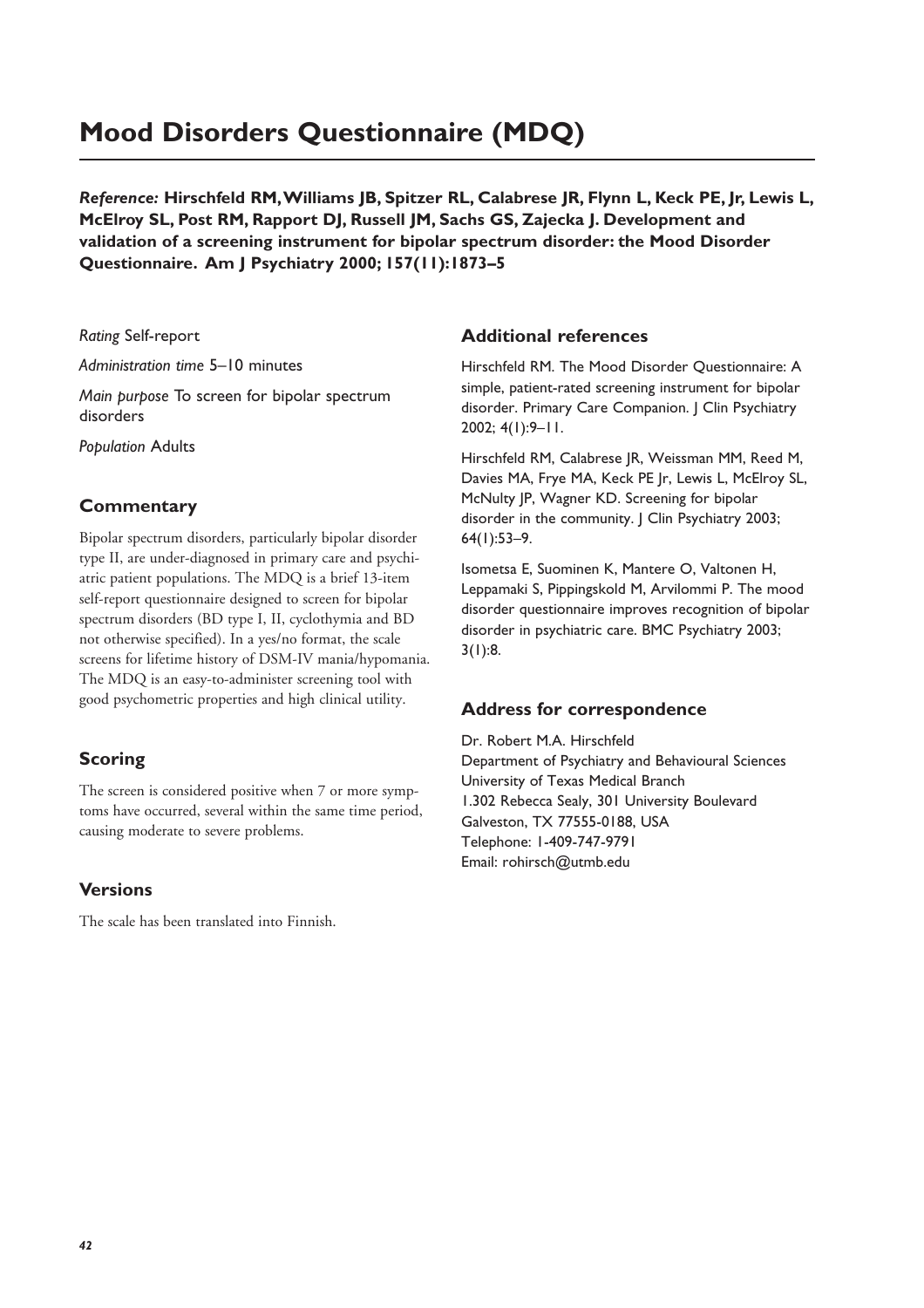# **Mood Disorders Questionnaire (MDQ)**

*Reference:* **Hirschfeld RM,Williams JB, Spitzer RL, Calabrese JR, Flynn L, Keck PE, Jr, Lewis L, McElroy SL, Post RM, Rapport DJ, Russell JM, Sachs GS, Zajecka J. Development and validation of a screening instrument for bipolar spectrum disorder: the Mood Disorder Questionnaire. Am J Psychiatry 2000; 157(11):1873–5**

*Rating* Self-report

*Administration time* 5–10 minutes

*Main purpose* To screen for bipolar spectrum disorders

*Population* Adults

# **Commentary**

Bipolar spectrum disorders, particularly bipolar disorder type II, are under-diagnosed in primary care and psychiatric patient populations. The MDQ is a brief 13-item self-report questionnaire designed to screen for bipolar spectrum disorders (BD type I, II, cyclothymia and BD not otherwise specified). In a yes/no format, the scale screens for lifetime history of DSM-IV mania/hypomania. The MDQ is an easy-to-administer screening tool with good psychometric properties and high clinical utility.

# **Scoring**

The screen is considered positive when 7 or more symptoms have occurred, several within the same time period, causing moderate to severe problems.

# **Versions**

The scale has been translated into Finnish.

# **Additional references**

Hirschfeld RM. The Mood Disorder Questionnaire: A simple, patient-rated screening instrument for bipolar disorder. Primary Care Companion. | Clin Psychiatry 2002; 4(1):9–11.

Hirschfeld RM, Calabrese JR, Weissman MM, Reed M, Davies MA, Frye MA, Keck PE Jr, Lewis L, McElroy SL, McNulty JP, Wagner KD. Screening for bipolar disorder in the community. J Clin Psychiatry 2003; 64(1):53–9.

Isometsa E, Suominen K, Mantere O, Valtonen H, Leppamaki S, Pippingskold M, Arvilommi P. The mood disorder questionnaire improves recognition of bipolar disorder in psychiatric care. BMC Psychiatry 2003; 3(1):8.

# **Address for correspondence**

Dr. Robert M.A. Hirschfeld Department of Psychiatry and Behavioural Sciences University of Texas Medical Branch 1.302 Rebecca Sealy, 301 University Boulevard Galveston, TX 77555-0188, USA Telephone: 1-409-747-9791 Email: rohirsch@utmb.edu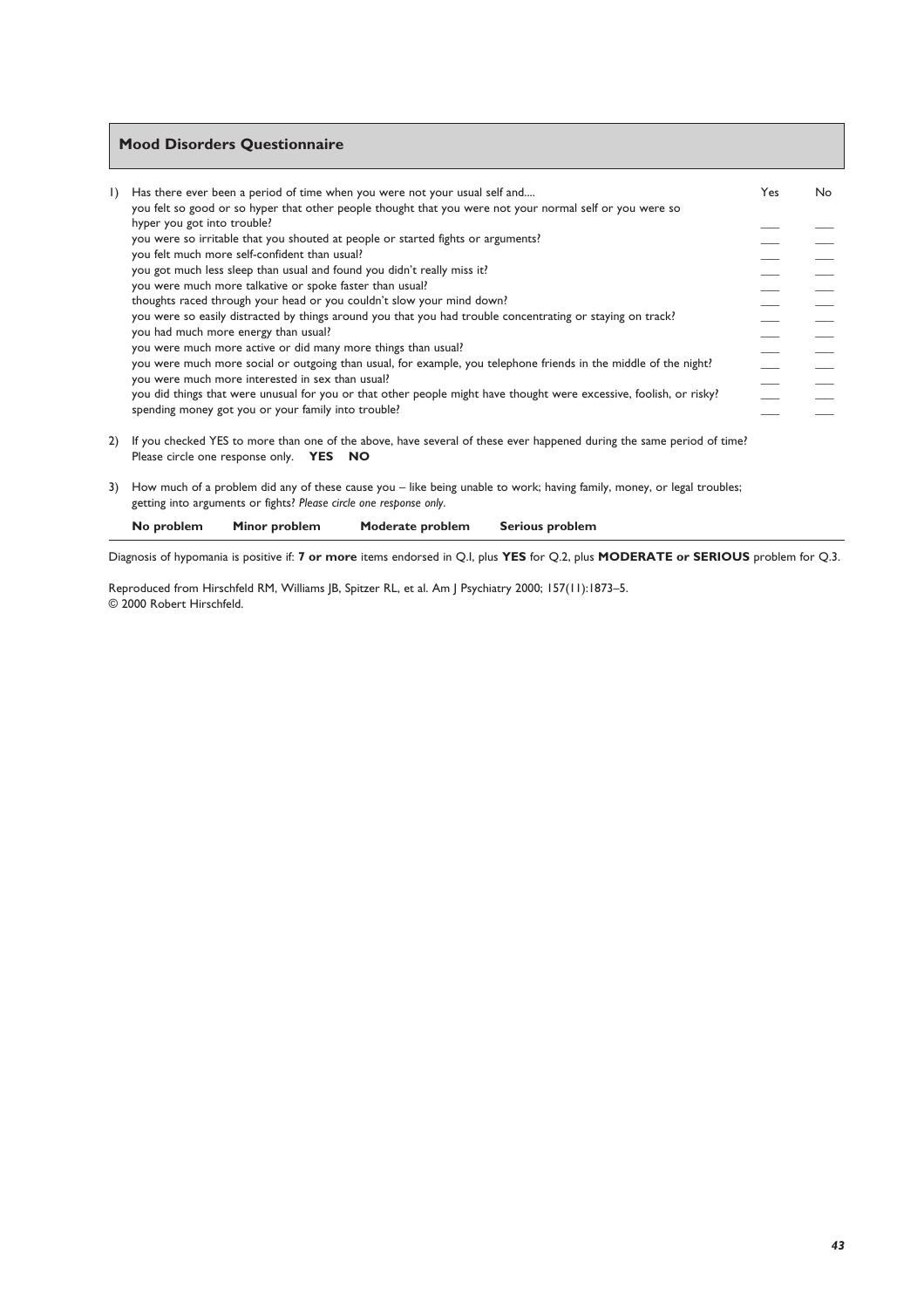#### **Mood Disorders Questionnaire**

| $\Box$ | Has there ever been a period of time when you were not your usual self and                                                | Yes | No. |
|--------|---------------------------------------------------------------------------------------------------------------------------|-----|-----|
|        | you felt so good or so hyper that other people thought that you were not your normal self or you were so                  |     |     |
|        | hyper you got into trouble?                                                                                               |     |     |
|        | you were so irritable that you shouted at people or started fights or arguments?                                          |     |     |
|        | you felt much more self-confident than usual?                                                                             |     |     |
|        | you got much less sleep than usual and found you didn't really miss it?                                                   |     |     |
|        | you were much more talkative or spoke faster than usual?                                                                  |     |     |
|        | thoughts raced through your head or you couldn't slow your mind down?                                                     |     |     |
|        | you were so easily distracted by things around you that you had trouble concentrating or staying on track?                |     |     |
|        | you had much more energy than usual?                                                                                      |     |     |
|        | you were much more active or did many more things than usual?                                                             |     |     |
|        | you were much more social or outgoing than usual, for example, you telephone friends in the middle of the night?          |     |     |
|        | you were much more interested in sex than usual?                                                                          |     |     |
|        | you did things that were unusual for you or that other people might have thought were excessive, foolish, or risky?       |     |     |
|        |                                                                                                                           |     |     |
|        | spending money got you or your family into trouble?                                                                       |     |     |
|        | 0) If the closed VFC as a searched and of the characteristic second of these conclusions of diamonds and concept of these |     |     |

- 2) If you checked YES to more than one of the above, have several of these ever happened during the same period of time? Please circle one response only. **YES NO**
- 3) How much of a problem did any of these cause you like being unable to work; having family, money, or legal troubles; getting into arguments or fights? *Please circle one response only*.

|--|

Diagnosis of hypomania is positive if: **7 or more** items endorsed in Q.I, plus **YES** for Q.2, plus **MODERATE or SERIOUS** problem for Q.3.

Reproduced from Hirschfeld RM, Williams JB, Spitzer RL, et al. Am J Psychiatry 2000; 157(11):1873–5. © 2000 Robert Hirschfeld.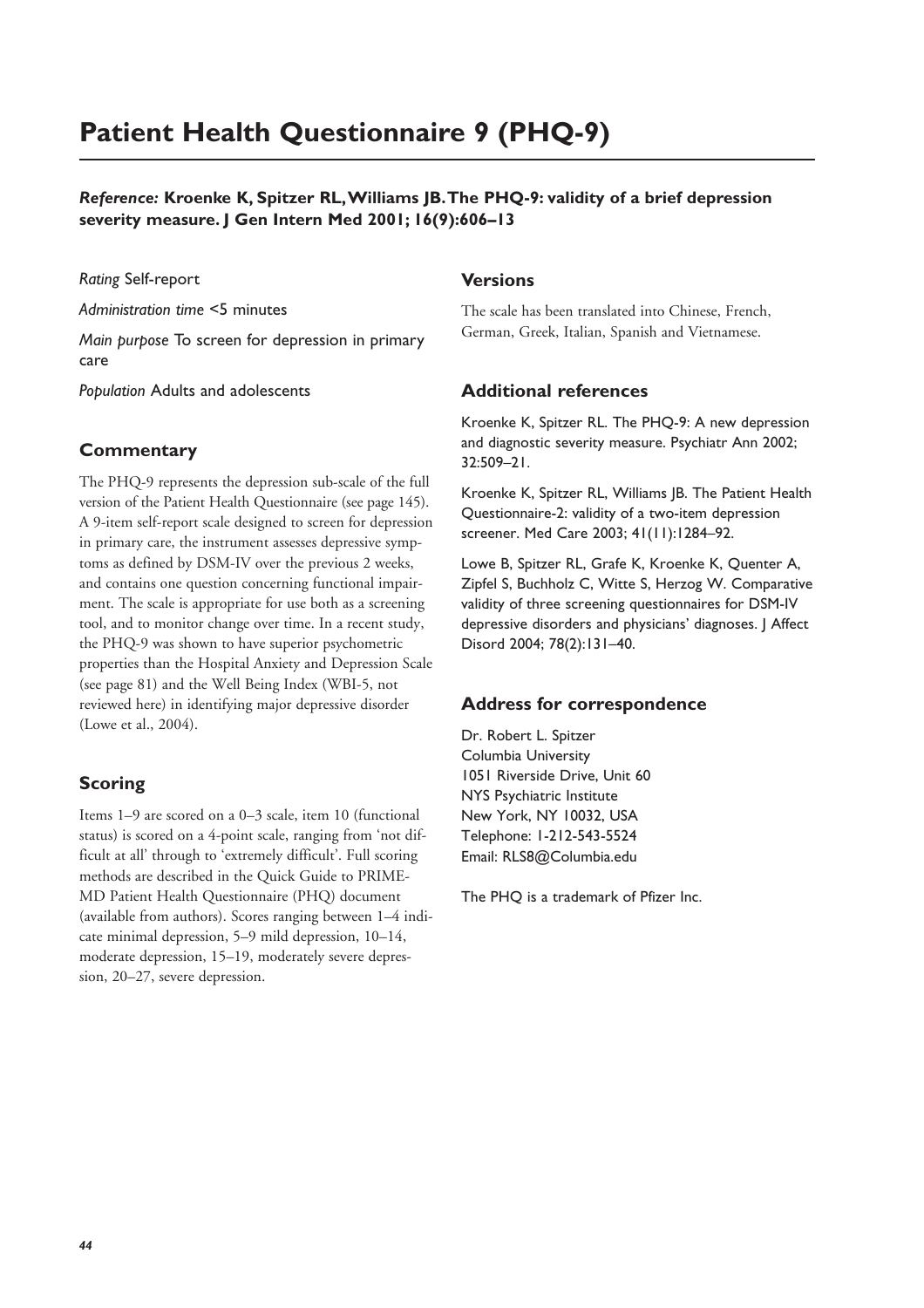# **Patient Health Questionnaire 9 (PHQ-9)**

# *Reference:* **Kroenke K, Spitzer RL,Williams JB.The PHQ-9: validity of a brief depression severity measure. J Gen Intern Med 2001; 16(9):606–13**

*Rating* Self-report

*Administration time* <5 minutes

*Main purpose* To screen for depression in primary care

*Population* Adults and adolescents

# **Commentary**

The PHQ-9 represents the depression sub-scale of the full version of the Patient Health Questionnaire (see page 145). A 9-item self-report scale designed to screen for depression in primary care, the instrument assesses depressive symptoms as defined by DSM-IV over the previous 2 weeks, and contains one question concerning functional impairment. The scale is appropriate for use both as a screening tool, and to monitor change over time. In a recent study, the PHQ-9 was shown to have superior psychometric properties than the Hospital Anxiety and Depression Scale (see page 81) and the Well Being Index (WBI-5, not reviewed here) in identifying major depressive disorder (Lowe et al., 2004).

# **Scoring**

Items 1–9 are scored on a 0–3 scale, item 10 (functional status) is scored on a 4-point scale, ranging from 'not difficult at all' through to 'extremely difficult'. Full scoring methods are described in the Quick Guide to PRIME-MD Patient Health Questionnaire (PHQ) document (available from authors). Scores ranging between 1–4 indicate minimal depression, 5–9 mild depression, 10–14, moderate depression, 15–19, moderately severe depression, 20–27, severe depression.

#### **Versions**

The scale has been translated into Chinese, French, German, Greek, Italian, Spanish and Vietnamese.

# **Additional references**

Kroenke K, Spitzer RL. The PHQ-9: A new depression and diagnostic severity measure. Psychiatr Ann 2002; 32:509–21.

Kroenke K, Spitzer RL, Williams JB. The Patient Health Questionnaire-2: validity of a two-item depression screener. Med Care 2003; 41(11):1284–92.

Lowe B, Spitzer RL, Grafe K, Kroenke K, Quenter A, Zipfel S, Buchholz C, Witte S, Herzog W. Comparative validity of three screening questionnaires for DSM-IV depressive disorders and physicians' diagnoses. J Affect Disord 2004; 78(2):131–40.

# **Address for correspondence**

Dr. Robert L. Spitzer Columbia University 1051 Riverside Drive, Unit 60 NYS Psychiatric Institute New York, NY 10032, USA Telephone: 1-212-543-5524 Email: RLS8@Columbia.edu

The PHQ is a trademark of Pfizer Inc.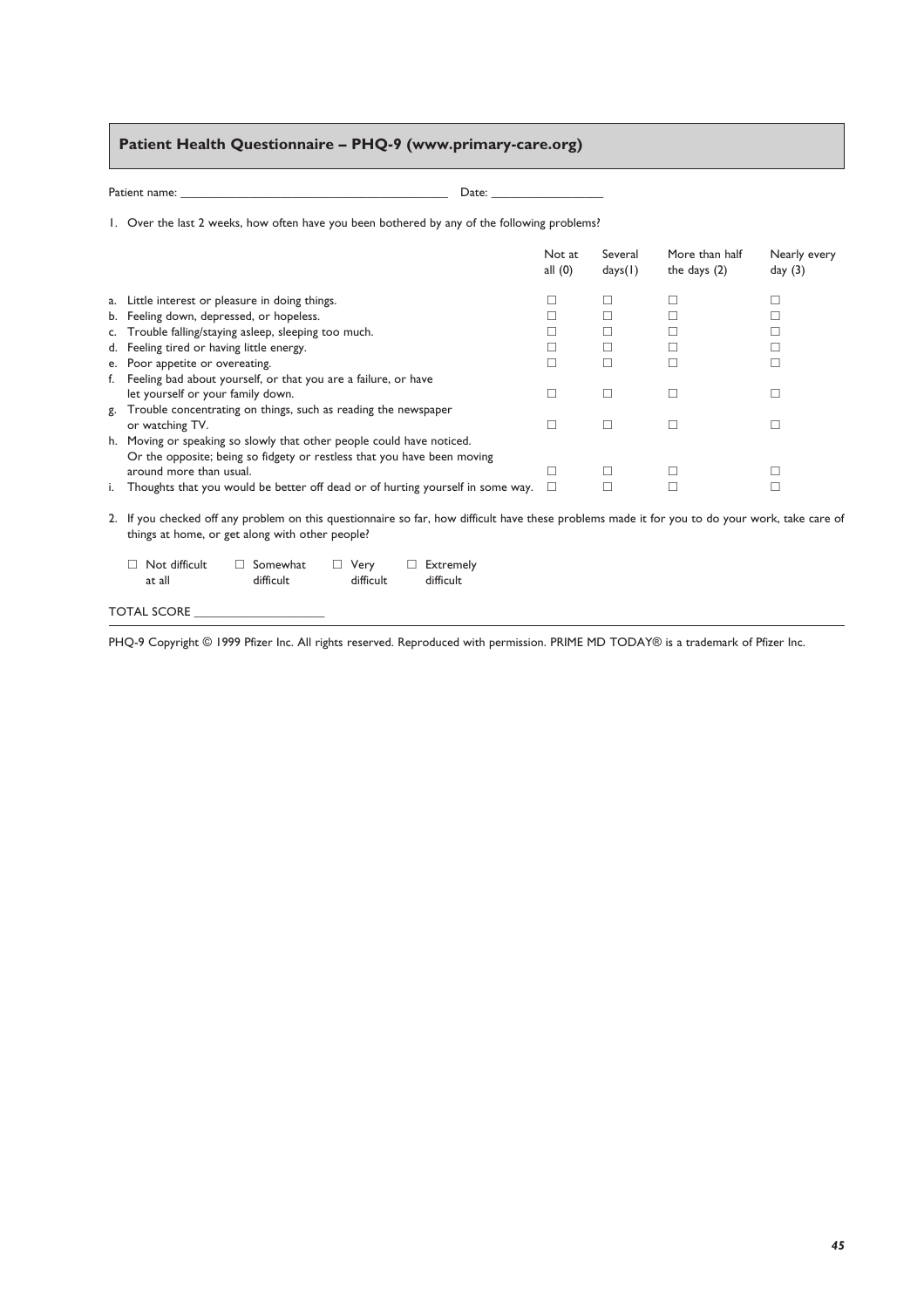# **Patient Health Questionnaire – PHQ-9 (www.primary-care.org)**

Patient name: \_\_\_\_\_\_\_\_\_\_\_\_\_\_\_\_\_\_\_\_\_\_\_\_\_\_\_\_\_\_\_\_\_\_\_\_\_\_\_\_\_\_\_ Date: \_\_\_\_\_\_\_\_\_\_\_\_\_\_\_\_\_\_

1. Over the last 2 weeks, how often have you been bothered by any of the following problems?

|                                                                                                                                                | Not at<br>all $(0)$ | Several<br>days(1) | More than half<br>the days $(2)$ | Nearly every<br>day $(3)$ |
|------------------------------------------------------------------------------------------------------------------------------------------------|---------------------|--------------------|----------------------------------|---------------------------|
| a. Little interest or pleasure in doing things.                                                                                                |                     |                    |                                  |                           |
| b. Feeling down, depressed, or hopeless.                                                                                                       |                     |                    |                                  | п                         |
| c. Trouble falling/staying asleep, sleeping too much.                                                                                          |                     |                    |                                  | П                         |
| d. Feeling tired or having little energy.                                                                                                      |                     |                    | П                                | П                         |
| e. Poor appetite or overeating.                                                                                                                |                     |                    | П                                | П                         |
| f. Feeling bad about yourself, or that you are a failure, or have                                                                              |                     |                    |                                  |                           |
| let yourself or your family down.                                                                                                              |                     |                    | П                                |                           |
| g. Trouble concentrating on things, such as reading the newspaper                                                                              |                     |                    |                                  |                           |
| or watching TV.                                                                                                                                |                     |                    | П                                |                           |
| h. Moving or speaking so slowly that other people could have noticed.                                                                          |                     |                    |                                  |                           |
| Or the opposite; being so fidgety or restless that you have been moving                                                                        |                     |                    |                                  |                           |
| around more than usual.                                                                                                                        |                     |                    |                                  |                           |
| i. Thoughts that you would be better off dead or of hurting yourself in some way.                                                              |                     |                    |                                  |                           |
| 2. If you checked off any problem on this questionnaire so far, how difficult have these problems made it for you to do your work, take care o |                     |                    |                                  |                           |

2. If you checked off any problem on this questionnaire so far, how difficult have these problems made it for you to do your work, take care of things at home, or get along with other people?

| $\Box$ Not difficult | $\Box$ Somewhat | $\Box$ Very | □ Extremely |
|----------------------|-----------------|-------------|-------------|
| at all               | difficult       | difficult   | difficult   |

# TOTAL SCORE \_\_\_\_\_\_\_\_\_\_\_\_\_\_\_\_\_\_\_\_\_

PHQ-9 Copyright © 1999 Pfizer Inc. All rights reserved. Reproduced with permission. PRIME MD TODAY® is a trademark of Pfizer Inc.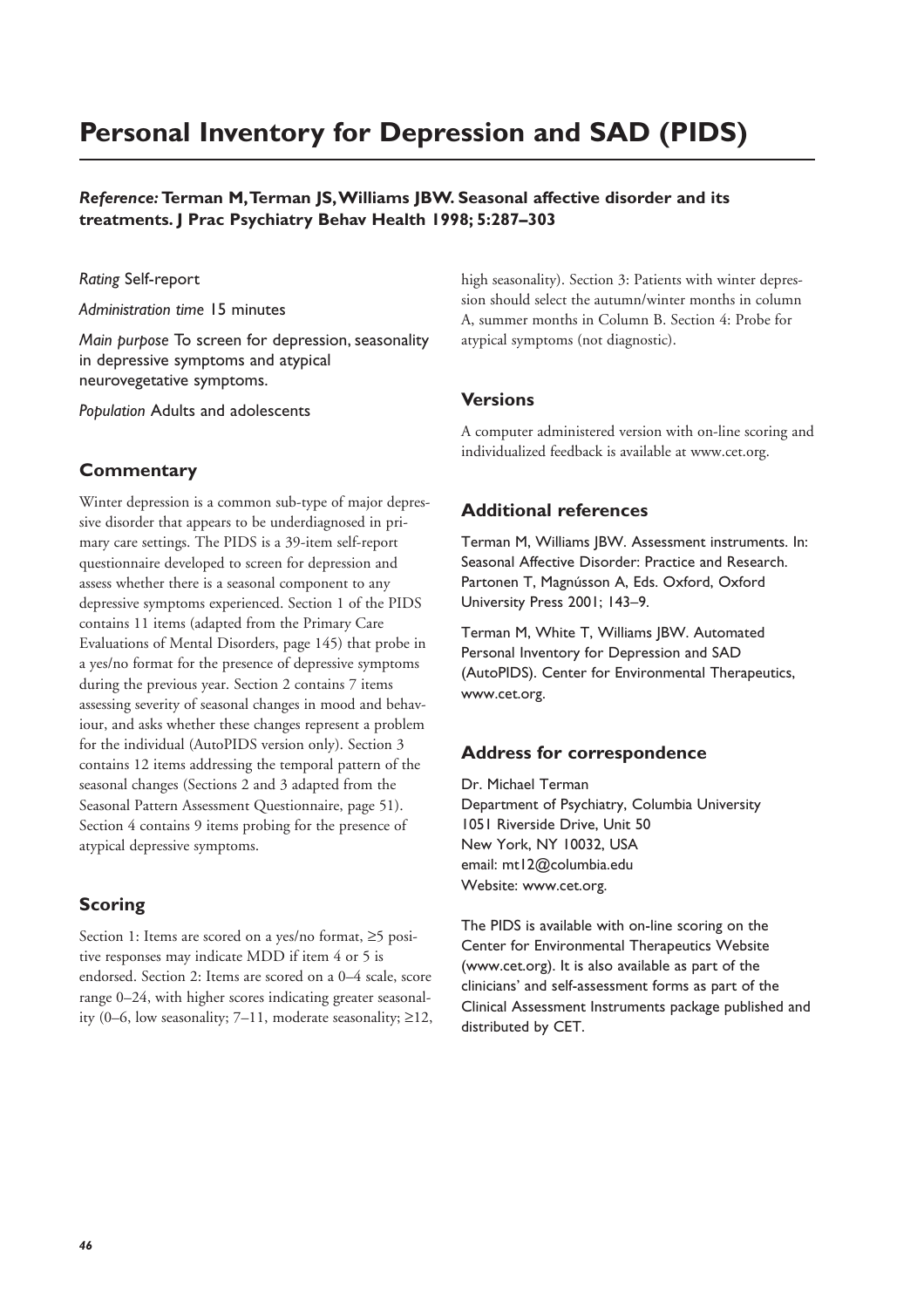# **Personal Inventory for Depression and SAD (PIDS)**

# *Reference:* **Terman M,Terman JS,Williams JBW. Seasonal affective disorder and its treatments. J Prac Psychiatry Behav Health 1998; 5:287–303**

*Rating* Self-report

*Administration time* 15 minutes

*Main purpose* To screen for depression, seasonality in depressive symptoms and atypical neurovegetative symptoms.

*Population* Adults and adolescents

# **Commentary**

Winter depression is a common sub-type of major depressive disorder that appears to be underdiagnosed in primary care settings. The PIDS is a 39-item self-report questionnaire developed to screen for depression and assess whether there is a seasonal component to any depressive symptoms experienced. Section 1 of the PIDS contains 11 items (adapted from the Primary Care Evaluations of Mental Disorders, page 145) that probe in a yes/no format for the presence of depressive symptoms during the previous year. Section 2 contains 7 items assessing severity of seasonal changes in mood and behaviour, and asks whether these changes represent a problem for the individual (AutoPIDS version only). Section 3 contains 12 items addressing the temporal pattern of the seasonal changes (Sections 2 and 3 adapted from the Seasonal Pattern Assessment Questionnaire, page 51). Section 4 contains 9 items probing for the presence of atypical depressive symptoms.

# **Scoring**

Section 1: Items are scored on a yes/no format, ≥5 positive responses may indicate MDD if item 4 or 5 is endorsed. Section 2: Items are scored on a 0–4 scale, score range 0–24, with higher scores indicating greater seasonality (0–6, low seasonality; 7–11, moderate seasonality; ≥12,

high seasonality). Section 3: Patients with winter depression should select the autumn/winter months in column A, summer months in Column B. Section 4: Probe for atypical symptoms (not diagnostic).

# **Versions**

A computer administered version with on-line scoring and individualized feedback is available at www.cet.org.

# **Additional references**

Terman M, Williams JBW. Assessment instruments. In: Seasonal Affective Disorder: Practice and Research. Partonen T, Magnússon A, Eds. Oxford, Oxford University Press 2001; 143–9.

Terman M, White T, Williams JBW. Automated Personal Inventory for Depression and SAD (AutoPIDS). Center for Environmental Therapeutics, www.cet.org.

#### **Address for correspondence**

Dr. Michael Terman Department of Psychiatry, Columbia University 1051 Riverside Drive, Unit 50 New York, NY 10032, USA email: mt12@columbia.edu Website: www.cet.org.

The PIDS is available with on-line scoring on the Center for Environmental Therapeutics Website (www.cet.org). It is also available as part of the clinicians' and self-assessment forms as part of the Clinical Assessment Instruments package published and distributed by CET.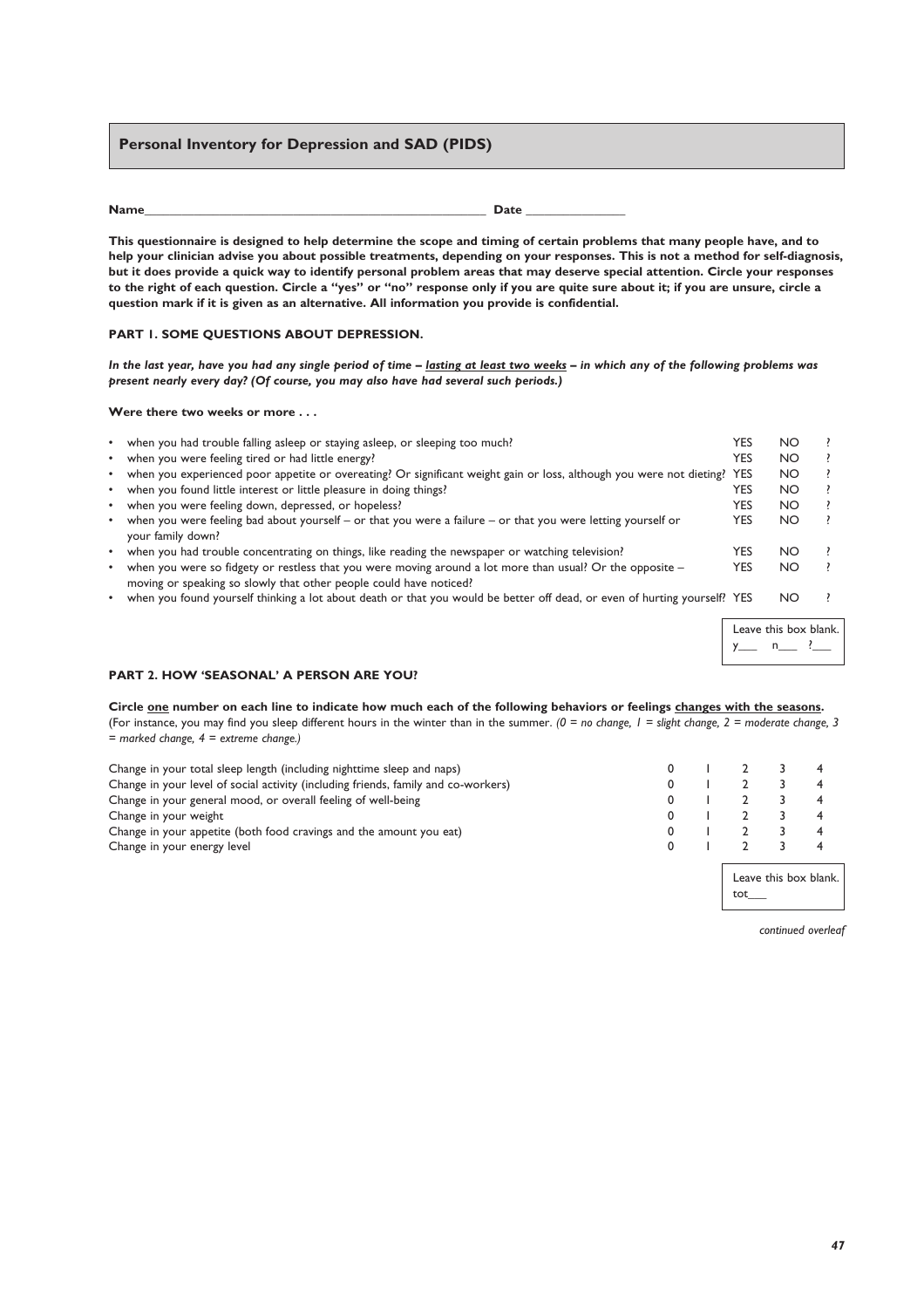### **Personal Inventory for Depression and SAD (PIDS)**

**Name\_\_\_\_\_\_\_\_\_\_\_\_\_\_\_\_\_\_\_\_\_\_\_\_\_\_\_\_\_\_\_\_\_\_\_\_\_\_\_\_\_\_\_\_\_\_\_\_\_\_\_\_\_\_\_ Date \_\_\_\_\_\_\_\_\_\_\_\_\_\_\_\_**

**This questionnaire is designed to help determine the scope and timing of certain problems that many people have, and to help your clinician advise you about possible treatments, depending on your responses. This is not a method for self-diagnosis, but it does provide a quick way to identify personal problem areas that may deserve special attention. Circle your responses to the right of each question. Circle a "yes" or "no" response only if you are quite sure about it; if you are unsure, circle a question mark if it is given as an alternative. All information you provide is confidential.**

#### **PART 1. SOME QUESTIONS ABOUT DEPRESSION.**

*In the last year, have you had any single period of time – lasting at least two weeks – in which any of the following problems was present nearly every day? (Of course, you may also have had several such periods.)*

#### **Were there two weeks or more . . .**

| • when you had trouble falling asleep or staying asleep, or sleeping too much?                                                                                                    | YES        | NO.       |  |
|-----------------------------------------------------------------------------------------------------------------------------------------------------------------------------------|------------|-----------|--|
| • when you were feeling tired or had little energy?                                                                                                                               | YES        | NO.       |  |
| • when you experienced poor appetite or overeating? Or significant weight gain or loss, although you were not dieting?                                                            | <b>YES</b> | <b>NO</b> |  |
| • when you found little interest or little pleasure in doing things?                                                                                                              | YES        | <b>NO</b> |  |
| • when you were feeling down, depressed, or hopeless?                                                                                                                             | YES        | <b>NO</b> |  |
| • when you were feeling bad about yourself – or that you were a failure – or that you were letting yourself or                                                                    | YES        | NO.       |  |
| your family down?                                                                                                                                                                 |            |           |  |
| • when you had trouble concentrating on things, like reading the newspaper or watching television?                                                                                | YES        | NO.       |  |
| • when you were so fidgety or restless that you were moving around a lot more than usual? Or the opposite –<br>moving or speaking so slowly that other people could have noticed? | YES        | NO.       |  |
| • when you found yourself thinking a lot about death or that you would be better off dead, or even of hurting yourself? YES                                                       |            | NO.       |  |

|  | Leave this box blank. I |
|--|-------------------------|
|  |                         |

#### **PART 2. HOW 'SEASONAL' A PERSON ARE YOU?**

## **Circle one number on each line to indicate how much each of the following behaviors or feelings changes with the seasons.**

(For instance, you may find you sleep different hours in the winter than in the summer. *(0 = no change, 1 = slight change, 2 = moderate change, 3 = marked change, 4 = extreme change.)*

| Change in your total sleep length (including nighttime sleep and naps)             |  |  |                       |  |
|------------------------------------------------------------------------------------|--|--|-----------------------|--|
| Change in your level of social activity (including friends, family and co-workers) |  |  |                       |  |
| Change in your general mood, or overall feeling of well-being                      |  |  |                       |  |
| Change in your weight                                                              |  |  |                       |  |
| Change in your appetite (both food cravings and the amount you eat)                |  |  |                       |  |
| Change in your energy level                                                        |  |  |                       |  |
|                                                                                    |  |  |                       |  |
|                                                                                    |  |  | Leave this box blank. |  |

tot\_\_\_

*continued overleaf*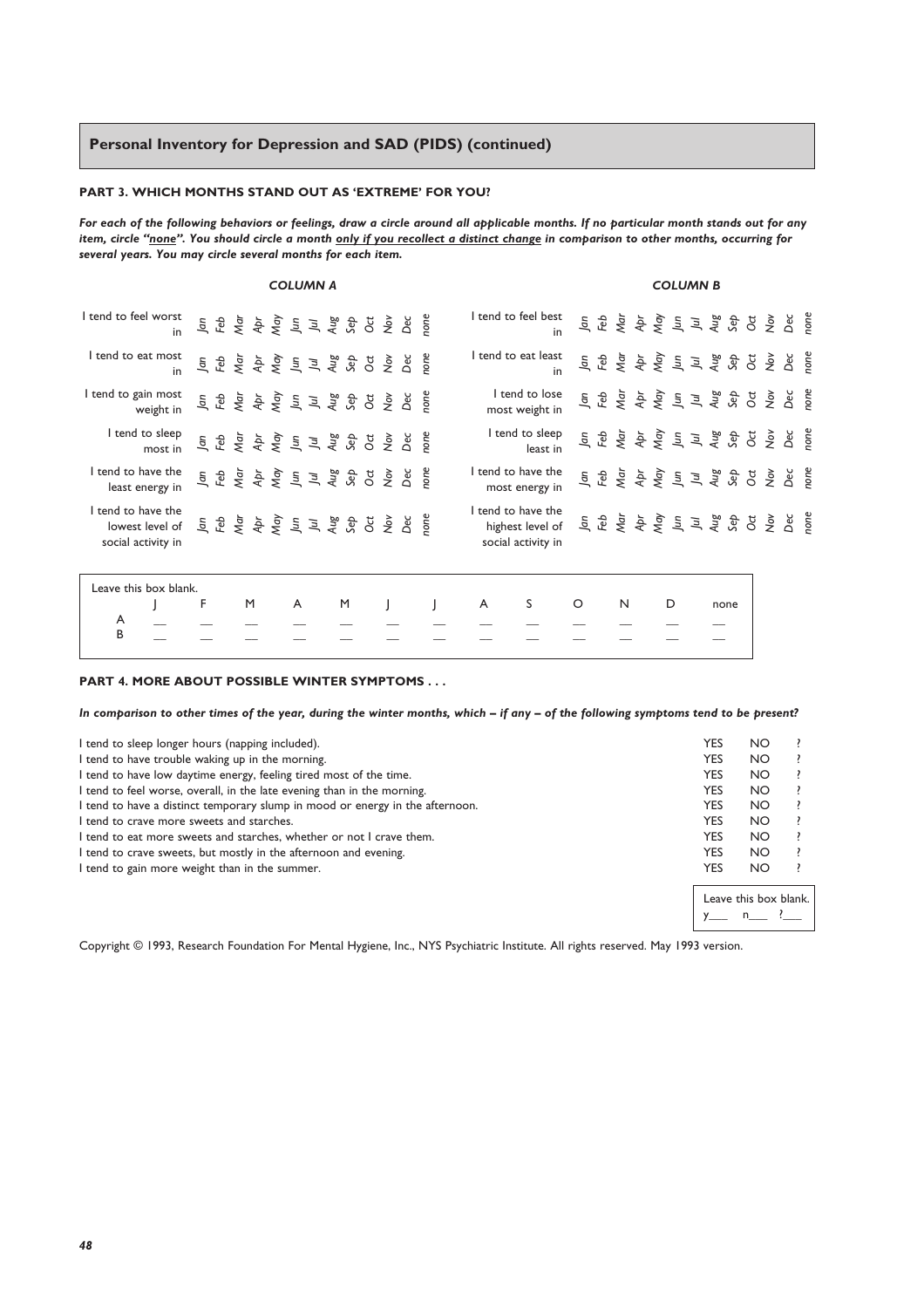## **Personal Inventory for Depression and SAD (PIDS) (continued)**

#### **PART 3. WHICH MONTHS STAND OUT AS 'EXTREME' FOR YOU?**

*For each of the following behaviors or feelings, draw a circle around all applicable months. If no particular month stands out for any item, circle "none". You should circle a month only if you recollect a distinct change in comparison to other months, occurring for several years. You may circle several months for each item.*

| <b>COLUMN A</b> | <b>COLUMN B</b> |
|-----------------|-----------------|
|                 |                 |

| COLUMN B |  |  |
|----------|--|--|
|          |  |  |

| I tend to feel worst<br>in 5 ± 5 = 5 = 5 = 5 = 5 = 5 = 6 = 6<br>in 5 ± 5 = 5 = 5 = 5 = 6 = 6 = 6                                                                                                                                                                                                              |                                         |  |  |  |  |  |  | I tend to feel best $\overline{5}$ $\overline{4}$ $\overline{5}$ $\overline{4}$ $\overline{5}$ $\overline{5}$ $\overline{5}$ $\overline{4}$ $\overline{3}$ $\overline{3}$ $\overline{6}$ $\overline{6}$ $\overline{2}$ $\overline{6}$ $\overline{6}$ $\overline{6}$ $\overline{6}$ $\overline{6}$ $\overline{6}$ $\overline{6}$ $\overline{6}$ $\overline{6}$ $\overline$ |                                |  |  |  |  |  |  |
|---------------------------------------------------------------------------------------------------------------------------------------------------------------------------------------------------------------------------------------------------------------------------------------------------------------|-----------------------------------------|--|--|--|--|--|--|---------------------------------------------------------------------------------------------------------------------------------------------------------------------------------------------------------------------------------------------------------------------------------------------------------------------------------------------------------------------------|--------------------------------|--|--|--|--|--|--|
| I tend to eat most<br>$\frac{1}{2}$ $\frac{1}{2}$ $\frac{1}{2}$ $\frac{1}{2}$ $\frac{1}{2}$ $\frac{1}{2}$ $\frac{1}{2}$ $\frac{1}{2}$ $\frac{1}{2}$ $\frac{1}{2}$ $\frac{1}{2}$ $\frac{1}{2}$ $\frac{1}{2}$ $\frac{1}{2}$ $\frac{1}{2}$ $\frac{1}{2}$ $\frac{1}{2}$ $\frac{1}{2}$ $\frac{1}{2}$ $\frac{1}{2}$ |                                         |  |  |  |  |  |  |                                                                                                                                                                                                                                                                                                                                                                           |                                |  |  |  |  |  |  |
| I tend to gain most<br>weight in                                                                                                                                                                                                                                                                              | いんしゅうかん しょうしょう しゅうしょう しょうかん しょうかい しょうかん |  |  |  |  |  |  | I tend to lose<br>most weight in                                                                                                                                                                                                                                                                                                                                          | <b>Address Products</b> Secret |  |  |  |  |  |  |
| I tend to sleep<br>most in うせきをきききみゅうとう                                                                                                                                                                                                                                                                       |                                         |  |  |  |  |  |  | I tend to sleep<br>least in                                                                                                                                                                                                                                                                                                                                               | Editory State of the Assembly  |  |  |  |  |  |  |
| I tend to have the<br>least energy in                                                                                                                                                                                                                                                                         |                                         |  |  |  |  |  |  | I tend to have the<br>most energy in                                                                                                                                                                                                                                                                                                                                      | Editor Applications            |  |  |  |  |  |  |
| I tend to have the<br>social activity in                                                                                                                                                                                                                                                                      |                                         |  |  |  |  |  |  | I tend to have the<br>highest level of うみをきえるえる。<br>social activity in                                                                                                                                                                                                                                                                                                    |                                |  |  |  |  |  |  |
|                                                                                                                                                                                                                                                                                                               |                                         |  |  |  |  |  |  |                                                                                                                                                                                                                                                                                                                                                                           |                                |  |  |  |  |  |  |

|   | Leave this box blank. |  |  |  |  |  |                     |  |  |  |  |     |      |  |  |
|---|-----------------------|--|--|--|--|--|---------------------|--|--|--|--|-----|------|--|--|
|   |                       |  |  |  |  |  | F M A M J J A S O N |  |  |  |  | - D | none |  |  |
| A |                       |  |  |  |  |  |                     |  |  |  |  |     |      |  |  |
| В |                       |  |  |  |  |  |                     |  |  |  |  |     |      |  |  |
|   |                       |  |  |  |  |  |                     |  |  |  |  |     |      |  |  |

#### **PART 4. MORE ABOUT POSSIBLE WINTER SYMPTOMS . . .**

*In comparison to other times of the year, during the winter months, which – if any – of the following symptoms tend to be present?*

| I tend to sleep longer hours (napping included).                              | YES        | ΝO                    |  |
|-------------------------------------------------------------------------------|------------|-----------------------|--|
| I tend to have trouble waking up in the morning.                              | <b>YES</b> | NO.                   |  |
| I tend to have low daytime energy, feeling tired most of the time.            | <b>YES</b> | NO.                   |  |
| I tend to feel worse, overall, in the late evening than in the morning.       | <b>YES</b> | NO.                   |  |
| I tend to have a distinct temporary slump in mood or energy in the afternoon. | <b>YES</b> | <b>NO</b>             |  |
| I tend to crave more sweets and starches.                                     | <b>YES</b> | <b>NO</b>             |  |
| I tend to eat more sweets and starches, whether or not I crave them.          | <b>YES</b> | NO.                   |  |
| I tend to crave sweets, but mostly in the afternoon and evening.              | <b>YES</b> | NO.                   |  |
| I tend to gain more weight than in the summer.                                | <b>YES</b> | NO.                   |  |
|                                                                               |            | Leave this box blank. |  |

Copyright © 1993, Research Foundation For Mental Hygiene, Inc., NYS Psychiatric Institute. All rights reserved. May 1993 version.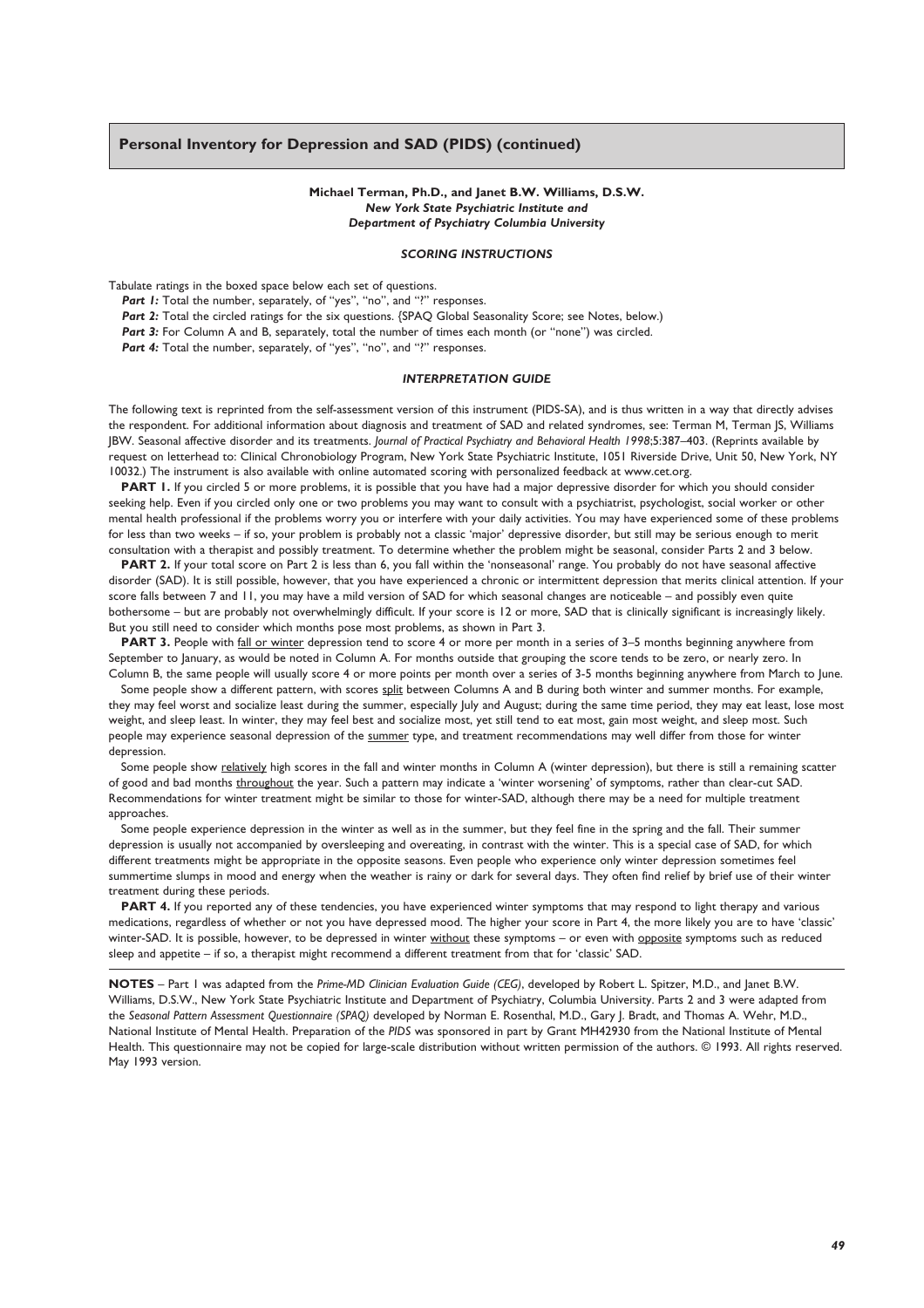#### **Personal Inventory for Depression and SAD (PIDS) (continued)**

**Michael Terman, Ph.D., and Janet B.W. Williams, D.S.W.** *New York State Psychiatric Institute and Department of Psychiatry Columbia University*

#### *SCORING INSTRUCTIONS*

Tabulate ratings in the boxed space below each set of questions.

Part I: Total the number, separately, of "yes", "no", and "?" responses.

Part 2: Total the circled ratings for the six questions. {SPAQ Global Seasonality Score; see Notes, below.)

Part 3: For Column A and B, separately, total the number of times each month (or "none") was circled.

Part 4: Total the number, separately, of "yes", "no", and "?" responses.

#### *INTERPRETATION GUIDE*

The following text is reprinted from the self-assessment version of this instrument (PIDS-SA), and is thus written in a way that directly advises the respondent. For additional information about diagnosis and treatment of SAD and related syndromes, see: Terman M, Terman JS, Williams JBW. Seasonal affective disorder and its treatments. *Journal of Practical Psychiatry and Behavioral Health 1998*;5:387–403. (Reprints available by request on letterhead to: Clinical Chronobiology Program, New York State Psychiatric Institute, 1051 Riverside Drive, Unit 50, New York, NY 10032.) The instrument is also available with online automated scoring with personalized feedback at www.cet.org.

**PART 1.** If you circled 5 or more problems, it is possible that you have had a major depressive disorder for which you should consider seeking help. Even if you circled only one or two problems you may want to consult with a psychiatrist, psychologist, social worker or other mental health professional if the problems worry you or interfere with your daily activities. You may have experienced some of these problems for less than two weeks – if so, your problem is probably not a classic 'major' depressive disorder, but still may be serious enough to merit consultation with a therapist and possibly treatment. To determine whether the problem might be seasonal, consider Parts 2 and 3 below.

PART 2. If your total score on Part 2 is less than 6, you fall within the 'nonseasonal' range. You probably do not have seasonal affective disorder (SAD). It is still possible, however, that you have experienced a chronic or intermittent depression that merits clinical attention. If your score falls between 7 and 11, you may have a mild version of SAD for which seasonal changes are noticeable – and possibly even quite bothersome – but are probably not overwhelmingly difficult. If your score is 12 or more, SAD that is clinically significant is increasingly likely. But you still need to consider which months pose most problems, as shown in Part 3.

**PART 3.** People with fall or winter depression tend to score 4 or more per month in a series of 3-5 months beginning anywhere from September to January, as would be noted in Column A. For months outside that grouping the score tends to be zero, or nearly zero. In Column B, the same people will usually score 4 or more points per month over a series of 3-5 months beginning anywhere from March to June.

Some people show a different pattern, with scores split between Columns A and B during both winter and summer months. For example, they may feel worst and socialize least during the summer, especially July and August; during the same time period, they may eat least, lose most weight, and sleep least. In winter, they may feel best and socialize most, yet still tend to eat most, gain most weight, and sleep most. Such people may experience seasonal depression of the summer type, and treatment recommendations may well differ from those for winter depression.

Some people show relatively high scores in the fall and winter months in Column A (winter depression), but there is still a remaining scatter of good and bad months throughout the year. Such a pattern may indicate a 'winter worsening' of symptoms, rather than clear-cut SAD. Recommendations for winter treatment might be similar to those for winter-SAD, although there may be a need for multiple treatment approaches.

Some people experience depression in the winter as well as in the summer, but they feel fine in the spring and the fall. Their summer depression is usually not accompanied by oversleeping and overeating, in contrast with the winter. This is a special case of SAD, for which different treatments might be appropriate in the opposite seasons. Even people who experience only winter depression sometimes feel summertime slumps in mood and energy when the weather is rainy or dark for several days. They often find relief by brief use of their winter treatment during these periods.

PART 4. If you reported any of these tendencies, you have experienced winter symptoms that may respond to light therapy and various medications, regardless of whether or not you have depressed mood. The higher your score in Part 4, the more likely you are to have 'classic' winter-SAD. It is possible, however, to be depressed in winter without these symptoms – or even with opposite symptoms such as reduced sleep and appetite – if so, a therapist might recommend a different treatment from that for 'classic' SAD.

**NOTES** – Part 1 was adapted from the *Prime-MD Clinician Evaluation Guide (CEG)*, developed by Robert L. Spitzer, M.D., and Janet B.W. Williams, D.S.W., New York State Psychiatric Institute and Department of Psychiatry, Columbia University. Parts 2 and 3 were adapted from the *Seasonal Pattern Assessment Questionnaire (SPAQ)* developed by Norman E. Rosenthal, M.D., Gary J. Bradt, and Thomas A. Wehr, M.D., National Institute of Mental Health. Preparation of the *PIDS* was sponsored in part by Grant MH42930 from the National Institute of Mental Health. This questionnaire may not be copied for large-scale distribution without written permission of the authors. © 1993. All rights reserved. May 1993 version.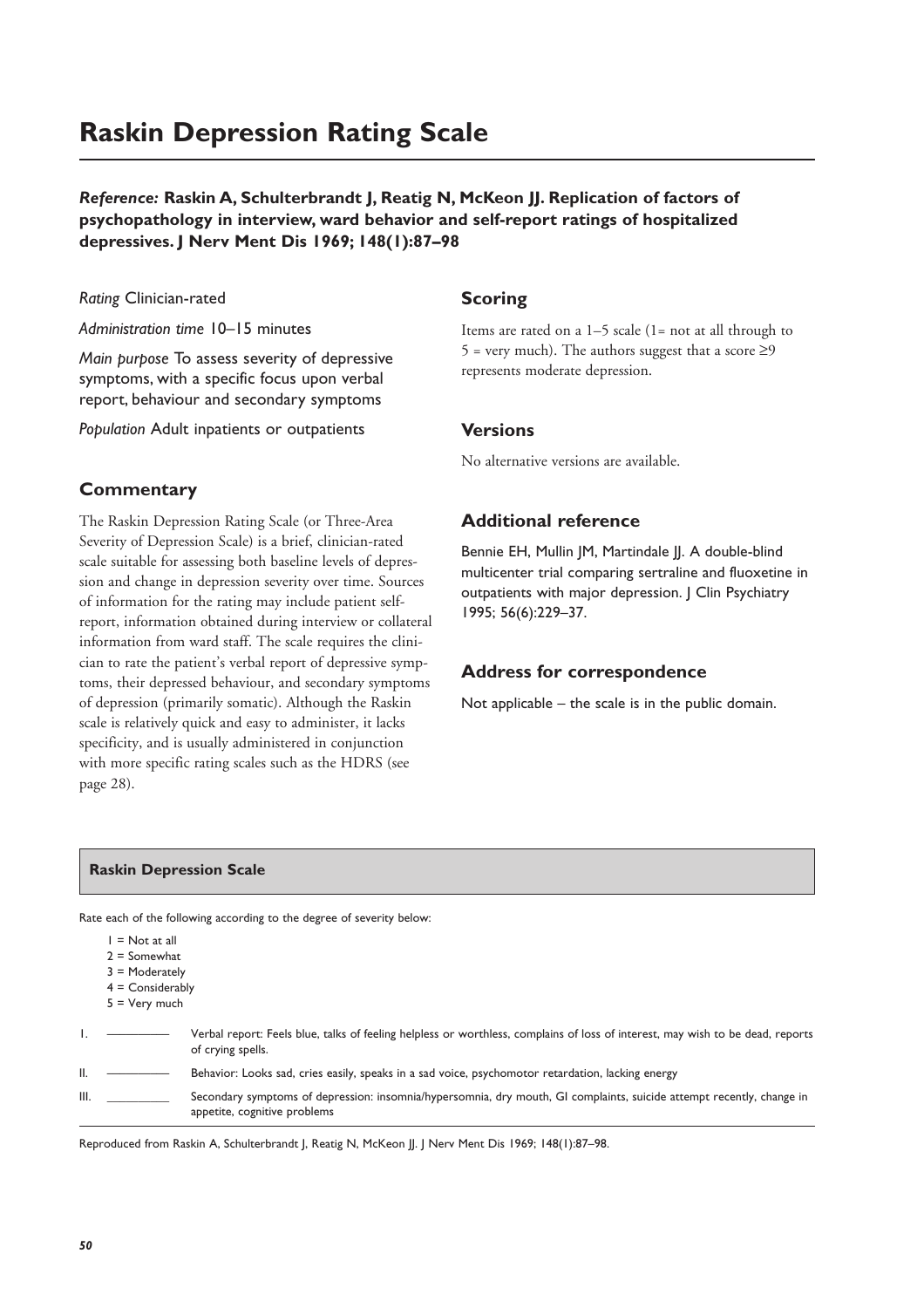# **Raskin Depression Rating Scale**

*Reference:* **Raskin A, Schulterbrandt J, Reatig N, McKeon JJ. Replication of factors of psychopathology in interview, ward behavior and self-report ratings of hospitalized depressives. J Nerv Ment Dis 1969; 148(1):87–98**

*Rating* Clinician-rated

*Administration time* 10–15 minutes

*Main purpose* To assess severity of depressive symptoms, with a specific focus upon verbal report, behaviour and secondary symptoms

*Population* Adult inpatients or outpatients

# **Commentary**

The Raskin Depression Rating Scale (or Three-Area Severity of Depression Scale) is a brief, clinician-rated scale suitable for assessing both baseline levels of depression and change in depression severity over time. Sources of information for the rating may include patient selfreport, information obtained during interview or collateral information from ward staff. The scale requires the clinician to rate the patient's verbal report of depressive symptoms, their depressed behaviour, and secondary symptoms of depression (primarily somatic). Although the Raskin scale is relatively quick and easy to administer, it lacks specificity, and is usually administered in conjunction with more specific rating scales such as the HDRS (see page 28).

## **Scoring**

Items are rated on a 1–5 scale (1= not at all through to 5 = very much). The authors suggest that a score  $\geq$ 9 represents moderate depression.

# **Versions**

No alternative versions are available.

# **Additional reference**

Bennie EH, Mullin JM, Martindale JJ. A double-blind multicenter trial comparing sertraline and fluoxetine in outpatients with major depression. | Clin Psychiatry 1995; 56(6):229–37.

# **Address for correspondence**

Not applicable – the scale is in the public domain.

#### **Raskin Depression Scale**

Rate each of the following according to the degree of severity below:

- 1 = Not at all
- $2 =$ Somewhat
- 3 = Moderately
- $4 =$  Considerably
- $5 =$  Very much

|      | Verbal report: Feels blue, talks of feeling helpless or worthless, complains of loss of interest, may wish to be dead, reports<br>of crying spells.   |
|------|-------------------------------------------------------------------------------------------------------------------------------------------------------|
| II.  | Behavior: Looks sad, cries easily, speaks in a sad voice, psychomotor retardation, lacking energy                                                     |
| III. | Secondary symptoms of depression: insomnia/hypersomnia, dry mouth, GI complaints, suicide attempt recently, change in<br>appetite, cognitive problems |

Reproduced from Raskin A, Schulterbrandt J, Reatig N, McKeon JJ. J Nerv Ment Dis 1969; 148(1):87–98.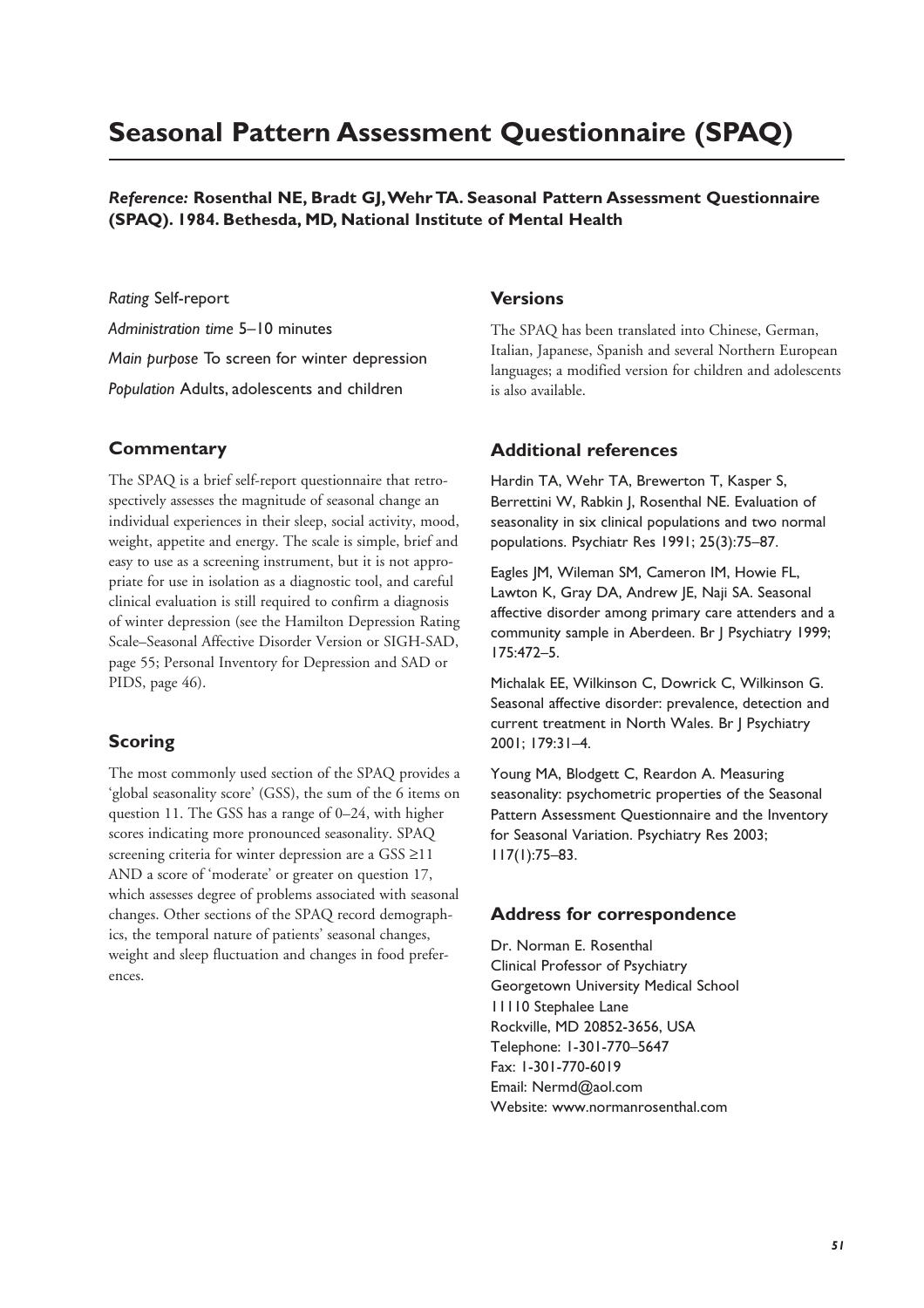# **Seasonal Pattern Assessment Questionnaire (SPAQ)**

*Reference:* **Rosenthal NE, Bradt GJ,Wehr TA. Seasonal Pattern Assessment Questionnaire (SPAQ). 1984. Bethesda, MD, National Institute of Mental Health**

*Rating* Self-report *Administration time* 5–10 minutes *Main purpose* To screen for winter depression *Population* Adults, adolescents and children

# **Commentary**

The SPAQ is a brief self-report questionnaire that retrospectively assesses the magnitude of seasonal change an individual experiences in their sleep, social activity, mood, weight, appetite and energy. The scale is simple, brief and easy to use as a screening instrument, but it is not appropriate for use in isolation as a diagnostic tool, and careful clinical evaluation is still required to confirm a diagnosis of winter depression (see the Hamilton Depression Rating Scale–Seasonal Affective Disorder Version or SIGH-SAD, page 55; Personal Inventory for Depression and SAD or PIDS, page 46).

# **Scoring**

The most commonly used section of the SPAQ provides a 'global seasonality score' (GSS), the sum of the 6 items on question 11. The GSS has a range of 0–24, with higher scores indicating more pronounced seasonality. SPAQ screening criteria for winter depression are a GSS ≥11 AND a score of 'moderate' or greater on question 17, which assesses degree of problems associated with seasonal changes. Other sections of the SPAQ record demographics, the temporal nature of patients' seasonal changes, weight and sleep fluctuation and changes in food preferences.

# **Versions**

The SPAQ has been translated into Chinese, German, Italian, Japanese, Spanish and several Northern European languages; a modified version for children and adolescents is also available.

# **Additional references**

Hardin TA, Wehr TA, Brewerton T, Kasper S, Berrettini W, Rabkin J, Rosenthal NE. Evaluation of seasonality in six clinical populations and two normal populations. Psychiatr Res 1991; 25(3):75–87.

Eagles JM, Wileman SM, Cameron IM, Howie FL, Lawton K, Gray DA, Andrew JE, Naji SA. Seasonal affective disorder among primary care attenders and a community sample in Aberdeen. Br J Psychiatry 1999; 175:472–5.

Michalak EE, Wilkinson C, Dowrick C, Wilkinson G. Seasonal affective disorder: prevalence, detection and current treatment in North Wales. Br J Psychiatry 2001; 179:31–4.

Young MA, Blodgett C, Reardon A. Measuring seasonality: psychometric properties of the Seasonal Pattern Assessment Questionnaire and the Inventory for Seasonal Variation. Psychiatry Res 2003; 117(1):75–83.

#### **Address for correspondence**

Dr. Norman E. Rosenthal Clinical Professor of Psychiatry Georgetown University Medical School 11110 Stephalee Lane Rockville, MD 20852-3656, USA Telephone: 1-301-770–5647 Fax: 1-301-770-6019 Email: Nermd@aol.com Website: www.normanrosenthal.com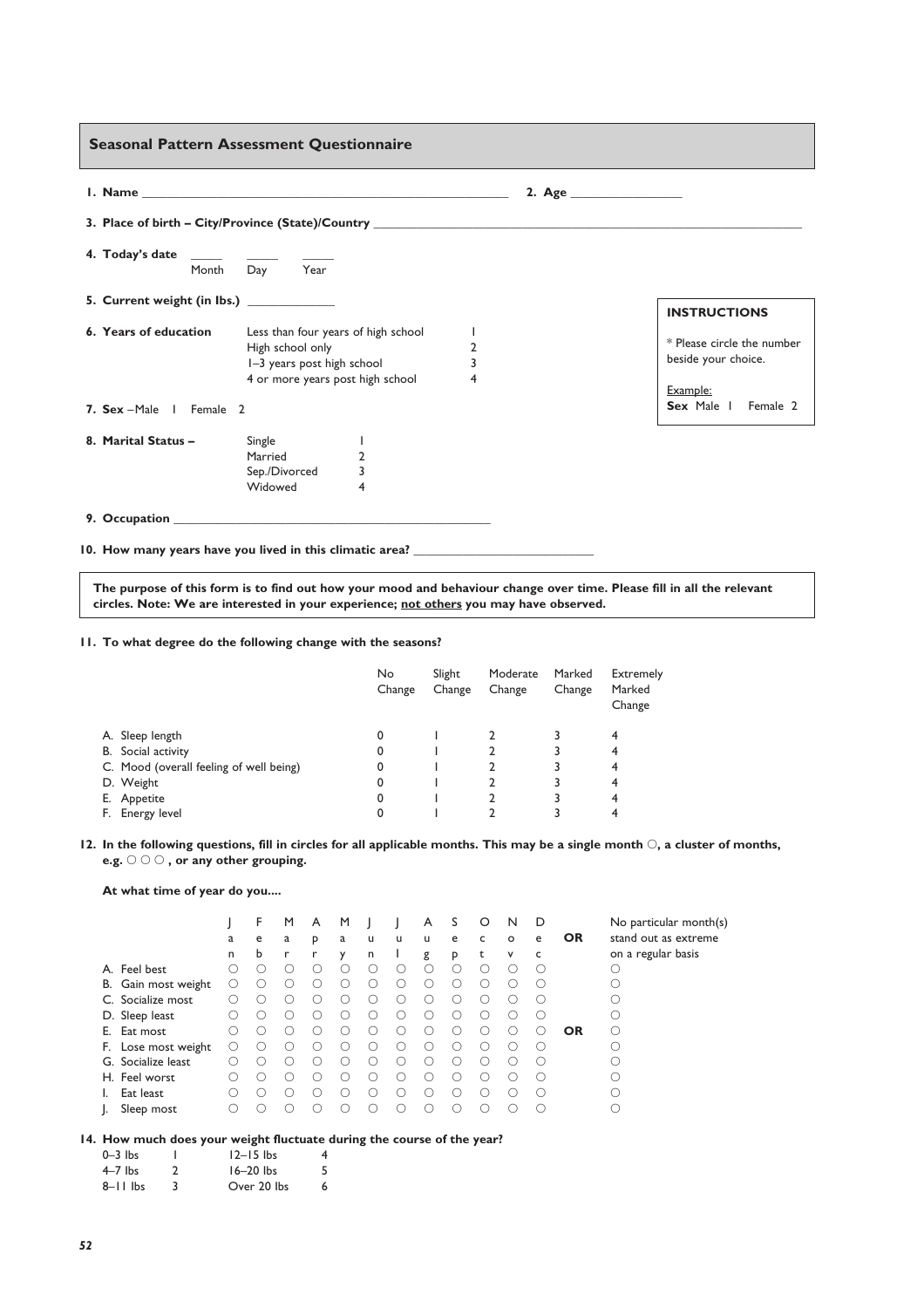| <b>Seasonal Pattern Assessment Questionnaire</b>                                 |                                                         |                                                                |                          |                                                               |
|----------------------------------------------------------------------------------|---------------------------------------------------------|----------------------------------------------------------------|--------------------------|---------------------------------------------------------------|
|                                                                                  |                                                         |                                                                |                          |                                                               |
| 3. Place of birth – City/Province (State)/Country ______________________________ |                                                         |                                                                |                          |                                                               |
| 4. Today's date ________ ________ ______                                         | Month Day Year                                          |                                                                |                          |                                                               |
| 5. Current weight (in lbs.) ____________                                         |                                                         |                                                                |                          | <b>INSTRUCTIONS</b>                                           |
| 6. Years of education                                                            | Less than four years of high school<br>High school only | 1–3 years post high school<br>4 or more years post high school | $\overline{2}$<br>3<br>4 | * Please circle the number<br>beside your choice.<br>Example: |
| 7. Sex - Male   Female 2                                                         |                                                         |                                                                |                          | Sex Male I Female 2                                           |
| 8. Marital Status -                                                              | Single<br>Married<br>Sep./Divorced<br>Widowed           | $\overline{2}$<br>4                                            |                          |                                                               |
|                                                                                  |                                                         |                                                                |                          |                                                               |

10. How many years have you lived in this climatic area?

**The purpose of this form is to find out how your mood and behaviour change over time. Please fill in all the relevant circles. Note: We are interested in your experience; not others you may have observed.**

**11. To what degree do the following change with the seasons?**

|    |                                         | No<br>Change | Slight<br>Change | Moderate<br>Change | Marked<br>Change | <b>Extremely</b><br>Marked<br>Change |
|----|-----------------------------------------|--------------|------------------|--------------------|------------------|--------------------------------------|
|    | A. Sleep length                         | 0            |                  |                    |                  | 4                                    |
|    | B. Social activity                      | 0            |                  |                    |                  | 4                                    |
|    | C. Mood (overall feeling of well being) | 0            |                  |                    |                  | 4                                    |
|    | D. Weight                               | 0            |                  |                    |                  | 4                                    |
|    | E. Appetite                             | 0            |                  |                    |                  | 4                                    |
| F. | Energy level                            | 0            |                  |                    |                  | 4                                    |

**12. In the following questions, fill in circles for all applicable months. This may be a single month , a cluster of months, e.g. , or any other grouping.**

**At what time of year do you....**

|                        |   | F | M | A | M |   |   | A | S | $\circ$ | N       | D |           | No particular month(s) |
|------------------------|---|---|---|---|---|---|---|---|---|---------|---------|---|-----------|------------------------|
|                        | a | e | a | P | a | u | u | u | e | c       | $\circ$ | e | <b>OR</b> | stand out as extreme   |
|                        | n | b | r | r | v | n |   | g | P | t       | ٧       | c |           | on a regular basis     |
| A. Feel best           |   |   |   |   |   |   |   |   |   |         |         |   |           |                        |
| B. Gain most weight    |   |   |   |   |   |   |   |   |   |         |         |   |           |                        |
| C. Socialize most      |   |   |   |   |   |   |   |   |   |         |         |   |           |                        |
| D. Sleep least         |   |   |   |   |   |   |   |   |   |         |         | C |           |                        |
| Eat most<br>Е.         |   |   |   |   |   |   |   |   |   |         |         |   | <b>OR</b> | (                      |
| Lose most weight<br>F. |   |   |   |   |   |   |   |   |   |         |         | ⊂ |           | ∩                      |
| G. Socialize least     |   |   |   |   |   |   |   |   |   |         |         | ⊂ |           |                        |
| H. Feel worst          |   |   |   |   |   |   |   |   |   |         |         | C |           |                        |
| Eat least              |   |   |   |   |   |   |   |   |   |         |         | ⊂ |           | ( )                    |
| Sleep most<br>J.       |   |   |   |   |   |   |   |   |   |         |         |   |           |                        |

#### **14. How much does your weight fluctuate during the course of the year?**

| $0 - 3$ lbs  | $12 - 15$ lbs |    |
|--------------|---------------|----|
| $4-7$ lbs    | $16-20$ lbs   | 5  |
| $8 - 11$ lbs | Over 20 lbs   | 6. |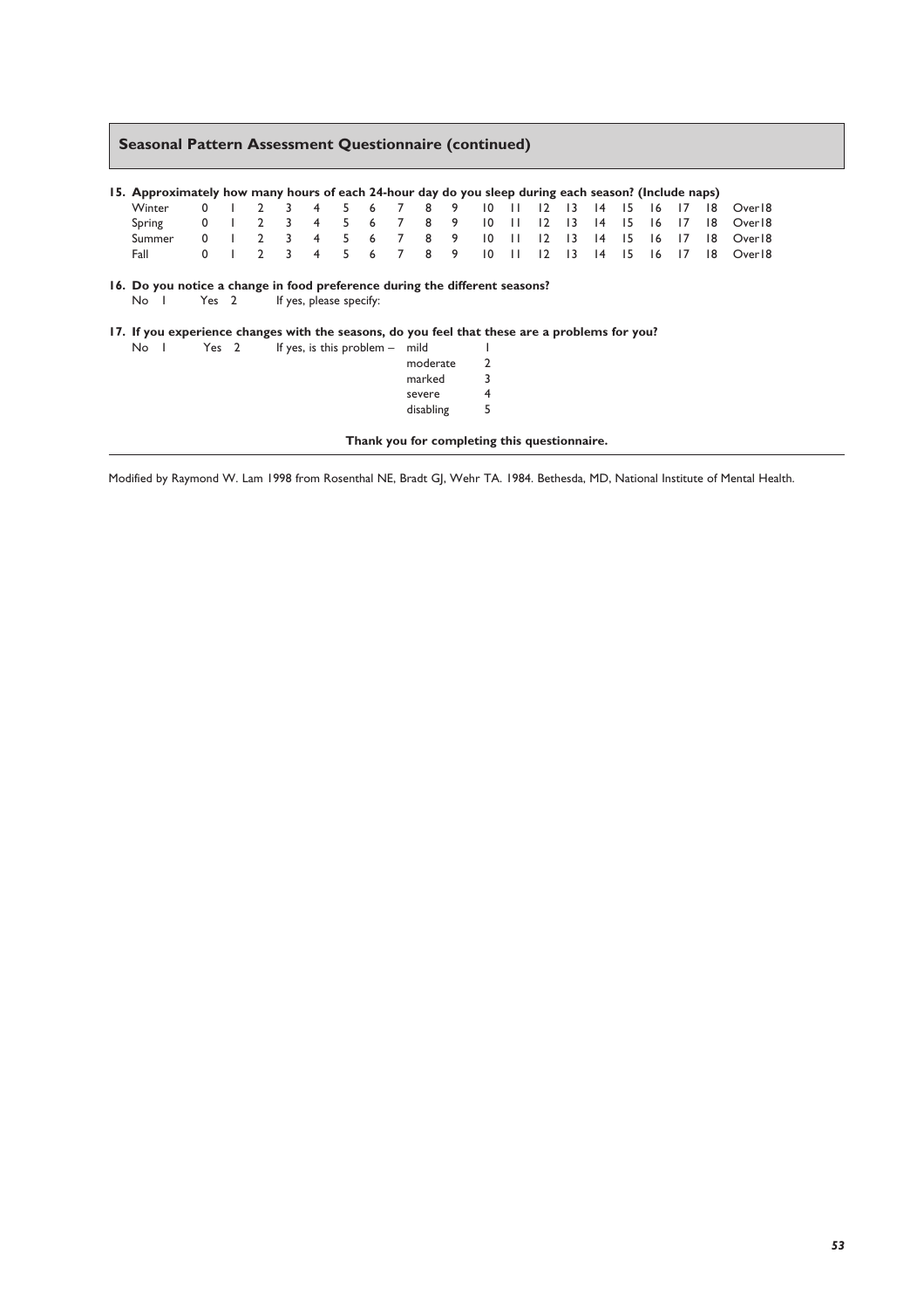## **Seasonal Pattern Assessment Questionnaire (continued)**

| 15. Approximately how many hours of each 24-hour day do you sleep during each season? (Include naps) |          |       |                |   |                |    |                                  |                     |   |                                              |         |                 |                 |                 |    |    |    |    |                    |
|------------------------------------------------------------------------------------------------------|----------|-------|----------------|---|----------------|----|----------------------------------|---------------------|---|----------------------------------------------|---------|-----------------|-----------------|-----------------|----|----|----|----|--------------------|
| Winter                                                                                               | 0        |       |                |   | 4              | 5. | 6<br>7                           | 8                   | 9 | $\overline{0}$                               | $\perp$ | 12              | 13              | 14              | 15 | 16 | 17 | 18 | Over <sub>18</sub> |
| Spring                                                                                               | 0        |       | $2^{\circ}$    | 3 | $\overline{4}$ | 5. | 6                                | $\overline{7}$<br>8 | 9 | $\overline{10}$                              | $\perp$ | $\overline{12}$ | $\overline{13}$ | $\overline{14}$ | 15 | 16 | 17 | 18 | Over <sub>18</sub> |
| Summer                                                                                               | $\Omega$ |       | $\overline{2}$ | 3 | $\overline{4}$ | 5. | 6                                | 7 8                 | 9 | $10^{\circ}$                                 | $\perp$ | 12              | $\overline{13}$ | 4               | 15 | 16 | 17 | 18 | Over18             |
| Fall                                                                                                 | 0        |       | $\mathcal{D}$  | 3 | $\overline{4}$ | 5  | $\overline{7}$<br>6              | 8                   | 9 | $\overline{10}$                              | $\perp$ | 12              | 13              | 4               | 15 | 16 | 17 | 18 | Over18             |
| 16. Do you notice a change in food preference during the different seasons?                          |          |       |                |   |                |    |                                  |                     |   |                                              |         |                 |                 |                 |    |    |    |    |                    |
| Yes <sub>2</sub><br>No I<br>If yes, please specify:                                                  |          |       |                |   |                |    |                                  |                     |   |                                              |         |                 |                 |                 |    |    |    |    |                    |
| 17. If you experience changes with the seasons, do you feel that these are a problems for you?       |          |       |                |   |                |    |                                  |                     |   |                                              |         |                 |                 |                 |    |    |    |    |                    |
| No I                                                                                                 |          | Yes 2 |                |   |                |    | If yes, is this problem $-$ mild |                     |   |                                              |         |                 |                 |                 |    |    |    |    |                    |
|                                                                                                      |          |       |                |   |                |    |                                  | moderate            |   | 2                                            |         |                 |                 |                 |    |    |    |    |                    |
|                                                                                                      |          |       |                |   |                |    |                                  | marked              |   | 3                                            |         |                 |                 |                 |    |    |    |    |                    |
|                                                                                                      |          |       |                |   |                |    |                                  | severe              |   | 4                                            |         |                 |                 |                 |    |    |    |    |                    |
|                                                                                                      |          |       |                |   |                |    |                                  | disabling           |   | 5                                            |         |                 |                 |                 |    |    |    |    |                    |
|                                                                                                      |          |       |                |   |                |    |                                  |                     |   | Thank you for completing this questionnaire. |         |                 |                 |                 |    |    |    |    |                    |

Modified by Raymond W. Lam 1998 from Rosenthal NE, Bradt GJ, Wehr TA. 1984. Bethesda, MD, National Institute of Mental Health.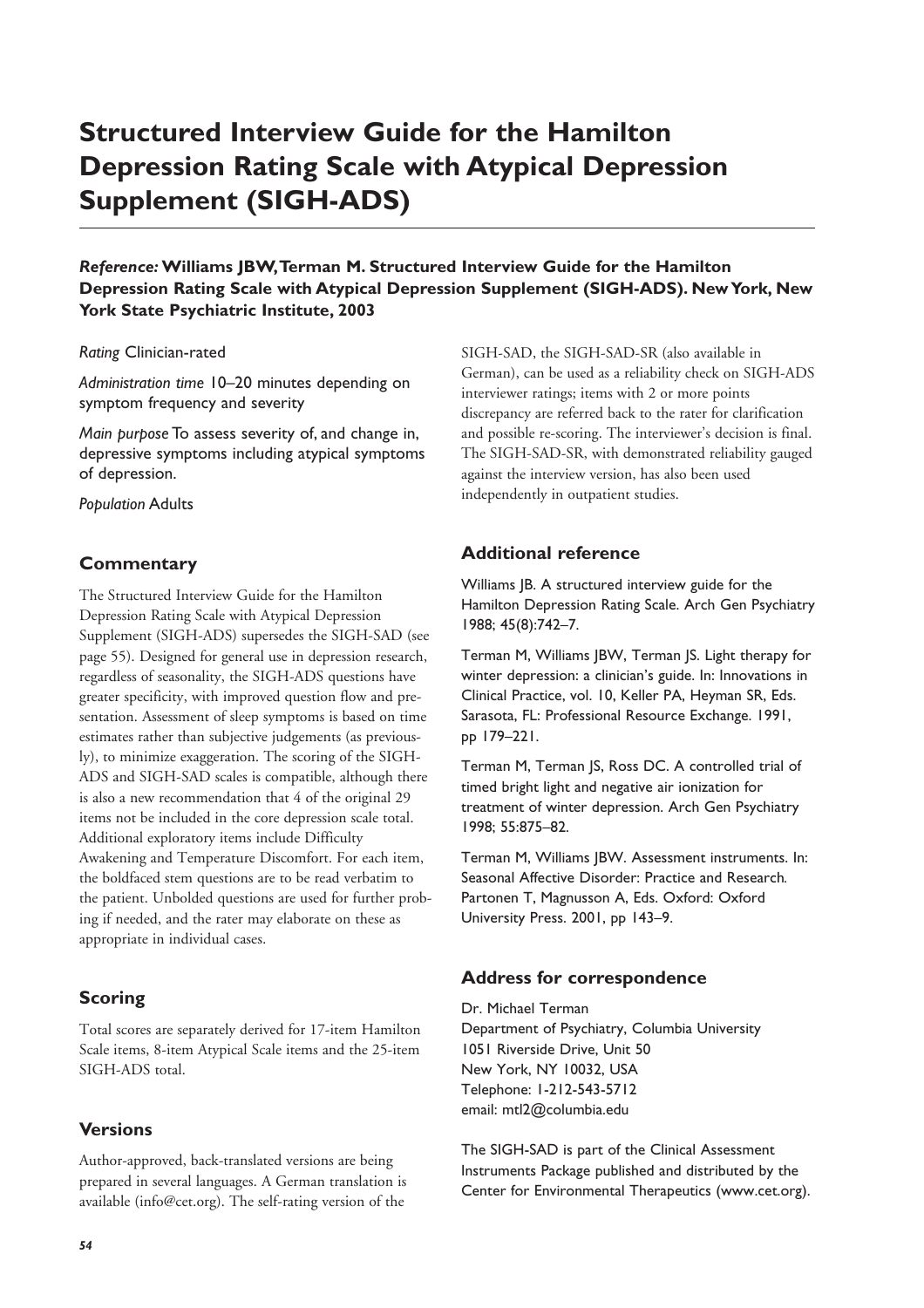# **Structured Interview Guide for the Hamilton Depression Rating Scale with Atypical Depression Supplement (SIGH-ADS)**

# *Reference:***Williams JBW,Terman M. Structured Interview Guide for the Hamilton Depression Rating Scale with Atypical Depression Supplement (SIGH-ADS). New York, New York State Psychiatric Institute, 2003**

*Rating* Clinician-rated

*Administration time* 10–20 minutes depending on symptom frequency and severity

*Main purpose* To assess severity of, and change in, depressive symptoms including atypical symptoms of depression.

*Population* Adults

# **Commentary**

The Structured Interview Guide for the Hamilton Depression Rating Scale with Atypical Depression Supplement (SIGH-ADS) supersedes the SIGH-SAD (see page 55). Designed for general use in depression research, regardless of seasonality, the SIGH-ADS questions have greater specificity, with improved question flow and presentation. Assessment of sleep symptoms is based on time estimates rather than subjective judgements (as previously), to minimize exaggeration. The scoring of the SIGH-ADS and SIGH-SAD scales is compatible, although there is also a new recommendation that 4 of the original 29 items not be included in the core depression scale total. Additional exploratory items include Difficulty Awakening and Temperature Discomfort. For each item, the boldfaced stem questions are to be read verbatim to the patient. Unbolded questions are used for further probing if needed, and the rater may elaborate on these as appropriate in individual cases.

# **Scoring**

Total scores are separately derived for 17-item Hamilton Scale items, 8-item Atypical Scale items and the 25-item SIGH-ADS total.

# **Versions**

Author-approved, back-translated versions are being prepared in several languages. A German translation is available (info@cet.org). The self-rating version of the SIGH-SAD, the SIGH-SAD-SR (also available in German), can be used as a reliability check on SIGH-ADS interviewer ratings; items with 2 or more points discrepancy are referred back to the rater for clarification and possible re-scoring. The interviewer's decision is final. The SIGH-SAD-SR, with demonstrated reliability gauged against the interview version, has also been used independently in outpatient studies.

# **Additional reference**

Williams JB. A structured interview guide for the Hamilton Depression Rating Scale. Arch Gen Psychiatry 1988; 45(8):742–7.

Terman M, Williams JBW, Terman JS. Light therapy for winter depression: a clinician's guide. In: Innovations in Clinical Practice, vol. 10, Keller PA, Heyman SR, Eds. Sarasota, FL: Professional Resource Exchange. 1991, pp 179–221.

Terman M, Terman JS, Ross DC. A controlled trial of timed bright light and negative air ionization for treatment of winter depression. Arch Gen Psychiatry 1998; 55:875–82.

Terman M, Williams JBW. Assessment instruments. In: Seasonal Affective Disorder: Practice and Research*.* Partonen T, Magnusson A, Eds. Oxford: Oxford University Press. 2001, pp 143–9.

# **Address for correspondence**

Dr. Michael Terman Department of Psychiatry, Columbia University 1051 Riverside Drive, Unit 50 New York, NY 10032, USA Telephone: 1-212-543-5712 email: mtl2@columbia.edu

The SIGH-SAD is part of the Clinical Assessment Instruments Package published and distributed by the Center for Environmental Therapeutics (www.cet.org).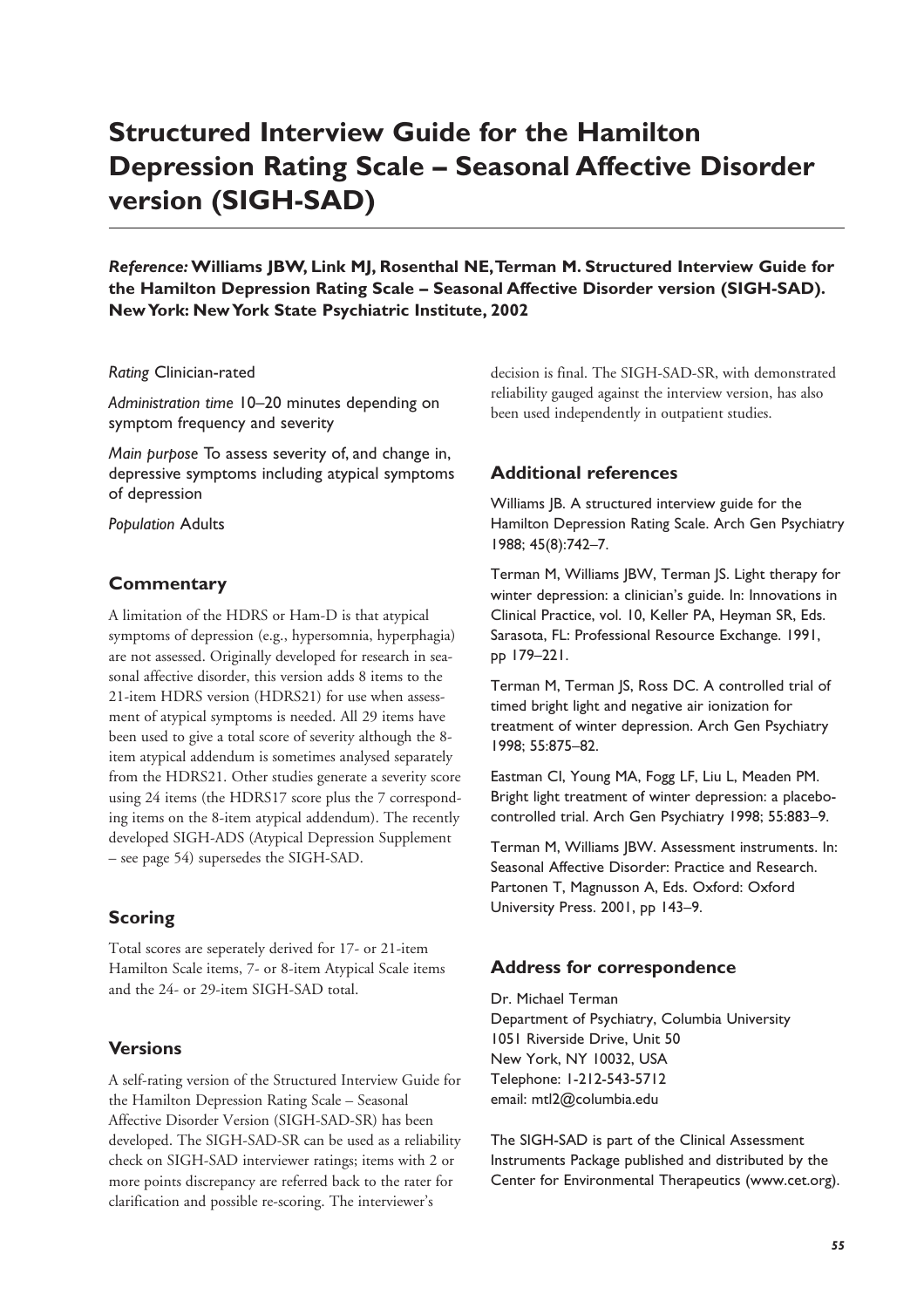# **Structured Interview Guide for the Hamilton Depression Rating Scale – Seasonal Affective Disorder version (SIGH-SAD)**

*Reference:***Williams JBW, Link MJ, Rosenthal NE,Terman M. Structured Interview Guide for the Hamilton Depression Rating Scale – Seasonal Affective Disorder version (SIGH-SAD). New York: New York State Psychiatric Institute, 2002**

*Rating* Clinician-rated

*Administration time* 10–20 minutes depending on symptom frequency and severity

*Main purpose* To assess severity of, and change in, depressive symptoms including atypical symptoms of depression

*Population* Adults

# **Commentary**

A limitation of the HDRS or Ham-D is that atypical symptoms of depression (e.g., hypersomnia, hyperphagia) are not assessed. Originally developed for research in seasonal affective disorder, this version adds 8 items to the 21-item HDRS version (HDRS21) for use when assessment of atypical symptoms is needed. All 29 items have been used to give a total score of severity although the 8 item atypical addendum is sometimes analysed separately from the HDRS21. Other studies generate a severity score using 24 items (the HDRS17 score plus the 7 corresponding items on the 8-item atypical addendum). The recently developed SIGH-ADS (Atypical Depression Supplement – see page 54) supersedes the SIGH-SAD.

# **Scoring**

Total scores are seperately derived for 17- or 21-item Hamilton Scale items, 7- or 8-item Atypical Scale items and the 24- or 29-item SIGH-SAD total.

# **Versions**

A self-rating version of the Structured Interview Guide for the Hamilton Depression Rating Scale – Seasonal Affective Disorder Version (SIGH-SAD-SR) has been developed. The SIGH-SAD-SR can be used as a reliability check on SIGH-SAD interviewer ratings; items with 2 or more points discrepancy are referred back to the rater for clarification and possible re-scoring. The interviewer's

decision is final. The SIGH-SAD-SR, with demonstrated reliability gauged against the interview version, has also been used independently in outpatient studies.

# **Additional references**

Williams JB. A structured interview guide for the Hamilton Depression Rating Scale. Arch Gen Psychiatry 1988; 45(8):742–7.

Terman M, Williams JBW, Terman JS. Light therapy for winter depression: a clinician's guide. In: Innovations in Clinical Practice, vol. 10, Keller PA, Heyman SR, Eds. Sarasota, FL: Professional Resource Exchange. 1991, pp 179–221.

Terman M, Terman JS, Ross DC. A controlled trial of timed bright light and negative air ionization for treatment of winter depression. Arch Gen Psychiatry 1998; 55:875–82.

Eastman CI, Young MA, Fogg LF, Liu L, Meaden PM. Bright light treatment of winter depression: a placebocontrolled trial. Arch Gen Psychiatry 1998; 55:883–9.

Terman M, Williams JBW. Assessment instruments. In: Seasonal Affective Disorder: Practice and Research. Partonen T, Magnusson A, Eds. Oxford: Oxford University Press. 2001, pp 143–9.

# **Address for correspondence**

Dr. Michael Terman Department of Psychiatry, Columbia University 1051 Riverside Drive, Unit 50 New York, NY 10032, USA Telephone: 1-212-543-5712 email: mtl2@columbia.edu

The SIGH-SAD is part of the Clinical Assessment Instruments Package published and distributed by the Center for Environmental Therapeutics (www.cet.org).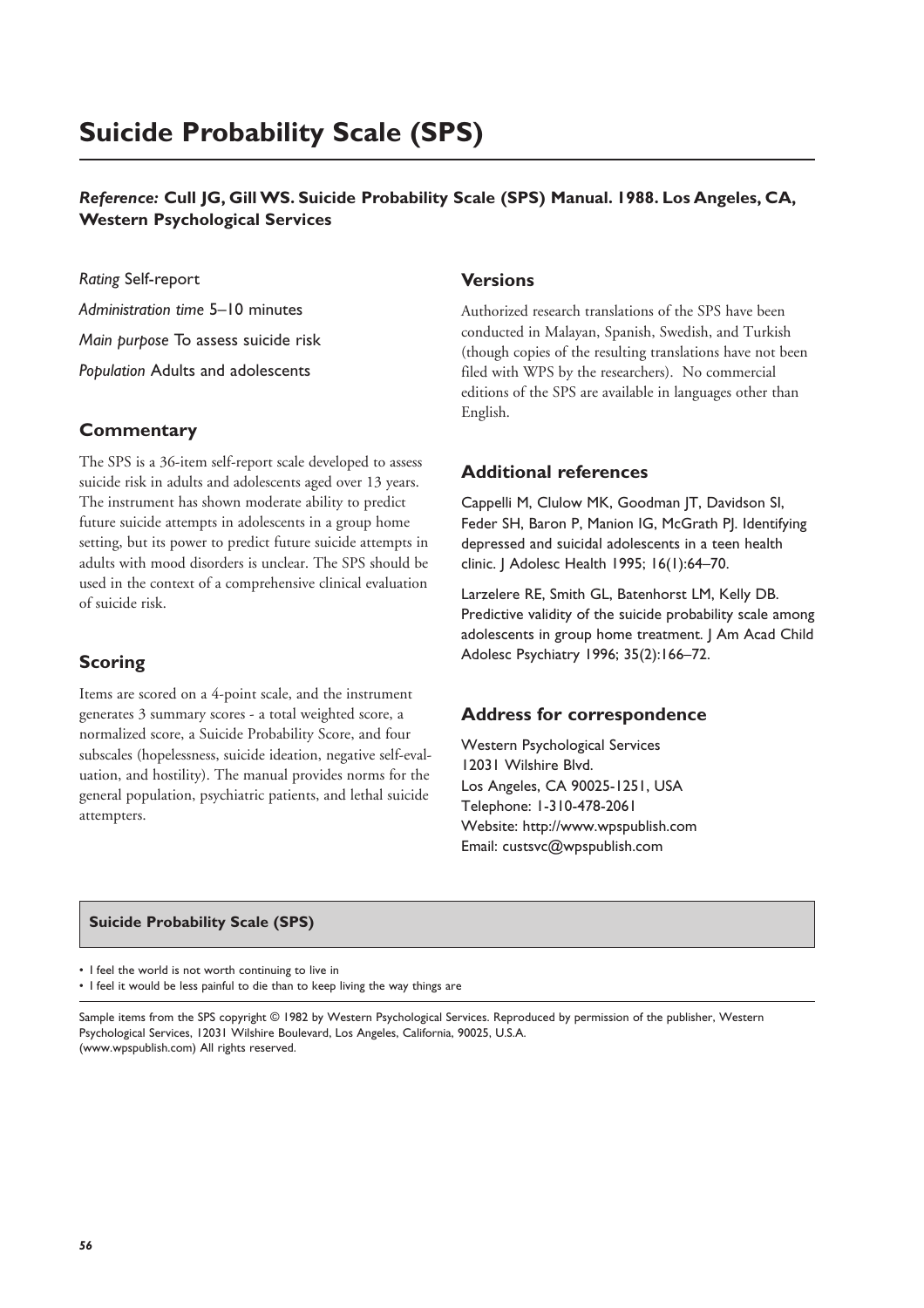# *Reference:* **Cull JG, Gill WS. Suicide Probability Scale (SPS) Manual. 1988. Los Angeles, CA, Western Psychological Services**

*Rating* Self-report *Administration time* 5–10 minutes *Main purpose* To assess suicide risk *Population* Adults and adolescents

# **Commentary**

The SPS is a 36-item self-report scale developed to assess suicide risk in adults and adolescents aged over 13 years. The instrument has shown moderate ability to predict future suicide attempts in adolescents in a group home setting, but its power to predict future suicide attempts in adults with mood disorders is unclear. The SPS should be used in the context of a comprehensive clinical evaluation of suicide risk.

# **Scoring**

Items are scored on a 4-point scale, and the instrument generates 3 summary scores - a total weighted score, a normalized score, a Suicide Probability Score, and four subscales (hopelessness, suicide ideation, negative self-evaluation, and hostility). The manual provides norms for the general population, psychiatric patients, and lethal suicide attempters.

# **Versions**

Authorized research translations of the SPS have been conducted in Malayan, Spanish, Swedish, and Turkish (though copies of the resulting translations have not been filed with WPS by the researchers). No commercial editions of the SPS are available in languages other than English.

# **Additional references**

Cappelli M, Clulow MK, Goodman JT, Davidson SI, Feder SH, Baron P, Manion IG, McGrath PJ. Identifying depressed and suicidal adolescents in a teen health clinic. J Adolesc Health 1995; 16(1):64–70.

Larzelere RE, Smith GL, Batenhorst LM, Kelly DB. Predictive validity of the suicide probability scale among adolescents in group home treatment. J Am Acad Child Adolesc Psychiatry 1996; 35(2):166–72.

# **Address for correspondence**

Western Psychological Services 12031 Wilshire Blvd. Los Angeles, CA 90025-1251, USA Telephone: 1-310-478-2061 Website: http://www.wpspublish.com Email: custsvc@wpspublish.com

**Suicide Probability Scale (SPS)**

• I feel the world is not worth continuing to live in

• I feel it would be less painful to die than to keep living the way things are

Sample items from the SPS copyright © 1982 by Western Psychological Services. Reproduced by permission of the publisher, Western Psychological Services, 12031 Wilshire Boulevard, Los Angeles, California, 90025, U.S.A. (www.wpspublish.com) All rights reserved.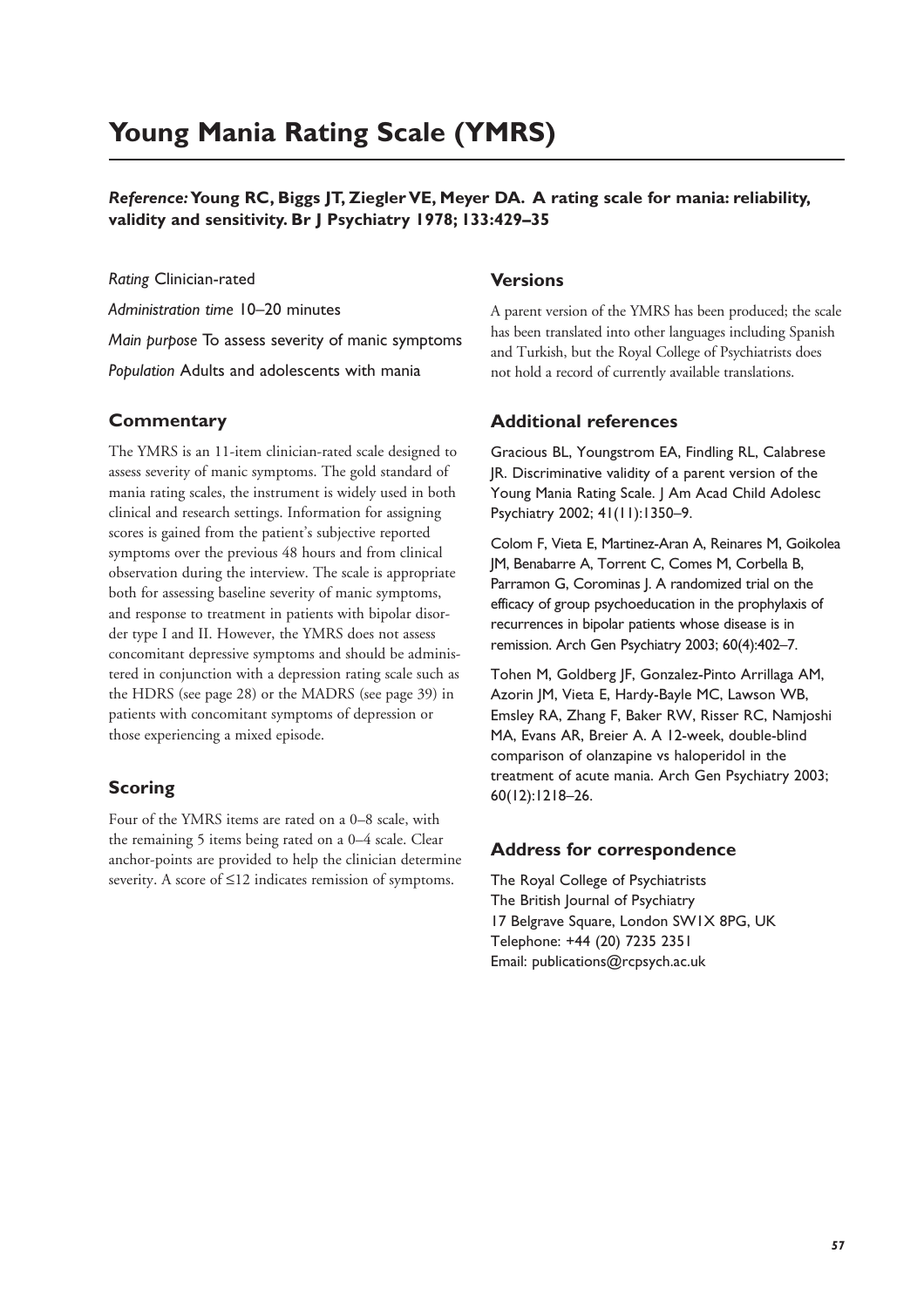# **Young Mania Rating Scale (YMRS)**

*Reference:***Young RC, Biggs JT, Ziegler VE, Meyer DA. A rating scale for mania: reliability, validity and sensitivity. Br J Psychiatry 1978; 133:429–35**

*Rating* Clinician-rated *Administration time* 10–20 minutes *Main purpose* To assess severity of manic symptoms *Population* Adults and adolescents with mania

# **Commentary**

The YMRS is an 11-item clinician-rated scale designed to assess severity of manic symptoms. The gold standard of mania rating scales, the instrument is widely used in both clinical and research settings. Information for assigning scores is gained from the patient's subjective reported symptoms over the previous 48 hours and from clinical observation during the interview. The scale is appropriate both for assessing baseline severity of manic symptoms, and response to treatment in patients with bipolar disorder type I and II. However, the YMRS does not assess concomitant depressive symptoms and should be administered in conjunction with a depression rating scale such as the HDRS (see page 28) or the MADRS (see page 39) in patients with concomitant symptoms of depression or those experiencing a mixed episode.

# **Scoring**

Four of the YMRS items are rated on a 0–8 scale, with the remaining 5 items being rated on a 0–4 scale. Clear anchor-points are provided to help the clinician determine severity. A score of ≤12 indicates remission of symptoms.

# **Versions**

A parent version of the YMRS has been produced; the scale has been translated into other languages including Spanish and Turkish, but the Royal College of Psychiatrists does not hold a record of currently available translations.

# **Additional references**

Gracious BL, Youngstrom EA, Findling RL, Calabrese JR. Discriminative validity of a parent version of the Young Mania Rating Scale. J Am Acad Child Adolesc Psychiatry 2002; 41(11):1350–9.

Colom F, Vieta E, Martinez-Aran A, Reinares M, Goikolea JM, Benabarre A, Torrent C, Comes M, Corbella B, Parramon G, Corominas |. A randomized trial on the efficacy of group psychoeducation in the prophylaxis of recurrences in bipolar patients whose disease is in remission. Arch Gen Psychiatry 2003; 60(4):402–7.

Tohen M, Goldberg JF, Gonzalez-Pinto Arrillaga AM, Azorin JM, Vieta E, Hardy-Bayle MC, Lawson WB, Emsley RA, Zhang F, Baker RW, Risser RC, Namjoshi MA, Evans AR, Breier A. A 12-week, double-blind comparison of olanzapine vs haloperidol in the treatment of acute mania. Arch Gen Psychiatry 2003; 60(12):1218–26.

# **Address for correspondence**

The Royal College of Psychiatrists The British Journal of Psychiatry 17 Belgrave Square, London SW1X 8PG, UK Telephone: +44 (20) 7235 2351 Email: publications@rcpsych.ac.uk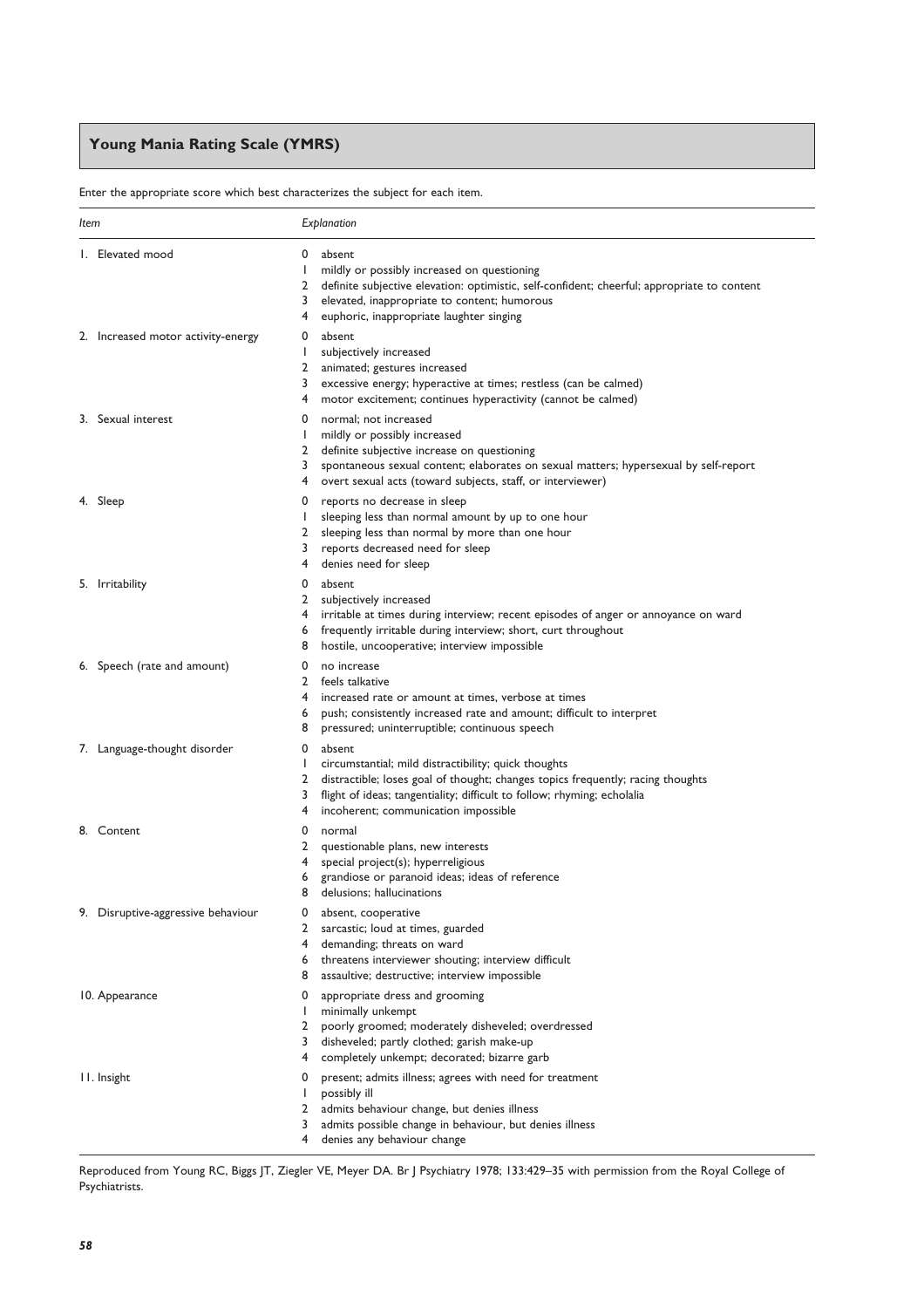# **Young Mania Rating Scale (YMRS)**

Enter the appropriate score which best characterizes the subject for each item.

| Item |                                    | Explanation                                                                                                                                                                                                                                                                                    |  |  |  |  |
|------|------------------------------------|------------------------------------------------------------------------------------------------------------------------------------------------------------------------------------------------------------------------------------------------------------------------------------------------|--|--|--|--|
|      | 1. Elevated mood                   | 0<br>absent<br>mildly or possibly increased on questioning<br>definite subjective elevation: optimistic, self-confident; cheerful; appropriate to content<br>2<br>elevated, inappropriate to content; humorous<br>3<br>euphoric, inappropriate laughter singing<br>4                           |  |  |  |  |
|      | 2. Increased motor activity-energy | 0<br>absent<br>subjectively increased<br>animated; gestures increased<br>2<br>3<br>excessive energy; hyperactive at times; restless (can be calmed)<br>4<br>motor excitement; continues hyperactivity (cannot be calmed)                                                                       |  |  |  |  |
|      | 3. Sexual interest                 | normal; not increased<br>0<br>mildly or possibly increased<br>L<br>definite subjective increase on questioning<br>$\mathbf{2}$<br>3<br>spontaneous sexual content; elaborates on sexual matters; hypersexual by self-report<br>overt sexual acts (toward subjects, staff, or interviewer)<br>4 |  |  |  |  |
|      | 4. Sleep                           | reports no decrease in sleep<br>0<br>sleeping less than normal amount by up to one hour<br>$\mathbf{2}$<br>sleeping less than normal by more than one hour<br>reports decreased need for sleep<br>3<br>4 denies need for sleep                                                                 |  |  |  |  |
|      | 5. Irritability                    | absent<br>0<br>subjectively increased<br>$\mathbf{2}$<br>irritable at times during interview; recent episodes of anger or annoyance on ward<br>4<br>frequently irritable during interview; short, curt throughout<br>6<br>hostile, uncooperative; interview impossible<br>8                    |  |  |  |  |
|      | 6. Speech (rate and amount)        | no increase<br>0<br>feels talkative<br>2<br>4<br>increased rate or amount at times, verbose at times<br>push; consistently increased rate and amount; difficult to interpret<br>6<br>pressured; uninterruptible; continuous speech<br>8                                                        |  |  |  |  |
|      | 7. Language-thought disorder       | 0<br>absent<br>circumstantial; mild distractibility; quick thoughts<br>2 distractible; loses goal of thought; changes topics frequently; racing thoughts<br>flight of ideas; tangentiality; difficult to follow; rhyming; echolalia<br>3<br>incoherent; communication impossible               |  |  |  |  |
|      | 8. Content                         | 0<br>normal<br>questionable plans, new interests<br>2<br>4 special project(s); hyperreligious<br>grandiose or paranoid ideas; ideas of reference<br>6<br>delusions: hallucinations<br>8                                                                                                        |  |  |  |  |
|      | 9. Disruptive-aggressive behaviour | absent, cooperative<br>0<br>sarcastic; loud at times, guarded<br>2<br>4<br>demanding; threats on ward<br>threatens interviewer shouting; interview difficult<br>6<br>8<br>assaultive; destructive; interview impossible                                                                        |  |  |  |  |
|      | 10. Appearance                     | 0<br>appropriate dress and grooming<br>minimally unkempt<br>poorly groomed; moderately disheveled; overdressed<br>$\mathbf{2}$<br>disheveled; partly clothed; garish make-up<br>3<br>completely unkempt; decorated; bizarre garb<br>4                                                          |  |  |  |  |
|      | 11. Insight                        | present; admits illness; agrees with need for treatment<br>0<br>possibly ill<br>$\mathbf{2}$<br>admits behaviour change, but denies illness<br>admits possible change in behaviour, but denies illness<br>3<br>4<br>denies any behaviour change                                                |  |  |  |  |

Reproduced from Young RC, Biggs JT, Ziegler VE, Meyer DA. Br J Psychiatry 1978; 133:429–35 with permission from the Royal College of Psychiatrists.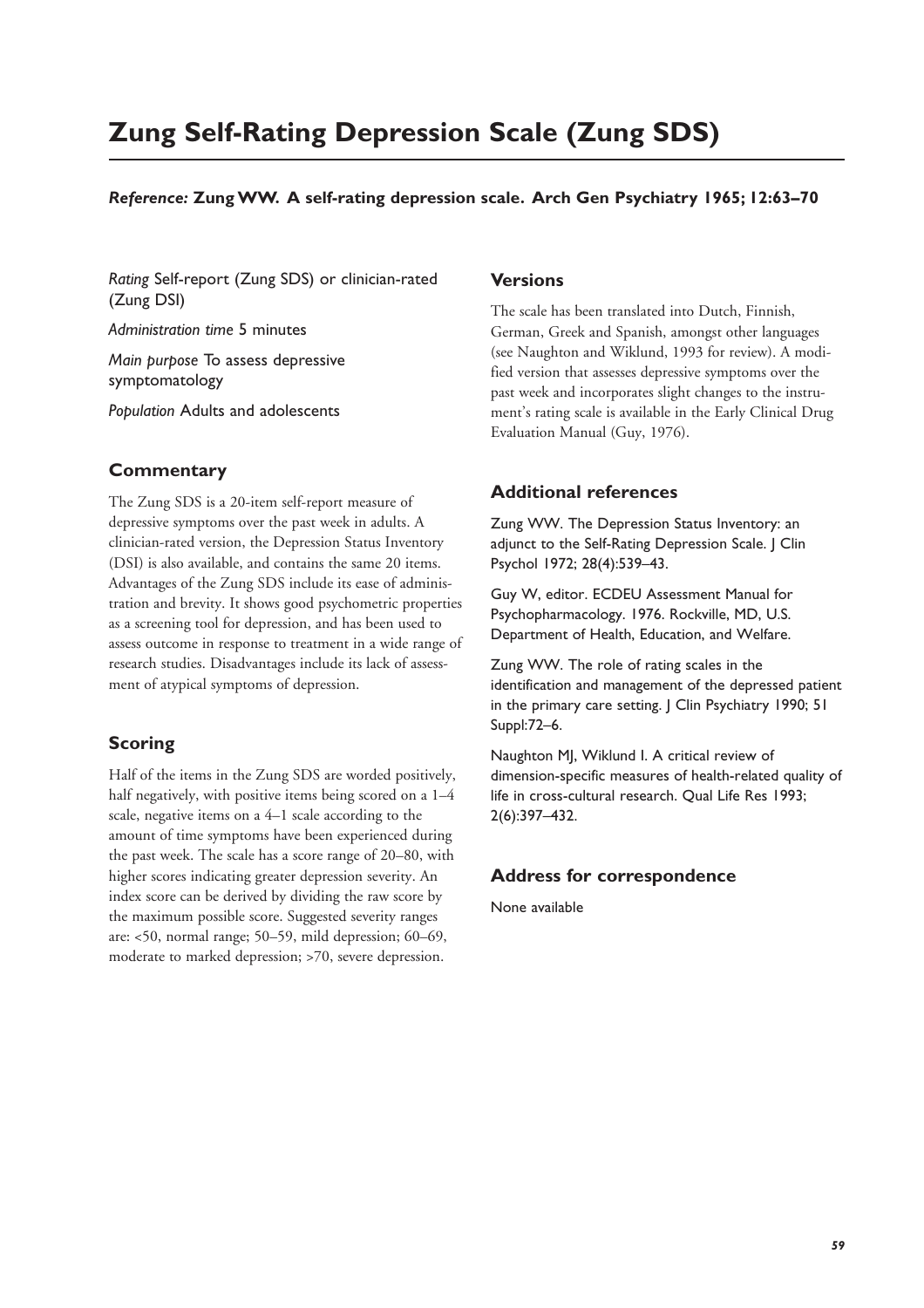# **Zung Self-Rating Depression Scale (Zung SDS)**

# *Reference:* **Zung WW. A self-rating depression scale. Arch Gen Psychiatry 1965; 12:63–70**

*Rating* Self-report (Zung SDS) or clinician-rated (Zung DSI)

*Administration time* 5 minutes

*Main purpose* To assess depressive symptomatology

*Population* Adults and adolescents

# **Commentary**

The Zung SDS is a 20-item self-report measure of depressive symptoms over the past week in adults. A clinician-rated version, the Depression Status Inventory (DSI) is also available, and contains the same 20 items. Advantages of the Zung SDS include its ease of administration and brevity. It shows good psychometric properties as a screening tool for depression, and has been used to assess outcome in response to treatment in a wide range of research studies. Disadvantages include its lack of assessment of atypical symptoms of depression.

# **Scoring**

Half of the items in the Zung SDS are worded positively, half negatively, with positive items being scored on a  $1-4$ scale, negative items on a 4–1 scale according to the amount of time symptoms have been experienced during the past week. The scale has a score range of 20–80, with higher scores indicating greater depression severity. An index score can be derived by dividing the raw score by the maximum possible score. Suggested severity ranges are: <50, normal range; 50–59, mild depression; 60–69, moderate to marked depression; >70, severe depression.

## **Versions**

The scale has been translated into Dutch, Finnish, German, Greek and Spanish, amongst other languages (see Naughton and Wiklund, 1993 for review). A modified version that assesses depressive symptoms over the past week and incorporates slight changes to the instrument's rating scale is available in the Early Clinical Drug Evaluation Manual (Guy, 1976).

# **Additional references**

Zung WW. The Depression Status Inventory: an adjunct to the Self-Rating Depression Scale. J Clin Psychol 1972; 28(4):539–43.

Guy W, editor. ECDEU Assessment Manual for Psychopharmacology. 1976. Rockville, MD, U.S. Department of Health, Education, and Welfare.

Zung WW. The role of rating scales in the identification and management of the depressed patient in the primary care setting. | Clin Psychiatry 1990; 51 Suppl:72–6.

Naughton MJ, Wiklund I. A critical review of dimension-specific measures of health-related quality of life in cross-cultural research. Qual Life Res 1993; 2(6):397–432.

# **Address for correspondence**

None available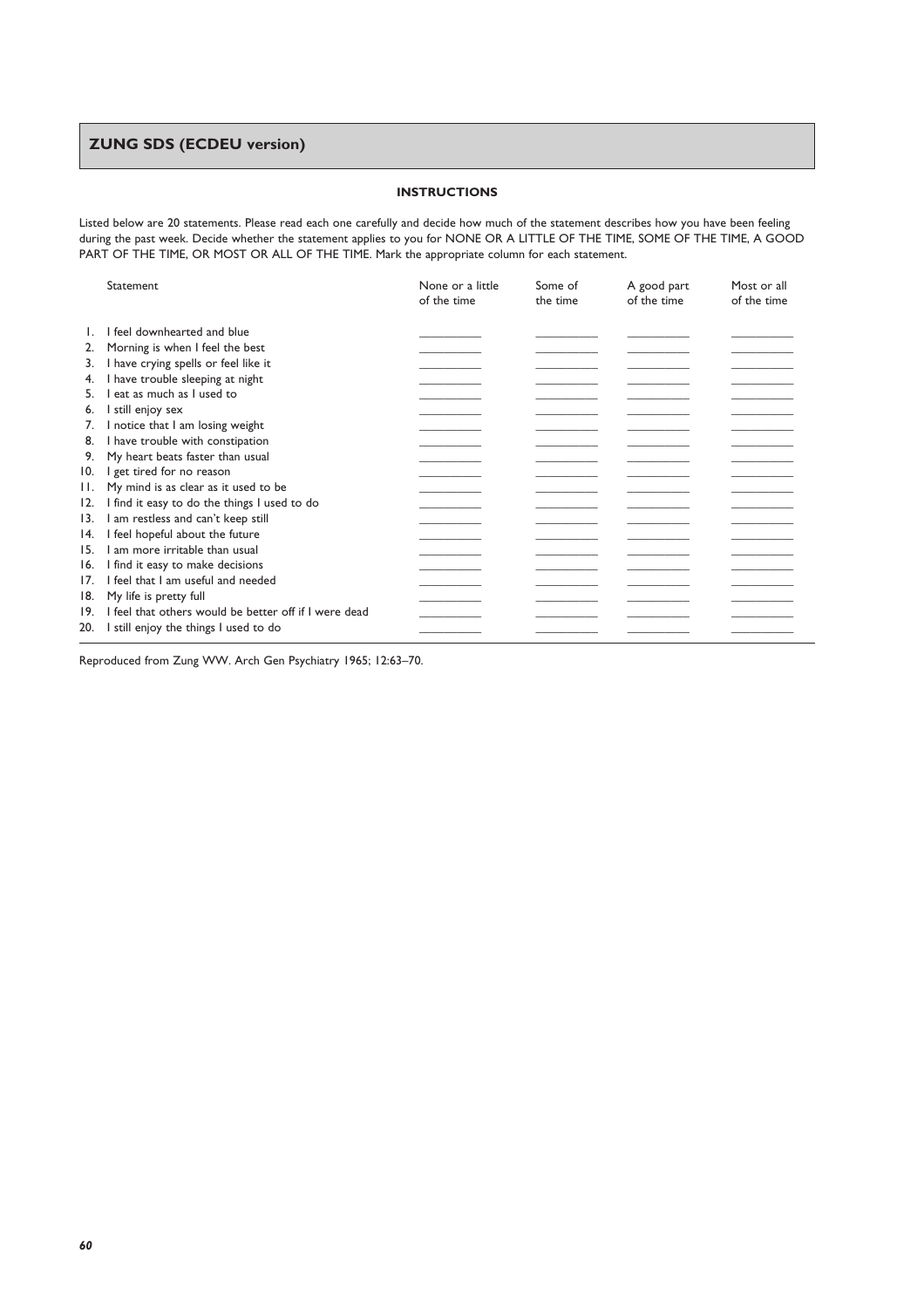## **ZUNG SDS (ECDEU version)**

#### **INSTRUCTIONS**

Listed below are 20 statements. Please read each one carefully and decide how much of the statement describes how you have been feeling during the past week. Decide whether the statement applies to you for NONE OR A LITTLE OF THE TIME, SOME OF THE TIME, A GOOD PART OF THE TIME, OR MOST OR ALL OF THE TIME. Mark the appropriate column for each statement.

|     | Statement                                             | None or a little<br>of the time | Some of<br>the time | A good part<br>of the time | Most or all<br>of the time |
|-----|-------------------------------------------------------|---------------------------------|---------------------|----------------------------|----------------------------|
|     | I feel downhearted and blue                           |                                 |                     |                            |                            |
|     | Morning is when I feel the best                       |                                 |                     |                            |                            |
| 3.  | I have crying spells or feel like it                  |                                 |                     |                            |                            |
| 4.  | I have trouble sleeping at night                      |                                 |                     |                            |                            |
| 5.  | eat as much as I used to                              |                                 |                     |                            |                            |
| 6.  | still enjoy sex                                       |                                 |                     |                            |                            |
| 7.  | I notice that I am losing weight                      |                                 |                     |                            |                            |
| 8.  | I have trouble with constipation                      |                                 |                     |                            |                            |
| 9.  | My heart beats faster than usual                      |                                 |                     |                            |                            |
| 10. | I get tired for no reason                             |                                 |                     |                            |                            |
| П.  | My mind is as clear as it used to be                  |                                 |                     |                            |                            |
| 12. | I find it easy to do the things I used to do          |                                 |                     |                            |                            |
| 13. | I am restless and can't keep still                    |                                 |                     |                            |                            |
| 14. | I feel hopeful about the future                       |                                 |                     |                            |                            |
| 15. | I am more irritable than usual                        |                                 |                     |                            |                            |
| 16. | I find it easy to make decisions                      |                                 |                     |                            |                            |
| 17. | I feel that I am useful and needed                    |                                 |                     |                            |                            |
| 18. | My life is pretty full                                |                                 |                     |                            |                            |
| 19. | I feel that others would be better off if I were dead |                                 |                     |                            |                            |
| 20. | I still enjoy the things I used to do                 |                                 |                     |                            |                            |

Reproduced from Zung WW. Arch Gen Psychiatry 1965; 12:63–70.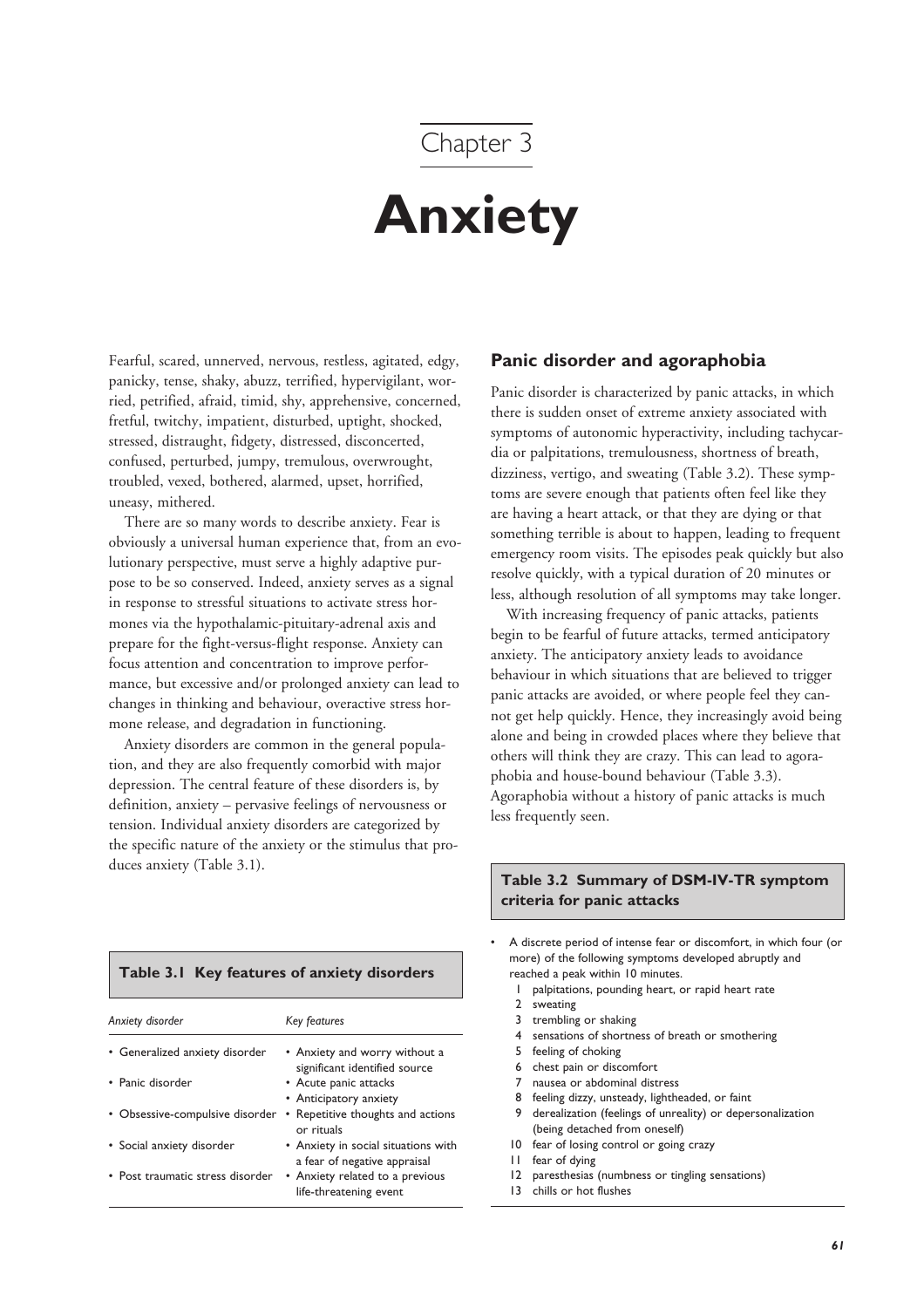# Chapter 3

# **Anxiety**

Fearful, scared, unnerved, nervous, restless, agitated, edgy, panicky, tense, shaky, abuzz, terrified, hypervigilant, worried, petrified, afraid, timid, shy, apprehensive, concerned, fretful, twitchy, impatient, disturbed, uptight, shocked, stressed, distraught, fidgety, distressed, disconcerted, confused, perturbed, jumpy, tremulous, overwrought, troubled, vexed, bothered, alarmed, upset, horrified, uneasy, mithered.

There are so many words to describe anxiety. Fear is obviously a universal human experience that, from an evolutionary perspective, must serve a highly adaptive purpose to be so conserved. Indeed, anxiety serves as a signal in response to stressful situations to activate stress hormones via the hypothalamic-pituitary-adrenal axis and prepare for the fight-versus-flight response. Anxiety can focus attention and concentration to improve performance, but excessive and/or prolonged anxiety can lead to changes in thinking and behaviour, overactive stress hormone release, and degradation in functioning.

Anxiety disorders are common in the general population, and they are also frequently comorbid with major depression. The central feature of these disorders is, by definition, anxiety – pervasive feelings of nervousness or tension. Individual anxiety disorders are categorized by the specific nature of the anxiety or the stimulus that produces anxiety (Table 3.1).

# *Anxiety disorder Key features* • Generalized anxiety disorder • Anxiety and worry without a significant identified source • Panic disorder • Acute panic attacks • Anticipatory anxiety • Obsessive-compulsive disorder • Repetitive thoughts and actions or rituals • Social anxiety disorder • Anxiety in social situations with a fear of negative appraisal • Post traumatic stress disorder • Anxiety related to a previous life-threatening event

**Table 3.1 Key features of anxiety disorders**

#### **Panic disorder and agoraphobia**

Panic disorder is characterized by panic attacks, in which there is sudden onset of extreme anxiety associated with symptoms of autonomic hyperactivity, including tachycardia or palpitations, tremulousness, shortness of breath, dizziness, vertigo, and sweating (Table 3.2). These symptoms are severe enough that patients often feel like they are having a heart attack, or that they are dying or that something terrible is about to happen, leading to frequent emergency room visits. The episodes peak quickly but also resolve quickly, with a typical duration of 20 minutes or less, although resolution of all symptoms may take longer.

With increasing frequency of panic attacks, patients begin to be fearful of future attacks, termed anticipatory anxiety. The anticipatory anxiety leads to avoidance behaviour in which situations that are believed to trigger panic attacks are avoided, or where people feel they cannot get help quickly. Hence, they increasingly avoid being alone and being in crowded places where they believe that others will think they are crazy. This can lead to agoraphobia and house-bound behaviour (Table 3.3). Agoraphobia without a history of panic attacks is much less frequently seen.

## **Table 3.2 Summary of DSM-IV-TR symptom criteria for panic attacks**

• A discrete period of intense fear or discomfort, in which four (or more) of the following symptoms developed abruptly and reached a peak within 10 minutes.

- 1 palpitations, pounding heart, or rapid heart rate
- 2 sweating
- 3 trembling or shaking
- 4 sensations of shortness of breath or smothering
- 5 feeling of choking
- 6 chest pain or discomfort
- 7 nausea or abdominal distress
- 8 feeling dizzy, unsteady, lightheaded, or faint
- 9 derealization (feelings of unreality) or depersonalization (being detached from oneself)
- 10 fear of losing control or going crazy
- 11 fear of dying
- 12 paresthesias (numbness or tingling sensations)
- 13 chills or hot flushes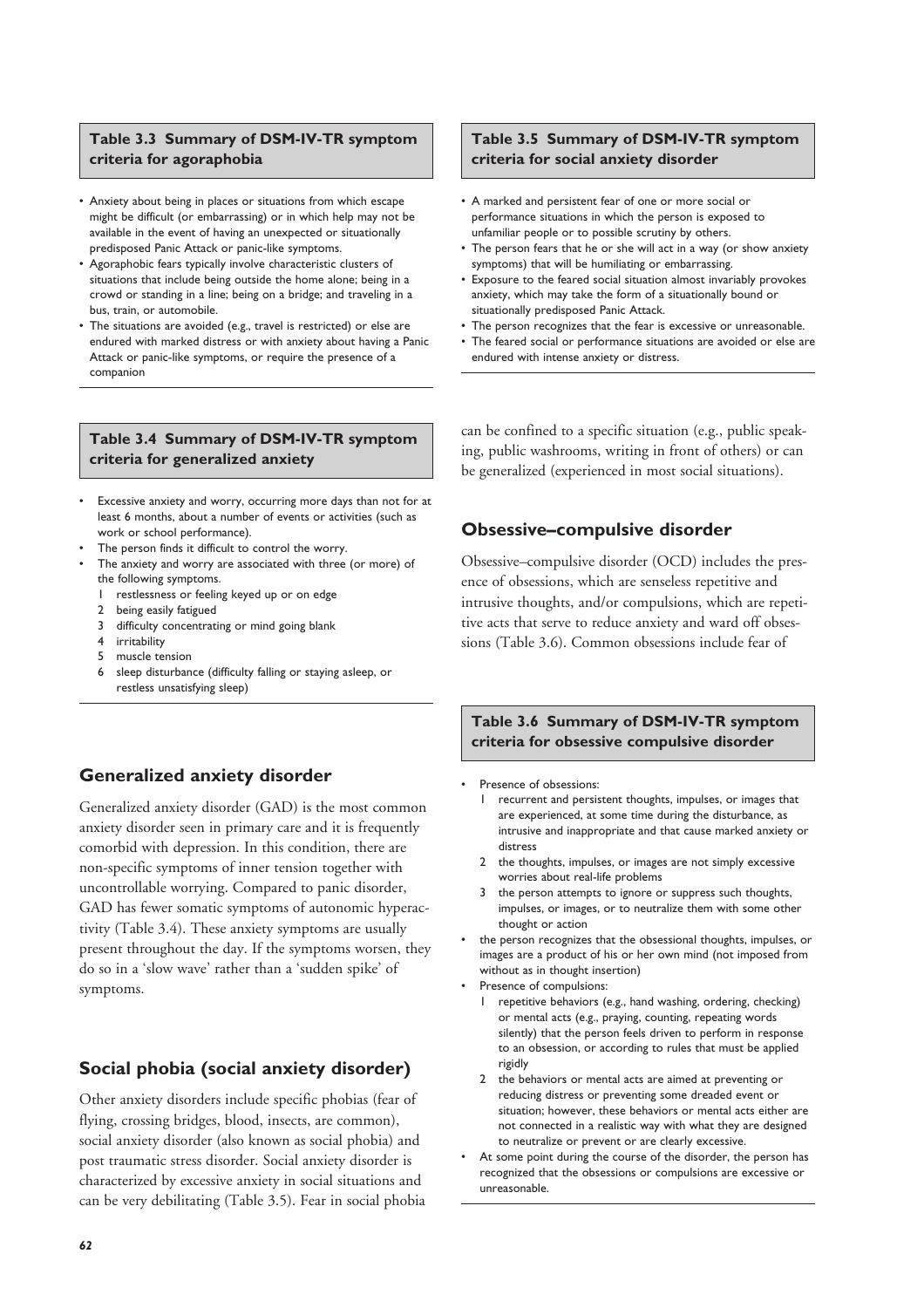#### **Table 3.3 Summary of DSM-IV-TR symptom criteria for agoraphobia**

- Anxiety about being in places or situations from which escape might be difficult (or embarrassing) or in which help may not be available in the event of having an unexpected or situationally predisposed Panic Attack or panic-like symptoms.
- Agoraphobic fears typically involve characteristic clusters of situations that include being outside the home alone; being in a crowd or standing in a line; being on a bridge; and traveling in a bus, train, or automobile.
- The situations are avoided (e.g., travel is restricted) or else are endured with marked distress or with anxiety about having a Panic Attack or panic-like symptoms, or require the presence of a companion

#### **Table 3.4 Summary of DSM-IV-TR symptom criteria for generalized anxiety**

- Excessive anxiety and worry, occurring more days than not for at least 6 months, about a number of events or activities (such as work or school performance).
- The person finds it difficult to control the worry.
- The anxiety and worry are associated with three (or more) of the following symptoms.
- 1 restlessness or feeling keyed up or on edge
	- 2 being easily fatigued
	- 3 difficulty concentrating or mind going blank
	- 4 irritability
	- 5 muscle tension
	- 6 sleep disturbance (difficulty falling or staying asleep, or restless unsatisfying sleep)

# **Generalized anxiety disorder**

Generalized anxiety disorder (GAD) is the most common anxiety disorder seen in primary care and it is frequently comorbid with depression. In this condition, there are non-specific symptoms of inner tension together with uncontrollable worrying. Compared to panic disorder, GAD has fewer somatic symptoms of autonomic hyperactivity (Table 3.4). These anxiety symptoms are usually present throughout the day. If the symptoms worsen, they do so in a 'slow wave' rather than a 'sudden spike' of symptoms.

# **Social phobia (social anxiety disorder)**

Other anxiety disorders include specific phobias (fear of flying, crossing bridges, blood, insects, are common), social anxiety disorder (also known as social phobia) and post traumatic stress disorder. Social anxiety disorder is characterized by excessive anxiety in social situations and can be very debilitating (Table 3.5). Fear in social phobia

#### **Table 3.5 Summary of DSM-IV-TR symptom criteria for social anxiety disorder**

- A marked and persistent fear of one or more social or performance situations in which the person is exposed to unfamiliar people or to possible scrutiny by others.
- The person fears that he or she will act in a way (or show anxiety symptoms) that will be humiliating or embarrassing.
- Exposure to the feared social situation almost invariably provokes anxiety, which may take the form of a situationally bound or situationally predisposed Panic Attack.
- The person recognizes that the fear is excessive or unreasonable.
- The feared social or performance situations are avoided or else are endured with intense anxiety or distress.

can be confined to a specific situation (e.g., public speaking, public washrooms, writing in front of others) or can be generalized (experienced in most social situations).

# **Obsessive–compulsive disorder**

Obsessive–compulsive disorder (OCD) includes the presence of obsessions, which are senseless repetitive and intrusive thoughts, and/or compulsions, which are repetitive acts that serve to reduce anxiety and ward off obsessions (Table 3.6). Common obsessions include fear of

#### **Table 3.6 Summary of DSM-IV-TR symptom criteria for obsessive compulsive disorder**

- Presence of obsessions:
	- 1 recurrent and persistent thoughts, impulses, or images that are experienced, at some time during the disturbance, as intrusive and inappropriate and that cause marked anxiety or distress
	- 2 the thoughts, impulses, or images are not simply excessive worries about real-life problems
	- 3 the person attempts to ignore or suppress such thoughts, impulses, or images, or to neutralize them with some other thought or action
- the person recognizes that the obsessional thoughts, impulses, or images are a product of his or her own mind (not imposed from without as in thought insertion)
- Presence of compulsions:
- repetitive behaviors (e.g., hand washing, ordering, checking) or mental acts (e.g., praying, counting, repeating words silently) that the person feels driven to perform in response to an obsession, or according to rules that must be applied rigidly
- 2 the behaviors or mental acts are aimed at preventing or reducing distress or preventing some dreaded event or situation; however, these behaviors or mental acts either are not connected in a realistic way with what they are designed to neutralize or prevent or are clearly excessive.
- At some point during the course of the disorder, the person has recognized that the obsessions or compulsions are excessive or unreasonable.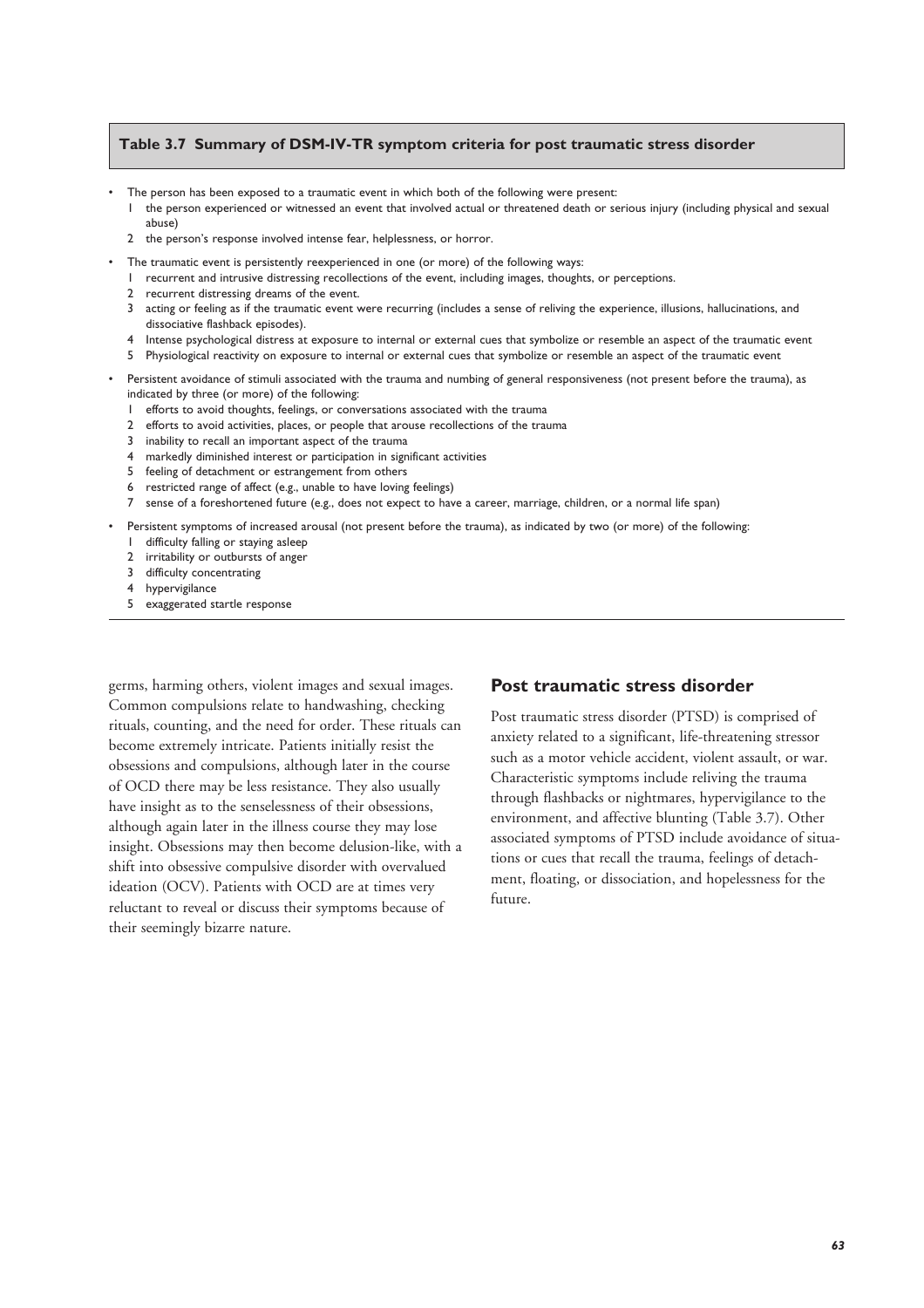#### **Table 3.7 Summary of DSM-IV-TR symptom criteria for post traumatic stress disorder**

- The person has been exposed to a traumatic event in which both of the following were present: 1 the person experienced or witnessed an event that involved actual or threatened death or serious injury (including physical and sexual
- abuse)
- 2 the person's response involved intense fear, helplessness, or horror.
- The traumatic event is persistently reexperienced in one (or more) of the following ways:
- 1 recurrent and intrusive distressing recollections of the event, including images, thoughts, or perceptions.
- 2 recurrent distressing dreams of the event.
- 3 acting or feeling as if the traumatic event were recurring (includes a sense of reliving the experience, illusions, hallucinations, and dissociative flashback episodes).
- 4 Intense psychological distress at exposure to internal or external cues that symbolize or resemble an aspect of the traumatic event
- 5 Physiological reactivity on exposure to internal or external cues that symbolize or resemble an aspect of the traumatic event
- Persistent avoidance of stimuli associated with the trauma and numbing of general responsiveness (not present before the trauma), as indicated by three (or more) of the following:
	- efforts to avoid thoughts, feelings, or conversations associated with the trauma
	- 2 efforts to avoid activities, places, or people that arouse recollections of the trauma
	- 3 inability to recall an important aspect of the trauma
	- 4 markedly diminished interest or participation in significant activities
	- 5 feeling of detachment or estrangement from others
	- 6 restricted range of affect (e.g., unable to have loving feelings)
- 7 sense of a foreshortened future (e.g., does not expect to have a career, marriage, children, or a normal life span)
- Persistent symptoms of increased arousal (not present before the trauma), as indicated by two (or more) of the following:
	- difficulty falling or staying asleep
	- 2 irritability or outbursts of anger
	- 3 difficulty concentrating
	- 4 hypervigilance
	- 5 exaggerated startle response

germs, harming others, violent images and sexual images. Common compulsions relate to handwashing, checking rituals, counting, and the need for order. These rituals can become extremely intricate. Patients initially resist the obsessions and compulsions, although later in the course of OCD there may be less resistance. They also usually have insight as to the senselessness of their obsessions, although again later in the illness course they may lose insight. Obsessions may then become delusion-like, with a shift into obsessive compulsive disorder with overvalued ideation (OCV). Patients with OCD are at times very reluctant to reveal or discuss their symptoms because of their seemingly bizarre nature.

#### **Post traumatic stress disorder**

Post traumatic stress disorder (PTSD) is comprised of anxiety related to a significant, life-threatening stressor such as a motor vehicle accident, violent assault, or war. Characteristic symptoms include reliving the trauma through flashbacks or nightmares, hypervigilance to the environment, and affective blunting (Table 3.7). Other associated symptoms of PTSD include avoidance of situations or cues that recall the trauma, feelings of detachment, floating, or dissociation, and hopelessness for the future.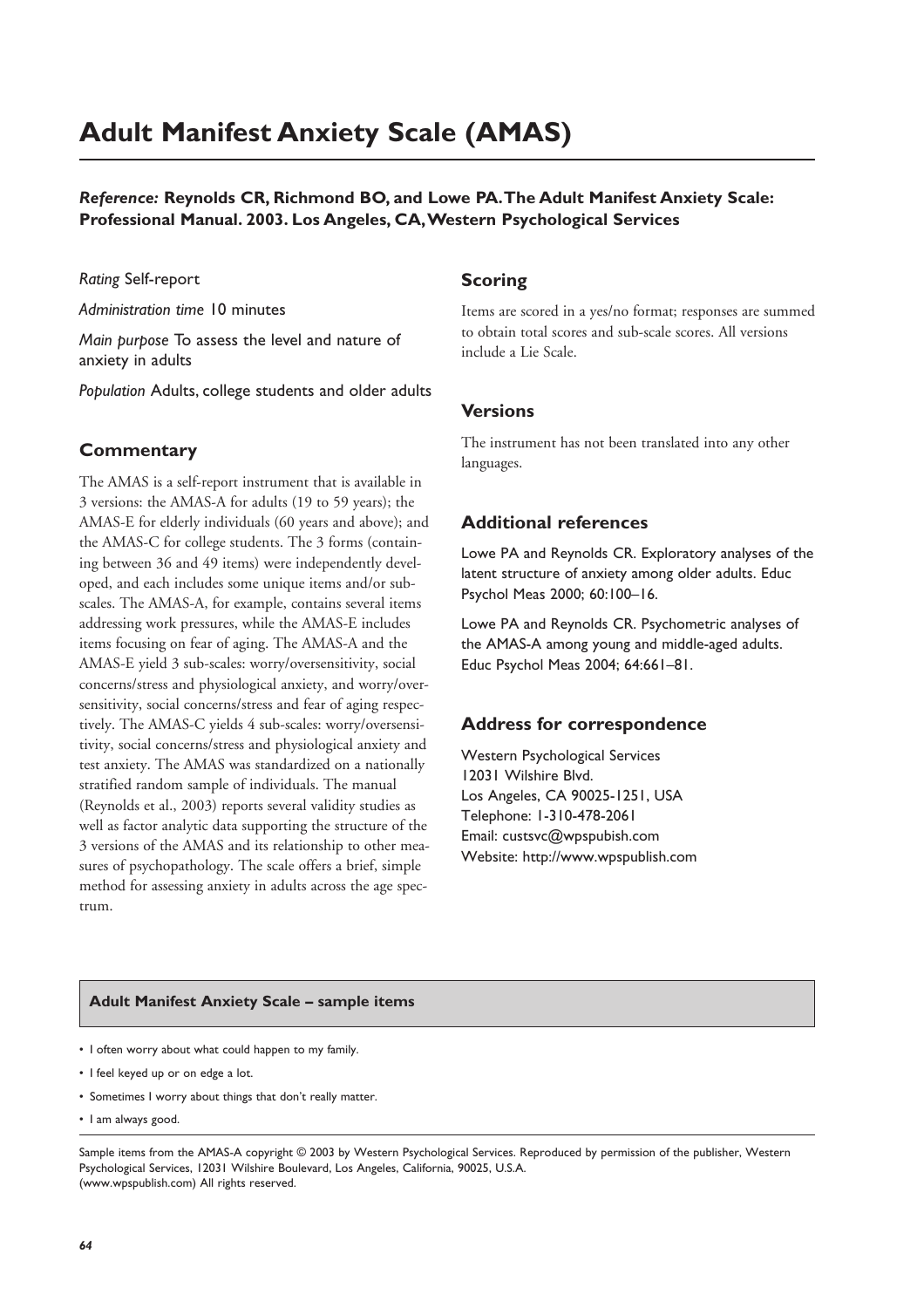# **Adult Manifest Anxiety Scale (AMAS)**

*Reference:* **Reynolds CR, Richmond BO, and Lowe PA.The Adult Manifest Anxiety Scale: Professional Manual. 2003. Los Angeles, CA,Western Psychological Services**

*Rating* Self-report

*Administration time* 10 minutes

*Main purpose* To assess the level and nature of anxiety in adults

*Population* Adults, college students and older adults

#### **Commentary**

The AMAS is a self-report instrument that is available in 3 versions: the AMAS-A for adults (19 to 59 years); the AMAS-E for elderly individuals (60 years and above); and the AMAS-C for college students. The 3 forms (containing between 36 and 49 items) were independently developed, and each includes some unique items and/or subscales. The AMAS-A, for example, contains several items addressing work pressures, while the AMAS-E includes items focusing on fear of aging. The AMAS-A and the AMAS-E yield 3 sub-scales: worry/oversensitivity, social concerns/stress and physiological anxiety, and worry/oversensitivity, social concerns/stress and fear of aging respectively. The AMAS-C yields 4 sub-scales: worry/oversensitivity, social concerns/stress and physiological anxiety and test anxiety. The AMAS was standardized on a nationally stratified random sample of individuals. The manual (Reynolds et al., 2003) reports several validity studies as well as factor analytic data supporting the structure of the 3 versions of the AMAS and its relationship to other measures of psychopathology. The scale offers a brief, simple method for assessing anxiety in adults across the age spectrum.

#### **Scoring**

Items are scored in a yes/no format; responses are summed to obtain total scores and sub-scale scores. All versions include a Lie Scale.

#### **Versions**

The instrument has not been translated into any other languages.

## **Additional references**

Lowe PA and Reynolds CR. Exploratory analyses of the latent structure of anxiety among older adults. Educ Psychol Meas 2000; 60:100–16.

Lowe PA and Reynolds CR. Psychometric analyses of the AMAS-A among young and middle-aged adults. Educ Psychol Meas 2004; 64:661–81.

#### **Address for correspondence**

Western Psychological Services 12031 Wilshire Blvd. Los Angeles, CA 90025-1251, USA Telephone: 1-310-478-2061 Email: custsvc@wpspubish.com Website: http://www.wpspublish.com

#### **Adult Manifest Anxiety Scale – sample items**

- I often worry about what could happen to my family.
- I feel keyed up or on edge a lot.
- Sometimes I worry about things that don't really matter.
- I am always good.

Sample items from the AMAS-A copyright © 2003 by Western Psychological Services. Reproduced by permission of the publisher, Western Psychological Services, 12031 Wilshire Boulevard, Los Angeles, California, 90025, U.S.A. (www.wpspublish.com) All rights reserved.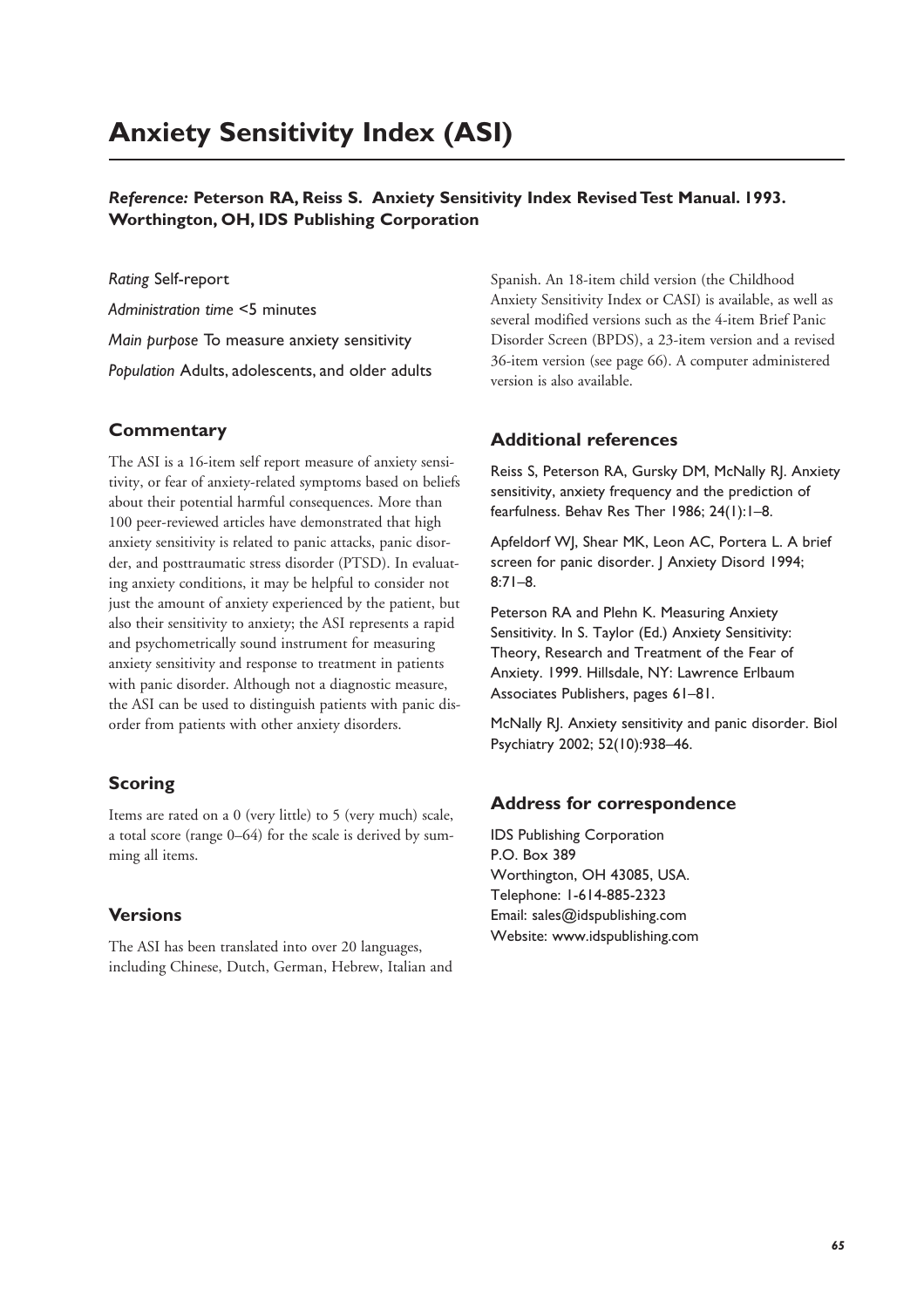*Reference:* **Peterson RA, Reiss S. Anxiety Sensitivity Index Revised Test Manual. 1993. Worthington, OH, IDS Publishing Corporation**

*Rating* Self-report *Administration time* <5 minutes *Main purpose* To measure anxiety sensitivity *Population* Adults, adolescents, and older adults

# **Commentary**

The ASI is a 16-item self report measure of anxiety sensitivity, or fear of anxiety-related symptoms based on beliefs about their potential harmful consequences. More than 100 peer-reviewed articles have demonstrated that high anxiety sensitivity is related to panic attacks, panic disorder, and posttraumatic stress disorder (PTSD). In evaluating anxiety conditions, it may be helpful to consider not just the amount of anxiety experienced by the patient, but also their sensitivity to anxiety; the ASI represents a rapid and psychometrically sound instrument for measuring anxiety sensitivity and response to treatment in patients with panic disorder. Although not a diagnostic measure, the ASI can be used to distinguish patients with panic disorder from patients with other anxiety disorders.

# **Scoring**

Items are rated on a 0 (very little) to 5 (very much) scale, a total score (range 0–64) for the scale is derived by summing all items.

# **Versions**

The ASI has been translated into over 20 languages, including Chinese, Dutch, German, Hebrew, Italian and Spanish. An 18-item child version (the Childhood Anxiety Sensitivity Index or CASI) is available, as well as several modified versions such as the 4-item Brief Panic Disorder Screen (BPDS), a 23-item version and a revised 36-item version (see page 66). A computer administered version is also available.

# **Additional references**

Reiss S, Peterson RA, Gursky DM, McNally RJ. Anxiety sensitivity, anxiety frequency and the prediction of fearfulness. Behav Res Ther 1986; 24(1):1–8.

Apfeldorf WJ, Shear MK, Leon AC, Portera L. A brief screen for panic disorder. J Anxiety Disord 1994; 8:71–8.

Peterson RA and Plehn K. Measuring Anxiety Sensitivity. In S. Taylor (Ed.) Anxiety Sensitivity: Theory, Research and Treatment of the Fear of Anxiety. 1999. Hillsdale, NY: Lawrence Erlbaum Associates Publishers, pages 61–81.

McNally RJ. Anxiety sensitivity and panic disorder. Biol Psychiatry 2002; 52(10):938–46.

# **Address for correspondence**

IDS Publishing Corporation P.O. Box 389 Worthington, OH 43085, USA. Telephone: 1-614-885-2323 Email: sales@idspublishing.com Website: www.idspublishing.com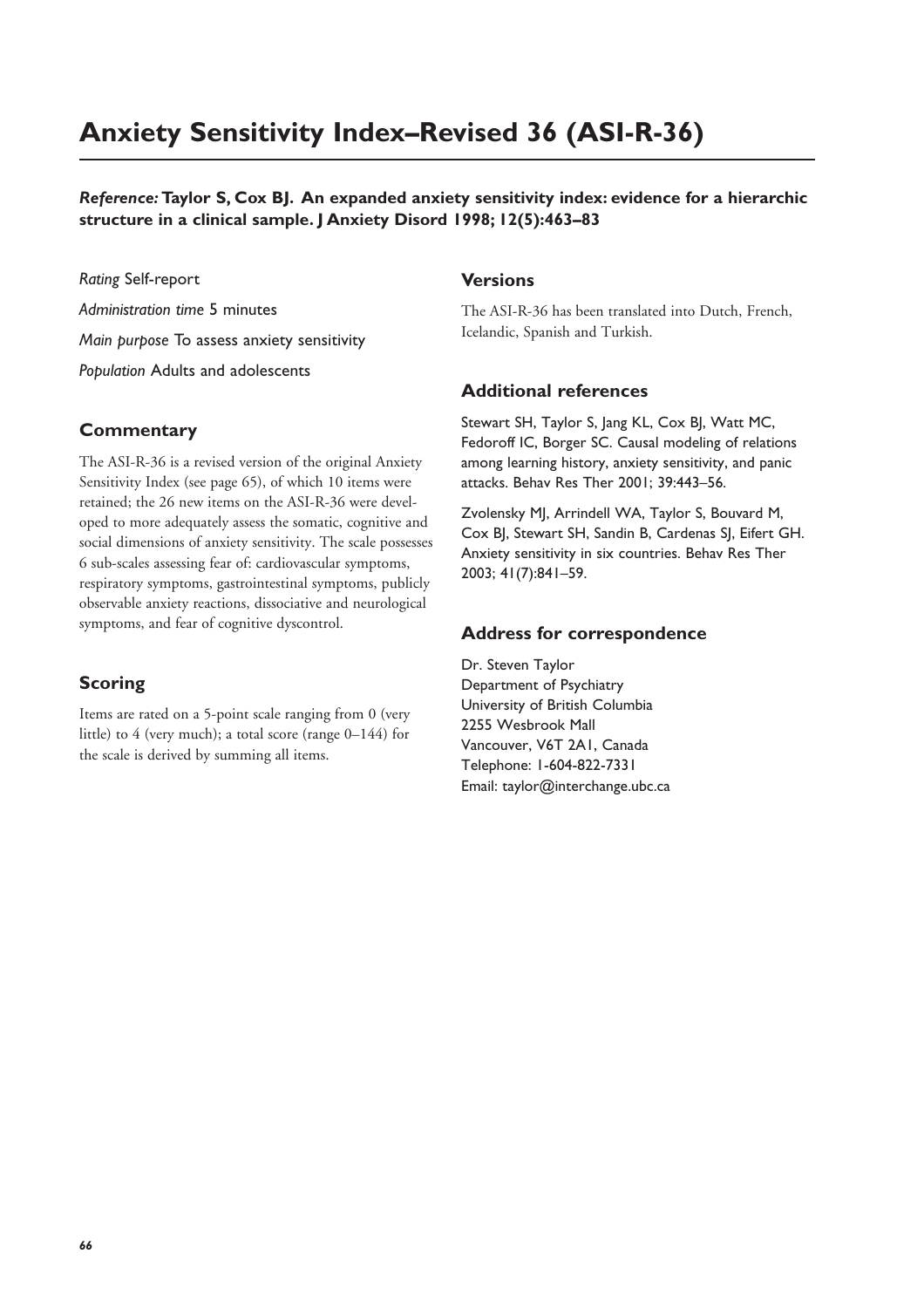# **Anxiety Sensitivity Index–Revised 36 (ASI-R-36)**

*Reference:* **Taylor S, Cox BJ. An expanded anxiety sensitivity index: evidence for a hierarchic structure in a clinical sample. J Anxiety Disord 1998; 12(5):463–83**

*Rating* Self-report *Administration time* 5 minutes *Main purpose* To assess anxiety sensitivity *Population* Adults and adolescents

## **Commentary**

The ASI-R-36 is a revised version of the original Anxiety Sensitivity Index (see page 65), of which 10 items were retained; the 26 new items on the ASI-R-36 were developed to more adequately assess the somatic, cognitive and social dimensions of anxiety sensitivity. The scale possesses 6 sub-scales assessing fear of: cardiovascular symptoms, respiratory symptoms, gastrointestinal symptoms, publicly observable anxiety reactions, dissociative and neurological symptoms, and fear of cognitive dyscontrol.

# **Scoring**

Items are rated on a 5-point scale ranging from 0 (very little) to 4 (very much); a total score (range 0–144) for the scale is derived by summing all items.

## **Versions**

The ASI-R-36 has been translated into Dutch, French, Icelandic, Spanish and Turkish.

#### **Additional references**

Stewart SH, Taylor S, Jang KL, Cox BJ, Watt MC, Fedoroff IC, Borger SC. Causal modeling of relations among learning history, anxiety sensitivity, and panic attacks. Behav Res Ther 2001; 39:443–56.

Zvolensky MJ, Arrindell WA, Taylor S, Bouvard M, Cox BJ, Stewart SH, Sandin B, Cardenas SJ, Eifert GH. Anxiety sensitivity in six countries. Behav Res Ther 2003; 41(7):841–59.

#### **Address for correspondence**

Dr. Steven Taylor Department of Psychiatry University of British Columbia 2255 Wesbrook Mall Vancouver, V6T 2A1, Canada Telephone: 1-604-822-7331 Email: taylor@interchange.ubc.ca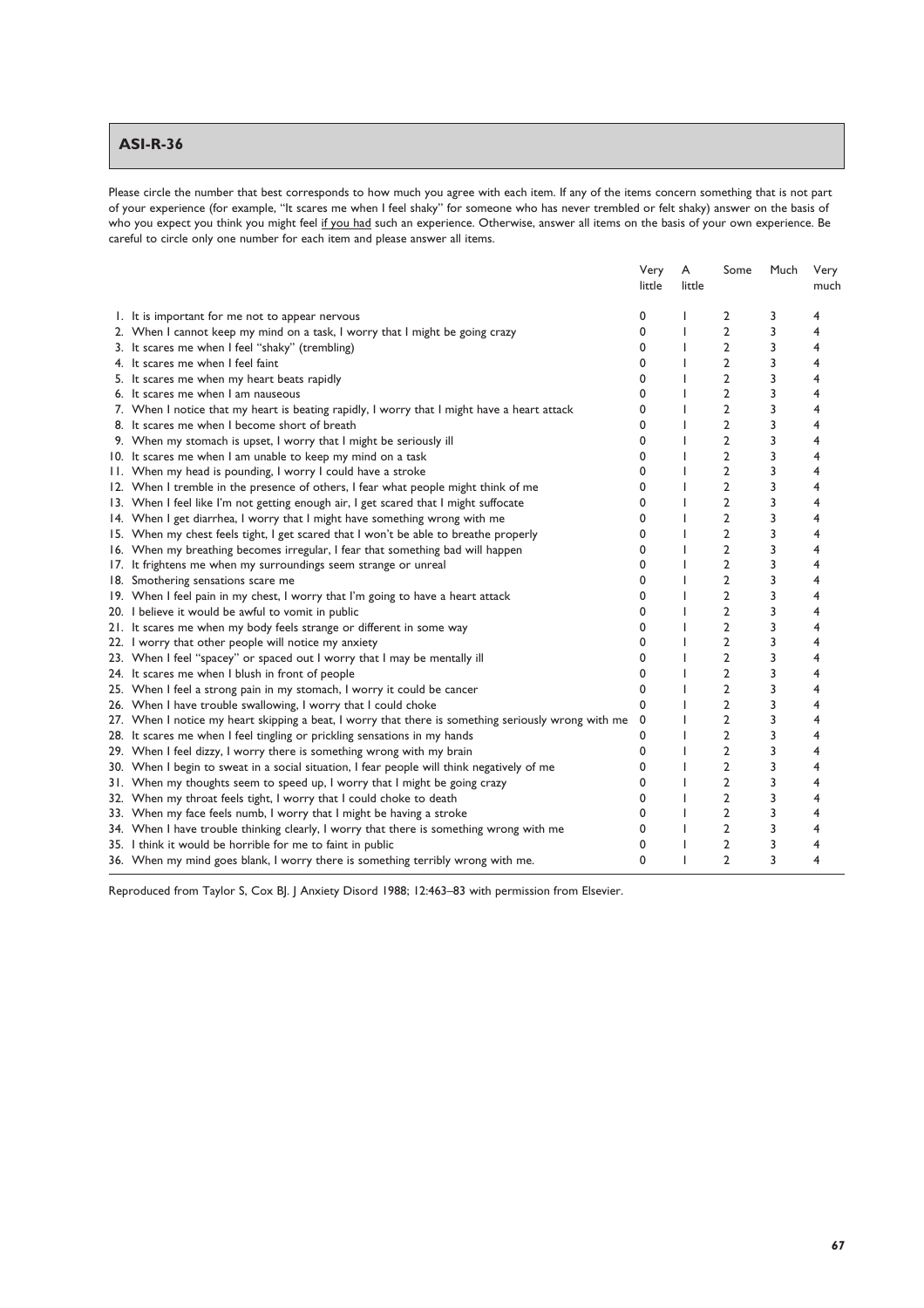#### **ASI-R-36**

Please circle the number that best corresponds to how much you agree with each item. If any of the items concern something that is not part of your experience (for example, "It scares me when I feel shaky" for someone who has never trembled or felt shaky) answer on the basis of who you expect you think you might feel if you had such an experience. Otherwise, answer all items on the basis of your own experience. Be careful to circle only one number for each item and please answer all items.

|                                                                                                     | Very   | A      | Some           | Much | Very |
|-----------------------------------------------------------------------------------------------------|--------|--------|----------------|------|------|
|                                                                                                     | little | little |                |      | much |
| 1. It is important for me not to appear nervous                                                     | 0      |        | 2              | 3    | 4    |
| 2. When I cannot keep my mind on a task, I worry that I might be going crazy                        | 0      |        | $\overline{2}$ | 3    | 4    |
| 3. It scares me when I feel "shaky" (trembling)                                                     | 0      |        | $\overline{2}$ | 3    | 4    |
| 4. It scares me when I feel faint                                                                   | 0      |        | $\overline{2}$ | 3    | 4    |
| 5. It scares me when my heart beats rapidly                                                         | 0      |        | $\overline{2}$ | 3    | 4    |
| 6. It scares me when I am nauseous                                                                  | 0      |        | $\overline{2}$ | 3    | 4    |
| 7. When I notice that my heart is beating rapidly, I worry that I might have a heart attack         | 0      |        | $\overline{2}$ | 3    | 4    |
| 8. It scares me when I become short of breath                                                       | 0      |        | $\overline{2}$ | 3    | 4    |
| 9. When my stomach is upset, I worry that I might be seriously ill                                  | 0      |        | 2              | 3    | 4    |
| 10. It scares me when I am unable to keep my mind on a task                                         | 0      |        | $\overline{2}$ | 3    | 4    |
| 11. When my head is pounding, I worry I could have a stroke                                         | 0      |        | 2              | 3    | 4    |
| 12. When I tremble in the presence of others, I fear what people might think of me                  | 0      |        | 2              | 3    | 4    |
| 13. When I feel like I'm not getting enough air, I get scared that I might suffocate                | 0      |        | $\overline{2}$ | 3    | 4    |
| 14. When I get diarrhea, I worry that I might have something wrong with me                          | 0      |        | $\overline{2}$ | 3    | 4    |
| 15. When my chest feels tight, I get scared that I won't be able to breathe properly                | 0      |        | $\overline{2}$ | 3    | 4    |
| 16. When my breathing becomes irregular, I fear that something bad will happen                      | 0      |        | $\overline{2}$ | 3    | 4    |
| 17. It frightens me when my surroundings seem strange or unreal                                     | 0      |        | $\overline{2}$ | 3    | 4    |
| 18. Smothering sensations scare me                                                                  | 0      |        | $\overline{2}$ | 3    | 4    |
| 19. When I feel pain in my chest, I worry that I'm going to have a heart attack                     | 0      |        | $\overline{2}$ | 3    | 4    |
| 20. I believe it would be awful to vomit in public                                                  | 0      |        | $\overline{2}$ | 3    | 4    |
| 21. It scares me when my body feels strange or different in some way                                | 0      |        | $\overline{2}$ | 3    | 4    |
| 22. I worry that other people will notice my anxiety                                                | 0      |        | $\overline{2}$ | 3    | 4    |
| 23. When I feel "spacey" or spaced out I worry that I may be mentally ill                           | 0      |        | $\overline{2}$ | 3    | 4    |
| 24. It scares me when I blush in front of people                                                    | 0      |        | $\overline{2}$ | 3    | 4    |
| 25. When I feel a strong pain in my stomach, I worry it could be cancer                             | 0      |        | $\overline{2}$ | 3    | 4    |
| 26. When I have trouble swallowing, I worry that I could choke                                      | 0      |        | $\overline{2}$ | 3    | 4    |
| 27. When I notice my heart skipping a beat, I worry that there is something seriously wrong with me | 0      |        | $\overline{2}$ | 3    | 4    |
| 28. It scares me when I feel tingling or prickling sensations in my hands                           | 0      |        | $\overline{2}$ | 3    | 4    |
| 29. When I feel dizzy, I worry there is something wrong with my brain                               | 0      |        | $\overline{2}$ | 3    | 4    |
| 30. When I begin to sweat in a social situation, I fear people will think negatively of me          | 0      |        | $\overline{2}$ | 3    | 4    |
| 31. When my thoughts seem to speed up, I worry that I might be going crazy                          | 0      |        | $\overline{2}$ | 3    | 4    |
| 32. When my throat feels tight, I worry that I could choke to death                                 | 0      |        | $\overline{2}$ | 3    | 4    |
| 33. When my face feels numb, I worry that I might be having a stroke                                | 0      |        | $\overline{2}$ | 3    | 4    |
| 34. When I have trouble thinking clearly, I worry that there is something wrong with me             | 0      |        | $\overline{2}$ | 3    | 4    |
| 35. I think it would be horrible for me to faint in public                                          | 0      |        | $\overline{2}$ | 3    | 4    |
| 36. When my mind goes blank, I worry there is something terribly wrong with me.                     | 0      |        | $\overline{2}$ | 3    | 4    |
|                                                                                                     |        |        |                |      |      |

Reproduced from Taylor S, Cox BJ. J Anxiety Disord 1988; 12:463–83 with permission from Elsevier.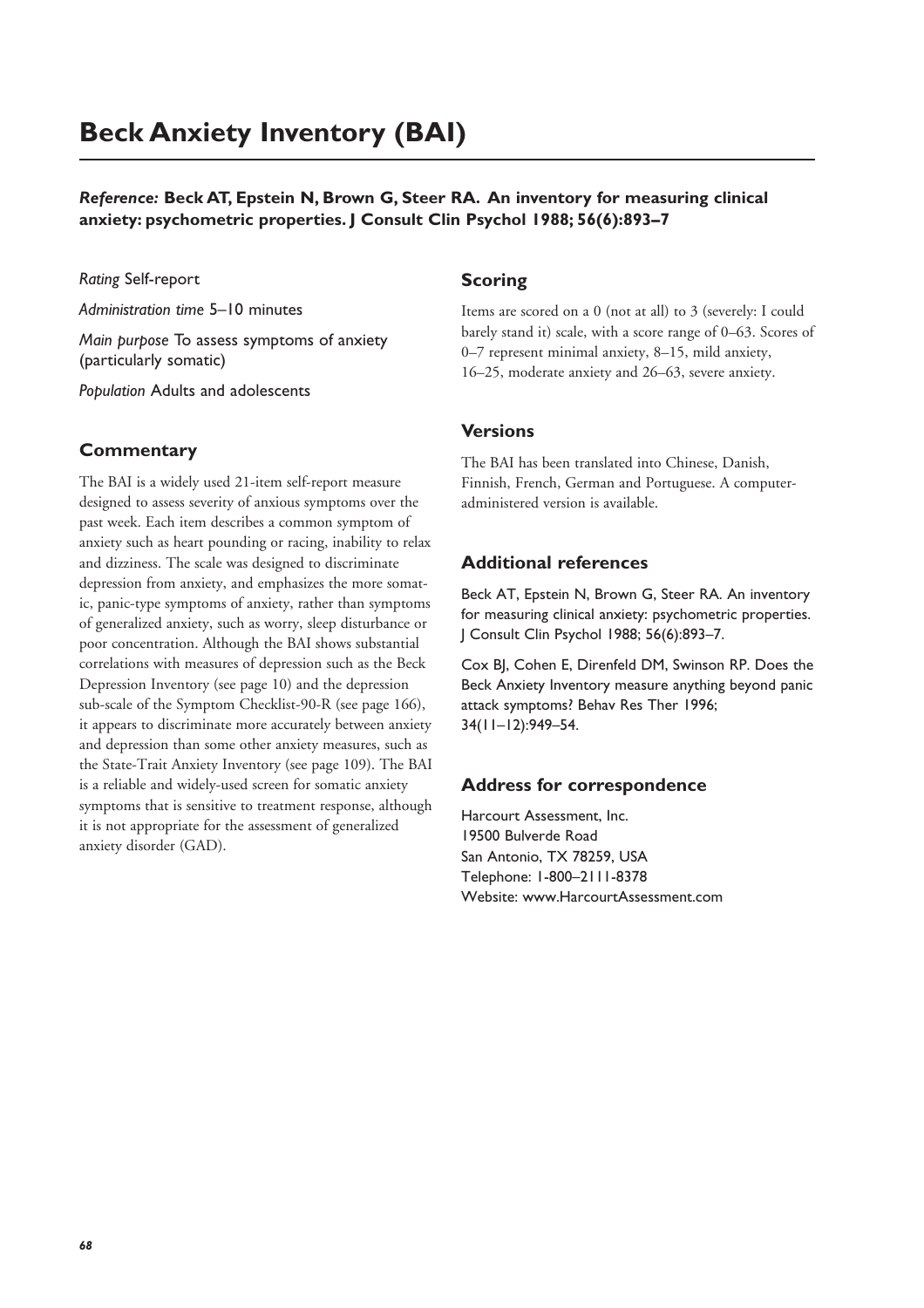*Reference:* **Beck AT, Epstein N, Brown G, Steer RA. An inventory for measuring clinical anxiety: psychometric properties. J Consult Clin Psychol 1988; 56(6):893–7**

*Rating* Self-report

*Administration time* 5–10 minutes

*Main purpose* To assess symptoms of anxiety (particularly somatic)

*Population* Adults and adolescents

# **Commentary**

The BAI is a widely used 21-item self-report measure designed to assess severity of anxious symptoms over the past week. Each item describes a common symptom of anxiety such as heart pounding or racing, inability to relax and dizziness. The scale was designed to discriminate depression from anxiety, and emphasizes the more somatic, panic-type symptoms of anxiety, rather than symptoms of generalized anxiety, such as worry, sleep disturbance or poor concentration. Although the BAI shows substantial correlations with measures of depression such as the Beck Depression Inventory (see page 10) and the depression sub-scale of the Symptom Checklist-90-R (see page 166), it appears to discriminate more accurately between anxiety and depression than some other anxiety measures, such as the State-Trait Anxiety Inventory (see page 109). The BAI is a reliable and widely-used screen for somatic anxiety symptoms that is sensitive to treatment response, although it is not appropriate for the assessment of generalized anxiety disorder (GAD).

### **Scoring**

Items are scored on a 0 (not at all) to 3 (severely: I could barely stand it) scale, with a score range of 0–63. Scores of 0–7 represent minimal anxiety, 8–15, mild anxiety, 16–25, moderate anxiety and 26–63, severe anxiety.

# **Versions**

The BAI has been translated into Chinese, Danish, Finnish, French, German and Portuguese. A computeradministered version is available.

# **Additional references**

Beck AT, Epstein N, Brown G, Steer RA. An inventory for measuring clinical anxiety: psychometric properties. J Consult Clin Psychol 1988; 56(6):893–7.

Cox BJ, Cohen E, Direnfeld DM, Swinson RP. Does the Beck Anxiety Inventory measure anything beyond panic attack symptoms? Behav Res Ther 1996; 34(11–12):949–54.

# **Address for correspondence**

Harcourt Assessment, Inc. 19500 Bulverde Road San Antonio, TX 78259, USA Telephone: 1-800–2111-8378 Website: www.HarcourtAssessment.com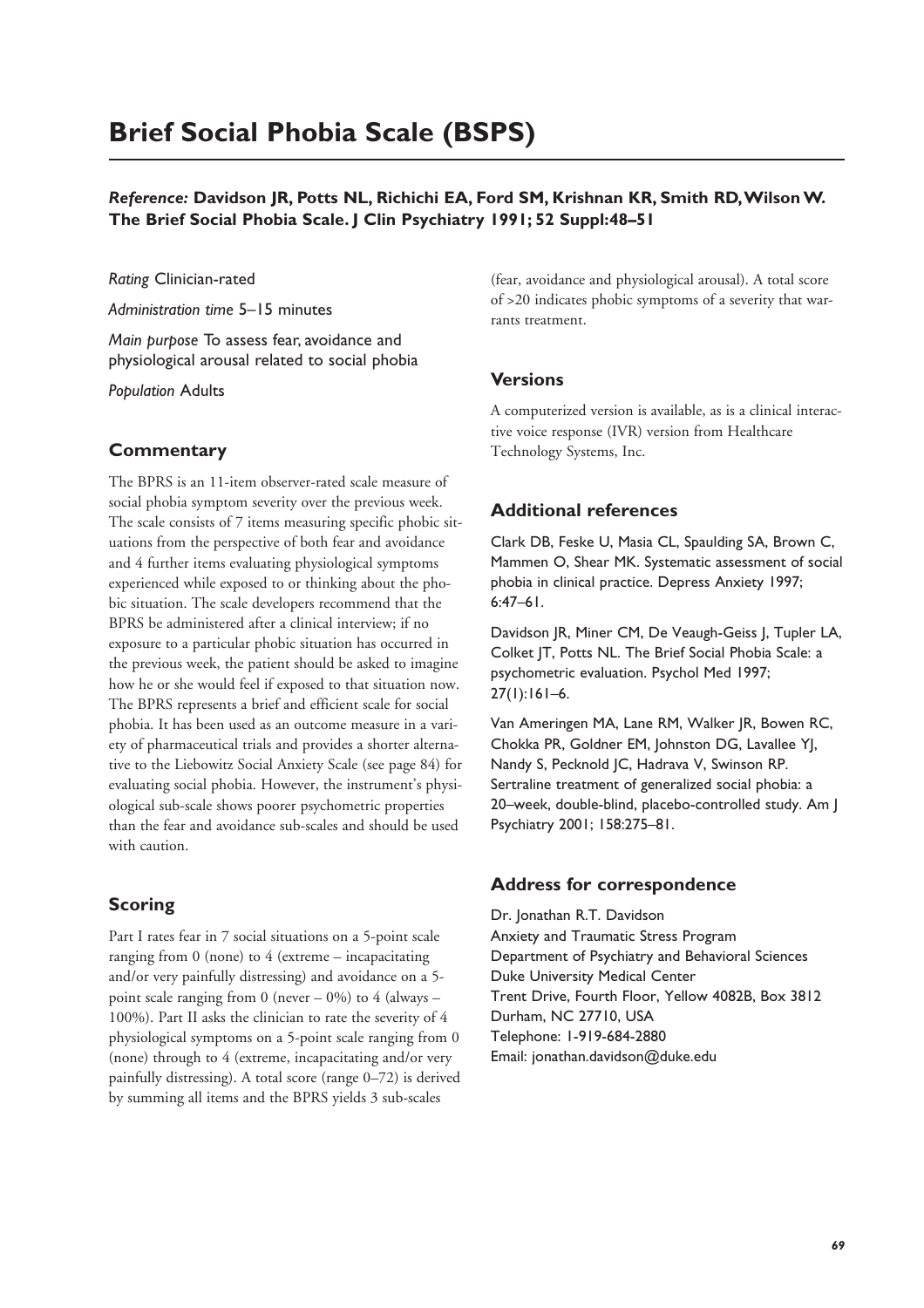*Reference:* **Davidson JR, Potts NL, Richichi EA, Ford SM, Krishnan KR, Smith RD,Wilson W. The Brief Social Phobia Scale. J Clin Psychiatry 1991; 52 Suppl:48–51**

*Rating* Clinician-rated

*Administration time* 5–15 minutes

*Main purpose* To assess fear, avoidance and physiological arousal related to social phobia

*Population* Adults

#### **Commentary**

The BPRS is an 11-item observer-rated scale measure of social phobia symptom severity over the previous week. The scale consists of 7 items measuring specific phobic situations from the perspective of both fear and avoidance and 4 further items evaluating physiological symptoms experienced while exposed to or thinking about the phobic situation. The scale developers recommend that the BPRS be administered after a clinical interview; if no exposure to a particular phobic situation has occurred in the previous week, the patient should be asked to imagine how he or she would feel if exposed to that situation now. The BPRS represents a brief and efficient scale for social phobia. It has been used as an outcome measure in a variety of pharmaceutical trials and provides a shorter alternative to the Liebowitz Social Anxiety Scale (see page 84) for evaluating social phobia. However, the instrument's physiological sub-scale shows poorer psychometric properties than the fear and avoidance sub-scales and should be used with caution.

# **Scoring**

Part I rates fear in 7 social situations on a 5-point scale ranging from 0 (none) to 4 (extreme – incapacitating and/or very painfully distressing) and avoidance on a 5 point scale ranging from 0 (never – 0%) to 4 (always – 100%). Part II asks the clinician to rate the severity of 4 physiological symptoms on a 5-point scale ranging from 0 (none) through to 4 (extreme, incapacitating and/or very painfully distressing). A total score (range 0–72) is derived by summing all items and the BPRS yields 3 sub-scales

(fear, avoidance and physiological arousal). A total score of >20 indicates phobic symptoms of a severity that warrants treatment.

#### **Versions**

A computerized version is available, as is a clinical interactive voice response (IVR) version from Healthcare Technology Systems, Inc.

### **Additional references**

Clark DB, Feske U, Masia CL, Spaulding SA, Brown C, Mammen O, Shear MK. Systematic assessment of social phobia in clinical practice. Depress Anxiety 1997; 6:47–61.

Davidson JR, Miner CM, De Veaugh-Geiss J, Tupler LA, Colket JT, Potts NL. The Brief Social Phobia Scale: a psychometric evaluation. Psychol Med 1997; 27(1):161–6.

Van Ameringen MA, Lane RM, Walker JR, Bowen RC, Chokka PR, Goldner EM, Johnston DG, Lavallee YJ, Nandy S, Pecknold JC, Hadrava V, Swinson RP. Sertraline treatment of generalized social phobia: a 20–week, double-blind, placebo-controlled study. Am J Psychiatry 2001; 158:275–81.

#### **Address for correspondence**

Dr. Jonathan R.T. Davidson Anxiety and Traumatic Stress Program Department of Psychiatry and Behavioral Sciences Duke University Medical Center Trent Drive, Fourth Floor, Yellow 4082B, Box 3812 Durham, NC 27710, USA Telephone: 1-919-684-2880 Email: jonathan.davidson@duke.edu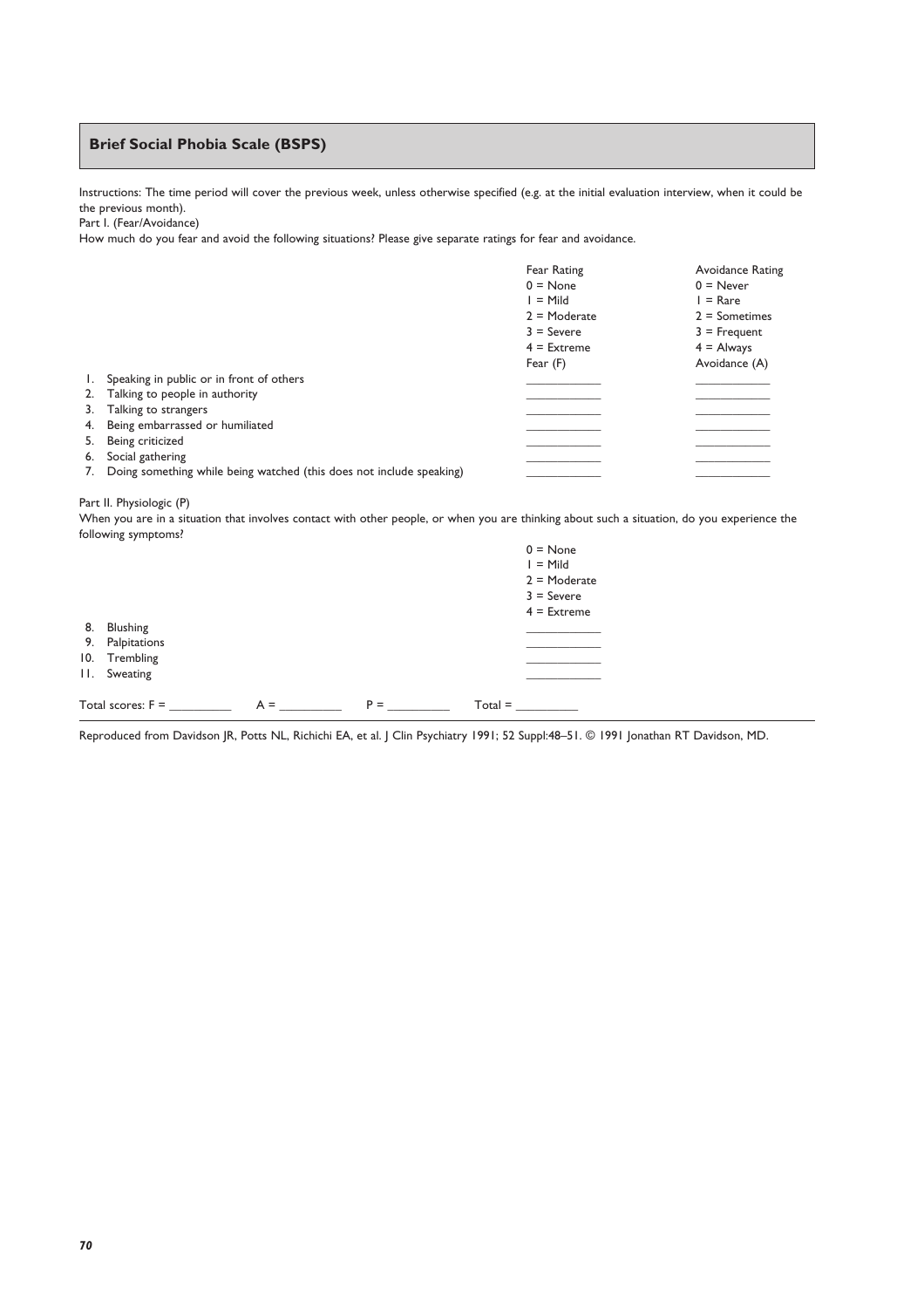#### **Brief Social Phobia Scale (BSPS)**

Instructions: The time period will cover the previous week, unless otherwise specified (e.g. at the initial evaluation interview, when it could be the previous month).

Part I. (Fear/Avoidance)

How much do you fear and avoid the following situations? Please give separate ratings for fear and avoidance.

|    |                                                                      | Fear Rating       | Avoidance Rating  |
|----|----------------------------------------------------------------------|-------------------|-------------------|
|    |                                                                      | $0 = \text{None}$ | $0 =$ Never       |
|    |                                                                      | $I =$ Mild        | $I = \text{Rare}$ |
|    |                                                                      | $2 =$ Moderate    | $2 =$ Sometimes   |
|    |                                                                      | $3 =$ Severe      | $3$ = Frequent    |
|    |                                                                      | $4 =$ Extreme     | $4 =$ Always      |
|    |                                                                      | Fear (F)          | Avoidance (A)     |
| Ι. | Speaking in public or in front of others                             |                   |                   |
| 2. | Talking to people in authority                                       |                   |                   |
| 3. | Talking to strangers                                                 |                   |                   |
| 4. | Being embarrassed or humiliated                                      |                   |                   |
| 5. | Being criticized                                                     |                   |                   |
| 6. | Social gathering                                                     |                   |                   |
|    | Doing something while being watched (this does not include speaking) |                   |                   |

## Part II. Physiologic (P)

When you are in a situation that involves contact with other people, or when you are thinking about such a situation, do you experience the following symptoms?

|    |                     |       |       |           | $0 = \text{None}$ |
|----|---------------------|-------|-------|-----------|-------------------|
|    |                     |       |       |           | $I =$ Mild        |
|    |                     |       |       |           | $2 =$ Moderate    |
|    |                     |       |       |           | $3 =$ Severe      |
|    |                     |       |       |           | $4 =$ Extreme     |
| 8. | Blushing            |       |       |           |                   |
|    | 9. Palpitations     |       |       |           |                   |
|    | 10. Trembling       |       |       |           |                   |
|    | 11. Sweating        |       |       |           |                   |
|    | Total scores: $F =$ | $A =$ | $P =$ | $Total =$ |                   |

Reproduced from Davidson JR, Potts NL, Richichi EA, et al. J Clin Psychiatry 1991; 52 Suppl:48–51. © 1991 Jonathan RT Davidson, MD.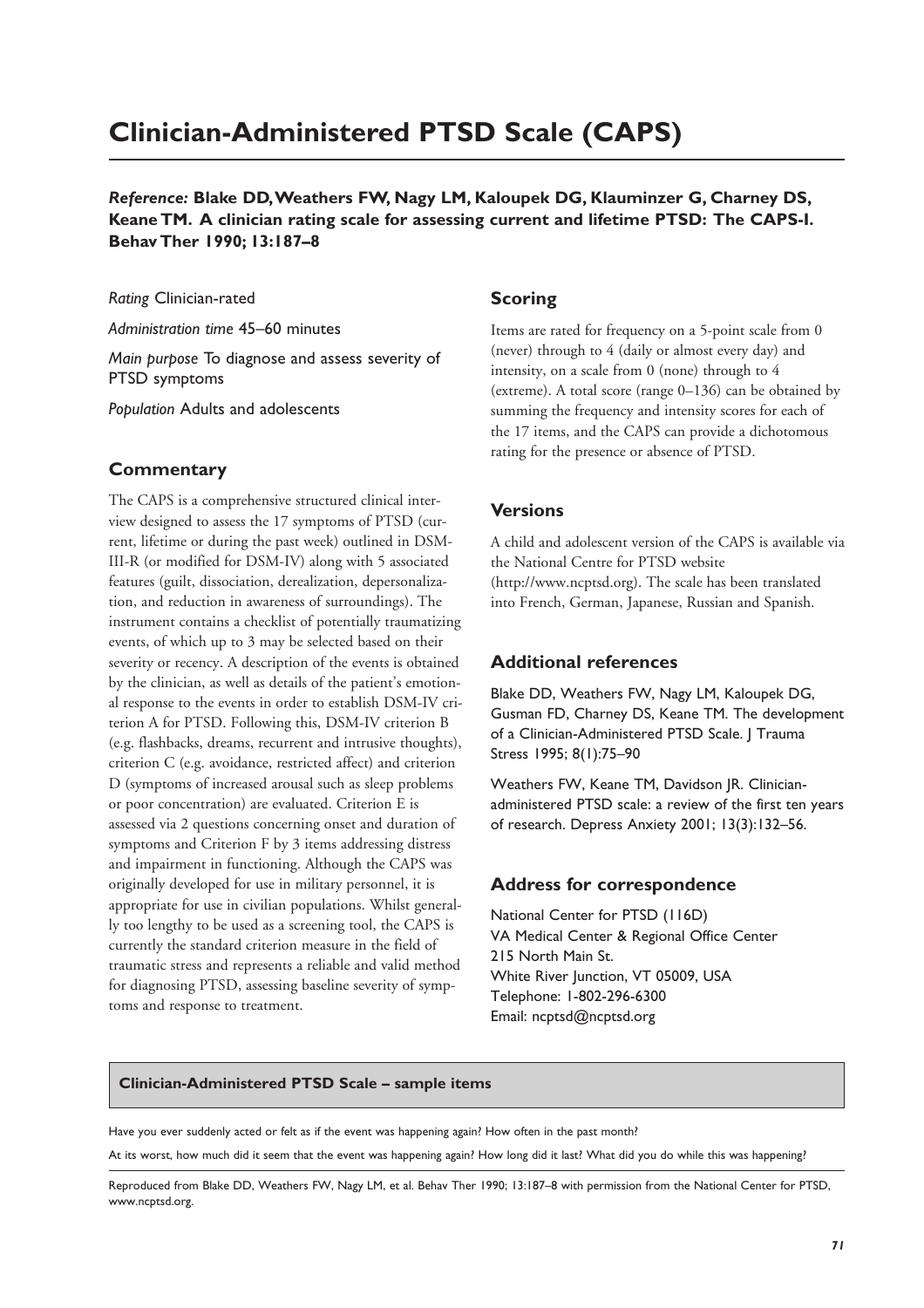# **Clinician-Administered PTSD Scale (CAPS)**

*Reference:* **Blake DD,Weathers FW, Nagy LM, Kaloupek DG, Klauminzer G, Charney DS, Keane TM. A clinician rating scale for assessing current and lifetime PTSD: The CAPS-I. Behav Ther 1990; 13:187–8**

*Rating* Clinician-rated

*Administration time* 45–60 minutes

*Main purpose* To diagnose and assess severity of PTSD symptoms

*Population* Adults and adolescents

#### **Commentary**

The CAPS is a comprehensive structured clinical interview designed to assess the 17 symptoms of PTSD (current, lifetime or during the past week) outlined in DSM-III-R (or modified for DSM-IV) along with 5 associated features (guilt, dissociation, derealization, depersonalization, and reduction in awareness of surroundings). The instrument contains a checklist of potentially traumatizing events, of which up to 3 may be selected based on their severity or recency. A description of the events is obtained by the clinician, as well as details of the patient's emotional response to the events in order to establish DSM-IV criterion A for PTSD. Following this, DSM-IV criterion B (e.g. flashbacks, dreams, recurrent and intrusive thoughts), criterion C (e.g. avoidance, restricted affect) and criterion D (symptoms of increased arousal such as sleep problems or poor concentration) are evaluated. Criterion E is assessed via 2 questions concerning onset and duration of symptoms and Criterion F by 3 items addressing distress and impairment in functioning. Although the CAPS was originally developed for use in military personnel, it is appropriate for use in civilian populations. Whilst generally too lengthy to be used as a screening tool, the CAPS is currently the standard criterion measure in the field of traumatic stress and represents a reliable and valid method for diagnosing PTSD, assessing baseline severity of symptoms and response to treatment.

#### **Scoring**

Items are rated for frequency on a 5-point scale from 0 (never) through to 4 (daily or almost every day) and intensity, on a scale from 0 (none) through to 4 (extreme). A total score (range 0–136) can be obtained by summing the frequency and intensity scores for each of the 17 items, and the CAPS can provide a dichotomous rating for the presence or absence of PTSD.

### **Versions**

A child and adolescent version of the CAPS is available via the National Centre for PTSD website (http://www.ncptsd.org). The scale has been translated into French, German, Japanese, Russian and Spanish.

#### **Additional references**

Blake DD, Weathers FW, Nagy LM, Kaloupek DG, Gusman FD, Charney DS, Keane TM. The development of a Clinician-Administered PTSD Scale. | Trauma Stress 1995; 8(1):75–90

Weathers FW, Keane TM, Davidson JR. Clinicianadministered PTSD scale: a review of the first ten years of research. Depress Anxiety 2001; 13(3):132–56.

#### **Address for correspondence**

National Center for PTSD (116D) VA Medical Center & Regional Office Center 215 North Main St. White River Junction, VT 05009, USA Telephone: 1-802-296-6300 Email: ncptsd@ncptsd.org

#### **Clinician-Administered PTSD Scale – sample items**

Have you ever suddenly acted or felt as if the event was happening again? How often in the past month?

At its worst, how much did it seem that the event was happening again? How long did it last? What did you do while this was happening?

Reproduced from Blake DD, Weathers FW, Nagy LM, et al. Behav Ther 1990; 13:187–8 with permission from the National Center for PTSD, www.ncptsd.org.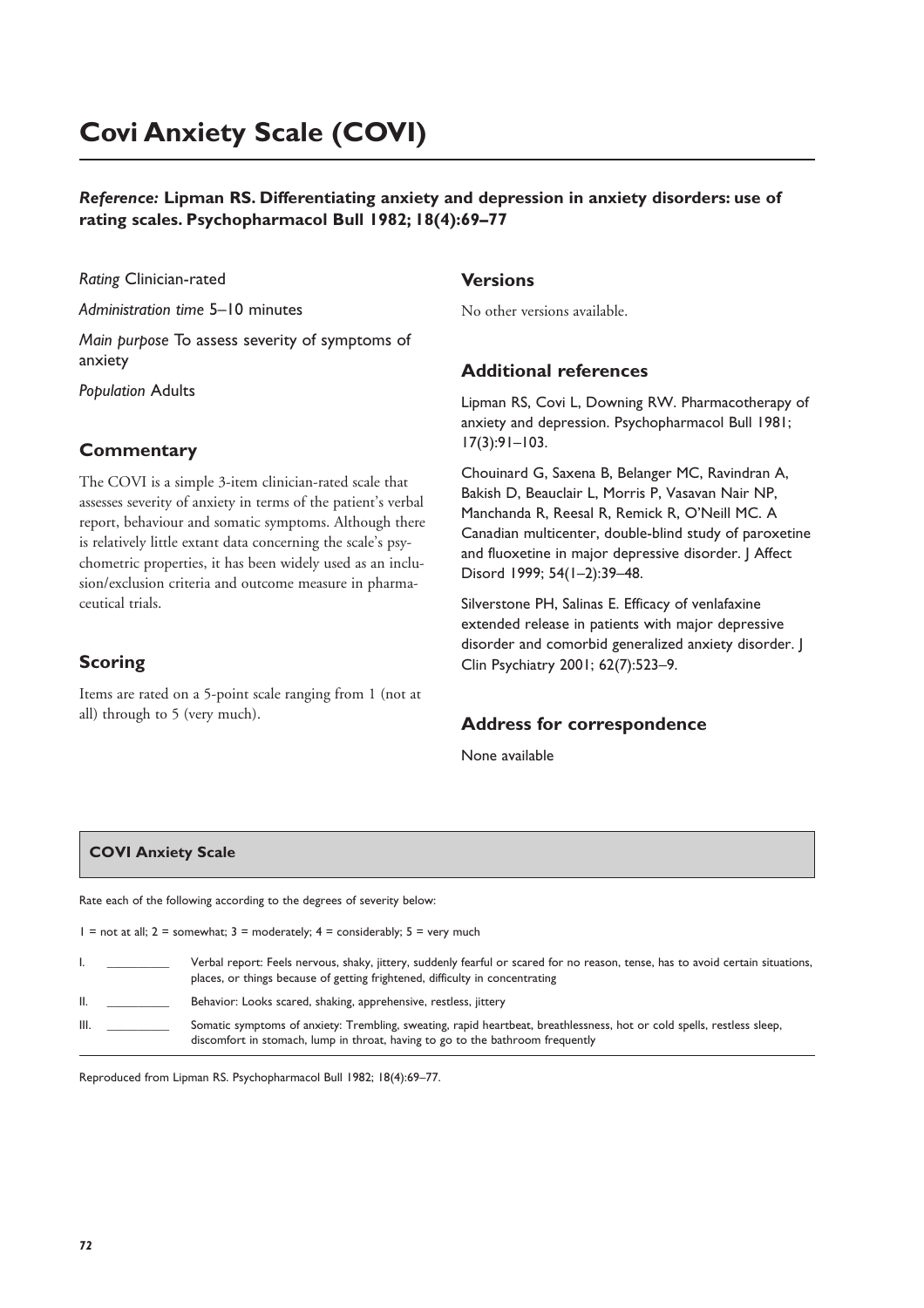# *Reference:* **Lipman RS. Differentiating anxiety and depression in anxiety disorders: use of rating scales. Psychopharmacol Bull 1982; 18(4):69–77**

*Rating* Clinician-rated

*Administration time* 5–10 minutes

*Main purpose* To assess severity of symptoms of anxiety

*Population* Adults

# **Commentary**

The COVI is a simple 3-item clinician-rated scale that assesses severity of anxiety in terms of the patient's verbal report, behaviour and somatic symptoms. Although there is relatively little extant data concerning the scale's psychometric properties, it has been widely used as an inclusion/exclusion criteria and outcome measure in pharmaceutical trials.

# **Scoring**

Items are rated on a 5-point scale ranging from 1 (not at all) through to 5 (very much).

#### **Versions**

No other versions available.

# **Additional references**

Lipman RS, Covi L, Downing RW. Pharmacotherapy of anxiety and depression. Psychopharmacol Bull 1981; 17(3):91–103.

Chouinard G, Saxena B, Belanger MC, Ravindran A, Bakish D, Beauclair L, Morris P, Vasavan Nair NP, Manchanda R, Reesal R, Remick R, O'Neill MC. A Canadian multicenter, double-blind study of paroxetine and fluoxetine in major depressive disorder. J Affect Disord 1999; 54(1–2):39–48.

Silverstone PH, Salinas E. Efficacy of venlafaxine extended release in patients with major depressive disorder and comorbid generalized anxiety disorder. J Clin Psychiatry 2001; 62(7):523–9.

# **Address for correspondence**

None available

#### **COVI Anxiety Scale**

Rate each of the following according to the degrees of severity below:

|      | $l =$ not at all; 2 = somewhat; 3 = moderately; 4 = considerably; 5 = very much |                                                                                                                                                                                                                 |  |  |  |  |  |  |  |
|------|---------------------------------------------------------------------------------|-----------------------------------------------------------------------------------------------------------------------------------------------------------------------------------------------------------------|--|--|--|--|--|--|--|
|      |                                                                                 | Verbal report: Feels nervous, shaky, jittery, suddenly fearful or scared for no reason, tense, has to avoid certain situations,<br>places, or things because of getting frightened, difficulty in concentrating |  |  |  |  |  |  |  |
| 11.  |                                                                                 | Behavior: Looks scared, shaking, apprehensive, restless, jittery                                                                                                                                                |  |  |  |  |  |  |  |
| III. |                                                                                 | Somatic symptoms of anxiety: Trembling, sweating, rapid heartbeat, breathlessness, hot or cold spells, restless sleep,<br>discomfort in stomach, lump in throat, having to go to the bathroom frequently        |  |  |  |  |  |  |  |

Reproduced from Lipman RS. Psychopharmacol Bull 1982; 18(4):69–77.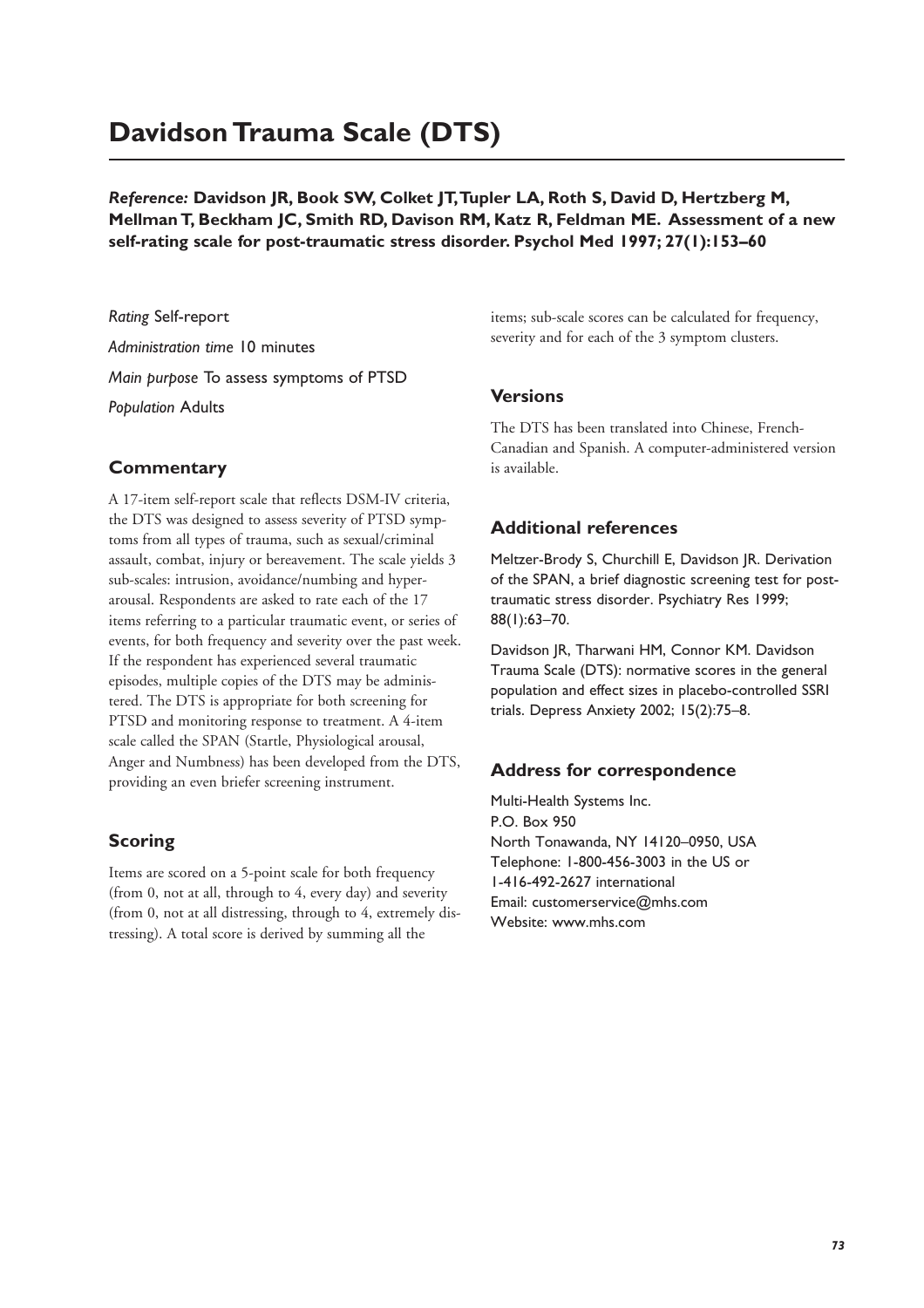# **Davidson Trauma Scale (DTS)**

*Reference:* **Davidson JR, Book SW, Colket JT,Tupler LA, Roth S, David D, Hertzberg M, Mellman T, Beckham JC, Smith RD, Davison RM, Katz R, Feldman ME. Assessment of a new self-rating scale for post-traumatic stress disorder. Psychol Med 1997; 27(1):153–60**

*Rating* Self-report *Administration time* 10 minutes *Main purpose* To assess symptoms of PTSD *Population* Adults

## **Commentary**

A 17-item self-report scale that reflects DSM-IV criteria, the DTS was designed to assess severity of PTSD symptoms from all types of trauma, such as sexual/criminal assault, combat, injury or bereavement. The scale yields 3 sub-scales: intrusion, avoidance/numbing and hyperarousal. Respondents are asked to rate each of the 17 items referring to a particular traumatic event, or series of events, for both frequency and severity over the past week. If the respondent has experienced several traumatic episodes, multiple copies of the DTS may be administered. The DTS is appropriate for both screening for PTSD and monitoring response to treatment. A 4-item scale called the SPAN (Startle, Physiological arousal, Anger and Numbness) has been developed from the DTS, providing an even briefer screening instrument.

#### **Scoring**

Items are scored on a 5-point scale for both frequency (from 0, not at all, through to 4, every day) and severity (from 0, not at all distressing, through to 4, extremely distressing). A total score is derived by summing all the

items; sub-scale scores can be calculated for frequency, severity and for each of the 3 symptom clusters.

#### **Versions**

The DTS has been translated into Chinese, French-Canadian and Spanish. A computer-administered version is available.

#### **Additional references**

Meltzer-Brody S, Churchill E, Davidson JR. Derivation of the SPAN, a brief diagnostic screening test for posttraumatic stress disorder. Psychiatry Res 1999; 88(1):63–70.

Davidson JR, Tharwani HM, Connor KM. Davidson Trauma Scale (DTS): normative scores in the general population and effect sizes in placebo-controlled SSRI trials. Depress Anxiety 2002; 15(2):75–8.

#### **Address for correspondence**

Multi-Health Systems Inc. P.O. Box 950 North Tonawanda, NY 14120–0950, USA Telephone: 1-800-456-3003 in the US or 1-416-492-2627 international Email: customerservice@mhs.com Website: www.mhs.com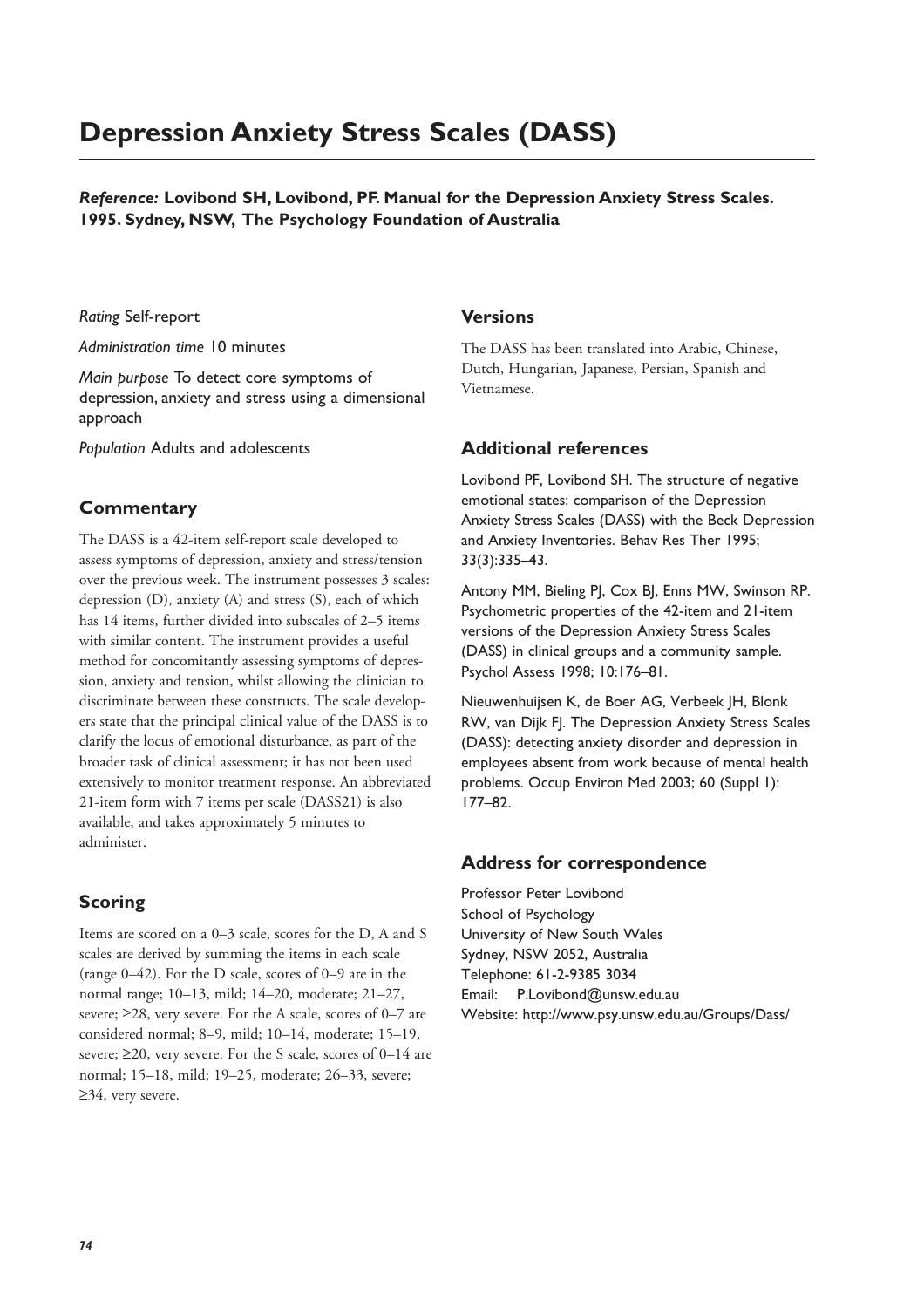# **Depression Anxiety Stress Scales (DASS)**

*Reference:* **Lovibond SH, Lovibond, PF. Manual for the Depression Anxiety Stress Scales. 1995. Sydney, NSW, The Psychology Foundation of Australia**

*Rating* Self-report

*Administration time* 10 minutes

*Main purpose* To detect core symptoms of depression, anxiety and stress using a dimensional approach

*Population* Adults and adolescents

# **Commentary**

The DASS is a 42-item self-report scale developed to assess symptoms of depression, anxiety and stress/tension over the previous week. The instrument possesses 3 scales: depression (D), anxiety (A) and stress (S), each of which has 14 items, further divided into subscales of 2–5 items with similar content. The instrument provides a useful method for concomitantly assessing symptoms of depression, anxiety and tension, whilst allowing the clinician to discriminate between these constructs. The scale developers state that the principal clinical value of the DASS is to clarify the locus of emotional disturbance, as part of the broader task of clinical assessment; it has not been used extensively to monitor treatment response. An abbreviated 21-item form with 7 items per scale (DASS21) is also available, and takes approximately 5 minutes to administer.

# **Scoring**

Items are scored on a 0–3 scale, scores for the D, A and S scales are derived by summing the items in each scale (range 0–42). For the D scale, scores of 0–9 are in the normal range; 10–13, mild; 14–20, moderate; 21–27, severe;  $\geq$ 28, very severe. For the A scale, scores of 0–7 are considered normal; 8–9, mild; 10–14, moderate; 15–19, severe;  $\geq$ 20, very severe. For the S scale, scores of 0–14 are normal; 15–18, mild; 19–25, moderate; 26–33, severe; ≥34, very severe.

#### **Versions**

The DASS has been translated into Arabic, Chinese, Dutch, Hungarian, Japanese, Persian, Spanish and Vietnamese.

## **Additional references**

Lovibond PF, Lovibond SH. The structure of negative emotional states: comparison of the Depression Anxiety Stress Scales (DASS) with the Beck Depression and Anxiety Inventories. Behav Res Ther 1995; 33(3):335–43.

Antony MM, Bieling PJ, Cox BJ, Enns MW, Swinson RP. Psychometric properties of the 42-item and 21-item versions of the Depression Anxiety Stress Scales (DASS) in clinical groups and a community sample. Psychol Assess 1998; 10:176–81.

Nieuwenhuijsen K, de Boer AG, Verbeek JH, Blonk RW, van Dijk FJ. The Depression Anxiety Stress Scales (DASS): detecting anxiety disorder and depression in employees absent from work because of mental health problems. Occup Environ Med 2003; 60 (Suppl 1): 177–82.

#### **Address for correspondence**

Professor Peter Lovibond School of Psychology University of New South Wales Sydney, NSW 2052, Australia Telephone: 61-2-9385 3034 Email: P.Lovibond@unsw.edu.au Website: http://www.psy.unsw.edu.au/Groups/Dass/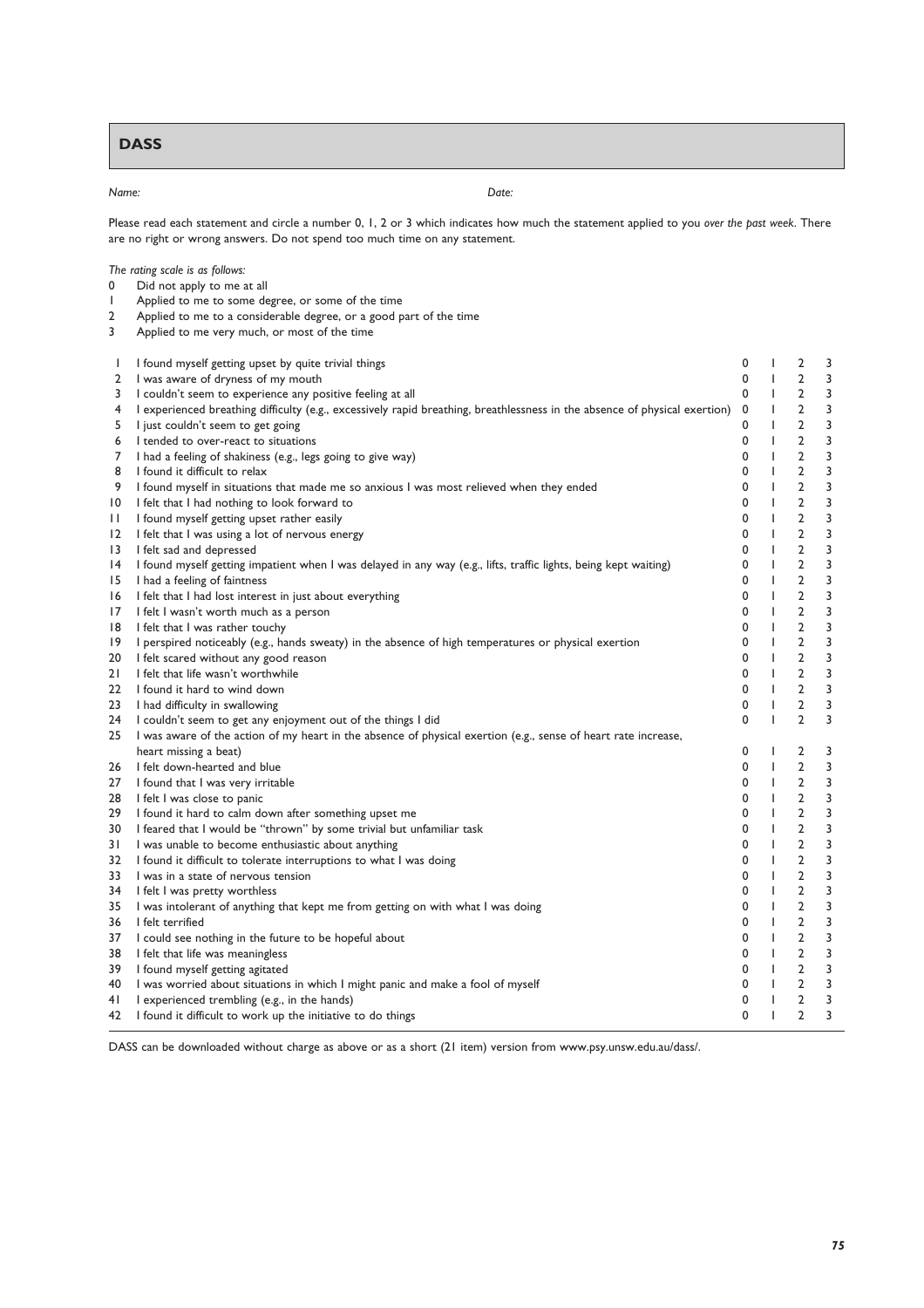#### **DASS**

#### *Name: Date:*

Please read each statement and circle a number 0, 1, 2 or 3 which indicates how much the statement applied to you *over the past week*. There are no right or wrong answers. Do not spend too much time on any statement.

*The rating scale is as follows:*

- Did not apply to me at all
- 1 Applied to me to some degree, or some of the time<br>2 Applied to me to a considerable degree, or a good p
- 2 Applied to me to a considerable degree, or a good part of the time<br>3 Applied to me very much, or most of the time
- Applied to me very much, or most of the time

| J. | I found myself getting upset by quite trivial things                                                                       | 0           |              | 2              | 3 |
|----|----------------------------------------------------------------------------------------------------------------------------|-------------|--------------|----------------|---|
| 2  | I was aware of dryness of my mouth                                                                                         | 0           |              | $\overline{2}$ | 3 |
| 3  | I couldn't seem to experience any positive feeling at all                                                                  | 0           |              | 2              | 3 |
| 4  | I experienced breathing difficulty (e.g., excessively rapid breathing, breathlessness in the absence of physical exertion) | 0           |              | 2              | 3 |
| 5  | I just couldn't seem to get going                                                                                          | 0           | 1            | 2              | 3 |
| 6  | I tended to over-react to situations                                                                                       | 0           | ı            | $\overline{2}$ | 3 |
| 7  | I had a feeling of shakiness (e.g., legs going to give way)                                                                | 0           |              | $\overline{2}$ | 3 |
| 8  | I found it difficult to relax                                                                                              | 0           |              | 2              | 3 |
| 9  | I found myself in situations that made me so anxious I was most relieved when they ended                                   | 0           |              | $\overline{2}$ | 3 |
| 10 | I felt that I had nothing to look forward to                                                                               | 0           |              | $\overline{2}$ | 3 |
| П  | I found myself getting upset rather easily                                                                                 | 0           |              | $\overline{2}$ | 3 |
| 12 | I felt that I was using a lot of nervous energy                                                                            | 0           |              | 2              | 3 |
| 13 | I felt sad and depressed                                                                                                   | 0           |              | 2              | 3 |
| 4  | I found myself getting impatient when I was delayed in any way (e.g., lifts, traffic lights, being kept waiting)           | 0           |              | 2              | 3 |
| 15 | I had a feeling of faintness                                                                                               | 0           |              | 2              | 3 |
| 16 | I felt that I had lost interest in just about everything                                                                   | 0           | <b>I</b>     | 2              | 3 |
| 17 | I felt I wasn't worth much as a person                                                                                     | 0           | ı            | 2              | 3 |
| 18 | I felt that I was rather touchy                                                                                            | 0           |              | 2              | 3 |
| 19 | I perspired noticeably (e.g., hands sweaty) in the absence of high temperatures or physical exertion                       | 0           |              | 2              | 3 |
| 20 | I felt scared without any good reason                                                                                      | 0           |              | 2              | 3 |
| 21 | I felt that life wasn't worthwhile                                                                                         | 0           |              | 2              | 3 |
| 22 | I found it hard to wind down                                                                                               | 0           |              | 2              | 3 |
| 23 | I had difficulty in swallowing                                                                                             | 0           |              | 2              | 3 |
| 24 | I couldn't seem to get any enjoyment out of the things I did                                                               | 0           | -1           | $\overline{2}$ | 3 |
| 25 | I was aware of the action of my heart in the absence of physical exertion (e.g., sense of heart rate increase,             |             |              |                |   |
|    | heart missing a beat)                                                                                                      | $\mathbf 0$ |              | 2              | 3 |
| 26 | I felt down-hearted and blue                                                                                               | 0           | ı            | 2              | 3 |
| 27 | I found that I was very irritable                                                                                          | 0           | ı            | 2              | 3 |
| 28 | I felt I was close to panic                                                                                                | 0           |              | 2              | 3 |
| 29 | I found it hard to calm down after something upset me                                                                      | 0           |              | 2              | 3 |
| 30 | I feared that I would be "thrown" by some trivial but unfamiliar task                                                      | 0           | $\mathbf{I}$ | 2              | 3 |
| 31 | I was unable to become enthusiastic about anything                                                                         | 0           | ı            | 2              | 3 |
| 32 | I found it difficult to tolerate interruptions to what I was doing                                                         | 0           |              | 2              | 3 |
| 33 | I was in a state of nervous tension                                                                                        | 0           |              | 2              | 3 |
| 34 | I felt I was pretty worthless                                                                                              | 0           | ı            | 2              | 3 |
| 35 | I was intolerant of anything that kept me from getting on with what I was doing                                            | 0           | ı            | 2              | 3 |
| 36 | I felt terrified                                                                                                           | 0           | ı            | 2              | 3 |
| 37 | I could see nothing in the future to be hopeful about                                                                      | 0           | $\mathbf{I}$ | $\overline{2}$ | 3 |
| 38 | I felt that life was meaningless                                                                                           | 0           | $\mathbf{I}$ | $\overline{2}$ | 3 |
| 39 | I found myself getting agitated                                                                                            | 0           |              | $\overline{2}$ | 3 |
| 40 | I was worried about situations in which I might panic and make a fool of myself                                            | 0           |              | $\overline{2}$ | 3 |
| 41 | I experienced trembling (e.g., in the hands)                                                                               | 0           |              | 2              | 3 |
| 42 | I found it difficult to work up the initiative to do things                                                                | 0           |              | 2              | 3 |
|    |                                                                                                                            |             |              |                |   |

DASS can be downloaded without charge as above or as a short (21 item) version from www.psy.unsw.edu.au/dass/.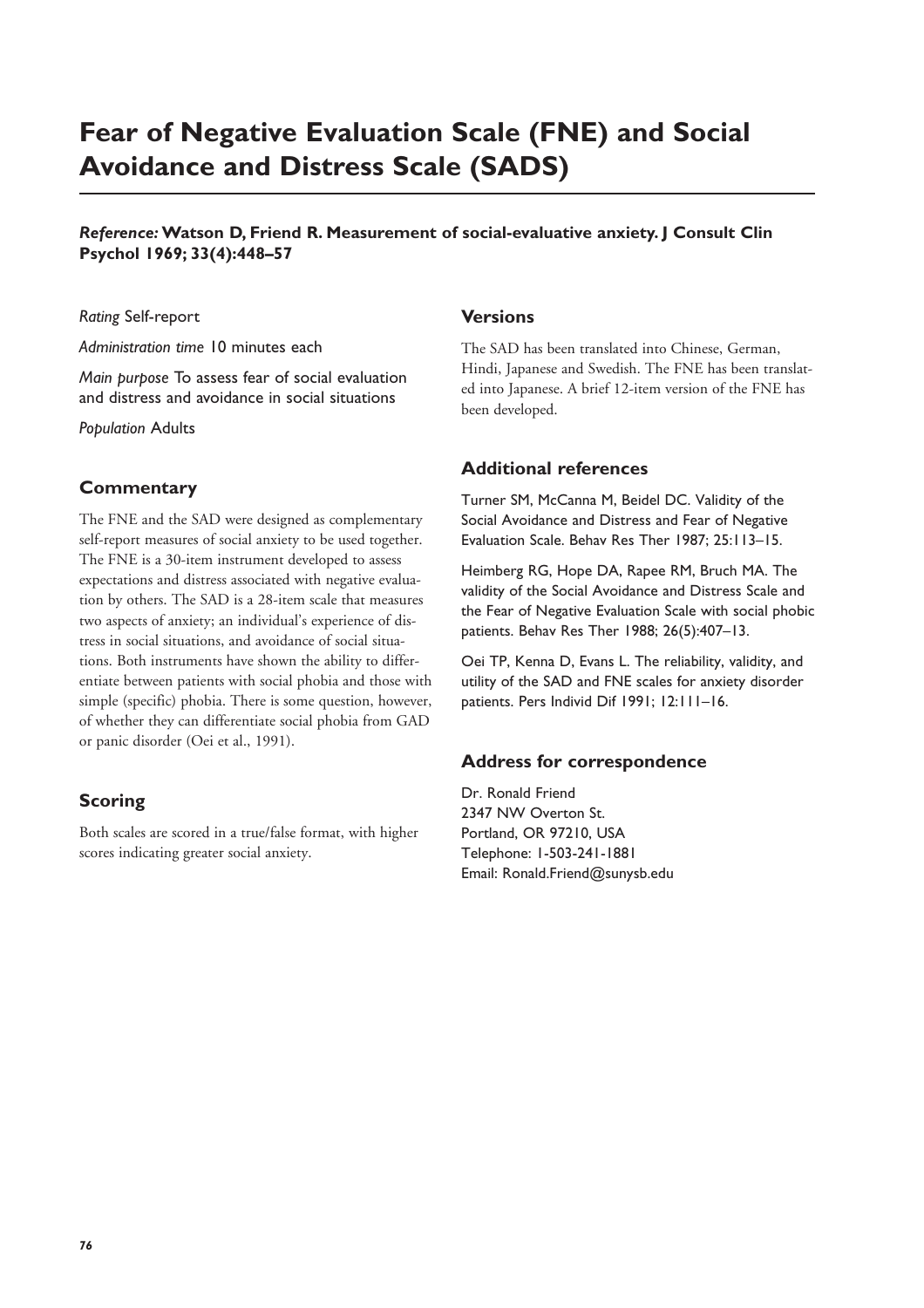# **Fear of Negative Evaluation Scale (FNE) and Social Avoidance and Distress Scale (SADS)**

*Reference:***Watson D, Friend R. Measurement of social-evaluative anxiety. J Consult Clin Psychol 1969; 33(4):448–57**

*Rating* Self-report

*Administration time* 10 minutes each

*Main purpose* To assess fear of social evaluation and distress and avoidance in social situations

*Population* Adults

# **Commentary**

The FNE and the SAD were designed as complementary self-report measures of social anxiety to be used together. The FNE is a 30-item instrument developed to assess expectations and distress associated with negative evaluation by others. The SAD is a 28-item scale that measures two aspects of anxiety; an individual's experience of distress in social situations, and avoidance of social situations. Both instruments have shown the ability to differentiate between patients with social phobia and those with simple (specific) phobia. There is some question, however, of whether they can differentiate social phobia from GAD or panic disorder (Oei et al., 1991).

# **Scoring**

Both scales are scored in a true/false format, with higher scores indicating greater social anxiety.

#### **Versions**

The SAD has been translated into Chinese, German, Hindi, Japanese and Swedish. The FNE has been translated into Japanese. A brief 12-item version of the FNE has been developed.

## **Additional references**

Turner SM, McCanna M, Beidel DC. Validity of the Social Avoidance and Distress and Fear of Negative Evaluation Scale. Behav Res Ther 1987; 25:113–15.

Heimberg RG, Hope DA, Rapee RM, Bruch MA. The validity of the Social Avoidance and Distress Scale and the Fear of Negative Evaluation Scale with social phobic patients. Behav Res Ther 1988; 26(5):407–13.

Oei TP, Kenna D, Evans L. The reliability, validity, and utility of the SAD and FNE scales for anxiety disorder patients. Pers Individ Dif 1991; 12:111–16.

# **Address for correspondence**

Dr. Ronald Friend 2347 NW Overton St. Portland, OR 97210, USA Telephone: 1-503-241-1881 Email: Ronald.Friend@sunysb.edu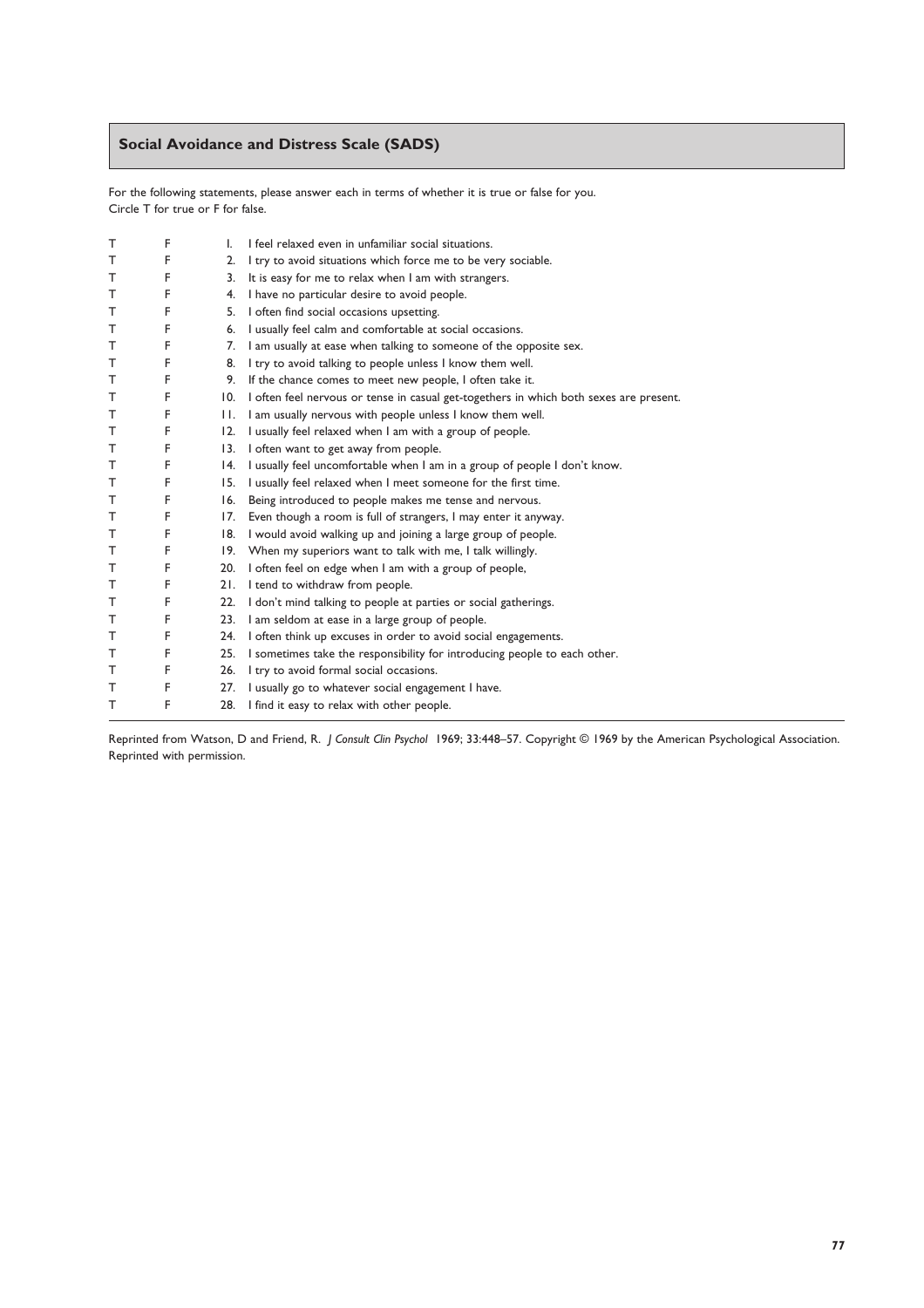#### **Social Avoidance and Distress Scale (SADS)**

For the following statements, please answer each in terms of whether it is true or false for you. Circle T for true or F for false.

| Т | F |     | I feel relaxed even in unfamiliar social situations.                                       |
|---|---|-----|--------------------------------------------------------------------------------------------|
| т | F | 2.  | I try to avoid situations which force me to be very sociable.                              |
| т | F | 3.  | It is easy for me to relax when I am with strangers.                                       |
| т | F | 4.  | I have no particular desire to avoid people.                                               |
| Τ | F | 5.  | I often find social occasions upsetting.                                                   |
| Τ | F | 6.  | I usually feel calm and comfortable at social occasions.                                   |
| Τ | F |     | 7. I am usually at ease when talking to someone of the opposite sex.                       |
| т | F | 8.  | I try to avoid talking to people unless I know them well.                                  |
| т | F | 9.  | If the chance comes to meet new people, I often take it.                                   |
| Т | F |     | 10. I often feel nervous or tense in casual get-togethers in which both sexes are present. |
| т | F | H.  | I am usually nervous with people unless I know them well.                                  |
| т | F | 12. | I usually feel relaxed when I am with a group of people.                                   |
| т | F | 13. | I often want to get away from people.                                                      |
| т | F | 14. | I usually feel uncomfortable when I am in a group of people I don't know.                  |
| Т | F | 15. | I usually feel relaxed when I meet someone for the first time.                             |
| Т | F | 16. | Being introduced to people makes me tense and nervous.                                     |
| Т | F | 17. | Even though a room is full of strangers, I may enter it anyway.                            |
| т | F | 18. | I would avoid walking up and joining a large group of people.                              |
| Т | F | 19. | When my superiors want to talk with me, I talk willingly.                                  |
| Т | F | 20. | I often feel on edge when I am with a group of people,                                     |
| Т | F | 21. | I tend to withdraw from people.                                                            |
| Т | F | 22. | I don't mind talking to people at parties or social gatherings.                            |
| т | F | 23. | I am seldom at ease in a large group of people.                                            |
| Т | F | 24. | I often think up excuses in order to avoid social engagements.                             |
| Т | F | 25. | I sometimes take the responsibility for introducing people to each other.                  |
| т | F | 26. | I try to avoid formal social occasions.                                                    |
| Т | F | 27. | I usually go to whatever social engagement I have.                                         |
| Т | F | 28. | I find it easy to relax with other people.                                                 |
|   |   |     |                                                                                            |

Reprinted from Watson, D and Friend, R. *J Consult Clin Psychol* 1969; 33:448–57. Copyright © 1969 by the American Psychological Association. Reprinted with permission.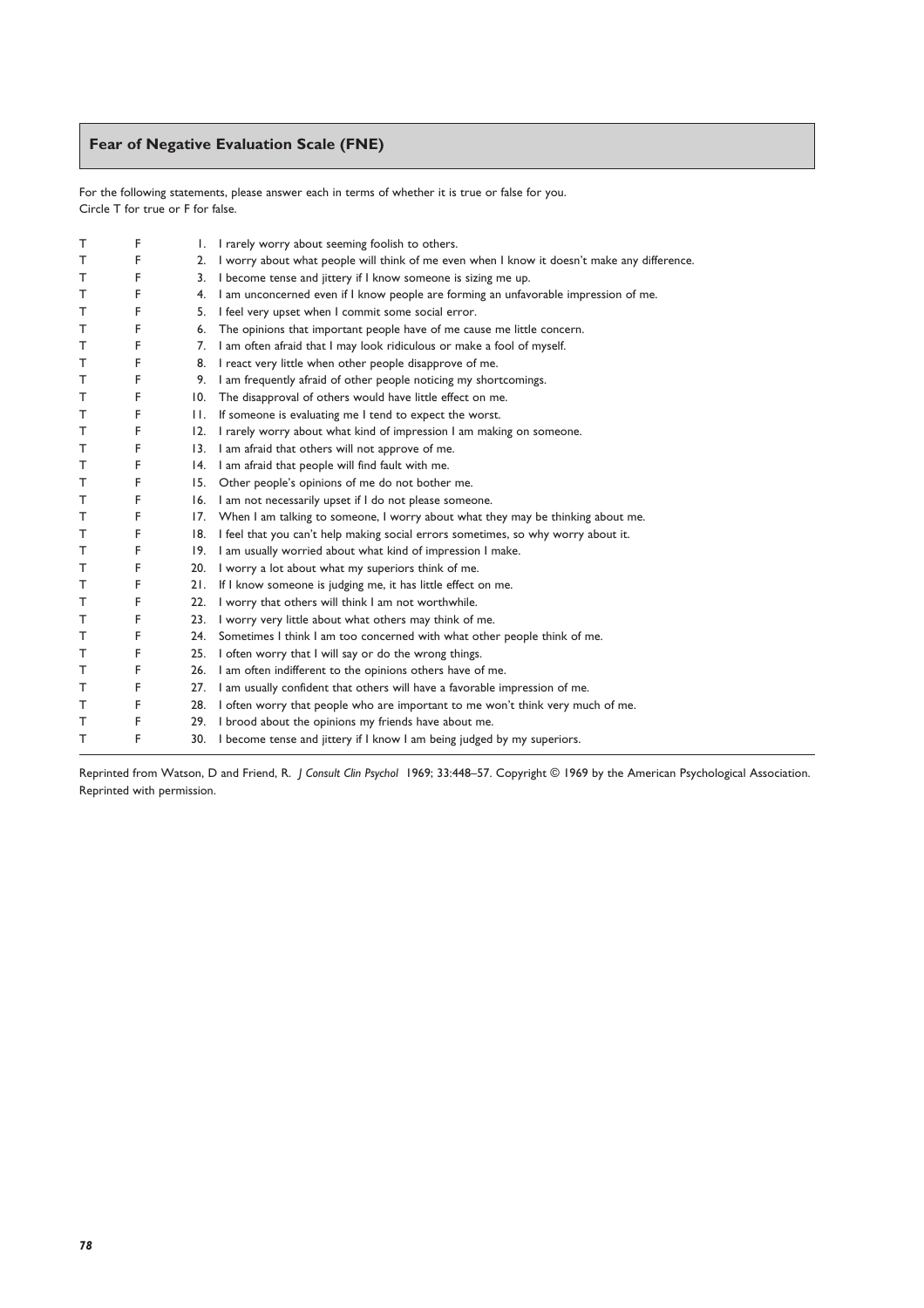#### **Fear of Negative Evaluation Scale (FNE)**

For the following statements, please answer each in terms of whether it is true or false for you. Circle T for true or F for false.

| т<br>I worry about what people will think of me even when I know it doesn't make any difference.<br>F<br>2.<br>Т<br>F<br>3. I become tense and jittery if I know someone is sizing me up.<br>Т<br>F<br>4. I am unconcerned even if I know people are forming an unfavorable impression of me.<br>Т<br>F<br>I feel very upset when I commit some social error.<br>5.<br>т<br>The opinions that important people have of me cause me little concern.<br>F<br>6.<br>Т<br>F<br>I am often afraid that I may look ridiculous or make a fool of myself.<br>7.<br>Т<br>F<br>I react very little when other people disapprove of me.<br>8.<br>F<br>Т<br>I am frequently afraid of other people noticing my shortcomings.<br>9.<br>т<br>F<br>The disapproval of others would have little effect on me.<br>10.<br>Т<br>If someone is evaluating me I tend to expect the worst.<br>F<br>П.<br>Т<br>F<br>I rarely worry about what kind of impression I am making on someone.<br>12.<br>Т<br>F<br>I am afraid that others will not approve of me.<br>13.<br>Т<br>F<br>I am afraid that people will find fault with me.<br>14.<br>Т<br>F<br>Other people's opinions of me do not bother me.<br>15.<br>Т<br>F<br>I am not necessarily upset if I do not please someone.<br>16.<br>т<br>F<br>When I am talking to someone, I worry about what they may be thinking about me.<br>17.<br>т<br>F<br>I feel that you can't help making social errors sometimes, so why worry about it.<br>18.<br>Т<br>F<br>I am usually worried about what kind of impression I make.<br>19.<br>Т<br>F<br>I worry a lot about what my superiors think of me.<br>20.<br>Т<br>F<br>If I know someone is judging me, it has little effect on me.<br>21.<br>Т<br>F<br>I worry that others will think I am not worthwhile.<br>22.<br>Т<br>I worry very little about what others may think of me.<br>F<br>23.<br>Т<br>F<br>24. Sometimes I think I am too concerned with what other people think of me.<br>Т<br>F<br>I often worry that I will say or do the wrong things.<br>25.<br>Т<br>F<br>I am often indifferent to the opinions others have of me.<br>26.<br>Т<br>F<br>I am usually confident that others will have a favorable impression of me.<br>27.<br>Т<br>F<br>I often worry that people who are important to me won't think very much of me.<br>28.<br>Т<br>F<br>29. I brood about the opinions my friends have about me.<br>Т<br>F<br>30. I become tense and jittery if I know I am being judged by my superiors. | Т | F | Ι. | I rarely worry about seeming foolish to others. |
|-----------------------------------------------------------------------------------------------------------------------------------------------------------------------------------------------------------------------------------------------------------------------------------------------------------------------------------------------------------------------------------------------------------------------------------------------------------------------------------------------------------------------------------------------------------------------------------------------------------------------------------------------------------------------------------------------------------------------------------------------------------------------------------------------------------------------------------------------------------------------------------------------------------------------------------------------------------------------------------------------------------------------------------------------------------------------------------------------------------------------------------------------------------------------------------------------------------------------------------------------------------------------------------------------------------------------------------------------------------------------------------------------------------------------------------------------------------------------------------------------------------------------------------------------------------------------------------------------------------------------------------------------------------------------------------------------------------------------------------------------------------------------------------------------------------------------------------------------------------------------------------------------------------------------------------------------------------------------------------------------------------------------------------------------------------------------------------------------------------------------------------------------------------------------------------------------------------------------------------------------------------------------------------------------------------------------------------------------------------------------------------------------------------------------------------------------------------------------------------------|---|---|----|-------------------------------------------------|
|                                                                                                                                                                                                                                                                                                                                                                                                                                                                                                                                                                                                                                                                                                                                                                                                                                                                                                                                                                                                                                                                                                                                                                                                                                                                                                                                                                                                                                                                                                                                                                                                                                                                                                                                                                                                                                                                                                                                                                                                                                                                                                                                                                                                                                                                                                                                                                                                                                                                                         |   |   |    |                                                 |
|                                                                                                                                                                                                                                                                                                                                                                                                                                                                                                                                                                                                                                                                                                                                                                                                                                                                                                                                                                                                                                                                                                                                                                                                                                                                                                                                                                                                                                                                                                                                                                                                                                                                                                                                                                                                                                                                                                                                                                                                                                                                                                                                                                                                                                                                                                                                                                                                                                                                                         |   |   |    |                                                 |
|                                                                                                                                                                                                                                                                                                                                                                                                                                                                                                                                                                                                                                                                                                                                                                                                                                                                                                                                                                                                                                                                                                                                                                                                                                                                                                                                                                                                                                                                                                                                                                                                                                                                                                                                                                                                                                                                                                                                                                                                                                                                                                                                                                                                                                                                                                                                                                                                                                                                                         |   |   |    |                                                 |
|                                                                                                                                                                                                                                                                                                                                                                                                                                                                                                                                                                                                                                                                                                                                                                                                                                                                                                                                                                                                                                                                                                                                                                                                                                                                                                                                                                                                                                                                                                                                                                                                                                                                                                                                                                                                                                                                                                                                                                                                                                                                                                                                                                                                                                                                                                                                                                                                                                                                                         |   |   |    |                                                 |
|                                                                                                                                                                                                                                                                                                                                                                                                                                                                                                                                                                                                                                                                                                                                                                                                                                                                                                                                                                                                                                                                                                                                                                                                                                                                                                                                                                                                                                                                                                                                                                                                                                                                                                                                                                                                                                                                                                                                                                                                                                                                                                                                                                                                                                                                                                                                                                                                                                                                                         |   |   |    |                                                 |
|                                                                                                                                                                                                                                                                                                                                                                                                                                                                                                                                                                                                                                                                                                                                                                                                                                                                                                                                                                                                                                                                                                                                                                                                                                                                                                                                                                                                                                                                                                                                                                                                                                                                                                                                                                                                                                                                                                                                                                                                                                                                                                                                                                                                                                                                                                                                                                                                                                                                                         |   |   |    |                                                 |
|                                                                                                                                                                                                                                                                                                                                                                                                                                                                                                                                                                                                                                                                                                                                                                                                                                                                                                                                                                                                                                                                                                                                                                                                                                                                                                                                                                                                                                                                                                                                                                                                                                                                                                                                                                                                                                                                                                                                                                                                                                                                                                                                                                                                                                                                                                                                                                                                                                                                                         |   |   |    |                                                 |
|                                                                                                                                                                                                                                                                                                                                                                                                                                                                                                                                                                                                                                                                                                                                                                                                                                                                                                                                                                                                                                                                                                                                                                                                                                                                                                                                                                                                                                                                                                                                                                                                                                                                                                                                                                                                                                                                                                                                                                                                                                                                                                                                                                                                                                                                                                                                                                                                                                                                                         |   |   |    |                                                 |
|                                                                                                                                                                                                                                                                                                                                                                                                                                                                                                                                                                                                                                                                                                                                                                                                                                                                                                                                                                                                                                                                                                                                                                                                                                                                                                                                                                                                                                                                                                                                                                                                                                                                                                                                                                                                                                                                                                                                                                                                                                                                                                                                                                                                                                                                                                                                                                                                                                                                                         |   |   |    |                                                 |
|                                                                                                                                                                                                                                                                                                                                                                                                                                                                                                                                                                                                                                                                                                                                                                                                                                                                                                                                                                                                                                                                                                                                                                                                                                                                                                                                                                                                                                                                                                                                                                                                                                                                                                                                                                                                                                                                                                                                                                                                                                                                                                                                                                                                                                                                                                                                                                                                                                                                                         |   |   |    |                                                 |
|                                                                                                                                                                                                                                                                                                                                                                                                                                                                                                                                                                                                                                                                                                                                                                                                                                                                                                                                                                                                                                                                                                                                                                                                                                                                                                                                                                                                                                                                                                                                                                                                                                                                                                                                                                                                                                                                                                                                                                                                                                                                                                                                                                                                                                                                                                                                                                                                                                                                                         |   |   |    |                                                 |
|                                                                                                                                                                                                                                                                                                                                                                                                                                                                                                                                                                                                                                                                                                                                                                                                                                                                                                                                                                                                                                                                                                                                                                                                                                                                                                                                                                                                                                                                                                                                                                                                                                                                                                                                                                                                                                                                                                                                                                                                                                                                                                                                                                                                                                                                                                                                                                                                                                                                                         |   |   |    |                                                 |
|                                                                                                                                                                                                                                                                                                                                                                                                                                                                                                                                                                                                                                                                                                                                                                                                                                                                                                                                                                                                                                                                                                                                                                                                                                                                                                                                                                                                                                                                                                                                                                                                                                                                                                                                                                                                                                                                                                                                                                                                                                                                                                                                                                                                                                                                                                                                                                                                                                                                                         |   |   |    |                                                 |
|                                                                                                                                                                                                                                                                                                                                                                                                                                                                                                                                                                                                                                                                                                                                                                                                                                                                                                                                                                                                                                                                                                                                                                                                                                                                                                                                                                                                                                                                                                                                                                                                                                                                                                                                                                                                                                                                                                                                                                                                                                                                                                                                                                                                                                                                                                                                                                                                                                                                                         |   |   |    |                                                 |
|                                                                                                                                                                                                                                                                                                                                                                                                                                                                                                                                                                                                                                                                                                                                                                                                                                                                                                                                                                                                                                                                                                                                                                                                                                                                                                                                                                                                                                                                                                                                                                                                                                                                                                                                                                                                                                                                                                                                                                                                                                                                                                                                                                                                                                                                                                                                                                                                                                                                                         |   |   |    |                                                 |
|                                                                                                                                                                                                                                                                                                                                                                                                                                                                                                                                                                                                                                                                                                                                                                                                                                                                                                                                                                                                                                                                                                                                                                                                                                                                                                                                                                                                                                                                                                                                                                                                                                                                                                                                                                                                                                                                                                                                                                                                                                                                                                                                                                                                                                                                                                                                                                                                                                                                                         |   |   |    |                                                 |
|                                                                                                                                                                                                                                                                                                                                                                                                                                                                                                                                                                                                                                                                                                                                                                                                                                                                                                                                                                                                                                                                                                                                                                                                                                                                                                                                                                                                                                                                                                                                                                                                                                                                                                                                                                                                                                                                                                                                                                                                                                                                                                                                                                                                                                                                                                                                                                                                                                                                                         |   |   |    |                                                 |
|                                                                                                                                                                                                                                                                                                                                                                                                                                                                                                                                                                                                                                                                                                                                                                                                                                                                                                                                                                                                                                                                                                                                                                                                                                                                                                                                                                                                                                                                                                                                                                                                                                                                                                                                                                                                                                                                                                                                                                                                                                                                                                                                                                                                                                                                                                                                                                                                                                                                                         |   |   |    |                                                 |
|                                                                                                                                                                                                                                                                                                                                                                                                                                                                                                                                                                                                                                                                                                                                                                                                                                                                                                                                                                                                                                                                                                                                                                                                                                                                                                                                                                                                                                                                                                                                                                                                                                                                                                                                                                                                                                                                                                                                                                                                                                                                                                                                                                                                                                                                                                                                                                                                                                                                                         |   |   |    |                                                 |
|                                                                                                                                                                                                                                                                                                                                                                                                                                                                                                                                                                                                                                                                                                                                                                                                                                                                                                                                                                                                                                                                                                                                                                                                                                                                                                                                                                                                                                                                                                                                                                                                                                                                                                                                                                                                                                                                                                                                                                                                                                                                                                                                                                                                                                                                                                                                                                                                                                                                                         |   |   |    |                                                 |
|                                                                                                                                                                                                                                                                                                                                                                                                                                                                                                                                                                                                                                                                                                                                                                                                                                                                                                                                                                                                                                                                                                                                                                                                                                                                                                                                                                                                                                                                                                                                                                                                                                                                                                                                                                                                                                                                                                                                                                                                                                                                                                                                                                                                                                                                                                                                                                                                                                                                                         |   |   |    |                                                 |
|                                                                                                                                                                                                                                                                                                                                                                                                                                                                                                                                                                                                                                                                                                                                                                                                                                                                                                                                                                                                                                                                                                                                                                                                                                                                                                                                                                                                                                                                                                                                                                                                                                                                                                                                                                                                                                                                                                                                                                                                                                                                                                                                                                                                                                                                                                                                                                                                                                                                                         |   |   |    |                                                 |
|                                                                                                                                                                                                                                                                                                                                                                                                                                                                                                                                                                                                                                                                                                                                                                                                                                                                                                                                                                                                                                                                                                                                                                                                                                                                                                                                                                                                                                                                                                                                                                                                                                                                                                                                                                                                                                                                                                                                                                                                                                                                                                                                                                                                                                                                                                                                                                                                                                                                                         |   |   |    |                                                 |
|                                                                                                                                                                                                                                                                                                                                                                                                                                                                                                                                                                                                                                                                                                                                                                                                                                                                                                                                                                                                                                                                                                                                                                                                                                                                                                                                                                                                                                                                                                                                                                                                                                                                                                                                                                                                                                                                                                                                                                                                                                                                                                                                                                                                                                                                                                                                                                                                                                                                                         |   |   |    |                                                 |
|                                                                                                                                                                                                                                                                                                                                                                                                                                                                                                                                                                                                                                                                                                                                                                                                                                                                                                                                                                                                                                                                                                                                                                                                                                                                                                                                                                                                                                                                                                                                                                                                                                                                                                                                                                                                                                                                                                                                                                                                                                                                                                                                                                                                                                                                                                                                                                                                                                                                                         |   |   |    |                                                 |
|                                                                                                                                                                                                                                                                                                                                                                                                                                                                                                                                                                                                                                                                                                                                                                                                                                                                                                                                                                                                                                                                                                                                                                                                                                                                                                                                                                                                                                                                                                                                                                                                                                                                                                                                                                                                                                                                                                                                                                                                                                                                                                                                                                                                                                                                                                                                                                                                                                                                                         |   |   |    |                                                 |
|                                                                                                                                                                                                                                                                                                                                                                                                                                                                                                                                                                                                                                                                                                                                                                                                                                                                                                                                                                                                                                                                                                                                                                                                                                                                                                                                                                                                                                                                                                                                                                                                                                                                                                                                                                                                                                                                                                                                                                                                                                                                                                                                                                                                                                                                                                                                                                                                                                                                                         |   |   |    |                                                 |
|                                                                                                                                                                                                                                                                                                                                                                                                                                                                                                                                                                                                                                                                                                                                                                                                                                                                                                                                                                                                                                                                                                                                                                                                                                                                                                                                                                                                                                                                                                                                                                                                                                                                                                                                                                                                                                                                                                                                                                                                                                                                                                                                                                                                                                                                                                                                                                                                                                                                                         |   |   |    |                                                 |
|                                                                                                                                                                                                                                                                                                                                                                                                                                                                                                                                                                                                                                                                                                                                                                                                                                                                                                                                                                                                                                                                                                                                                                                                                                                                                                                                                                                                                                                                                                                                                                                                                                                                                                                                                                                                                                                                                                                                                                                                                                                                                                                                                                                                                                                                                                                                                                                                                                                                                         |   |   |    |                                                 |

Reprinted from Watson, D and Friend, R. *J Consult Clin Psychol* 1969; 33:448–57. Copyright © 1969 by the American Psychological Association. Reprinted with permission.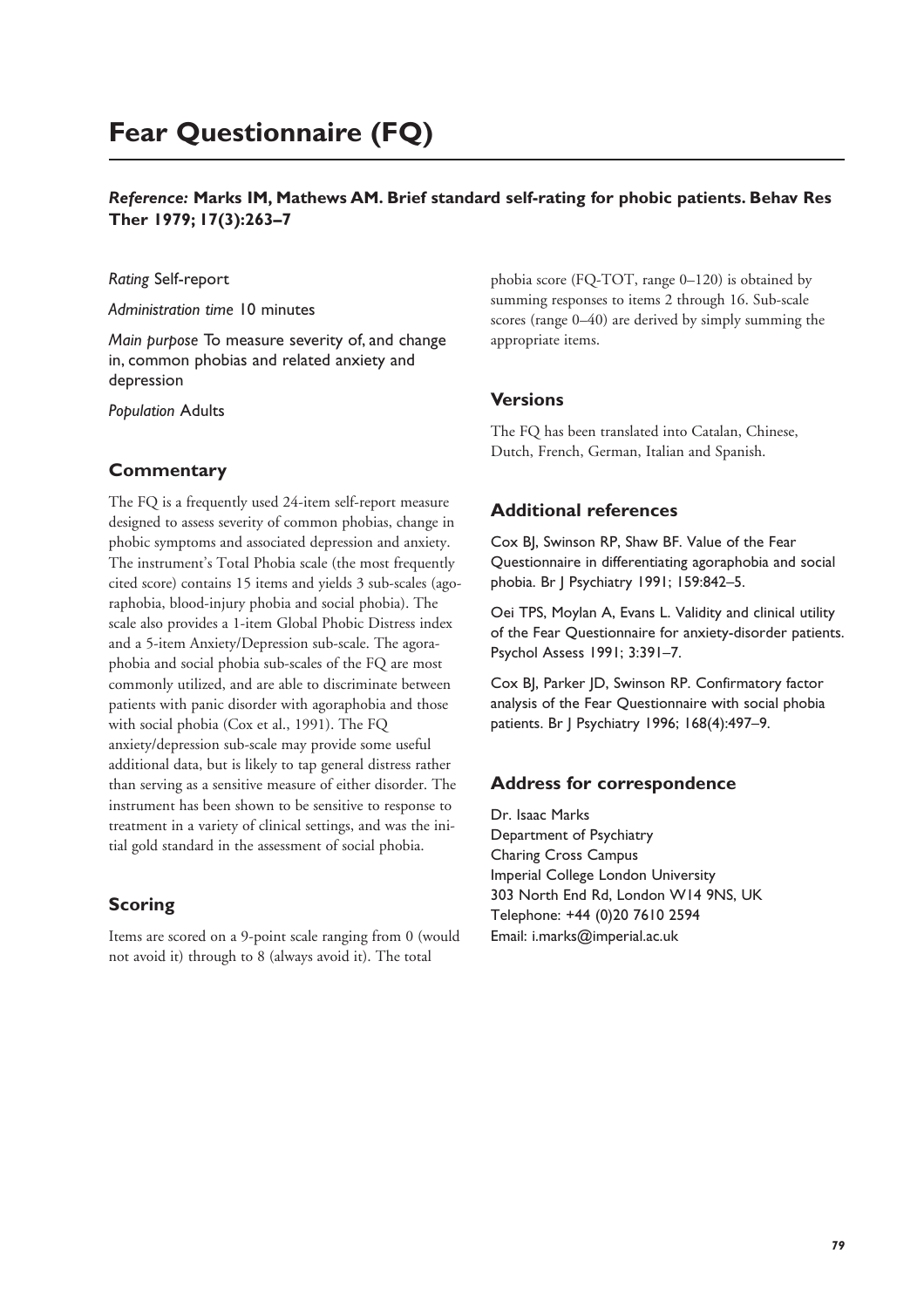# *Reference:* **Marks IM, Mathews AM. Brief standard self-rating for phobic patients. Behav Res Ther 1979; 17(3):263–7**

*Rating* Self-report

*Administration time* 10 minutes

*Main purpose* To measure severity of, and change in, common phobias and related anxiety and depression

*Population* Adults

## **Commentary**

The FQ is a frequently used 24-item self-report measure designed to assess severity of common phobias, change in phobic symptoms and associated depression and anxiety. The instrument's Total Phobia scale (the most frequently cited score) contains 15 items and yields 3 sub-scales (agoraphobia, blood-injury phobia and social phobia). The scale also provides a 1-item Global Phobic Distress index and a 5-item Anxiety/Depression sub-scale. The agoraphobia and social phobia sub-scales of the FQ are most commonly utilized, and are able to discriminate between patients with panic disorder with agoraphobia and those with social phobia (Cox et al., 1991). The FQ anxiety/depression sub-scale may provide some useful additional data, but is likely to tap general distress rather than serving as a sensitive measure of either disorder. The instrument has been shown to be sensitive to response to treatment in a variety of clinical settings, and was the initial gold standard in the assessment of social phobia.

# **Scoring**

Items are scored on a 9-point scale ranging from 0 (would not avoid it) through to 8 (always avoid it). The total

phobia score (FQ-TOT, range 0–120) is obtained by summing responses to items 2 through 16. Sub-scale scores (range 0–40) are derived by simply summing the appropriate items.

## **Versions**

The FQ has been translated into Catalan, Chinese, Dutch, French, German, Italian and Spanish.

## **Additional references**

Cox BJ, Swinson RP, Shaw BF. Value of the Fear Questionnaire in differentiating agoraphobia and social phobia. Br J Psychiatry 1991; 159:842–5.

Oei TPS, Moylan A, Evans L. Validity and clinical utility of the Fear Questionnaire for anxiety-disorder patients. Psychol Assess 1991; 3:391–7.

Cox BJ, Parker JD, Swinson RP. Confirmatory factor analysis of the Fear Questionnaire with social phobia patients. Br J Psychiatry 1996; 168(4):497–9.

#### **Address for correspondence**

Dr. Isaac Marks Department of Psychiatry Charing Cross Campus Imperial College London University 303 North End Rd, London W14 9NS, UK Telephone: +44 (0)20 7610 2594 Email: i.marks@imperial.ac.uk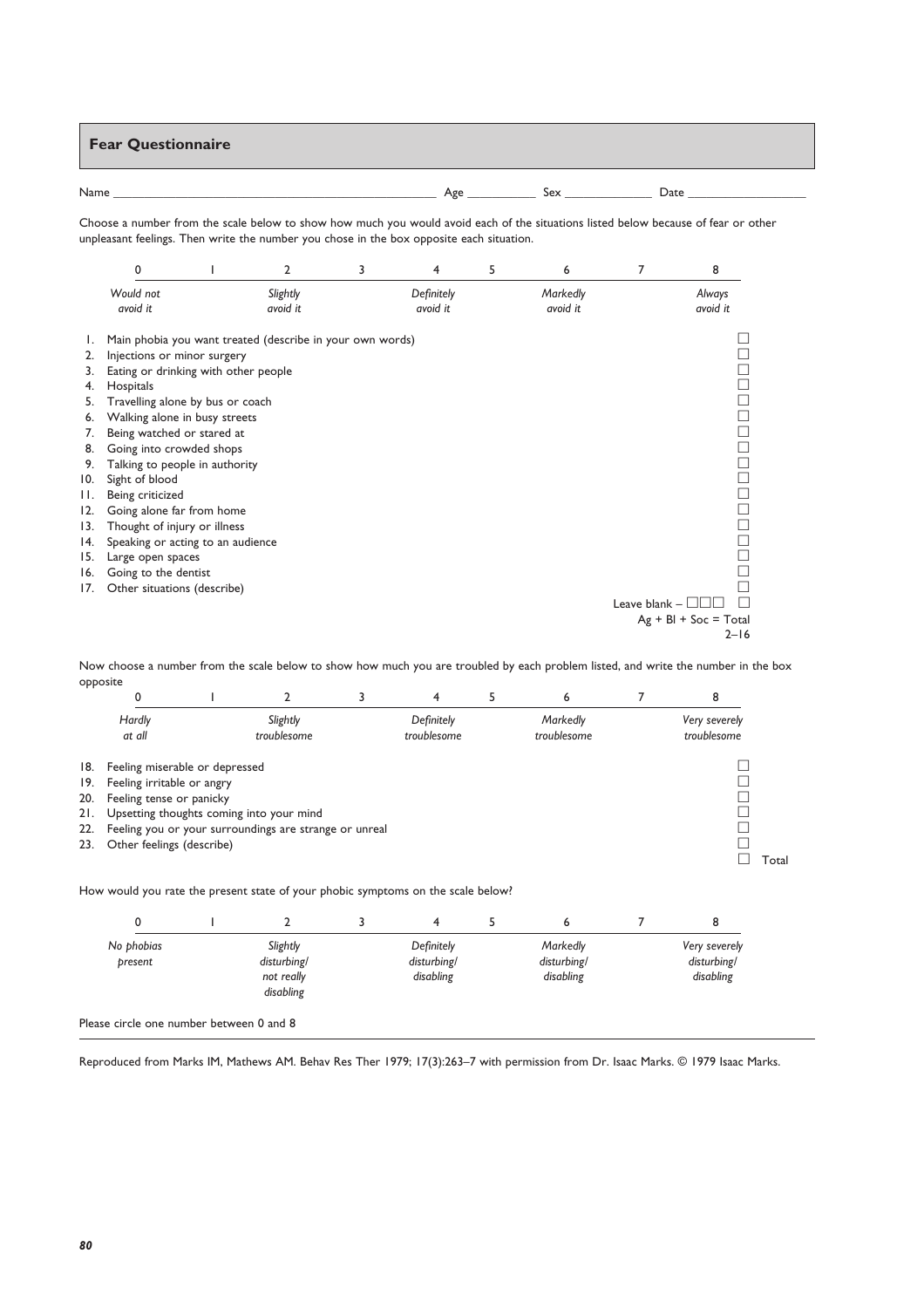## **Fear Questionnaire**

| . .<br>Name | יי | sex | <i>Jace</i> |
|-------------|----|-----|-------------|
|             |    |     |             |

Choose a number from the scale below to show how much you would avoid each of the situations listed below because of fear or other unpleasant feelings. Then write the number you chose in the box opposite each situation.



Now choose a number from the scale below to show how much you are troubled by each problem listed, and write the number in the box opposite

| Hardly                                                     |  | Slightly                                     |  | Definitely  |  | Markedly    |  | Very severely |
|------------------------------------------------------------|--|----------------------------------------------|--|-------------|--|-------------|--|---------------|
| at all                                                     |  | troublesome                                  |  | troublesome |  | troublesome |  | troublesome   |
| 18. Feeling miserable or depressed                         |  |                                              |  |             |  |             |  |               |
| 19. Feeling irritable or angry                             |  |                                              |  |             |  |             |  |               |
| 20. Feeling tense or panicky                               |  |                                              |  |             |  |             |  |               |
|                                                            |  | 21. Upsetting thoughts coming into your mind |  |             |  |             |  |               |
| 22. Feeling you or your surroundings are strange or unreal |  |                                              |  |             |  |             |  |               |
| 23. Other feelings (describe)                              |  |                                              |  |             |  |             |  |               |
|                                                            |  |                                              |  |             |  |             |  | Total         |

How would you rate the present state of your phobic symptoms on the scale below?

| 0                                        |                         |             |             |               |
|------------------------------------------|-------------------------|-------------|-------------|---------------|
| No phobias                               | Slightly                | Definitely  | Markedly    | Very severely |
| present                                  | disturbing/             | disturbing/ | disturbing/ | disturbing/   |
|                                          | not really<br>disabling | disabling   | disabling   | disabling     |
| Please circle one number between 0 and 8 |                         |             |             |               |

Reproduced from Marks IM, Mathews AM. Behav Res Ther 1979; 17(3):263–7 with permission from Dr. Isaac Marks. © 1979 Isaac Marks.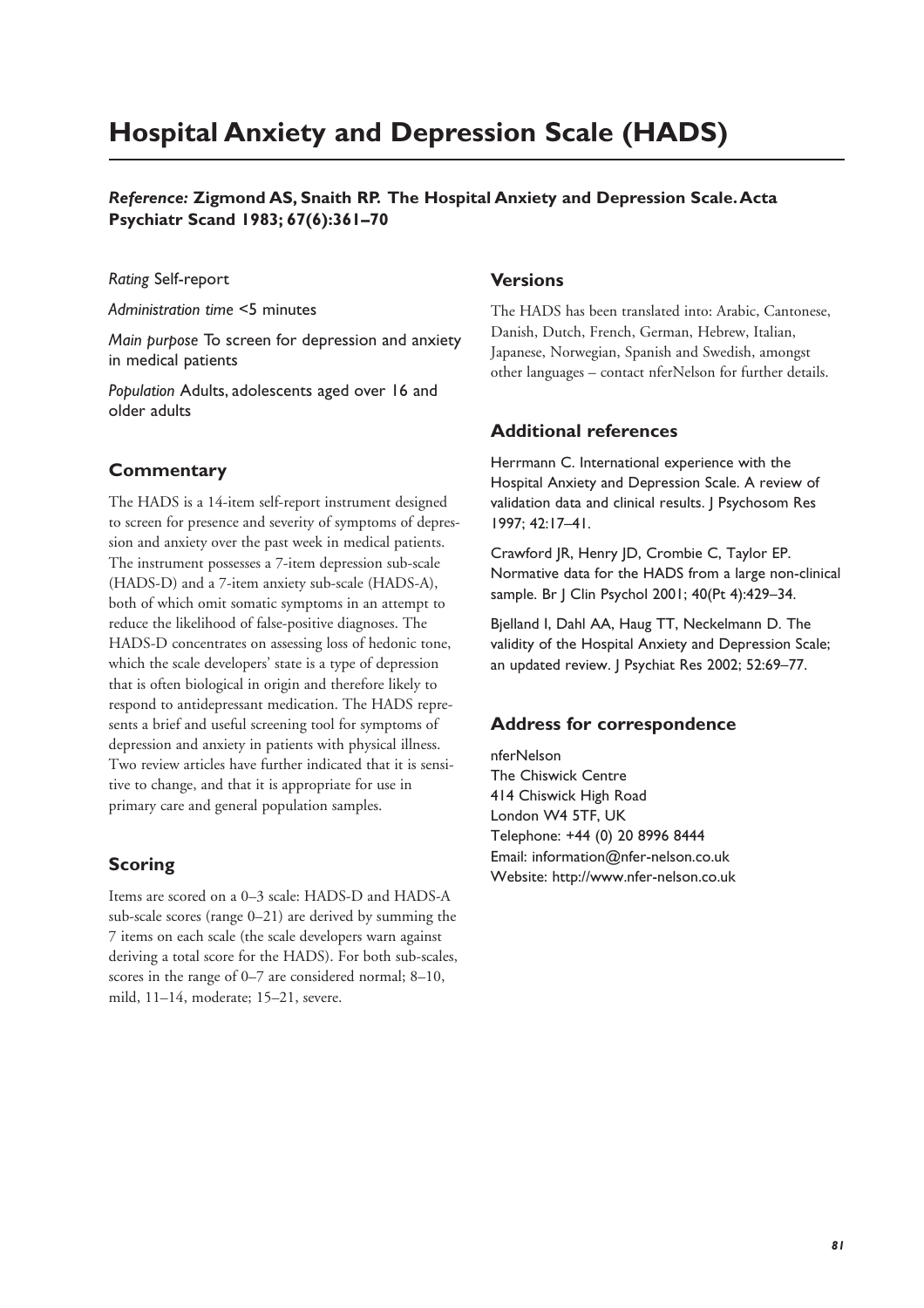# **Hospital Anxiety and Depression Scale (HADS)**

# *Reference:* **Zigmond AS, Snaith RP. The Hospital Anxiety and Depression Scale.Acta Psychiatr Scand 1983; 67(6):361–70**

*Rating* Self-report

*Administration time* <5 minutes

*Main purpose* To screen for depression and anxiety in medical patients

*Population* Adults, adolescents aged over 16 and older adults

#### **Commentary**

The HADS is a 14-item self-report instrument designed to screen for presence and severity of symptoms of depression and anxiety over the past week in medical patients. The instrument possesses a 7-item depression sub-scale (HADS-D) and a 7-item anxiety sub-scale (HADS-A), both of which omit somatic symptoms in an attempt to reduce the likelihood of false-positive diagnoses. The HADS-D concentrates on assessing loss of hedonic tone, which the scale developers' state is a type of depression that is often biological in origin and therefore likely to respond to antidepressant medication. The HADS represents a brief and useful screening tool for symptoms of depression and anxiety in patients with physical illness. Two review articles have further indicated that it is sensitive to change, and that it is appropriate for use in primary care and general population samples.

#### **Scoring**

Items are scored on a 0–3 scale: HADS-D and HADS-A sub-scale scores (range 0–21) are derived by summing the 7 items on each scale (the scale developers warn against deriving a total score for the HADS). For both sub-scales, scores in the range of 0–7 are considered normal; 8–10, mild, 11–14, moderate; 15–21, severe.

## **Versions**

The HADS has been translated into: Arabic, Cantonese, Danish, Dutch, French, German, Hebrew, Italian, Japanese, Norwegian, Spanish and Swedish, amongst other languages – contact nferNelson for further details.

#### **Additional references**

Herrmann C. International experience with the Hospital Anxiety and Depression Scale. A review of validation data and clinical results. J Psychosom Res 1997; 42:17–41.

Crawford JR, Henry JD, Crombie C, Taylor EP. Normative data for the HADS from a large non-clinical sample. Br J Clin Psychol 2001; 40(Pt 4):429–34.

Bjelland I, Dahl AA, Haug TT, Neckelmann D. The validity of the Hospital Anxiety and Depression Scale; an updated review. J Psychiat Res 2002; 52:69–77.

#### **Address for correspondence**

nferNelson The Chiswick Centre 414 Chiswick High Road London W4 5TF, UK Telephone: +44 (0) 20 8996 8444 Email: information@nfer-nelson.co.uk Website: http://www.nfer-nelson.co.uk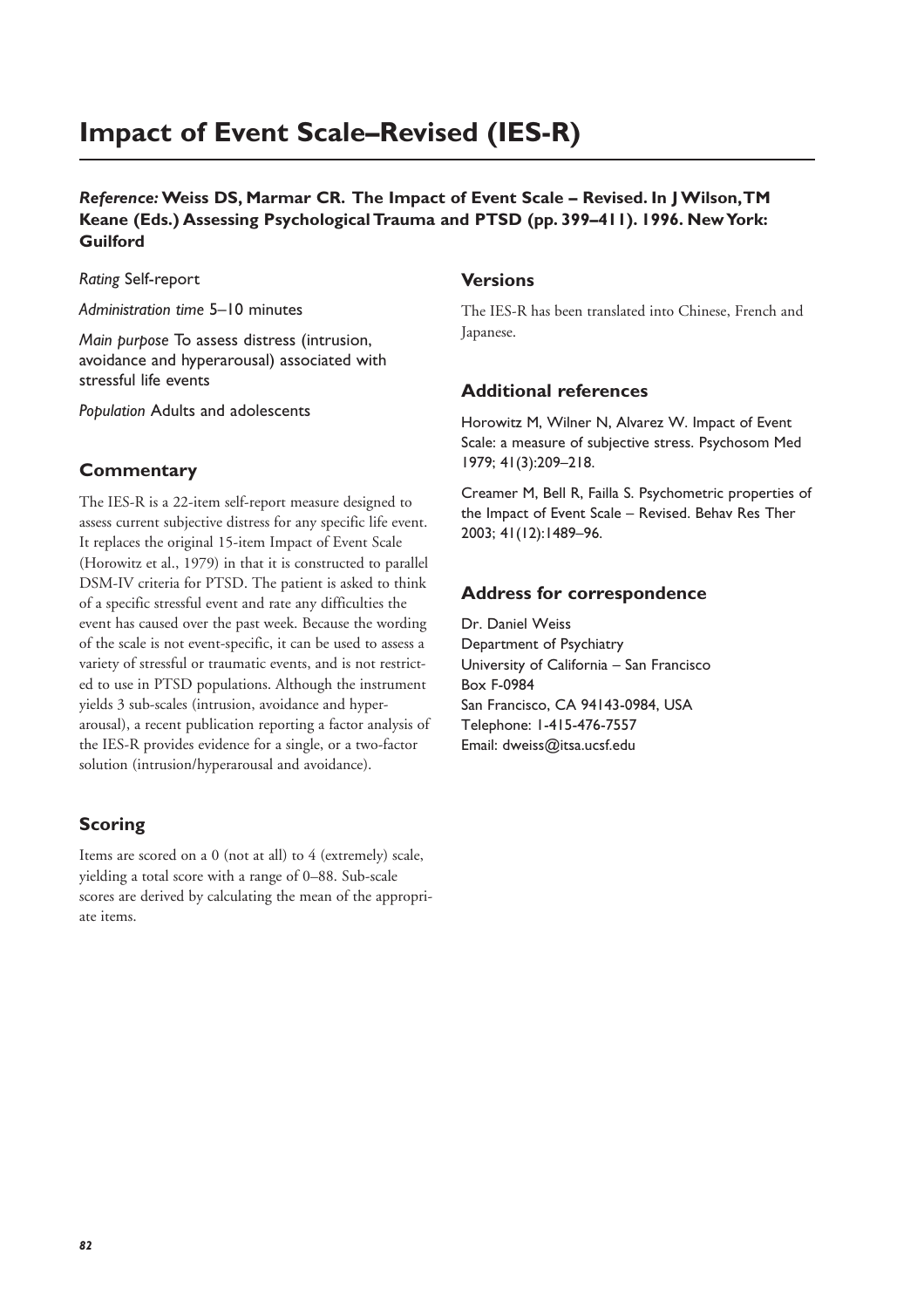# **Impact of Event Scale–Revised (IES-R)**

*Reference:***Weiss DS, Marmar CR. The Impact of Event Scale – Revised. In J Wilson,TM Keane (Eds.) Assessing Psychological Trauma and PTSD (pp. 399–411). 1996. New York: Guilford**

*Rating* Self-report

*Administration time* 5–10 minutes

*Main purpose* To assess distress (intrusion, avoidance and hyperarousal) associated with stressful life events

*Population* Adults and adolescents

# **Commentary**

The IES-R is a 22-item self-report measure designed to assess current subjective distress for any specific life event. It replaces the original 15-item Impact of Event Scale (Horowitz et al., 1979) in that it is constructed to parallel DSM-IV criteria for PTSD. The patient is asked to think of a specific stressful event and rate any difficulties the event has caused over the past week. Because the wording of the scale is not event-specific, it can be used to assess a variety of stressful or traumatic events, and is not restricted to use in PTSD populations. Although the instrument yields 3 sub-scales (intrusion, avoidance and hyperarousal), a recent publication reporting a factor analysis of the IES-R provides evidence for a single, or a two-factor solution (intrusion/hyperarousal and avoidance).

# **Scoring**

Items are scored on a 0 (not at all) to 4 (extremely) scale, yielding a total score with a range of 0–88. Sub-scale scores are derived by calculating the mean of the appropriate items.

#### **Versions**

The IES-R has been translated into Chinese, French and Japanese.

# **Additional references**

Horowitz M, Wilner N, Alvarez W. Impact of Event Scale: a measure of subjective stress. Psychosom Med 1979; 41(3):209–218.

Creamer M, Bell R, Failla S. Psychometric properties of the Impact of Event Scale – Revised. Behav Res Ther 2003; 41(12):1489–96.

# **Address for correspondence**

Dr. Daniel Weiss Department of Psychiatry University of California – San Francisco Box F-0984 San Francisco, CA 94143-0984, USA Telephone: 1-415-476-7557 Email: dweiss@itsa.ucsf.edu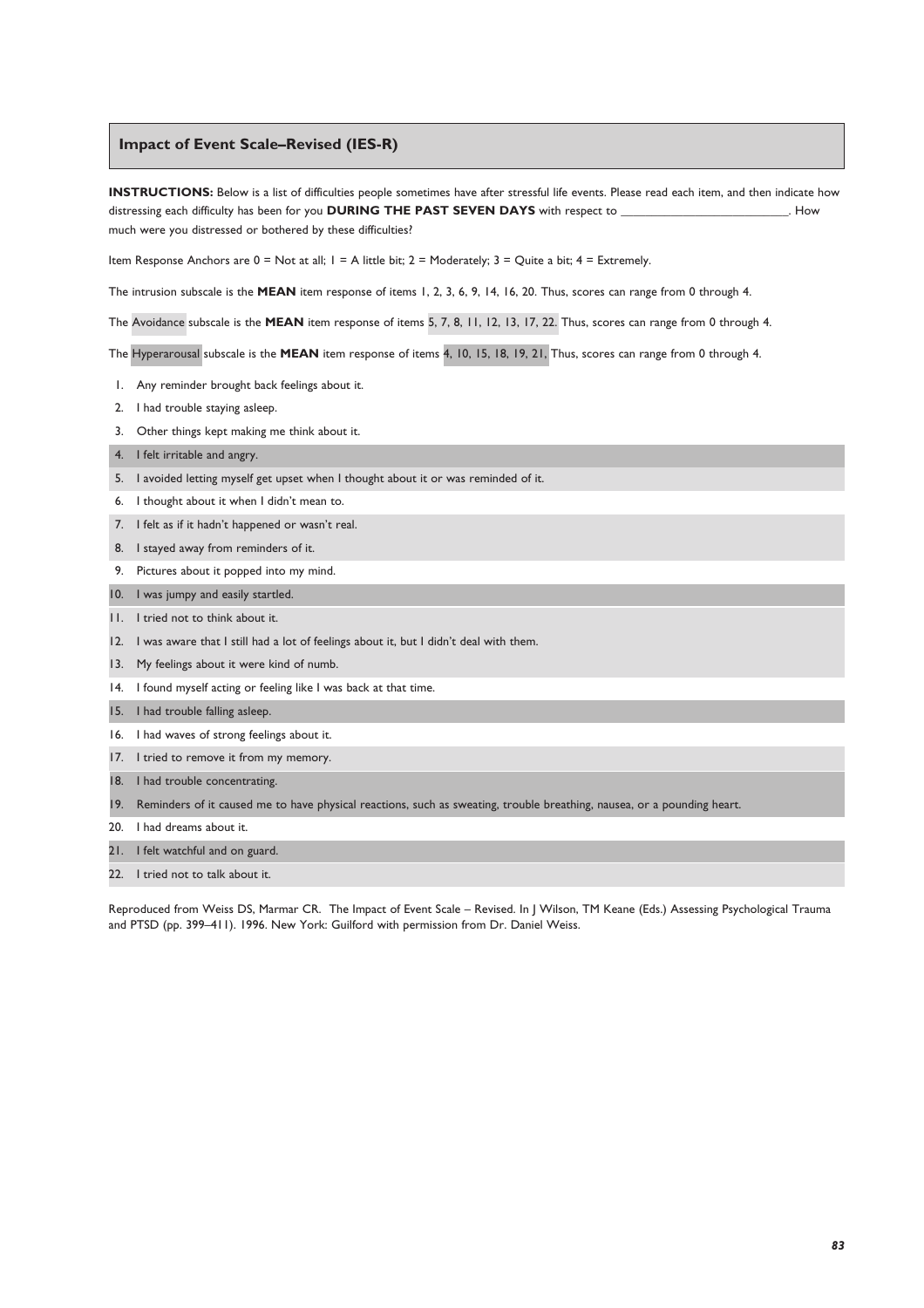#### **Impact of Event Scale–Revised (IES-R)**

**INSTRUCTIONS:** Below is a list of difficulties people sometimes have after stressful life events. Please read each item, and then indicate how distressing each difficulty has been for you **DURING THE PAST SEVEN DAYS** with respect to \_\_\_\_\_\_\_\_\_\_\_\_\_\_\_\_\_\_\_\_\_\_\_\_\_\_\_. How much were you distressed or bothered by these difficulties?

Item Response Anchors are  $0 = Not$  at all;  $1 = A$  little bit;  $2 = Moderately$ ;  $3 = Quite$  a bit;  $4 = Extremely$ .

The intrusion subscale is the **MEAN** item response of items 1, 2, 3, 6, 9, 14, 16, 20. Thus, scores can range from 0 through 4.

The Avoidance subscale is the **MEAN** item response of items 5, 7, 8, 11, 12, 13, 17, 22. Thus, scores can range from 0 through 4.

The Hyperarousal subscale is the **MEAN** item response of items 4, 10, 15, 18, 19, 21, Thus, scores can range from 0 through 4.

- 1. Any reminder brought back feelings about it.
- 2. I had trouble staying asleep.
- 3. Other things kept making me think about it.
- 4. I felt irritable and angry.
- 5. I avoided letting myself get upset when I thought about it or was reminded of it.
- 6. I thought about it when I didn't mean to.
- 7. I felt as if it hadn't happened or wasn't real.
- 8. I stayed away from reminders of it.
- 9. Pictures about it popped into my mind.
- 10. I was jumpy and easily startled.
- 11. I tried not to think about it.
- 12. I was aware that I still had a lot of feelings about it, but I didn't deal with them.
- 13. My feelings about it were kind of numb.
- 14. I found myself acting or feeling like I was back at that time.
- 15. I had trouble falling asleep.
- 16. I had waves of strong feelings about it.
- 17. I tried to remove it from my memory.
- 18. I had trouble concentrating.
- 19. Reminders of it caused me to have physical reactions, such as sweating, trouble breathing, nausea, or a pounding heart.
- 20. I had dreams about it.
- 21. I felt watchful and on guard.
- 22. I tried not to talk about it.

Reproduced from Weiss DS, Marmar CR. The Impact of Event Scale – Revised. In J Wilson, TM Keane (Eds.) Assessing Psychological Trauma and PTSD (pp. 399–411). 1996. New York: Guilford with permission from Dr. Daniel Weiss.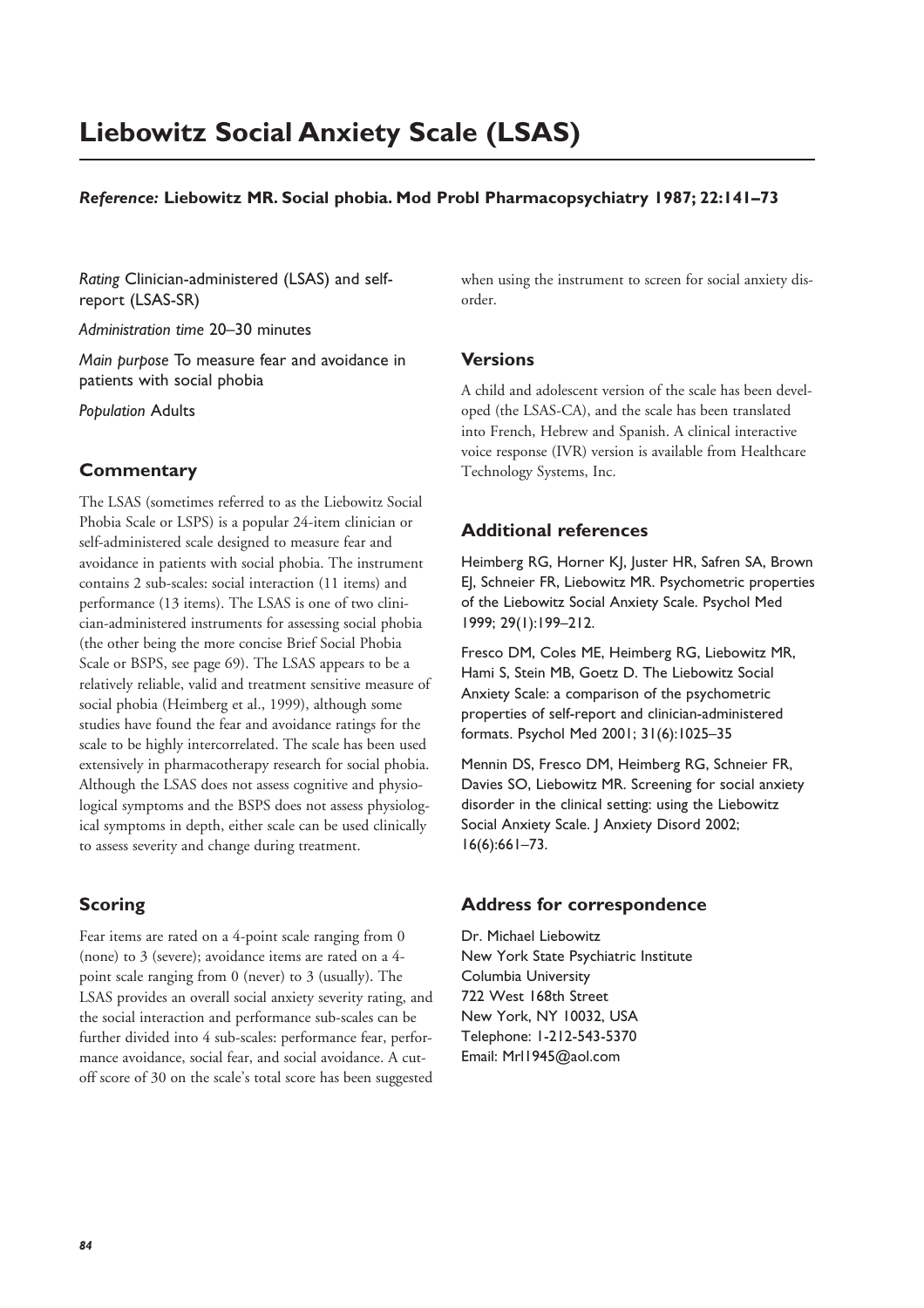## *Reference:* **Liebowitz MR. Social phobia. Mod Probl Pharmacopsychiatry 1987; 22:141–73**

*Rating* Clinician-administered (LSAS) and selfreport (LSAS-SR)

*Administration time* 20–30 minutes

*Main purpose* To measure fear and avoidance in patients with social phobia

*Population* Adults

# **Commentary**

The LSAS (sometimes referred to as the Liebowitz Social Phobia Scale or LSPS) is a popular 24-item clinician or self-administered scale designed to measure fear and avoidance in patients with social phobia. The instrument contains 2 sub-scales: social interaction (11 items) and performance (13 items). The LSAS is one of two clinician-administered instruments for assessing social phobia (the other being the more concise Brief Social Phobia Scale or BSPS, see page 69). The LSAS appears to be a relatively reliable, valid and treatment sensitive measure of social phobia (Heimberg et al., 1999), although some studies have found the fear and avoidance ratings for the scale to be highly intercorrelated. The scale has been used extensively in pharmacotherapy research for social phobia. Although the LSAS does not assess cognitive and physiological symptoms and the BSPS does not assess physiological symptoms in depth, either scale can be used clinically to assess severity and change during treatment.

# **Scoring**

Fear items are rated on a 4-point scale ranging from 0 (none) to 3 (severe); avoidance items are rated on a 4 point scale ranging from 0 (never) to 3 (usually). The LSAS provides an overall social anxiety severity rating, and the social interaction and performance sub-scales can be further divided into 4 sub-scales: performance fear, performance avoidance, social fear, and social avoidance. A cutoff score of 30 on the scale's total score has been suggested when using the instrument to screen for social anxiety disorder.

#### **Versions**

A child and adolescent version of the scale has been developed (the LSAS-CA), and the scale has been translated into French, Hebrew and Spanish. A clinical interactive voice response (IVR) version is available from Healthcare Technology Systems, Inc.

## **Additional references**

Heimberg RG, Horner KJ, Juster HR, Safren SA, Brown EJ, Schneier FR, Liebowitz MR. Psychometric properties of the Liebowitz Social Anxiety Scale. Psychol Med 1999; 29(1):199–212.

Fresco DM, Coles ME, Heimberg RG, Liebowitz MR, Hami S, Stein MB, Goetz D. The Liebowitz Social Anxiety Scale: a comparison of the psychometric properties of self-report and clinician-administered formats. Psychol Med 2001; 31(6):1025–35

Mennin DS, Fresco DM, Heimberg RG, Schneier FR, Davies SO, Liebowitz MR. Screening for social anxiety disorder in the clinical setting: using the Liebowitz Social Anxiety Scale. | Anxiety Disord 2002; 16(6):661–73.

#### **Address for correspondence**

Dr. Michael Liebowitz New York State Psychiatric Institute Columbia University 722 West 168th Street New York, NY 10032, USA Telephone: 1-212-543-5370 Email: Mrl1945@aol.com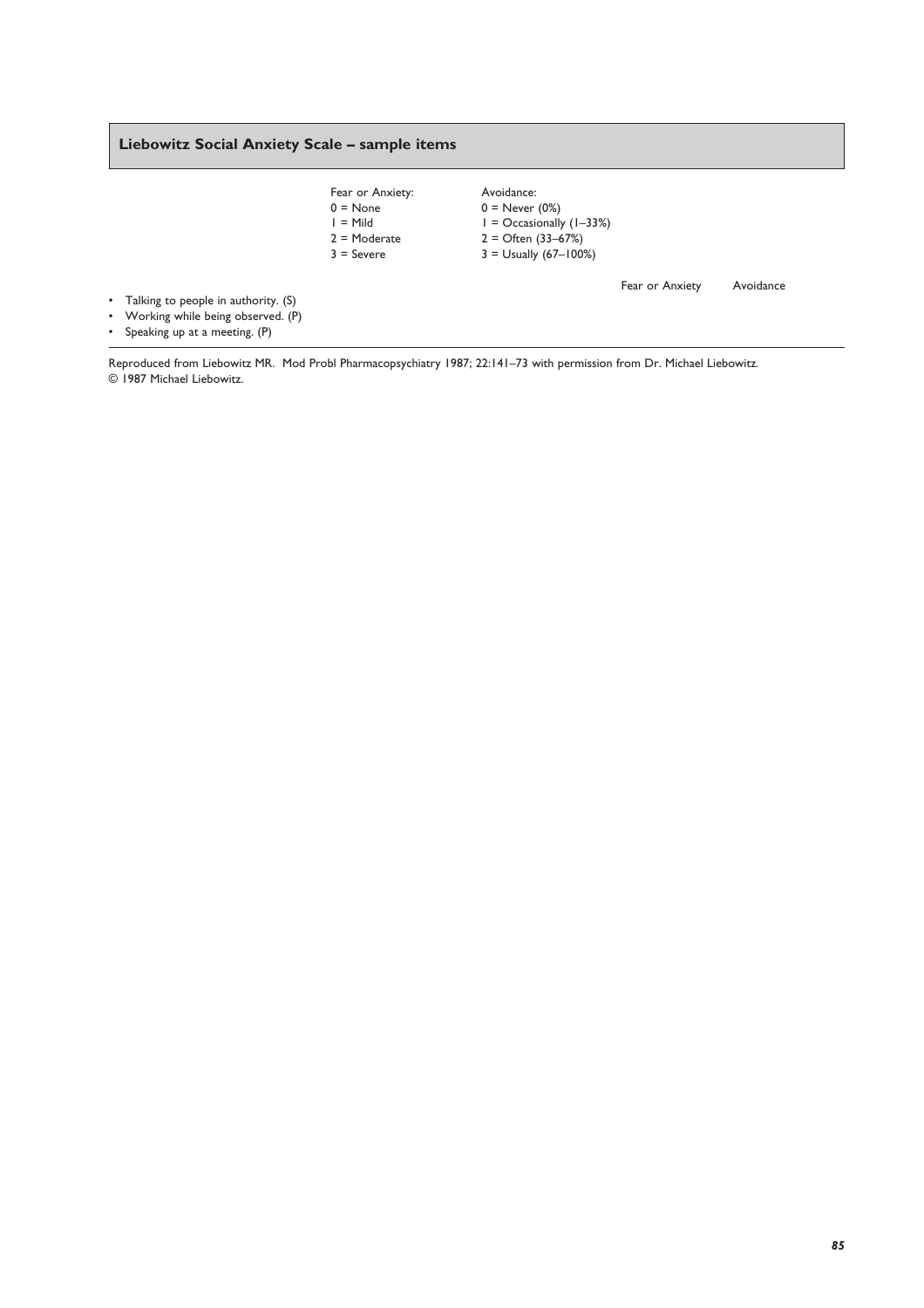#### **Liebowitz Social Anxiety Scale – sample items**

Fear or Anxiety: Avoidance:<br>
0 = None 0 = Never  $0 = \text{None}$ <br>  $I = \text{Mild}$   $I = \text{Occasionally}$  $1 = \text{Mid}$ <br>  $2 = \text{Modern}$   $3 - 67\%$ <br>  $1 = \text{Occasionally}$   $(1-33\%)$ 2 = Moderate 2 = Often  $(33-67%)$ <br>3 = Severe 3 = Usually  $(67-100)$ 

 $3 =$  Usually (67–100%)

Fear or Anxiety Avoidance

- Talking to people in authority. (S)
- Working while being observed. (P)
- Speaking up at a meeting. (P)

Reproduced from Liebowitz MR. Mod Probl Pharmacopsychiatry 1987; 22:141–73 with permission from Dr. Michael Liebowitz. © 1987 Michael Liebowitz.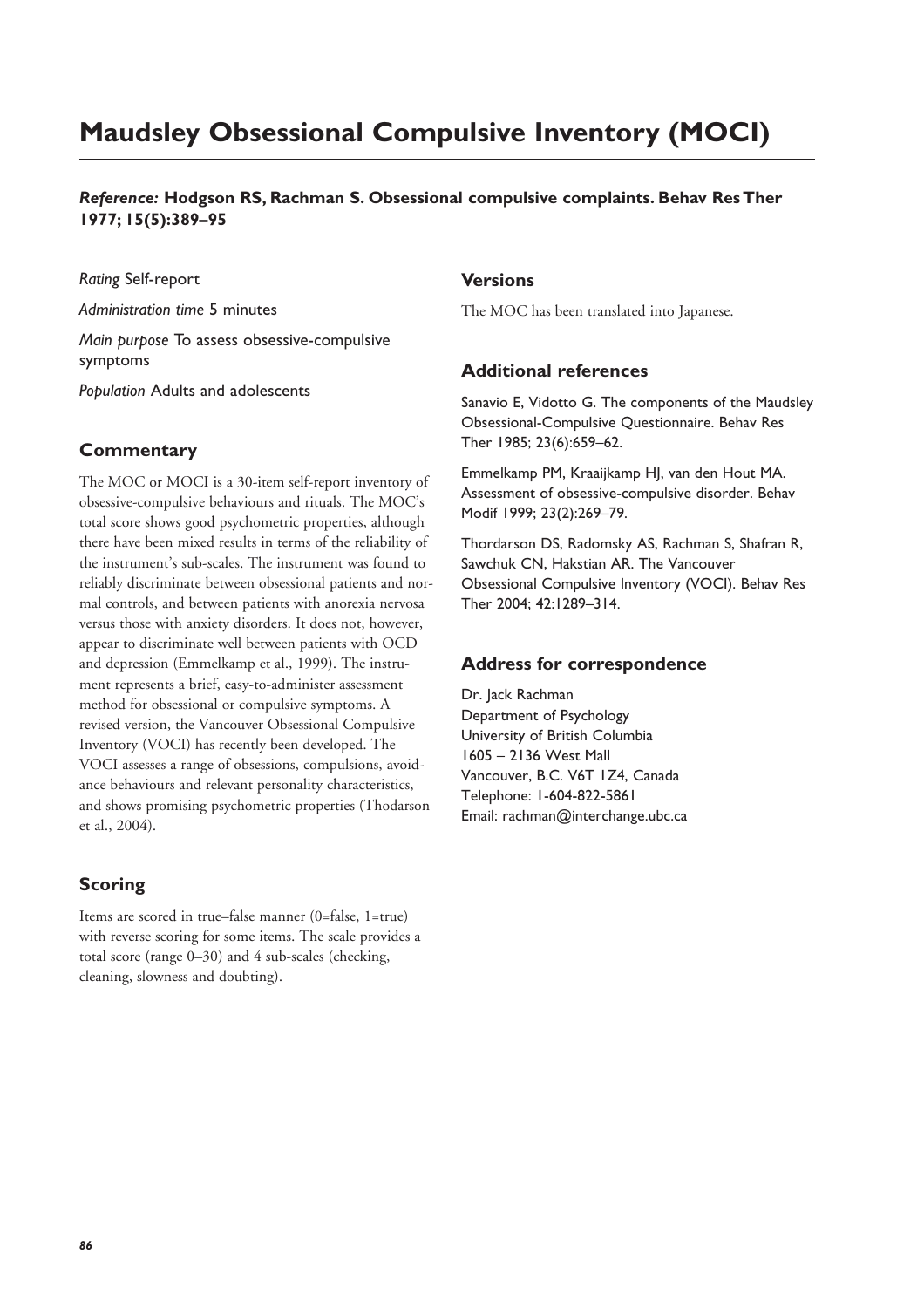# **Maudsley Obsessional Compulsive Inventory (MOCI)**

# *Reference:* **Hodgson RS, Rachman S. Obsessional compulsive complaints. Behav Res Ther 1977; 15(5):389–95**

*Rating* Self-report

*Administration time* 5 minutes

*Main purpose* To assess obsessive-compulsive symptoms

*Population* Adults and adolescents

#### **Commentary**

The MOC or MOCI is a 30-item self-report inventory of obsessive-compulsive behaviours and rituals. The MOC's total score shows good psychometric properties, although there have been mixed results in terms of the reliability of the instrument's sub-scales. The instrument was found to reliably discriminate between obsessional patients and normal controls, and between patients with anorexia nervosa versus those with anxiety disorders. It does not, however, appear to discriminate well between patients with OCD and depression (Emmelkamp et al., 1999). The instrument represents a brief, easy-to-administer assessment method for obsessional or compulsive symptoms. A revised version, the Vancouver Obsessional Compulsive Inventory (VOCI) has recently been developed. The VOCI assesses a range of obsessions, compulsions, avoidance behaviours and relevant personality characteristics, and shows promising psychometric properties (Thodarson et al., 2004).

#### **Scoring**

Items are scored in true–false manner (0=false, 1=true) with reverse scoring for some items. The scale provides a total score (range 0–30) and 4 sub-scales (checking, cleaning, slowness and doubting).

## **Versions**

The MOC has been translated into Japanese.

#### **Additional references**

Sanavio E, Vidotto G. The components of the Maudsley Obsessional-Compulsive Questionnaire. Behav Res Ther 1985; 23(6):659–62.

Emmelkamp PM, Kraaijkamp HJ, van den Hout MA. Assessment of obsessive-compulsive disorder. Behav Modif 1999; 23(2):269–79.

Thordarson DS, Radomsky AS, Rachman S, Shafran R, Sawchuk CN, Hakstian AR. The Vancouver Obsessional Compulsive Inventory (VOCI). Behav Res Ther 2004; 42:1289–314.

#### **Address for correspondence**

Dr. Jack Rachman Department of Psychology University of British Columbia 1605 – 2136 West Mall Vancouver, B.C. V6T 1Z4, Canada Telephone: 1-604-822-5861 Email: rachman@interchange.ubc.ca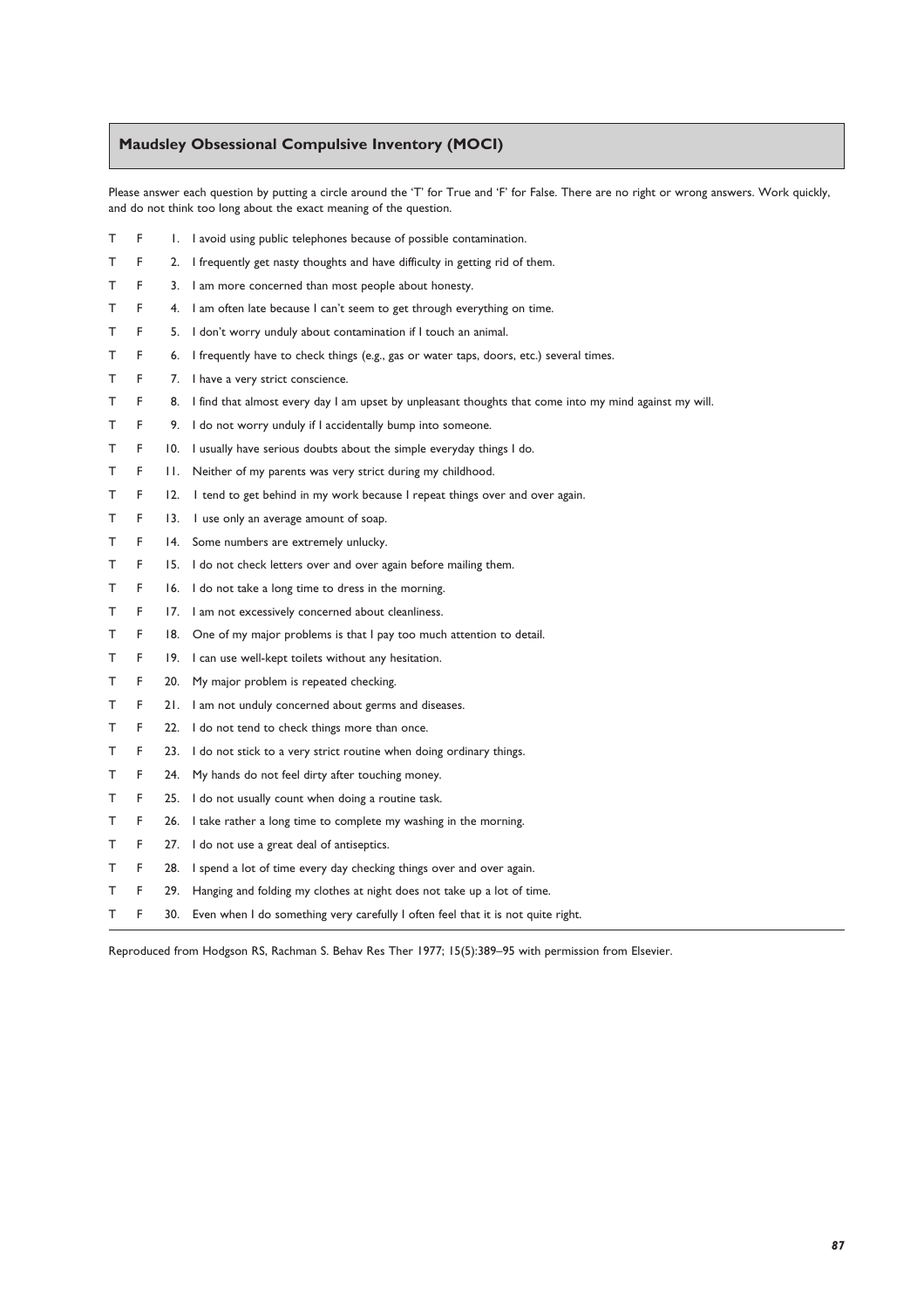#### **Maudsley Obsessional Compulsive Inventory (MOCI)**

Please answer each question by putting a circle around the 'T' for True and 'F' for False. There are no right or wrong answers. Work quickly, and do not think too long about the exact meaning of the question.

| Т | F |     | 1. I avoid using public telephones because of possible contamination.                                     |
|---|---|-----|-----------------------------------------------------------------------------------------------------------|
| т | F | 2.  | I frequently get nasty thoughts and have difficulty in getting rid of them.                               |
| Т | F |     | 3. I am more concerned than most people about honesty.                                                    |
| т | F |     | 4. I am often late because I can't seem to get through everything on time.                                |
| Τ | F |     | 5. I don't worry unduly about contamination if I touch an animal.                                         |
| Т | F |     | 6. I frequently have to check things (e.g., gas or water taps, doors, etc.) several times.                |
| Τ | F |     | 7. I have a very strict conscience.                                                                       |
| Т | F |     | 8. I find that almost every day I am upset by unpleasant thoughts that come into my mind against my will. |
| Т | F |     | 9. I do not worry unduly if I accidentally bump into someone.                                             |
| Т | F |     | 10. I usually have serious doubts about the simple everyday things I do.                                  |
| Т | F |     | 11. Neither of my parents was very strict during my childhood.                                            |
| Т | F | 12. | I tend to get behind in my work because I repeat things over and over again.                              |
| т | F |     | 13. I use only an average amount of soap.                                                                 |
| Т | F |     | 14. Some numbers are extremely unlucky.                                                                   |
| Т | F |     | 15. I do not check letters over and over again before mailing them.                                       |
| т | F |     | 16. I do not take a long time to dress in the morning.                                                    |
| т | F |     | 17. I am not excessively concerned about cleanliness.                                                     |
| Т | F | 18. | One of my major problems is that I pay too much attention to detail.                                      |
| Т | F |     | 19. I can use well-kept toilets without any hesitation.                                                   |
| Т | F | 20. | My major problem is repeated checking.                                                                    |
| Т | F |     | 21. I am not unduly concerned about germs and diseases.                                                   |
| Т | F |     | 22. I do not tend to check things more than once.                                                         |
| Τ | F |     | 23. I do not stick to a very strict routine when doing ordinary things.                                   |
| Т | F |     | 24. My hands do not feel dirty after touching money.                                                      |
| Т | F |     | 25. I do not usually count when doing a routine task.                                                     |
| Т | F |     | 26. I take rather a long time to complete my washing in the morning.                                      |
| Т | F |     | 27. I do not use a great deal of antiseptics.                                                             |
| Т | F |     | 28. I spend a lot of time every day checking things over and over again.                                  |
| Т | F | 29. | Hanging and folding my clothes at night does not take up a lot of time.                                   |
| Τ | F | 30. | Even when I do something very carefully I often feel that it is not quite right.                          |

Reproduced from Hodgson RS, Rachman S. Behav Res Ther 1977; 15(5):389–95 with permission from Elsevier.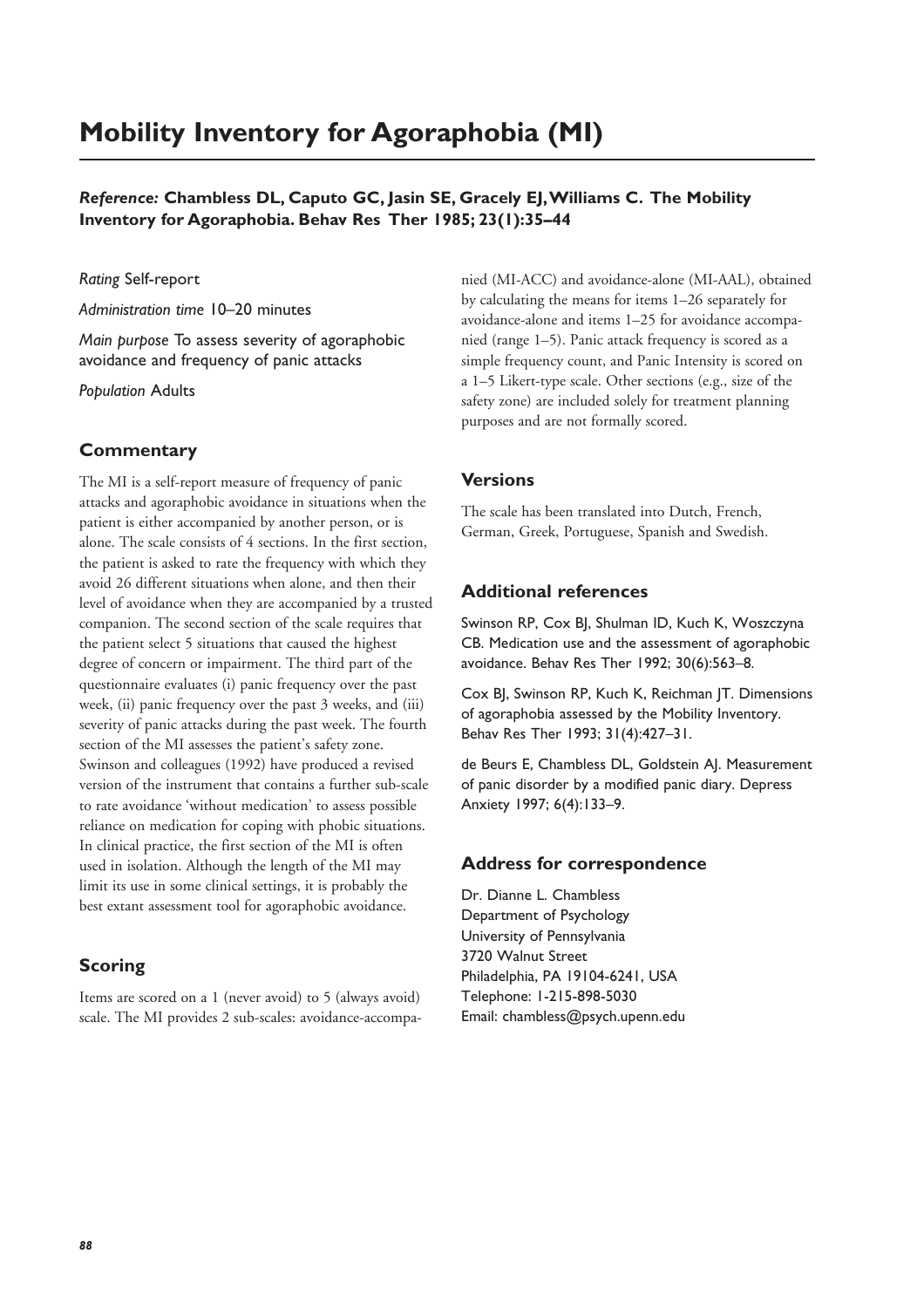# *Reference:* **Chambless DL, Caputo GC, Jasin SE, Gracely EJ,Williams C. The Mobility Inventory for Agoraphobia. Behav Res Ther 1985; 23(1):35–44**

*Rating* Self-report

*Administration time* 10–20 minutes

*Main purpose* To assess severity of agoraphobic avoidance and frequency of panic attacks

*Population* Adults

# **Commentary**

The MI is a self-report measure of frequency of panic attacks and agoraphobic avoidance in situations when the patient is either accompanied by another person, or is alone. The scale consists of 4 sections. In the first section, the patient is asked to rate the frequency with which they avoid 26 different situations when alone, and then their level of avoidance when they are accompanied by a trusted companion. The second section of the scale requires that the patient select 5 situations that caused the highest degree of concern or impairment. The third part of the questionnaire evaluates (i) panic frequency over the past week, (ii) panic frequency over the past 3 weeks, and (iii) severity of panic attacks during the past week. The fourth section of the MI assesses the patient's safety zone. Swinson and colleagues (1992) have produced a revised version of the instrument that contains a further sub-scale to rate avoidance 'without medication' to assess possible reliance on medication for coping with phobic situations. In clinical practice, the first section of the MI is often used in isolation. Although the length of the MI may limit its use in some clinical settings, it is probably the best extant assessment tool for agoraphobic avoidance.

# **Scoring**

Items are scored on a 1 (never avoid) to 5 (always avoid) scale. The MI provides 2 sub-scales: avoidance-accompa-

nied (MI-ACC) and avoidance-alone (MI-AAL), obtained by calculating the means for items 1–26 separately for avoidance-alone and items 1–25 for avoidance accompanied (range 1–5). Panic attack frequency is scored as a simple frequency count, and Panic Intensity is scored on a 1–5 Likert-type scale. Other sections (e.g., size of the safety zone) are included solely for treatment planning purposes and are not formally scored.

# **Versions**

The scale has been translated into Dutch, French, German, Greek, Portuguese, Spanish and Swedish.

# **Additional references**

Swinson RP, Cox BJ, Shulman ID, Kuch K, Woszczyna CB. Medication use and the assessment of agoraphobic avoidance. Behav Res Ther 1992; 30(6):563–8.

Cox BJ, Swinson RP, Kuch K, Reichman JT. Dimensions of agoraphobia assessed by the Mobility Inventory. Behav Res Ther 1993; 31(4):427–31.

de Beurs E, Chambless DL, Goldstein AJ. Measurement of panic disorder by a modified panic diary. Depress Anxiety 1997; 6(4):133–9.

# **Address for correspondence**

Dr. Dianne L. Chambless Department of Psychology University of Pennsylvania 3720 Walnut Street Philadelphia, PA 19104-6241, USA Telephone: 1-215-898-5030 Email: chambless@psych.upenn.edu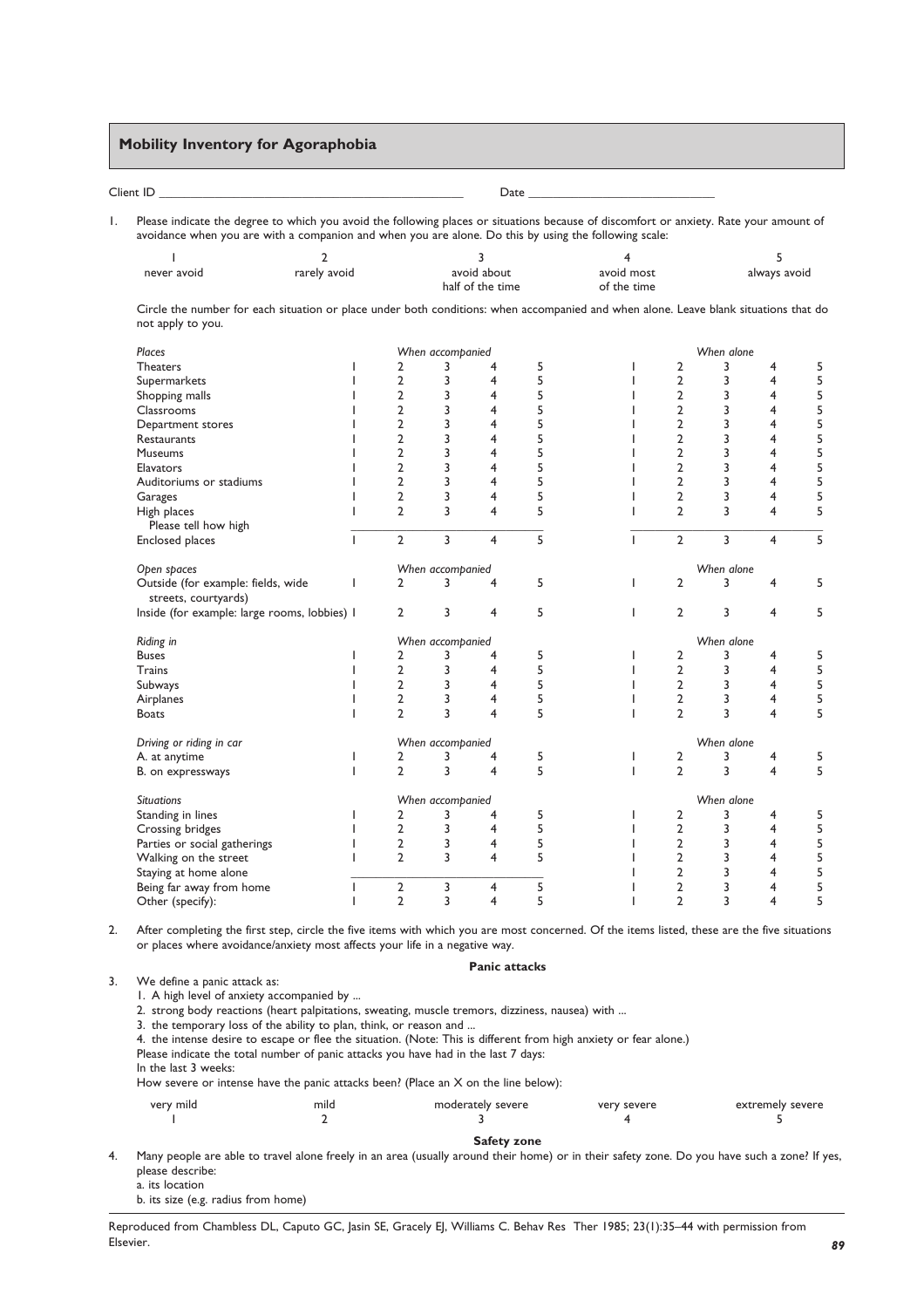#### **Mobility Inventory for Agoraphobia**

Client ID \_\_\_\_\_\_\_\_\_\_\_\_\_\_\_\_\_\_\_\_\_\_\_\_\_\_\_\_\_\_\_\_\_\_\_\_\_\_\_\_\_\_\_\_\_\_\_\_\_ Date \_\_\_\_\_\_\_\_\_\_\_\_\_\_\_\_\_\_\_\_\_\_\_\_\_\_\_\_\_\_

1. Please indicate the degree to which you avoid the following places or situations because of discomfort or anxiety. Rate your amount of avoidance when you are with a companion and when you are alone. Do this by using the following scale:

| never avoid | rarely avoid | avoid about      | avoid most  | always avoid |
|-------------|--------------|------------------|-------------|--------------|
|             |              | half of the time | of the time |              |

Circle the number for each situation or place under both conditions: when accompanied and when alone. Leave blank situations that do not apply to you.

| Places                                                     |  |                  | When accompanied |   |   | When alone |                |            |                |   |  |  |
|------------------------------------------------------------|--|------------------|------------------|---|---|------------|----------------|------------|----------------|---|--|--|
| <b>Theaters</b>                                            |  | 2                | 3                | 4 | 5 |            | 2              | 3          | 4              | 5 |  |  |
| Supermarkets                                               |  | 2                | 3                | 4 | 5 |            | $\overline{2}$ | 3          | 4              | 5 |  |  |
| Shopping malls                                             |  | $\overline{2}$   | 3                | 4 | 5 |            | $\overline{2}$ | 3          | 4              | 5 |  |  |
| Classrooms                                                 |  | $\overline{2}$   | 3                | 4 | 5 |            | $\overline{2}$ | 3          | 4              | 5 |  |  |
| Department stores                                          |  | 2                | 3                | 4 | 5 |            | 2              | 3          | $\overline{4}$ | 5 |  |  |
| Restaurants                                                |  | $\overline{2}$   | 3                | 4 | 5 |            | $\overline{2}$ | 3          | 4              | 5 |  |  |
| <b>Museums</b>                                             |  | $\overline{2}$   | 3                | 4 | 5 |            | $\overline{2}$ | 3          | 4              | 5 |  |  |
| <b>Elavators</b>                                           |  | $\overline{2}$   | 3                | 4 | 5 |            | $\overline{2}$ | 3          | $\overline{4}$ | 5 |  |  |
| Auditoriums or stadiums                                    |  | 2                | 3                | 4 | 5 |            | 2              | 3          | $\overline{4}$ | 5 |  |  |
| Garages                                                    |  | $\overline{2}$   | 3                | 4 | 5 |            | $\overline{2}$ | 3          | $\overline{4}$ | 5 |  |  |
| High places                                                |  | $\overline{2}$   | 3                | 4 | 5 |            | $\overline{2}$ | 3          | $\overline{4}$ | 5 |  |  |
| Please tell how high                                       |  |                  |                  |   |   |            |                |            |                |   |  |  |
| Enclosed places                                            |  | $\overline{2}$   | 3                | 4 | 5 |            | $\overline{2}$ | 3          | 4              | 5 |  |  |
| Open spaces                                                |  | When accompanied |                  |   |   |            | When alone     |            |                |   |  |  |
| Outside (for example: fields, wide<br>streets, courtyards) |  | $\overline{2}$   | 3                | 4 | 5 |            | 2              | 3          | 4              | 5 |  |  |
| Inside (for example: large rooms, lobbies) I               |  | $\overline{2}$   | 3                | 4 | 5 |            | 2              | 3          | 4              | 5 |  |  |
| Riding in                                                  |  |                  | When accompanied |   |   |            | When alone     |            |                |   |  |  |
| <b>Buses</b>                                               |  | 2                | 3                | 4 | 5 |            | 2              | 3          | 4              | 5 |  |  |
| Trains                                                     |  | $\overline{2}$   | 3                | 4 | 5 |            | $\overline{2}$ | 3          | 4              | 5 |  |  |
| Subways                                                    |  | $\overline{2}$   | 3                | 4 | 5 |            | $\overline{2}$ | 3          | $\overline{4}$ | 5 |  |  |
| Airplanes                                                  |  | 2                | 3                | 4 | 5 |            | 2              | 3          | $\overline{4}$ | 5 |  |  |
| <b>Boats</b>                                               |  | $\overline{2}$   | 3                | 4 | 5 |            | $\overline{2}$ | 3          | 4              | 5 |  |  |
| Driving or riding in car                                   |  | When accompanied |                  |   |   | When alone |                |            |                |   |  |  |
| A. at anytime                                              |  | 2                | 3                | 4 | 5 |            | 2              | 3          | 4              | 5 |  |  |
| B. on expressways                                          |  | $\overline{2}$   | 3                | 4 | 5 |            | $\overline{2}$ | 3          | $\overline{4}$ | 5 |  |  |
| <b>Situations</b>                                          |  | When accompanied |                  |   |   |            |                | When alone |                |   |  |  |
| Standing in lines                                          |  | 2                | 3                | 4 | 5 |            | 2              | 3          | 4              | 5 |  |  |
| Crossing bridges                                           |  | $\overline{2}$   | 3                | 4 | 5 |            | 2              | 3          | 4              | 5 |  |  |
| Parties or social gatherings                               |  | 2                | 3                | 4 | 5 |            | $\overline{2}$ | 3          | $\overline{4}$ | 5 |  |  |
| Walking on the street                                      |  | $\overline{2}$   | 3                | 4 | 5 |            | $\overline{2}$ | 3          | 4              | 5 |  |  |
|                                                            |  |                  |                  |   |   |            |                |            |                |   |  |  |
| Staying at home alone                                      |  |                  |                  |   |   |            | $\overline{2}$ | 3          | 4              | 5 |  |  |
| Being far away from home                                   |  | $\overline{2}$   | 3                | 4 | 5 |            | $\overline{2}$ | 3          | 4              | 5 |  |  |

2. After completing the first step, circle the five items with which you are most concerned. Of the items listed, these are the five situations or places where avoidance/anxiety most affects your life in a negative way.

#### **Panic attacks**

3. We define a panic attack as:

1. A high level of anxiety accompanied by ...

2. strong body reactions (heart palpitations, sweating, muscle tremors, dizziness, nausea) with ...

3. the temporary loss of the ability to plan, think, or reason and ...

4. the intense desire to escape or flee the situation. (Note: This is different from high anxiety or fear alone.)

Please indicate the total number of panic attacks you have had in the last 7 days:

In the last 3 weeks:

How severe or intense have the panic attacks been? (Place an X on the line below):

| very mild | mild | moderately severe | very severe | extremely severe |
|-----------|------|-------------------|-------------|------------------|
|           |      |                   |             |                  |

**Safety zone**

4. Many people are able to travel alone freely in an area (usually around their home) or in their safety zone. Do you have such a zone? If yes, please describe: a. its location

b. its size (e.g. radius from home)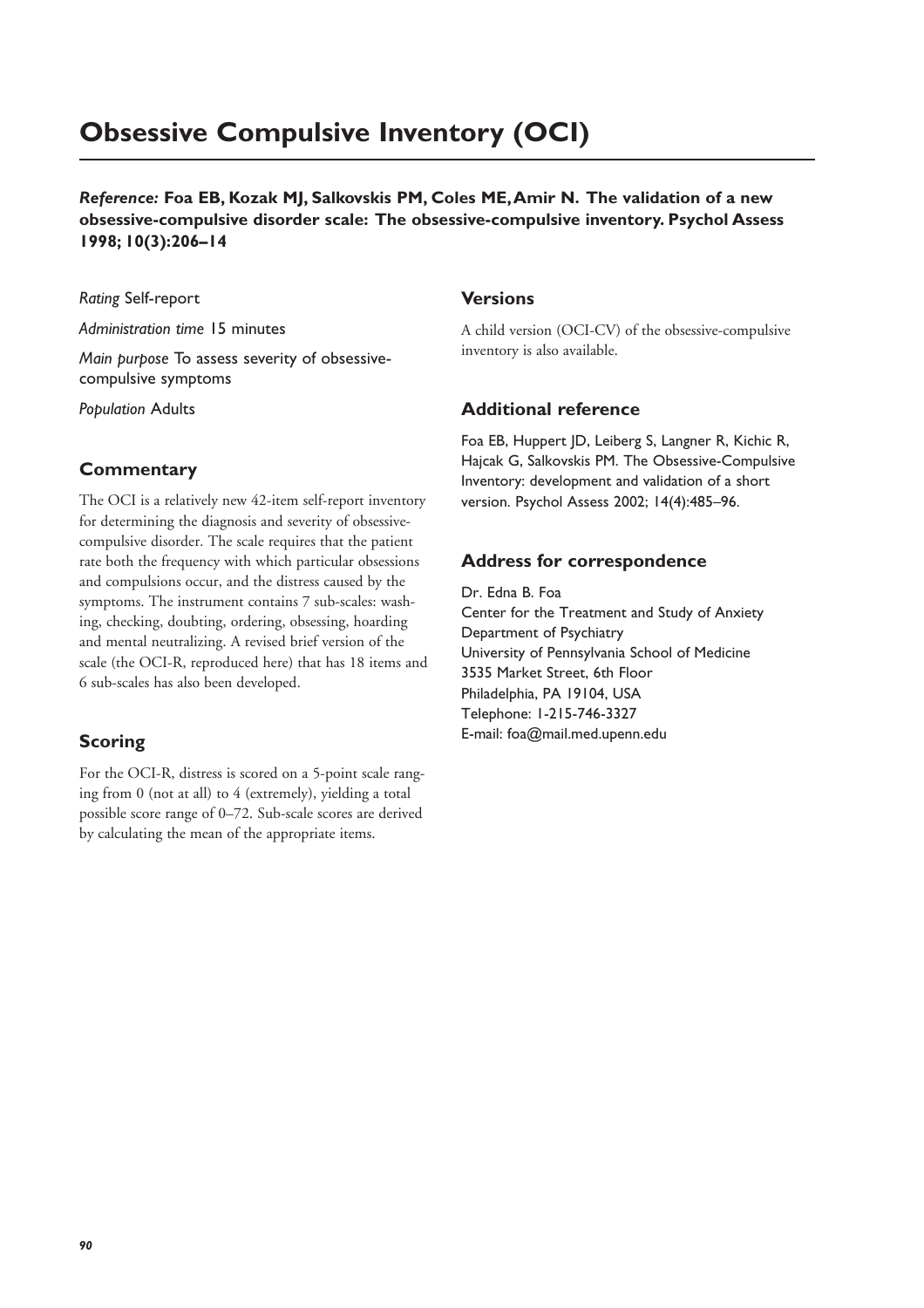# **Obsessive Compulsive Inventory (OCI)**

*Reference:* **Foa EB, Kozak MJ, Salkovskis PM, Coles ME,Amir N. The validation of a new obsessive-compulsive disorder scale: The obsessive-compulsive inventory. Psychol Assess 1998; 10(3):206–14**

*Rating* Self-report

*Administration time* 15 minutes

*Main purpose* To assess severity of obsessivecompulsive symptoms

*Population* Adults

# **Commentary**

The OCI is a relatively new 42-item self-report inventory for determining the diagnosis and severity of obsessivecompulsive disorder. The scale requires that the patient rate both the frequency with which particular obsessions and compulsions occur, and the distress caused by the symptoms. The instrument contains 7 sub-scales: washing, checking, doubting, ordering, obsessing, hoarding and mental neutralizing. A revised brief version of the scale (the OCI-R, reproduced here) that has 18 items and 6 sub-scales has also been developed.

# **Scoring**

For the OCI-R, distress is scored on a 5-point scale ranging from 0 (not at all) to 4 (extremely), yielding a total possible score range of 0–72. Sub-scale scores are derived by calculating the mean of the appropriate items.

### **Versions**

A child version (OCI-CV) of the obsessive-compulsive inventory is also available.

#### **Additional reference**

Foa EB, Huppert JD, Leiberg S, Langner R, Kichic R, Hajcak G, Salkovskis PM. The Obsessive-Compulsive Inventory: development and validation of a short version. Psychol Assess 2002; 14(4):485–96.

## **Address for correspondence**

Dr. Edna B. Foa Center for the Treatment and Study of Anxiety Department of Psychiatry University of Pennsylvania School of Medicine 3535 Market Street, 6th Floor Philadelphia, PA 19104, USA Telephone: 1-215-746-3327 E-mail: foa@mail.med.upenn.edu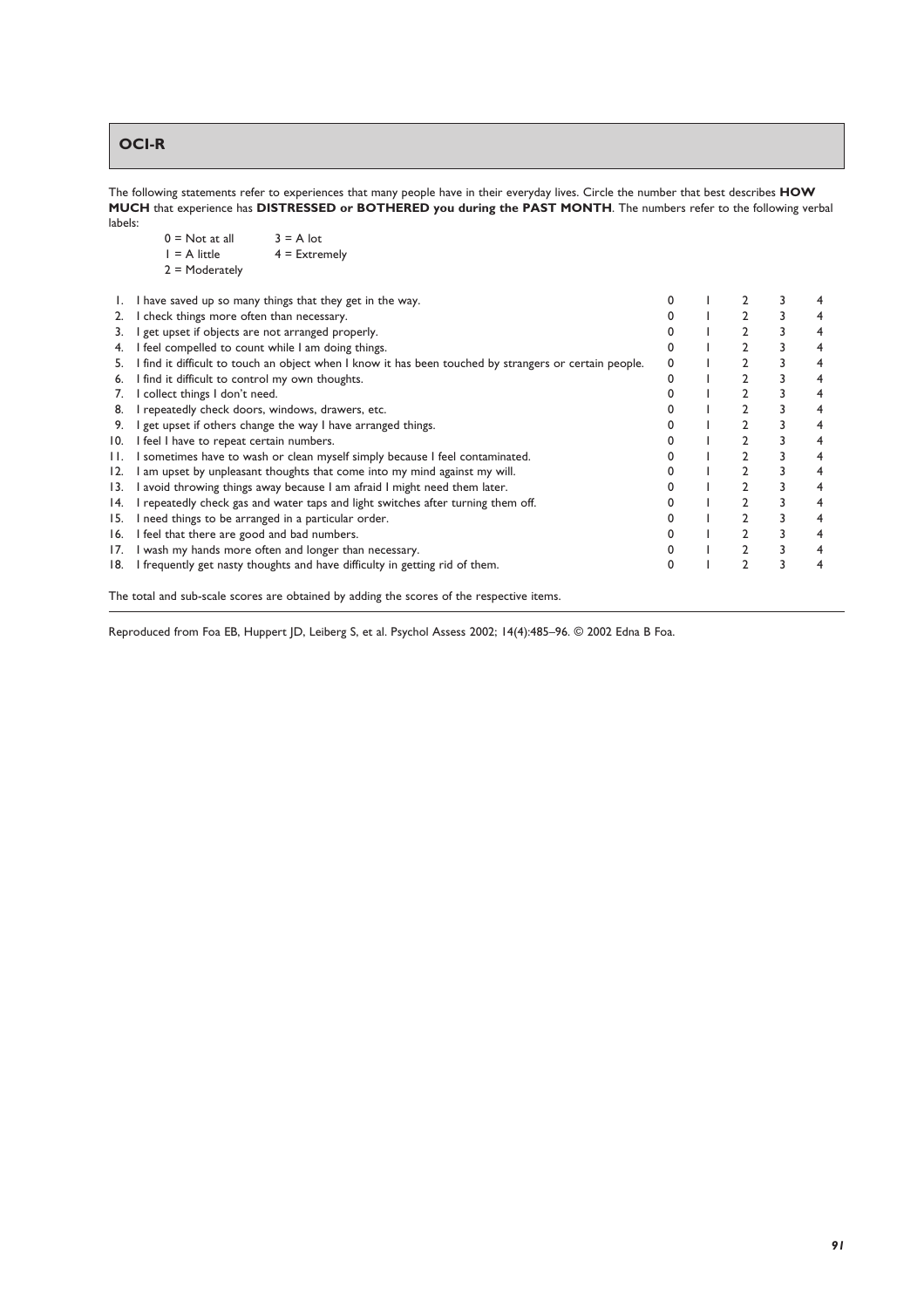#### **OCI-R**

The following statements refer to experiences that many people have in their everyday lives. Circle the number that best describes **HOW MUCH** that experience has **DISTRESSED or BOTHERED you during the PAST MONTH**. The numbers refer to the following verbal labels:

 $0 = Not at all$   $3 = A lot$ <br> $1 = A little$   $4 = Extract$  $4 =$  Extremely 2 = Moderately

1. I have saved up so many things that they get in the way. 100 1 2 3 4 2. I check things more often than necessary. 01234 3. I get upset if objects are not arranged properly. The contract of the contract of the contract of the contract of the contract of the contract of the contract of the contract of the contract of the contract of the contr 4. I feel compelled to count while I am doing things. The competition of the compelled to count while I am doing things. 5. I find it difficult to touch an object when I know it has been touched by strangers or certain people. 0 1 2 3 4 6. I find it difficult to control my own thoughts. Compared the control of the control my own thoughts. 7. I collect things I don't need. **0** 1 2 3 4 8. I repeatedly check doors, windows, drawers, etc. The contraction of the contraction of the contraction of the contraction of the contraction of the contraction of the contraction of the contraction of the contraction of 9. I get upset if others change the way I have arranged things. The mass of the control of the control of the control of the control of the control of the control of the control of the control of the control of the control 10. I feel I have to repeat certain numbers. The contract of the contract of the contract of the contract of the contract of the contract of the contract of the contract of the contract of the contract of the contract of t 11. I sometimes have to wash or clean myself simply because I feel contaminated. 00 1 2 3 4<br>12. I am upset by unpleasant thoughts that come into my mind against my will. 0 1 2 3 4 12. I am upset by unpleasant thoughts that come into my mind against my will. 0 1 2 3 4 13. I avoid throwing things away because I am afraid I might need them later. 00 1 2 3 4 14. I repeatedly check gas and water taps and light switches after turning them off. 00 1 2 3 4<br>15. I need things to be arranged in a particular order. 0 1 2 3 4 15. I need things to be arranged in a particular order. The contract of the contract of the contract of the contract of the contract of the contract of the contract of the contract of the contract of the contract of the co 16. I feel that there are good and bad numbers. 16. 1 of the state of the state of the state of the state of the state of the state of the state of the state of the state of the state of the state of the state of the state 17. I wash my hands more often and longer than necessary. The matrix of the control of the control of the control of the control of the control of the control of the control of the control of the control of the control of 18. I frequently get nasty thoughts and have difficulty in getting rid of them. 00 1 2 3 4

The total and sub-scale scores are obtained by adding the scores of the respective items.

Reproduced from Foa EB, Huppert JD, Leiberg S, et al. Psychol Assess 2002; 14(4):485–96. © 2002 Edna B Foa.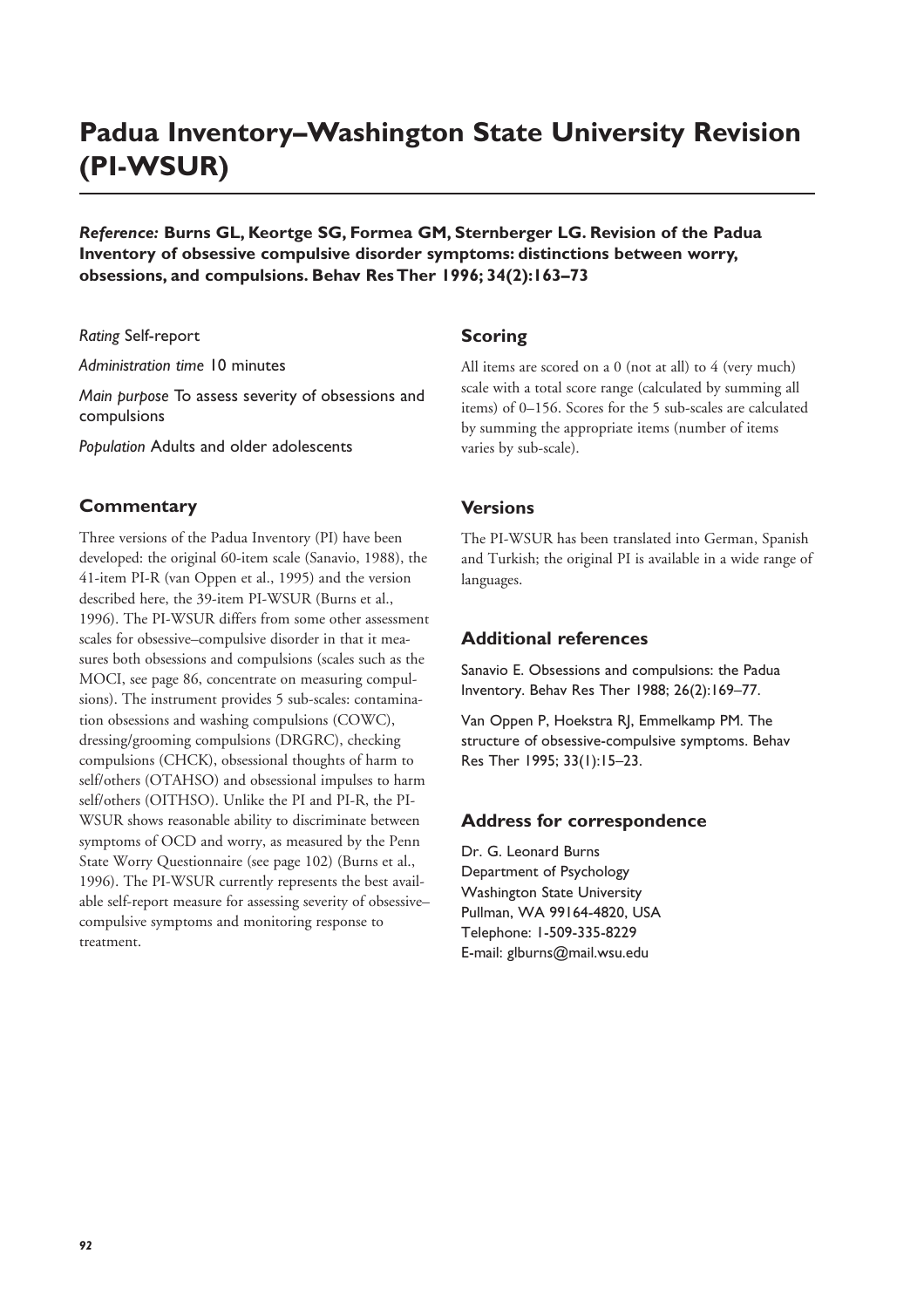# **Padua Inventory–Washington State University Revision (PI-WSUR)**

*Reference:* **Burns GL, Keortge SG, Formea GM, Sternberger LG. Revision of the Padua Inventory of obsessive compulsive disorder symptoms: distinctions between worry, obsessions, and compulsions. Behav Res Ther 1996; 34(2):163–73**

*Rating* Self-report

*Administration time* 10 minutes

*Main purpose* To assess severity of obsessions and compulsions

*Population* Adults and older adolescents

# **Commentary**

Three versions of the Padua Inventory (PI) have been developed: the original 60-item scale (Sanavio, 1988), the 41-item PI-R (van Oppen et al., 1995) and the version described here, the 39-item PI-WSUR (Burns et al., 1996). The PI-WSUR differs from some other assessment scales for obsessive–compulsive disorder in that it measures both obsessions and compulsions (scales such as the MOCI, see page 86, concentrate on measuring compulsions). The instrument provides 5 sub-scales: contamination obsessions and washing compulsions (COWC), dressing/grooming compulsions (DRGRC), checking compulsions (CHCK), obsessional thoughts of harm to self/others (OTAHSO) and obsessional impulses to harm self/others (OITHSO). Unlike the PI and PI-R, the PI-WSUR shows reasonable ability to discriminate between symptoms of OCD and worry, as measured by the Penn State Worry Questionnaire (see page 102) (Burns et al., 1996). The PI-WSUR currently represents the best available self-report measure for assessing severity of obsessive– compulsive symptoms and monitoring response to treatment.

## **Scoring**

All items are scored on a 0 (not at all) to 4 (very much) scale with a total score range (calculated by summing all items) of 0–156. Scores for the 5 sub-scales are calculated by summing the appropriate items (number of items varies by sub-scale).

#### **Versions**

The PI-WSUR has been translated into German, Spanish and Turkish; the original PI is available in a wide range of languages.

# **Additional references**

Sanavio E. Obsessions and compulsions: the Padua Inventory. Behav Res Ther 1988; 26(2):169–77.

Van Oppen P, Hoekstra RJ, Emmelkamp PM. The structure of obsessive-compulsive symptoms. Behav Res Ther 1995; 33(1):15–23.

#### **Address for correspondence**

Dr. G. Leonard Burns Department of Psychology Washington State University Pullman, WA 99164-4820, USA Telephone: 1-509-335-8229 E-mail: glburns@mail.wsu.edu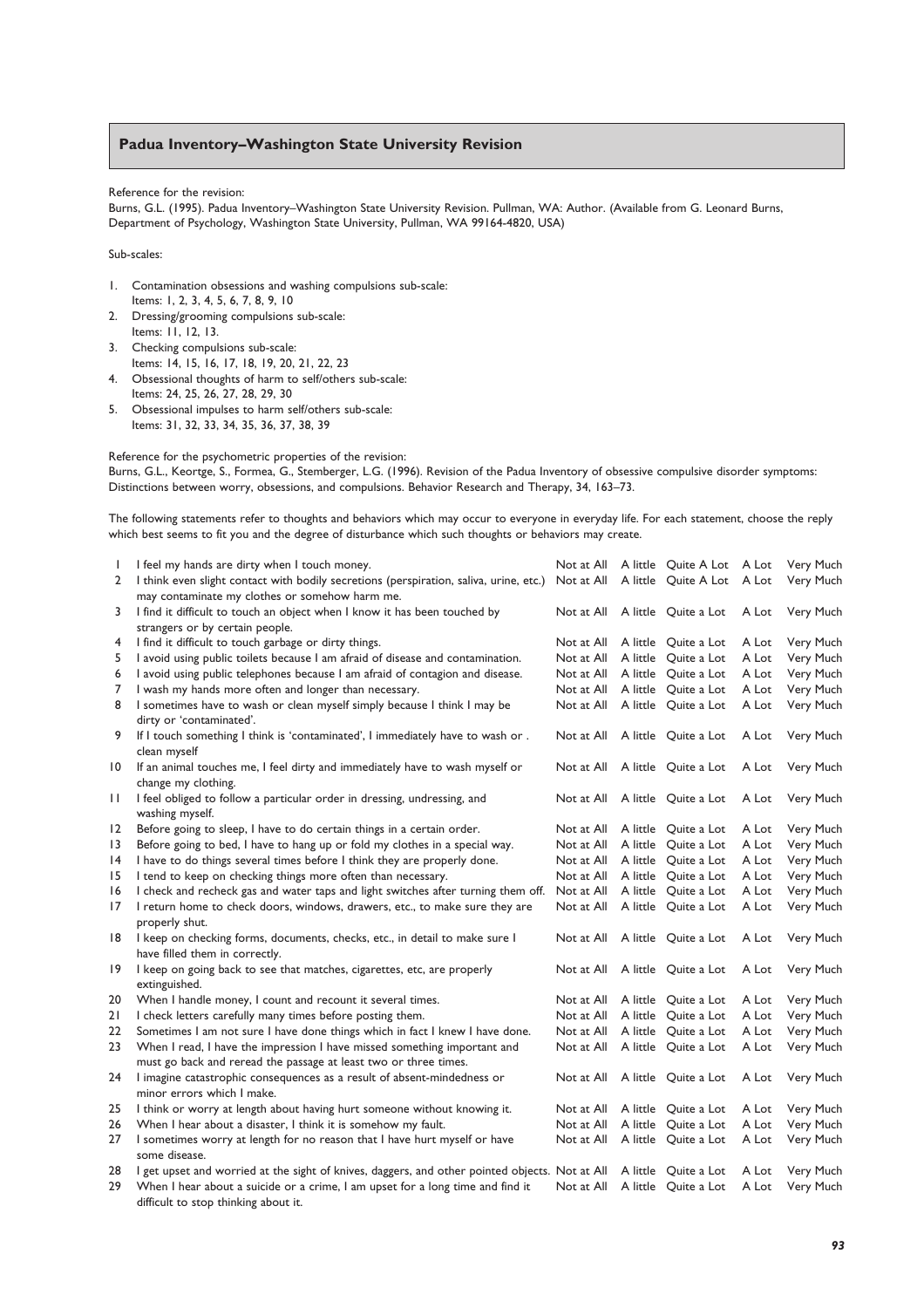#### **Padua Inventory–Washington State University Revision**

#### Reference for the revision:

Burns, G.L. (1995). Padua Inventory–Washington State University Revision. Pullman, WA: Author. (Available from G. Leonard Burns, Department of Psychology, Washington State University, Pullman, WA 99164-4820, USA)

Sub-scales:

- 1. Contamination obsessions and washing compulsions sub-scale: Items: 1, 2, 3, 4, 5, 6, 7, 8, 9, 10
- 2. Dressing/grooming compulsions sub-scale: Items: 11, 12, 13.
- 3. Checking compulsions sub-scale: Items: 14, 15, 16, 17, 18, 19, 20, 21, 22, 23
- 4. Obsessional thoughts of harm to self/others sub-scale: Items: 24, 25, 26, 27, 28, 29, 30
- 5. Obsessional impulses to harm self/others sub-scale: Items: 31, 32, 33, 34, 35, 36, 37, 38, 39

Reference for the psychometric properties of the revision:

Burns, G.L., Keortge, S., Formea, G., Stemberger, L.G. (1996). Revision of the Padua Inventory of obsessive compulsive disorder symptoms: Distinctions between worry, obsessions, and compulsions. Behavior Research and Therapy, 34, 163–73.

The following statements refer to thoughts and behaviors which may occur to everyone in everyday life. For each statement, choose the reply which best seems to fit you and the degree of disturbance which such thoughts or behaviors may create.

|             | I feel my hands are dirty when I touch money.                                                  | Not at All | A little Quite A Lot A Lot      |       | Very Much |
|-------------|------------------------------------------------------------------------------------------------|------------|---------------------------------|-------|-----------|
| 2           | I think even slight contact with bodily secretions (perspiration, saliva, urine, etc.)         | Not at All | A little Quite A Lot A Lot      |       | Very Much |
|             | may contaminate my clothes or somehow harm me.                                                 |            |                                 |       |           |
| 3           | I find it difficult to touch an object when I know it has been touched by                      | Not at All | A little  Quite a Lot           | A Lot | Very Much |
|             | strangers or by certain people.                                                                |            |                                 |       |           |
| 4           | I find it difficult to touch garbage or dirty things.                                          | Not at All | A little Quite a Lot            | A Lot | Very Much |
| 5           | I avoid using public toilets because I am afraid of disease and contamination.                 | Not at All | A little Quite a Lot            | A Lot | Very Much |
| 6           | I avoid using public telephones because I am afraid of contagion and disease.                  | Not at All | A little Quite a Lot            | A Lot | Very Much |
| 7           | I wash my hands more often and longer than necessary.                                          | Not at All | A little Quite a Lot            | A Lot | Very Much |
| 8           | I sometimes have to wash or clean myself simply because I think I may be                       | Not at All | A little Quite a Lot            | A Lot | Very Much |
|             | dirty or 'contaminated'.                                                                       |            |                                 |       |           |
| 9           | If I touch something I think is 'contaminated', I immediately have to wash or .                | Not at All | A little Quite a Lot            | A Lot | Very Much |
|             | clean myself                                                                                   |            |                                 |       |           |
| 10          | If an animal touches me, I feel dirty and immediately have to wash myself or                   | Not at All | A little Quite a Lot            | A Lot | Very Much |
|             | change my clothing.                                                                            |            |                                 |       |           |
| П           | I feel obliged to follow a particular order in dressing, undressing, and                       |            | Not at All A little Quite a Lot | A Lot | Very Much |
|             | washing myself.                                                                                |            |                                 |       |           |
| 12          | Before going to sleep, I have to do certain things in a certain order.                         | Not at All | A little Quite a Lot            | A Lot | Very Much |
| 3           | Before going to bed, I have to hang up or fold my clothes in a special way.                    | Not at All | A little Quite a Lot            | A Lot | Very Much |
| 14          | I have to do things several times before I think they are properly done.                       | Not at All | A little Quite a Lot            | A Lot | Very Much |
| 15          | I tend to keep on checking things more often than necessary.                                   | Not at All | A little Quite a Lot            | A Lot | Very Much |
| 16          | I check and recheck gas and water taps and light switches after turning them off.              | Not at All | A little Quite a Lot            | A Lot | Very Much |
| 17          | I return home to check doors, windows, drawers, etc., to make sure they are                    | Not at All | A little Quite a Lot            | A Lot | Very Much |
|             | properly shut.                                                                                 |            |                                 |       |           |
| 18          | I keep on checking forms, documents, checks, etc., in detail to make sure I                    | Not at All | A little Quite a Lot            | A Lot | Very Much |
|             | have filled them in correctly.                                                                 |            |                                 |       |           |
| $ 9\rangle$ | I keep on going back to see that matches, cigarettes, etc, are properly                        |            | Not at All A little Quite a Lot | A Lot | Very Much |
|             | extinguished.                                                                                  |            |                                 |       |           |
| 20          | When I handle money, I count and recount it several times.                                     | Not at All | A little Quite a Lot            | A Lot | Very Much |
| 21          | I check letters carefully many times before posting them.                                      | Not at All | A little Quite a Lot            | A Lot | Very Much |
| 22          | Sometimes I am not sure I have done things which in fact I knew I have done.                   | Not at All | A little Quite a Lot            | A Lot | Very Much |
| 23          | When I read, I have the impression I have missed something important and                       | Not at All | A little Quite a Lot            | A Lot | Very Much |
|             | must go back and reread the passage at least two or three times.                               |            |                                 |       |           |
| 24          | I imagine catastrophic consequences as a result of absent-mindedness or                        | Not at All | A little Quite a Lot            | A Lot | Very Much |
|             | minor errors which I make.                                                                     |            |                                 |       |           |
| 25          | I think or worry at length about having hurt someone without knowing it.                       | Not at All | A little Quite a Lot            | A Lot | Very Much |
| 26          | When I hear about a disaster, I think it is somehow my fault.                                  | Not at All | A little Quite a Lot            | A Lot | Very Much |
| 27          | I sometimes worry at length for no reason that I have hurt myself or have                      | Not at All | A little Quite a Lot            | A Lot | Very Much |
|             | some disease.                                                                                  |            |                                 |       |           |
| 28          | I get upset and worried at the sight of knives, daggers, and other pointed objects. Not at All |            | A little Quite a Lot            | A Lot | Very Much |
| 29          | When I hear about a suicide or a crime, I am upset for a long time and find it                 | Not at All | A little Quite a Lot            | A Lot | Very Much |
|             | difficult to stop thinking about it.                                                           |            |                                 |       |           |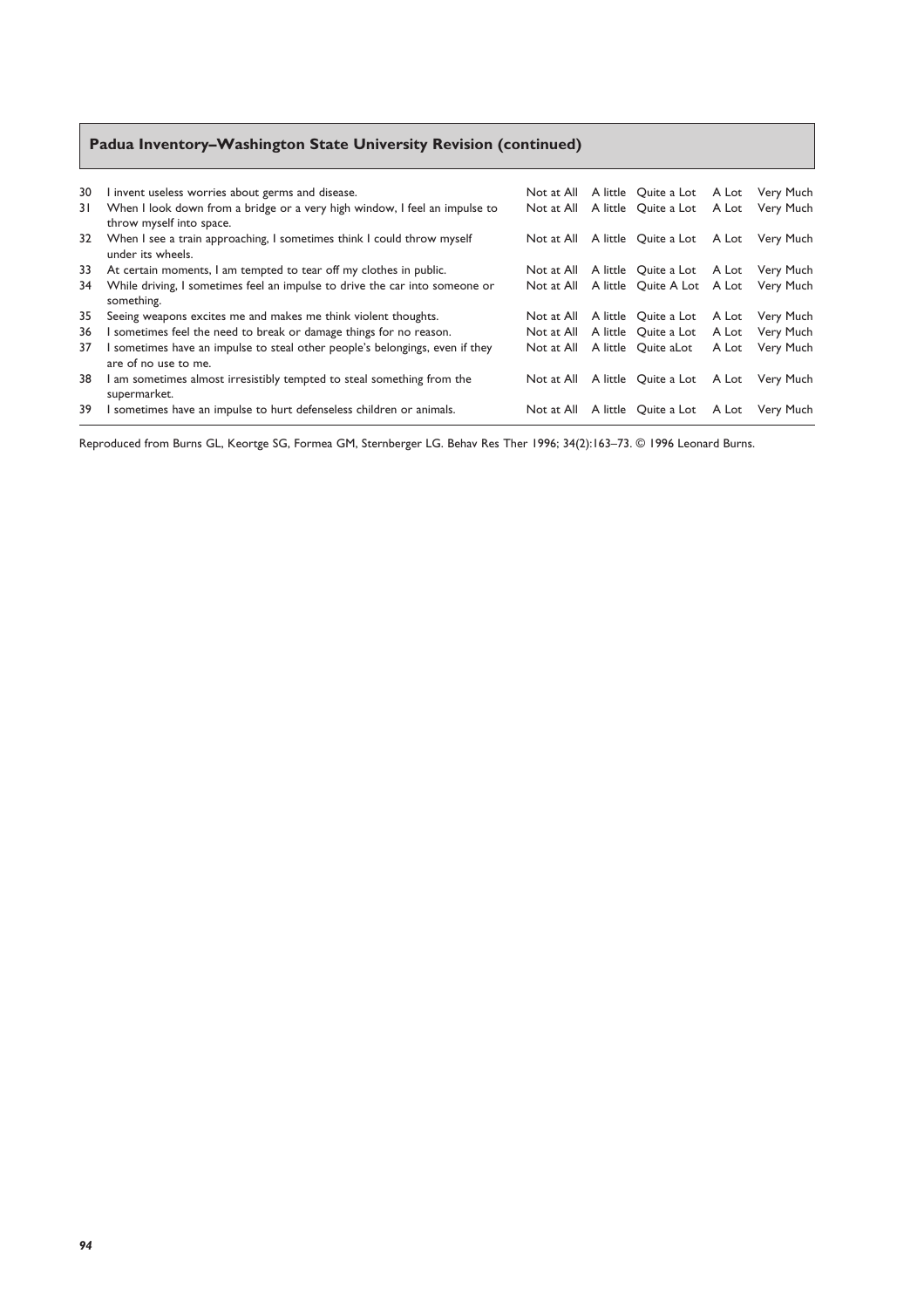# **Padua Inventory–Washington State University Revision (continued)**

| 30 | I invent useless worries about germs and disease.                                                      |  | Not at All A little Quite a Lot A Lot Very Much |  |
|----|--------------------------------------------------------------------------------------------------------|--|-------------------------------------------------|--|
| 31 | When I look down from a bridge or a very high window, I feel an impulse to<br>throw myself into space. |  | Not at All A little Quite a Lot A Lot Very Much |  |
|    | 32 When I see a train approaching, I sometimes think I could throw myself<br>under its wheels.         |  | Not at All A little Quite a Lot A Lot Very Much |  |
|    | 33 At certain moments, I am tempted to tear off my clothes in public.                                  |  | Not at All A little Quite a Lot A Lot Very Much |  |
| 34 | While driving, I sometimes feel an impulse to drive the car into someone or<br>something.              |  | Not at All A little Quite A Lot A Lot Very Much |  |
| 35 | Seeing weapons excites me and makes me think violent thoughts.                                         |  | Not at All A little Quite a Lot A Lot Very Much |  |
|    | 36 I sometimes feel the need to break or damage things for no reason.                                  |  | Not at All A little Quite a Lot A Lot Very Much |  |
| 37 | I sometimes have an impulse to steal other people's belongings, even if they<br>are of no use to me.   |  | Not at All A little Quite aLot A Lot Very Much  |  |
|    | 38 I am sometimes almost irresistibly tempted to steal something from the<br>supermarket.              |  | Not at All A little Quite a Lot A Lot Very Much |  |
|    | 39 I sometimes have an impulse to hurt defenseless children or animals.                                |  | Not at All A little Quite a Lot A Lot Very Much |  |

Reproduced from Burns GL, Keortge SG, Formea GM, Sternberger LG. Behav Res Ther 1996; 34(2):163–73. © 1996 Leonard Burns.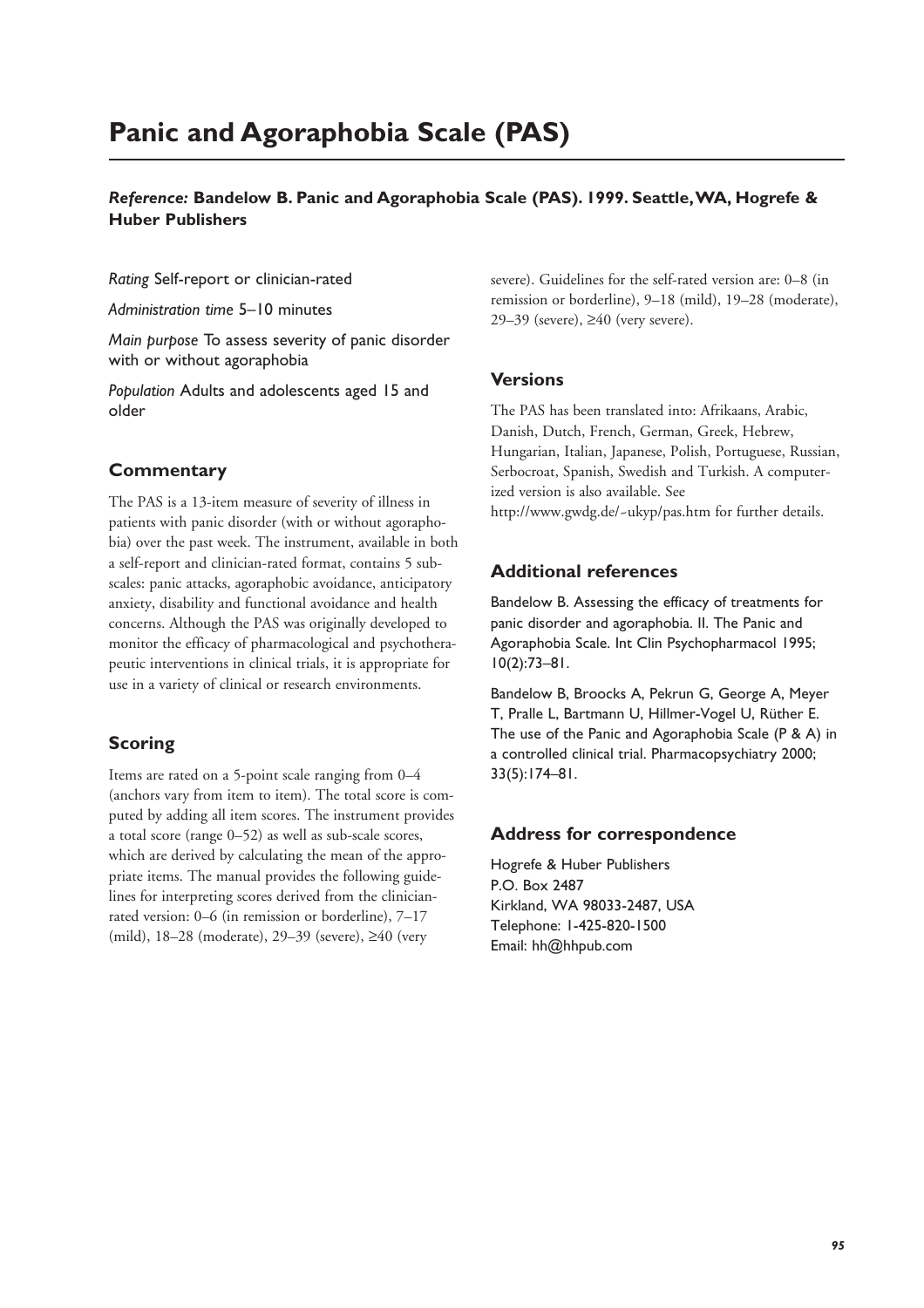# **Panic and Agoraphobia Scale (PAS)**

# *Reference:* **Bandelow B. Panic and Agoraphobia Scale (PAS). 1999. Seattle,WA, Hogrefe & Huber Publishers**

*Rating* Self-report or clinician-rated

*Administration time* 5–10 minutes

*Main purpose* To assess severity of panic disorder with or without agoraphobia

*Population* Adults and adolescents aged 15 and older

#### **Commentary**

The PAS is a 13-item measure of severity of illness in patients with panic disorder (with or without agoraphobia) over the past week. The instrument, available in both a self-report and clinician-rated format, contains 5 subscales: panic attacks, agoraphobic avoidance, anticipatory anxiety, disability and functional avoidance and health concerns. Although the PAS was originally developed to monitor the efficacy of pharmacological and psychotherapeutic interventions in clinical trials, it is appropriate for use in a variety of clinical or research environments.

## **Scoring**

Items are rated on a 5-point scale ranging from 0–4 (anchors vary from item to item). The total score is computed by adding all item scores. The instrument provides a total score (range 0–52) as well as sub-scale scores, which are derived by calculating the mean of the appropriate items. The manual provides the following guidelines for interpreting scores derived from the clinicianrated version: 0–6 (in remission or borderline), 7–17 (mild), 18–28 (moderate), 29–39 (severe), ≥40 (very

severe). Guidelines for the self-rated version are: 0–8 (in remission or borderline), 9–18 (mild), 19–28 (moderate), 29–39 (severe), ≥40 (very severe).

#### **Versions**

The PAS has been translated into: Afrikaans, Arabic, Danish, Dutch, French, German, Greek, Hebrew, Hungarian, Italian, Japanese, Polish, Portuguese, Russian, Serbocroat, Spanish, Swedish and Turkish. A computerized version is also available. See http://www.gwdg.de/~ukyp/pas.htm for further details.

#### **Additional references**

Bandelow B. Assessing the efficacy of treatments for panic disorder and agoraphobia. II. The Panic and Agoraphobia Scale. Int Clin Psychopharmacol 1995; 10(2):73–81.

Bandelow B, Broocks A, Pekrun G, George A, Meyer T, Pralle L, Bartmann U, Hillmer-Vogel U, Rüther E. The use of the Panic and Agoraphobia Scale (P & A) in a controlled clinical trial. Pharmacopsychiatry 2000; 33(5):174–81.

#### **Address for correspondence**

Hogrefe & Huber Publishers P.O. Box 2487 Kirkland, WA 98033-2487, USA Telephone: 1-425-820-1500 Email: hh@hhpub.com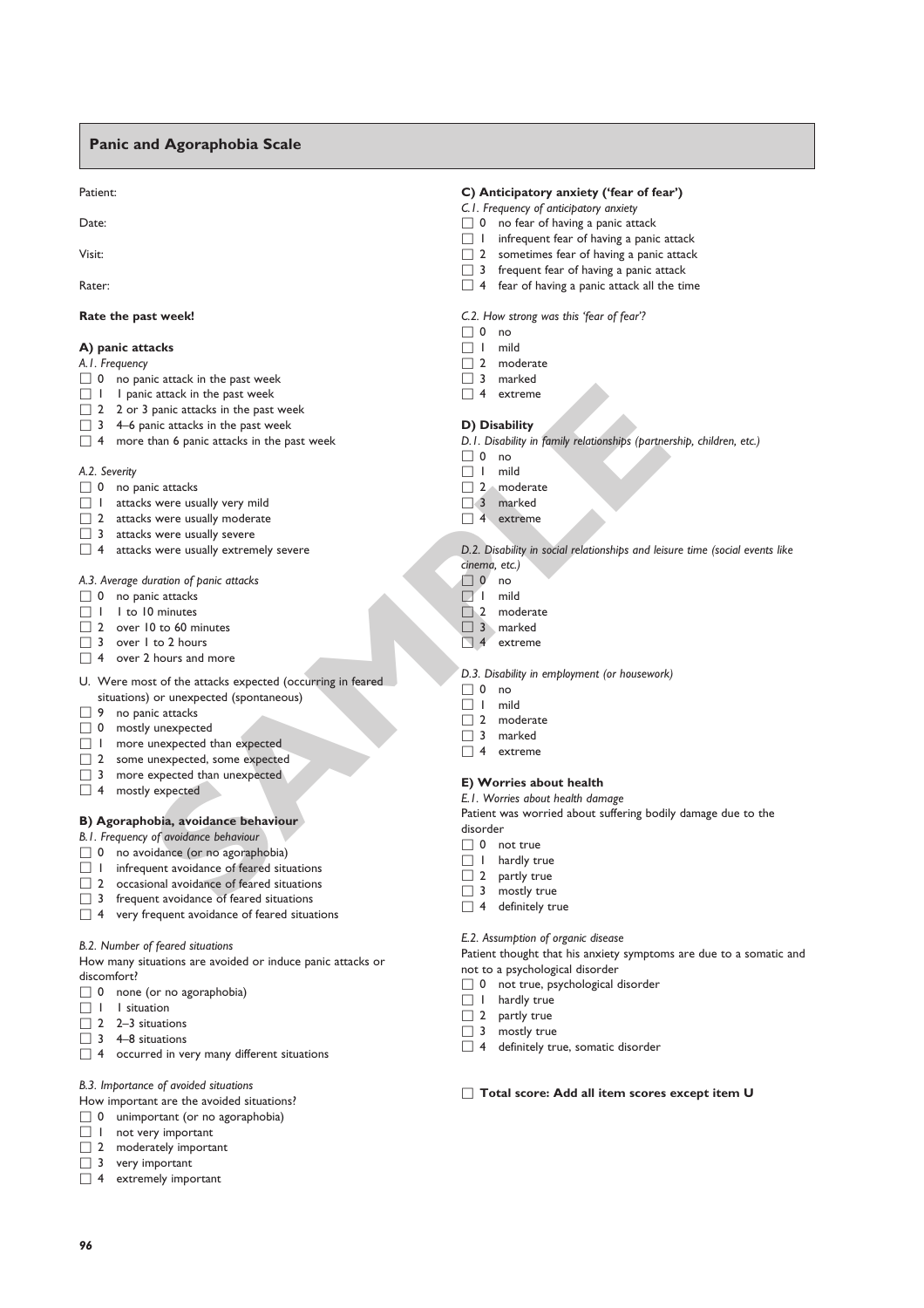#### **Panic and Agoraphobia Scale**

Patient:

Date:

Visit:

Rater:

#### **Rate the past week!**

#### **A) panic attacks**

- *A.1. Frequency*
- $\Box$  0 no panic attack in the past week
- | 1 | panic attack in the past week
- $\Box$  2 2 or 3 panic attacks in the past week
- $\Box$  3 4–6 panic attacks in the past week
- $\Box$  4 more than 6 panic attacks in the past week

#### *A.2. Severity*

- □ 0 no panic attacks
- $\Box$  I attacks were usually very mild
- □ 2 attacks were usually moderate
- 3 attacks were usually severe
- 4 attacks were usually extremely severe

#### *A.3. Average duration of panic attacks*

- □ 0 no panic attacks
- □ 1 1 to 10 minutes
- $\Box$  2 over 10 to 60 minutes
- □ 3 over I to 2 hours
- 4 over 2 hours and more
- Example attacks in the past week<br>
pairs attacks in the past week<br>
tinic attacks in the past week<br>
tinic attacks in the past week<br>
tinic attacks in the past week<br>
DD Disability<br>
in family redubinships (partner)<br>
includes<br> U. Were most of the attacks expected (occurring in feared situations) or unexpected (spontaneous)
- 9 no panic attacks
- □ 0 mostly unexpected
- 1 more unexpected than expected
- □ 2 some unexpected, some expected
- 3 more expected than unexpected
- 4 mostly expected

#### **B) Agoraphobia, avoidance behaviour**

- *B.1. Frequency of avoidance behaviour*
- 0 no avoidance (or no agoraphobia)
- 1 infrequent avoidance of feared situations
- 2 occasional avoidance of feared situations
- 3 frequent avoidance of feared situations
- 4 very frequent avoidance of feared situations

#### *B.2. Number of feared situations*

How many situations are avoided or induce panic attacks or discomfort?

- 0 none (or no agoraphobia)
- 1 1 situation
- $\Box$  2 2–3 situations
- $\Box$  3 4–8 situations
- 4 occurred in very many different situations

#### *B.3. Importance of avoided situations*

How important are the avoided situations?

- 0 unimportant (or no agoraphobia)
- 1 not very important
- 2 moderately important
- 3 very important

*96*

- 4 extremely important

#### **C) Anticipatory anxiety ('fear of fear')**

- *C.1. Frequency of anticipatory anxiety*
- □ 0 no fear of having a panic attack
- 1 infrequent fear of having a panic attack
- $\Box$  2 sometimes fear of having a panic attack
- 3 frequent fear of having a panic attack
- 4 fear of having a panic attack all the time

#### *C.2. How strong was this 'fear of fear'?*

- $\Box$  0 no
- 1 mild
- □ 2 moderate
- 3 marked
- $\Box$  4 extreme

#### **D) Disability**

- *D.1. Disability in family relationships (partnership, children, etc.)*
- $\Box$  0 no
- 1 mild
- □ 2 moderate - 3 marked
- $\Box$  4 extreme

*D.2. Disability in social relationships and leisure time (social events like cinema, etc.)*

- $\Box$  0 no
- $\Box$  1 mild
- 1 2 moderate
- 3 marked
- 4 extreme

*D.3. Disability in employment (or housework)*

- $\Box$  0 no
- $\Box$  1 mild
- □ 2 moderate
- 3 marked  $\Box$  4 extreme

#### **E) Worries about health**

*E.1. Worries about health damage*

Patient was worried about suffering bodily damage due to the disorder

- $\Box$  0 not true
- 1 hardly true
- $\Box$  2 partly true
- 3 mostly true
- $\Box$  4 definitely true

#### *E.2. Assumption of organic disease*

Patient thought that his anxiety symptoms are due to a somatic and not to a psychological disorder

- $\Box$  0 not true, psychological disorder
- 1 hardly true
- $\Box$  2 partly true
- 3 mostly true
- 4 definitely true, somatic disorder

#### $\Box$  Total score: Add all item scores except item **U**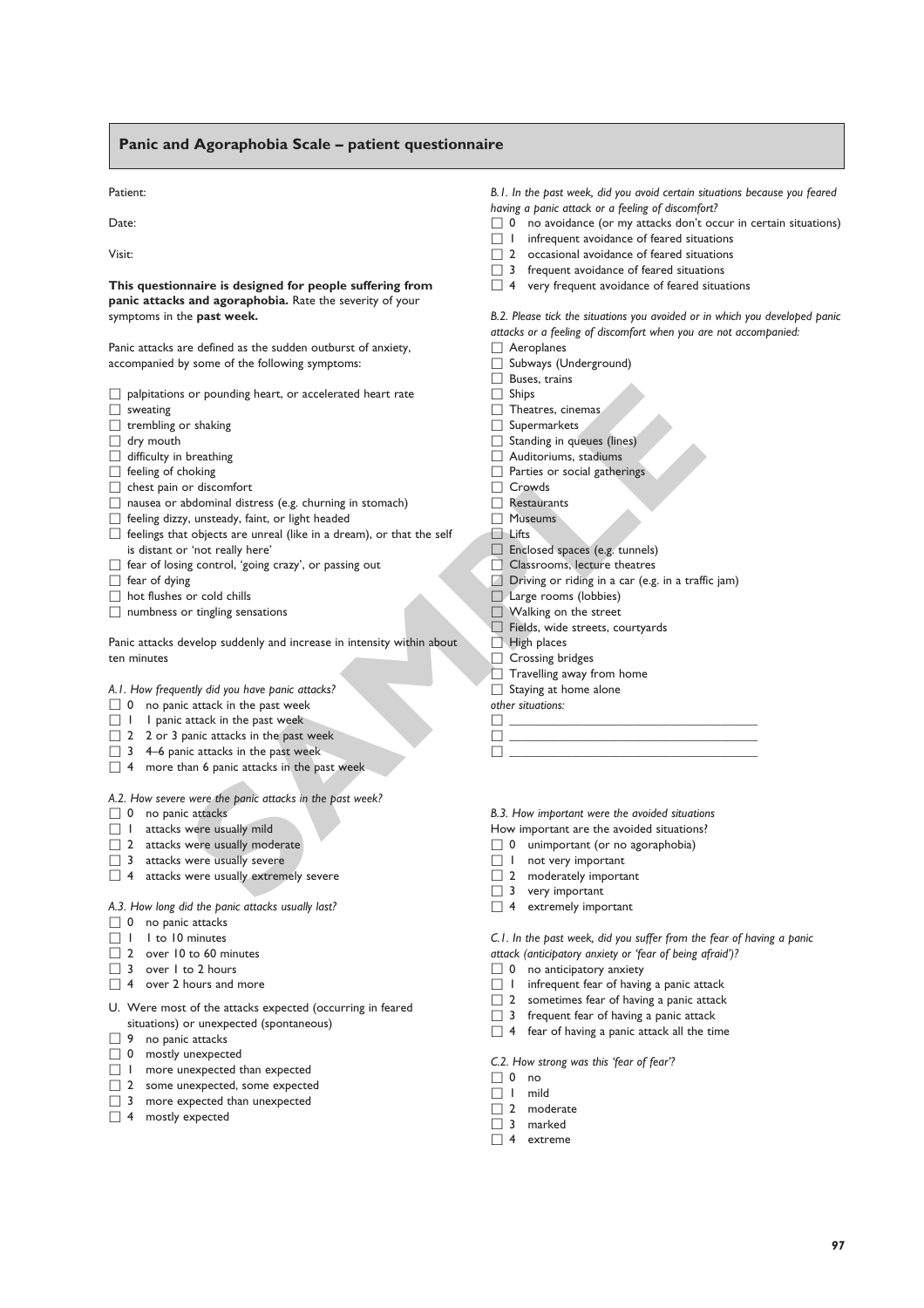#### **Panic and Agoraphobia Scale – patient questionnaire**

Patient:

Date:

Visit:

**This questionnaire is designed for people suffering from panic attacks and agoraphobia.** Rate the severity of your symptoms in the **past week.**

Panic attacks are defined as the sudden outburst of anxiety, accompanied by some of the following symptoms:

 $\Box$  palpitations or pounding heart, or accelerated heart rate

- $\Box$  sweating
- $\Box$  trembling or shaking
- $\Box$  dry mouth
- $\Box$  difficulty in breathing
- $\Box$  feeling of choking
- $\Box$  chest pain or discomfort
- nausea or abdominal distress (e.g. churning in stomach)
- feeling dizzy, unsteady, faint, or light headed
- $\Box$  feelings that objects are unreal (like in a dream), or that the self is distant or 'not really here'
- fear of losing control, 'going crazy', or passing out
- $\Box$  fear of dying
- $\Box$  hot flushes or cold chills
- numbness or tingling sensations

or pounding heart, or accelerated heart rate<br>
Sample in the past vector of the past vector<br>
Sample in the past vector<br>
SAMPLE CONDING THE PROPORTION OF THE CONDUCTION CONDUCT THE CONDUCT OF THE CONDUCT OF THE CONDUCT OF T Panic attacks develop suddenly and increase in intensity within about ten minutes

*A.1. How frequently did you have panic attacks?*

- $\Box$  0 no panic attack in the past week
- | | | | panic attack in the past week
- □ 2 2 or 3 panic attacks in the past week
- 3 4–6 panic attacks in the past week
- $\Box$  4 more than 6 panic attacks in the past week

*A.2. How severe were the panic attacks in the past week?*

- □ 0 no panic attacks
- | 1 attacks were usually mild
- 12 attacks were usually moderate
- 3 attacks were usually severe
- 4 attacks were usually extremely severe

*A.3. How long did the panic attacks usually last?*

- □ 0 no panic attacks
- □ 1 1 to 10 minutes
- $\Box$  2 over 10 to 60 minutes
- 3 over 1 to 2 hours
- □ 4 over 2 hours and more
- U. Were most of the attacks expected (occurring in feared situations) or unexpected (spontaneous)
- □ 9 no panic attacks
- □ 0 mostly unexpected
- 1 more unexpected than expected
- 2 some unexpected, some expected
- 3 more expected than unexpected
- 4 mostly expected

*B.1. In the past week, did you avoid certain situations because you feared*

- *having a panic attack or a feeling of discomfort?*
- □ 0 no avoidance (or my attacks don't occur in certain situations)
- 1 infrequent avoidance of feared situations
- 2 occasional avoidance of feared situations
- 3 frequent avoidance of feared situations
- 4 very frequent avoidance of feared situations

*B.2. Please tick the situations you avoided or in which you developed panic attacks or a feeling of discomfort when you are not accompanied:*

- Aeroplanes
- Subways (Underground)
- Buses, trains
- $\Box$ Ships
- $\Box$ Theatres, cinemas
- $\Box$ Supermarkets
- Standing in queues (lines)
- $\Box$  Auditoriums, stadiums
- Parties or social gatherings
- Crowds
- Restaurants
- Museums
- $\Box$  Lifts
- $\Box$ Enclosed spaces (e.g. tunnels)
- $\Box$ Classrooms, lecture theatres
- Driving or riding in a car (e.g. in a traffic jam)

\_\_\_\_\_\_\_\_\_\_\_\_\_\_\_\_\_\_\_\_\_\_\_\_\_\_\_\_\_\_\_\_\_\_\_\_\_\_\_\_

\_\_\_\_\_\_\_\_\_\_\_\_\_\_\_\_\_\_\_\_\_\_\_\_\_\_\_\_\_\_\_\_\_\_\_\_\_\_\_\_

\_\_\_\_\_\_\_\_\_\_\_\_\_\_\_\_\_\_\_\_\_\_\_\_\_\_\_\_\_\_\_\_\_\_\_\_\_\_\_\_

- Large rooms (lobbies)
- $\Box$  Walking on the street
- $\Box$ Fields, wide streets, courtyards
- High places
- $\Box$  Crossing bridges
- $\Box$  Travelling away from home
- Staying at home alone

*other situations:*  $\Box$ 

 $\Box$ 

 $\Box$ 

*B.3. How important were the avoided situations*

- How important are the avoided situations?
- 0 unimportant (or no agoraphobia)
- 1 not very important
- 2 moderately important
- 3 very important
- 4 extremely important

*C.1. In the past week, did you suffer from the fear of having a panic attack (anticipatory anxiety or 'fear of being afraid')?*

- □ 0 no anticipatory anxiety
- 
- 1 infrequent fear of having a panic attack
- □ 2 sometimes fear of having a panic attack
- 3 frequent fear of having a panic attack - 4 fear of having a panic attack all the time
- *C.2. How strong was this 'fear of fear'?*
- $\Box$  0 no
- 1 mild
- □ 2 moderate
- 3 marked
- $\Box$  4 extreme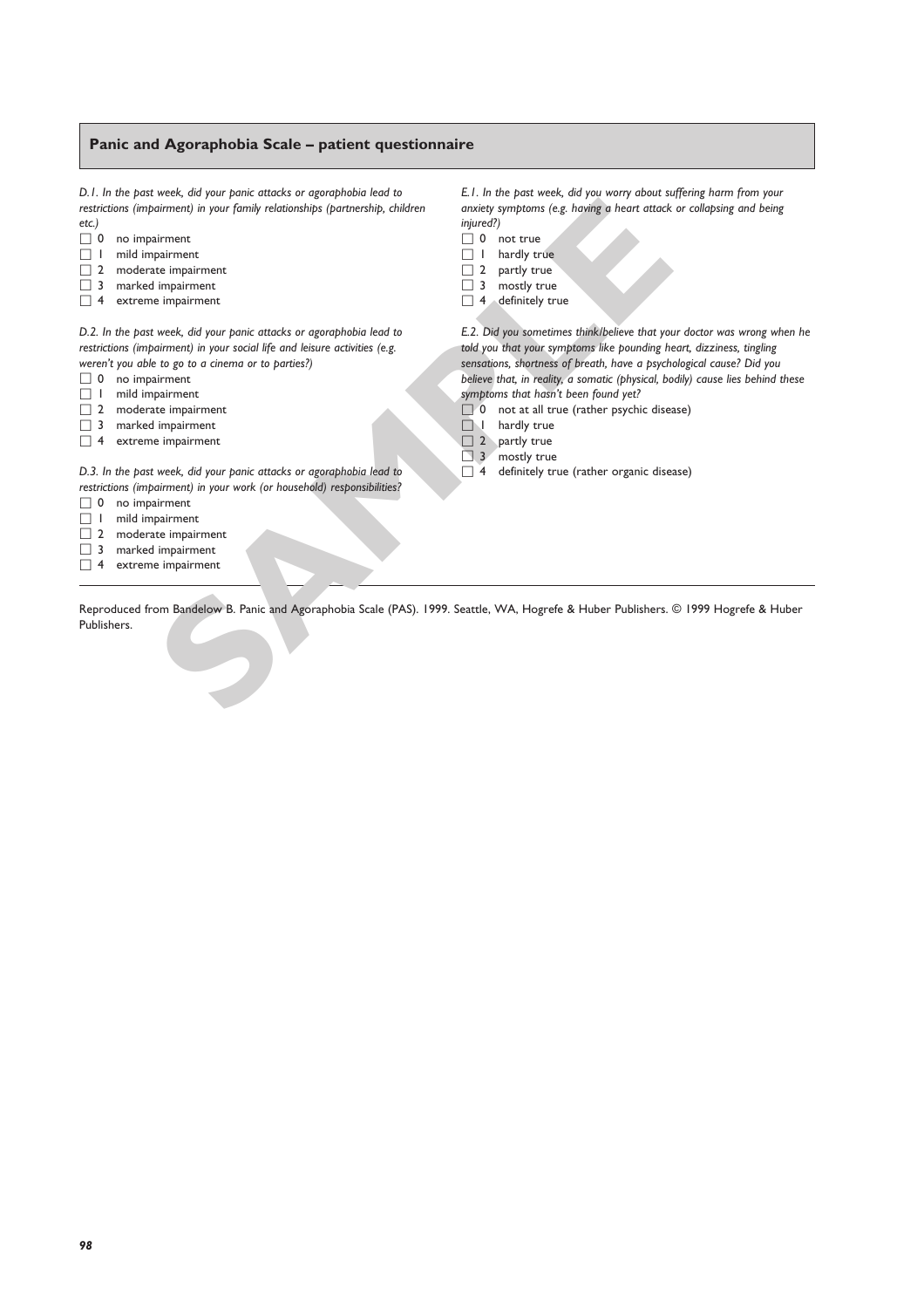#### **Panic and Agoraphobia Scale – patient questionnaire**

*D.1. In the past week, did your panic attacks or agoraphobia lead to restrictions (impairment) in your family relationships (partnership, children*

- *etc.)*
- □ 0 no impairment
- 1 mild impairment
- 2 moderate impairment
- 3 marked impairment
- 4 extreme impairment

*D.2. In the past week, did your panic attacks or agoraphobia lead to restrictions (impairment) in your social life and leisure activities (e.g. weren't you able to go to a cinema or to parties?)*

- □ 0 no impairment
- 1 mild impairment
- 2 moderate impairment
- 3 marked impairment
- 4 extreme impairment

*D.3. In the past week, did your panic attacks or agoraphobia lead to restrictions (impairment) in your work (or household) responsibilities?*

- □ 0 no impairment
- 1 mild impairment
- 2 moderate impairment
- 3 marked impairment
- 4 extreme impairment

*E.1. In the past week, did you worry about suffering harm from your anxiety symptoms (e.g. having a heart attack or collapsing and being injured?)*

- $\Box$  0 not true
- 1 hardly true
- $\Box$  2 partly true
- 3 mostly true
- $\Box$  4 definitely true

oriment) in your family relationships (partnership, children<br>
simment<br>
simment<br>
simment<br>
simment<br>
limpairment<br>
limpairment<br>
impairment<br>
impairment<br>
impairment<br>
impairment<br>
simpairment<br>
simpairment<br>
simpairment<br>
simpairmen *E.2. Did you sometimes think/believe that your doctor was wrong when he told you that your symptoms like pounding heart, dizziness, tingling sensations, shortness of breath, have a psychological cause? Did you believe that, in reality, a somatic (physical, bodily) cause lies behind these symptoms that hasn't been found yet?*

- $\Box$  0 not at all true (rather psychic disease)
- I hardly true
- $\Box$  2 partly true
- 3 mostly true
- 4 definitely true (rather organic disease)

Reproduced from Bandelow B. Panic and Agoraphobia Scale (PAS). 1999. Seattle, WA, Hogrefe & Huber Publishers. © 1999 Hogrefe & Huber Publishers.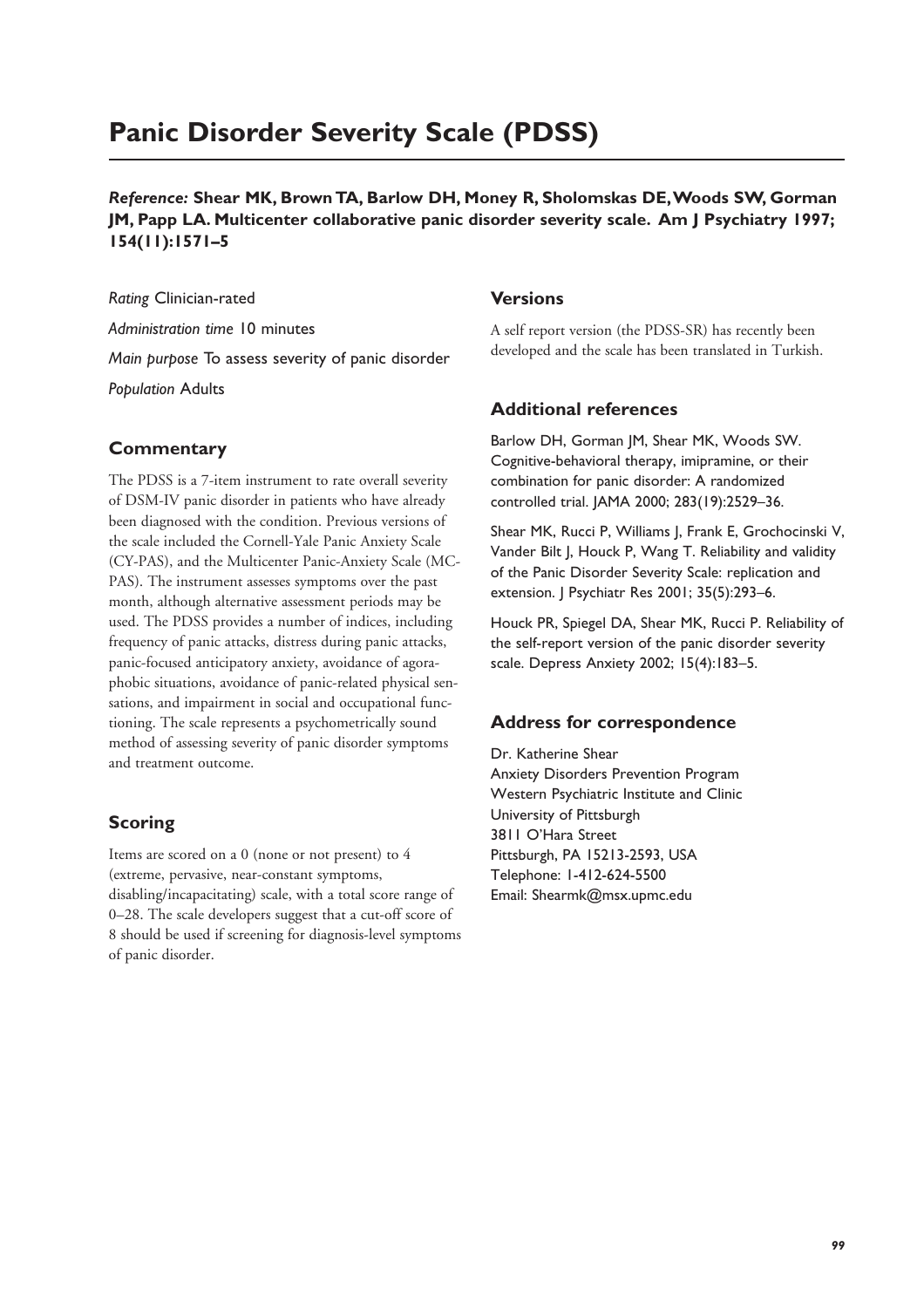# **Panic Disorder Severity Scale (PDSS)**

*Reference:* **Shear MK, Brown TA, Barlow DH, Money R, Sholomskas DE,Woods SW, Gorman JM, Papp LA. Multicenter collaborative panic disorder severity scale. Am J Psychiatry 1997; 154(11):1571–5**

*Rating* Clinician-rated *Administration time* 10 minutes *Main purpose* To assess severity of panic disorder *Population* Adults

# **Commentary**

The PDSS is a 7-item instrument to rate overall severity of DSM-IV panic disorder in patients who have already been diagnosed with the condition. Previous versions of the scale included the Cornell-Yale Panic Anxiety Scale (CY-PAS), and the Multicenter Panic-Anxiety Scale (MC-PAS). The instrument assesses symptoms over the past month, although alternative assessment periods may be used. The PDSS provides a number of indices, including frequency of panic attacks, distress during panic attacks, panic-focused anticipatory anxiety, avoidance of agoraphobic situations, avoidance of panic-related physical sensations, and impairment in social and occupational functioning. The scale represents a psychometrically sound method of assessing severity of panic disorder symptoms and treatment outcome.

# **Scoring**

Items are scored on a 0 (none or not present) to 4 (extreme, pervasive, near-constant symptoms, disabling/incapacitating) scale, with a total score range of 0–28. The scale developers suggest that a cut-off score of 8 should be used if screening for diagnosis-level symptoms of panic disorder.

# **Versions**

A self report version (the PDSS-SR) has recently been developed and the scale has been translated in Turkish.

# **Additional references**

Barlow DH, Gorman JM, Shear MK, Woods SW. Cognitive-behavioral therapy, imipramine, or their combination for panic disorder: A randomized controlled trial. JAMA 2000; 283(19):2529–36.

Shear MK, Rucci P, Williams J, Frank E, Grochocinski V, Vander Bilt J, Houck P, Wang T. Reliability and validity of the Panic Disorder Severity Scale: replication and extension. J Psychiatr Res 2001; 35(5):293–6.

Houck PR, Spiegel DA, Shear MK, Rucci P. Reliability of the self-report version of the panic disorder severity scale. Depress Anxiety 2002; 15(4):183–5.

# **Address for correspondence**

Dr. Katherine Shear Anxiety Disorders Prevention Program Western Psychiatric Institute and Clinic University of Pittsburgh 3811 O'Hara Street Pittsburgh, PA 15213-2593, USA Telephone: 1-412-624-5500 Email: Shearmk@msx.upmc.edu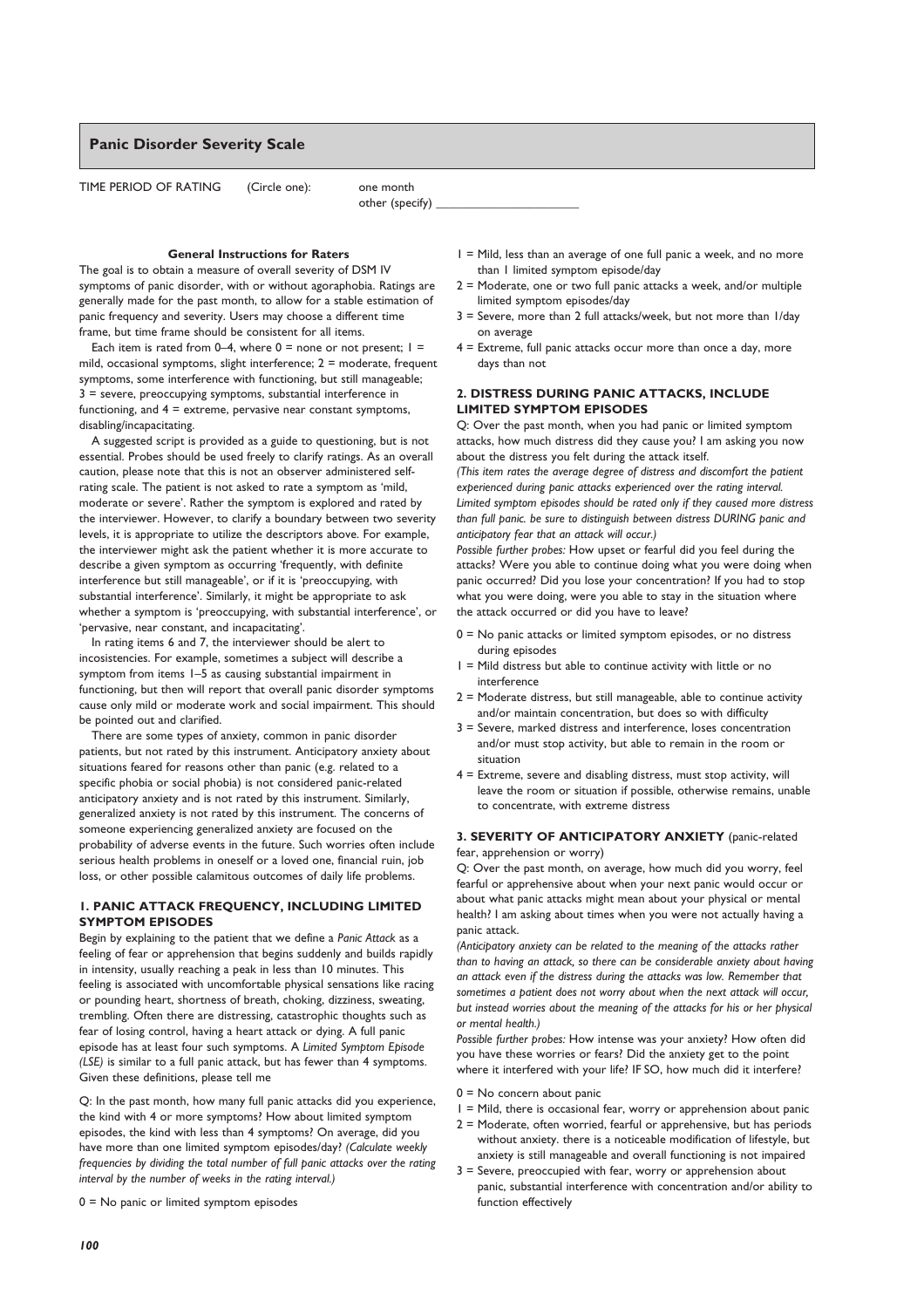#### **Panic Disorder Severity Scale**

TIME PERIOD OF RATING (Circle one): one month

other (specify) \_

#### **General Instructions for Raters**

The goal is to obtain a measure of overall severity of DSM IV symptoms of panic disorder, with or without agoraphobia. Ratings are generally made for the past month, to allow for a stable estimation of panic frequency and severity. Users may choose a different time frame, but time frame should be consistent for all items.

Each item is rated from 0–4, where  $0 =$  none or not present;  $1 =$ mild, occasional symptoms, slight interference;  $2 =$  moderate, frequent symptoms, some interference with functioning, but still manageable; 3 = severe, preoccupying symptoms, substantial interference in functioning, and  $4 =$  extreme, pervasive near constant symptoms, disabling/incapacitating.

A suggested script is provided as a guide to questioning, but is not essential. Probes should be used freely to clarify ratings. As an overall caution, please note that this is not an observer administered selfrating scale. The patient is not asked to rate a symptom as 'mild, moderate or severe'. Rather the symptom is explored and rated by the interviewer. However, to clarify a boundary between two severity levels, it is appropriate to utilize the descriptors above. For example, the interviewer might ask the patient whether it is more accurate to describe a given symptom as occurring 'frequently, with definite interference but still manageable', or if it is 'preoccupying, with substantial interference'. Similarly, it might be appropriate to ask whether a symptom is 'preoccupying, with substantial interference', or 'pervasive, near constant, and incapacitating'.

In rating items 6 and 7, the interviewer should be alert to incosistencies. For example, sometimes a subject will describe a symptom from items 1–5 as causing substantial impairment in functioning, but then will report that overall panic disorder symptoms cause only mild or moderate work and social impairment. This should be pointed out and clarified.

There are some types of anxiety, common in panic disorder patients, but not rated by this instrument. Anticipatory anxiety about situations feared for reasons other than panic (e.g. related to a specific phobia or social phobia) is not considered panic-related anticipatory anxiety and is not rated by this instrument. Similarly, generalized anxiety is not rated by this instrument. The concerns of someone experiencing generalized anxiety are focused on the probability of adverse events in the future. Such worries often include serious health problems in oneself or a loved one, financial ruin, job loss, or other possible calamitous outcomes of daily life problems.

#### **1. PANIC ATTACK FREQUENCY, INCLUDING LIMITED SYMPTOM EPISODES**

Begin by explaining to the patient that we define a *Panic Attack* as a feeling of fear or apprehension that begins suddenly and builds rapidly in intensity, usually reaching a peak in less than 10 minutes. This feeling is associated with uncomfortable physical sensations like racing or pounding heart, shortness of breath, choking, dizziness, sweating, trembling. Often there are distressing, catastrophic thoughts such as fear of losing control, having a heart attack or dying. A full panic episode has at least four such symptoms. A *Limited Symptom Episode (LSE)* is similar to a full panic attack, but has fewer than 4 symptoms. Given these definitions, please tell me

Q: In the past month, how many full panic attacks did you experience, the kind with 4 or more symptoms? How about limited symptom episodes, the kind with less than 4 symptoms? On average, did you have more than one limited symptom episodes/day? *(Calculate weekly frequencies by dividing the total number of full panic attacks over the rating interval by the number of weeks in the rating interval.)*

0 = No panic or limited symptom episodes

- 1 = Mild, less than an average of one full panic a week, and no more than 1 limited symptom episode/day
- 2 = Moderate, one or two full panic attacks a week, and/or multiple limited symptom episodes/day
- 3 = Severe, more than 2 full attacks/week, but not more than 1/day on average
- 4 = Extreme, full panic attacks occur more than once a day, more days than not

#### **2. DISTRESS DURING PANIC ATTACKS, INCLUDE LIMITED SYMPTOM EPISODES**

Q: Over the past month, when you had panic or limited symptom attacks, how much distress did they cause you? I am asking you now about the distress you felt during the attack itself.

*(This item rates the average degree of distress and discomfort the patient experienced during panic attacks experienced over the rating interval. Limited symptom episodes should be rated only if they caused more distress than full panic. be sure to distinguish between distress DURING panic and anticipatory fear that an attack will occur.)*

*Possible further probes:* How upset or fearful did you feel during the attacks? Were you able to continue doing what you were doing when panic occurred? Did you lose your concentration? If you had to stop what you were doing, were you able to stay in the situation where the attack occurred or did you have to leave?

- 0 = No panic attacks or limited symptom episodes, or no distress during episodes
- 1 = Mild distress but able to continue activity with little or no interference
- 2 = Moderate distress, but still manageable, able to continue activity and/or maintain concentration, but does so with difficulty
- 3 = Severe, marked distress and interference, loses concentration and/or must stop activity, but able to remain in the room or situation
- 4 = Extreme, severe and disabling distress, must stop activity, will leave the room or situation if possible, otherwise remains, unable to concentrate, with extreme distress

#### **3. SEVERITY OF ANTICIPATORY ANXIETY** (panic-related fear, apprehension or worry)

Q: Over the past month, on average, how much did you worry, feel fearful or apprehensive about when your next panic would occur or about what panic attacks might mean about your physical or mental health? I am asking about times when you were not actually having a panic attack.

*(Anticipatory anxiety can be related to the meaning of the attacks rather than to having an attack, so there can be considerable anxiety about having an attack even if the distress during the attacks was low. Remember that sometimes a patient does not worry about when the next attack will occur, but instead worries about the meaning of the attacks for his or her physical or mental health.)*

*Possible further probes:* How intense was your anxiety? How often did you have these worries or fears? Did the anxiety get to the point where it interfered with your life? IF SO, how much did it interfere?

- 0 = No concern about panic
- 1 = Mild, there is occasional fear, worry or apprehension about panic
- 2 = Moderate, often worried, fearful or apprehensive, but has periods without anxiety. there is a noticeable modification of lifestyle, but anxiety is still manageable and overall functioning is not impaired
- 3 = Severe, preoccupied with fear, worry or apprehension about panic, substantial interference with concentration and/or ability to function effectively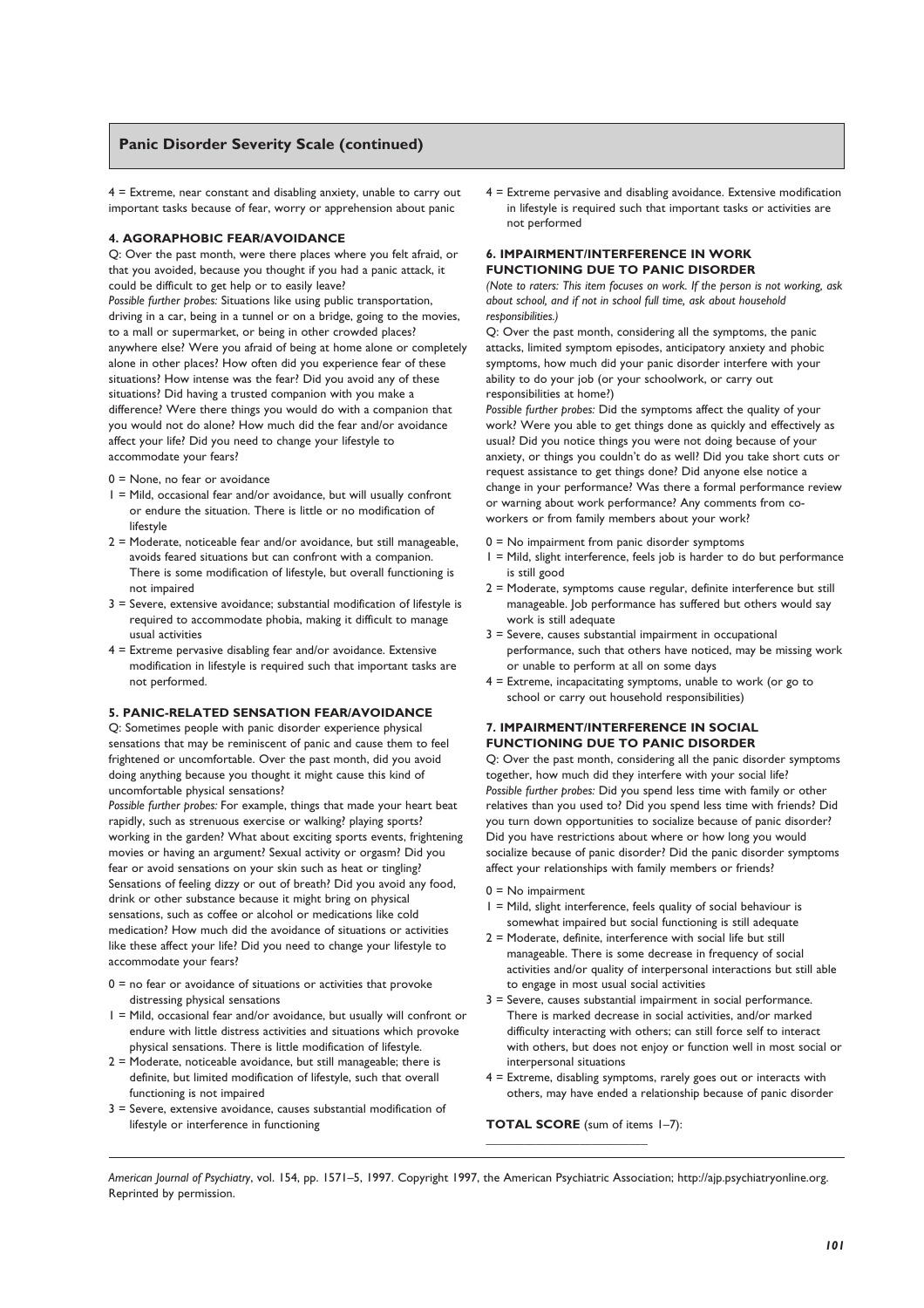#### **Panic Disorder Severity Scale (continued)**

4 = Extreme, near constant and disabling anxiety, unable to carry out important tasks because of fear, worry or apprehension about panic

#### **4. AGORAPHOBIC FEAR/AVOIDANCE**

Q: Over the past month, were there places where you felt afraid, or that you avoided, because you thought if you had a panic attack, it could be difficult to get help or to easily leave?

*Possible further probes:* Situations like using public transportation, driving in a car, being in a tunnel or on a bridge, going to the movies, to a mall or supermarket, or being in other crowded places? anywhere else? Were you afraid of being at home alone or completely alone in other places? How often did you experience fear of these situations? How intense was the fear? Did you avoid any of these situations? Did having a trusted companion with you make a difference? Were there things you would do with a companion that you would not do alone? How much did the fear and/or avoidance affect your life? Did you need to change your lifestyle to accommodate your fears?

0 = None, no fear or avoidance

- 1 = Mild, occasional fear and/or avoidance, but will usually confront or endure the situation. There is little or no modification of lifestyle
- 2 = Moderate, noticeable fear and/or avoidance, but still manageable, avoids feared situations but can confront with a companion. There is some modification of lifestyle, but overall functioning is not impaired
- 3 = Severe, extensive avoidance; substantial modification of lifestyle is required to accommodate phobia, making it difficult to manage usual activities
- 4 = Extreme pervasive disabling fear and/or avoidance. Extensive modification in lifestyle is required such that important tasks are not performed.

#### **5. PANIC-RELATED SENSATION FEAR/AVOIDANCE**

Q: Sometimes people with panic disorder experience physical sensations that may be reminiscent of panic and cause them to feel frightened or uncomfortable. Over the past month, did you avoid doing anything because you thought it might cause this kind of uncomfortable physical sensations?

*Possible further probes:* For example, things that made your heart beat rapidly, such as strenuous exercise or walking? playing sports? working in the garden? What about exciting sports events, frightening movies or having an argument? Sexual activity or orgasm? Did you fear or avoid sensations on your skin such as heat or tingling? Sensations of feeling dizzy or out of breath? Did you avoid any food, drink or other substance because it might bring on physical sensations, such as coffee or alcohol or medications like cold medication? How much did the avoidance of situations or activities like these affect your life? Did you need to change your lifestyle to accommodate your fears?

- $0 =$  no fear or avoidance of situations or activities that provoke distressing physical sensations
- 1 = Mild, occasional fear and/or avoidance, but usually will confront or endure with little distress activities and situations which provoke physical sensations. There is little modification of lifestyle.
- 2 = Moderate, noticeable avoidance, but still manageable; there is definite, but limited modification of lifestyle, such that overall functioning is not impaired
- 3 = Severe, extensive avoidance, causes substantial modification of lifestyle or interference in functioning

4 = Extreme pervasive and disabling avoidance. Extensive modification in lifestyle is required such that important tasks or activities are not performed

#### **6. IMPAIRMENT/INTERFERENCE IN WORK FUNCTIONING DUE TO PANIC DISORDER**

*(Note to raters: This item focuses on work. If the person is not working, ask about school, and if not in school full time, ask about household responsibilities.)*

Q: Over the past month, considering all the symptoms, the panic attacks, limited symptom episodes, anticipatory anxiety and phobic symptoms, how much did your panic disorder interfere with your ability to do your job (or your schoolwork, or carry out responsibilities at home?)

*Possible further probes:* Did the symptoms affect the quality of your work? Were you able to get things done as quickly and effectively as usual? Did you notice things you were not doing because of your anxiety, or things you couldn't do as well? Did you take short cuts or request assistance to get things done? Did anyone else notice a change in your performance? Was there a formal performance review or warning about work performance? Any comments from coworkers or from family members about your work?

0 = No impairment from panic disorder symptoms

- 1 = Mild, slight interference, feels job is harder to do but performance is still good
- 2 = Moderate, symptoms cause regular, definite interference but still manageable. Job performance has suffered but others would say work is still adequate
- 3 = Severe, causes substantial impairment in occupational performance, such that others have noticed, may be missing work or unable to perform at all on some days
- 4 = Extreme, incapacitating symptoms, unable to work (or go to school or carry out household responsibilities)

#### **7. IMPAIRMENT/INTERFERENCE IN SOCIAL FUNCTIONING DUE TO PANIC DISORDER**

Q: Over the past month, considering all the panic disorder symptoms together, how much did they interfere with your social life? *Possible further probes:* Did you spend less time with family or other relatives than you used to? Did you spend less time with friends? Did you turn down opportunities to socialize because of panic disorder? Did you have restrictions about where or how long you would socialize because of panic disorder? Did the panic disorder symptoms affect your relationships with family members or friends?

- $0 = No$  impairment
- 1 = Mild, slight interference, feels quality of social behaviour is somewhat impaired but social functioning is still adequate
- 2 = Moderate, definite, interference with social life but still manageable. There is some decrease in frequency of social activities and/or quality of interpersonal interactions but still able to engage in most usual social activities
- 3 = Severe, causes substantial impairment in social performance. There is marked decrease in social activities, and/or marked difficulty interacting with others; can still force self to interact with others, but does not enjoy or function well in most social or interpersonal situations
- 4 = Extreme, disabling symptoms, rarely goes out or interacts with others, may have ended a relationship because of panic disorder

**TOTAL SCORE** (sum of items 1–7):

\_\_\_\_\_\_\_\_\_\_\_\_\_\_\_\_\_\_\_\_\_\_\_\_\_\_

*American Journal of Psychiatry*, vol. 154, pp. 1571–5, 1997. Copyright 1997, the American Psychiatric Association; http://ajp.psychiatryonline.org. Reprinted by permission.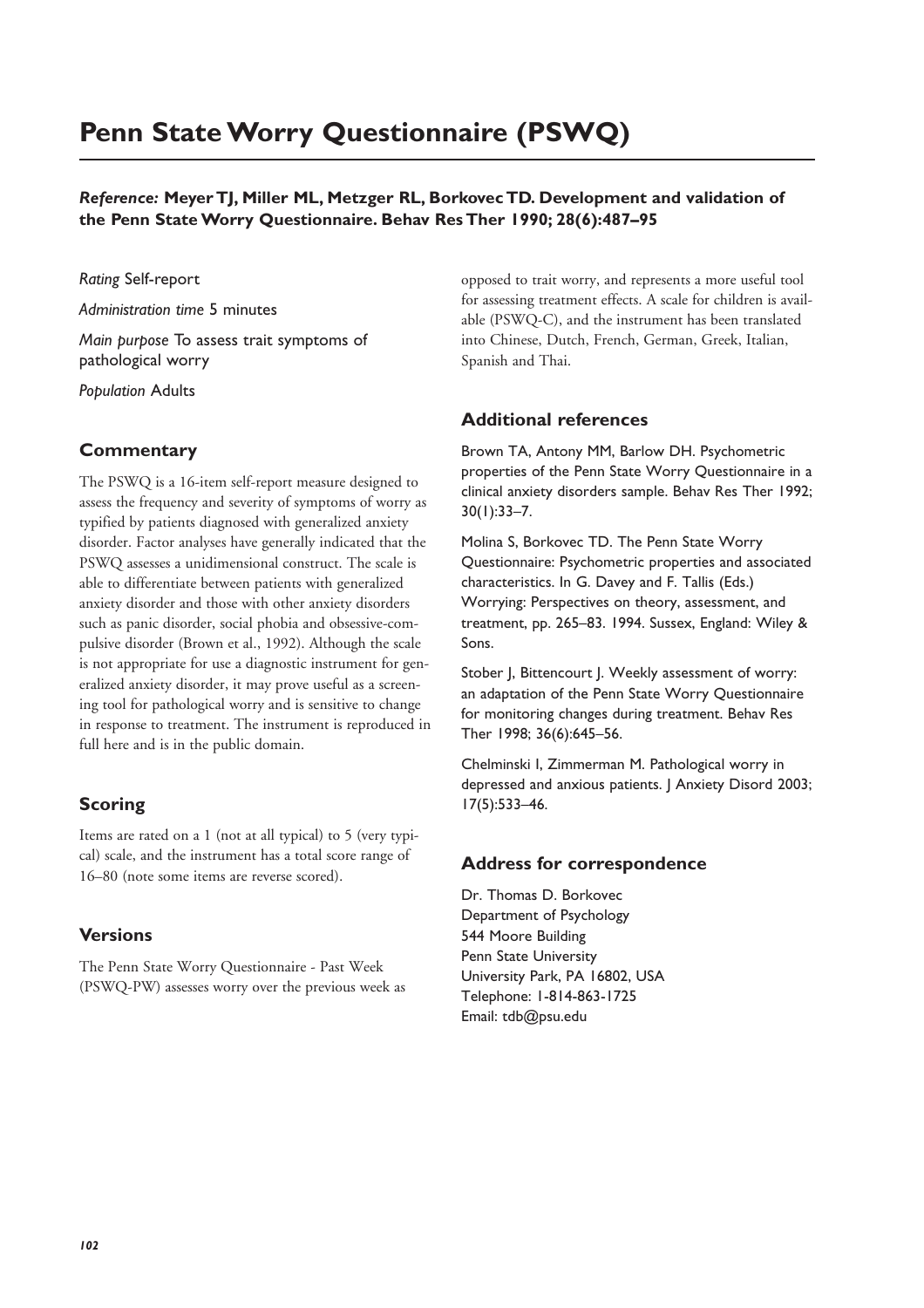# **Penn State Worry Questionnaire (PSWQ)**

# *Reference:* **Meyer TJ, Miller ML, Metzger RL, Borkovec TD. Development and validation of the Penn State Worry Questionnaire. Behav Res Ther 1990; 28(6):487–95**

*Rating* Self-report

*Administration time* 5 minutes

*Main purpose* To assess trait symptoms of pathological worry

*Population* Adults

## **Commentary**

The PSWQ is a 16-item self-report measure designed to assess the frequency and severity of symptoms of worry as typified by patients diagnosed with generalized anxiety disorder. Factor analyses have generally indicated that the PSWQ assesses a unidimensional construct. The scale is able to differentiate between patients with generalized anxiety disorder and those with other anxiety disorders such as panic disorder, social phobia and obsessive-compulsive disorder (Brown et al., 1992). Although the scale is not appropriate for use a diagnostic instrument for generalized anxiety disorder, it may prove useful as a screening tool for pathological worry and is sensitive to change in response to treatment. The instrument is reproduced in full here and is in the public domain.

# **Scoring**

Items are rated on a 1 (not at all typical) to 5 (very typical) scale, and the instrument has a total score range of 16–80 (note some items are reverse scored).

# **Versions**

The Penn State Worry Questionnaire - Past Week (PSWQ-PW) assesses worry over the previous week as opposed to trait worry, and represents a more useful tool for assessing treatment effects. A scale for children is available (PSWQ-C), and the instrument has been translated into Chinese, Dutch, French, German, Greek, Italian, Spanish and Thai.

# **Additional references**

Brown TA, Antony MM, Barlow DH. Psychometric properties of the Penn State Worry Questionnaire in a clinical anxiety disorders sample. Behav Res Ther 1992; 30(1):33–7.

Molina S, Borkovec TD. The Penn State Worry Questionnaire: Psychometric properties and associated characteristics. In G. Davey and F. Tallis (Eds.) Worrying: Perspectives on theory, assessment, and treatment, pp. 265–83. 1994. Sussex, England: Wiley & Sons.

Stober J, Bittencourt J. Weekly assessment of worry: an adaptation of the Penn State Worry Questionnaire for monitoring changes during treatment. Behav Res Ther 1998; 36(6):645–56.

Chelminski I, Zimmerman M. Pathological worry in depressed and anxious patients. J Anxiety Disord 2003; 17(5):533–46.

# **Address for correspondence**

Dr. Thomas D. Borkovec Department of Psychology 544 Moore Building Penn State University University Park, PA 16802, USA Telephone: 1-814-863-1725 Email: tdb@psu.edu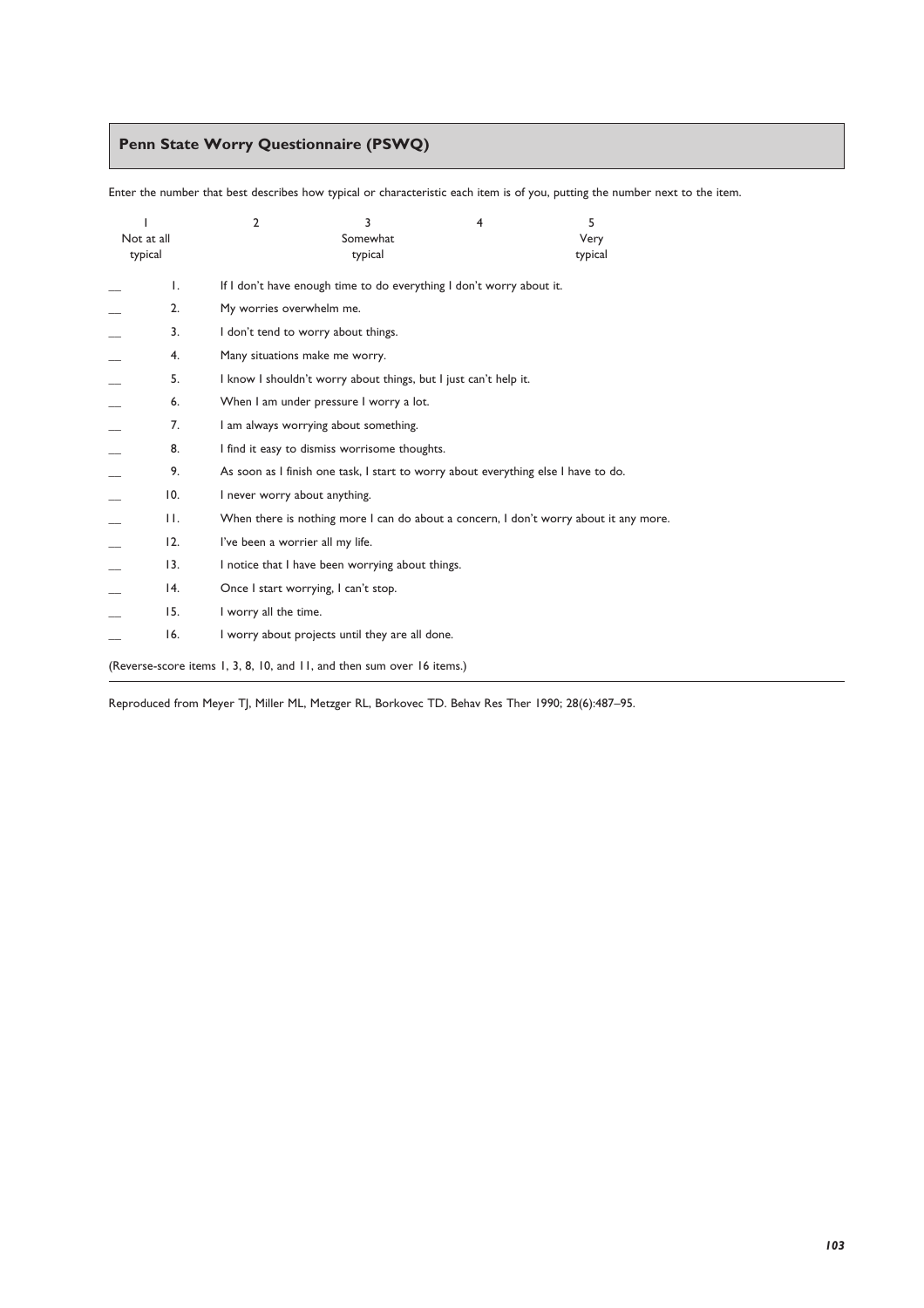# **Penn State Worry Questionnaire (PSWQ)**

| Not at all<br>typical                                                  |                   | $\overline{2}$                        | 3<br>Somewhat<br>typical                                                           | 4 | 5<br>Very<br>typical                                                                  |  |  |  |  |
|------------------------------------------------------------------------|-------------------|---------------------------------------|------------------------------------------------------------------------------------|---|---------------------------------------------------------------------------------------|--|--|--|--|
|                                                                        | Τ.                |                                       | If I don't have enough time to do everything I don't worry about it.               |   |                                                                                       |  |  |  |  |
|                                                                        | 2.                | My worries overwhelm me.              |                                                                                    |   |                                                                                       |  |  |  |  |
|                                                                        | 3.                |                                       | I don't tend to worry about things.                                                |   |                                                                                       |  |  |  |  |
|                                                                        | 4.                |                                       | Many situations make me worry.                                                     |   |                                                                                       |  |  |  |  |
|                                                                        | 5.                |                                       | I know I shouldn't worry about things, but I just can't help it.                   |   |                                                                                       |  |  |  |  |
|                                                                        | 6.                |                                       | When I am under pressure I worry a lot.                                            |   |                                                                                       |  |  |  |  |
|                                                                        | 7.                | I am always worrying about something. |                                                                                    |   |                                                                                       |  |  |  |  |
|                                                                        | 8.                |                                       | I find it easy to dismiss worrisome thoughts.                                      |   |                                                                                       |  |  |  |  |
|                                                                        | 9.                |                                       | As soon as I finish one task, I start to worry about everything else I have to do. |   |                                                                                       |  |  |  |  |
|                                                                        | 10.               | I never worry about anything.         |                                                                                    |   |                                                                                       |  |  |  |  |
|                                                                        | $\mathsf{H}.$     |                                       |                                                                                    |   | When there is nothing more I can do about a concern, I don't worry about it any more. |  |  |  |  |
|                                                                        | 12.               | I've been a worrier all my life.      |                                                                                    |   |                                                                                       |  |  |  |  |
|                                                                        | 13.               |                                       | I notice that I have been worrying about things.                                   |   |                                                                                       |  |  |  |  |
|                                                                        | $\overline{14}$ . |                                       | Once I start worrying, I can't stop.                                               |   |                                                                                       |  |  |  |  |
|                                                                        | 15.               | I worry all the time.                 |                                                                                    |   |                                                                                       |  |  |  |  |
|                                                                        | 16.               |                                       | I worry about projects until they are all done.                                    |   |                                                                                       |  |  |  |  |
| (Reverse-score items 1, 3, 8, 10, and 11, and then sum over 16 items.) |                   |                                       |                                                                                    |   |                                                                                       |  |  |  |  |

Enter the number that best describes how typical or characteristic each item is of you, putting the number next to the item.

Reproduced from Meyer TJ, Miller ML, Metzger RL, Borkovec TD. Behav Res Ther 1990; 28(6):487–95.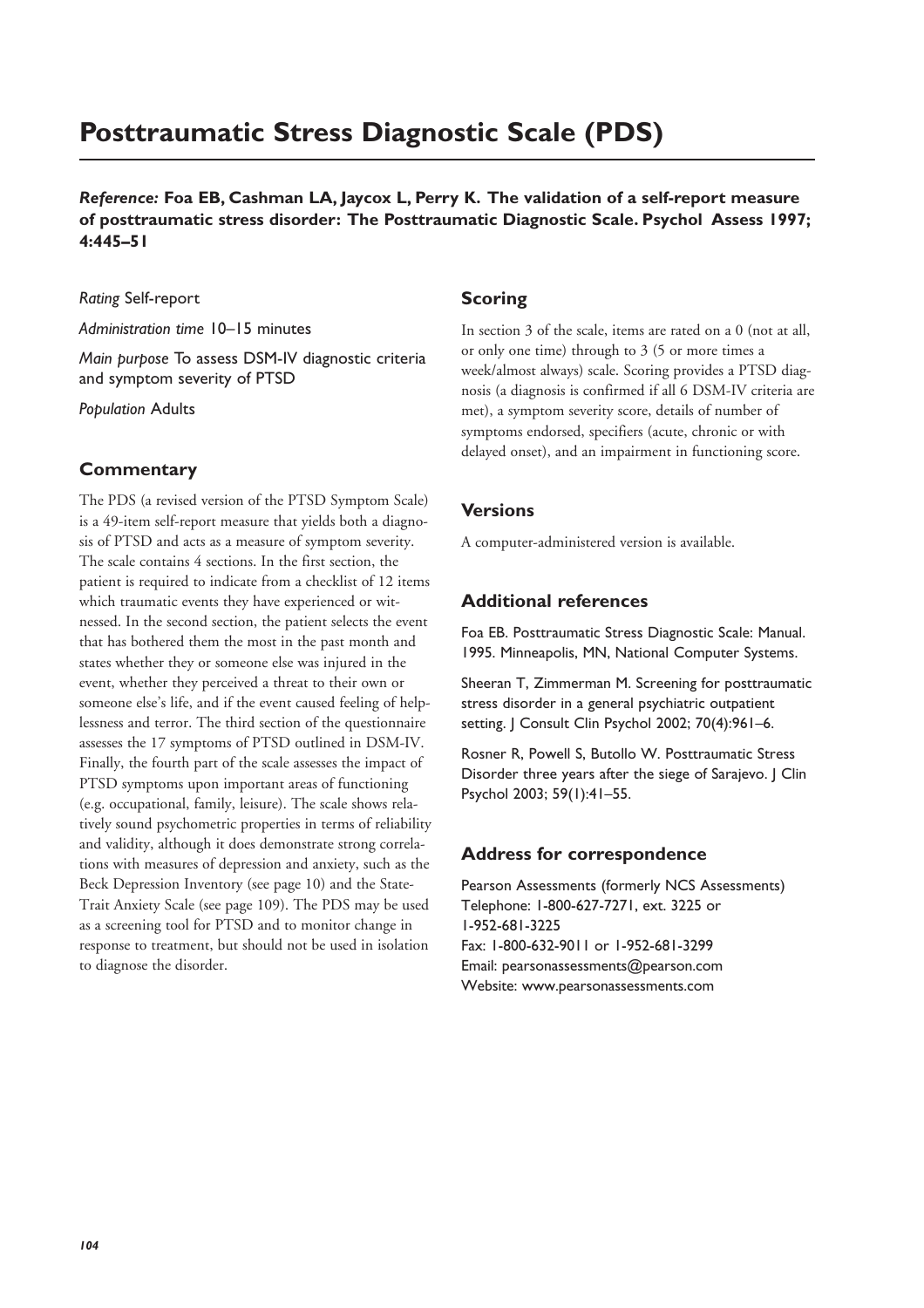# **Posttraumatic Stress Diagnostic Scale (PDS)**

*Reference:* **Foa EB, Cashman LA, Jaycox L, Perry K. The validation of a self-report measure of posttraumatic stress disorder: The Posttraumatic Diagnostic Scale. Psychol Assess 1997; 4:445–51**

*Rating* Self-report

*Administration time* 10–15 minutes

*Main purpose* To assess DSM-IV diagnostic criteria and symptom severity of PTSD

*Population* Adults

# **Commentary**

The PDS (a revised version of the PTSD Symptom Scale) is a 49-item self-report measure that yields both a diagnosis of PTSD and acts as a measure of symptom severity. The scale contains 4 sections. In the first section, the patient is required to indicate from a checklist of 12 items which traumatic events they have experienced or witnessed. In the second section, the patient selects the event that has bothered them the most in the past month and states whether they or someone else was injured in the event, whether they perceived a threat to their own or someone else's life, and if the event caused feeling of helplessness and terror. The third section of the questionnaire assesses the 17 symptoms of PTSD outlined in DSM-IV. Finally, the fourth part of the scale assesses the impact of PTSD symptoms upon important areas of functioning (e.g. occupational, family, leisure). The scale shows relatively sound psychometric properties in terms of reliability and validity, although it does demonstrate strong correlations with measures of depression and anxiety, such as the Beck Depression Inventory (see page 10) and the State-Trait Anxiety Scale (see page 109). The PDS may be used as a screening tool for PTSD and to monitor change in response to treatment, but should not be used in isolation to diagnose the disorder.

## **Scoring**

In section 3 of the scale, items are rated on a 0 (not at all, or only one time) through to 3 (5 or more times a week/almost always) scale. Scoring provides a PTSD diagnosis (a diagnosis is confirmed if all 6 DSM-IV criteria are met), a symptom severity score, details of number of symptoms endorsed, specifiers (acute, chronic or with delayed onset), and an impairment in functioning score.

# **Versions**

A computer-administered version is available.

## **Additional references**

Foa EB. Posttraumatic Stress Diagnostic Scale: Manual. 1995. Minneapolis, MN, National Computer Systems.

Sheeran T, Zimmerman M. Screening for posttraumatic stress disorder in a general psychiatric outpatient setting. | Consult Clin Psychol 2002; 70(4):961-6.

Rosner R, Powell S, Butollo W. Posttraumatic Stress Disorder three years after the siege of Sarajevo. J Clin Psychol 2003; 59(1):41–55.

# **Address for correspondence**

Pearson Assessments (formerly NCS Assessments) Telephone: 1-800-627-7271, ext. 3225 or 1-952-681-3225 Fax: 1-800-632-9011 or 1-952-681-3299 Email: pearsonassessments@pearson.com Website: www.pearsonassessments.com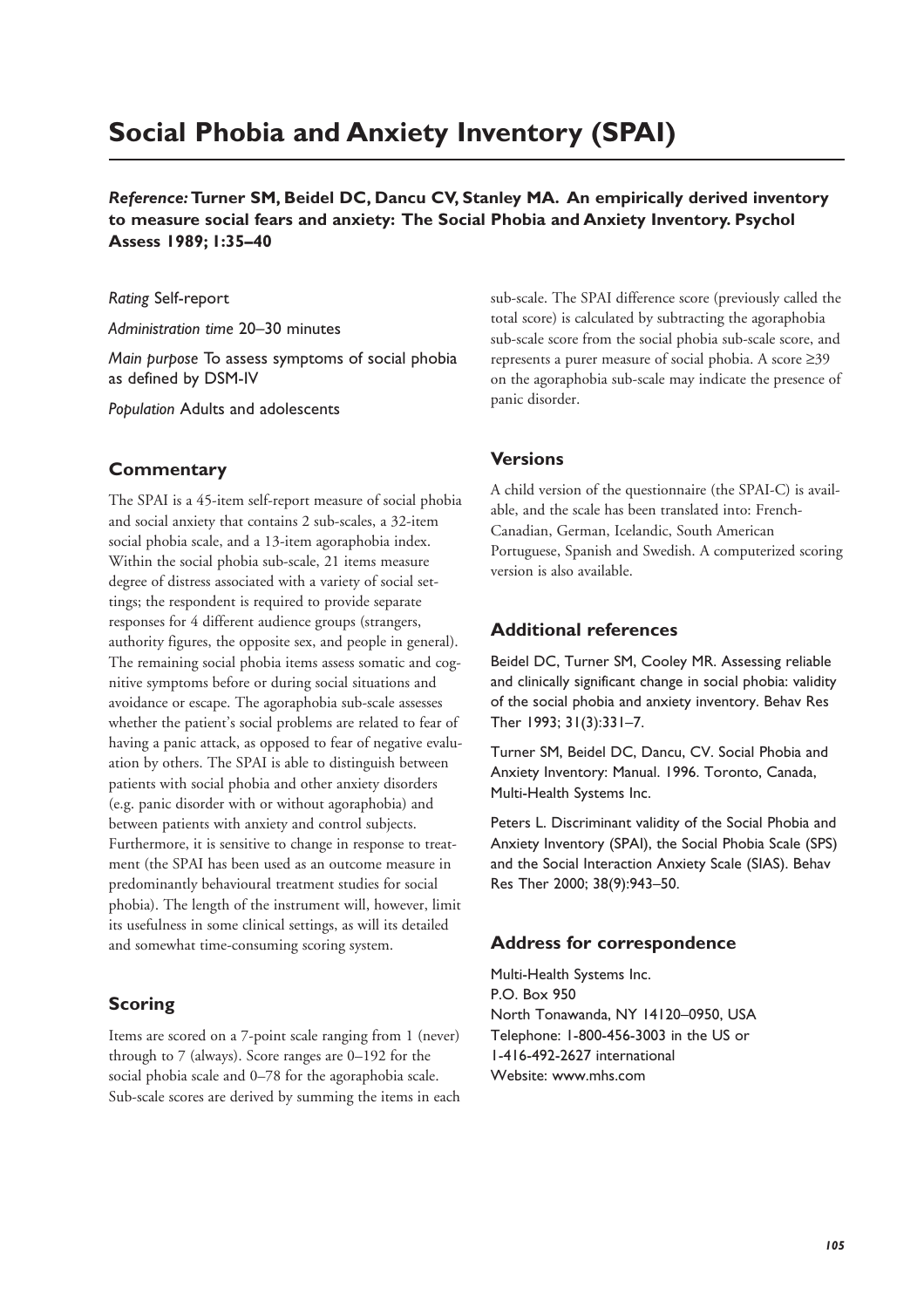# **Social Phobia and Anxiety Inventory (SPAI)**

*Reference:* **Turner SM, Beidel DC, Dancu CV, Stanley MA. An empirically derived inventory to measure social fears and anxiety: The Social Phobia and Anxiety Inventory. Psychol Assess 1989; 1:35–40**

*Rating* Self-report

*Administration time* 20–30 minutes

*Main purpose* To assess symptoms of social phobia as defined by DSM-IV

*Population* Adults and adolescents

# **Commentary**

The SPAI is a 45-item self-report measure of social phobia and social anxiety that contains 2 sub-scales, a 32-item social phobia scale, and a 13-item agoraphobia index. Within the social phobia sub-scale, 21 items measure degree of distress associated with a variety of social settings; the respondent is required to provide separate responses for 4 different audience groups (strangers, authority figures, the opposite sex, and people in general). The remaining social phobia items assess somatic and cognitive symptoms before or during social situations and avoidance or escape. The agoraphobia sub-scale assesses whether the patient's social problems are related to fear of having a panic attack, as opposed to fear of negative evaluation by others. The SPAI is able to distinguish between patients with social phobia and other anxiety disorders (e.g. panic disorder with or without agoraphobia) and between patients with anxiety and control subjects. Furthermore, it is sensitive to change in response to treatment (the SPAI has been used as an outcome measure in predominantly behavioural treatment studies for social phobia). The length of the instrument will, however, limit its usefulness in some clinical settings, as will its detailed and somewhat time-consuming scoring system.

# **Scoring**

Items are scored on a 7-point scale ranging from 1 (never) through to 7 (always). Score ranges are 0–192 for the social phobia scale and 0–78 for the agoraphobia scale. Sub-scale scores are derived by summing the items in each sub-scale. The SPAI difference score (previously called the total score) is calculated by subtracting the agoraphobia sub-scale score from the social phobia sub-scale score, and represents a purer measure of social phobia. A score ≥39 on the agoraphobia sub-scale may indicate the presence of panic disorder.

# **Versions**

A child version of the questionnaire (the SPAI-C) is available, and the scale has been translated into: French-Canadian, German, Icelandic, South American Portuguese, Spanish and Swedish. A computerized scoring version is also available.

# **Additional references**

Beidel DC, Turner SM, Cooley MR. Assessing reliable and clinically significant change in social phobia: validity of the social phobia and anxiety inventory. Behav Res Ther 1993; 31(3):331–7.

Turner SM, Beidel DC, Dancu, CV. Social Phobia and Anxiety Inventory: Manual. 1996. Toronto, Canada, Multi-Health Systems Inc.

Peters L. Discriminant validity of the Social Phobia and Anxiety Inventory (SPAI), the Social Phobia Scale (SPS) and the Social Interaction Anxiety Scale (SIAS). Behav Res Ther 2000; 38(9):943–50.

# **Address for correspondence**

Multi-Health Systems Inc. P.O. Box 950 North Tonawanda, NY 14120–0950, USA Telephone: 1-800-456-3003 in the US or 1-416-492-2627 international Website: www.mhs.com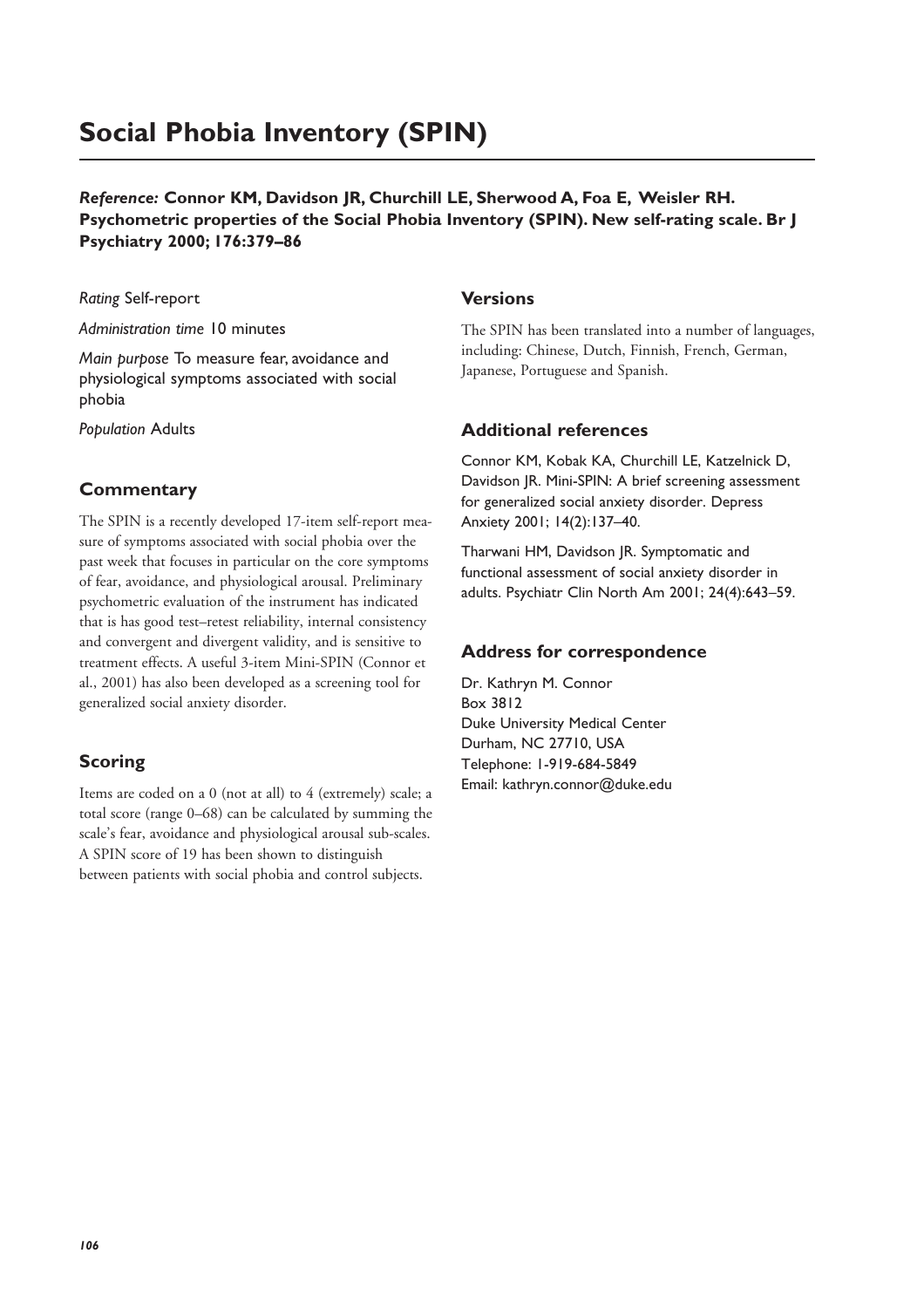# **Social Phobia Inventory (SPIN)**

*Reference:* **Connor KM, Davidson JR, Churchill LE, Sherwood A, Foa E, Weisler RH. Psychometric properties of the Social Phobia Inventory (SPIN). New self-rating scale. Br J Psychiatry 2000; 176:379–86**

*Rating* Self-report

*Administration time* 10 minutes

*Main purpose* To measure fear, avoidance and physiological symptoms associated with social phobia

*Population* Adults

# **Commentary**

The SPIN is a recently developed 17-item self-report measure of symptoms associated with social phobia over the past week that focuses in particular on the core symptoms of fear, avoidance, and physiological arousal. Preliminary psychometric evaluation of the instrument has indicated that is has good test–retest reliability, internal consistency and convergent and divergent validity, and is sensitive to treatment effects. A useful 3-item Mini-SPIN (Connor et al., 2001) has also been developed as a screening tool for generalized social anxiety disorder.

# **Scoring**

Items are coded on a 0 (not at all) to 4 (extremely) scale; a total score (range 0–68) can be calculated by summing the scale's fear, avoidance and physiological arousal sub-scales. A SPIN score of 19 has been shown to distinguish between patients with social phobia and control subjects.

# **Versions**

The SPIN has been translated into a number of languages, including: Chinese, Dutch, Finnish, French, German, Japanese, Portuguese and Spanish.

# **Additional references**

Connor KM, Kobak KA, Churchill LE, Katzelnick D, Davidson JR. Mini-SPIN: A brief screening assessment for generalized social anxiety disorder. Depress Anxiety 2001; 14(2):137–40.

Tharwani HM, Davidson JR. Symptomatic and functional assessment of social anxiety disorder in adults. Psychiatr Clin North Am 2001; 24(4):643–59.

# **Address for correspondence**

Dr. Kathryn M. Connor Box 3812 Duke University Medical Center Durham, NC 27710, USA Telephone: 1-919-684-5849 Email: kathryn.connor@duke.edu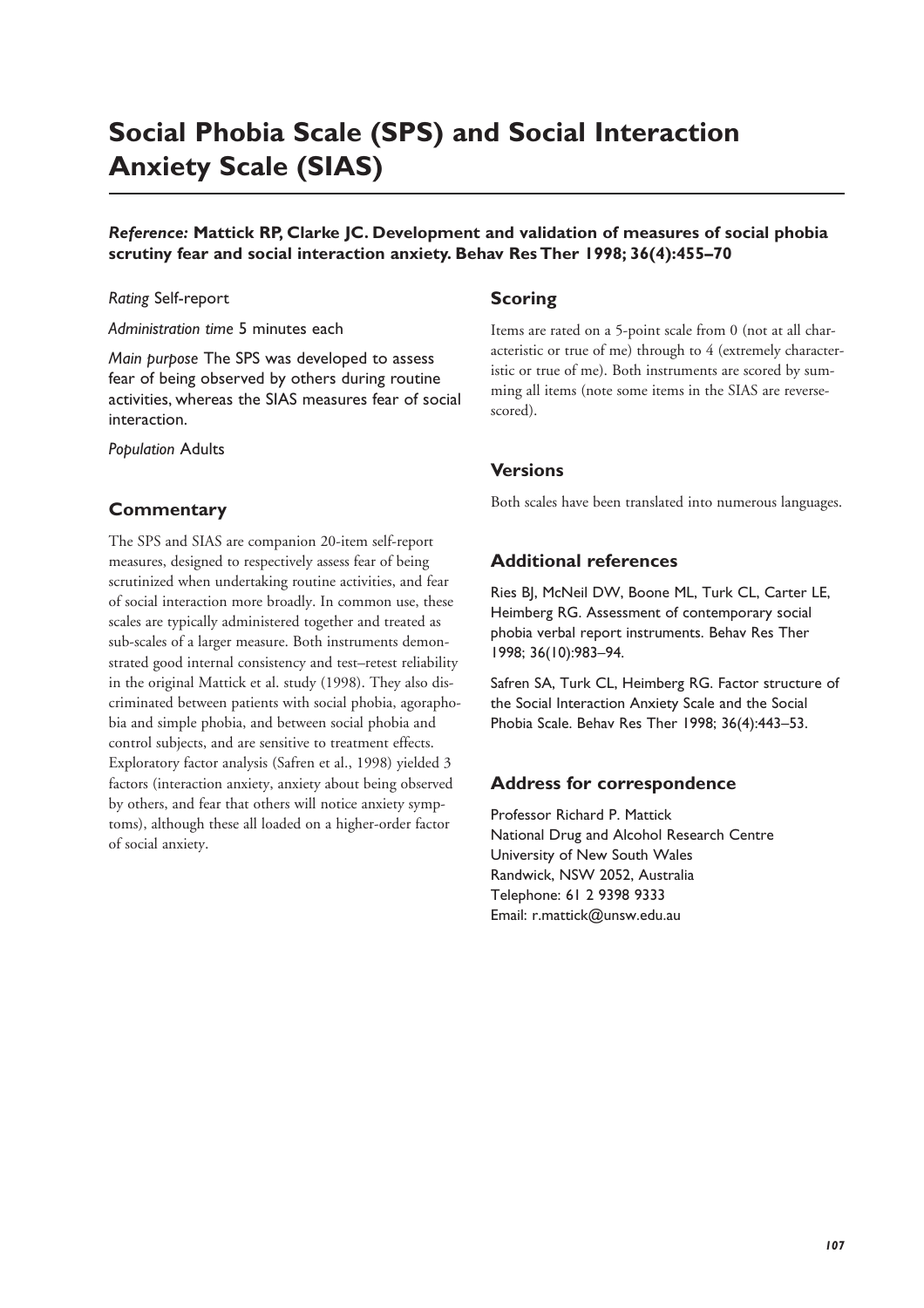# **Social Phobia Scale (SPS) and Social Interaction Anxiety Scale (SIAS)**

*Reference:* **Mattick RP, Clarke JC. Development and validation of measures of social phobia scrutiny fear and social interaction anxiety. Behav Res Ther 1998; 36(4):455–70**

#### *Rating* Self-report

*Administration time* 5 minutes each

*Main purpose* The SPS was developed to assess fear of being observed by others during routine activities, whereas the SIAS measures fear of social interaction.

*Population* Adults

# **Commentary**

The SPS and SIAS are companion 20-item self-report measures, designed to respectively assess fear of being scrutinized when undertaking routine activities, and fear of social interaction more broadly. In common use, these scales are typically administered together and treated as sub-scales of a larger measure. Both instruments demonstrated good internal consistency and test–retest reliability in the original Mattick et al. study (1998). They also discriminated between patients with social phobia, agoraphobia and simple phobia, and between social phobia and control subjects, and are sensitive to treatment effects. Exploratory factor analysis (Safren et al., 1998) yielded 3 factors (interaction anxiety, anxiety about being observed by others, and fear that others will notice anxiety symptoms), although these all loaded on a higher-order factor of social anxiety.

## **Scoring**

Items are rated on a 5-point scale from 0 (not at all characteristic or true of me) through to 4 (extremely characteristic or true of me). Both instruments are scored by summing all items (note some items in the SIAS are reversescored).

# **Versions**

Both scales have been translated into numerous languages.

# **Additional references**

Ries BJ, McNeil DW, Boone ML, Turk CL, Carter LE, Heimberg RG. Assessment of contemporary social phobia verbal report instruments. Behav Res Ther 1998; 36(10):983–94.

Safren SA, Turk CL, Heimberg RG. Factor structure of the Social Interaction Anxiety Scale and the Social Phobia Scale. Behav Res Ther 1998; 36(4):443–53.

# **Address for correspondence**

Professor Richard P. Mattick National Drug and Alcohol Research Centre University of New South Wales Randwick, NSW 2052, Australia Telephone: 61 2 9398 9333 Email: r.mattick@unsw.edu.au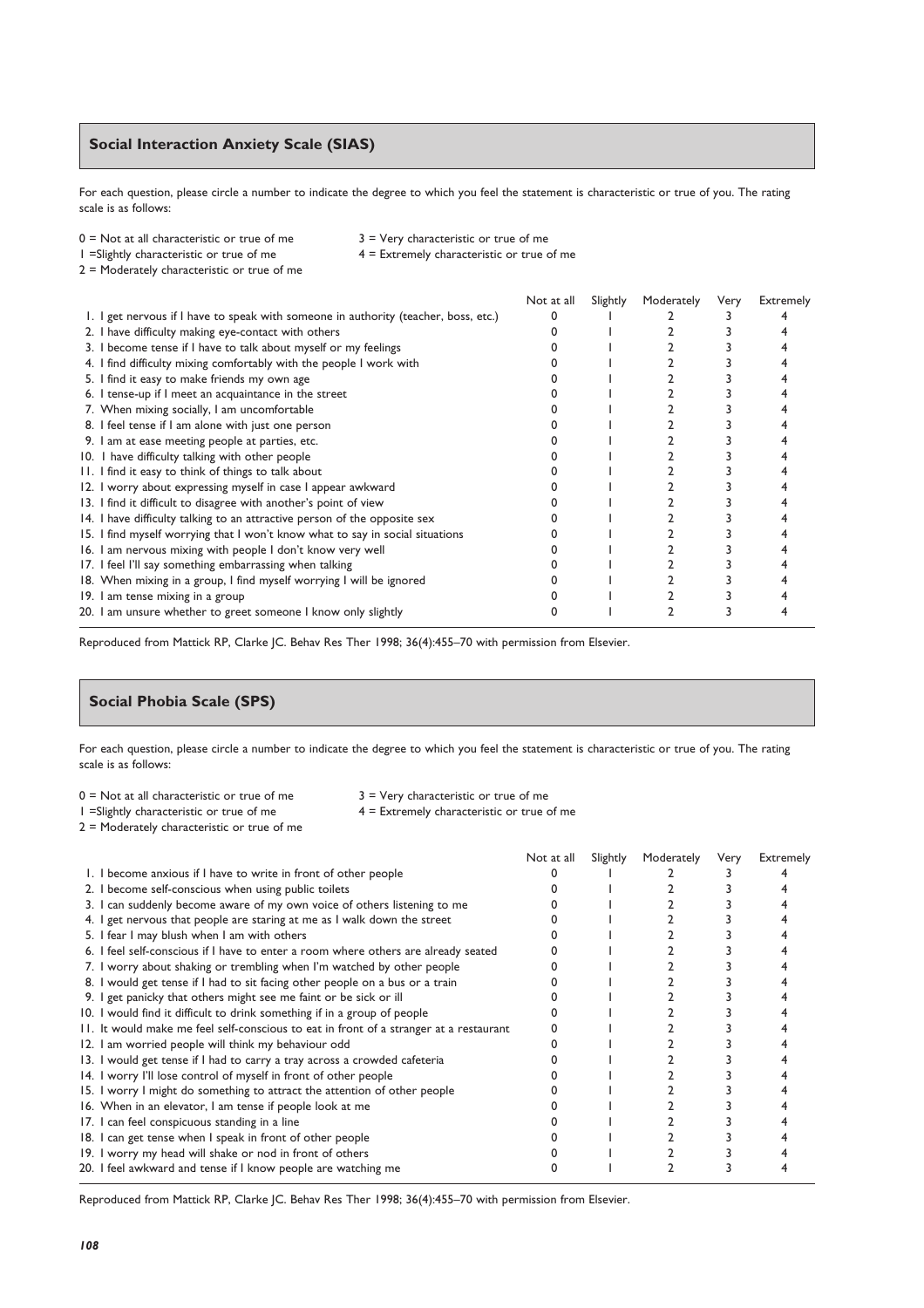#### **Social Interaction Anxiety Scale (SIAS)**

For each question, please circle a number to indicate the degree to which you feel the statement is characteristic or true of you. The rating scale is as follows:

- $0 =$  Not at all characteristic or true of me  $3 =$  Very characteristic or true of me
- 1 =Slightly characteristic or true of me 4 = Extremely characteristic or true of me 2 = Moderately characteristic or true of me

|                                                                                     | Not at all | Slightly | Moderately | Very | <b>Extremely</b> |
|-------------------------------------------------------------------------------------|------------|----------|------------|------|------------------|
| 1. I get nervous if I have to speak with someone in authority (teacher, boss, etc.) |            |          |            |      |                  |
| 2. I have difficulty making eye-contact with others                                 |            |          |            |      |                  |
| 3. I become tense if I have to talk about myself or my feelings                     |            |          |            |      |                  |
| 4. I find difficulty mixing comfortably with the people I work with                 |            |          |            |      |                  |
| 5. I find it easy to make friends my own age                                        |            |          |            |      |                  |
| 6. I tense-up if I meet an acquaintance in the street                               |            |          |            |      |                  |
| 7. When mixing socially, I am uncomfortable                                         |            |          |            |      |                  |
| 8. I feel tense if I am alone with just one person                                  |            |          |            |      |                  |
| 9. I am at ease meeting people at parties, etc.                                     |            |          |            |      |                  |
| 10. I have difficulty talking with other people                                     |            |          |            |      |                  |
| 11. I find it easy to think of things to talk about                                 |            |          |            |      |                  |
| 12. I worry about expressing myself in case I appear awkward                        |            |          |            |      |                  |
| 13. I find it difficult to disagree with another's point of view                    |            |          |            |      |                  |
| 14. I have difficulty talking to an attractive person of the opposite sex           |            |          |            |      |                  |
| 15. I find myself worrying that I won't know what to say in social situations       |            |          |            |      |                  |
| 16. I am nervous mixing with people I don't know very well                          |            |          |            |      |                  |
| 17. I feel I'll say something embarrassing when talking                             |            |          |            |      |                  |
| 18. When mixing in a group, I find myself worrying I will be ignored                |            |          |            |      |                  |
| 19. I am tense mixing in a group                                                    |            |          |            |      |                  |
| 20. I am unsure whether to greet someone I know only slightly                       |            |          |            |      |                  |

Reproduced from Mattick RP, Clarke JC. Behav Res Ther 1998; 36(4):455–70 with permission from Elsevier.

#### **Social Phobia Scale (SPS)**

For each question, please circle a number to indicate the degree to which you feel the statement is characteristic or true of you. The rating scale is as follows:

| $0$ = Not at all characteristic or true of me | $3 = \text{Very characteristic or true of me}$ |
|-----------------------------------------------|------------------------------------------------|
|-----------------------------------------------|------------------------------------------------|

- 
- 
- 
- 1 =Slightly characteristic or true of me 4 = Extremely characteristic or true of me 2 = Moderately characteristic or true of me Not at all Slightly Moderately Very Extremely 1. I become anxious if I have to write in front of other people 0 1 2 3 4 2. I become self-conscious when using public toilets **12 1 2 3 1 2 4** 3 4 4 2 3 4 4 2 3 4 4 2 3 4 4 2 3 4 4 2 3 4 4  $\frac{1}{2}$  1 2 3 4 4  $\frac{1}{2}$  1 2 3 4 4  $\frac{1}{2}$  1 2 3 4 4  $\frac{1}{2}$  1 2 3 4 4  $\frac{1}{2}$  1 2 3 4  $\frac{1}{2}$ 3. I can suddenly become aware of my own voice of others listening to me 0 1 2 3 4 4. I get nervous that people are staring at me as I walk down the street  $\begin{array}{cccc} 0 & 1 & 2 & 3 & 4 \end{array}$ 5. I fear I may blush when I am with others 0 1 2 3 4 6. I feel self-conscious if I have to enter a room where others are already seated 0 1 2 3 4 7. I worry about shaking or trembling when I'm watched by other people  $\begin{array}{ccc} 0 & 1 & 2 & 3 & 4 \end{array}$ 8. I would get tense if I had to sit facing other people on a bus or a train  $\begin{array}{cccc} 0 & 1 & 2 & 3 & 4 \end{array}$ 9. I get panicky that others might see me faint or be sick or ill  $\begin{array}{cccc} 0 & 1 & 2 & 3 & 4 \end{array}$ 10. I would find it difficult to drink something if in a group of people 1 1 2 3 4 1 1 2 3 4 1 1 2 3 4 1 1 2 3 4 1 1 2 3 4 4 1 1 k 1 would make me feel self-conscious to eat in front of a stranger at a restaurant 1 0 1 2 3 11. It would make me feel self-conscious to eat in front of a stranger at a restaurant 0 1 2 3 12. I am worried people will think my behaviour odd **12** 1 2 3 4 4 and 12 and 12 4 3 4 4 and 12 and 12 and 12 and 12 4 4 and 12 and 12 and 12 and 12 and 12 and 12 and 12 and 12 and 12 and 12 and 12 and 12 and 12 and 12 and 13. I would get tense if I had to carry a tray across a crowded cafeteria **12** 1 2 3 4 4 14. I worry I'll lose control of myself in front of other people **0** 1 2 3 4 15. I worry I might do something to attract the attention of other people  $\begin{array}{cccc} 0 & 1 & 2 & 3 & 4 \end{array}$ 16. When in an elevator, I am tense if people look at me 0 1 2 3 4 17. I can feel conspicuous standing in a line 0 1 2 3 4 18. I can get tense when I speak in front of other people 1992 1 2 3 4 3 4 4 3 4 4 3 4 4 3 4 4 3 4 4 3 4 4 3 4 4  $\frac{1}{2}$  3 4 4  $\frac{1}{2}$  3 4 4  $\frac{1}{2}$  3 4 4  $\frac{1}{2}$  3 4  $\frac{1}{2}$  3 4  $\frac{1}{2}$  3 4  $\frac{1}{2}$  3 4  $\frac{1$ 19. I worry my head will shake or nod in front of others **1888** 10 1 2 3 4 2 3 4 4 2 3 4 4 2 3 4 2 3 4 2 3 4 2 3 4 2 3 4 2 3 4 2 3 4 2 3 4 2 3 4 2 3 4 2 3 4 2 3 4 2 3 4 2 3 4 2 3 4 2 3 4 2 3 4 2 3 4 2 3 4 2 3 4 2 3 4 2 3 4 20. I feel awkward and tense if I know people are watching me 0 1 2 3 4

Reproduced from Mattick RP, Clarke JC. Behav Res Ther 1998; 36(4):455–70 with permission from Elsevier.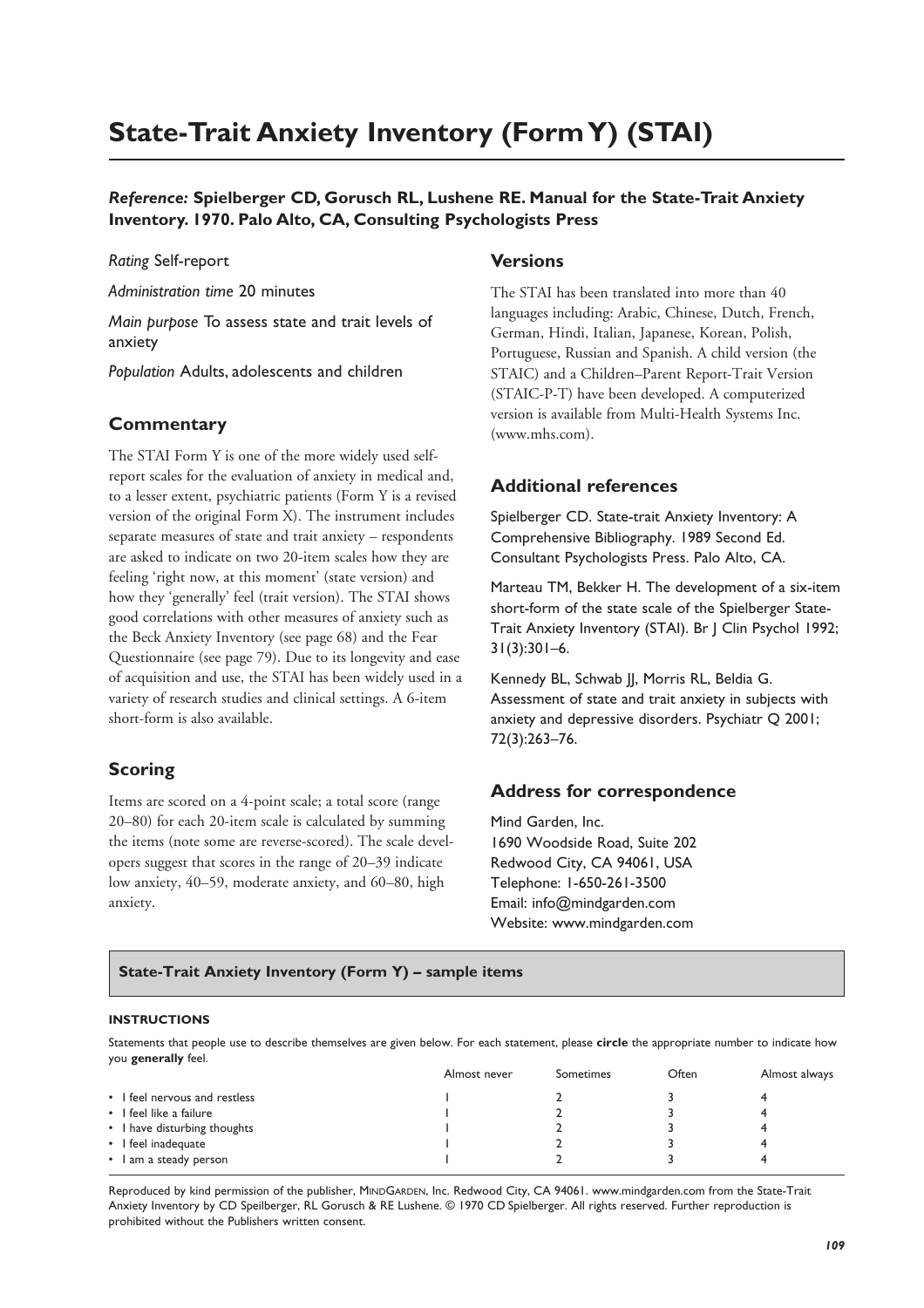# **State-Trait Anxiety Inventory (Form Y) (STAI)**

*Reference:* **Spielberger CD, Gorusch RL, Lushene RE. Manual for the State-Trait Anxiety Inventory. 1970. Palo Alto, CA, Consulting Psychologists Press**

*Rating* Self-report

*Administration time* 20 minutes

*Main purpose* To assess state and trait levels of anxiety

*Population* Adults, adolescents and children

# **Commentary**

The STAI Form Y is one of the more widely used selfreport scales for the evaluation of anxiety in medical and, to a lesser extent, psychiatric patients (Form Y is a revised version of the original Form X). The instrument includes separate measures of state and trait anxiety – respondents are asked to indicate on two 20-item scales how they are feeling 'right now, at this moment' (state version) and how they 'generally' feel (trait version). The STAI shows good correlations with other measures of anxiety such as the Beck Anxiety Inventory (see page 68) and the Fear Questionnaire (see page 79). Due to its longevity and ease of acquisition and use, the STAI has been widely used in a variety of research studies and clinical settings. A 6-item short-form is also available.

# **Scoring**

Items are scored on a 4-point scale; a total score (range 20–80) for each 20-item scale is calculated by summing the items (note some are reverse-scored). The scale developers suggest that scores in the range of 20–39 indicate low anxiety, 40–59, moderate anxiety, and 60–80, high anxiety.

## **Versions**

The STAI has been translated into more than 40 languages including: Arabic, Chinese, Dutch, French, German, Hindi, Italian, Japanese, Korean, Polish, Portuguese, Russian and Spanish. A child version (the STAIC) and a Children–Parent Report-Trait Version (STAIC-P-T) have been developed. A computerized version is available from Multi-Health Systems Inc. (www.mhs.com).

# **Additional references**

Spielberger CD. State-trait Anxiety Inventory: A Comprehensive Bibliography. 1989 Second Ed. Consultant Psychologists Press. Palo Alto, CA.

Marteau TM, Bekker H. The development of a six-item short-form of the state scale of the Spielberger State-Trait Anxiety Inventory (STAI). Br J Clin Psychol 1992; 31(3):301–6.

Kennedy BL, Schwab JJ, Morris RL, Beldia G. Assessment of state and trait anxiety in subjects with anxiety and depressive disorders. Psychiatr Q 2001; 72(3):263–76.

#### **Address for correspondence**

Mind Garden, Inc. 1690 Woodside Road, Suite 202 Redwood City, CA 94061, USA Telephone: 1-650-261-3500 Email: info@mindgarden.com Website: www.mindgarden.com

#### **State-Trait Anxiety Inventory (Form Y) – sample items**

#### **INSTRUCTIONS**

Statements that people use to describe themselves are given below. For each statement, please **circle** the appropriate number to indicate how you **generally** feel.

|                               | Almost never | Sometimes | Often | Almost always |
|-------------------------------|--------------|-----------|-------|---------------|
| • I feel nervous and restless |              |           |       |               |
| • I feel like a failure       |              |           |       |               |
| • I have disturbing thoughts  |              |           |       |               |
| • I feel inadequate           |              |           |       |               |
| • I am a steady person        |              |           |       |               |

Reproduced by kind permission of the publisher, MINDGARDEN, Inc. Redwood City, CA 94061. www.mindgarden.com from the State-Trait Anxiety Inventory by CD Speilberger, RL Gorusch & RE Lushene. © 1970 CD Spielberger. All rights reserved. Further reproduction is prohibited without the Publishers written consent.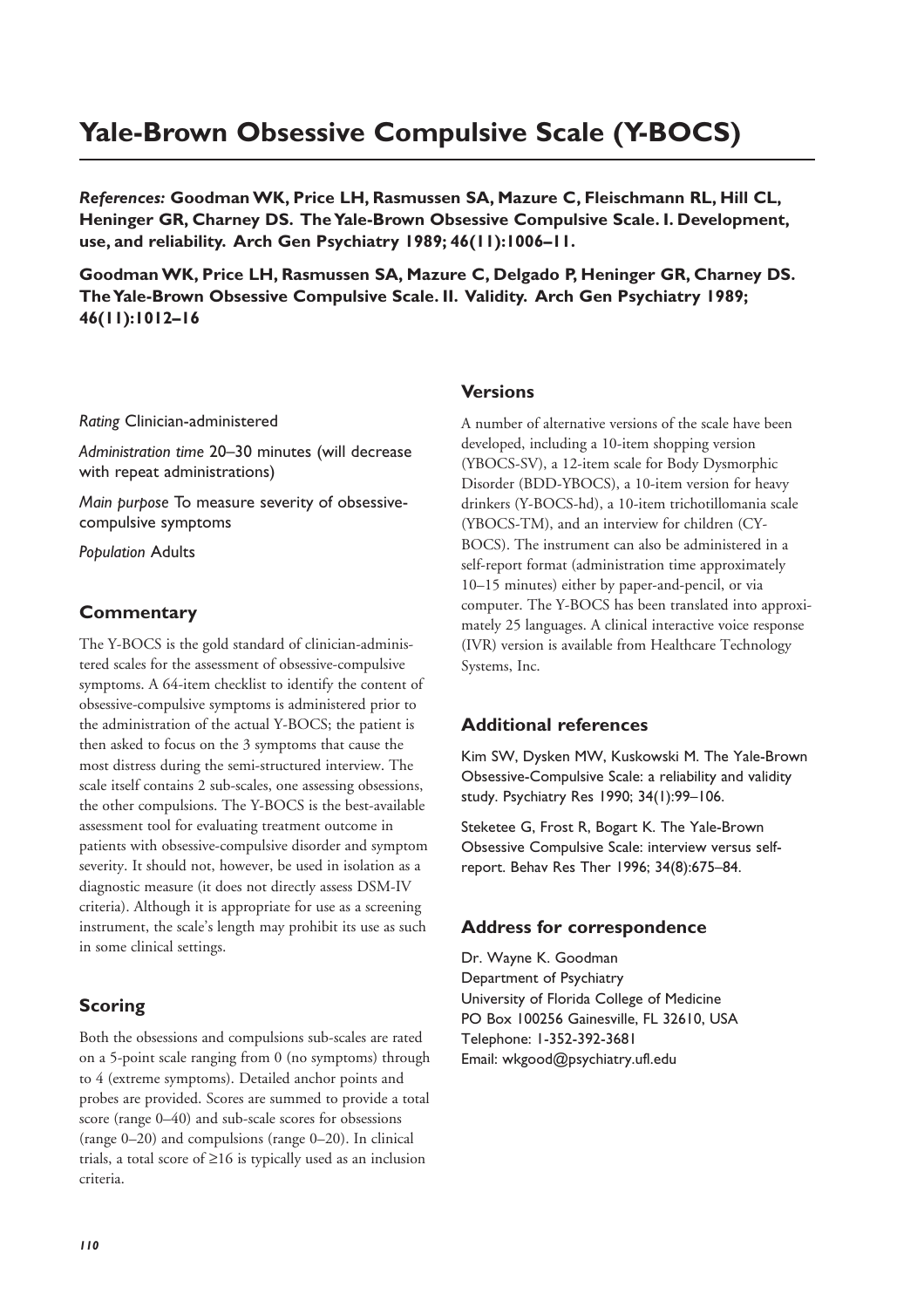*References:* **Goodman WK, Price LH, Rasmussen SA, Mazure C, Fleischmann RL, Hill CL, Heninger GR, Charney DS. The Yale-Brown Obsessive Compulsive Scale. I. Development, use, and reliability. Arch Gen Psychiatry 1989; 46(11):1006–11.**

**Goodman WK, Price LH, Rasmussen SA, Mazure C, Delgado P, Heninger GR, Charney DS. The Yale-Brown Obsessive Compulsive Scale. II. Validity. Arch Gen Psychiatry 1989; 46(11):1012–16**

## *Rating* Clinician-administered

*Administration time* 20–30 minutes (will decrease with repeat administrations)

*Main purpose* To measure severity of obsessivecompulsive symptoms

*Population* Adults

# **Commentary**

The Y-BOCS is the gold standard of clinician-administered scales for the assessment of obsessive-compulsive symptoms. A 64-item checklist to identify the content of obsessive-compulsive symptoms is administered prior to the administration of the actual Y-BOCS; the patient is then asked to focus on the 3 symptoms that cause the most distress during the semi-structured interview. The scale itself contains 2 sub-scales, one assessing obsessions, the other compulsions. The Y-BOCS is the best-available assessment tool for evaluating treatment outcome in patients with obsessive-compulsive disorder and symptom severity. It should not, however, be used in isolation as a diagnostic measure (it does not directly assess DSM-IV criteria). Although it is appropriate for use as a screening instrument, the scale's length may prohibit its use as such in some clinical settings.

# **Scoring**

Both the obsessions and compulsions sub-scales are rated on a 5-point scale ranging from 0 (no symptoms) through to 4 (extreme symptoms). Detailed anchor points and probes are provided. Scores are summed to provide a total score (range 0–40) and sub-scale scores for obsessions (range 0–20) and compulsions (range 0–20). In clinical trials, a total score of ≥16 is typically used as an inclusion criteria.

# **Versions**

A number of alternative versions of the scale have been developed, including a 10-item shopping version (YBOCS-SV), a 12-item scale for Body Dysmorphic Disorder (BDD-YBOCS), a 10-item version for heavy drinkers (Y-BOCS-hd), a 10-item trichotillomania scale (YBOCS-TM), and an interview for children (CY-BOCS). The instrument can also be administered in a self-report format (administration time approximately 10–15 minutes) either by paper-and-pencil, or via computer. The Y-BOCS has been translated into approximately 25 languages. A clinical interactive voice response (IVR) version is available from Healthcare Technology Systems, Inc.

# **Additional references**

Kim SW, Dysken MW, Kuskowski M. The Yale-Brown Obsessive-Compulsive Scale: a reliability and validity study. Psychiatry Res 1990; 34(1):99–106.

Steketee G, Frost R, Bogart K. The Yale-Brown Obsessive Compulsive Scale: interview versus selfreport. Behav Res Ther 1996; 34(8):675–84.

# **Address for correspondence**

Dr. Wayne K. Goodman Department of Psychiatry University of Florida College of Medicine PO Box 100256 Gainesville, FL 32610, USA Telephone: 1-352-392-3681 Email: wkgood@psychiatry.ufl.edu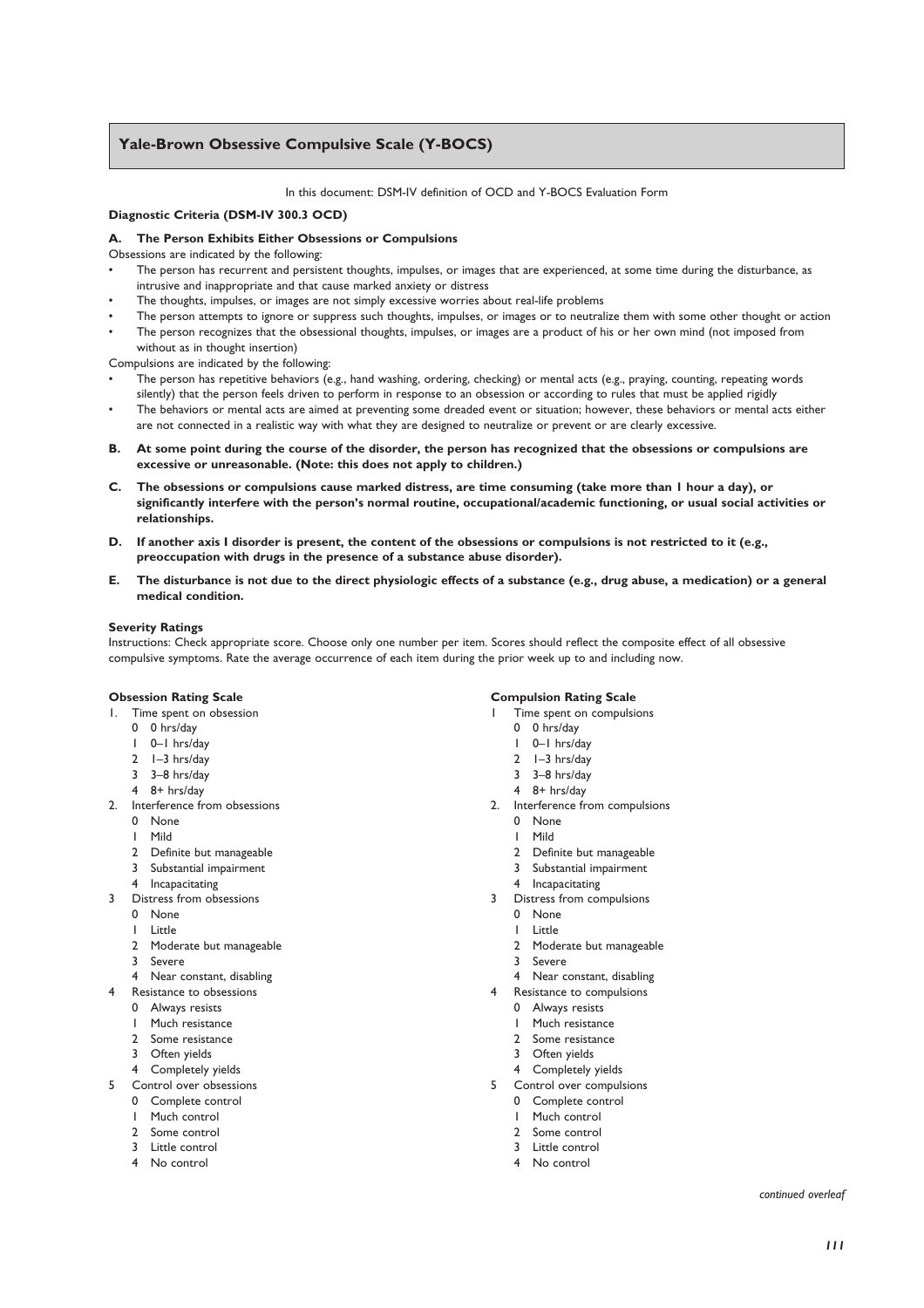#### **Yale-Brown Obsessive Compulsive Scale (Y-BOCS)**

In this document: DSM-IV definition of OCD and Y-BOCS Evaluation Form

#### **Diagnostic Criteria (DSM-IV 300.3 OCD)**

#### **A. The Person Exhibits Either Obsessions or Compulsions**

Obsessions are indicated by the following:

- The person has recurrent and persistent thoughts, impulses, or images that are experienced, at some time during the disturbance, as intrusive and inappropriate and that cause marked anxiety or distress
- The thoughts, impulses, or images are not simply excessive worries about real-life problems
- The person attempts to ignore or suppress such thoughts, impulses, or images or to neutralize them with some other thought or action
- The person recognizes that the obsessional thoughts, impulses, or images are a product of his or her own mind (not imposed from without as in thought insertion)

Compulsions are indicated by the following:

- The person has repetitive behaviors (e.g., hand washing, ordering, checking) or mental acts (e.g., praying, counting, repeating words silently) that the person feels driven to perform in response to an obsession or according to rules that must be applied rigidly
- The behaviors or mental acts are aimed at preventing some dreaded event or situation; however, these behaviors or mental acts either are not connected in a realistic way with what they are designed to neutralize or prevent or are clearly excessive.
- **B. At some point during the course of the disorder, the person has recognized that the obsessions or compulsions are excessive or unreasonable. (Note: this does not apply to children.)**
- **C. The obsessions or compulsions cause marked distress, are time consuming (take more than 1 hour a day), or significantly interfere with the person's normal routine, occupational/academic functioning, or usual social activities or relationships.**
- **D. If another axis I disorder is present, the content of the obsessions or compulsions is not restricted to it (e.g., preoccupation with drugs in the presence of a substance abuse disorder).**
- **E. The disturbance is not due to the direct physiologic effects of a substance (e.g., drug abuse, a medication) or a general medical condition.**

#### **Severity Ratings**

Instructions: Check appropriate score. Choose only one number per item. Scores should reflect the composite effect of all obsessive compulsive symptoms. Rate the average occurrence of each item during the prior week up to and including now.

#### **Obsession Rating Scale**

1. Time spent on obsession

- 0 0 hrs/day
- 1 0–1 hrs/day
- 2 1–3 hrs/day
- 3 3–8 hrs/day
- $4$  8+ hrs/day
- 2. Interference from obsessions
	- 0 None
	- 1 Mild
	- 2 Definite but manageable
	- 3 Substantial impairment
	- 4 Incapacitating
- 3 Distress from obsessions
	- 0 None
	- 1 Little
	- 2 Moderate but manageable
	- 3 Severe
- 4 Near constant, disabling
- Resistance to obsessions
	- 0 Always resists
	- 1 Much resistance
	- 2 Some resistance
	- 3 Often yields
- 4 Completely yields Control over obsessions
- 0 Complete control
- 1 Much control
- 2 Some control
- 3 Little control
- 4 No control

#### **Compulsion Rating Scale**

- Time spent on compulsions
	- 0 0 hrs/day
	- 1 0–1 hrs/day
	- 2 1–3 hrs/day
	- 3 3–8 hrs/day
	- $4$  8+ hrs/day
- 2. Interference from compulsions
	- 0 None
	- 1 Mild
	- 2 Definite but manageable
	- 3 Substantial impairment
	- 4 Incapacitating
- 3 Distress from compulsions
	- 0 None
	- 1 Little
	- 2 Moderate but manageable
	- 3 Severe
	- 4 Near constant, disabling
- 4 Resistance to compulsions
	- 0 Always resists
	- 1 Much resistance
	- 2 Some resistance
	- 3 Often yields
	- 4 Completely yields
- 5 Control over compulsions
	- 0 Complete control
	- 1 Much control
	- 2 Some control
	- 3 Little control
	- 4 No control

*continued overleaf*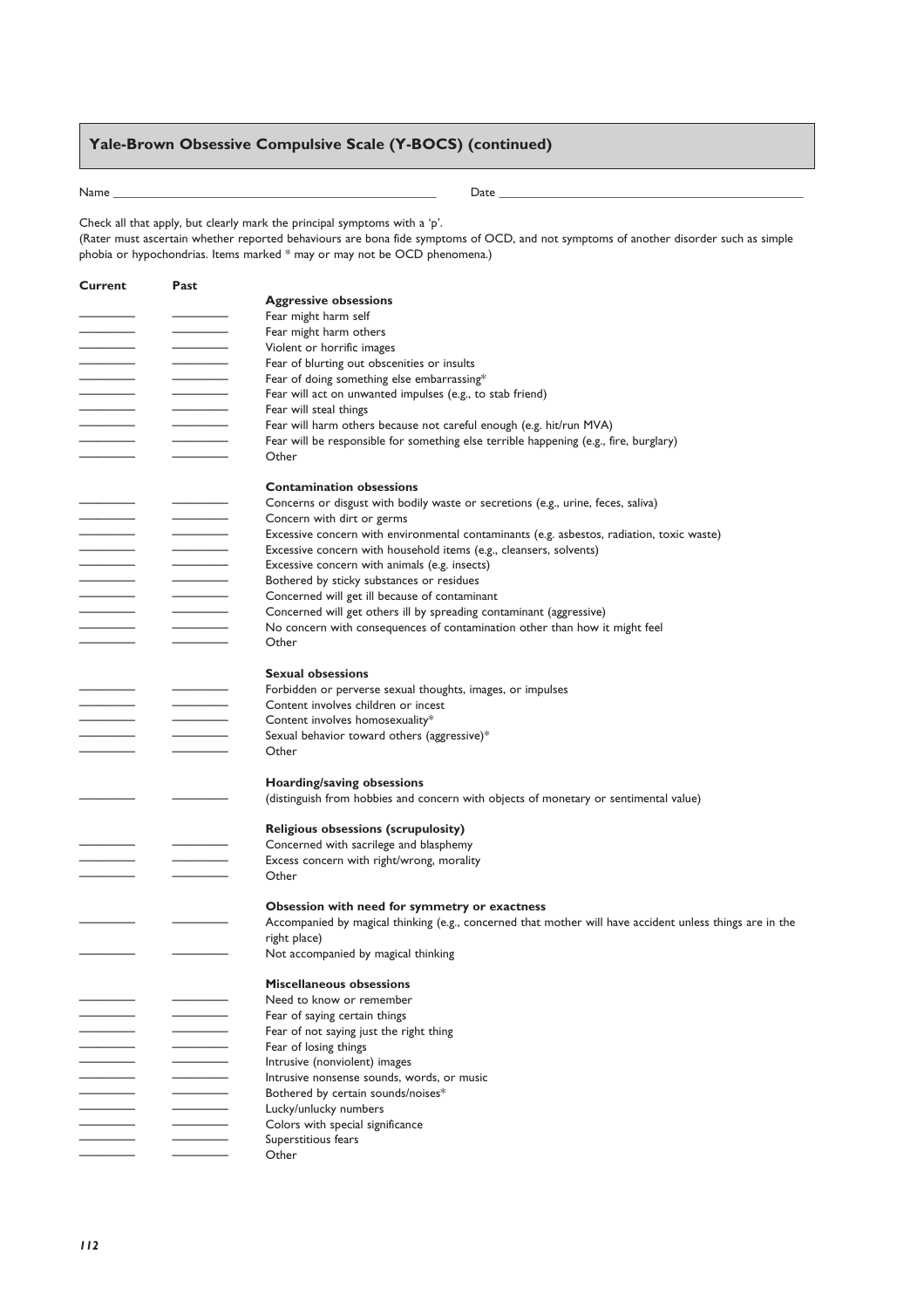# **Yale-Brown Obsessive Compulsive Scale (Y-BOCS) (continued)**

Name \_\_\_\_\_\_\_\_\_\_\_\_\_\_\_\_\_\_\_\_\_\_\_\_\_\_\_\_\_\_\_\_\_\_\_\_\_\_\_\_\_\_\_\_\_\_\_\_\_\_\_\_ Date \_\_\_\_\_\_\_\_\_\_\_\_\_\_\_\_\_\_\_\_\_\_\_\_\_\_\_\_\_\_\_\_\_\_\_\_\_\_\_\_\_\_\_\_\_\_\_\_\_

Check all that apply, but clearly mark the principal symptoms with a 'p'.

(Rater must ascertain whether reported behaviours are bona fide symptoms of OCD, and not symptoms of another disorder such as simple phobia or hypochondrias. Items marked \* may or may not be OCD phenomena.)

| Current | Past |                                                                                                          |
|---------|------|----------------------------------------------------------------------------------------------------------|
|         |      | <b>Aggressive obsessions</b>                                                                             |
|         |      | Fear might harm self                                                                                     |
|         |      | Fear might harm others                                                                                   |
|         |      | Violent or horrific images                                                                               |
|         |      | Fear of blurting out obscenities or insults                                                              |
|         |      | Fear of doing something else embarrassing*                                                               |
|         |      | Fear will act on unwanted impulses (e.g., to stab friend)                                                |
|         |      | Fear will steal things                                                                                   |
|         |      | Fear will harm others because not careful enough (e.g. hit/run MVA)                                      |
|         |      | Fear will be responsible for something else terrible happening (e.g., fire, burglary)                    |
|         |      | Other                                                                                                    |
|         |      |                                                                                                          |
|         |      | <b>Contamination obsessions</b>                                                                          |
|         |      | Concerns or disgust with bodily waste or secretions (e.g., urine, feces, saliva)                         |
|         |      | Concern with dirt or germs                                                                               |
|         |      | Excessive concern with environmental contaminants (e.g. asbestos, radiation, toxic waste)                |
|         |      | Excessive concern with household items (e.g., cleansers, solvents)                                       |
|         |      |                                                                                                          |
|         |      | Excessive concern with animals (e.g. insects)                                                            |
|         |      | Bothered by sticky substances or residues                                                                |
|         |      | Concerned will get ill because of contaminant                                                            |
|         |      | Concerned will get others ill by spreading contaminant (aggressive)                                      |
|         |      | No concern with consequences of contamination other than how it might feel                               |
|         |      | Other                                                                                                    |
|         |      |                                                                                                          |
|         |      | <b>Sexual obsessions</b>                                                                                 |
|         |      | Forbidden or perverse sexual thoughts, images, or impulses                                               |
|         |      | Content involves children or incest                                                                      |
|         |      | Content involves homosexuality*                                                                          |
|         |      | Sexual behavior toward others (aggressive)*                                                              |
|         |      | Other                                                                                                    |
|         |      |                                                                                                          |
|         |      | Hoarding/saving obsessions                                                                               |
|         |      | (distinguish from hobbies and concern with objects of monetary or sentimental value)                     |
|         |      |                                                                                                          |
|         |      | <b>Religious obsessions (scrupulosity)</b>                                                               |
|         |      | Concerned with sacrilege and blasphemy                                                                   |
|         |      | Excess concern with right/wrong, morality                                                                |
|         |      | Other                                                                                                    |
|         |      |                                                                                                          |
|         |      | Obsession with need for symmetry or exactness                                                            |
|         |      | Accompanied by magical thinking (e.g., concerned that mother will have accident unless things are in the |
|         |      | right place)                                                                                             |
|         |      | Not accompanied by magical thinking                                                                      |
|         |      |                                                                                                          |
|         |      | Miscellaneous obsessions                                                                                 |
|         |      | Need to know or remember                                                                                 |
|         |      | Fear of saying certain things                                                                            |
|         |      | Fear of not saying just the right thing                                                                  |
|         |      | Fear of losing things                                                                                    |
|         |      | Intrusive (nonviolent) images                                                                            |
|         |      | Intrusive nonsense sounds, words, or music                                                               |
|         |      | Bothered by certain sounds/noises*                                                                       |
|         |      | Lucky/unlucky numbers                                                                                    |
|         |      | Colors with special significance                                                                         |
|         |      | Superstitious fears                                                                                      |
|         |      | Other                                                                                                    |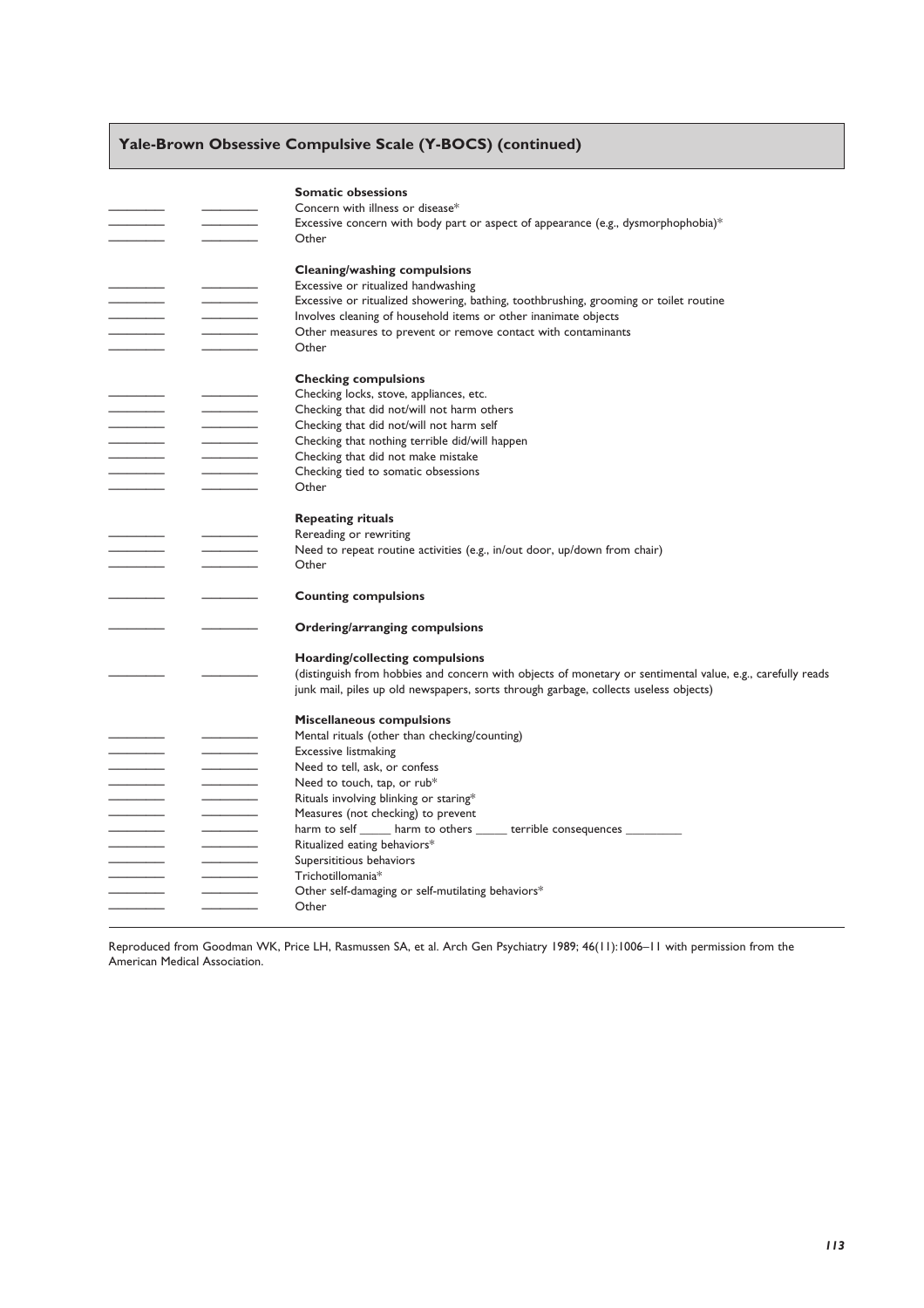# **Yale-Brown Obsessive Compulsive Scale (Y-BOCS) (continued)**

|                            |                                                                                                                                                                                                                                                                                                                                                                                                                                                                            | <b>Somatic obsessions</b>                                                                                  |
|----------------------------|----------------------------------------------------------------------------------------------------------------------------------------------------------------------------------------------------------------------------------------------------------------------------------------------------------------------------------------------------------------------------------------------------------------------------------------------------------------------------|------------------------------------------------------------------------------------------------------------|
|                            |                                                                                                                                                                                                                                                                                                                                                                                                                                                                            | Concern with illness or disease*                                                                           |
|                            |                                                                                                                                                                                                                                                                                                                                                                                                                                                                            | Excessive concern with body part or aspect of appearance (e.g., dysmorphophobia)*                          |
|                            |                                                                                                                                                                                                                                                                                                                                                                                                                                                                            | Other                                                                                                      |
|                            |                                                                                                                                                                                                                                                                                                                                                                                                                                                                            |                                                                                                            |
|                            |                                                                                                                                                                                                                                                                                                                                                                                                                                                                            | <b>Cleaning/washing compulsions</b>                                                                        |
|                            |                                                                                                                                                                                                                                                                                                                                                                                                                                                                            | Excessive or ritualized handwashing                                                                        |
|                            |                                                                                                                                                                                                                                                                                                                                                                                                                                                                            | Excessive or ritualized showering, bathing, toothbrushing, grooming or toilet routine                      |
|                            |                                                                                                                                                                                                                                                                                                                                                                                                                                                                            | Involves cleaning of household items or other inanimate objects                                            |
|                            |                                                                                                                                                                                                                                                                                                                                                                                                                                                                            | Other measures to prevent or remove contact with contaminants                                              |
|                            |                                                                                                                                                                                                                                                                                                                                                                                                                                                                            | Other                                                                                                      |
|                            |                                                                                                                                                                                                                                                                                                                                                                                                                                                                            |                                                                                                            |
|                            |                                                                                                                                                                                                                                                                                                                                                                                                                                                                            | <b>Checking compulsions</b>                                                                                |
|                            |                                                                                                                                                                                                                                                                                                                                                                                                                                                                            | Checking locks, stove, appliances, etc.                                                                    |
|                            |                                                                                                                                                                                                                                                                                                                                                                                                                                                                            | Checking that did not/will not harm others                                                                 |
|                            |                                                                                                                                                                                                                                                                                                                                                                                                                                                                            | Checking that did not/will not harm self                                                                   |
|                            |                                                                                                                                                                                                                                                                                                                                                                                                                                                                            | Checking that nothing terrible did/will happen                                                             |
| <u> Liberatura de la p</u> |                                                                                                                                                                                                                                                                                                                                                                                                                                                                            | Checking that did not make mistake                                                                         |
|                            |                                                                                                                                                                                                                                                                                                                                                                                                                                                                            | Checking tied to somatic obsessions                                                                        |
|                            |                                                                                                                                                                                                                                                                                                                                                                                                                                                                            | Other                                                                                                      |
|                            |                                                                                                                                                                                                                                                                                                                                                                                                                                                                            | <b>Repeating rituals</b>                                                                                   |
|                            |                                                                                                                                                                                                                                                                                                                                                                                                                                                                            | Rereading or rewriting                                                                                     |
|                            |                                                                                                                                                                                                                                                                                                                                                                                                                                                                            | Need to repeat routine activities (e.g., in/out door, up/down from chair)                                  |
|                            |                                                                                                                                                                                                                                                                                                                                                                                                                                                                            | Other                                                                                                      |
|                            |                                                                                                                                                                                                                                                                                                                                                                                                                                                                            |                                                                                                            |
|                            |                                                                                                                                                                                                                                                                                                                                                                                                                                                                            | <b>Counting compulsions</b>                                                                                |
|                            |                                                                                                                                                                                                                                                                                                                                                                                                                                                                            | <b>Ordering/arranging compulsions</b>                                                                      |
|                            |                                                                                                                                                                                                                                                                                                                                                                                                                                                                            | Hoarding/collecting compulsions                                                                            |
|                            |                                                                                                                                                                                                                                                                                                                                                                                                                                                                            | (distinguish from hobbies and concern with objects of monetary or sentimental value, e.g., carefully reads |
|                            |                                                                                                                                                                                                                                                                                                                                                                                                                                                                            | junk mail, piles up old newspapers, sorts through garbage, collects useless objects)                       |
|                            |                                                                                                                                                                                                                                                                                                                                                                                                                                                                            |                                                                                                            |
|                            |                                                                                                                                                                                                                                                                                                                                                                                                                                                                            | <b>Miscellaneous compulsions</b>                                                                           |
|                            |                                                                                                                                                                                                                                                                                                                                                                                                                                                                            | Mental rituals (other than checking/counting)                                                              |
|                            |                                                                                                                                                                                                                                                                                                                                                                                                                                                                            | <b>Excessive listmaking</b>                                                                                |
|                            |                                                                                                                                                                                                                                                                                                                                                                                                                                                                            | Need to tell, ask, or confess                                                                              |
|                            |                                                                                                                                                                                                                                                                                                                                                                                                                                                                            | Need to touch, tap, or rub*                                                                                |
|                            |                                                                                                                                                                                                                                                                                                                                                                                                                                                                            | Rituals involving blinking or staring*                                                                     |
|                            |                                                                                                                                                                                                                                                                                                                                                                                                                                                                            | Measures (not checking) to prevent                                                                         |
|                            |                                                                                                                                                                                                                                                                                                                                                                                                                                                                            | harm to self ______ harm to others ______ terrible consequences __________                                 |
|                            |                                                                                                                                                                                                                                                                                                                                                                                                                                                                            | Ritualized eating behaviors*                                                                               |
|                            | <u>and the state of the state of the state of the state of the state of the state of the state of the state of the state of the state of the state of the state of the state of the state of the state of the state of the state</u>                                                                                                                                                                                                                                       | Supersititious behaviors                                                                                   |
|                            | $\frac{1}{2} \left( \frac{1}{2} \right) \left( \frac{1}{2} \right) \left( \frac{1}{2} \right) \left( \frac{1}{2} \right) \left( \frac{1}{2} \right) \left( \frac{1}{2} \right) \left( \frac{1}{2} \right) \left( \frac{1}{2} \right) \left( \frac{1}{2} \right) \left( \frac{1}{2} \right) \left( \frac{1}{2} \right) \left( \frac{1}{2} \right) \left( \frac{1}{2} \right) \left( \frac{1}{2} \right) \left( \frac{1}{2} \right) \left( \frac{1}{2} \right) \left( \frac$ | Trichotillomania*                                                                                          |
|                            |                                                                                                                                                                                                                                                                                                                                                                                                                                                                            | Other self-damaging or self-mutilating behaviors*                                                          |
|                            |                                                                                                                                                                                                                                                                                                                                                                                                                                                                            | Other                                                                                                      |
|                            |                                                                                                                                                                                                                                                                                                                                                                                                                                                                            |                                                                                                            |

Reproduced from Goodman WK, Price LH, Rasmussen SA, et al. Arch Gen Psychiatry 1989; 46(11):1006–11 with permission from the American Medical Association.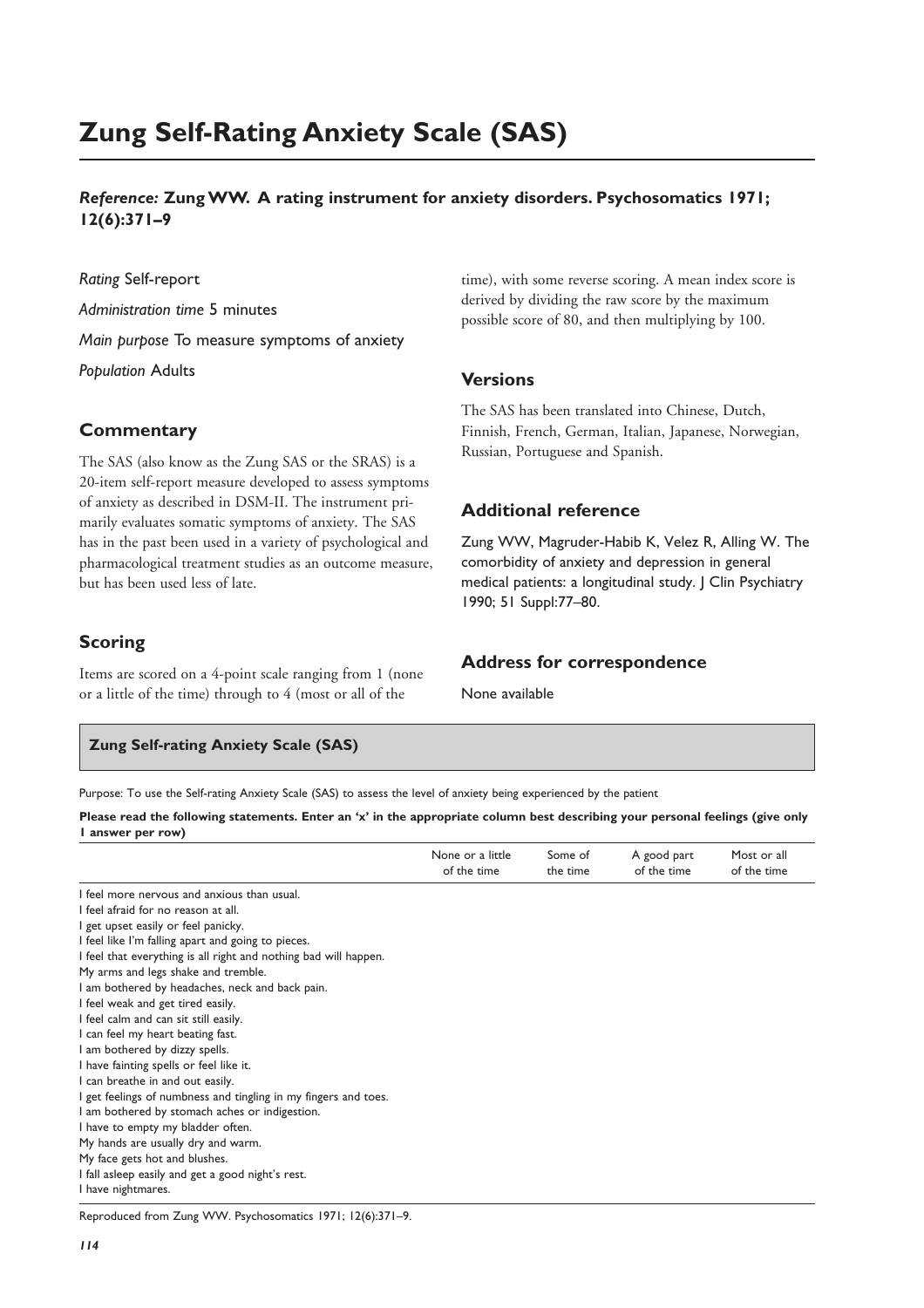# **Zung Self-Rating Anxiety Scale (SAS)**

# *Reference:* **Zung WW. A rating instrument for anxiety disorders. Psychosomatics 1971; 12(6):371–9**

*Rating* Self-report *Administration time* 5 minutes *Main purpose* To measure symptoms of anxiety *Population* Adults

# **Commentary**

The SAS (also know as the Zung SAS or the SRAS) is a 20-item self-report measure developed to assess symptoms of anxiety as described in DSM-II. The instrument primarily evaluates somatic symptoms of anxiety. The SAS has in the past been used in a variety of psychological and pharmacological treatment studies as an outcome measure, but has been used less of late.

# **Scoring**

Items are scored on a 4-point scale ranging from 1 (none or a little of the time) through to 4 (most or all of the

time), with some reverse scoring. A mean index score is derived by dividing the raw score by the maximum possible score of 80, and then multiplying by 100.

# **Versions**

The SAS has been translated into Chinese, Dutch, Finnish, French, German, Italian, Japanese, Norwegian, Russian, Portuguese and Spanish.

# **Additional reference**

Zung WW, Magruder-Habib K, Velez R, Alling W. The comorbidity of anxiety and depression in general medical patients: a longitudinal study. | Clin Psychiatry 1990; 51 Suppl:77–80.

# **Address for correspondence**

None available

#### **Zung Self-rating Anxiety Scale (SAS)**

Purpose: To use the Self-rating Anxiety Scale (SAS) to assess the level of anxiety being experienced by the patient

**Please read the following statements. Enter an 'x' in the appropriate column best describing your personal feelings (give only 1 answer per row)**

|                                                                  | None or a little | Some of  | A good part | Most or all |
|------------------------------------------------------------------|------------------|----------|-------------|-------------|
|                                                                  | of the time      | the time | of the time | of the time |
| I feel more nervous and anxious than usual.                      |                  |          |             |             |
| I feel afraid for no reason at all.                              |                  |          |             |             |
| I get upset easily or feel panicky.                              |                  |          |             |             |
| I feel like I'm falling apart and going to pieces.               |                  |          |             |             |
| I feel that everything is all right and nothing bad will happen. |                  |          |             |             |
| My arms and legs shake and tremble.                              |                  |          |             |             |
| I am bothered by headaches, neck and back pain.                  |                  |          |             |             |
| I feel weak and get tired easily.                                |                  |          |             |             |
| I feel calm and can sit still easily.                            |                  |          |             |             |
| I can feel my heart beating fast.                                |                  |          |             |             |
| I am bothered by dizzy spells.                                   |                  |          |             |             |
| I have fainting spells or feel like it.                          |                  |          |             |             |
| I can breathe in and out easily.                                 |                  |          |             |             |
| I get feelings of numbness and tingling in my fingers and toes.  |                  |          |             |             |
| I am bothered by stomach aches or indigestion.                   |                  |          |             |             |
| I have to empty my bladder often.                                |                  |          |             |             |
| My hands are usually dry and warm.                               |                  |          |             |             |
| My face gets hot and blushes.                                    |                  |          |             |             |
| I fall asleep easily and get a good night's rest.                |                  |          |             |             |
| I have nightmares.                                               |                  |          |             |             |

Reproduced from Zung WW. Psychosomatics 1971; 12(6):371–9.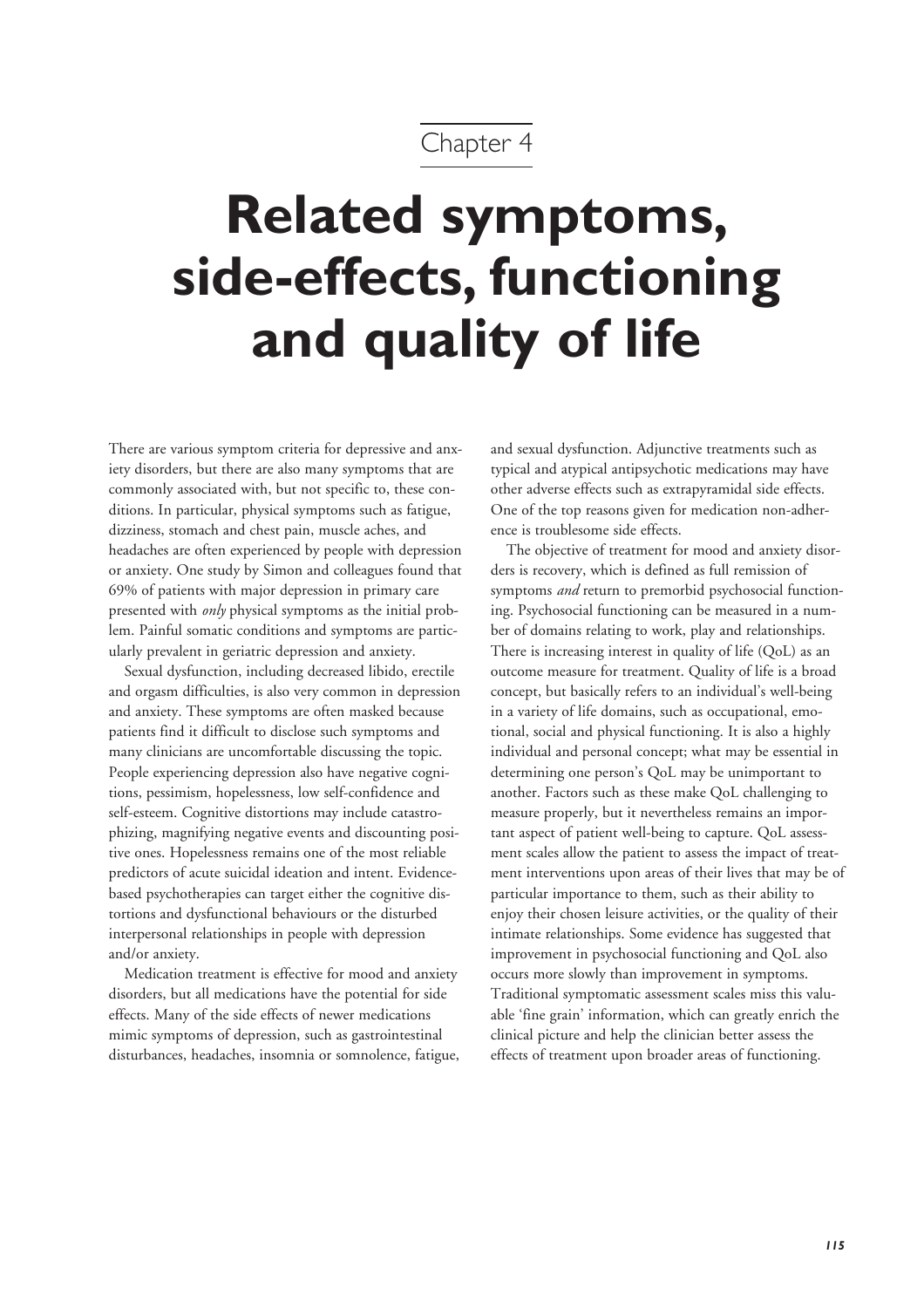# Chapter 4

# **Related symptoms, side-effects, functioning and quality of life**

There are various symptom criteria for depressive and anxiety disorders, but there are also many symptoms that are commonly associated with, but not specific to, these conditions. In particular, physical symptoms such as fatigue, dizziness, stomach and chest pain, muscle aches, and headaches are often experienced by people with depression or anxiety. One study by Simon and colleagues found that 69% of patients with major depression in primary care presented with *only* physical symptoms as the initial problem. Painful somatic conditions and symptoms are particularly prevalent in geriatric depression and anxiety.

Sexual dysfunction, including decreased libido, erectile and orgasm difficulties, is also very common in depression and anxiety. These symptoms are often masked because patients find it difficult to disclose such symptoms and many clinicians are uncomfortable discussing the topic. People experiencing depression also have negative cognitions, pessimism, hopelessness, low self-confidence and self-esteem. Cognitive distortions may include catastrophizing, magnifying negative events and discounting positive ones. Hopelessness remains one of the most reliable predictors of acute suicidal ideation and intent. Evidencebased psychotherapies can target either the cognitive distortions and dysfunctional behaviours or the disturbed interpersonal relationships in people with depression and/or anxiety.

Medication treatment is effective for mood and anxiety disorders, but all medications have the potential for side effects. Many of the side effects of newer medications mimic symptoms of depression, such as gastrointestinal disturbances, headaches, insomnia or somnolence, fatigue, and sexual dysfunction. Adjunctive treatments such as typical and atypical antipsychotic medications may have other adverse effects such as extrapyramidal side effects. One of the top reasons given for medication non-adherence is troublesome side effects.

The objective of treatment for mood and anxiety disorders is recovery, which is defined as full remission of symptoms *and* return to premorbid psychosocial functioning. Psychosocial functioning can be measured in a number of domains relating to work, play and relationships. There is increasing interest in quality of life (QoL) as an outcome measure for treatment. Quality of life is a broad concept, but basically refers to an individual's well-being in a variety of life domains, such as occupational, emotional, social and physical functioning. It is also a highly individual and personal concept; what may be essential in determining one person's QoL may be unimportant to another. Factors such as these make QoL challenging to measure properly, but it nevertheless remains an important aspect of patient well-being to capture. QoL assessment scales allow the patient to assess the impact of treatment interventions upon areas of their lives that may be of particular importance to them, such as their ability to enjoy their chosen leisure activities, or the quality of their intimate relationships. Some evidence has suggested that improvement in psychosocial functioning and QoL also occurs more slowly than improvement in symptoms. Traditional symptomatic assessment scales miss this valuable 'fine grain' information, which can greatly enrich the clinical picture and help the clinician better assess the effects of treatment upon broader areas of functioning.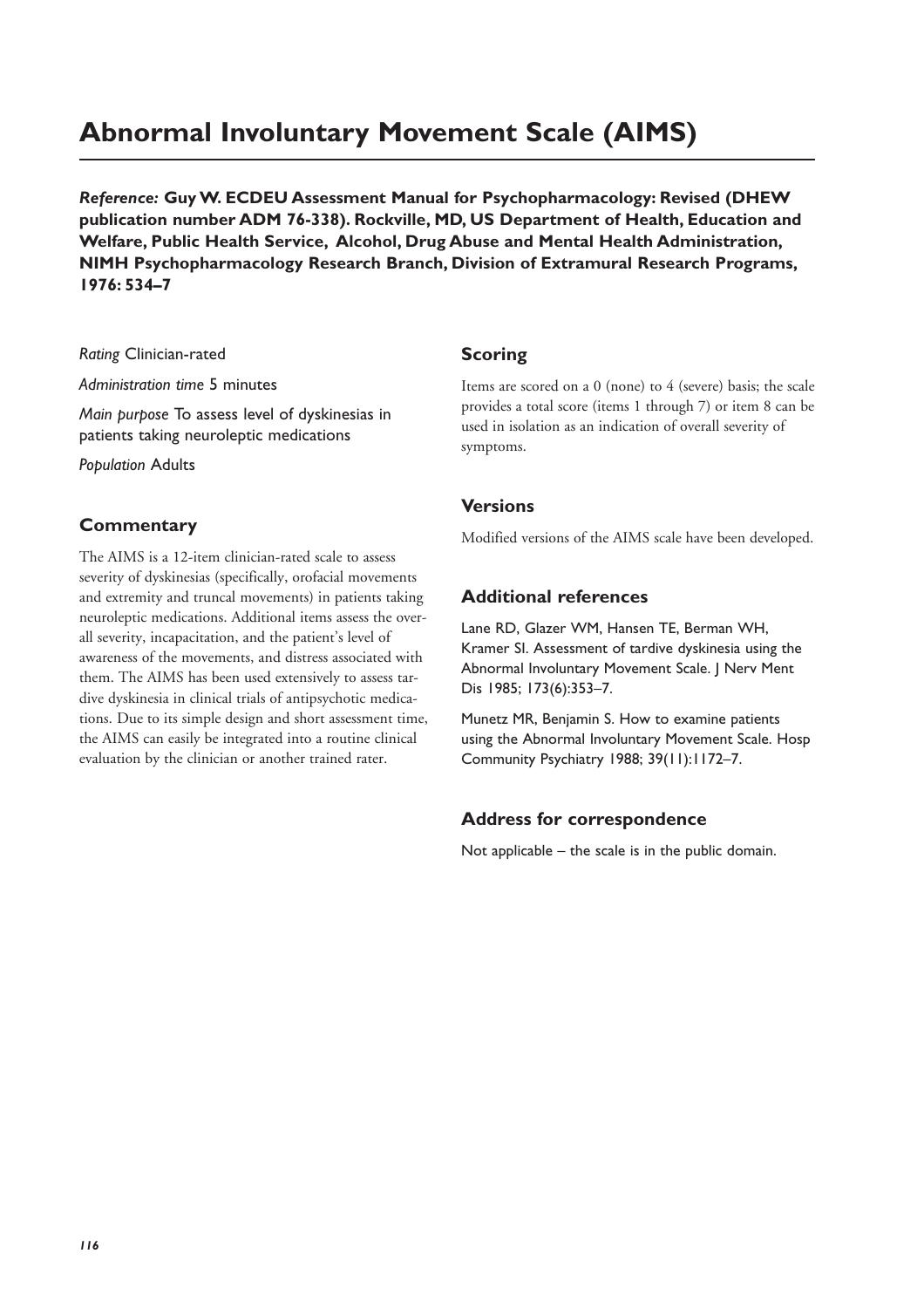# **Abnormal Involuntary Movement Scale (AIMS)**

*Reference:* **Guy W. ECDEU Assessment Manual for Psychopharmacology: Revised (DHEW publication number ADM 76-338). Rockville, MD, US Department of Health, Education and Welfare, Public Health Service, Alcohol, Drug Abuse and Mental Health Administration, NIMH Psychopharmacology Research Branch, Division of Extramural Research Programs, 1976: 534–7**

*Rating* Clinician-rated

*Administration time* 5 minutes

*Main purpose* To assess level of dyskinesias in patients taking neuroleptic medications

*Population* Adults

# **Commentary**

The AIMS is a 12-item clinician-rated scale to assess severity of dyskinesias (specifically, orofacial movements and extremity and truncal movements) in patients taking neuroleptic medications. Additional items assess the overall severity, incapacitation, and the patient's level of awareness of the movements, and distress associated with them. The AIMS has been used extensively to assess tardive dyskinesia in clinical trials of antipsychotic medications. Due to its simple design and short assessment time, the AIMS can easily be integrated into a routine clinical evaluation by the clinician or another trained rater.

# **Scoring**

Items are scored on a 0 (none) to 4 (severe) basis; the scale provides a total score (items 1 through 7) or item 8 can be used in isolation as an indication of overall severity of symptoms.

# **Versions**

Modified versions of the AIMS scale have been developed.

# **Additional references**

Lane RD, Glazer WM, Hansen TE, Berman WH, Kramer SI. Assessment of tardive dyskinesia using the Abnormal Involuntary Movement Scale. J Nerv Ment Dis 1985; 173(6):353–7.

Munetz MR, Benjamin S. How to examine patients using the Abnormal Involuntary Movement Scale. Hosp Community Psychiatry 1988; 39(11):1172–7.

# **Address for correspondence**

Not applicable – the scale is in the public domain.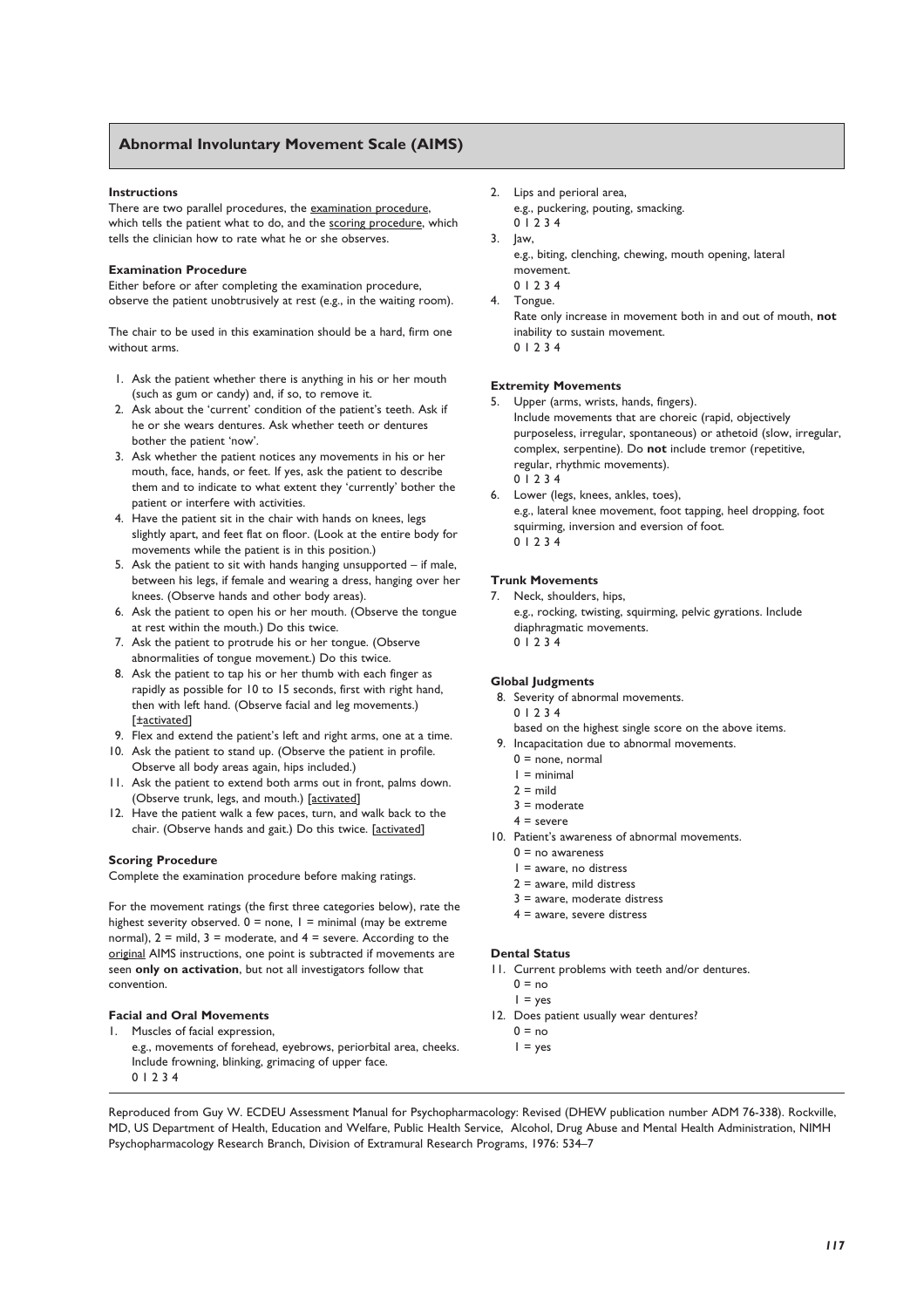#### **Abnormal Involuntary Movement Scale (AIMS)**

#### **Instructions**

There are two parallel procedures, the examination procedure, which tells the patient what to do, and the scoring procedure, which tells the clinician how to rate what he or she observes.

#### **Examination Procedure**

Either before or after completing the examination procedure, observe the patient unobtrusively at rest (e.g., in the waiting room).

The chair to be used in this examination should be a hard, firm one without arms.

- 1. Ask the patient whether there is anything in his or her mouth (such as gum or candy) and, if so, to remove it.
- 2. Ask about the 'current' condition of the patient's teeth. Ask if he or she wears dentures. Ask whether teeth or dentures bother the patient 'now'.
- 3. Ask whether the patient notices any movements in his or her mouth, face, hands, or feet. If yes, ask the patient to describe them and to indicate to what extent they 'currently' bother the patient or interfere with activities.
- 4. Have the patient sit in the chair with hands on knees, legs slightly apart, and feet flat on floor. (Look at the entire body for movements while the patient is in this position.)
- 5. Ask the patient to sit with hands hanging unsupported if male, between his legs, if female and wearing a dress, hanging over her knees. (Observe hands and other body areas).
- 6. Ask the patient to open his or her mouth. (Observe the tongue at rest within the mouth.) Do this twice.
- 7. Ask the patient to protrude his or her tongue. (Observe abnormalities of tongue movement.) Do this twice.
- 8. Ask the patient to tap his or her thumb with each finger as rapidly as possible for 10 to 15 seconds, first with right hand, then with left hand. (Observe facial and leg movements.) [±activated]
- 9. Flex and extend the patient's left and right arms, one at a time.
- 10. Ask the patient to stand up. (Observe the patient in profile. Observe all body areas again, hips included.)
- 11. Ask the patient to extend both arms out in front, palms down. (Observe trunk, legs, and mouth.) [activated]
- 12. Have the patient walk a few paces, turn, and walk back to the chair. (Observe hands and gait.) Do this twice. [activated]

#### **Scoring Procedure**

Complete the examination procedure before making ratings.

For the movement ratings (the first three categories below), rate the highest severity observed.  $0 =$  none,  $1 =$  minimal (may be extreme normal),  $2 =$  mild,  $3 =$  moderate, and  $4 =$  severe. According to the original AIMS instructions, one point is subtracted if movements are seen **only on activation**, but not all investigators follow that convention.

#### **Facial and Oral Movements**

1. Muscles of facial expression,

e.g., movements of forehead, eyebrows, periorbital area, cheeks. Include frowning, blinking, grimacing of upper face. 0 1 2 3 4

- 2. Lips and perioral area,
	- e.g., puckering, pouting, smacking. 0 1 2 3 4
- 3. Jaw,
	- e.g., biting, clenching, chewing, mouth opening, lateral movement. 0 1 2 3 4
- 4. Tongue.
- Rate only increase in movement both in and out of mouth, **not** inability to sustain movement. 0 1 2 3 4

#### **Extremity Movements**

5. Upper (arms, wrists, hands, fingers). Include movements that are choreic (rapid, objectively purposeless, irregular, spontaneous) or athetoid (slow, irregular, complex, serpentine). Do **not** include tremor (repetitive, regular, rhythmic movements). 0 1 2 3 4

6. Lower (legs, knees, ankles, toes), e.g., lateral knee movement, foot tapping, heel dropping, foot squirming, inversion and eversion of foot. 0 1 2 3 4

#### **Trunk Movements**

7. Neck, shoulders, hips, e.g., rocking, twisting, squirming, pelvic gyrations. Include diaphragmatic movements.  $01234$ 

#### **Global Judgments**

- 8. Severity of abnormal movements.
	- 0 1 2 3 4
	- based on the highest single score on the above items.
- 9. Incapacitation due to abnormal movements.
	- $0 =$  none, normal
	- $1 \equiv$  minimal
	- $2 =$  mild
	- 3 = moderate
	- $4 =$ severe
- 10. Patient's awareness of abnormal movements.
	- $0 =$  no awareness
	- 1 = aware, no distress
	- 2 = aware, mild distress
	- 3 = aware, moderate distress
	- 4 = aware, severe distress

#### **Dental Status**

- 11. Current problems with teeth and/or dentures.
	- $0 = no$
	- $1 = ves$
- 12. Does patient usually wear dentures?
	- $0 = no$
	- $1 = yes$

Reproduced from Guy W. ECDEU Assessment Manual for Psychopharmacology: Revised (DHEW publication number ADM 76-338). Rockville, MD, US Department of Health, Education and Welfare, Public Health Service, Alcohol, Drug Abuse and Mental Health Administration, NIMH Psychopharmacology Research Branch, Division of Extramural Research Programs, 1976: 534–7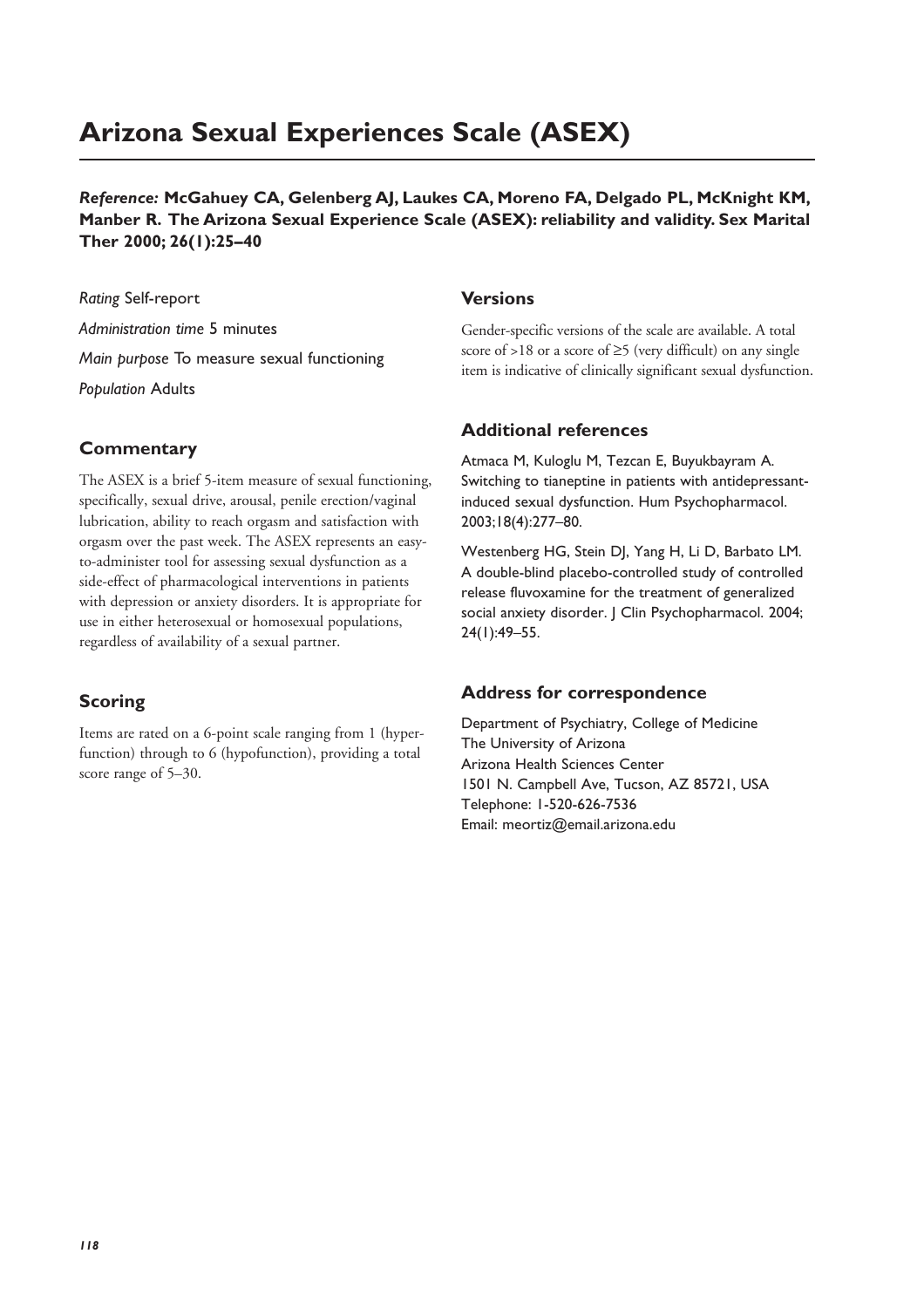# **Arizona Sexual Experiences Scale (ASEX)**

*Reference:* **McGahuey CA, Gelenberg AJ, Laukes CA, Moreno FA, Delgado PL, McKnight KM, Manber R. The Arizona Sexual Experience Scale (ASEX): reliability and validity. Sex Marital Ther 2000; 26(1):25–40**

*Rating* Self-report *Administration time* 5 minutes *Main purpose* To measure sexual functioning *Population* Adults

# **Commentary**

The ASEX is a brief 5-item measure of sexual functioning, specifically, sexual drive, arousal, penile erection/vaginal lubrication, ability to reach orgasm and satisfaction with orgasm over the past week. The ASEX represents an easyto-administer tool for assessing sexual dysfunction as a side-effect of pharmacological interventions in patients with depression or anxiety disorders. It is appropriate for use in either heterosexual or homosexual populations, regardless of availability of a sexual partner.

# **Scoring**

Items are rated on a 6-point scale ranging from 1 (hyperfunction) through to 6 (hypofunction), providing a total score range of 5–30.

# **Versions**

Gender-specific versions of the scale are available. A total score of >18 or a score of  $\geq$ 5 (very difficult) on any single item is indicative of clinically significant sexual dysfunction.

# **Additional references**

Atmaca M, Kuloglu M, Tezcan E, Buyukbayram A. Switching to tianeptine in patients with antidepressantinduced sexual dysfunction. Hum Psychopharmacol. 2003;18(4):277–80.

Westenberg HG, Stein DJ, Yang H, Li D, Barbato LM. A double-blind placebo-controlled study of controlled release fluvoxamine for the treatment of generalized social anxiety disorder. J Clin Psychopharmacol. 2004; 24(1):49–55.

# **Address for correspondence**

Department of Psychiatry, College of Medicine The University of Arizona Arizona Health Sciences Center 1501 N. Campbell Ave, Tucson, AZ 85721, USA Telephone: 1-520-626-7536 Email: meortiz@email.arizona.edu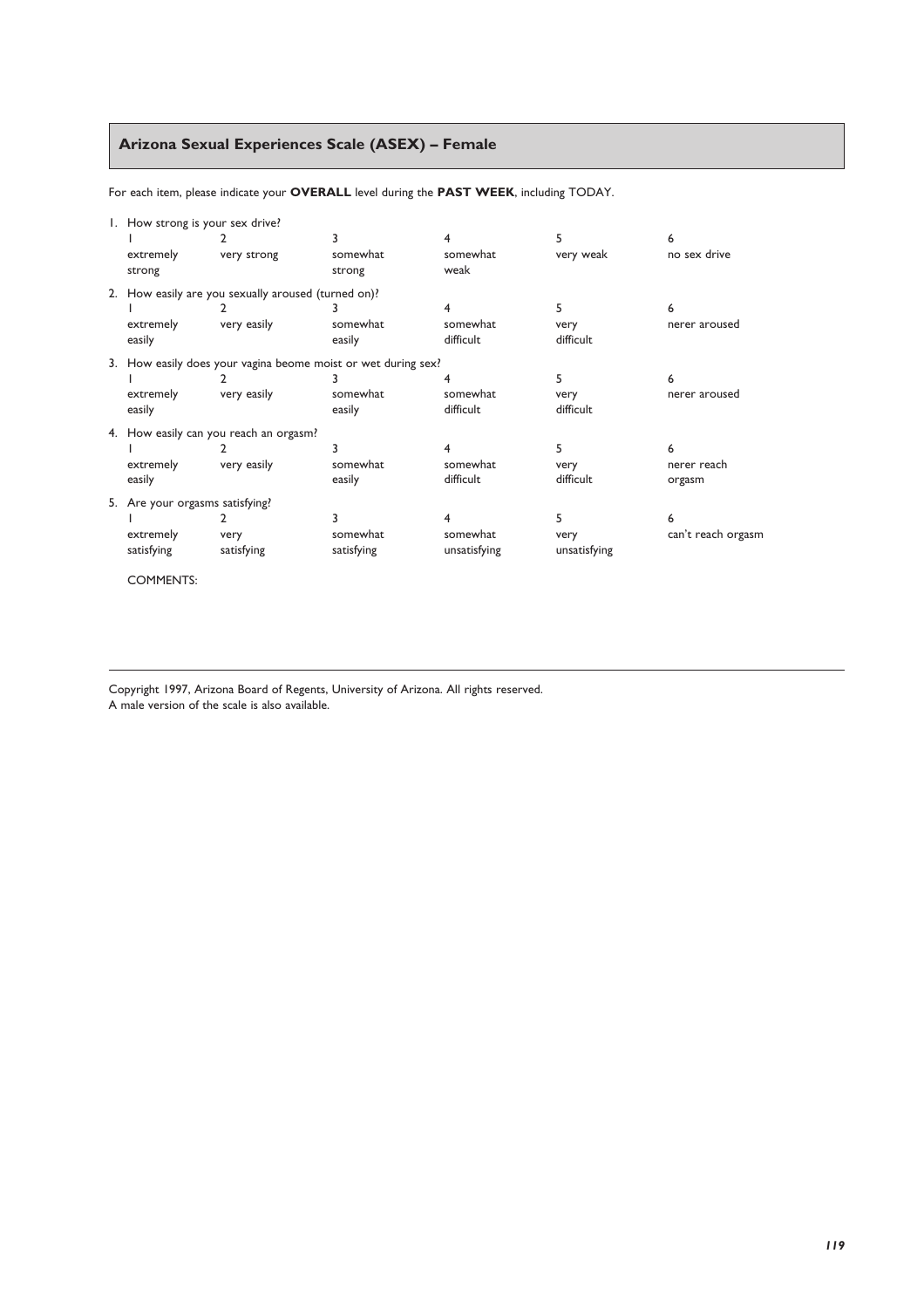## **Arizona Sexual Experiences Scale (ASEX) – Female**

For each item, please indicate your **OVERALL** level during the **PAST WEEK**, including TODAY.

| 1. How strong is your sex drive? |                                                               |            |              |              |                    |  |  |  |  |
|----------------------------------|---------------------------------------------------------------|------------|--------------|--------------|--------------------|--|--|--|--|
|                                  |                                                               | 3          | 4            | 5.           | 6                  |  |  |  |  |
| extremely                        | very strong                                                   | somewhat   | somewhat     | very weak    | no sex drive       |  |  |  |  |
| strong                           |                                                               | strong     | weak         |              |                    |  |  |  |  |
|                                  | 2. How easily are you sexually aroused (turned on)?           |            |              |              |                    |  |  |  |  |
|                                  |                                                               |            | 4            | 5            | 6                  |  |  |  |  |
| extremely                        | very easily                                                   | somewhat   | somewhat     | very         | nerer aroused      |  |  |  |  |
| easily                           |                                                               | easily     | difficult    | difficult    |                    |  |  |  |  |
|                                  | 3. How easily does your vagina beome moist or wet during sex? |            |              |              |                    |  |  |  |  |
|                                  |                                                               |            | 4            | 5            | 6                  |  |  |  |  |
| extremely                        | very easily                                                   | somewhat   | somewhat     | very         | nerer aroused      |  |  |  |  |
| easily                           |                                                               | easily     | difficult    | difficult    |                    |  |  |  |  |
|                                  | 4. How easily can you reach an orgasm?                        |            |              |              |                    |  |  |  |  |
|                                  |                                                               |            | 4            | 5.           | 6                  |  |  |  |  |
| extremely                        | very easily                                                   | somewhat   | somewhat     | very         | nerer reach        |  |  |  |  |
| easily                           |                                                               | easily     | difficult    | difficult    | orgasm             |  |  |  |  |
| 5. Are your orgasms satisfying?  |                                                               |            |              |              |                    |  |  |  |  |
|                                  |                                                               |            | 4            | 5            | 6                  |  |  |  |  |
| extremely                        | very                                                          | somewhat   | somewhat     | very         | can't reach orgasm |  |  |  |  |
| satisfying                       | satisfying                                                    | satisfying | unsatisfying | unsatisfying |                    |  |  |  |  |
| <b>COMMENTS:</b>                 |                                                               |            |              |              |                    |  |  |  |  |

Copyright 1997, Arizona Board of Regents, University of Arizona. All rights reserved. A male version of the scale is also available.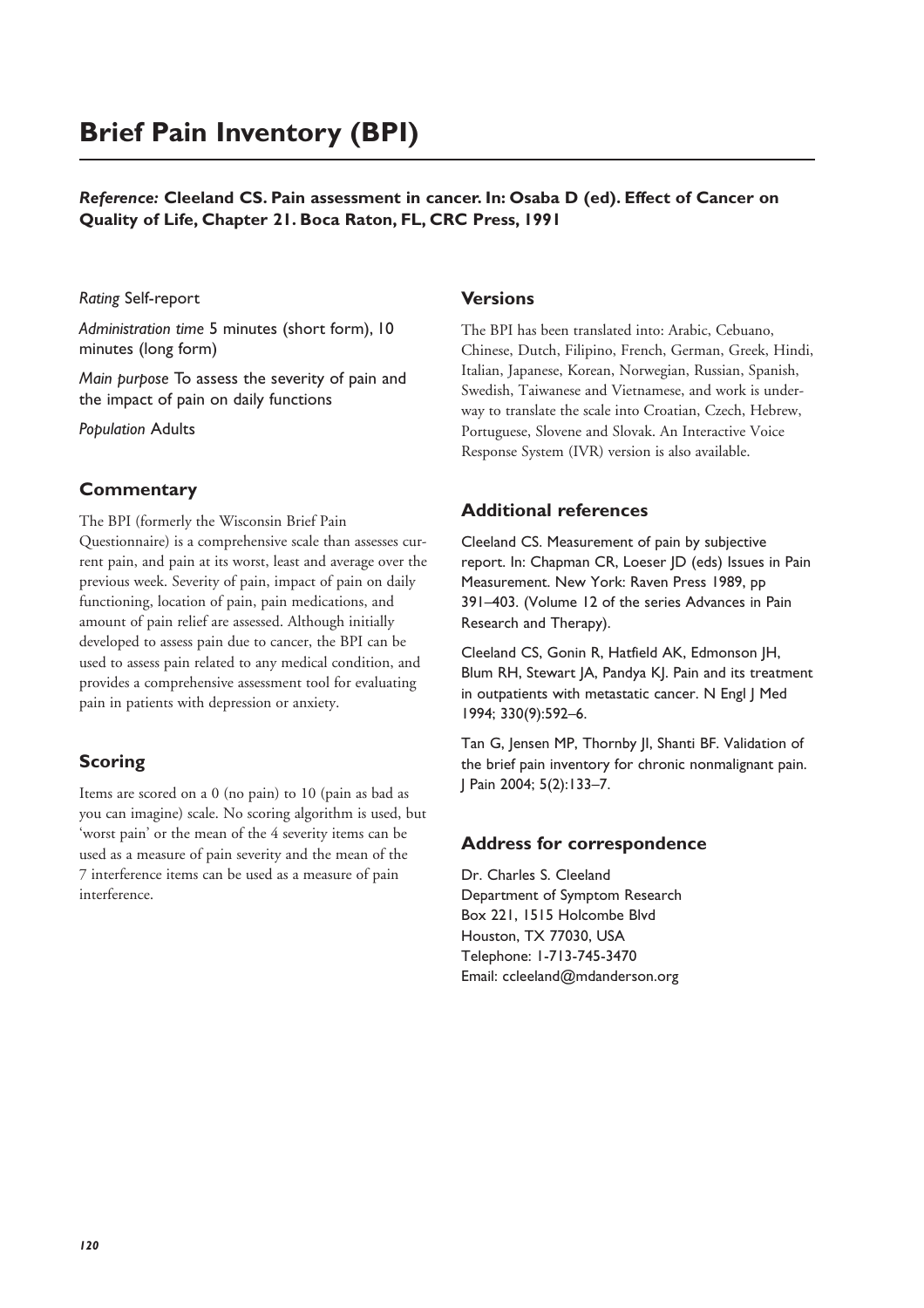*Reference:* **Cleeland CS. Pain assessment in cancer. In: Osaba D (ed). Effect of Cancer on Quality of Life, Chapter 21. Boca Raton, FL, CRC Press, 1991**

*Rating* Self-report

*Administration time* 5 minutes (short form), 10 minutes (long form)

*Main purpose* To assess the severity of pain and the impact of pain on daily functions

*Population* Adults

# **Commentary**

The BPI (formerly the Wisconsin Brief Pain

Questionnaire) is a comprehensive scale than assesses current pain, and pain at its worst, least and average over the previous week. Severity of pain, impact of pain on daily functioning, location of pain, pain medications, and amount of pain relief are assessed. Although initially developed to assess pain due to cancer, the BPI can be used to assess pain related to any medical condition, and provides a comprehensive assessment tool for evaluating pain in patients with depression or anxiety.

# **Scoring**

Items are scored on a 0 (no pain) to 10 (pain as bad as you can imagine) scale. No scoring algorithm is used, but 'worst pain' or the mean of the 4 severity items can be used as a measure of pain severity and the mean of the 7 interference items can be used as a measure of pain interference.

# **Versions**

The BPI has been translated into: Arabic, Cebuano, Chinese, Dutch, Filipino, French, German, Greek, Hindi, Italian, Japanese, Korean, Norwegian, Russian, Spanish, Swedish, Taiwanese and Vietnamese, and work is underway to translate the scale into Croatian, Czech, Hebrew, Portuguese, Slovene and Slovak. An Interactive Voice Response System (IVR) version is also available.

# **Additional references**

Cleeland CS. Measurement of pain by subjective report. In: Chapman CR, Loeser JD (eds) Issues in Pain Measurement. New York: Raven Press 1989, pp 391–403. (Volume 12 of the series Advances in Pain Research and Therapy).

Cleeland CS, Gonin R, Hatfield AK, Edmonson JH, Blum RH, Stewart JA, Pandya KJ. Pain and its treatment in outpatients with metastatic cancer. N Engl | Med 1994; 330(9):592–6.

Tan G, Jensen MP, Thornby JI, Shanti BF. Validation of the brief pain inventory for chronic nonmalignant pain. J Pain 2004; 5(2):133–7.

# **Address for correspondence**

Dr. Charles S. Cleeland Department of Symptom Research Box 221, 1515 Holcombe Blvd Houston, TX 77030, USA Telephone: 1-713-745-3470 Email: ccleeland@mdanderson.org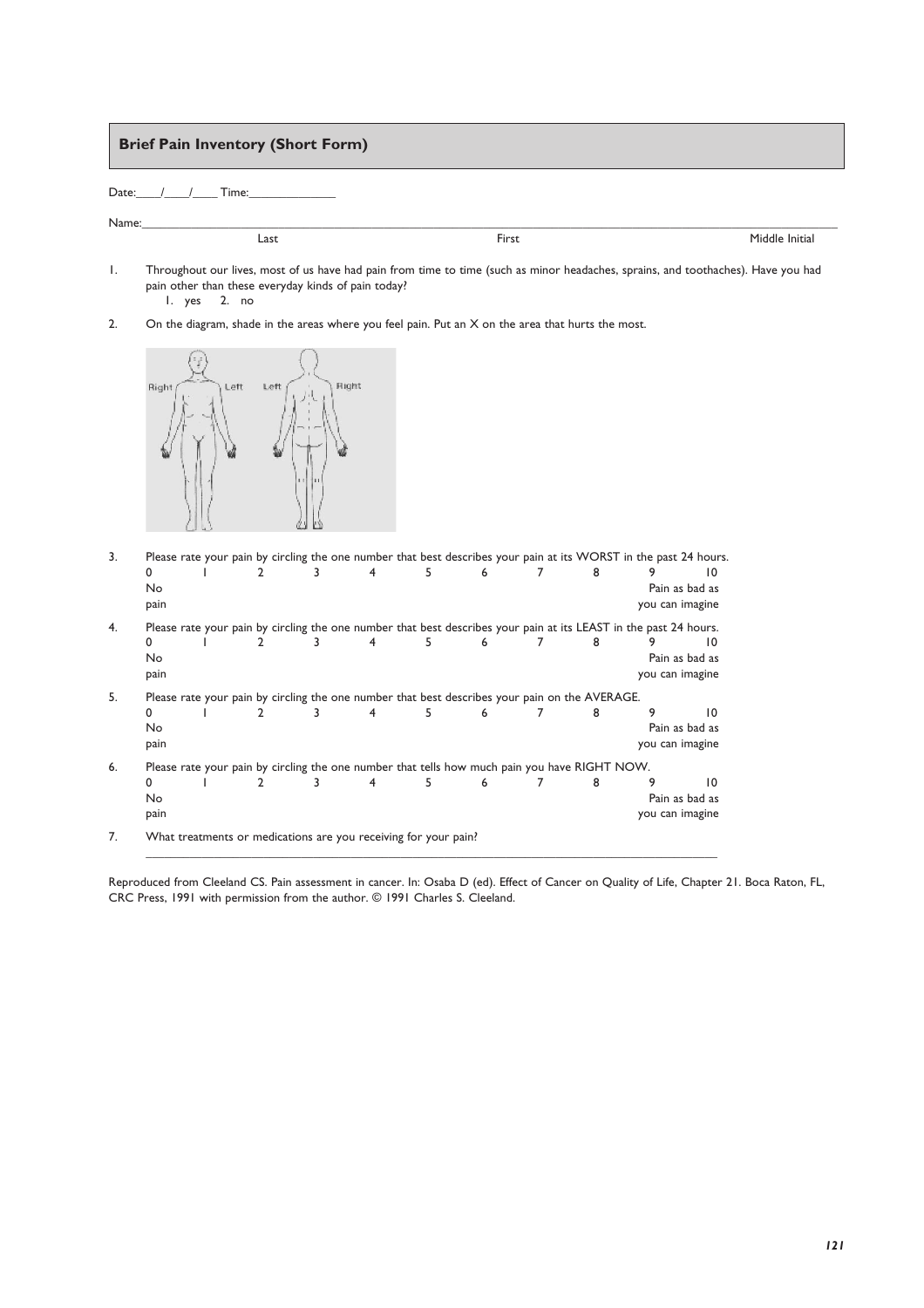## **Brief Pain Inventory (Short Form)**

Date:  $/$  / Time:

Name:\_\_\_\_\_\_\_\_\_\_\_\_\_\_\_\_\_\_\_\_\_\_\_\_\_\_\_\_\_\_\_\_\_\_\_\_\_\_\_\_\_\_\_\_\_\_\_\_\_\_\_\_\_\_\_\_\_\_\_\_\_\_\_\_\_\_\_\_\_\_\_\_\_\_\_\_\_\_\_\_\_\_\_\_\_\_\_\_\_\_\_\_\_\_\_\_\_\_\_\_\_\_\_\_\_\_\_\_\_\_\_\_

Last First Middle Initial

- 1. Throughout our lives, most of us have had pain from time to time (such as minor headaches, sprains, and toothaches). Have you had pain other than these everyday kinds of pain today? 1. yes 2. no
	-
- 2. On the diagram, shade in the areas where you feel pain. Put an  $X$  on the area that hurts the most.



3. Please rate your pain by circling the one number that best describes your pain at its WORST in the past 24 hours.  $0$   $1$   $2$   $3$   $4$   $5$   $6$   $7$   $8$   $9$   $10$ <br>No<br>Pain as bad as Pain as bad as pain you can imagine 4. Please rate your pain by circling the one number that best describes your pain at its LEAST in the past 24 hours.<br>0 1 2 3 4 5 6 7 8 9 10 1<br>
0 1 2 3 4 5 6 7 8 9 10<br>
No Pain as bad as Pain as bad as pain you can imagine 5. Please rate your pain by circling the one number that best describes your pain on the AVERAGE.<br>0 1 2 3 4 5 6 7 8 0 1 2 3 4 5 6 7 8 9 10 No Pain as bad as pain you can imagine 6. Please rate your pain by circling the one number that tells how much pain you have RIGHT NOW. 0 1 2 3 4 5 6 7 8 9 10 No Pain as bad as pain **pain and the contract of the contract of the contract of the contract of the contract of the contract of the contract of the contract of the contract of the contract of the contract of the contract of the contract of** 7. What treatments or medications are you receiving for your pain?

Reproduced from Cleeland CS. Pain assessment in cancer. In: Osaba D (ed). Effect of Cancer on Quality of Life, Chapter 21. Boca Raton, FL, CRC Press, 1991 with permission from the author. © 1991 Charles S. Cleeland.

\_\_\_\_\_\_\_\_\_\_\_\_\_\_\_\_\_\_\_\_\_\_\_\_\_\_\_\_\_\_\_\_\_\_\_\_\_\_\_\_\_\_\_\_\_\_\_\_\_\_\_\_\_\_\_\_\_\_\_\_\_\_\_\_\_\_\_\_\_\_\_\_\_\_\_\_\_\_\_\_\_\_\_\_\_\_\_\_\_\_\_\_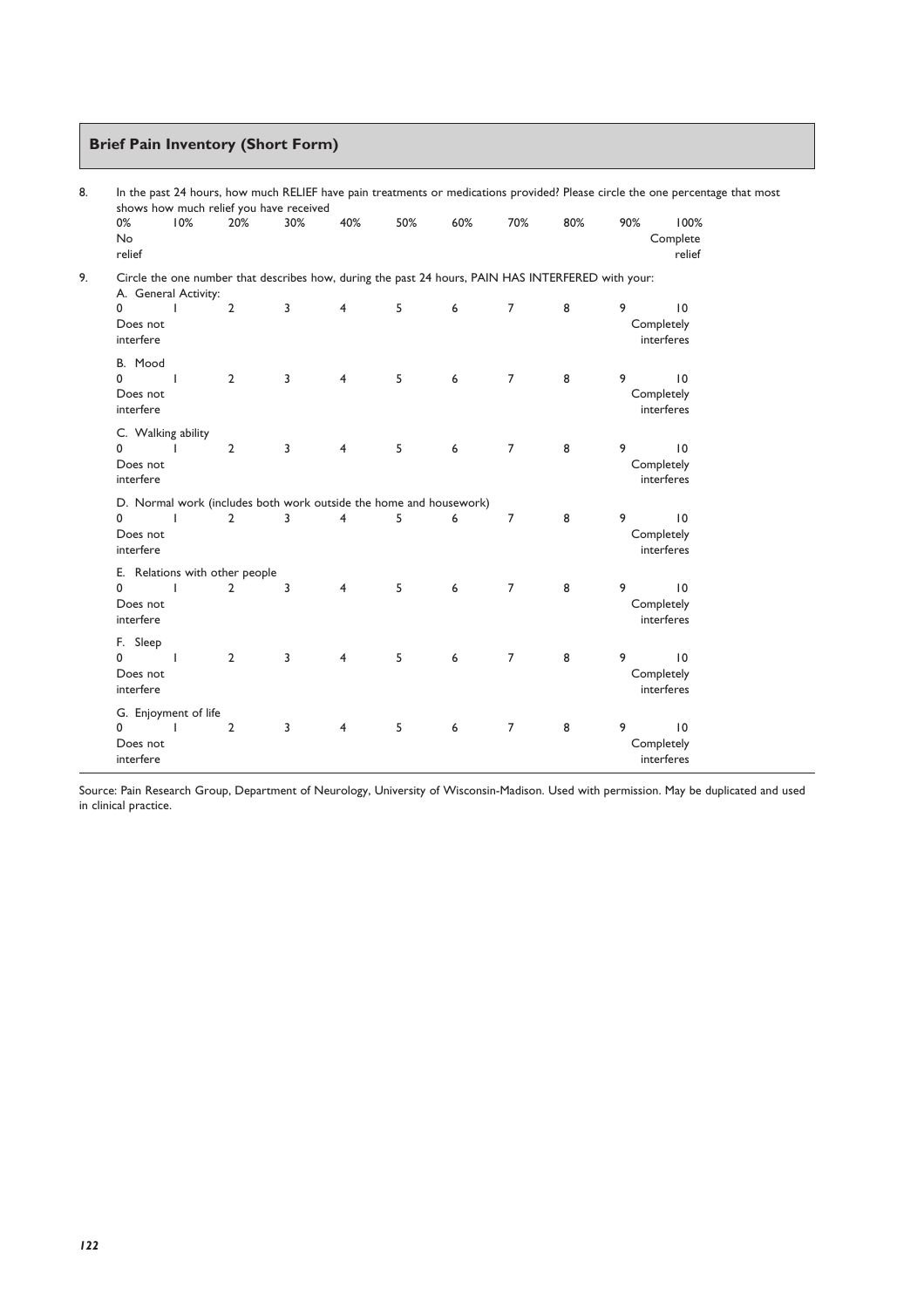# **Brief Pain Inventory (Short Form)**

| 8. |                                                              |                | shows how much relief you have received                            |                |                |     |     |                                                                                                    |     |     | In the past 24 hours, how much RELIEF have pain treatments or medications provided? Please circle the one percentage that most |
|----|--------------------------------------------------------------|----------------|--------------------------------------------------------------------|----------------|----------------|-----|-----|----------------------------------------------------------------------------------------------------|-----|-----|--------------------------------------------------------------------------------------------------------------------------------|
|    | 0%<br><b>No</b><br>relief                                    | 10%            | 20%                                                                | 30%            | 40%            | 50% | 60% | 70%                                                                                                | 80% | 90% | 100%<br>Complete<br>relief                                                                                                     |
| 9. | A. General Activity:                                         |                |                                                                    |                |                |     |     | Circle the one number that describes how, during the past 24 hours, PAIN HAS INTERFERED with your: |     |     |                                                                                                                                |
|    | 0<br>Does not<br>interfere                                   | $\mathbf{I}$   | $\overline{2}$                                                     | $\overline{3}$ | $\overline{4}$ | 5   | 6   | $\overline{7}$                                                                                     | 8   | 9   | 10<br>Completely<br>interferes                                                                                                 |
|    | B. Mood<br>$\Omega$<br>Does not<br>interfere                 | $\mathbf{I}$   | $\overline{2}$                                                     | 3              | $\overline{4}$ | 5   | 6   | $\overline{7}$                                                                                     | 8   | 9   | 10<br>Completely<br>interferes                                                                                                 |
|    | C. Walking ability<br>0<br>Does not<br>interfere             |                | $\overline{2}$                                                     | 3              | 4              | 5   | 6   | $\overline{7}$                                                                                     | 8   | 9   | 10<br>Completely<br>interferes                                                                                                 |
|    |                                                              |                | D. Normal work (includes both work outside the home and housework) |                |                |     |     |                                                                                                    |     |     |                                                                                                                                |
|    | $\Omega$<br>Does not<br>interfere                            | $\mathbf{I}$   | $\overline{2}$                                                     | 3              | $\overline{4}$ | 5   | 6   | $\overline{7}$                                                                                     | 8   | 9   | 10<br>Completely<br>interferes                                                                                                 |
|    |                                                              |                | E. Relations with other people                                     |                |                |     |     |                                                                                                    |     |     |                                                                                                                                |
|    | 0<br>Does not<br>interfere                                   | $\blacksquare$ | $\overline{2}$                                                     | 3              | $\overline{4}$ | 5   | 6   | $\overline{7}$                                                                                     | 8   | 9   | 10<br>Completely<br>interferes                                                                                                 |
|    | F. Sleep<br>$\Omega$<br>Does not<br>interfere                | $\mathbf{I}$   | $\overline{2}$                                                     | 3              | $\overline{4}$ | 5   | 6   | $\overline{7}$                                                                                     | 8   | 9   | 10<br>Completely<br>interferes                                                                                                 |
|    | G. Enjoyment of life<br>$\mathbf 0$<br>Does not<br>interfere | $\mathbf{I}$   | $\overline{2}$                                                     | 3              | $\overline{4}$ | 5   | 6   | $\overline{7}$                                                                                     | 8   | 9   | 10<br>Completely<br>interferes                                                                                                 |

Source: Pain Research Group, Department of Neurology, University of Wisconsin-Madison. Used with permission. May be duplicated and used in clinical practice.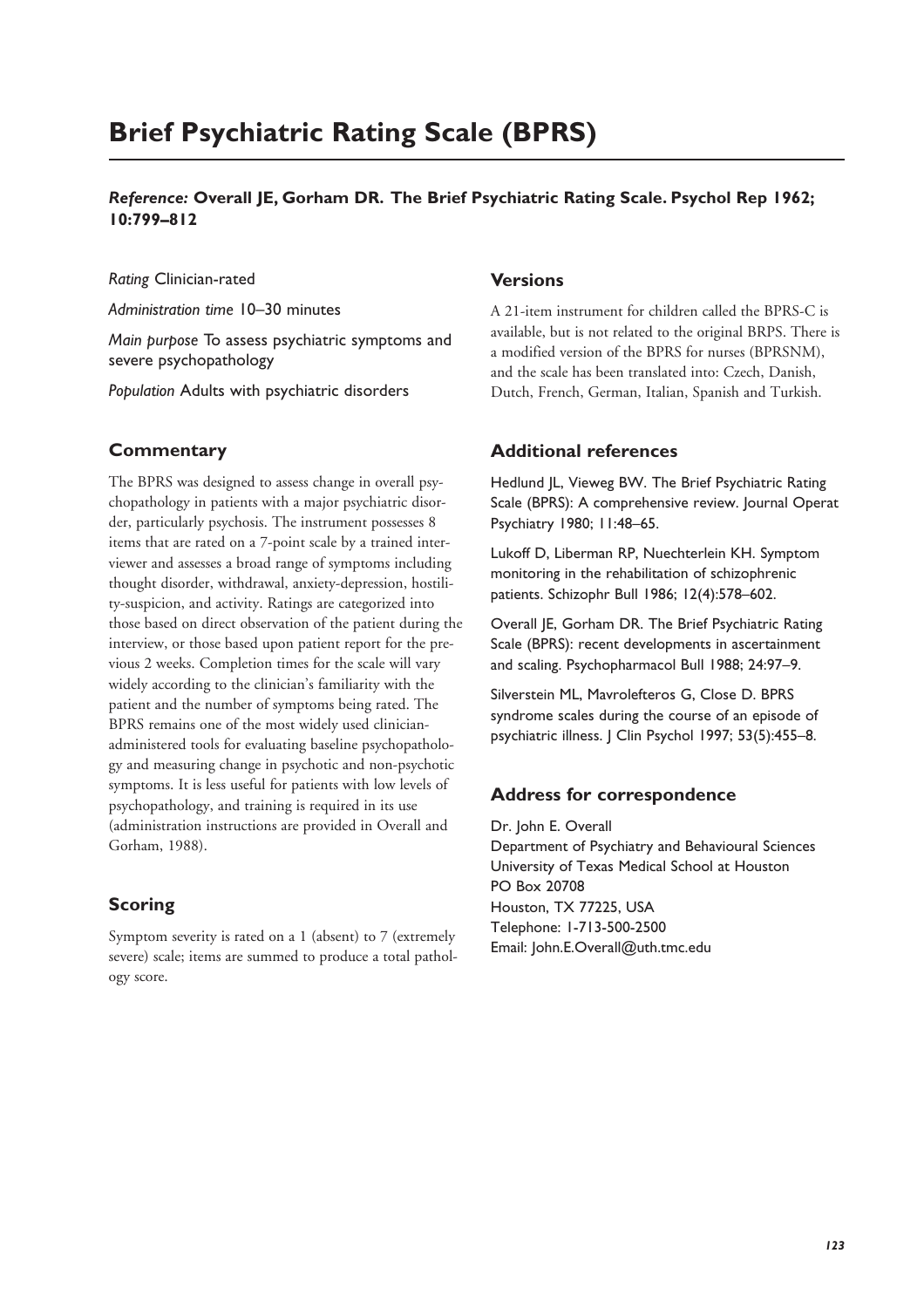# *Reference:* **Overall JE, Gorham DR. The Brief Psychiatric Rating Scale. Psychol Rep 1962; 10:799–812**

*Rating* Clinician-rated

*Administration time* 10–30 minutes

*Main purpose* To assess psychiatric symptoms and severe psychopathology

*Population* Adults with psychiatric disorders

# **Commentary**

The BPRS was designed to assess change in overall psychopathology in patients with a major psychiatric disorder, particularly psychosis. The instrument possesses 8 items that are rated on a 7-point scale by a trained interviewer and assesses a broad range of symptoms including thought disorder, withdrawal, anxiety-depression, hostility-suspicion, and activity. Ratings are categorized into those based on direct observation of the patient during the interview, or those based upon patient report for the previous 2 weeks. Completion times for the scale will vary widely according to the clinician's familiarity with the patient and the number of symptoms being rated. The BPRS remains one of the most widely used clinicianadministered tools for evaluating baseline psychopathology and measuring change in psychotic and non-psychotic symptoms. It is less useful for patients with low levels of psychopathology, and training is required in its use (administration instructions are provided in Overall and Gorham, 1988).

# **Scoring**

Symptom severity is rated on a 1 (absent) to 7 (extremely severe) scale; items are summed to produce a total pathology score.

# **Versions**

A 21-item instrument for children called the BPRS-C is available, but is not related to the original BRPS. There is a modified version of the BPRS for nurses (BPRSNM), and the scale has been translated into: Czech, Danish, Dutch, French, German, Italian, Spanish and Turkish.

# **Additional references**

Hedlund JL, Vieweg BW. The Brief Psychiatric Rating Scale (BPRS): A comprehensive review. Journal Operat Psychiatry 1980; 11:48–65.

Lukoff D, Liberman RP, Nuechterlein KH. Symptom monitoring in the rehabilitation of schizophrenic patients. Schizophr Bull 1986; 12(4):578–602.

Overall JE, Gorham DR. The Brief Psychiatric Rating Scale (BPRS): recent developments in ascertainment and scaling. Psychopharmacol Bull 1988; 24:97–9.

Silverstein ML, Mavrolefteros G, Close D. BPRS syndrome scales during the course of an episode of psychiatric illness. J Clin Psychol 1997; 53(5):455–8.

# **Address for correspondence**

Dr. John E. Overall Department of Psychiatry and Behavioural Sciences University of Texas Medical School at Houston PO Box 20708 Houston, TX 77225, USA Telephone: 1-713-500-2500 Email: John.E.Overall@uth.tmc.edu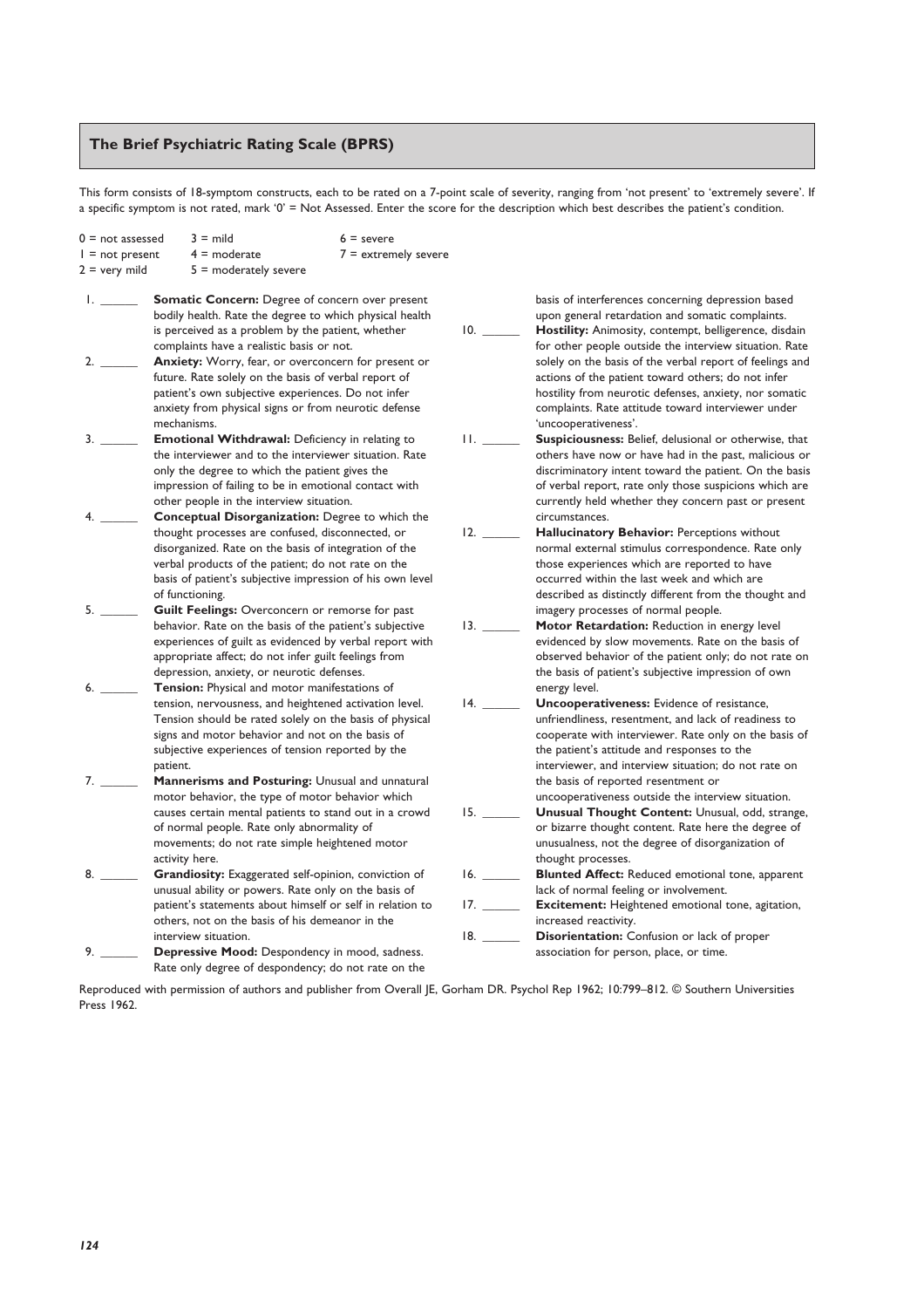#### **The Brief Psychiatric Rating Scale (BPRS)**

This form consists of 18-symptom constructs, each to be rated on a 7-point scale of severity, ranging from 'not present' to 'extremely severe'. If a specific symptom is not rated, mark '0' = Not Assessed. Enter the score for the description which best describes the patient's condition.

- $0 = not assessed$   $3 = mild$   $6 = severe$
- $1 = not present$   $4 = moderate$   $7 = extremely severe$  $2 =$  very mild  $5 =$  moderately severe
- 1. \_\_\_\_\_\_ **Somatic Concern:** Degree of concern over present bodily health. Rate the degree to which physical health is perceived as a problem by the patient, whether complaints have a realistic basis or not.
- 2. \_\_\_\_\_\_ **Anxiety:** Worry, fear, or overconcern for present or future. Rate solely on the basis of verbal report of patient's own subjective experiences. Do not infer anxiety from physical signs or from neurotic defense mechanisms.
- **Emotional Withdrawal:** Deficiency in relating to the interviewer and to the interviewer situation. Rate only the degree to which the patient gives the impression of failing to be in emotional contact with other people in the interview situation.
- Conceptual Disorganization: Degree to which the thought processes are confused, disconnected, or disorganized. Rate on the basis of integration of the verbal products of the patient; do not rate on the basis of patient's subjective impression of his own level of functioning.
- 5. \_\_\_\_\_\_ **Guilt Feelings:** Overconcern or remorse for past behavior. Rate on the basis of the patient's subjective experiences of guilt as evidenced by verbal report with appropriate affect; do not infer guilt feelings from depression, anxiety, or neurotic defenses.
- Tension: Physical and motor manifestations of tension, nervousness, and heightened activation level. Tension should be rated solely on the basis of physical signs and motor behavior and not on the basis of subjective experiences of tension reported by the patient.
- 7. \_\_\_\_\_\_ **Mannerisms and Posturing:** Unusual and unnatural motor behavior, the type of motor behavior which causes certain mental patients to stand out in a crowd of normal people. Rate only abnormality of movements; do not rate simple heightened motor activity here.
- 8. \_\_\_\_\_\_ **Grandiosity:** Exaggerated self-opinion, conviction of unusual ability or powers. Rate only on the basis of patient's statements about himself or self in relation to others, not on the basis of his demeanor in the interview situation.
- 9. \_\_\_\_\_\_ **Depressive Mood:** Despondency in mood, sadness. Rate only degree of despondency; do not rate on the

basis of interferences concerning depression based upon general retardation and somatic complaints. 10. \_\_\_\_\_\_ **Hostility:** Animosity, contempt, belligerence, disdain for other people outside the interview situation. Rate solely on the basis of the verbal report of feelings and actions of the patient toward others; do not infer hostility from neurotic defenses, anxiety, nor somatic complaints. Rate attitude toward interviewer under 'uncooperativeness'.

- 11. \_\_\_\_\_\_ **Suspiciousness:** Belief, delusional or otherwise, that others have now or have had in the past, malicious or discriminatory intent toward the patient. On the basis of verbal report, rate only those suspicions which are currently held whether they concern past or present circumstances.
- 12. \_\_\_\_\_\_ **Hallucinatory Behavior:** Perceptions without normal external stimulus correspondence. Rate only those experiences which are reported to have occurred within the last week and which are described as distinctly different from the thought and imagery processes of normal people.
- 13. \_\_\_\_\_\_ **Motor Retardation:** Reduction in energy level evidenced by slow movements. Rate on the basis of observed behavior of the patient only; do not rate on the basis of patient's subjective impression of own energy level.
- 14. \_\_\_\_\_\_ **Uncooperativeness:** Evidence of resistance, unfriendliness, resentment, and lack of readiness to cooperate with interviewer. Rate only on the basis of the patient's attitude and responses to the interviewer, and interview situation; do not rate on the basis of reported resentment or
- uncooperativeness outside the interview situation. 15. \_\_\_\_\_\_ **Unusual Thought Content:** Unusual, odd, strange, or bizarre thought content. Rate here the degree of unusualness, not the degree of disorganization of thought processes.
- 16. \_\_\_\_\_\_ **Blunted Affect:** Reduced emotional tone, apparent lack of normal feeling or involvement.
- 17. \_\_\_\_\_\_ **Excitement:** Heightened emotional tone, agitation, increased reactivity.
- 18. \_\_\_\_\_\_ **Disorientation:** Confusion or lack of proper association for person, place, or time.

Reproduced with permission of authors and publisher from Overall JE, Gorham DR. Psychol Rep 1962; 10:799–812. © Southern Universities Press 1962.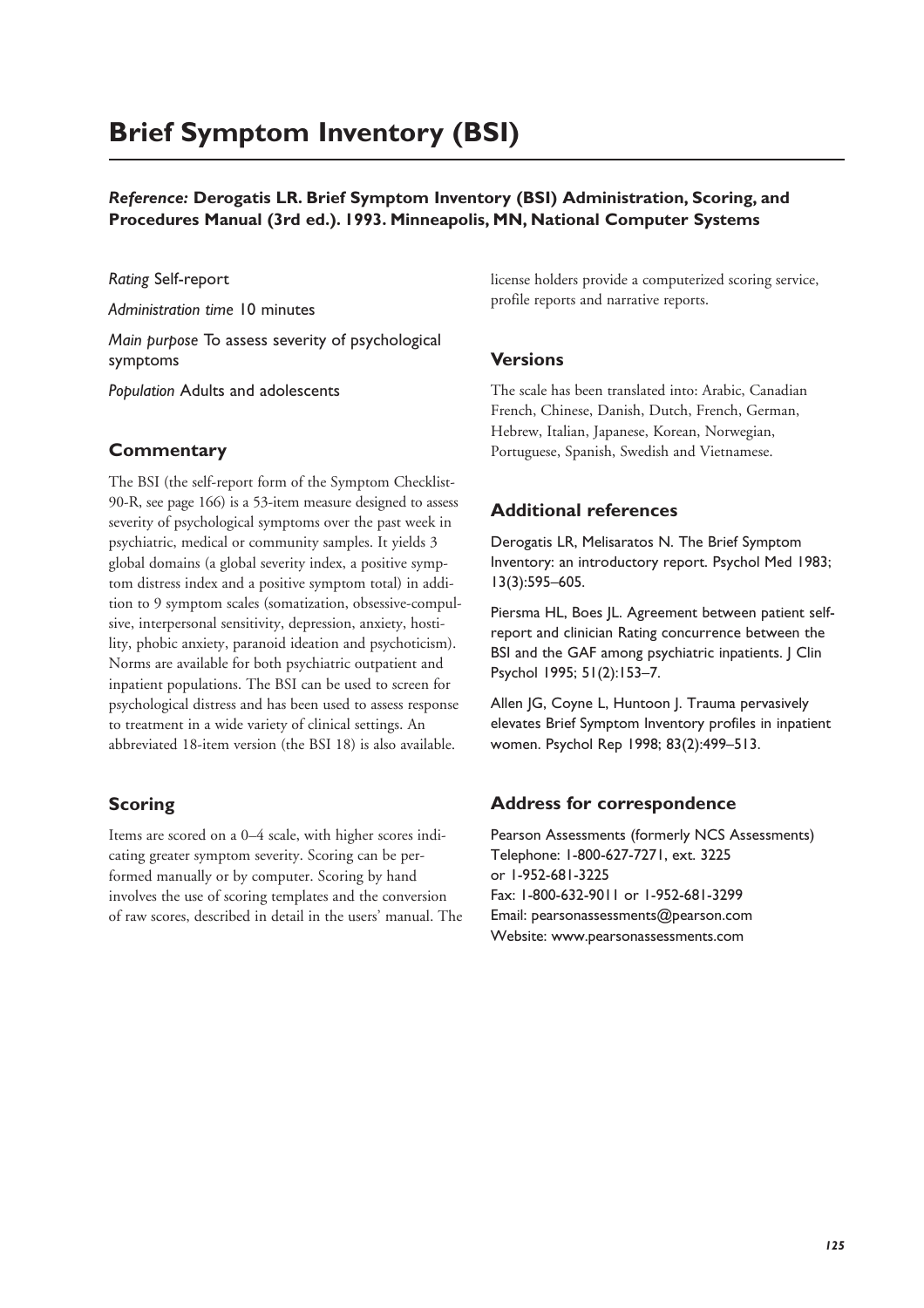*Reference:* **Derogatis LR. Brief Symptom Inventory (BSI) Administration, Scoring, and Procedures Manual (3rd ed.). 1993. Minneapolis, MN, National Computer Systems**

*Rating* Self-report

*Administration time* 10 minutes

*Main purpose* To assess severity of psychological symptoms

*Population* Adults and adolescents

# **Commentary**

The BSI (the self-report form of the Symptom Checklist-90-R, see page 166) is a 53-item measure designed to assess severity of psychological symptoms over the past week in psychiatric, medical or community samples. It yields 3 global domains (a global severity index, a positive symptom distress index and a positive symptom total) in addition to 9 symptom scales (somatization, obsessive-compulsive, interpersonal sensitivity, depression, anxiety, hostility, phobic anxiety, paranoid ideation and psychoticism). Norms are available for both psychiatric outpatient and inpatient populations. The BSI can be used to screen for psychological distress and has been used to assess response to treatment in a wide variety of clinical settings. An abbreviated 18-item version (the BSI 18) is also available.

# **Scoring**

Items are scored on a 0–4 scale, with higher scores indicating greater symptom severity. Scoring can be performed manually or by computer. Scoring by hand involves the use of scoring templates and the conversion of raw scores, described in detail in the users' manual. The license holders provide a computerized scoring service, profile reports and narrative reports.

# **Versions**

The scale has been translated into: Arabic, Canadian French, Chinese, Danish, Dutch, French, German, Hebrew, Italian, Japanese, Korean, Norwegian, Portuguese, Spanish, Swedish and Vietnamese.

# **Additional references**

Derogatis LR, Melisaratos N. The Brief Symptom Inventory: an introductory report. Psychol Med 1983; 13(3):595–605.

Piersma HL, Boes JL. Agreement between patient selfreport and clinician Rating concurrence between the BSI and the GAF among psychiatric inpatients. J Clin Psychol 1995; 51(2):153–7.

Allen JG, Coyne L, Huntoon J. Trauma pervasively elevates Brief Symptom Inventory profiles in inpatient women. Psychol Rep 1998; 83(2):499–513.

# **Address for correspondence**

Pearson Assessments (formerly NCS Assessments) Telephone: 1-800-627-7271, ext. 3225 or 1-952-681-3225 Fax: 1-800-632-9011 or 1-952-681-3299 Email: pearsonassessments@pearson.com Website: www.pearsonassessments.com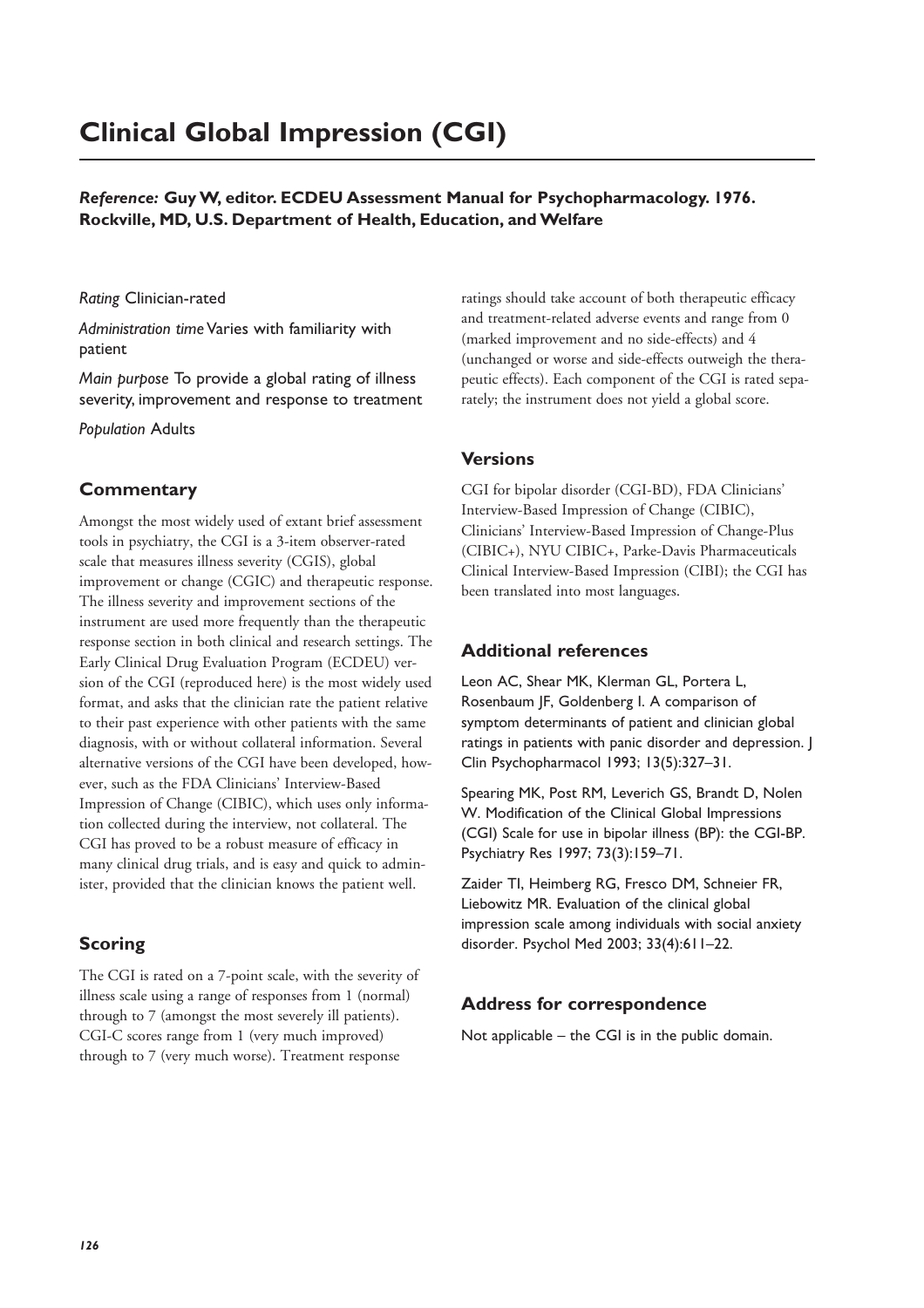*Reference:* **Guy W, editor. ECDEU Assessment Manual for Psychopharmacology. 1976. Rockville, MD, U.S. Department of Health, Education, and Welfare**

#### *Rating* Clinician-rated

*Administration time* Varies with familiarity with patient

*Main purpose* To provide a global rating of illness severity, improvement and response to treatment

*Population* Adults

# **Commentary**

Amongst the most widely used of extant brief assessment tools in psychiatry, the CGI is a 3-item observer-rated scale that measures illness severity (CGIS), global improvement or change (CGIC) and therapeutic response. The illness severity and improvement sections of the instrument are used more frequently than the therapeutic response section in both clinical and research settings. The Early Clinical Drug Evaluation Program (ECDEU) version of the CGI (reproduced here) is the most widely used format, and asks that the clinician rate the patient relative to their past experience with other patients with the same diagnosis, with or without collateral information. Several alternative versions of the CGI have been developed, however, such as the FDA Clinicians' Interview-Based Impression of Change (CIBIC), which uses only information collected during the interview, not collateral. The CGI has proved to be a robust measure of efficacy in many clinical drug trials, and is easy and quick to administer, provided that the clinician knows the patient well.

# **Scoring**

The CGI is rated on a 7-point scale, with the severity of illness scale using a range of responses from 1 (normal) through to 7 (amongst the most severely ill patients). CGI-C scores range from 1 (very much improved) through to 7 (very much worse). Treatment response

ratings should take account of both therapeutic efficacy and treatment-related adverse events and range from 0 (marked improvement and no side-effects) and 4 (unchanged or worse and side-effects outweigh the therapeutic effects). Each component of the CGI is rated separately; the instrument does not yield a global score.

# **Versions**

CGI for bipolar disorder (CGI-BD), FDA Clinicians' Interview-Based Impression of Change (CIBIC), Clinicians' Interview-Based Impression of Change-Plus (CIBIC+), NYU CIBIC+, Parke-Davis Pharmaceuticals Clinical Interview-Based Impression (CIBI); the CGI has been translated into most languages.

# **Additional references**

Leon AC, Shear MK, Klerman GL, Portera L, Rosenbaum JF, Goldenberg I. A comparison of symptom determinants of patient and clinician global ratings in patients with panic disorder and depression. J Clin Psychopharmacol 1993; 13(5):327–31.

Spearing MK, Post RM, Leverich GS, Brandt D, Nolen W. Modification of the Clinical Global Impressions (CGI) Scale for use in bipolar illness (BP): the CGI-BP. Psychiatry Res 1997; 73(3):159–71.

Zaider TI, Heimberg RG, Fresco DM, Schneier FR, Liebowitz MR. Evaluation of the clinical global impression scale among individuals with social anxiety disorder. Psychol Med 2003; 33(4):611–22.

# **Address for correspondence**

Not applicable – the CGI is in the public domain.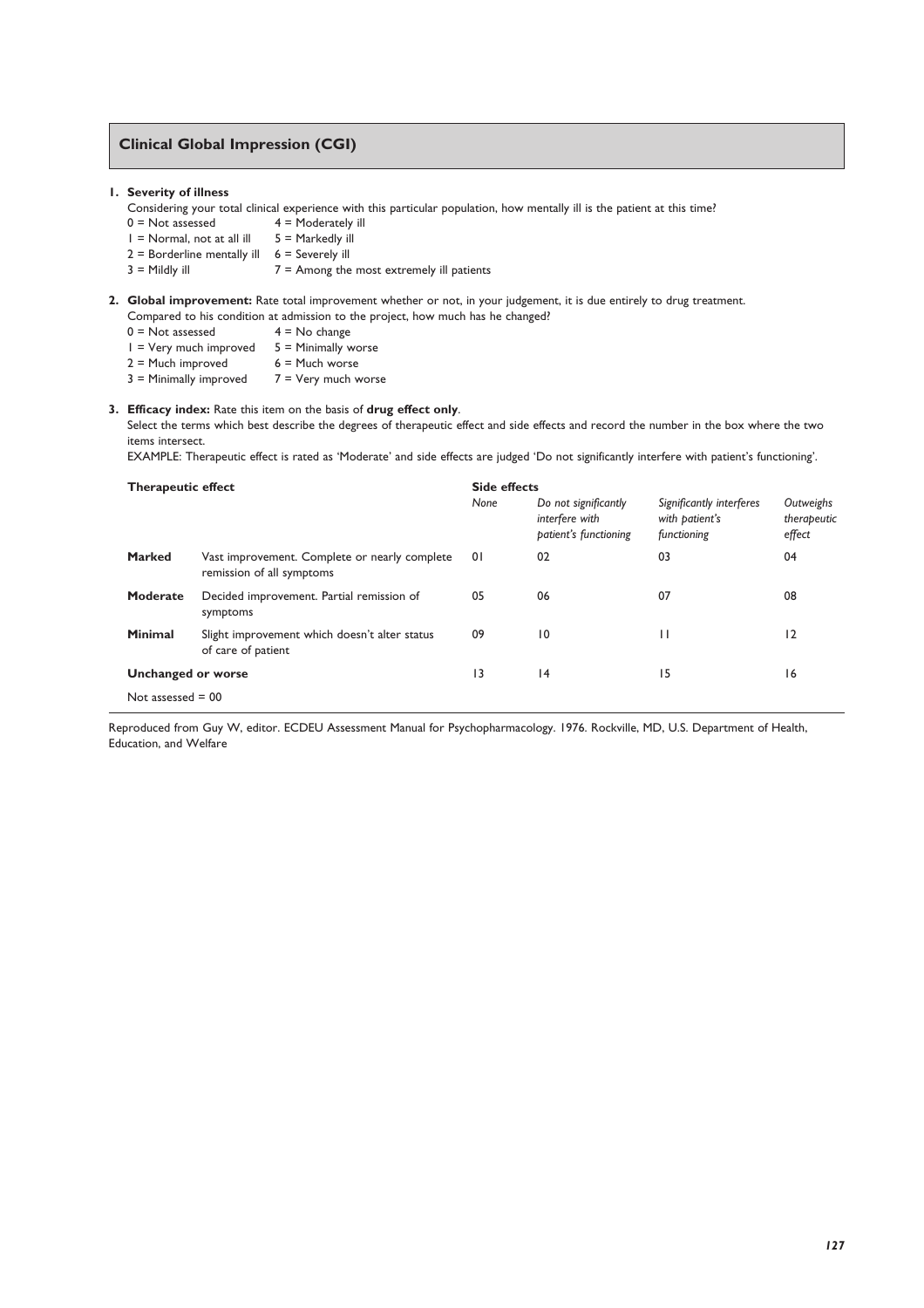## **Clinical Global Impression (CGI)**

#### **1. Severity of illness**

Considering your total clinical experience with this particular population, how mentally ill is the patient at this time?

 $0 = Not assessed$   $4 = Moderned$  ill

 $1 =$  Normal, not at all ill  $5 =$  Markedly ill

- $2 =$  Borderline mentally ill  $6 =$  Severely ill
- $3 =$  Mildly ill  $7 =$  Among the most extremely ill patients

# **2. Global improvement:** Rate total improvement whether or not, in your judgement, it is due entirely to drug treatment. Compared to his condition at admission to the project, how much has he changed?<br> $0 = Not$  assessed  $4 = No$  change

 $0 = Not assessed$ 

 $1 = \text{Very much improved}$   $5 = \text{Minimally worse}$ <br>  $2 = \text{Much improved}$   $6 = \text{Much worse}$  $2 =$  Much improved

 $3$  = Minimally improved  $7$  = Very much worse

#### **3. Efficacy index:** Rate this item on the basis of **drug effect only**.

Select the terms which best describe the degrees of therapeutic effect and side effects and record the number in the box where the two items intersect.

EXAMPLE: Therapeutic effect is rated as 'Moderate' and side effects are judged 'Do not significantly interfere with patient's functioning'.

| <b>Therapeutic effect</b> |                                                                            | <b>Side effects</b> |                                                                 |                                                           |                                    |  |  |
|---------------------------|----------------------------------------------------------------------------|---------------------|-----------------------------------------------------------------|-----------------------------------------------------------|------------------------------------|--|--|
|                           |                                                                            | None                | Do not significantly<br>interfere with<br>patient's functioning | Significantly interferes<br>with patient's<br>functioning | Outweighs<br>therapeutic<br>effect |  |  |
| <b>Marked</b>             | Vast improvement. Complete or nearly complete<br>remission of all symptoms | $\overline{0}$      | 02                                                              | 03                                                        | 04                                 |  |  |
| Moderate                  | Decided improvement. Partial remission of<br>symptoms                      | 05                  | 06                                                              | 07                                                        | 08                                 |  |  |
| <b>Minimal</b>            | Slight improvement which doesn't alter status<br>of care of patient        | 09                  | $\overline{10}$                                                 | $\mathsf{H}$                                              | $\overline{2}$                     |  |  |
| Unchanged or worse        |                                                                            | 13                  | 4                                                               | 15                                                        | 16                                 |  |  |
| Not assessed $= 00$       |                                                                            |                     |                                                                 |                                                           |                                    |  |  |

Reproduced from Guy W, editor. ECDEU Assessment Manual for Psychopharmacology. 1976. Rockville, MD, U.S. Department of Health, Education, and Welfare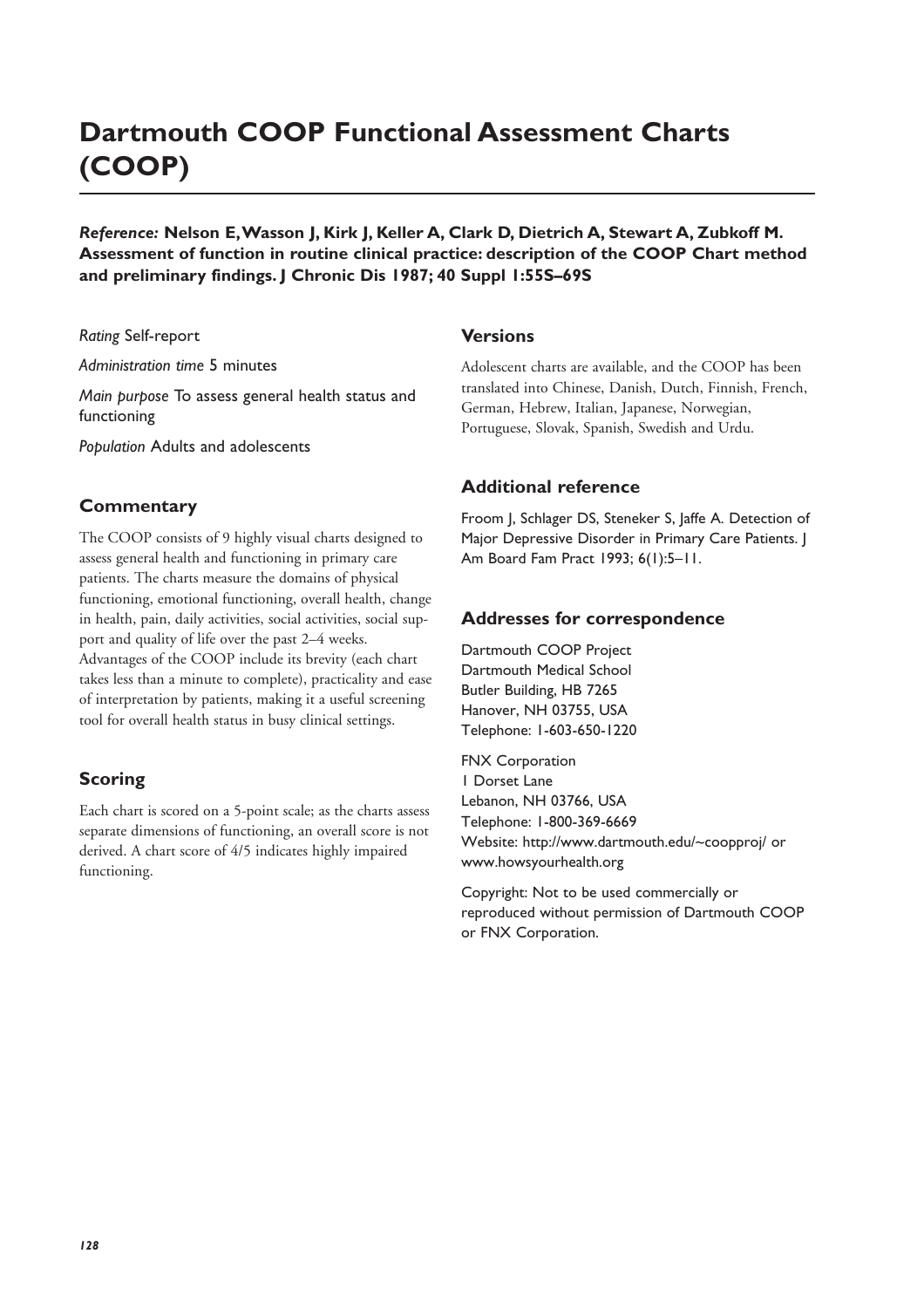# **Dartmouth COOP Functional Assessment Charts (COOP)**

*Reference:* **Nelson E,Wasson J, Kirk J, Keller A, Clark D, Dietrich A, Stewart A, Zubkoff M. Assessment of function in routine clinical practice: description of the COOP Chart method and preliminary findings. J Chronic Dis 1987; 40 Suppl 1:55S–69S**

*Rating* Self-report

*Administration time* 5 minutes

*Main purpose* To assess general health status and functioning

*Population* Adults and adolescents

# **Commentary**

The COOP consists of 9 highly visual charts designed to assess general health and functioning in primary care patients. The charts measure the domains of physical functioning, emotional functioning, overall health, change in health, pain, daily activities, social activities, social support and quality of life over the past 2–4 weeks. Advantages of the COOP include its brevity (each chart takes less than a minute to complete), practicality and ease of interpretation by patients, making it a useful screening tool for overall health status in busy clinical settings.

# **Scoring**

Each chart is scored on a 5-point scale; as the charts assess separate dimensions of functioning, an overall score is not derived. A chart score of 4/5 indicates highly impaired functioning.

# **Versions**

Adolescent charts are available, and the COOP has been translated into Chinese, Danish, Dutch, Finnish, French, German, Hebrew, Italian, Japanese, Norwegian, Portuguese, Slovak, Spanish, Swedish and Urdu.

# **Additional reference**

Froom J, Schlager DS, Steneker S, Jaffe A. Detection of Major Depressive Disorder in Primary Care Patients. J Am Board Fam Pract 1993; 6(1):5–11.

# **Addresses for correspondence**

Dartmouth COOP Project Dartmouth Medical School Butler Building, HB 7265 Hanover, NH 03755, USA Telephone: 1-603-650-1220

FNX Corporation 1 Dorset Lane Lebanon, NH 03766, USA Telephone: 1-800-369-6669 Website: http://www.dartmouth.edu/~coopproj/ or www.howsyourhealth.org

Copyright: Not to be used commercially or reproduced without permission of Dartmouth COOP or FNX Corporation.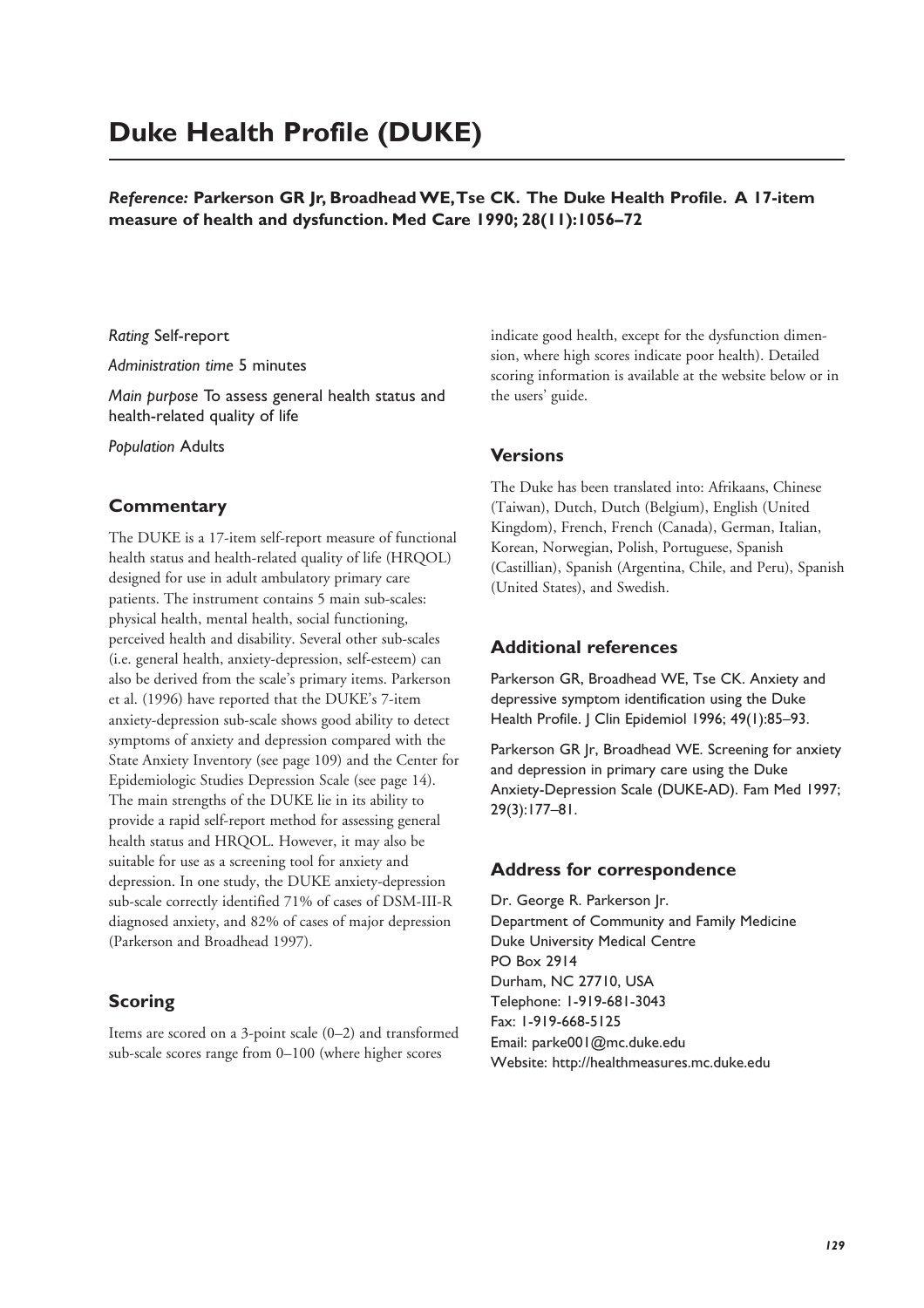*Reference:* **Parkerson GR Jr, Broadhead WE,Tse CK. The Duke Health Profile. A 17-item measure of health and dysfunction. Med Care 1990; 28(11):1056–72**

*Rating* Self-report

*Administration time* 5 minutes

*Main purpose* To assess general health status and health-related quality of life

*Population* Adults

# **Commentary**

The DUKE is a 17-item self-report measure of functional health status and health-related quality of life (HRQOL) designed for use in adult ambulatory primary care patients. The instrument contains 5 main sub-scales: physical health, mental health, social functioning, perceived health and disability. Several other sub-scales (i.e. general health, anxiety-depression, self-esteem) can also be derived from the scale's primary items. Parkerson et al. (1996) have reported that the DUKE's 7-item anxiety-depression sub-scale shows good ability to detect symptoms of anxiety and depression compared with the State Anxiety Inventory (see page 109) and the Center for Epidemiologic Studies Depression Scale (see page 14). The main strengths of the DUKE lie in its ability to provide a rapid self-report method for assessing general health status and HRQOL. However, it may also be suitable for use as a screening tool for anxiety and depression. In one study, the DUKE anxiety-depression sub-scale correctly identified 71% of cases of DSM-III-R diagnosed anxiety, and 82% of cases of major depression (Parkerson and Broadhead 1997).

# **Scoring**

Items are scored on a 3-point scale (0–2) and transformed sub-scale scores range from 0–100 (where higher scores

indicate good health, except for the dysfunction dimension, where high scores indicate poor health). Detailed scoring information is available at the website below or in the users' guide.

# **Versions**

The Duke has been translated into: Afrikaans, Chinese (Taiwan), Dutch, Dutch (Belgium), English (United Kingdom), French, French (Canada), German, Italian, Korean, Norwegian, Polish, Portuguese, Spanish (Castillian), Spanish (Argentina, Chile, and Peru), Spanish (United States), and Swedish.

# **Additional references**

Parkerson GR, Broadhead WE, Tse CK. Anxiety and depressive symptom identification using the Duke Health Profile. J Clin Epidemiol 1996; 49(1):85–93.

Parkerson GR Jr, Broadhead WE. Screening for anxiety and depression in primary care using the Duke Anxiety-Depression Scale (DUKE-AD). Fam Med 1997; 29(3):177–81.

# **Address for correspondence**

Dr. George R. Parkerson Jr. Department of Community and Family Medicine Duke University Medical Centre PO Box 2914 Durham, NC 27710, USA Telephone: 1-919-681-3043 Fax: 1-919-668-5125 Email: parke001@mc.duke.edu Website: http://healthmeasures.mc.duke.edu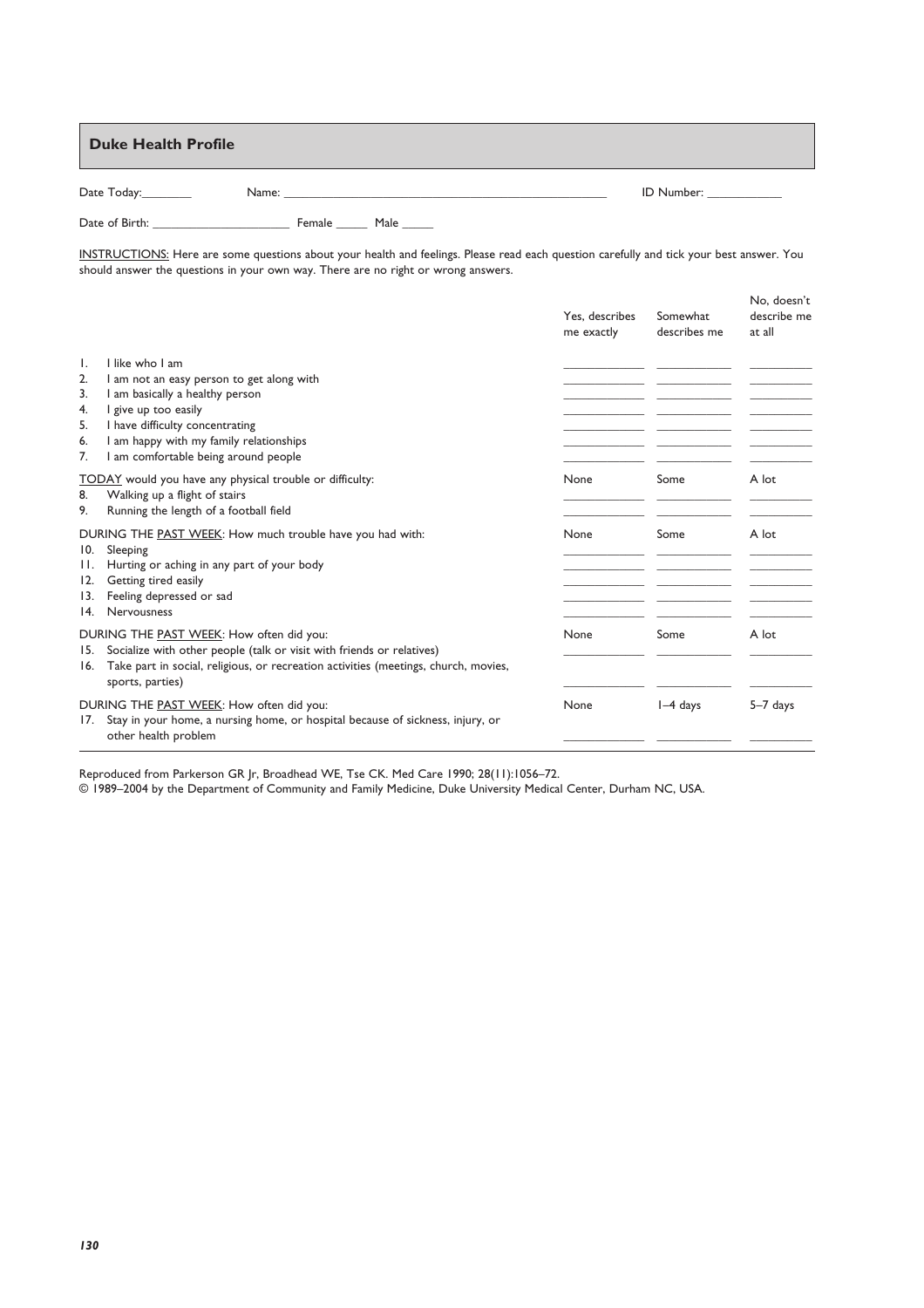| <b>Duke Health Profile</b> |       |                |            |  |  |  |
|----------------------------|-------|----------------|------------|--|--|--|
| Date Today:                | Name: |                | ID Number: |  |  |  |
| Date of Birth:             |       | Female<br>Male |            |  |  |  |

INSTRUCTIONS: Here are some questions about your health and feelings. Please read each question carefully and tick your best answer. You should answer the questions in your own way. There are no right or wrong answers.

|                                              |                                                                                                                                                                                                                                             | Yes, describes<br>me exactly | Somewhat<br>describes me | No, doesn't<br>describe me<br>at all |
|----------------------------------------------|---------------------------------------------------------------------------------------------------------------------------------------------------------------------------------------------------------------------------------------------|------------------------------|--------------------------|--------------------------------------|
| Τ.<br>2.<br>3.<br>4.<br>5.<br>6.<br>7.       | Llike who Lam<br>I am not an easy person to get along with<br>I am basically a healthy person<br>I give up too easily<br>I have difficulty concentrating<br>I am happy with my family relationships<br>I am comfortable being around people |                              |                          |                                      |
| 8.<br>9.                                     | <b>TODAY</b> would you have any physical trouble or difficulty:<br>Walking up a flight of stairs<br>Running the length of a football field                                                                                                  | None                         | Some                     | A lot                                |
| 10.<br>H.<br>12.<br>13.<br>$\overline{14}$ . | DURING THE PAST WEEK: How much trouble have you had with:<br>Sleeping<br>Hurting or aching in any part of your body<br>Getting tired easily<br>Feeling depressed or sad<br>Nervousness                                                      | None                         | Some                     | A lot                                |
| 15.<br>16.                                   | DURING THE PAST WEEK: How often did you:<br>Socialize with other people (talk or visit with friends or relatives)<br>Take part in social, religious, or recreation activities (meetings, church, movies,<br>sports, parties)                | None                         | Some                     | A lot                                |
| 17.                                          | DURING THE PAST WEEK: How often did you:<br>Stay in your home, a nursing home, or hospital because of sickness, injury, or<br>other health problem                                                                                          | None                         | $I-4$ days               | $5-7$ days                           |

Reproduced from Parkerson GR Jr, Broadhead WE, Tse CK. Med Care 1990; 28(11):1056–72.

© 1989–2004 by the Department of Community and Family Medicine, Duke University Medical Center, Durham NC, USA.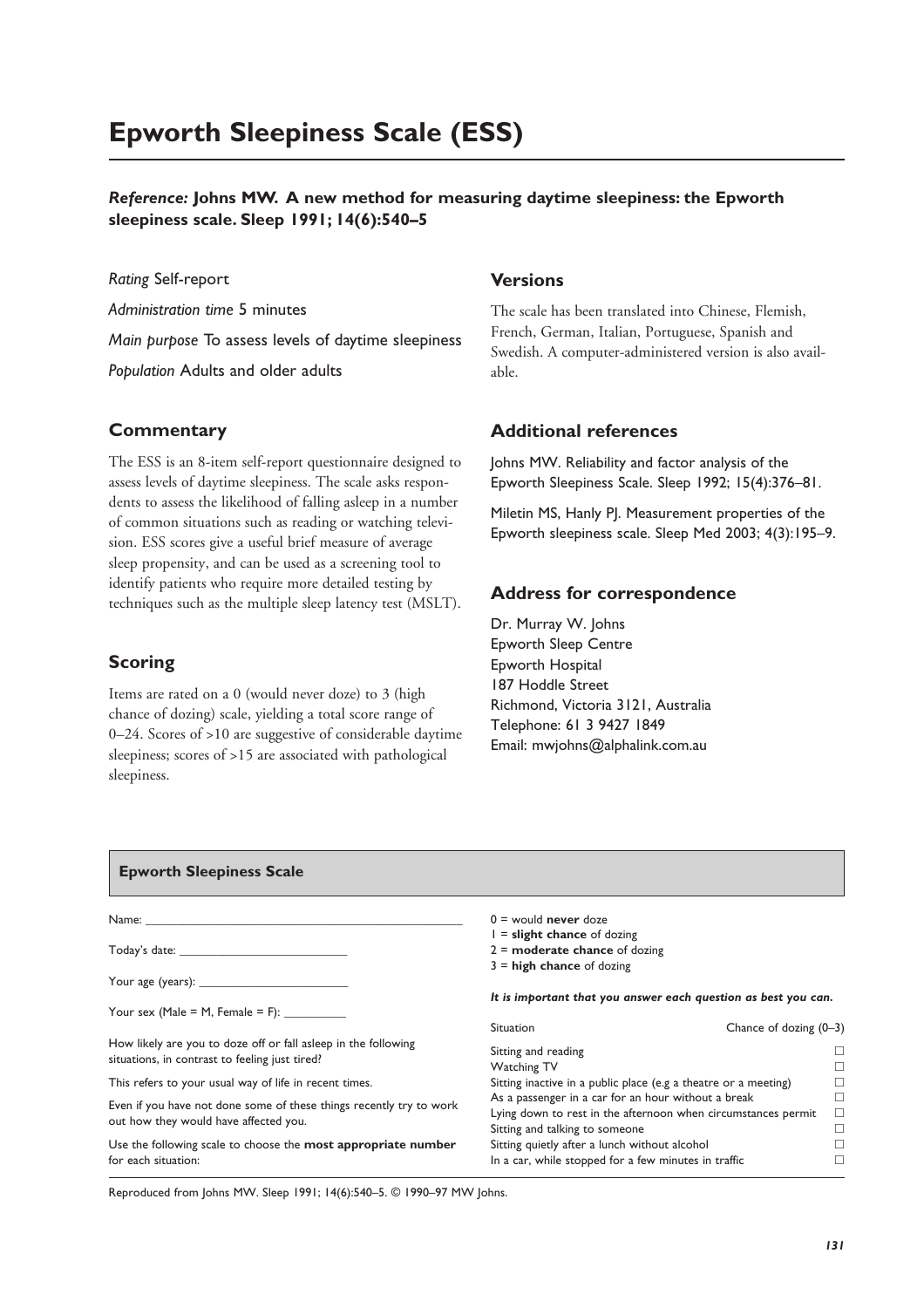# *Reference:* **Johns MW. A new method for measuring daytime sleepiness: the Epworth sleepiness scale. Sleep 1991; 14(6):540–5**

*Rating* Self-report *Administration time* 5 minutes *Main purpose* To assess levels of daytime sleepiness *Population* Adults and older adults

# **Commentary**

The ESS is an 8-item self-report questionnaire designed to assess levels of daytime sleepiness. The scale asks respondents to assess the likelihood of falling asleep in a number of common situations such as reading or watching television. ESS scores give a useful brief measure of average sleep propensity, and can be used as a screening tool to identify patients who require more detailed testing by techniques such as the multiple sleep latency test (MSLT).

# **Scoring**

Items are rated on a 0 (would never doze) to 3 (high chance of dozing) scale, yielding a total score range of 0–24. Scores of >10 are suggestive of considerable daytime sleepiness; scores of >15 are associated with pathological sleepiness.

# **Versions**

The scale has been translated into Chinese, Flemish, French, German, Italian, Portuguese, Spanish and Swedish. A computer-administered version is also available.

# **Additional references**

Johns MW. Reliability and factor analysis of the Epworth Sleepiness Scale. Sleep 1992; 15(4):376–81.

Miletin MS, Hanly PJ. Measurement properties of the Epworth sleepiness scale. Sleep Med 2003; 4(3):195–9.

# **Address for correspondence**

Dr. Murray W. Johns Epworth Sleep Centre Epworth Hospital 187 Hoddle Street Richmond, Victoria 3121, Australia Telephone: 61 3 9427 1849 Email: mwjohns@alphalink.com.au

| <b>Epworth Sleepiness Scale</b>                                                                                  |                                                                                                                                                        |                                                                |              |  |  |
|------------------------------------------------------------------------------------------------------------------|--------------------------------------------------------------------------------------------------------------------------------------------------------|----------------------------------------------------------------|--------------|--|--|
|                                                                                                                  | $0 =$ would never doze                                                                                                                                 |                                                                |              |  |  |
|                                                                                                                  | $=$ slight chance of dozing                                                                                                                            |                                                                |              |  |  |
|                                                                                                                  | $2$ = moderate chance of dozing                                                                                                                        |                                                                |              |  |  |
|                                                                                                                  | $3$ = high chance of dozing                                                                                                                            |                                                                |              |  |  |
|                                                                                                                  |                                                                                                                                                        | It is important that you answer each question as best you can. |              |  |  |
| Your sex (Male = M, Female = F): $\frac{1}{2}$                                                                   |                                                                                                                                                        |                                                                |              |  |  |
|                                                                                                                  | Situation                                                                                                                                              | Chance of dozing $(0-3)$                                       |              |  |  |
| How likely are you to doze off or fall asleep in the following<br>situations, in contrast to feeling just tired? | Sitting and reading<br><b>Watching TV</b>                                                                                                              |                                                                |              |  |  |
| This refers to your usual way of life in recent times.                                                           | Sitting inactive in a public place (e.g a theatre or a meeting)                                                                                        |                                                                |              |  |  |
| Even if you have not done some of these things recently try to work<br>out how they would have affected you.     | As a passenger in a car for an hour without a break<br>Lying down to rest in the afternoon when circumstances permit<br>Sitting and talking to someone |                                                                |              |  |  |
| Use the following scale to choose the most appropriate number                                                    | Sitting quietly after a lunch without alcohol                                                                                                          |                                                                |              |  |  |
| for each situation:                                                                                              | In a car, while stopped for a few minutes in traffic                                                                                                   |                                                                | $\mathsf{L}$ |  |  |

Reproduced from Johns MW. Sleep 1991; 14(6):540–5. © 1990–97 MW Johns.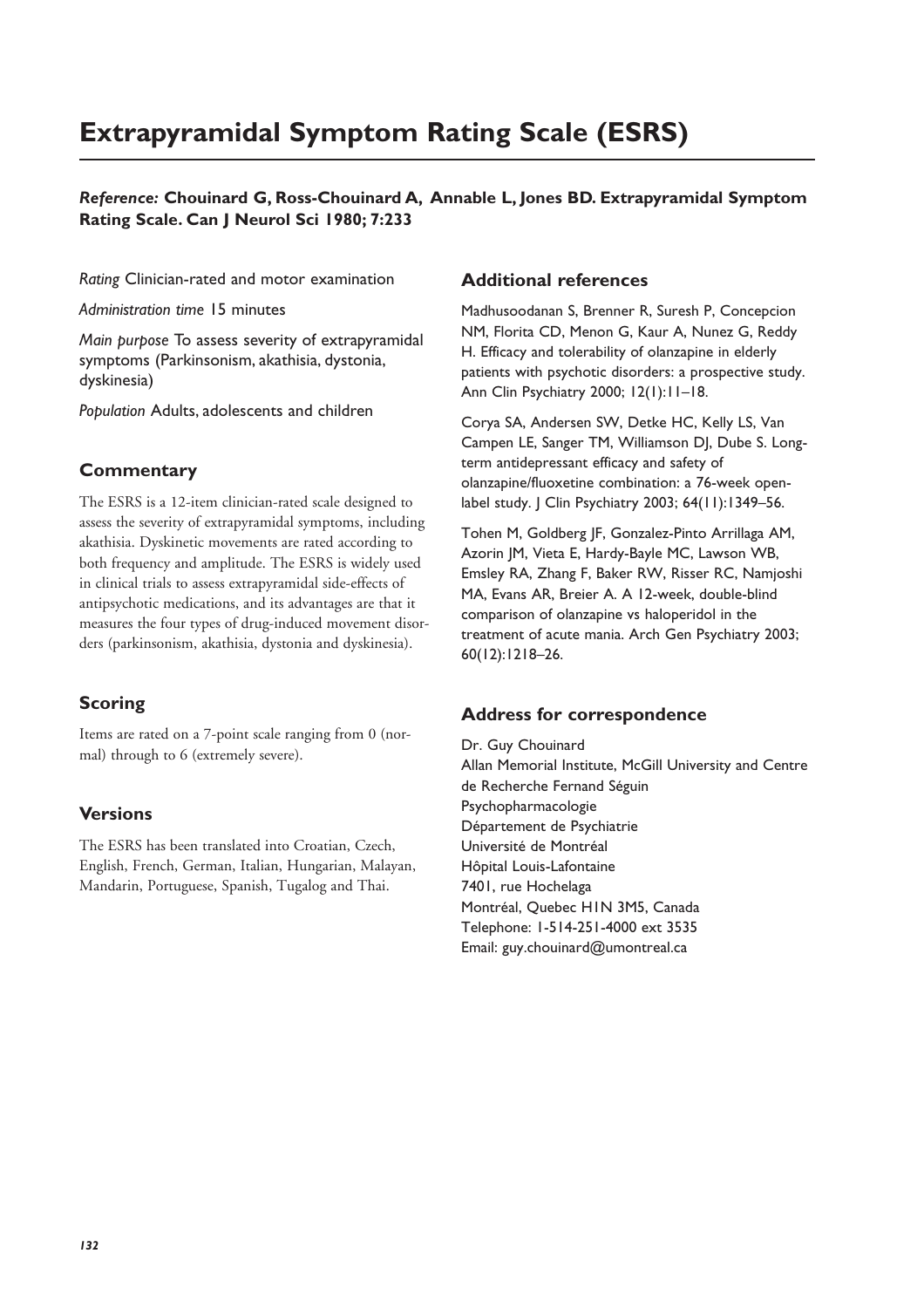# **Extrapyramidal Symptom Rating Scale (ESRS)**

# *Reference:* **Chouinard G, Ross-Chouinard A, Annable L, Jones BD. Extrapyramidal Symptom Rating Scale. Can J Neurol Sci 1980; 7:233**

*Rating* Clinician-rated and motor examination

*Administration time* 15 minutes

*Main purpose* To assess severity of extrapyramidal symptoms (Parkinsonism, akathisia, dystonia, dyskinesia)

*Population* Adults, adolescents and children

# **Commentary**

The ESRS is a 12-item clinician-rated scale designed to assess the severity of extrapyramidal symptoms, including akathisia. Dyskinetic movements are rated according to both frequency and amplitude. The ESRS is widely used in clinical trials to assess extrapyramidal side-effects of antipsychotic medications, and its advantages are that it measures the four types of drug-induced movement disorders (parkinsonism, akathisia, dystonia and dyskinesia).

# **Scoring**

Items are rated on a 7-point scale ranging from 0 (normal) through to 6 (extremely severe).

# **Versions**

The ESRS has been translated into Croatian, Czech, English, French, German, Italian, Hungarian, Malayan, Mandarin, Portuguese, Spanish, Tugalog and Thai.

## **Additional references**

Madhusoodanan S, Brenner R, Suresh P, Concepcion NM, Florita CD, Menon G, Kaur A, Nunez G, Reddy H. Efficacy and tolerability of olanzapine in elderly patients with psychotic disorders: a prospective study. Ann Clin Psychiatry 2000; 12(1):11–18.

Corya SA, Andersen SW, Detke HC, Kelly LS, Van Campen LE, Sanger TM, Williamson DJ, Dube S. Longterm antidepressant efficacy and safety of olanzapine/fluoxetine combination: a 76-week openlabel study. | Clin Psychiatry 2003; 64(11):1349-56.

Tohen M, Goldberg JF, Gonzalez-Pinto Arrillaga AM, Azorin JM, Vieta E, Hardy-Bayle MC, Lawson WB, Emsley RA, Zhang F, Baker RW, Risser RC, Namjoshi MA, Evans AR, Breier A. A 12-week, double-blind comparison of olanzapine vs haloperidol in the treatment of acute mania. Arch Gen Psychiatry 2003; 60(12):1218–26.

# **Address for correspondence**

Dr. Guy Chouinard Allan Memorial Institute, McGill University and Centre de Recherche Fernand Séguin Psychopharmacologie Département de Psychiatrie Université de Montréal Hôpital Louis-Lafontaine 7401, rue Hochelaga Montréal, Quebec H1N 3M5, Canada Telephone: 1-514-251-4000 ext 3535 Email: guy.chouinard@umontreal.ca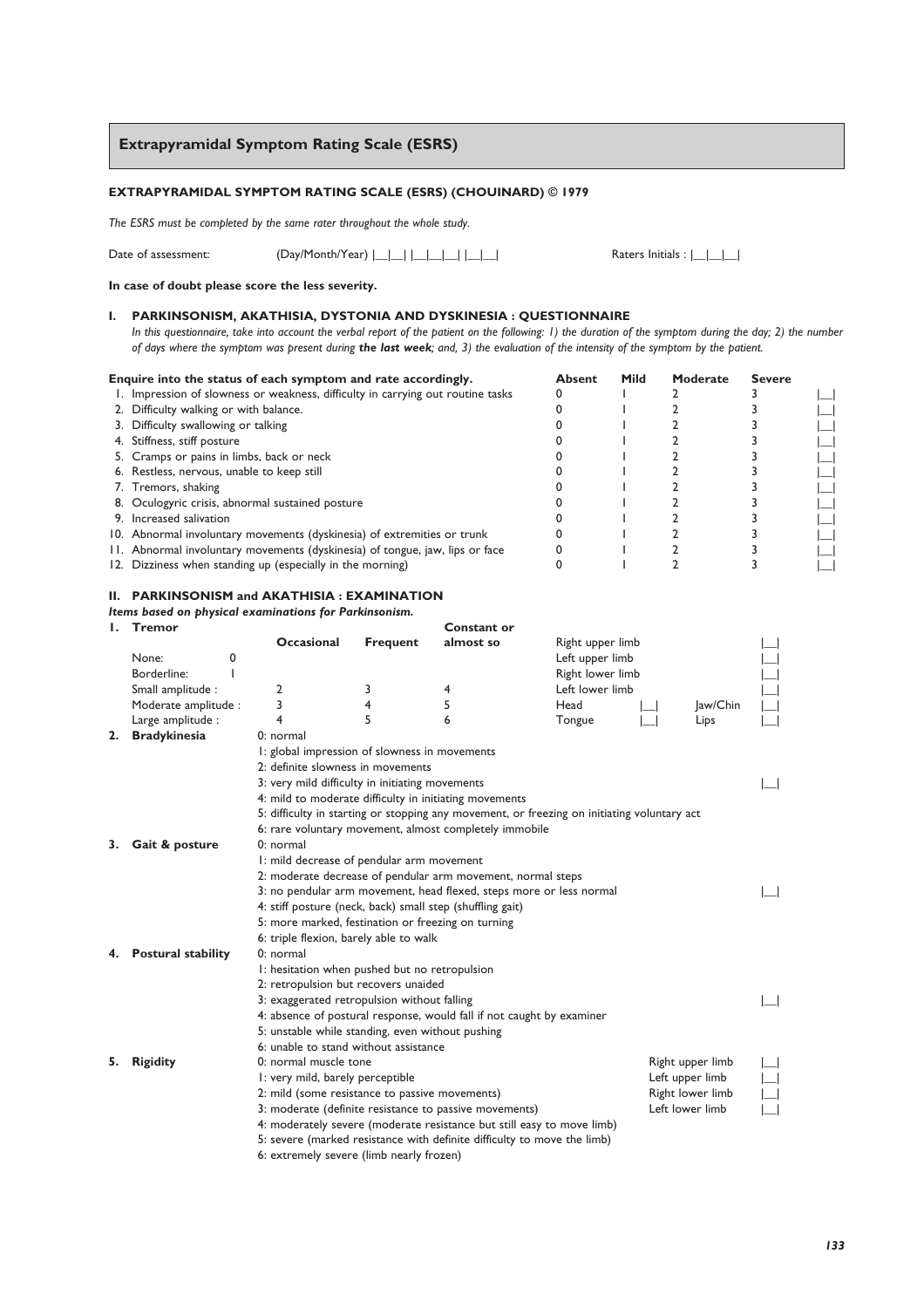## **Extrapyramidal Symptom Rating Scale (ESRS)**

#### **EXTRAPYRAMIDAL SYMPTOM RATING SCALE (ESRS) (CHOUINARD) © 1979**

*The ESRS must be completed by the same rater throughout the whole study.*

Date of assessment:  $(Day/Month/Year)$  | | | | | | | | | | | | | | | | | Raters Initials : | | | |

**In case of doubt please score the less severity.**

#### **I. PARKINSONISM, AKATHISIA, DYSTONIA AND DYSKINESIA : QUESTIONNAIRE**

*In this questionnaire, take into account the verbal report of the patient on the following: 1) the duration of the symptom during the day; 2) the number of days where the symptom was present during the last week; and, 3) the evaluation of the intensity of the symptom by the patient.*

| Enquire into the status of each symptom and rate accordingly. |                                                                                 |  | Mild | Moderate | <b>Severe</b> |  |
|---------------------------------------------------------------|---------------------------------------------------------------------------------|--|------|----------|---------------|--|
|                                                               | 1. Impression of slowness or weakness, difficulty in carrying out routine tasks |  |      |          |               |  |
|                                                               | 2. Difficulty walking or with balance.                                          |  |      |          |               |  |
|                                                               | 3. Difficulty swallowing or talking                                             |  |      |          |               |  |
|                                                               | 4. Stiffness, stiff posture                                                     |  |      |          |               |  |
|                                                               | 5. Cramps or pains in limbs, back or neck                                       |  |      |          |               |  |
|                                                               | 6. Restless, nervous, unable to keep still                                      |  |      |          |               |  |
|                                                               | 7. Tremors, shaking                                                             |  |      |          |               |  |
|                                                               | 8. Oculogyric crisis, abnormal sustained posture                                |  |      |          |               |  |
|                                                               | 9. Increased salivation                                                         |  |      |          |               |  |
|                                                               | 10. Abnormal involuntary movements (dyskinesia) of extremities or trunk         |  |      |          |               |  |
|                                                               | 11. Abnormal involuntary movements (dyskinesia) of tongue, jaw, lips or face    |  |      |          |               |  |
|                                                               | 12. Dizziness when standing up (especially in the morning)                      |  |      |          |               |  |

#### **II. PARKINSONISM and AKATHISIA : EXAMINATION**

#### *Items based on physical examinations for Parkinsonism.*

| ۱.                                                                                                       | <b>Tremor</b>                                                       |                                                                                             |                 | <b>Constant or</b> |                  |                  |  |  |
|----------------------------------------------------------------------------------------------------------|---------------------------------------------------------------------|---------------------------------------------------------------------------------------------|-----------------|--------------------|------------------|------------------|--|--|
|                                                                                                          |                                                                     | <b>Occasional</b>                                                                           | <b>Frequent</b> | almost so          | Right upper limb |                  |  |  |
|                                                                                                          | None:<br>0                                                          |                                                                                             |                 |                    | Left upper limb  |                  |  |  |
|                                                                                                          | Borderline:                                                         |                                                                                             |                 |                    | Right lower limb |                  |  |  |
|                                                                                                          | Small amplitude :                                                   | 2                                                                                           | 3               | 4                  | Left lower limb  |                  |  |  |
|                                                                                                          | Moderate amplitude :                                                | 3                                                                                           | 4               | 5                  | Head             | law/Chin         |  |  |
|                                                                                                          | Large amplitude :                                                   | 4                                                                                           | 5               | 6                  | Tongue           | Lips             |  |  |
| 2.                                                                                                       | <b>Bradykinesia</b>                                                 | 0: normal                                                                                   |                 |                    |                  |                  |  |  |
|                                                                                                          |                                                                     | I: global impression of slowness in movements                                               |                 |                    |                  |                  |  |  |
|                                                                                                          |                                                                     | 2: definite slowness in movements                                                           |                 |                    |                  |                  |  |  |
|                                                                                                          |                                                                     | 3: very mild difficulty in initiating movements                                             |                 |                    |                  |                  |  |  |
|                                                                                                          |                                                                     | 4: mild to moderate difficulty in initiating movements                                      |                 |                    |                  |                  |  |  |
|                                                                                                          |                                                                     | 5: difficulty in starting or stopping any movement, or freezing on initiating voluntary act |                 |                    |                  |                  |  |  |
|                                                                                                          |                                                                     | 6: rare voluntary movement, almost completely immobile                                      |                 |                    |                  |                  |  |  |
| Gait & posture<br>0: normal<br>3.                                                                        |                                                                     |                                                                                             |                 |                    |                  |                  |  |  |
| I: mild decrease of pendular arm movement<br>2: moderate decrease of pendular arm movement, normal steps |                                                                     |                                                                                             |                 |                    |                  |                  |  |  |
|                                                                                                          |                                                                     |                                                                                             |                 |                    |                  |                  |  |  |
|                                                                                                          | 3: no pendular arm movement, head flexed, steps more or less normal |                                                                                             |                 |                    |                  |                  |  |  |
|                                                                                                          |                                                                     | 4: stiff posture (neck, back) small step (shuffling gait)                                   |                 |                    |                  |                  |  |  |
|                                                                                                          |                                                                     | 5: more marked, festination or freezing on turning                                          |                 |                    |                  |                  |  |  |
|                                                                                                          |                                                                     | 6: triple flexion, barely able to walk                                                      |                 |                    |                  |                  |  |  |
| 4.                                                                                                       | <b>Postural stability</b><br>$0:$ normal                            |                                                                                             |                 |                    |                  |                  |  |  |
| I: hesitation when pushed but no retropulsion                                                            |                                                                     |                                                                                             |                 |                    |                  |                  |  |  |
| 2: retropulsion but recovers unaided                                                                     |                                                                     |                                                                                             |                 |                    |                  |                  |  |  |
|                                                                                                          |                                                                     | 3: exaggerated retropulsion without falling                                                 |                 |                    |                  |                  |  |  |
|                                                                                                          |                                                                     | 4: absence of postural response, would fall if not caught by examiner                       |                 |                    |                  |                  |  |  |
|                                                                                                          |                                                                     | 5: unstable while standing, even without pushing                                            |                 |                    |                  |                  |  |  |
|                                                                                                          |                                                                     | 6: unable to stand without assistance                                                       |                 |                    |                  |                  |  |  |
| 5.                                                                                                       | <b>Rigidity</b>                                                     | 0: normal muscle tone                                                                       |                 |                    |                  | Right upper limb |  |  |
|                                                                                                          |                                                                     | I: very mild, barely perceptible                                                            |                 |                    |                  | Left upper limb  |  |  |
|                                                                                                          |                                                                     | 2: mild (some resistance to passive movements)                                              |                 |                    |                  | Right lower limb |  |  |
|                                                                                                          |                                                                     | 3: moderate (definite resistance to passive movements)                                      |                 |                    |                  | Left lower limb  |  |  |
|                                                                                                          |                                                                     | 4: moderately severe (moderate resistance but still easy to move limb)                      |                 |                    |                  |                  |  |  |
|                                                                                                          |                                                                     | 5: severe (marked resistance with definite difficulty to move the limb)                     |                 |                    |                  |                  |  |  |
|                                                                                                          |                                                                     | 6: extremely severe (limb nearly frozen)                                                    |                 |                    |                  |                  |  |  |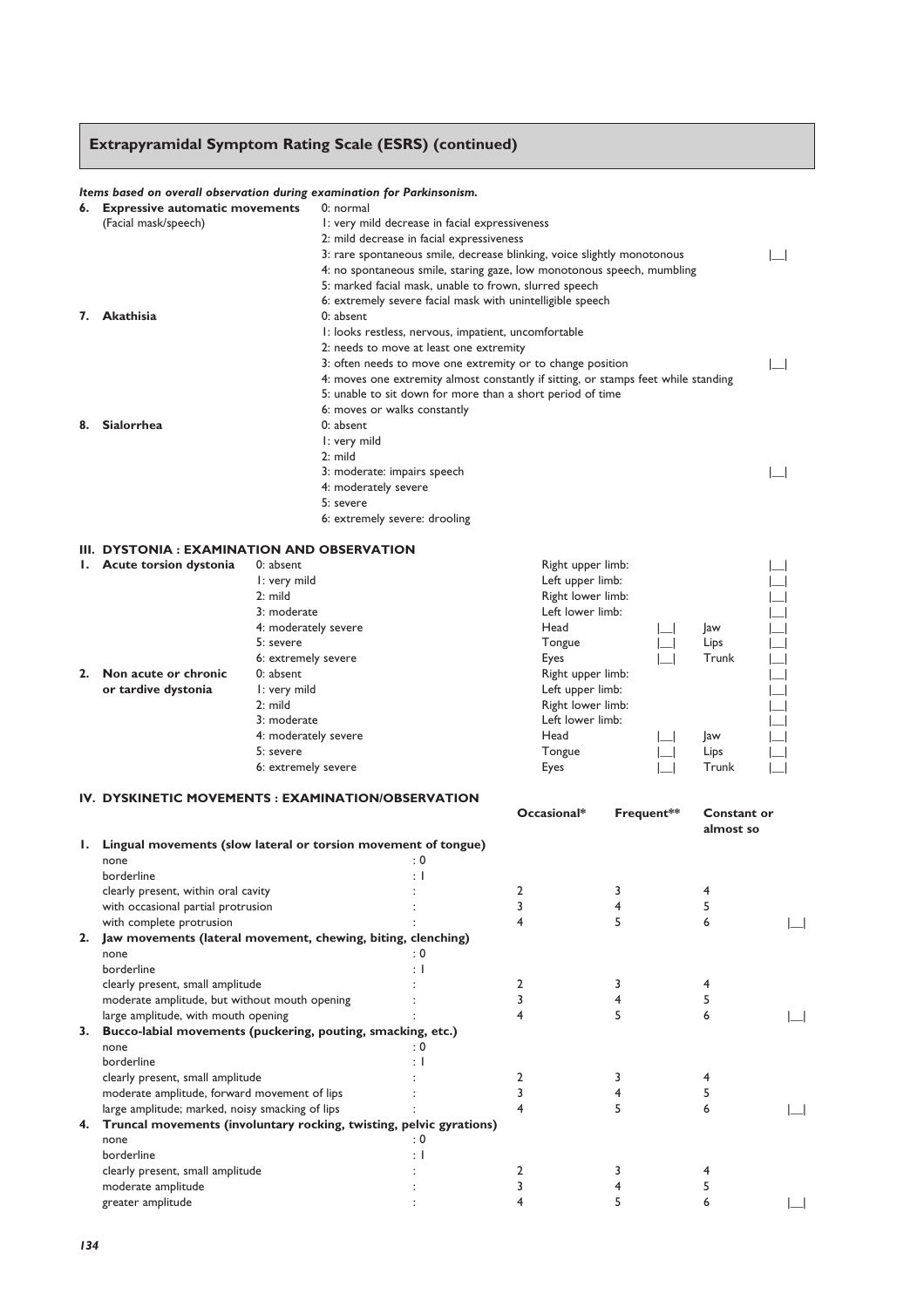#### **Extrapyramidal Symptom Rating Scale (ESRS) (continued)**

#### *Items based on overall observation during examination for Parkinsonism.*

**6. Expressive automatic movements** 0: normal (Facial mask/speech) **1:** very mi I: very mild decrease in facial expressiveness 2: mild decrease in facial expressiveness 3: rare spontaneous smile, decrease blinking, voice slightly monotonous  $\Box$ 4: no spontaneous smile, staring gaze, low monotonous speech, mumbling 5: marked facial mask, unable to frown, slurred speech 6: extremely severe facial mask with unintelligible speech **7.** Akathisia 1: looks restless, nervous, impatient, uncomfortable 2: needs to move at least one extremity 3: often needs to move one extremity or to change position  $\Box$ 4: moves one extremity almost constantly if sitting, or stamps feet while standing 5: unable to sit down for more than a short period of time 6: moves or walks constantly **8. Sialorrhea** 0: absent 1: very mild 2: mild 3: moderate: impairs speech  $\Box$ 4: moderately severe 5: severe

6: extremely severe: drooling

#### **III. DYSTONIA : EXAMINATION AND OBSERVATION**

|    | Acute torsion dystonia | $0:$ absent          | Right upper limb: |            |  |
|----|------------------------|----------------------|-------------------|------------|--|
|    |                        | I: very mild         | Left upper limb:  |            |  |
|    |                        | $2:$ mild            | Right lower limb: |            |  |
|    |                        | 3: moderate          | Left lower limb:  |            |  |
|    |                        | 4: moderately severe | Head              | <b>Jaw</b> |  |
|    |                        | 5: severe            | Tongue            | Lips       |  |
|    |                        | 6: extremely severe  | Eyes              | Trunk      |  |
| 2. | Non acute or chronic   | $0:$ absent          | Right upper limb: |            |  |
|    | or tardive dystonia    | I: very mild         | Left upper limb:  |            |  |
|    |                        | $2:$ mild            | Right lower limb: |            |  |
|    |                        | 3: moderate          | Left lower limb:  |            |  |
|    |                        | 4: moderately severe | Head              | Jaw        |  |
|    |                        | 5: severe            | Tongue            | Lips       |  |
|    |                        | 6: extremely severe  | Eyes              | Trunk      |  |

#### **IV. DYSKINETIC MOVEMENTS : EXAMINATION/OBSERVATION**

|    |                                                                     |     | Occasional* | Frequent** | <b>Constant or</b><br>almost so |  |
|----|---------------------------------------------------------------------|-----|-------------|------------|---------------------------------|--|
| Ι. | Lingual movements (slow lateral or torsion movement of tongue)      |     |             |            |                                 |  |
|    | none                                                                | : 0 |             |            |                                 |  |
|    | borderline                                                          |     |             |            |                                 |  |
|    | clearly present, within oral cavity                                 |     |             |            |                                 |  |
|    | with occasional partial protrusion                                  |     |             |            |                                 |  |
|    | with complete protrusion                                            |     |             |            | 6                               |  |
| 2. | Jaw movements (lateral movement, chewing, biting, clenching)        |     |             |            |                                 |  |
|    | none                                                                | : 0 |             |            |                                 |  |
|    | borderline                                                          |     |             |            |                                 |  |
|    | clearly present, small amplitude                                    |     |             |            |                                 |  |
|    | moderate amplitude, but without mouth opening                       |     |             |            |                                 |  |
|    | large amplitude, with mouth opening                                 |     |             |            | 6                               |  |
| 3. | Bucco-labial movements (puckering, pouting, smacking, etc.)         |     |             |            |                                 |  |
|    | none                                                                | : 0 |             |            |                                 |  |
|    | borderline                                                          |     |             |            |                                 |  |
|    | clearly present, small amplitude                                    |     |             |            |                                 |  |
|    | moderate amplitude, forward movement of lips                        |     |             |            |                                 |  |
|    | large amplitude; marked, noisy smacking of lips                     |     |             |            |                                 |  |
| 4. | Truncal movements (involuntary rocking, twisting, pelvic gyrations) |     |             |            |                                 |  |
|    | none                                                                | : 0 |             |            |                                 |  |
|    | borderline                                                          |     |             |            |                                 |  |
|    | clearly present, small amplitude                                    |     |             |            |                                 |  |
|    | moderate amplitude                                                  |     |             |            |                                 |  |
|    | greater amplitude                                                   |     |             |            |                                 |  |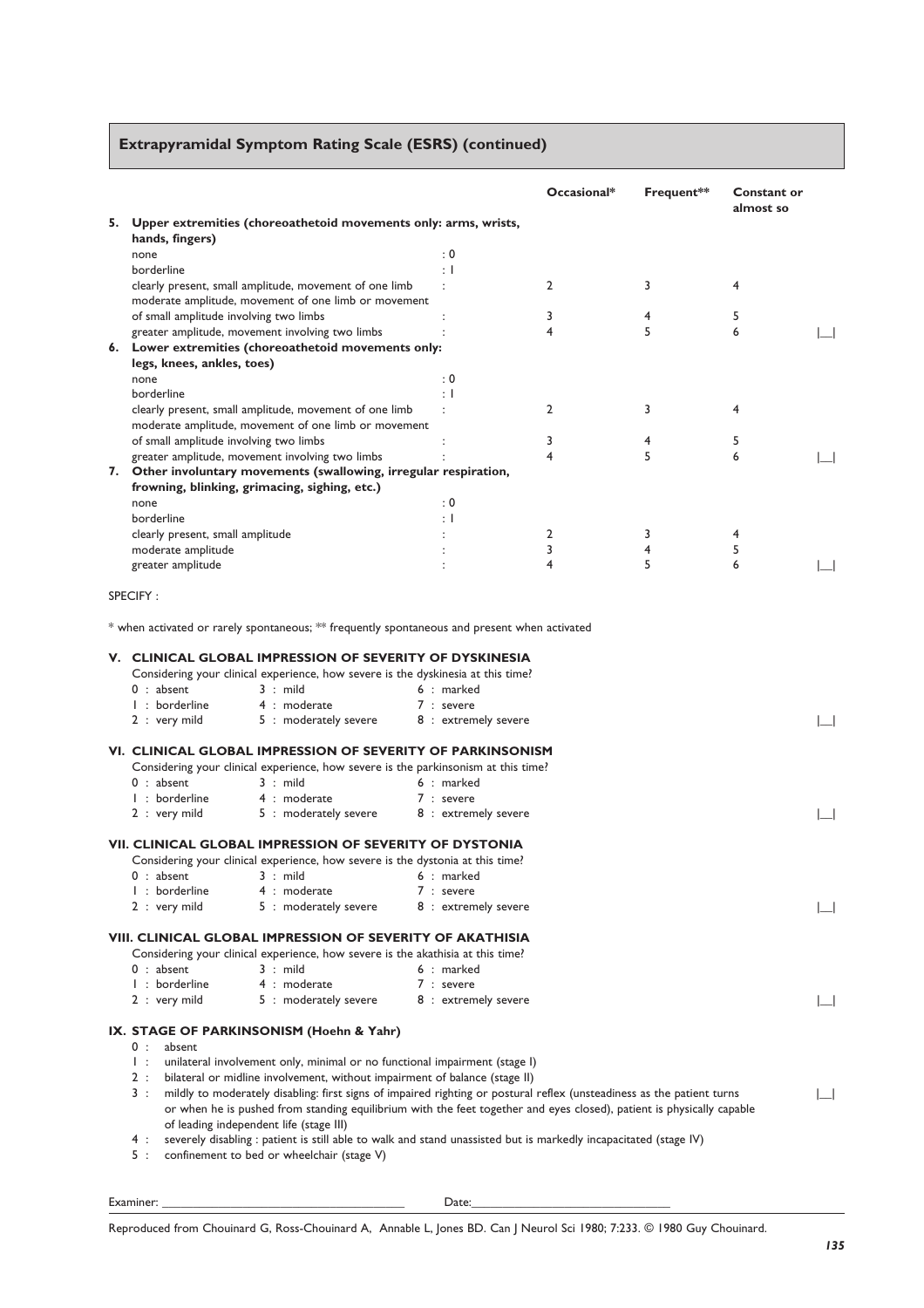#### **Extrapyramidal Symptom Rating Scale (ESRS) (continued)**

|                                                                                                                                                                   |                      | Occasional*    | Frequent** | Constant or<br>almost so |  |
|-------------------------------------------------------------------------------------------------------------------------------------------------------------------|----------------------|----------------|------------|--------------------------|--|
| 5. Upper extremities (choreoathetoid movements only: arms, wrists,                                                                                                |                      |                |            |                          |  |
| hands, fingers)<br>none                                                                                                                                           | : 0                  |                |            |                          |  |
| borderline                                                                                                                                                        | : I                  |                |            |                          |  |
| clearly present, small amplitude, movement of one limb                                                                                                            |                      | $\overline{2}$ | 3          | 4                        |  |
| moderate amplitude, movement of one limb or movement                                                                                                              |                      |                |            |                          |  |
| of small amplitude involving two limbs                                                                                                                            |                      | 3              | 4          | 5                        |  |
| greater amplitude, movement involving two limbs                                                                                                                   |                      | 4              | 5          | 6                        |  |
| 6. Lower extremities (choreoathetoid movements only:                                                                                                              |                      |                |            |                          |  |
| legs, knees, ankles, toes)                                                                                                                                        |                      |                |            |                          |  |
| none<br>borderline                                                                                                                                                | : 0<br>$\pm$ 1       |                |            |                          |  |
| clearly present, small amplitude, movement of one limb                                                                                                            |                      | $\overline{2}$ | 3          | 4                        |  |
| moderate amplitude, movement of one limb or movement                                                                                                              |                      |                |            |                          |  |
| of small amplitude involving two limbs                                                                                                                            |                      | 3              | 4          | 5                        |  |
| greater amplitude, movement involving two limbs                                                                                                                   |                      | 4              | 5          | 6                        |  |
| 7. Other involuntary movements (swallowing, irregular respiration,                                                                                                |                      |                |            |                          |  |
| frowning, blinking, grimacing, sighing, etc.)                                                                                                                     |                      |                |            |                          |  |
| none                                                                                                                                                              | : 0                  |                |            |                          |  |
| borderline                                                                                                                                                        | $\pm$ 1              |                |            |                          |  |
| clearly present, small amplitude                                                                                                                                  |                      | 2              | 3          | 4                        |  |
| moderate amplitude                                                                                                                                                |                      | 3<br>4         | 4<br>5     | 5<br>6                   |  |
| greater amplitude                                                                                                                                                 |                      |                |            |                          |  |
| SPECIFY:<br>* when activated or rarely spontaneous; ** frequently spontaneous and present when activated                                                          |                      |                |            |                          |  |
| <b>V. CLINICAL GLOBAL IMPRESSION OF SEVERITY OF DYSKINESIA</b>                                                                                                    |                      |                |            |                          |  |
| Considering your clinical experience, how severe is the dyskinesia at this time?                                                                                  |                      |                |            |                          |  |
| $0:$ absent<br>$3:$ mild                                                                                                                                          | 6 : marked           |                |            |                          |  |
| I : borderline<br>4 : moderate                                                                                                                                    | $7:$ severe          |                |            |                          |  |
| 5 : moderately severe<br>2 : very mild                                                                                                                            | 8 : extremely severe |                |            |                          |  |
| <b>VI. CLINICAL GLOBAL IMPRESSION OF SEVERITY OF PARKINSONISM</b>                                                                                                 |                      |                |            |                          |  |
| Considering your clinical experience, how severe is the parkinsonism at this time?<br>$3:$ mild<br>$0:$ absent                                                    | 6 : marked           |                |            |                          |  |
| I : borderline<br>4 : moderate                                                                                                                                    | $7:$ severe          |                |            |                          |  |
| $2:$ very mild<br>5 : moderately severe                                                                                                                           | 8 : extremely severe |                |            |                          |  |
|                                                                                                                                                                   |                      |                |            |                          |  |
| <b>VII. CLINICAL GLOBAL IMPRESSION OF SEVERITY OF DYSTONIA</b>                                                                                                    |                      |                |            |                          |  |
| Considering your clinical experience, how severe is the dystonia at this time?                                                                                    |                      |                |            |                          |  |
| $0:$ absent<br>3 : mild                                                                                                                                           | 6 : marked           |                |            |                          |  |
| I: borderline<br>4 : moderate                                                                                                                                     | $7:$ severe          |                |            |                          |  |
| $2:$ very mild<br>5 : moderately severe                                                                                                                           | 8 : extremely severe |                |            |                          |  |
| VIII. CLINICAL GLOBAL IMPRESSION OF SEVERITY OF AKATHISIA<br>Considering your clinical experience, how severe is the akathisia at this time?                      |                      |                |            |                          |  |
| $3:$ mild<br>$0:$ absent                                                                                                                                          | 6 : marked           |                |            |                          |  |
| I : borderline<br>4 : moderate                                                                                                                                    | $7:$ severe          |                |            |                          |  |
| $2:$ very mild<br>5 : moderately severe                                                                                                                           | 8 : extremely severe |                |            |                          |  |
|                                                                                                                                                                   |                      |                |            |                          |  |
| IX. STAGE OF PARKINSONISM (Hoehn & Yahr)<br>0:<br>absent                                                                                                          |                      |                |            |                          |  |
| unilateral involvement only, minimal or no functional impairment (stage I)<br>$\vdash$ :                                                                          |                      |                |            |                          |  |
| 2:<br>bilateral or midline involvement, without impairment of balance (stage II)                                                                                  |                      |                |            |                          |  |
| 3 :<br>mildly to moderately disabling: first signs of impaired righting or postural reflex (unsteadiness as the patient turns                                     |                      |                |            |                          |  |
| or when he is pushed from standing equilibrium with the feet together and eyes closed), patient is physically capable                                             |                      |                |            |                          |  |
| of leading independent life (stage III)<br>severely disabling : patient is still able to walk and stand unassisted but is markedly incapacitated (stage IV)<br>4: |                      |                |            |                          |  |
| confinement to bed or wheelchair (stage V)<br>5 :                                                                                                                 |                      |                |            |                          |  |

Examiner: \_\_\_\_\_\_\_\_\_\_\_\_\_\_\_\_\_\_\_\_\_\_\_\_\_\_\_\_\_\_\_\_\_\_\_\_\_\_\_ Date:\_\_\_\_\_\_\_\_\_\_\_\_\_\_\_\_\_\_\_\_\_\_\_\_\_\_\_\_\_\_\_\_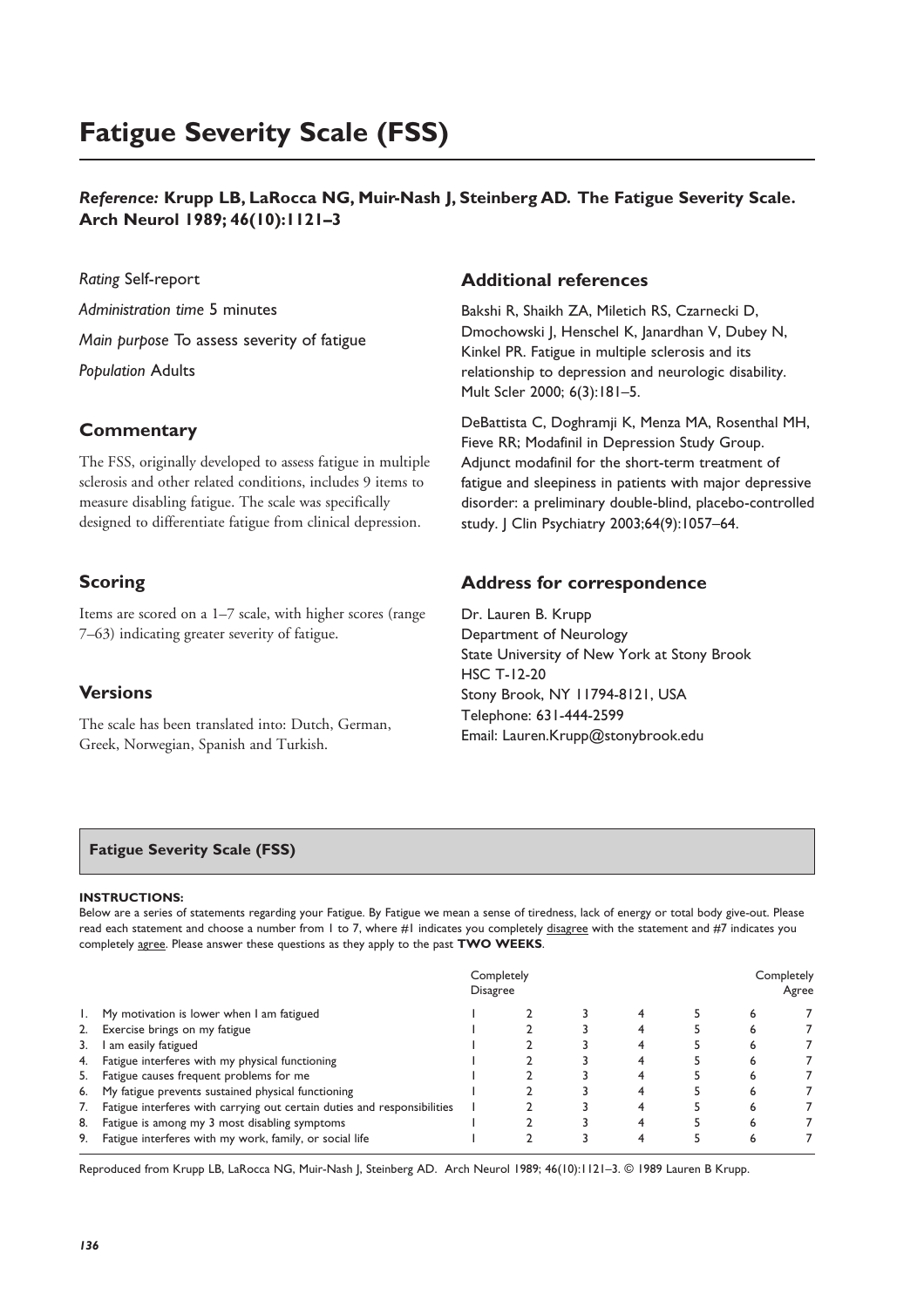#### *Reference:* **Krupp LB, LaRocca NG, Muir-Nash J, Steinberg AD. The Fatigue Severity Scale. Arch Neurol 1989; 46(10):1121–3**

*Rating* Self-report *Administration time* 5 minutes *Main purpose* To assess severity of fatigue *Population* Adults

## **Commentary**

The FSS, originally developed to assess fatigue in multiple sclerosis and other related conditions, includes 9 items to measure disabling fatigue. The scale was specifically designed to differentiate fatigue from clinical depression.

# **Scoring**

Items are scored on a 1–7 scale, with higher scores (range 7–63) indicating greater severity of fatigue.

# **Versions**

The scale has been translated into: Dutch, German, Greek, Norwegian, Spanish and Turkish.

#### **Additional references**

Bakshi R, Shaikh ZA, Miletich RS, Czarnecki D, Dmochowski J, Henschel K, Janardhan V, Dubey N, Kinkel PR. Fatigue in multiple sclerosis and its relationship to depression and neurologic disability. Mult Scler 2000; 6(3):181–5.

DeBattista C, Doghramji K, Menza MA, Rosenthal MH, Fieve RR; Modafinil in Depression Study Group. Adjunct modafinil for the short-term treatment of fatigue and sleepiness in patients with major depressive disorder: a preliminary double-blind, placebo-controlled study. J Clin Psychiatry 2003;64(9):1057–64.

# **Address for correspondence**

Dr. Lauren B. Krupp Department of Neurology State University of New York at Stony Brook HSC T-12-20 Stony Brook, NY 11794-8121, USA Telephone: 631-444-2599 Email: Lauren.Krupp@stonybrook.edu

#### **Fatigue Severity Scale (FSS)**

#### **INSTRUCTIONS:**

Below are a series of statements regarding your Fatigue. By Fatigue we mean a sense of tiredness, lack of energy or total body give-out. Please read each statement and choose a number from 1 to 7, where #1 indicates you completely disagree with the statement and #7 indicates you completely agree. Please answer these questions as they apply to the past **TWO WEEKS**.

|    |                                                                          | Completely<br><b>Disagree</b> |  |  | Completely<br>Agree |
|----|--------------------------------------------------------------------------|-------------------------------|--|--|---------------------|
|    | My motivation is lower when I am fatigued                                |                               |  |  |                     |
| 2. | Exercise brings on my fatigue                                            |                               |  |  |                     |
| 3. | am easily fatigued                                                       |                               |  |  |                     |
| 4. | Fatigue interferes with my physical functioning                          |                               |  |  |                     |
| 5. | Fatigue causes frequent problems for me                                  |                               |  |  |                     |
| 6. | My fatigue prevents sustained physical functioning                       |                               |  |  |                     |
|    | Fatigue interferes with carrying out certain duties and responsibilities |                               |  |  |                     |
| 8. | Fatigue is among my 3 most disabling symptoms                            |                               |  |  |                     |
| 9. | Fatigue interferes with my work, family, or social life                  |                               |  |  |                     |

Reproduced from Krupp LB, LaRocca NG, Muir-Nash J, Steinberg AD. Arch Neurol 1989; 46(10):1121–3. © 1989 Lauren B Krupp.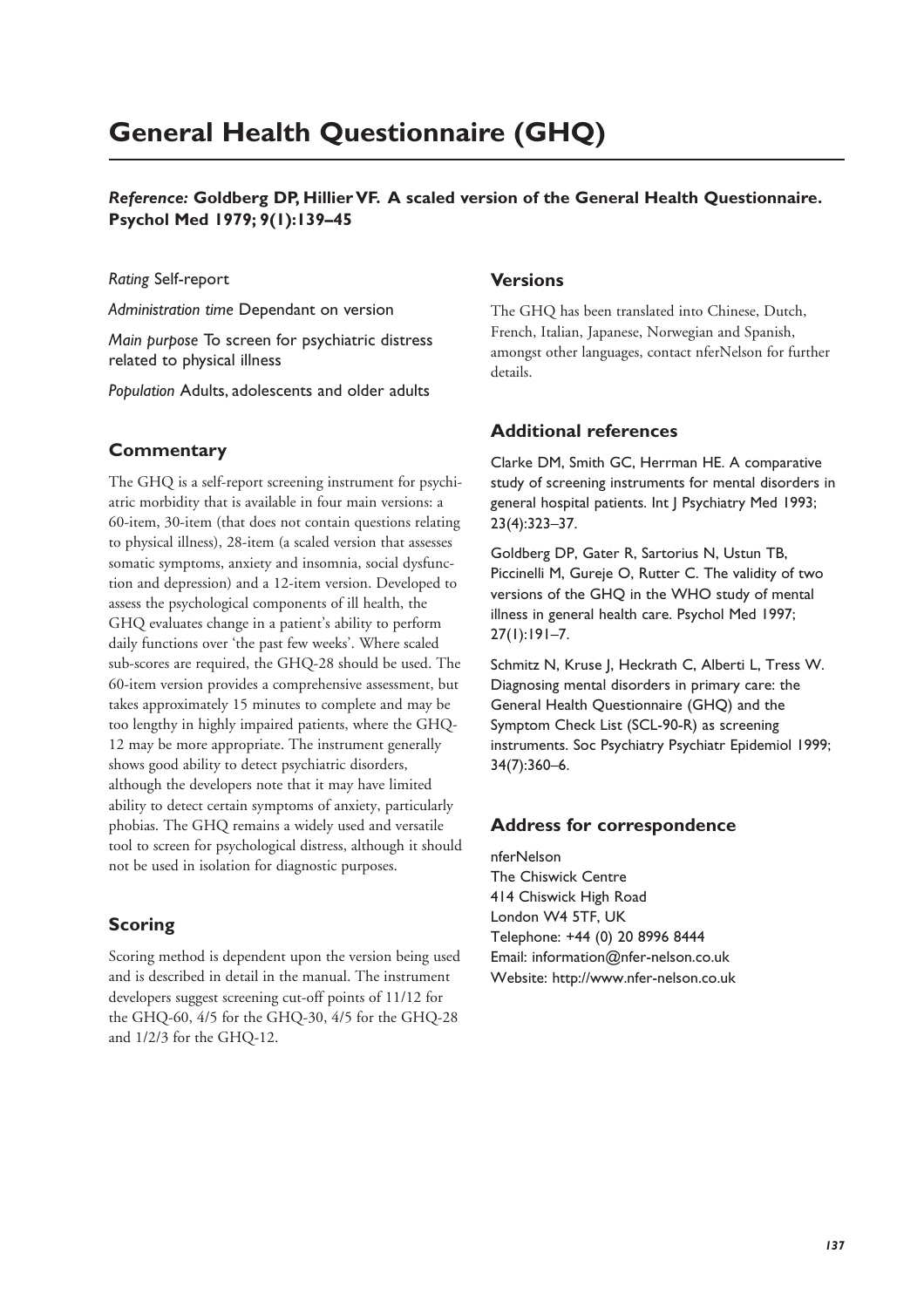# **General Health Questionnaire (GHQ)**

*Reference:* **Goldberg DP, Hillier VF. A scaled version of the General Health Questionnaire. Psychol Med 1979; 9(1):139–45**

*Rating* Self-report

*Administration time* Dependant on version

*Main purpose* To screen for psychiatric distress related to physical illness

*Population* Adults, adolescents and older adults

#### **Commentary**

The GHQ is a self-report screening instrument for psychiatric morbidity that is available in four main versions: a 60-item, 30-item (that does not contain questions relating to physical illness), 28-item (a scaled version that assesses somatic symptoms, anxiety and insomnia, social dysfunction and depression) and a 12-item version. Developed to assess the psychological components of ill health, the GHQ evaluates change in a patient's ability to perform daily functions over 'the past few weeks'. Where scaled sub-scores are required, the GHQ-28 should be used. The 60-item version provides a comprehensive assessment, but takes approximately 15 minutes to complete and may be too lengthy in highly impaired patients, where the GHQ-12 may be more appropriate. The instrument generally shows good ability to detect psychiatric disorders, although the developers note that it may have limited ability to detect certain symptoms of anxiety, particularly phobias. The GHQ remains a widely used and versatile tool to screen for psychological distress, although it should not be used in isolation for diagnostic purposes.

#### **Scoring**

Scoring method is dependent upon the version being used and is described in detail in the manual. The instrument developers suggest screening cut-off points of 11/12 for the GHQ-60, 4/5 for the GHQ-30, 4/5 for the GHQ-28 and 1/2/3 for the GHQ-12.

#### **Versions**

The GHQ has been translated into Chinese, Dutch, French, Italian, Japanese, Norwegian and Spanish, amongst other languages, contact nferNelson for further details.

#### **Additional references**

Clarke DM, Smith GC, Herrman HE. A comparative study of screening instruments for mental disorders in general hospital patients. Int J Psychiatry Med 1993; 23(4):323–37.

Goldberg DP, Gater R, Sartorius N, Ustun TB, Piccinelli M, Gureje O, Rutter C. The validity of two versions of the GHQ in the WHO study of mental illness in general health care. Psychol Med 1997; 27(1):191–7.

Schmitz N, Kruse J, Heckrath C, Alberti L, Tress W. Diagnosing mental disorders in primary care: the General Health Questionnaire (GHQ) and the Symptom Check List (SCL-90-R) as screening instruments. Soc Psychiatry Psychiatr Epidemiol 1999; 34(7):360–6.

#### **Address for correspondence**

nferNelson The Chiswick Centre 414 Chiswick High Road London W4 5TF, UK Telephone: +44 (0) 20 8996 8444 Email: information@nfer-nelson.co.uk Website: http://www.nfer-nelson.co.uk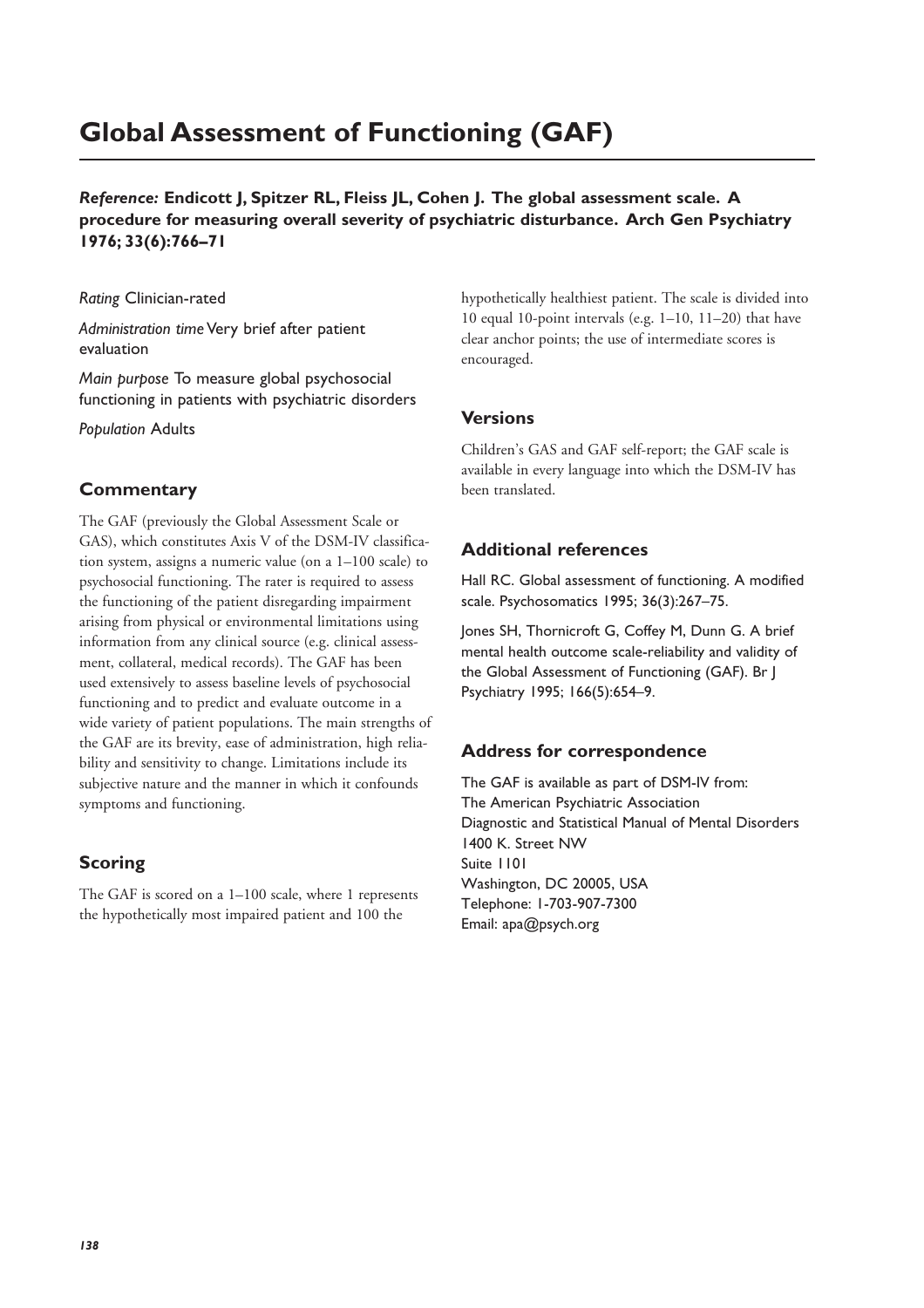# **Global Assessment of Functioning (GAF)**

*Reference:* **Endicott J, Spitzer RL, Fleiss JL, Cohen J. The global assessment scale. A procedure for measuring overall severity of psychiatric disturbance. Arch Gen Psychiatry 1976; 33(6):766–71**

*Rating* Clinician-rated

*Administration time* Very brief after patient evaluation

*Main purpose* To measure global psychosocial functioning in patients with psychiatric disorders

*Population* Adults

# **Commentary**

The GAF (previously the Global Assessment Scale or GAS), which constitutes Axis V of the DSM-IV classification system, assigns a numeric value (on a 1–100 scale) to psychosocial functioning. The rater is required to assess the functioning of the patient disregarding impairment arising from physical or environmental limitations using information from any clinical source (e.g. clinical assessment, collateral, medical records). The GAF has been used extensively to assess baseline levels of psychosocial functioning and to predict and evaluate outcome in a wide variety of patient populations. The main strengths of the GAF are its brevity, ease of administration, high reliability and sensitivity to change. Limitations include its subjective nature and the manner in which it confounds symptoms and functioning.

## **Scoring**

The GAF is scored on a 1–100 scale, where 1 represents the hypothetically most impaired patient and 100 the

hypothetically healthiest patient. The scale is divided into 10 equal 10-point intervals (e.g.  $1-10$ ,  $11-20$ ) that have clear anchor points; the use of intermediate scores is encouraged.

#### **Versions**

Children's GAS and GAF self-report; the GAF scale is available in every language into which the DSM-IV has been translated.

## **Additional references**

Hall RC. Global assessment of functioning. A modified scale. Psychosomatics 1995; 36(3):267–75.

Jones SH, Thornicroft G, Coffey M, Dunn G. A brief mental health outcome scale-reliability and validity of the Global Assessment of Functioning (GAF). Br J Psychiatry 1995; 166(5):654–9.

## **Address for correspondence**

The GAF is available as part of DSM-IV from: The American Psychiatric Association Diagnostic and Statistical Manual of Mental Disorders 1400 K. Street NW Suite 1101 Washington, DC 20005, USA Telephone: 1-703-907-7300 Email: apa@psych.org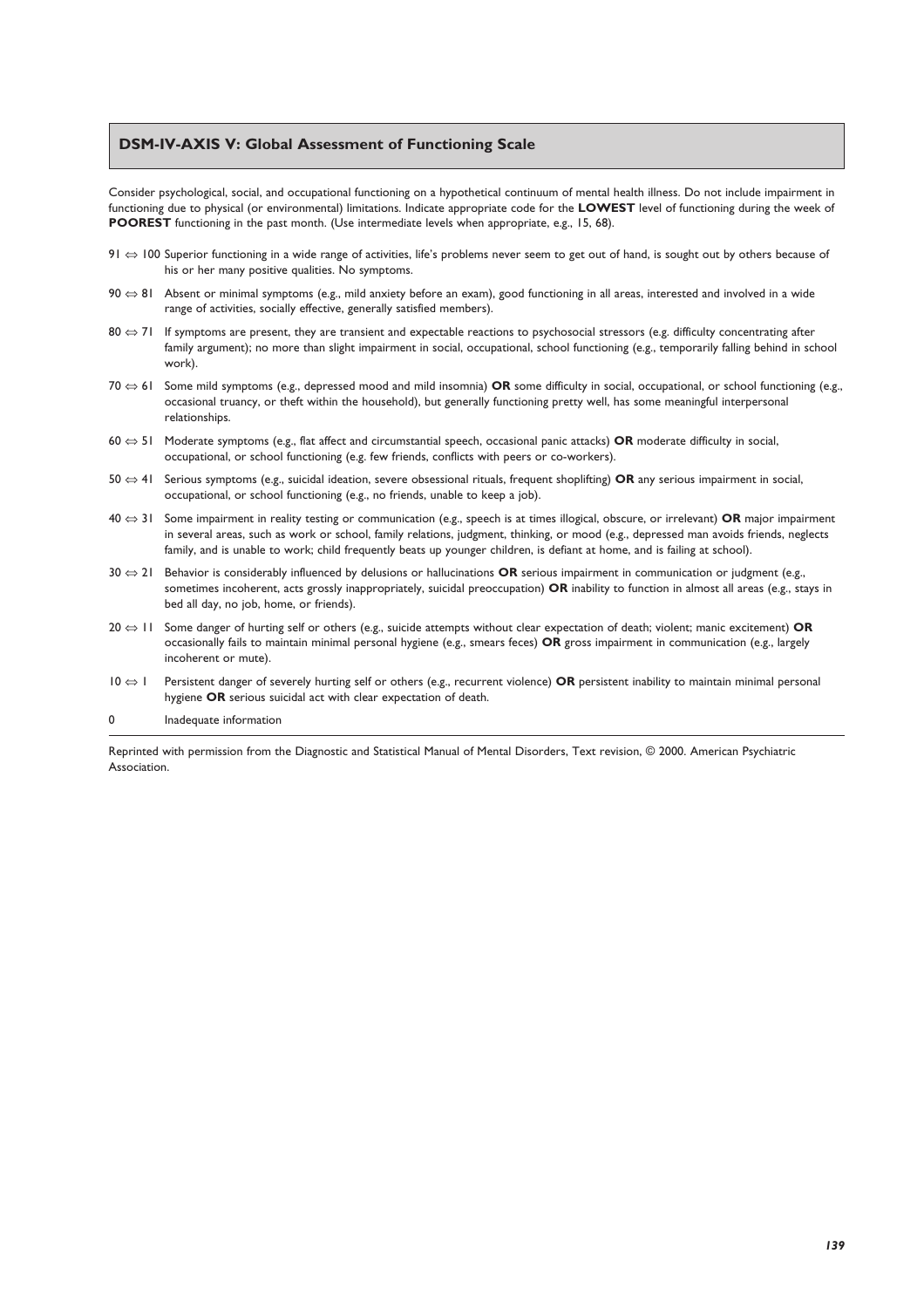#### **DSM-IV-AXIS V: Global Assessment of Functioning Scale**

Consider psychological, social, and occupational functioning on a hypothetical continuum of mental health illness. Do not include impairment in functioning due to physical (or environmental) limitations. Indicate appropriate code for the **LOWEST** level of functioning during the week of **POOREST** functioning in the past month. (Use intermediate levels when appropriate, e.g., 15, 68).

- 91  $\Leftrightarrow$  100 Superior functioning in a wide range of activities, life's problems never seem to get out of hand, is sought out by others because of his or her many positive qualities. No symptoms.
- 90 ⇔ 81 Absent or minimal symptoms (e.g., mild anxiety before an exam), good functioning in all areas, interested and involved in a wide range of activities, socially effective, generally satisfied members).
- 80  $\Leftrightarrow$  71 If symptoms are present, they are transient and expectable reactions to psychosocial stressors (e.g. difficulty concentrating after family argument); no more than slight impairment in social, occupational, school functioning (e.g., temporarily falling behind in school work).
- 70 ⇔ 61 Some mild symptoms (e.g., depressed mood and mild insomnia) **OR** some difficulty in social, occupational, or school functioning (e.g., occasional truancy, or theft within the household), but generally functioning pretty well, has some meaningful interpersonal relationships.
- 60 ⇔ 51 Moderate symptoms (e.g., flat affect and circumstantial speech, occasional panic attacks) **OR** moderate difficulty in social, occupational, or school functioning (e.g. few friends, conflicts with peers or co-workers).
- 50 ⇔ 41 Serious symptoms (e.g., suicidal ideation, severe obsessional rituals, frequent shoplifting) **OR** any serious impairment in social, occupational, or school functioning (e.g., no friends, unable to keep a job).
- 40 ⇔ 31 Some impairment in reality testing or communication (e.g., speech is at times illogical, obscure, or irrelevant) **OR** major impairment in several areas, such as work or school, family relations, judgment, thinking, or mood (e.g., depressed man avoids friends, neglects family, and is unable to work; child frequently beats up younger children, is defiant at home, and is failing at school).
- 30 ⇔ 21 Behavior is considerably influenced by delusions or hallucinations **OR** serious impairment in communication or judgment (e.g., sometimes incoherent, acts grossly inappropriately, suicidal preoccupation) **OR** inability to function in almost all areas (e.g., stays in bed all day, no job, home, or friends).
- 20 ⇔ 11 Some danger of hurting self or others (e.g., suicide attempts without clear expectation of death; violent; manic excitement) **OR** occasionally fails to maintain minimal personal hygiene (e.g., smears feces) **OR** gross impairment in communication (e.g., largely incoherent or mute).
- 10 ⇔ 1 Persistent danger of severely hurting self or others (e.g., recurrent violence) **OR** persistent inability to maintain minimal personal hygiene **OR** serious suicidal act with clear expectation of death.
- 0 **Inadequate information**

Reprinted with permission from the Diagnostic and Statistical Manual of Mental Disorders, Text revision, © 2000. American Psychiatric Association.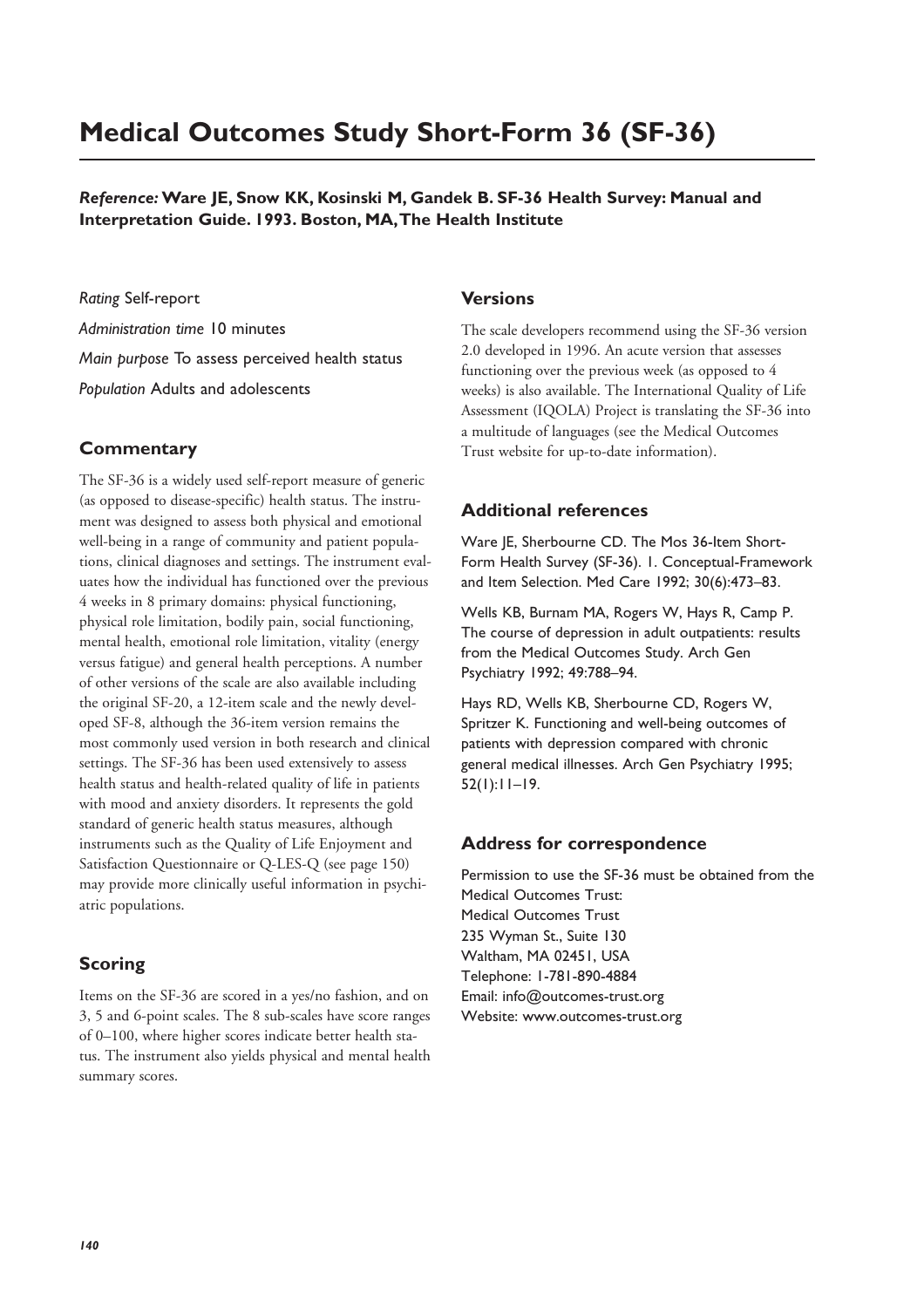# **Medical Outcomes Study Short-Form 36 (SF-36)**

*Reference:***Ware JE, Snow KK, Kosinski M, Gandek B. SF-36 Health Survey: Manual and Interpretation Guide. 1993. Boston, MA,The Health Institute**

*Rating* Self-report *Administration time* 10 minutes *Main purpose* To assess perceived health status *Population* Adults and adolescents

#### **Commentary**

The SF-36 is a widely used self-report measure of generic (as opposed to disease-specific) health status. The instrument was designed to assess both physical and emotional well-being in a range of community and patient populations, clinical diagnoses and settings. The instrument evaluates how the individual has functioned over the previous 4 weeks in 8 primary domains: physical functioning, physical role limitation, bodily pain, social functioning, mental health, emotional role limitation, vitality (energy versus fatigue) and general health perceptions. A number of other versions of the scale are also available including the original SF-20, a 12-item scale and the newly developed SF-8, although the 36-item version remains the most commonly used version in both research and clinical settings. The SF-36 has been used extensively to assess health status and health-related quality of life in patients with mood and anxiety disorders. It represents the gold standard of generic health status measures, although instruments such as the Quality of Life Enjoyment and Satisfaction Questionnaire or Q-LES-Q (see page 150) may provide more clinically useful information in psychiatric populations.

## **Scoring**

Items on the SF-36 are scored in a yes/no fashion, and on 3, 5 and 6-point scales. The 8 sub-scales have score ranges of 0–100, where higher scores indicate better health status. The instrument also yields physical and mental health summary scores.

#### **Versions**

The scale developers recommend using the SF-36 version 2.0 developed in 1996. An acute version that assesses functioning over the previous week (as opposed to 4 weeks) is also available. The International Quality of Life Assessment (IQOLA) Project is translating the SF-36 into a multitude of languages (see the Medical Outcomes Trust website for up-to-date information).

#### **Additional references**

Ware JE, Sherbourne CD. The Mos 36-Item Short-Form Health Survey (SF-36). 1. Conceptual-Framework and Item Selection. Med Care 1992; 30(6):473–83.

Wells KB, Burnam MA, Rogers W, Hays R, Camp P. The course of depression in adult outpatients: results from the Medical Outcomes Study. Arch Gen Psychiatry 1992; 49:788–94.

Hays RD, Wells KB, Sherbourne CD, Rogers W, Spritzer K. Functioning and well-being outcomes of patients with depression compared with chronic general medical illnesses. Arch Gen Psychiatry 1995; 52(1):11–19.

#### **Address for correspondence**

Permission to use the SF-36 must be obtained from the Medical Outcomes Trust: Medical Outcomes Trust 235 Wyman St., Suite 130 Waltham, MA 02451, USA Telephone: 1-781-890-4884 Email: info@outcomes-trust.org Website: www.outcomes-trust.org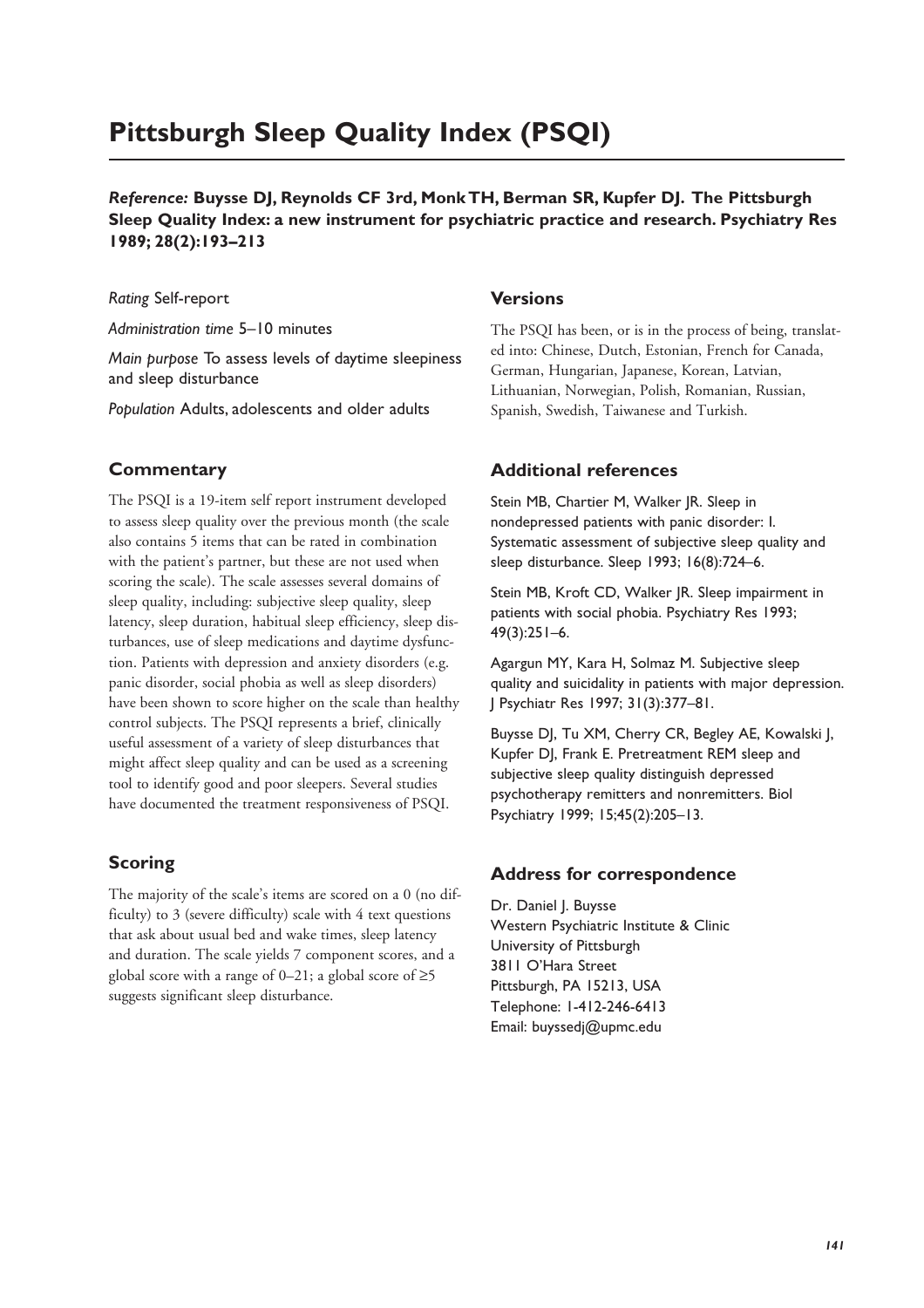# **Pittsburgh Sleep Quality Index (PSQI)**

*Reference:* **Buysse DJ, Reynolds CF 3rd, Monk TH, Berman SR, Kupfer DJ. The Pittsburgh Sleep Quality Index: a new instrument for psychiatric practice and research. Psychiatry Res 1989; 28(2):193–213**

*Rating* Self-report

*Administration time* 5–10 minutes

*Main purpose* To assess levels of daytime sleepiness and sleep disturbance

*Population* Adults, adolescents and older adults

#### **Commentary**

The PSQI is a 19-item self report instrument developed to assess sleep quality over the previous month (the scale also contains 5 items that can be rated in combination with the patient's partner, but these are not used when scoring the scale). The scale assesses several domains of sleep quality, including: subjective sleep quality, sleep latency, sleep duration, habitual sleep efficiency, sleep disturbances, use of sleep medications and daytime dysfunction. Patients with depression and anxiety disorders (e.g. panic disorder, social phobia as well as sleep disorders) have been shown to score higher on the scale than healthy control subjects. The PSQI represents a brief, clinically useful assessment of a variety of sleep disturbances that might affect sleep quality and can be used as a screening tool to identify good and poor sleepers. Several studies have documented the treatment responsiveness of PSQI.

#### **Scoring**

The majority of the scale's items are scored on a 0 (no difficulty) to 3 (severe difficulty) scale with 4 text questions that ask about usual bed and wake times, sleep latency and duration. The scale yields 7 component scores, and a global score with a range of 0–21; a global score of  $\geq$ 5 suggests significant sleep disturbance.

#### **Versions**

The PSQI has been, or is in the process of being, translated into: Chinese, Dutch, Estonian, French for Canada, German, Hungarian, Japanese, Korean, Latvian, Lithuanian, Norwegian, Polish, Romanian, Russian, Spanish, Swedish, Taiwanese and Turkish.

#### **Additional references**

Stein MB, Chartier M, Walker JR. Sleep in nondepressed patients with panic disorder: I. Systematic assessment of subjective sleep quality and sleep disturbance. Sleep 1993; 16(8):724–6.

Stein MB, Kroft CD, Walker JR. Sleep impairment in patients with social phobia. Psychiatry Res 1993; 49(3):251–6.

Agargun MY, Kara H, Solmaz M. Subjective sleep quality and suicidality in patients with major depression. J Psychiatr Res 1997; 31(3):377–81.

Buysse DJ, Tu XM, Cherry CR, Begley AE, Kowalski J, Kupfer DJ, Frank E. Pretreatment REM sleep and subjective sleep quality distinguish depressed psychotherapy remitters and nonremitters. Biol Psychiatry 1999; 15;45(2):205–13.

#### **Address for correspondence**

Dr. Daniel J. Buysse Western Psychiatric Institute & Clinic University of Pittsburgh 3811 O'Hara Street Pittsburgh, PA 15213, USA Telephone: 1-412-246-6413 Email: buyssedj@upmc.edu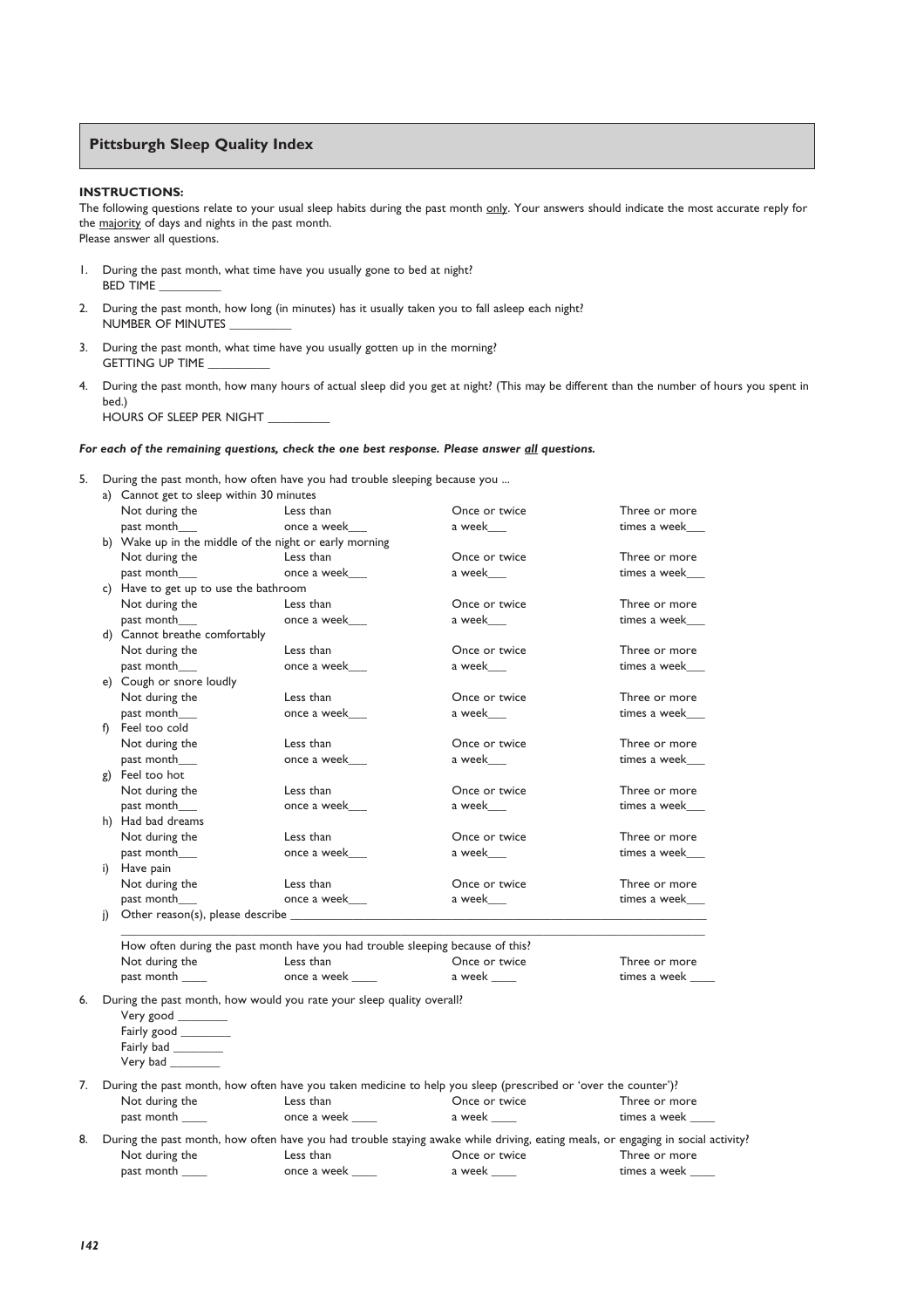#### **Pittsburgh Sleep Quality Index**

#### **INSTRUCTIONS:**

The following questions relate to your usual sleep habits during the past month only. Your answers should indicate the most accurate reply for the majority of days and nights in the past month.

Please answer all questions.

- 1. During the past month, what time have you usually gone to bed at night? BED TIME
- 2. During the past month, how long (in minutes) has it usually taken you to fall asleep each night? NUMBER OF MINUTES
- 3. During the past month, what time have you usually gotten up in the morning? GETTING UP TIME \_\_\_\_\_\_\_\_\_\_
- 4. During the past month, how many hours of actual sleep did you get at night? (This may be different than the number of hours you spent in bed.)

HOURS OF SLEEP PER NIGHT

#### *For each of the remaining questions, check the one best response. Please answer all questions.*

5. During the past month, how often have you had trouble sleeping because you ...

| a) | Cannot get to sleep within 30 minutes |                                                                                                                                                                                                                                |               |                 |
|----|---------------------------------------|--------------------------------------------------------------------------------------------------------------------------------------------------------------------------------------------------------------------------------|---------------|-----------------|
|    | Not during the                        | Less than                                                                                                                                                                                                                      | Once or twice | Three or more   |
|    | past month____                        | once a week                                                                                                                                                                                                                    | a week        | times a week    |
|    |                                       | b) Wake up in the middle of the night or early morning                                                                                                                                                                         |               |                 |
|    | Not during the                        | Less than                                                                                                                                                                                                                      | Once or twice | Three or more   |
|    | past month                            | once a week                                                                                                                                                                                                                    | a week        | times a week    |
|    | c) Have to get up to use the bathroom |                                                                                                                                                                                                                                |               |                 |
|    | Not during the                        | Less than                                                                                                                                                                                                                      | Once or twice | Three or more   |
|    | past month                            | once a week                                                                                                                                                                                                                    | a week        | times a week    |
|    | d) Cannot breathe comfortably         |                                                                                                                                                                                                                                |               |                 |
|    | Not during the                        | Less than                                                                                                                                                                                                                      | Once or twice | Three or more   |
|    | past month____                        | once a week                                                                                                                                                                                                                    | a week        | times a week    |
|    | e) Cough or snore loudly              |                                                                                                                                                                                                                                |               |                 |
|    | Not during the                        | Less than                                                                                                                                                                                                                      | Once or twice | Three or more   |
|    | past month___                         | once a week                                                                                                                                                                                                                    | a week        | times a week    |
| f) | Feel too cold                         |                                                                                                                                                                                                                                |               |                 |
|    | Not during the                        | Less than                                                                                                                                                                                                                      | Once or twice | Three or more   |
|    | past month                            | once a week                                                                                                                                                                                                                    | a week        | times a week    |
|    | g) Feel too hot                       |                                                                                                                                                                                                                                |               |                 |
|    | Not during the                        | Less than                                                                                                                                                                                                                      | Once or twice | Three or more   |
|    | past month___                         | once a week                                                                                                                                                                                                                    | a week        | times a week    |
| h) | Had bad dreams                        |                                                                                                                                                                                                                                |               |                 |
|    | Not during the                        | Less than                                                                                                                                                                                                                      | Once or twice | Three or more   |
|    | past month___                         | once a week                                                                                                                                                                                                                    | a week        | times a week    |
| i) | Have pain                             |                                                                                                                                                                                                                                |               |                 |
|    | Not during the                        | Less than                                                                                                                                                                                                                      | Once or twice | Three or more   |
|    | past month                            | once a week___                                                                                                                                                                                                                 | a week        | times a week___ |
| i) |                                       | Other reason(s), please describe example and the state of the state of the state of the state of the state of the state of the state of the state of the state of the state of the state of the state of the state of the stat |               |                 |

Not during the Less than Once or twice Three or more past month \_\_\_\_ once a week \_\_\_\_ a week \_\_\_\_ a week \_\_\_\_ times a week \_

6. During the past month, how would you rate your sleep quality overall?

| Very good   |  |
|-------------|--|
| Fairly good |  |
| Fairly bad  |  |
| Very bad    |  |

7. During the past month, how often have you taken medicine to help you sleep (prescribed or 'over the counter')? Not during the **Less than** Christian Conce or twice Three or more past month and the conce a week a week a week a week behavior once a week a week a week a week a week a week a week 8. During the past month, how often have you had trouble staying awake while driving, eating meals, or engaging in social activity?

Not during the **Less than** Conce or twice Three or more past month \_\_\_\_ once a week \_\_\_\_ a week \_\_\_\_ a week \_\_\_\_ times a week \_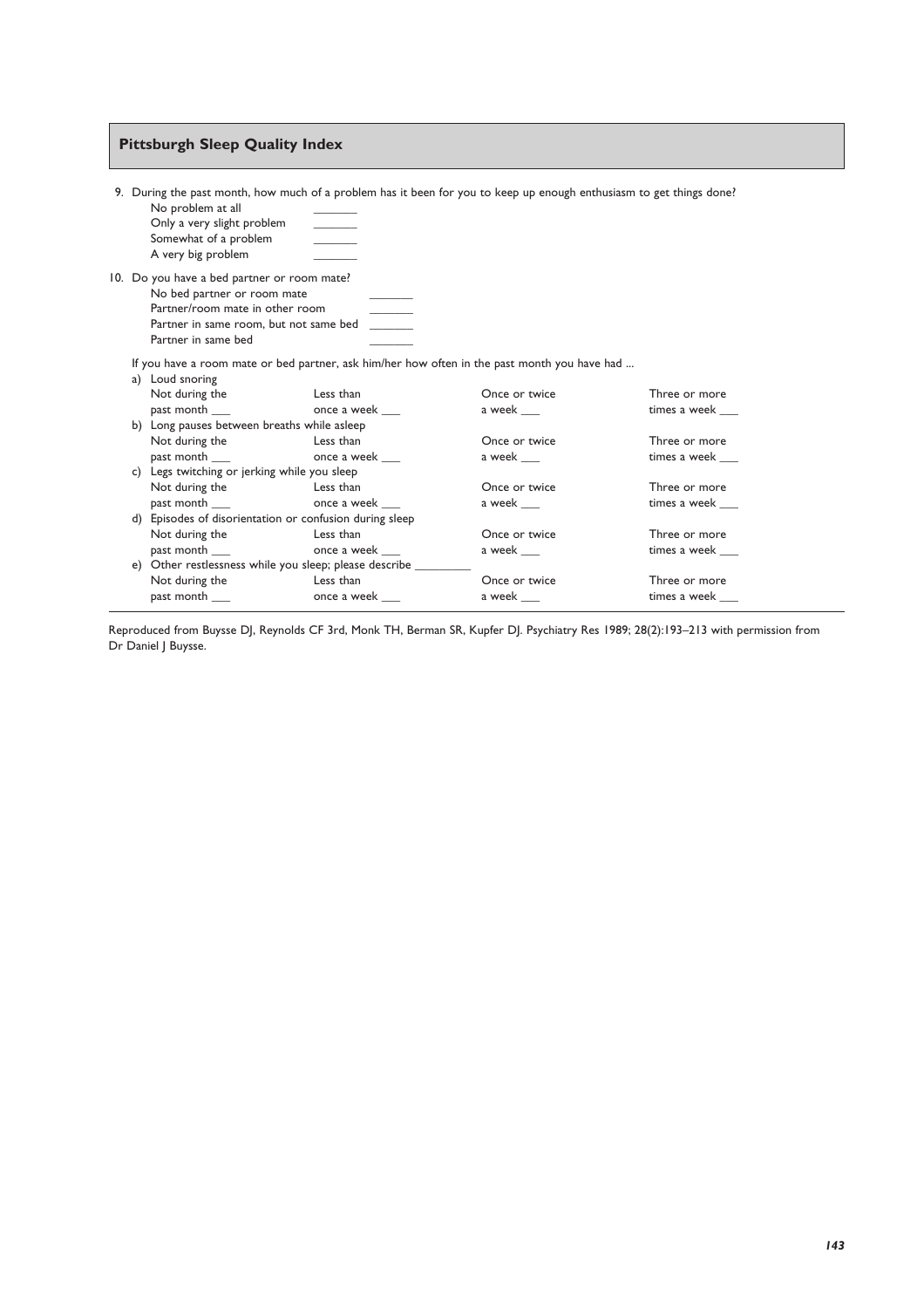#### **Pittsburgh Sleep Quality Index**

|  | No problem at all<br>Only a very slight problem<br>Somewhat of a problem<br>A very big problem                                                                                 | 9. During the past month, how much of a problem has it been for you to keep up enough enthusiasm to get things done? |               |                  |
|--|--------------------------------------------------------------------------------------------------------------------------------------------------------------------------------|----------------------------------------------------------------------------------------------------------------------|---------------|------------------|
|  | 10. Do you have a bed partner or room mate?<br>No bed partner or room mate<br>Partner/room mate in other room<br>Partner in same room, but not same bed<br>Partner in same bed |                                                                                                                      |               |                  |
|  |                                                                                                                                                                                | If you have a room mate or bed partner, ask him/her how often in the past month you have had                         |               |                  |
|  | a) Loud snoring                                                                                                                                                                |                                                                                                                      |               |                  |
|  | Not during the                                                                                                                                                                 | Less than                                                                                                            | Once or twice | Three or more    |
|  | past month <u>said</u>                                                                                                                                                         | once a week ___                                                                                                      | a week ___    | times a week ___ |
|  | b) Long pauses between breaths while asleep                                                                                                                                    |                                                                                                                      |               |                  |
|  | Not during the                                                                                                                                                                 | Less than                                                                                                            | Once or twice | Three or more    |
|  |                                                                                                                                                                                |                                                                                                                      | a week ___    | times a week ___ |
|  | c) Legs twitching or jerking while you sleep                                                                                                                                   |                                                                                                                      |               |                  |
|  | Not during the                                                                                                                                                                 | Less than                                                                                                            | Once or twice | Three or more    |
|  |                                                                                                                                                                                |                                                                                                                      | a week __     | times a week ___ |
|  | d) Episodes of disorientation or confusion during sleep                                                                                                                        |                                                                                                                      |               |                  |
|  | Not during the                                                                                                                                                                 | Less than                                                                                                            | Once or twice | Three or more    |
|  |                                                                                                                                                                                |                                                                                                                      | a week        | times a week ___ |
|  |                                                                                                                                                                                | e) Other restlessness while you sleep; please describe __________                                                    |               |                  |
|  | Not during the                                                                                                                                                                 | Less than                                                                                                            | Once or twice | Three or more    |
|  |                                                                                                                                                                                |                                                                                                                      | a week        | times a week     |
|  |                                                                                                                                                                                |                                                                                                                      |               |                  |

Reproduced from Buysse DJ, Reynolds CF 3rd, Monk TH, Berman SR, Kupfer DJ. Psychiatry Res 1989; 28(2):193–213 with permission from Dr Daniel J Buysse.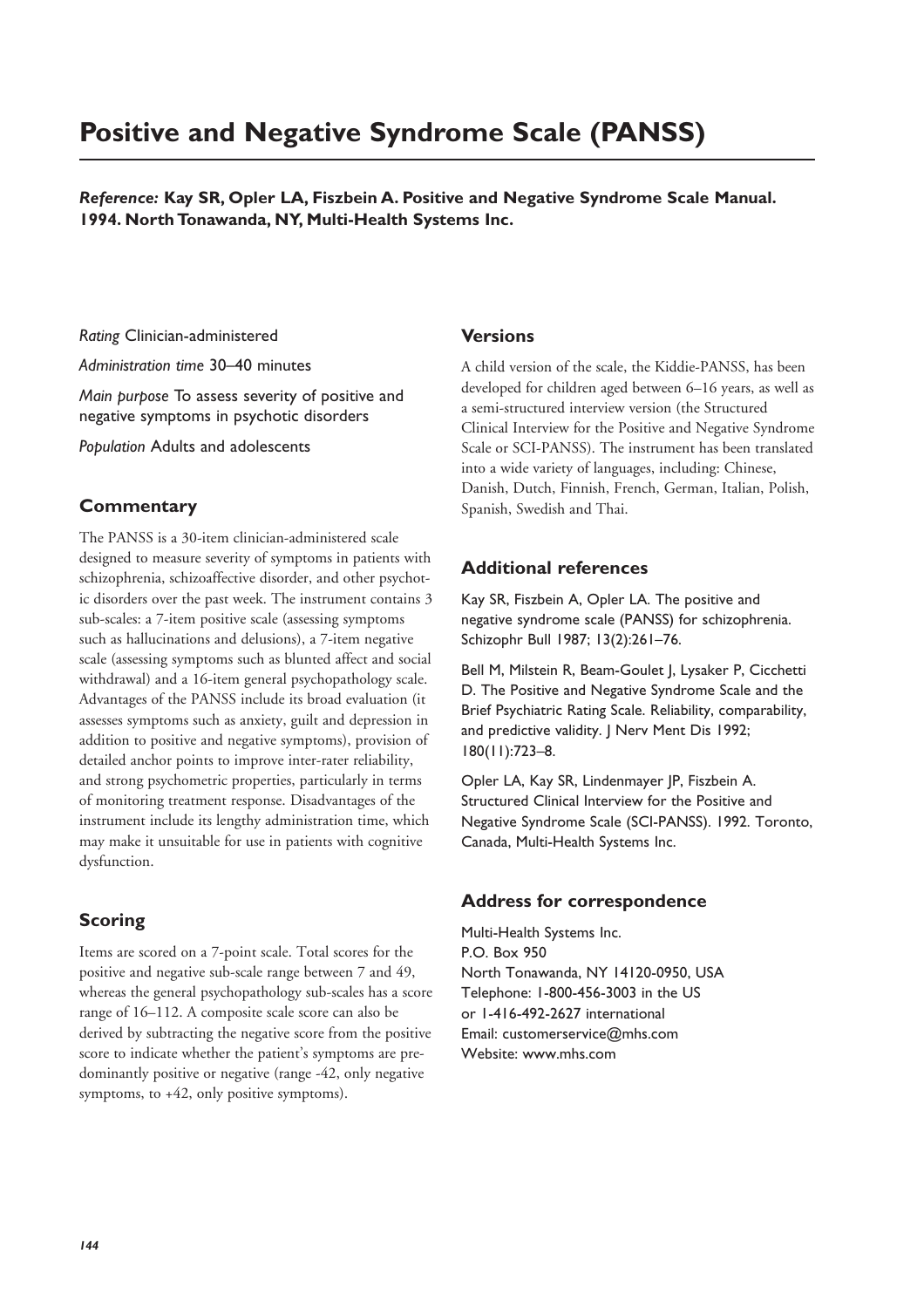# **Positive and Negative Syndrome Scale (PANSS)**

*Reference:* **Kay SR, Opler LA, Fiszbein A. Positive and Negative Syndrome Scale Manual. 1994. North Tonawanda, NY, Multi-Health Systems Inc.**

*Rating* Clinician-administered *Administration time* 30–40 minutes *Main purpose* To assess severity of positive and negative symptoms in psychotic disorders

*Population* Adults and adolescents

#### **Commentary**

The PANSS is a 30-item clinician-administered scale designed to measure severity of symptoms in patients with schizophrenia, schizoaffective disorder, and other psychotic disorders over the past week. The instrument contains 3 sub-scales: a 7-item positive scale (assessing symptoms such as hallucinations and delusions), a 7-item negative scale (assessing symptoms such as blunted affect and social withdrawal) and a 16-item general psychopathology scale. Advantages of the PANSS include its broad evaluation (it assesses symptoms such as anxiety, guilt and depression in addition to positive and negative symptoms), provision of detailed anchor points to improve inter-rater reliability, and strong psychometric properties, particularly in terms of monitoring treatment response. Disadvantages of the instrument include its lengthy administration time, which may make it unsuitable for use in patients with cognitive dysfunction.

#### **Scoring**

Items are scored on a 7-point scale. Total scores for the positive and negative sub-scale range between 7 and 49, whereas the general psychopathology sub-scales has a score range of 16–112. A composite scale score can also be derived by subtracting the negative score from the positive score to indicate whether the patient's symptoms are predominantly positive or negative (range -42, only negative symptoms, to  $+42$ , only positive symptoms).

#### **Versions**

A child version of the scale, the Kiddie-PANSS, has been developed for children aged between 6–16 years, as well as a semi-structured interview version (the Structured Clinical Interview for the Positive and Negative Syndrome Scale or SCI-PANSS). The instrument has been translated into a wide variety of languages, including: Chinese, Danish, Dutch, Finnish, French, German, Italian, Polish, Spanish, Swedish and Thai.

#### **Additional references**

Kay SR, Fiszbein A, Opler LA. The positive and negative syndrome scale (PANSS) for schizophrenia. Schizophr Bull 1987; 13(2):261–76.

Bell M, Milstein R, Beam-Goulet J, Lysaker P, Cicchetti D. The Positive and Negative Syndrome Scale and the Brief Psychiatric Rating Scale. Reliability, comparability, and predictive validity. J Nerv Ment Dis 1992; 180(11):723–8.

Opler LA, Kay SR, Lindenmayer JP, Fiszbein A. Structured Clinical Interview for the Positive and Negative Syndrome Scale (SCI-PANSS). 1992. Toronto, Canada, Multi-Health Systems Inc.

#### **Address for correspondence**

Multi-Health Systems Inc. P.O. Box 950 North Tonawanda, NY 14120-0950, USA Telephone: 1-800-456-3003 in the US or 1-416-492-2627 international Email: customerservice@mhs.com Website: www.mhs.com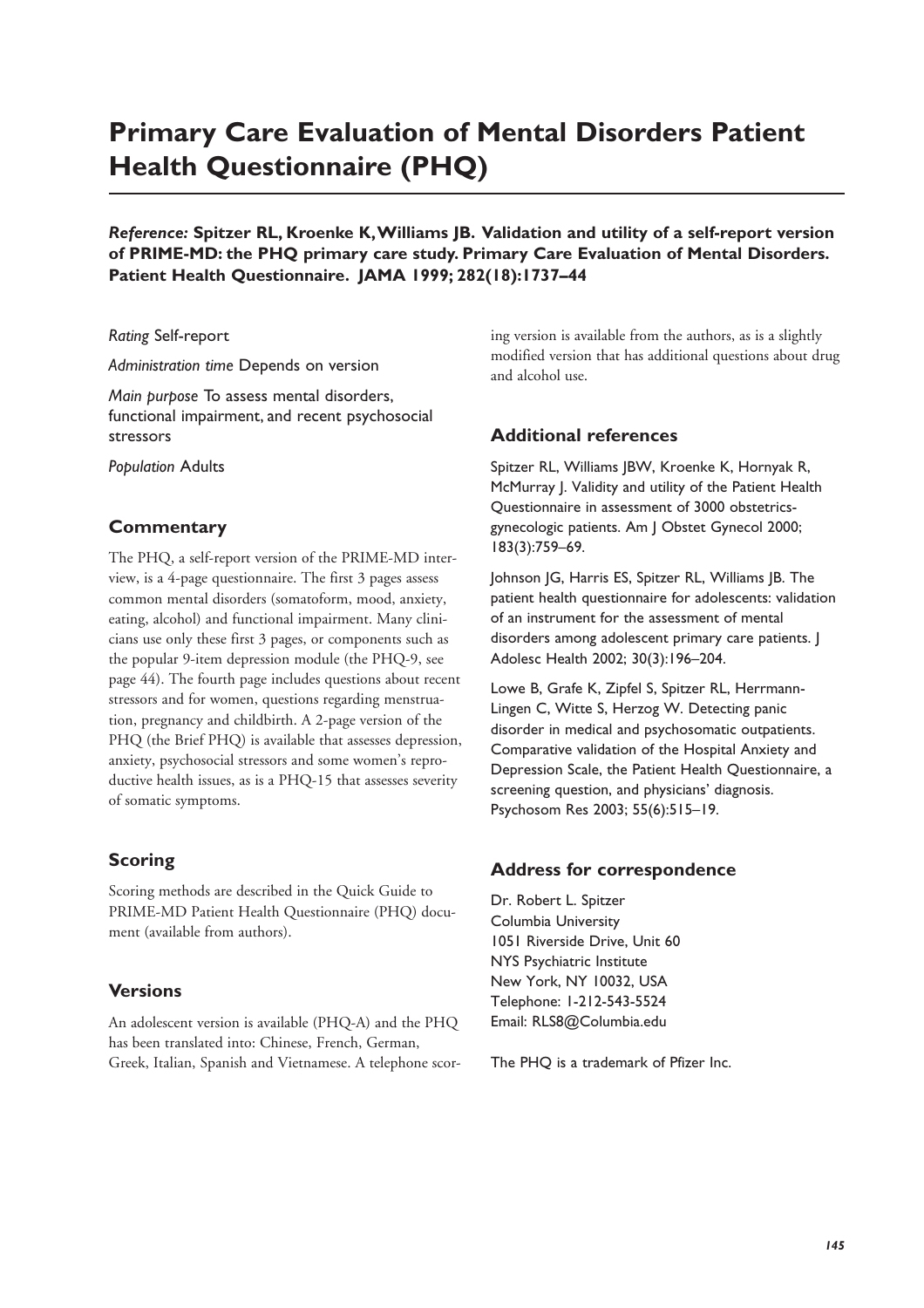# **Primary Care Evaluation of Mental Disorders Patient Health Questionnaire (PHQ)**

*Reference:* **Spitzer RL, Kroenke K,Williams JB. Validation and utility of a self-report version of PRIME-MD: the PHQ primary care study. Primary Care Evaluation of Mental Disorders. Patient Health Questionnaire. JAMA 1999; 282(18):1737–44**

*Rating* Self-report

*Administration time* Depends on version

*Main purpose* To assess mental disorders, functional impairment, and recent psychosocial stressors

*Population* Adults

#### **Commentary**

The PHQ, a self-report version of the PRIME-MD interview, is a 4-page questionnaire. The first 3 pages assess common mental disorders (somatoform, mood, anxiety, eating, alcohol) and functional impairment. Many clinicians use only these first 3 pages, or components such as the popular 9-item depression module (the PHQ-9, see page 44). The fourth page includes questions about recent stressors and for women, questions regarding menstruation, pregnancy and childbirth. A 2-page version of the PHQ (the Brief PHQ) is available that assesses depression, anxiety, psychosocial stressors and some women's reproductive health issues, as is a PHQ-15 that assesses severity of somatic symptoms.

#### **Scoring**

Scoring methods are described in the Quick Guide to PRIME-MD Patient Health Questionnaire (PHQ) document (available from authors).

#### **Versions**

An adolescent version is available (PHQ-A) and the PHQ has been translated into: Chinese, French, German, Greek, Italian, Spanish and Vietnamese. A telephone scoring version is available from the authors, as is a slightly modified version that has additional questions about drug and alcohol use.

#### **Additional references**

Spitzer RL, Williams JBW, Kroenke K, Hornyak R, McMurray I. Validity and utility of the Patient Health Questionnaire in assessment of 3000 obstetricsgynecologic patients. Am J Obstet Gynecol 2000; 183(3):759–69.

Johnson JG, Harris ES, Spitzer RL, Williams JB. The patient health questionnaire for adolescents: validation of an instrument for the assessment of mental disorders among adolescent primary care patients. | Adolesc Health 2002; 30(3):196–204.

Lowe B, Grafe K, Zipfel S, Spitzer RL, Herrmann-Lingen C, Witte S, Herzog W. Detecting panic disorder in medical and psychosomatic outpatients. Comparative validation of the Hospital Anxiety and Depression Scale, the Patient Health Questionnaire, a screening question, and physicians' diagnosis. Psychosom Res 2003; 55(6):515–19.

#### **Address for correspondence**

Dr. Robert L. Spitzer Columbia University 1051 Riverside Drive, Unit 60 NYS Psychiatric Institute New York, NY 10032, USA Telephone: 1-212-543-5524 Email: RLS8@Columbia.edu

The PHQ is a trademark of Pfizer Inc.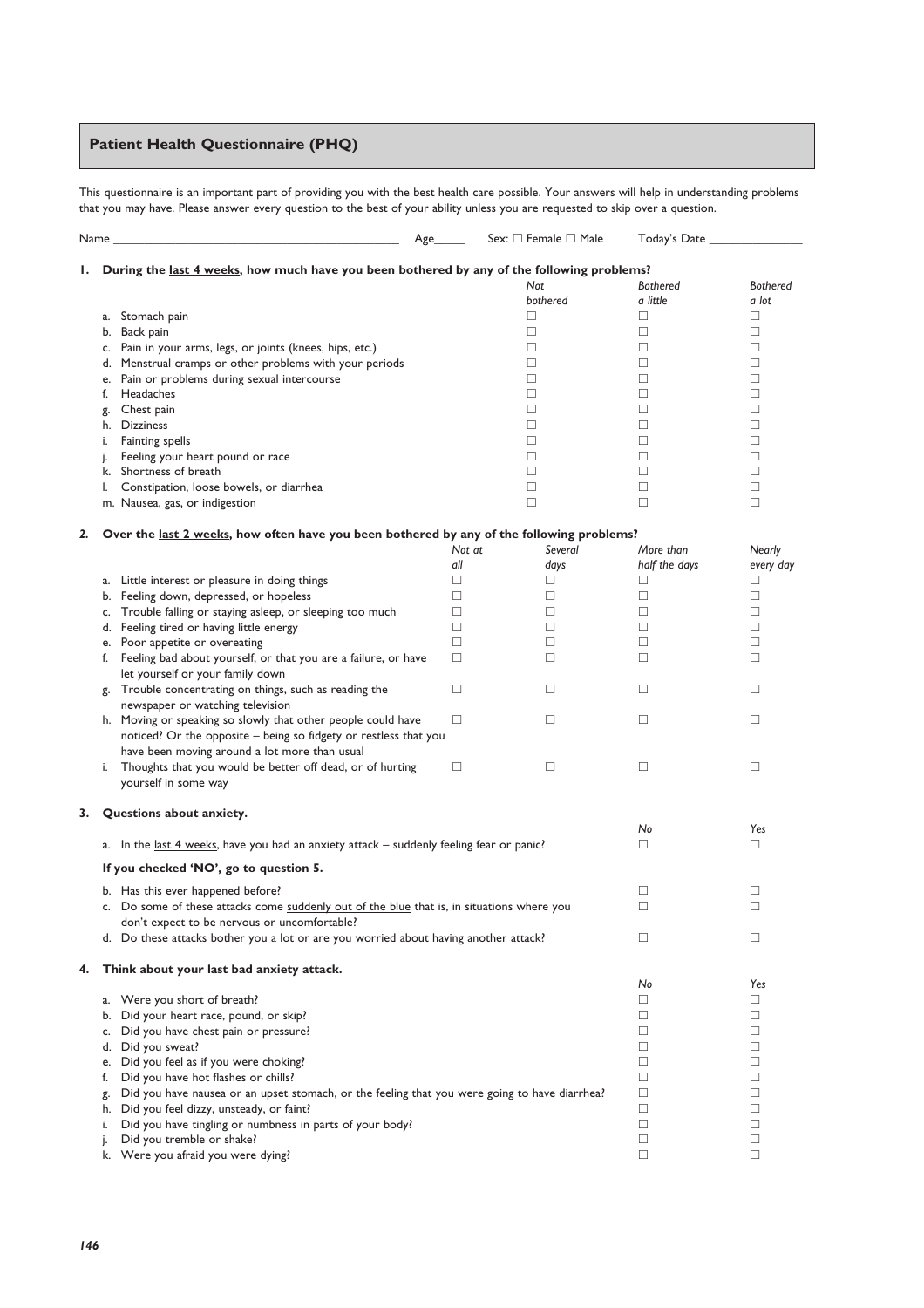#### **Patient Health Questionnaire (PHQ)**

This questionnaire is an important part of providing you with the best health care possible. Your answers will help in understanding problems that you may have. Please answer every question to the best of your ability unless you are requested to skip over a question.

| Name |                                                                                                     | Age    | Sex: □ Female □ Male | Today's Date _  |                 |
|------|-----------------------------------------------------------------------------------------------------|--------|----------------------|-----------------|-----------------|
|      | 1. During the last 4 weeks, how much have you been bothered by any of the following problems?       |        |                      |                 |                 |
|      |                                                                                                     |        | Not                  | <b>Bothered</b> | <b>Bothered</b> |
|      |                                                                                                     |        |                      |                 |                 |
|      |                                                                                                     |        | bothered             | a little        | a lot           |
|      | Stomach pain<br>a.                                                                                  |        | □                    | □               | □               |
|      | Back pain<br>b.                                                                                     |        | □                    | □               | □               |
|      | Pain in your arms, legs, or joints (knees, hips, etc.)<br>c.                                        |        | □                    | □               | □               |
|      | d. Menstrual cramps or other problems with your periods                                             |        | □                    | □               | □               |
|      | Pain or problems during sexual intercourse<br>e.                                                    |        | □                    | □               | □               |
|      | <b>Headaches</b><br>f.                                                                              |        | □                    | □               | П               |
|      | Chest pain<br>g.                                                                                    |        | □                    | П               | П               |
|      | h. Dizziness                                                                                        |        | □                    | □               | □               |
|      | Fainting spells<br>i.                                                                               |        | □                    | □               | □               |
|      | Feeling your heart pound or race<br>j.                                                              |        | □                    | □               | □               |
|      | Shortness of breath<br>k.                                                                           |        | □                    | □               | □               |
|      |                                                                                                     |        |                      |                 |                 |
|      | Constipation, loose bowels, or diarrhea<br>ı.                                                       |        | □                    | □               | □               |
|      | m. Nausea, gas, or indigestion                                                                      |        | □                    | □               | □               |
| 2.   | Over the last 2 weeks, how often have you been bothered by any of the following problems?           |        |                      |                 |                 |
|      |                                                                                                     | Not at | Several              | More than       | Nearly          |
|      |                                                                                                     | all    | days                 | half the days   | every day       |
|      | Little interest or pleasure in doing things<br>a.                                                   | □      | □                    | □               | □               |
|      | Feeling down, depressed, or hopeless<br>b.                                                          | □      | □                    | $\Box$          | $\Box$          |
|      | Trouble falling or staying asleep, or sleeping too much                                             | □      | □                    | □               | □               |
|      | c.                                                                                                  |        |                      |                 | □               |
|      | Feeling tired or having little energy<br>d.                                                         | □      | □                    | □               |                 |
|      | e. Poor appetite or overeating                                                                      | □      | □                    | □               | □               |
|      | Feeling bad about yourself, or that you are a failure, or have<br>f.                                | □      | □                    | □               | □               |
|      | let yourself or your family down                                                                    |        |                      |                 |                 |
|      | Trouble concentrating on things, such as reading the<br>g.                                          | □      | □                    | □               | □               |
|      | newspaper or watching television                                                                    |        |                      |                 |                 |
|      | h. Moving or speaking so slowly that other people could have                                        | □      | □                    | □               | □               |
|      | noticed? Or the opposite - being so fidgety or restless that you                                    |        |                      |                 |                 |
|      | have been moving around a lot more than usual                                                       |        |                      |                 |                 |
|      | Thoughts that you would be better off dead, or of hurting<br>i.                                     | □      | □                    | □               | □               |
|      |                                                                                                     |        |                      |                 |                 |
|      | yourself in some way                                                                                |        |                      |                 |                 |
| 3.   | Questions about anxiety.                                                                            |        |                      |                 |                 |
|      |                                                                                                     |        |                      | No              | Yes             |
|      | a. In the last 4 weeks, have you had an anxiety attack - suddenly feeling fear or panic?            |        |                      | □               | □               |
|      | If you checked 'NO', go to question 5.                                                              |        |                      |                 |                 |
|      |                                                                                                     |        |                      |                 |                 |
|      | b. Has this ever happened before?                                                                   |        |                      | □               | □               |
|      | c. Do some of these attacks come suddenly out of the blue that is, in situations where you          |        |                      | □               | $\Box$          |
|      | don't expect to be nervous or uncomfortable?                                                        |        |                      |                 |                 |
|      | d. Do these attacks bother you a lot or are you worried about having another attack?                |        |                      | □               | $\Box$          |
| 4.   | Think about your last bad anxiety attack.                                                           |        |                      |                 |                 |
|      |                                                                                                     |        |                      | No              | Yes             |
|      | Were you short of breath?<br>a.                                                                     |        |                      | □               | □               |
|      | Did your heart race, pound, or skip?<br>b.                                                          |        |                      | □               | □               |
|      | Did you have chest pain or pressure?<br>c.                                                          |        |                      | □               | □               |
|      | Did you sweat?<br>d.                                                                                |        |                      | □               | □               |
|      | Did you feel as if you were choking?<br>е.                                                          |        |                      | □               | □               |
|      | Did you have hot flashes or chills?<br>f.                                                           |        |                      | □               | □               |
|      |                                                                                                     |        |                      | □               | □               |
|      | Did you have nausea or an upset stomach, or the feeling that you were going to have diarrhea?<br>g. |        |                      |                 |                 |
|      | Did you feel dizzy, unsteady, or faint?<br>h.                                                       |        |                      | □               | П               |
|      | Did you have tingling or numbness in parts of your body?<br>i.                                      |        |                      | □               | □               |
|      | Did you tremble or shake?<br>j.                                                                     |        |                      | $\Box$          | □               |
|      | k. Were you afraid you were dying?                                                                  |        |                      | □               | □               |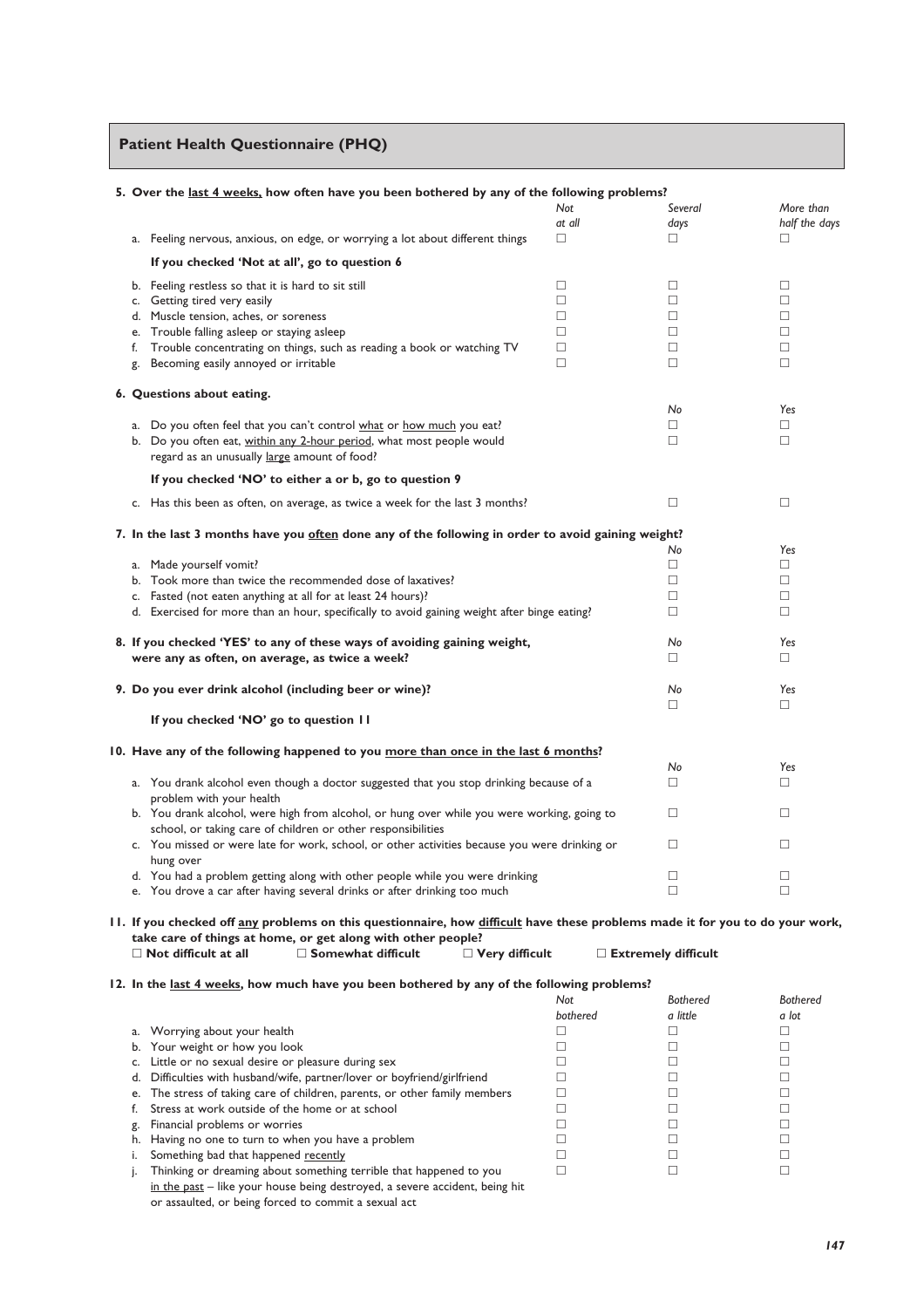# **Patient Health Questionnaire (PHQ)**

|    | 5. Over the last 4 weeks, how often have you been bothered by any of the following problems?                                                |                       |          |                            |                 |
|----|---------------------------------------------------------------------------------------------------------------------------------------------|-----------------------|----------|----------------------------|-----------------|
|    |                                                                                                                                             |                       | Not      | Several                    | More than       |
|    |                                                                                                                                             |                       | at all   | days                       | half the days   |
|    | a. Feeling nervous, anxious, on edge, or worrying a lot about different things                                                              |                       | □        | $\Box$                     | $\Box$          |
|    | If you checked 'Not at all', go to question 6                                                                                               |                       |          |                            |                 |
|    |                                                                                                                                             |                       |          |                            |                 |
|    | b. Feeling restless so that it is hard to sit still                                                                                         |                       | □        | □                          | □               |
|    | c. Getting tired very easily                                                                                                                |                       | □        | П                          | □               |
|    | d. Muscle tension, aches, or soreness                                                                                                       |                       | $\Box$   | П                          | $\Box$          |
|    | e. Trouble falling asleep or staying asleep                                                                                                 |                       | $\Box$   | $\Box$                     | $\Box$          |
| f. | Trouble concentrating on things, such as reading a book or watching TV                                                                      |                       | □        | □                          | □               |
| g. | Becoming easily annoyed or irritable                                                                                                        |                       | $\Box$   | П                          | $\Box$          |
|    | 6. Questions about eating.                                                                                                                  |                       |          |                            |                 |
|    |                                                                                                                                             |                       |          | No                         | Yes             |
|    | a. Do you often feel that you can't control what or how much you eat?                                                                       |                       |          | $\Box$                     | □               |
|    | b. Do you often eat, within any 2-hour period, what most people would                                                                       |                       |          | П                          | □               |
|    | regard as an unusually large amount of food?                                                                                                |                       |          |                            |                 |
|    | If you checked 'NO' to either a or b, go to question 9                                                                                      |                       |          |                            |                 |
|    | c. Has this been as often, on average, as twice a week for the last 3 months?                                                               |                       |          | $\Box$                     | $\Box$          |
|    |                                                                                                                                             |                       |          |                            |                 |
|    | 7. In the last 3 months have you often done any of the following in order to avoid gaining weight?                                          |                       |          | No                         | Yes             |
|    | a. Made yourself vomit?                                                                                                                     |                       |          | $\Box$                     | □               |
|    |                                                                                                                                             |                       |          | □                          | □               |
|    | b. Took more than twice the recommended dose of laxatives?                                                                                  |                       |          |                            |                 |
|    | c. Fasted (not eaten anything at all for at least 24 hours)?                                                                                |                       |          | $\Box$                     | □               |
|    | d. Exercised for more than an hour, specifically to avoid gaining weight after binge eating?                                                |                       |          | П                          | П               |
|    | 8. If you checked 'YES' to any of these ways of avoiding gaining weight,                                                                    |                       |          | No                         | Yes             |
|    | were any as often, on average, as twice a week?                                                                                             |                       |          | П                          | $\Box$          |
|    |                                                                                                                                             |                       |          |                            |                 |
|    | 9. Do you ever drink alcohol (including beer or wine)?                                                                                      |                       |          | No                         | Yes             |
|    |                                                                                                                                             |                       |          | П                          | □               |
|    | If you checked 'NO' go to question 11                                                                                                       |                       |          |                            |                 |
|    | 10. Have any of the following happened to you more than once in the last 6 months?                                                          |                       |          |                            |                 |
|    |                                                                                                                                             |                       |          | No                         | Yes             |
|    | a. You drank alcohol even though a doctor suggested that you stop drinking because of a                                                     |                       |          | П                          | □               |
|    | problem with your health                                                                                                                    |                       |          |                            |                 |
|    | b. You drank alcohol, were high from alcohol, or hung over while you were working, going to                                                 |                       |          | □                          | □               |
|    | school, or taking care of children or other responsibilities                                                                                |                       |          |                            |                 |
|    | c. You missed or were late for work, school, or other activities because you were drinking or                                               |                       |          | $\Box$                     | $\Box$          |
|    | hung over                                                                                                                                   |                       |          |                            |                 |
|    | d. You had a problem getting along with other people while you were drinking                                                                |                       |          | $\Box$                     | □               |
|    | e. You drove a car after having several drinks or after drinking too much                                                                   |                       |          | $\Box$                     | $\Box$          |
|    |                                                                                                                                             |                       |          |                            |                 |
|    | II. If you checked off <u>any</u> problems on this questionnaire, how <u>difficult</u> have these problems made it for you to do your work, |                       |          |                            |                 |
|    | take care of things at home, or get along with other people?                                                                                |                       |          |                            |                 |
|    | $\Box$ Not difficult at all<br>$\Box$ Somewhat difficult                                                                                    | $\Box$ Very difficult |          | $\Box$ Extremely difficult |                 |
|    | 12. In the <u>last 4 weeks</u> , how much have you been bothered by any of the following problems?                                          |                       |          |                            |                 |
|    |                                                                                                                                             |                       | Not      | <b>Bothered</b>            | <b>Bothered</b> |
|    |                                                                                                                                             |                       | bothered | a little                   | a lot           |
| a. | Worrying about your health                                                                                                                  |                       | $\Box$   | L                          | $\Box$          |
| b. | Your weight or how you look                                                                                                                 |                       | $\Box$   | П                          | □               |
| c. | Little or no sexual desire or pleasure during sex                                                                                           |                       | □        | П                          | □               |
| d. | Difficulties with husband/wife, partner/lover or boyfriend/girlfriend                                                                       |                       | П        | $\Box$                     | $\Box$          |
|    |                                                                                                                                             |                       |          | $\Box$                     |                 |
| е. | The stress of taking care of children, parents, or other family members                                                                     |                       | $\Box$   |                            | $\Box$          |
| f. | Stress at work outside of the home or at school                                                                                             |                       | □        | П                          | □               |
| g. | Financial problems or worries                                                                                                               |                       | П        | $\Box$                     | $\Box$          |
| h. | Having no one to turn to when you have a problem                                                                                            |                       | □        | $\Box$                     | $\Box$          |
| i. | Something bad that happened recently                                                                                                        |                       | □        | □                          | $\Box$          |
|    | Thinking or dreaming about something terrible that happened to you                                                                          |                       | □        | П                          | $\Box$          |

<u>in the past</u> – like your house being destroyed, a severe accident, being hit or assaulted, or being forced to commit a sexual act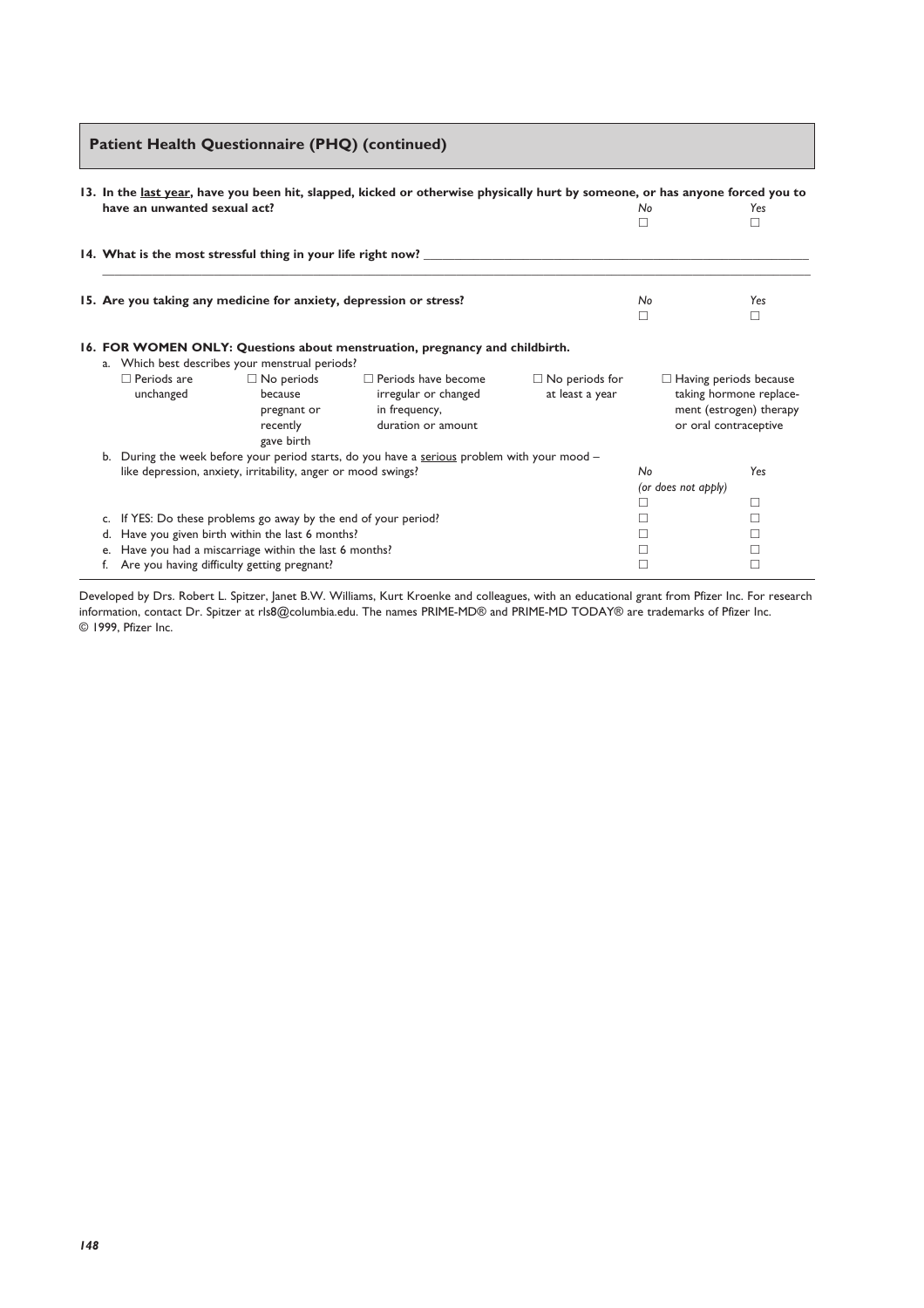|    |                                 | <b>Patient Health Questionnaire (PHQ) (continued)</b>                 |                                                                                                                               |                                          |                     |                                                                                                              |
|----|---------------------------------|-----------------------------------------------------------------------|-------------------------------------------------------------------------------------------------------------------------------|------------------------------------------|---------------------|--------------------------------------------------------------------------------------------------------------|
|    | have an unwanted sexual act?    |                                                                       | 13. In the last year, have you been hit, slapped, kicked or otherwise physically hurt by someone, or has anyone forced you to |                                          | No<br>п             | Yes<br>п                                                                                                     |
|    |                                 |                                                                       |                                                                                                                               |                                          |                     |                                                                                                              |
|    |                                 |                                                                       | 15. Are you taking any medicine for anxiety, depression or stress?                                                            |                                          | No<br>П             | Yes<br>П                                                                                                     |
|    |                                 |                                                                       | 16. FOR WOMEN ONLY: Questions about menstruation, pregnancy and childbirth.                                                   |                                          |                     |                                                                                                              |
|    |                                 | a. Which best describes your menstrual periods?                       |                                                                                                                               |                                          |                     |                                                                                                              |
|    | $\Box$ Periods are<br>unchanged | $\Box$ No periods<br>because<br>pregnant or<br>recently<br>gave birth | $\Box$ Periods have become<br>irregular or changed<br>in frequency,<br>duration or amount                                     | $\Box$ No periods for<br>at least a year |                     | $\Box$ Having periods because<br>taking hormone replace-<br>ment (estrogen) therapy<br>or oral contraceptive |
|    |                                 |                                                                       | b. During the week before your period starts, do you have a serious problem with your mood $-$                                |                                          |                     |                                                                                                              |
|    |                                 | like depression, anxiety, irritability, anger or mood swings?         |                                                                                                                               |                                          | No                  | Yes                                                                                                          |
|    |                                 |                                                                       |                                                                                                                               |                                          | (or does not apply) |                                                                                                              |
|    |                                 |                                                                       |                                                                                                                               |                                          | П                   | ⊔                                                                                                            |
|    |                                 | c. If YES: Do these problems go away by the end of your period?       |                                                                                                                               |                                          | П                   | □                                                                                                            |
| d. |                                 | Have you given birth within the last 6 months?                        |                                                                                                                               |                                          | П                   | □                                                                                                            |
| e. |                                 | Have you had a miscarriage within the last 6 months?                  |                                                                                                                               |                                          | п                   | П                                                                                                            |
|    |                                 | Are you having difficulty getting pregnant?                           |                                                                                                                               |                                          | П                   | П                                                                                                            |

Developed by Drs. Robert L. Spitzer, Janet B.W. Williams, Kurt Kroenke and colleagues, with an educational grant from Pfizer Inc. For research information, contact Dr. Spitzer at rls8@columbia.edu. The names PRIME-MD® and PRIME-MD TODAY® are trademarks of Pfizer Inc. © 1999, Pfizer Inc.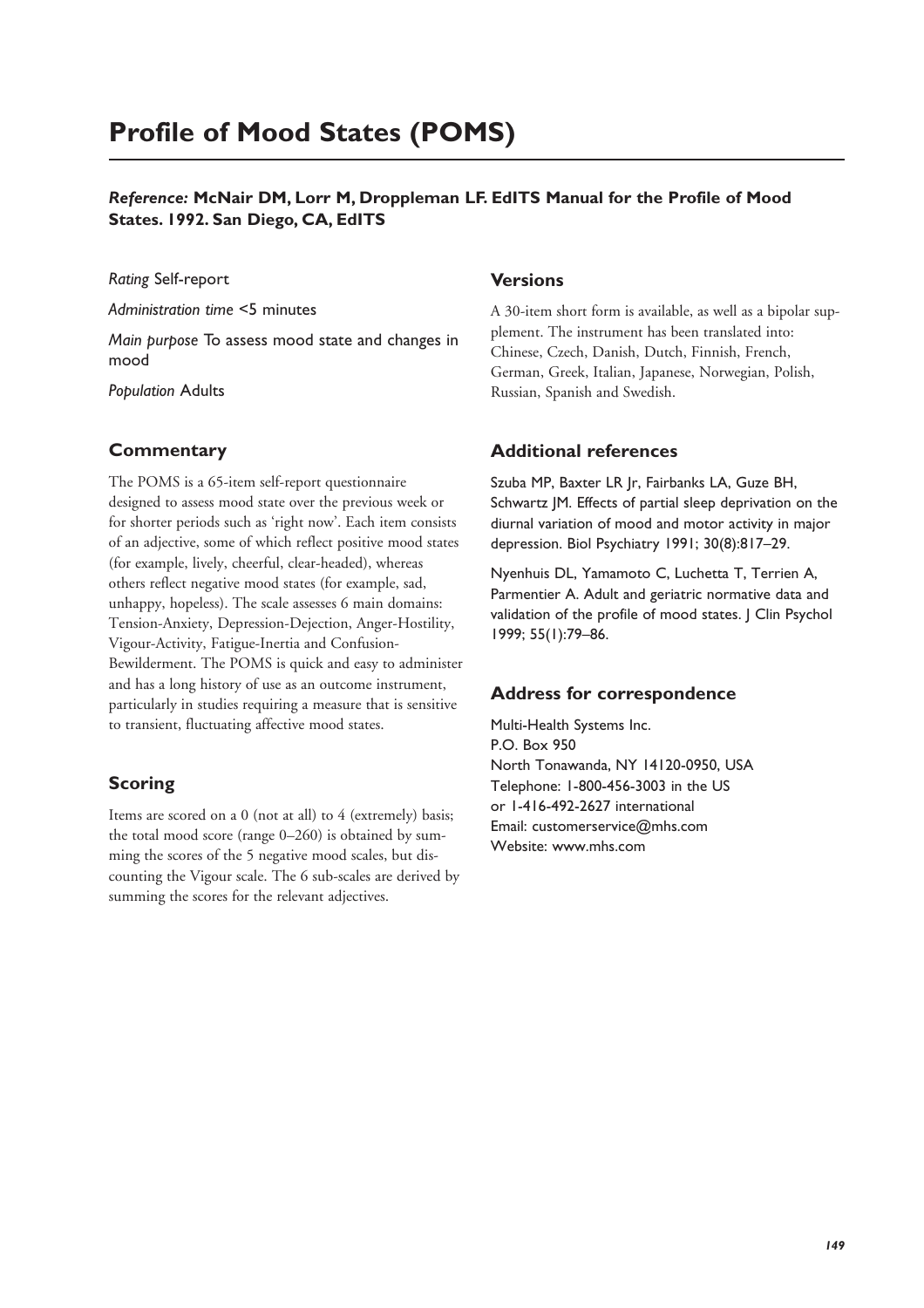#### *Reference:* **McNair DM, Lorr M, Droppleman LF. EdITS Manual for the Profile of Mood States. 1992. San Diego, CA, EdITS**

*Rating* Self-report

*Administration time* <5 minutes

*Main purpose* To assess mood state and changes in mood

*Population* Adults

## **Commentary**

The POMS is a 65-item self-report questionnaire designed to assess mood state over the previous week or for shorter periods such as 'right now'. Each item consists of an adjective, some of which reflect positive mood states (for example, lively, cheerful, clear-headed), whereas others reflect negative mood states (for example, sad, unhappy, hopeless). The scale assesses 6 main domains: Tension-Anxiety, Depression-Dejection, Anger-Hostility, Vigour-Activity, Fatigue-Inertia and Confusion-Bewilderment. The POMS is quick and easy to administer and has a long history of use as an outcome instrument, particularly in studies requiring a measure that is sensitive to transient, fluctuating affective mood states.

#### **Scoring**

Items are scored on a 0 (not at all) to 4 (extremely) basis; the total mood score (range 0–260) is obtained by summing the scores of the 5 negative mood scales, but discounting the Vigour scale. The 6 sub-scales are derived by summing the scores for the relevant adjectives.

#### **Versions**

A 30-item short form is available, as well as a bipolar supplement. The instrument has been translated into: Chinese, Czech, Danish, Dutch, Finnish, French, German, Greek, Italian, Japanese, Norwegian, Polish, Russian, Spanish and Swedish.

#### **Additional references**

Szuba MP, Baxter LR Jr, Fairbanks LA, Guze BH, Schwartz JM. Effects of partial sleep deprivation on the diurnal variation of mood and motor activity in major depression. Biol Psychiatry 1991; 30(8):817–29.

Nyenhuis DL, Yamamoto C, Luchetta T, Terrien A, Parmentier A. Adult and geriatric normative data and validation of the profile of mood states. J Clin Psychol 1999; 55(1):79–86.

## **Address for correspondence**

Multi-Health Systems Inc. P.O. Box 950 North Tonawanda, NY 14120-0950, USA Telephone: 1-800-456-3003 in the US or 1-416-492-2627 international Email: customerservice@mhs.com Website: www.mhs.com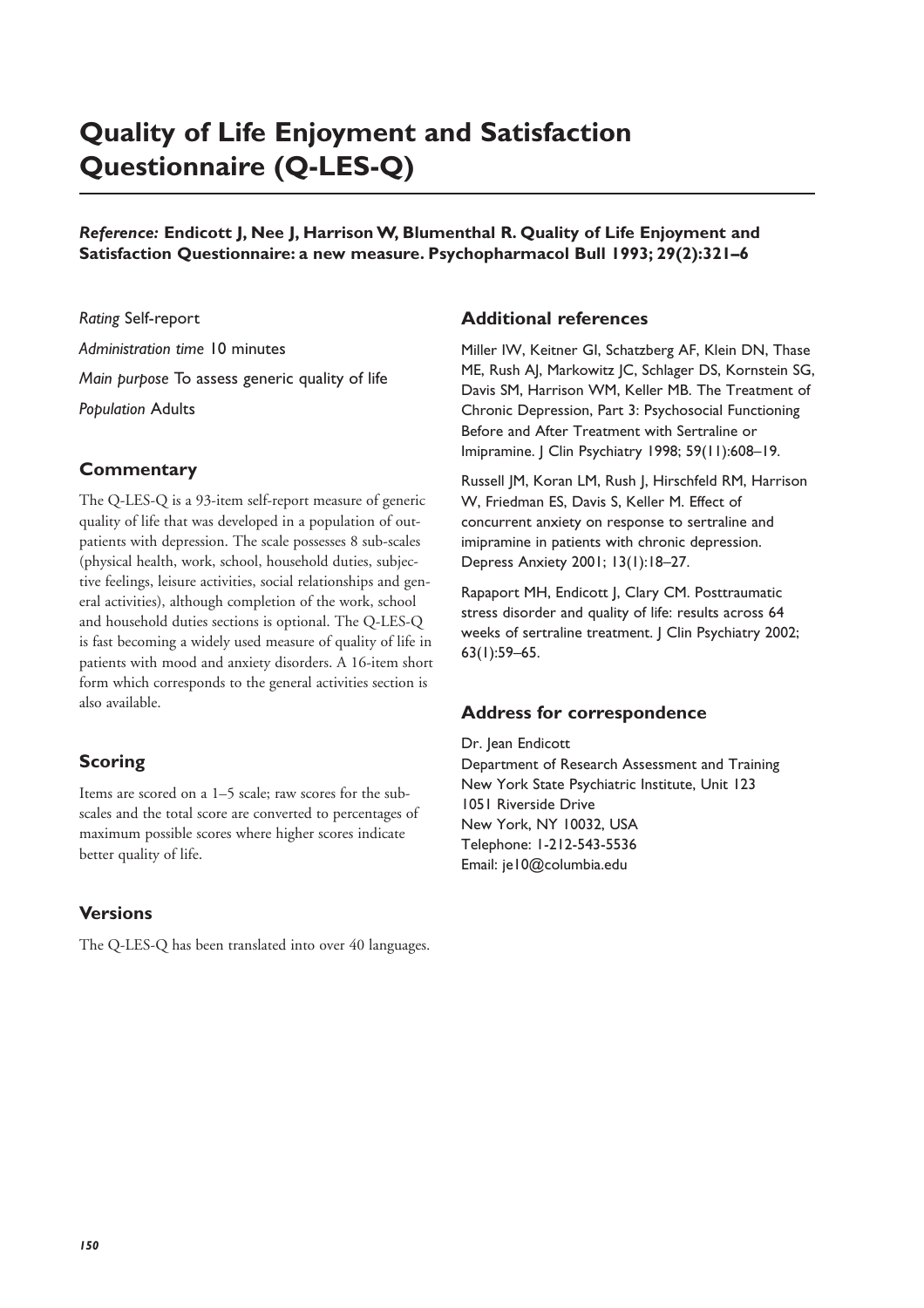# **Quality of Life Enjoyment and Satisfaction Questionnaire (Q-LES-Q)**

*Reference:* **Endicott J, Nee J, Harrison W, Blumenthal R. Quality of Life Enjoyment and Satisfaction Questionnaire: a new measure. Psychopharmacol Bull 1993; 29(2):321–6**

*Rating* Self-report *Administration time* 10 minutes *Main purpose* To assess generic quality of life *Population* Adults

## **Commentary**

The Q-LES-Q is a 93-item self-report measure of generic quality of life that was developed in a population of outpatients with depression. The scale possesses 8 sub-scales (physical health, work, school, household duties, subjective feelings, leisure activities, social relationships and general activities), although completion of the work, school and household duties sections is optional. The Q-LES-Q is fast becoming a widely used measure of quality of life in patients with mood and anxiety disorders. A 16-item short form which corresponds to the general activities section is also available.

#### **Scoring**

Items are scored on a 1–5 scale; raw scores for the subscales and the total score are converted to percentages of maximum possible scores where higher scores indicate better quality of life.

## **Versions**

The Q-LES-Q has been translated into over 40 languages.

#### **Additional references**

Miller IW, Keitner GI, Schatzberg AF, Klein DN, Thase ME, Rush AJ, Markowitz JC, Schlager DS, Kornstein SG, Davis SM, Harrison WM, Keller MB. The Treatment of Chronic Depression, Part 3: Psychosocial Functioning Before and After Treatment with Sertraline or Imipramine. J Clin Psychiatry 1998; 59(11):608–19.

Russell JM, Koran LM, Rush J, Hirschfeld RM, Harrison W, Friedman ES, Davis S, Keller M. Effect of concurrent anxiety on response to sertraline and imipramine in patients with chronic depression. Depress Anxiety 2001; 13(1):18–27.

Rapaport MH, Endicott J, Clary CM. Posttraumatic stress disorder and quality of life: results across 64 weeks of sertraline treatment. J Clin Psychiatry 2002; 63(1):59–65.

#### **Address for correspondence**

Dr. Jean Endicott Department of Research Assessment and Training New York State Psychiatric Institute, Unit 123 1051 Riverside Drive New York, NY 10032, USA Telephone: 1-212-543-5536 Email: je10@columbia.edu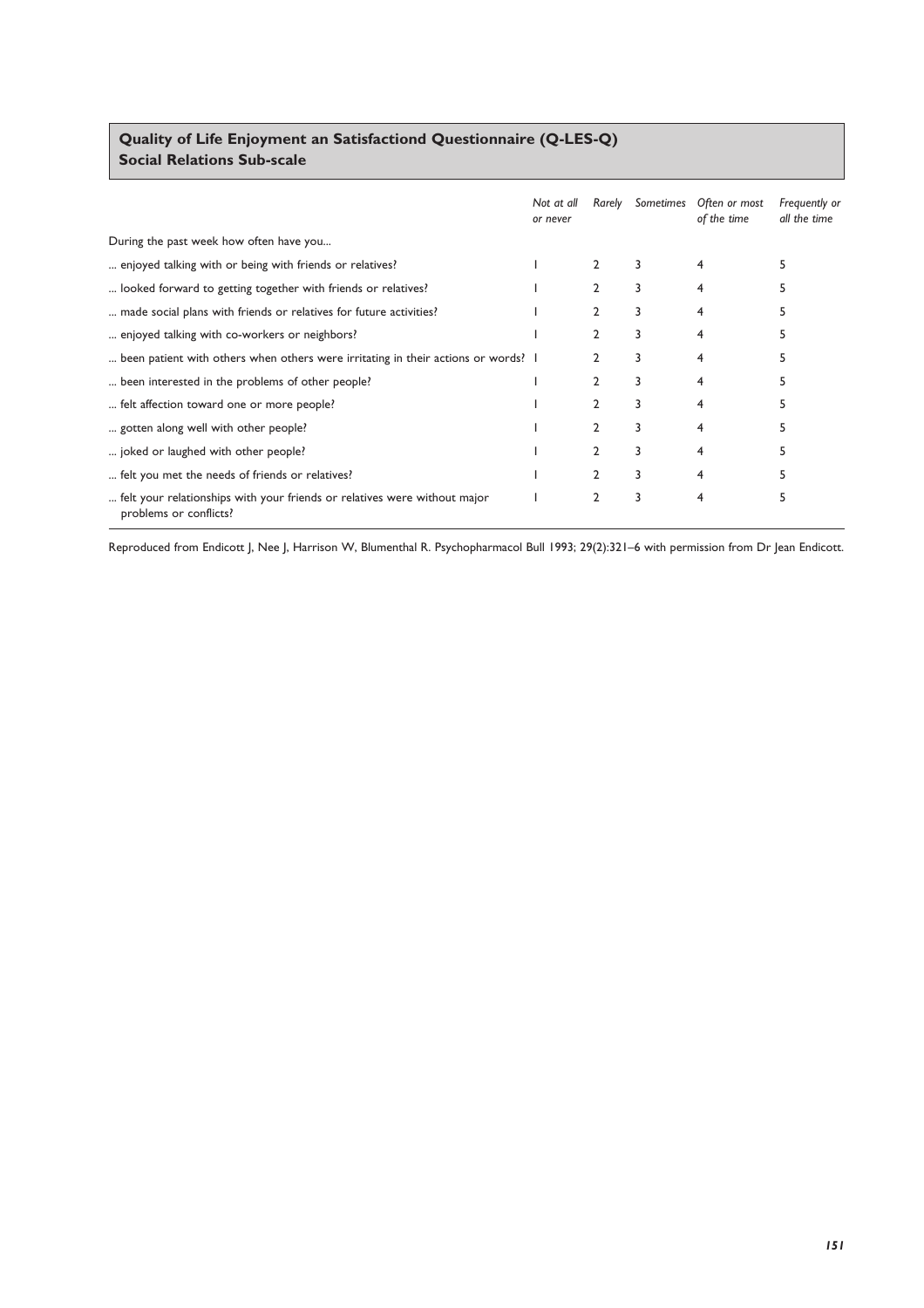#### **Quality of Life Enjoyment an Satisfactiond Questionnaire (Q-LES-Q) Social Relations Sub-scale**

|                                                                                                     | Not at all<br>or never | Rarely | Sometimes | Often or most<br>of the time | Frequently or<br>all the time |
|-----------------------------------------------------------------------------------------------------|------------------------|--------|-----------|------------------------------|-------------------------------|
| During the past week how often have you                                                             |                        |        |           |                              |                               |
| enjoyed talking with or being with friends or relatives?                                            |                        |        | 3         | 4                            | 5                             |
| looked forward to getting together with friends or relatives?                                       |                        |        | 3         | 4                            |                               |
| made social plans with friends or relatives for future activities?                                  |                        |        | 3         | 4                            | 5                             |
| enjoyed talking with co-workers or neighbors?                                                       |                        |        | 3         | 4                            |                               |
| been patient with others when others were irritating in their actions or words? I                   |                        |        | 3         | 4                            |                               |
| been interested in the problems of other people?                                                    |                        |        | 3         | 4                            | 5                             |
| felt affection toward one or more people?                                                           |                        |        | 3         | 4                            |                               |
| gotten along well with other people?                                                                |                        |        | 3         | 4                            | 5                             |
| joked or laughed with other people?                                                                 |                        |        | 3         | 4                            | 5                             |
| felt you met the needs of friends or relatives?                                                     |                        |        | 3         | 4                            |                               |
| felt your relationships with your friends or relatives were without major<br>problems or conflicts? |                        | 2      | 3         | 4                            | 5                             |

Reproduced from Endicott J, Nee J, Harrison W, Blumenthal R. Psychopharmacol Bull 1993; 29(2):321–6 with permission from Dr Jean Endicott.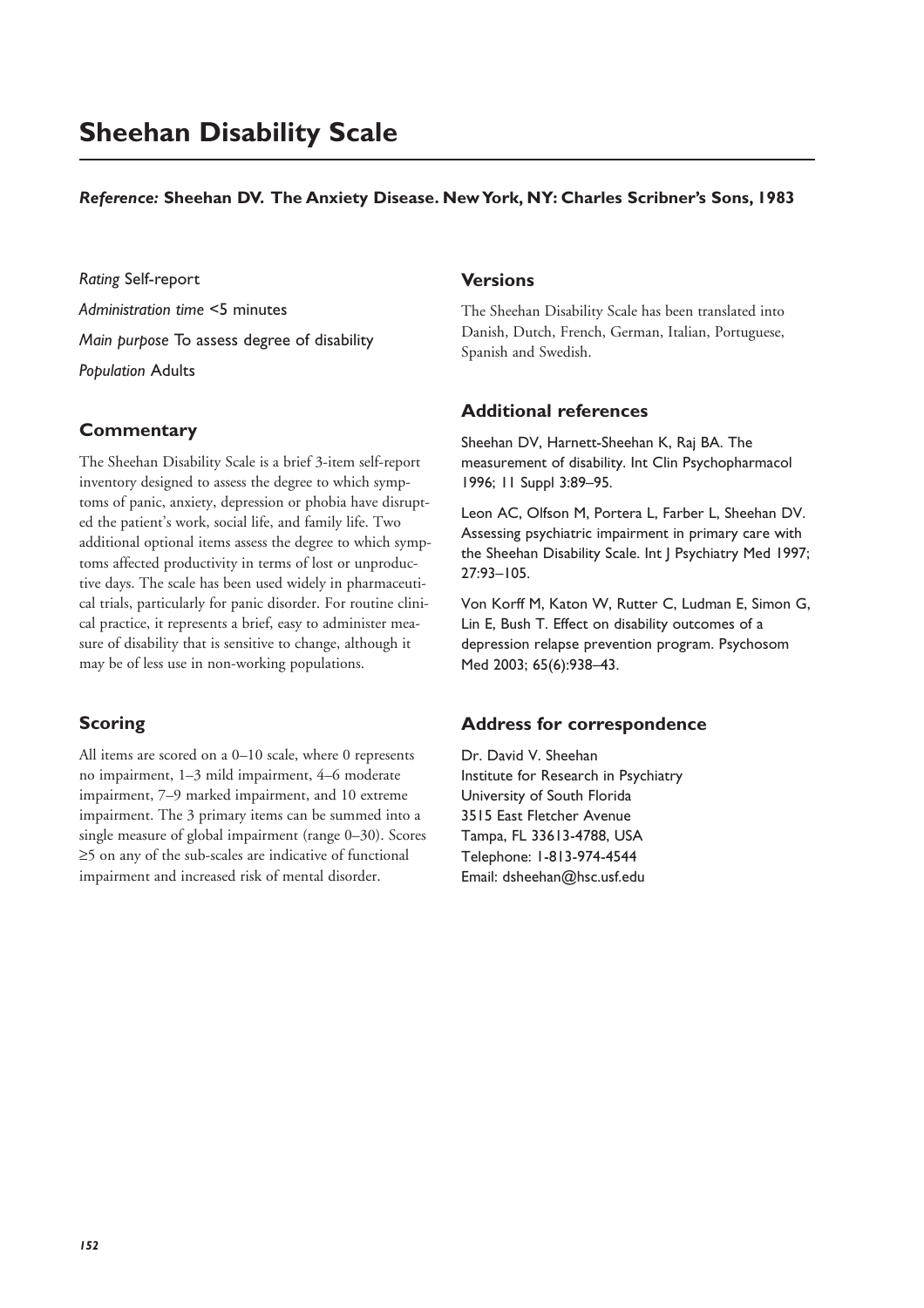#### *Reference:* **Sheehan DV. The Anxiety Disease. New York, NY: Charles Scribner's Sons, 1983**

*Rating* Self-report *Administration time* <5 minutes *Main purpose* To assess degree of disability *Population* Adults

## **Commentary**

The Sheehan Disability Scale is a brief 3-item self-report inventory designed to assess the degree to which symptoms of panic, anxiety, depression or phobia have disrupted the patient's work, social life, and family life. Two additional optional items assess the degree to which symptoms affected productivity in terms of lost or unproductive days. The scale has been used widely in pharmaceutical trials, particularly for panic disorder. For routine clinical practice, it represents a brief, easy to administer measure of disability that is sensitive to change, although it may be of less use in non-working populations.

## **Scoring**

All items are scored on a 0-10 scale, where 0 represents no impairment, 1–3 mild impairment, 4–6 moderate impairment, 7–9 marked impairment, and 10 extreme impairment. The 3 primary items can be summed into a single measure of global impairment (range 0–30). Scores ≥5 on any of the sub-scales are indicative of functional impairment and increased risk of mental disorder.

#### **Versions**

The Sheehan Disability Scale has been translated into Danish, Dutch, French, German, Italian, Portuguese, Spanish and Swedish.

#### **Additional references**

Sheehan DV, Harnett-Sheehan K, Raj BA. The measurement of disability. Int Clin Psychopharmacol 1996; 11 Suppl 3:89–95.

Leon AC, Olfson M, Portera L, Farber L, Sheehan DV. Assessing psychiatric impairment in primary care with the Sheehan Disability Scale. Int | Psychiatry Med 1997; 27:93–105.

Von Korff M, Katon W, Rutter C, Ludman E, Simon G, Lin E, Bush T. Effect on disability outcomes of a depression relapse prevention program. Psychosom Med 2003; 65(6):938–43.

## **Address for correspondence**

Dr. David V. Sheehan Institute for Research in Psychiatry University of South Florida 3515 East Fletcher Avenue Tampa, FL 33613-4788, USA Telephone: 1-813-974-4544 Email: dsheehan@hsc.usf.edu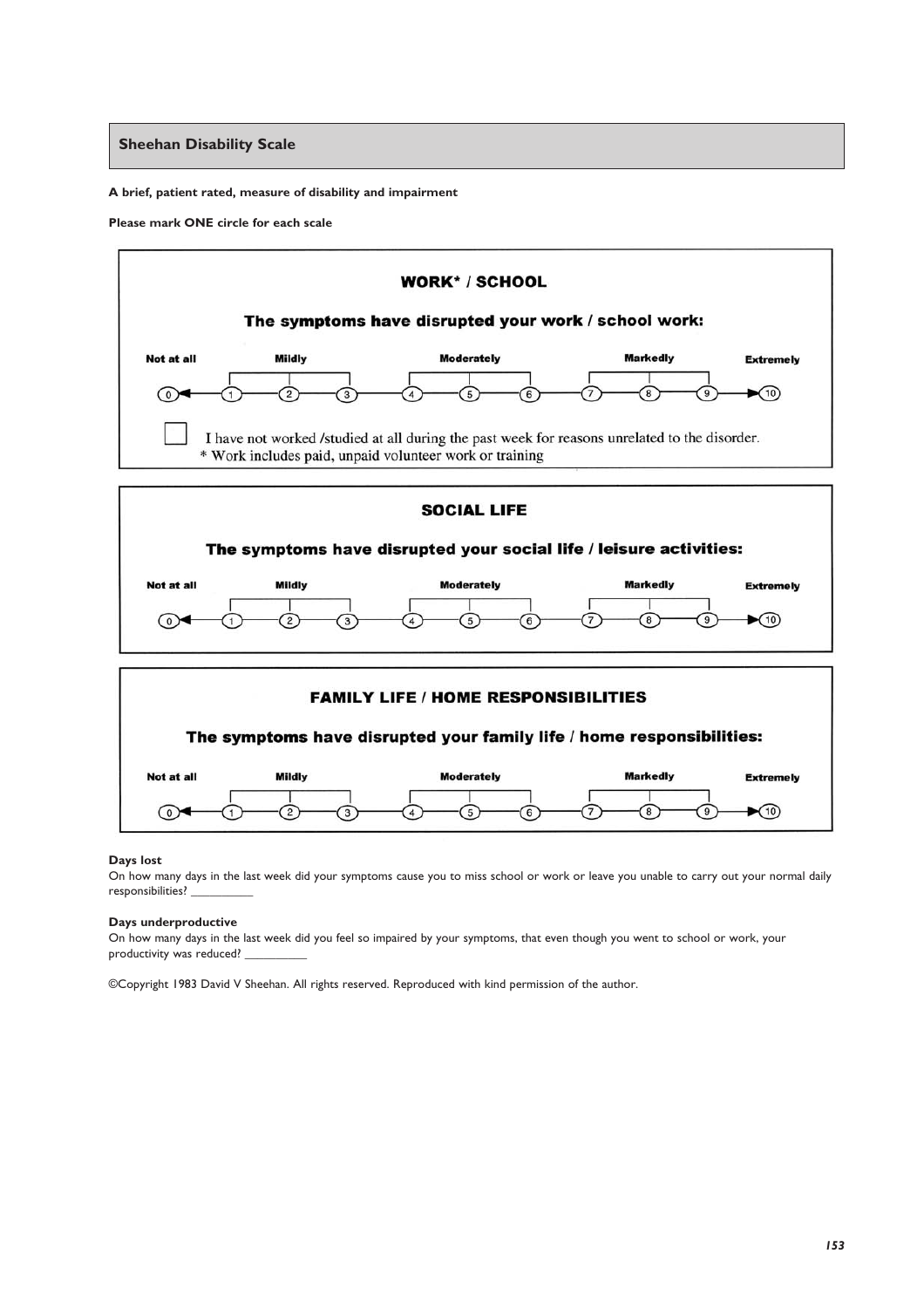#### **Sheehan Disability Scale**

**A brief, patient rated, measure of disability and impairment**

#### **Please mark ONE circle for each scale**





#### **Days lost**

On how many days in the last week did your symptoms cause you to miss school or work or leave you unable to carry out your normal daily responsibilities?

#### **Days underproductive**

On how many days in the last week did you feel so impaired by your symptoms, that even though you went to school or work, your productivity was reduced?

©Copyright 1983 David V Sheehan. All rights reserved. Reproduced with kind permission of the author.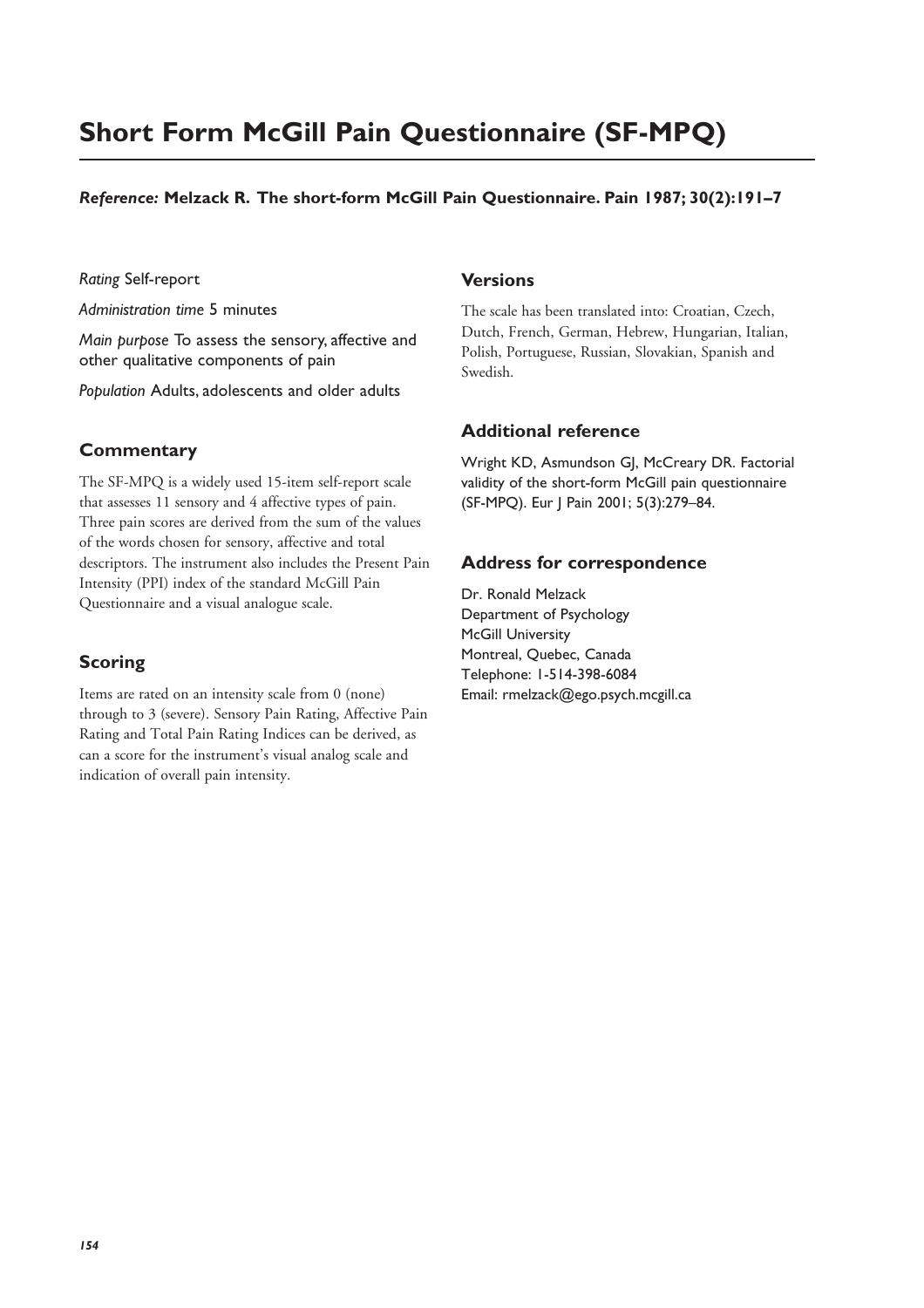# **Short Form McGill Pain Questionnaire (SF-MPQ)**

#### *Reference:* **Melzack R. The short-form McGill Pain Questionnaire. Pain 1987; 30(2):191–7**

*Rating* Self-report

*Administration time* 5 minutes

*Main purpose* To assess the sensory, affective and other qualitative components of pain

*Population* Adults, adolescents and older adults

#### **Commentary**

The SF-MPQ is a widely used 15-item self-report scale that assesses 11 sensory and 4 affective types of pain. Three pain scores are derived from the sum of the values of the words chosen for sensory, affective and total descriptors. The instrument also includes the Present Pain Intensity (PPI) index of the standard McGill Pain Questionnaire and a visual analogue scale.

#### **Scoring**

Items are rated on an intensity scale from 0 (none) through to 3 (severe). Sensory Pain Rating, Affective Pain Rating and Total Pain Rating Indices can be derived, as can a score for the instrument's visual analog scale and indication of overall pain intensity.

#### **Versions**

The scale has been translated into: Croatian, Czech, Dutch, French, German, Hebrew, Hungarian, Italian, Polish, Portuguese, Russian, Slovakian, Spanish and Swedish.

#### **Additional reference**

Wright KD, Asmundson GJ, McCreary DR. Factorial validity of the short-form McGill pain questionnaire (SF-MPQ). Eur J Pain 2001; 5(3):279–84.

#### **Address for correspondence**

Dr. Ronald Melzack Department of Psychology McGill University Montreal, Quebec, Canada Telephone: 1-514-398-6084 Email: rmelzack@ego.psych.mcgill.ca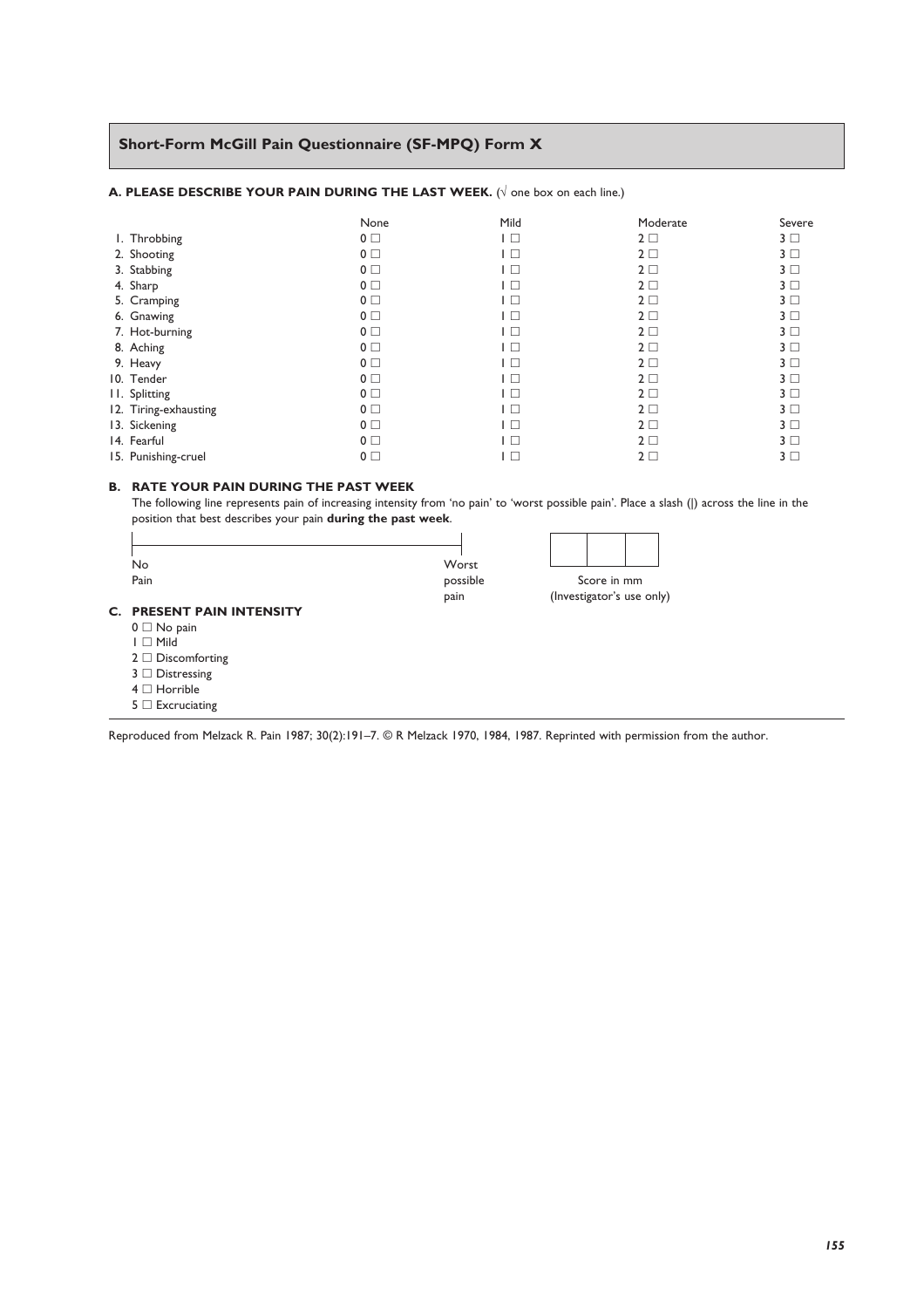#### **Short-Form McGill Pain Questionnaire (SF-MPQ) Form X**

#### **A. PLEASE DESCRIBE YOUR PAIN DURING THE LAST WEEK.** (√ one box on each line.)

|                     |                       | None           | Mild                     | Moderate   | Severe         |
|---------------------|-----------------------|----------------|--------------------------|------------|----------------|
| I. Throbbing        |                       | 0 <sub>0</sub> | $\overline{1}$           | $2\square$ | $3$ $\Box$     |
| 2. Shooting         |                       | 0 <sub>0</sub> | ∣□                       | $2\square$ | $3$ $\Box$     |
| 3. Stabbing         |                       | 0 <sub>0</sub> | ∣□                       | $2\square$ | $3$ $\Box$     |
| 4. Sharp            |                       | $0$ $\Box$     | $\overline{\phantom{0}}$ | $2\square$ | $3$ $\Box$     |
| 5. Cramping         |                       | 0 <sub>0</sub> | ∣□                       | $2\square$ | $3$ $\Box$     |
| 6. Gnawing          |                       | 0 <sub>0</sub> | $\overline{\phantom{0}}$ | $2\square$ | 3 <sup>1</sup> |
| 7. Hot-burning      |                       | 0 <sub>0</sub> | ∣□                       | $2\square$ | $3$ $\Box$     |
| 8. Aching           |                       | 0 <sub>0</sub> | ∣□                       | $2\square$ | 3 <sup>1</sup> |
| 9. Heavy            |                       | 0 <sub>0</sub> | $\overline{\phantom{0}}$ | $2\square$ | $3$ $\Box$     |
| 10. Tender          |                       | 0 <sub>0</sub> | ∣□                       | $2\square$ | $3$ $\Box$     |
| 11. Splitting       |                       | 0 <sub>0</sub> | ∣□                       | $2\square$ | 3 <sup>1</sup> |
|                     | 12. Tiring-exhausting | 0 <sub>0</sub> | $\overline{\phantom{0}}$ | $2\square$ | $3$ $\Box$     |
| 13. Sickening       |                       | 0 <sub>0</sub> | ∣□                       | $2\square$ | $3$ $\Box$     |
| 14. Fearful         |                       | $0$ $\Box$     | $\overline{\phantom{0}}$ | $2\square$ | $3\Box$        |
| 15. Punishing-cruel |                       | $0\Box$        | ∣□                       | $2\square$ | 3 <sup>1</sup> |

#### **B. RATE YOUR PAIN DURING THE PAST WEEK**

The following line represents pain of increasing intensity from 'no pain' to 'worst possible pain'. Place a slash (|) across the line in the position that best describes your pain **during the past week**.

| No                            | Worst    |                           |
|-------------------------------|----------|---------------------------|
| Pain                          | possible | Score in mm               |
|                               | pain     | (Investigator's use only) |
| <b>PRESENT PAIN INTENSITY</b> |          |                           |

#### **C. P**

 $0 \square$  No pain

- | □ Mild
- $2 \Box$  Discomforting
- $3 \Box$  Distressing
- $4 \Box$  Horrible
- $5 \Box$  Excruciating

Reproduced from Melzack R. Pain 1987; 30(2):191–7. © R Melzack 1970, 1984, 1987. Reprinted with permission from the author.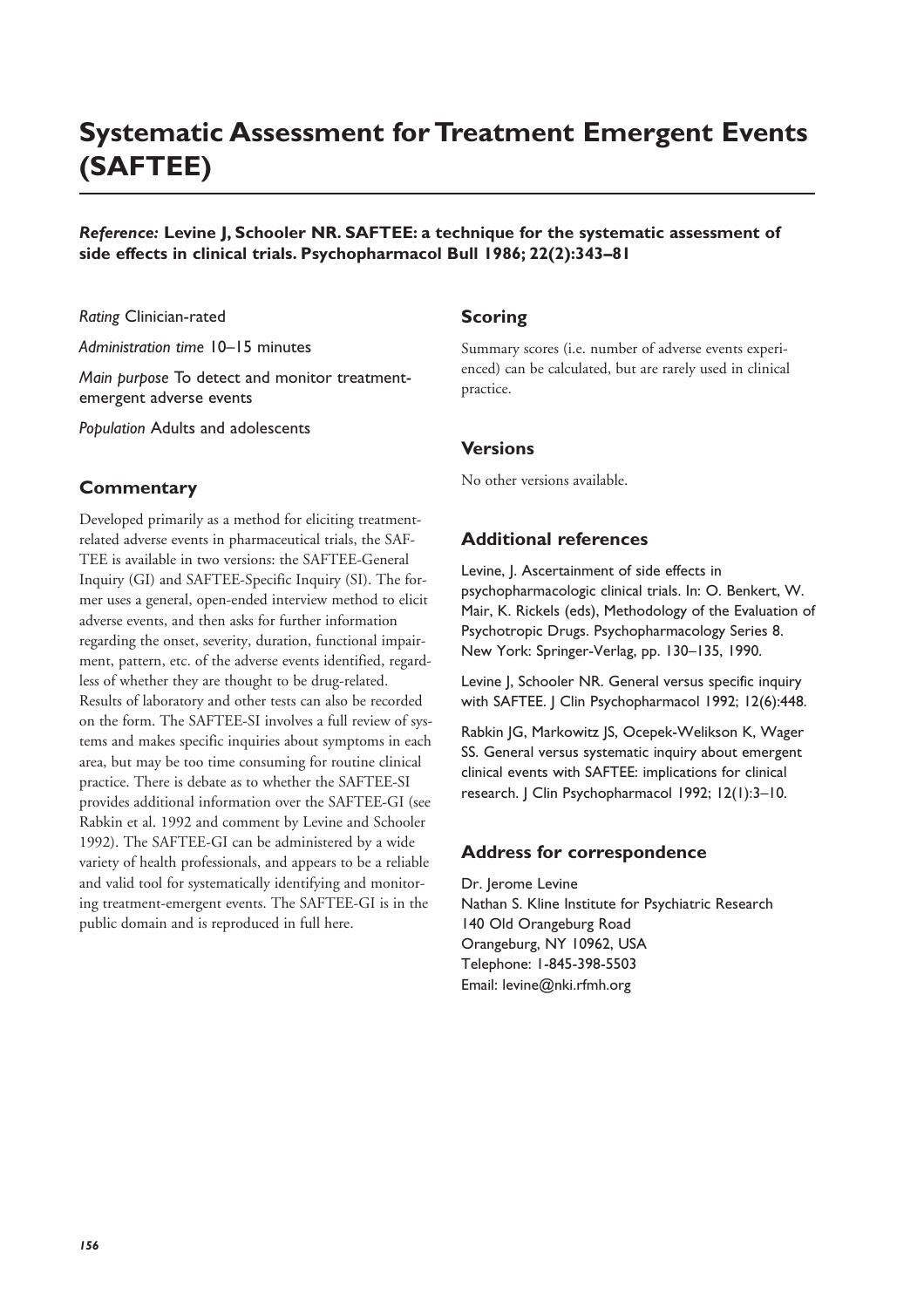# **Systematic Assessment for Treatment Emergent Events (SAFTEE)**

*Reference:* **Levine J, Schooler NR. SAFTEE: a technique for the systematic assessment of side effects in clinical trials. Psychopharmacol Bull 1986; 22(2):343–81**

*Rating* Clinician-rated

*Administration time* 10–15 minutes

*Main purpose* To detect and monitor treatmentemergent adverse events

*Population* Adults and adolescents

## **Commentary**

Developed primarily as a method for eliciting treatmentrelated adverse events in pharmaceutical trials, the SAF-TEE is available in two versions: the SAFTEE-General Inquiry (GI) and SAFTEE-Specific Inquiry (SI). The former uses a general, open-ended interview method to elicit adverse events, and then asks for further information regarding the onset, severity, duration, functional impairment, pattern, etc. of the adverse events identified, regardless of whether they are thought to be drug-related. Results of laboratory and other tests can also be recorded on the form. The SAFTEE-SI involves a full review of systems and makes specific inquiries about symptoms in each area, but may be too time consuming for routine clinical practice. There is debate as to whether the SAFTEE-SI provides additional information over the SAFTEE-GI (see Rabkin et al. 1992 and comment by Levine and Schooler 1992). The SAFTEE-GI can be administered by a wide variety of health professionals, and appears to be a reliable and valid tool for systematically identifying and monitoring treatment-emergent events. The SAFTEE-GI is in the public domain and is reproduced in full here.

#### **Scoring**

Summary scores (i.e. number of adverse events experienced) can be calculated, but are rarely used in clinical practice.

#### **Versions**

No other versions available.

#### **Additional references**

Levine, I. Ascertainment of side effects in psychopharmacologic clinical trials. In: O. Benkert, W. Mair, K. Rickels (eds), Methodology of the Evaluation of Psychotropic Drugs. Psychopharmacology Series 8. New York: Springer-Verlag, pp. 130–135, 1990.

Levine J, Schooler NR. General versus specific inquiry with SAFTEE. J Clin Psychopharmacol 1992; 12(6):448.

Rabkin JG, Markowitz JS, Ocepek-Welikson K, Wager SS. General versus systematic inquiry about emergent clinical events with SAFTEE: implications for clinical research. J Clin Psychopharmacol 1992; 12(1):3–10.

#### **Address for correspondence**

Dr. Jerome Levine Nathan S. Kline Institute for Psychiatric Research 140 Old Orangeburg Road Orangeburg, NY 10962, USA Telephone: 1-845-398-5503 Email: levine@nki.rfmh.org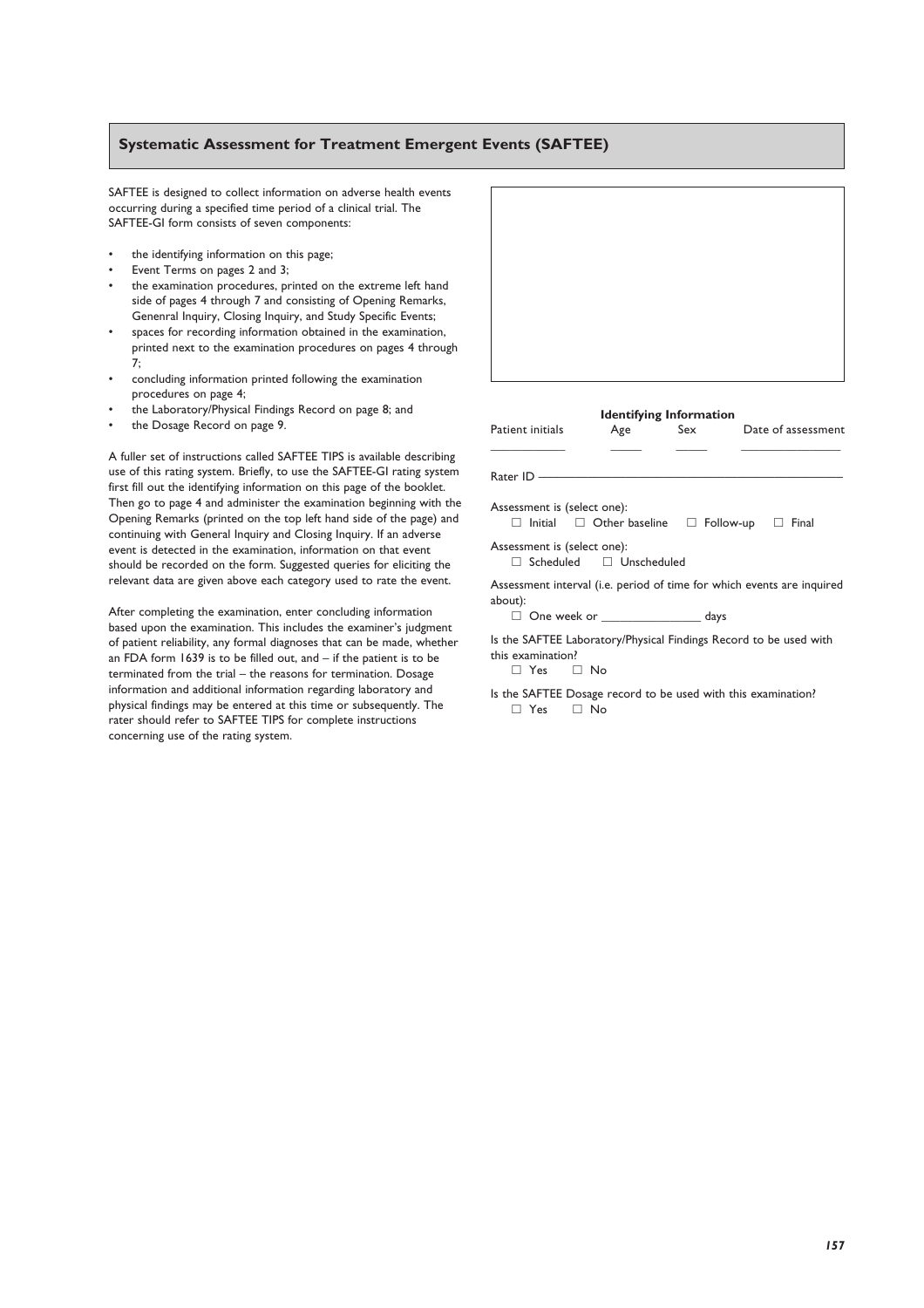#### **Systematic Assessment for Treatment Emergent Events (SAFTEE)**

SAFTEE is designed to collect information on adverse health events occurring during a specified time period of a clinical trial. The SAFTEE-GI form consists of seven components:

- the identifying information on this page;
- Event Terms on pages 2 and 3;
- the examination procedures, printed on the extreme left hand side of pages 4 through 7 and consisting of Opening Remarks, Genenral Inquiry, Closing Inquiry, and Study Specific Events;
- spaces for recording information obtained in the examination, printed next to the examination procedures on pages 4 through 7;
- concluding information printed following the examination procedures on page 4;
- the Laboratory/Physical Findings Record on page 8; and
- the Dosage Record on page 9.

A fuller set of instructions called SAFTEE TIPS is available describing use of this rating system. Briefly, to use the SAFTEE-GI rating system first fill out the identifying information on this page of the booklet. Then go to page 4 and administer the examination beginning with the Opening Remarks (printed on the top left hand side of the page) and continuing with General Inquiry and Closing Inquiry. If an adverse event is detected in the examination, information on that event should be recorded on the form. Suggested queries for eliciting the relevant data are given above each category used to rate the event.

After completing the examination, enter concluding information based upon the examination. This includes the examiner's judgment of patient reliability, any formal diagnoses that can be made, whether an FDA form 1639 is to be filled out, and – if the patient is to be terminated from the trial – the reasons for termination. Dosage information and additional information regarding laboratory and physical findings may be entered at this time or subsequently. The rater should refer to SAFTEE TIPS for complete instructions concerning use of the rating system.

#### **Identifying Information**

| Patient initials | Age | Sex | Date of assessment |
|------------------|-----|-----|--------------------|
|                  |     |     |                    |

Assessment is (select one):

Rater ID -

 $\Box$  Initial  $\Box$  $\Box$  Other baseline  $\Box$  Follow-up  $\Box$  $\Box$  Final

Assessment is (select one):  $\Box$  Scheduled  $\Box$ Unscheduled

Assessment interval (i.e. period of time for which events are inquired about):

□ One week or \_\_\_\_\_\_\_\_\_\_\_\_\_\_\_\_\_ days

Is the SAFTEE Laboratory/Physical Findings Record to be used with this examination?

 $\Box$  Yes  $\Box$  $\Box$  No

Is the SAFTEE Dosage record to be used with this examination?  $\Box$  Yes  $\Box$  $\Box$  No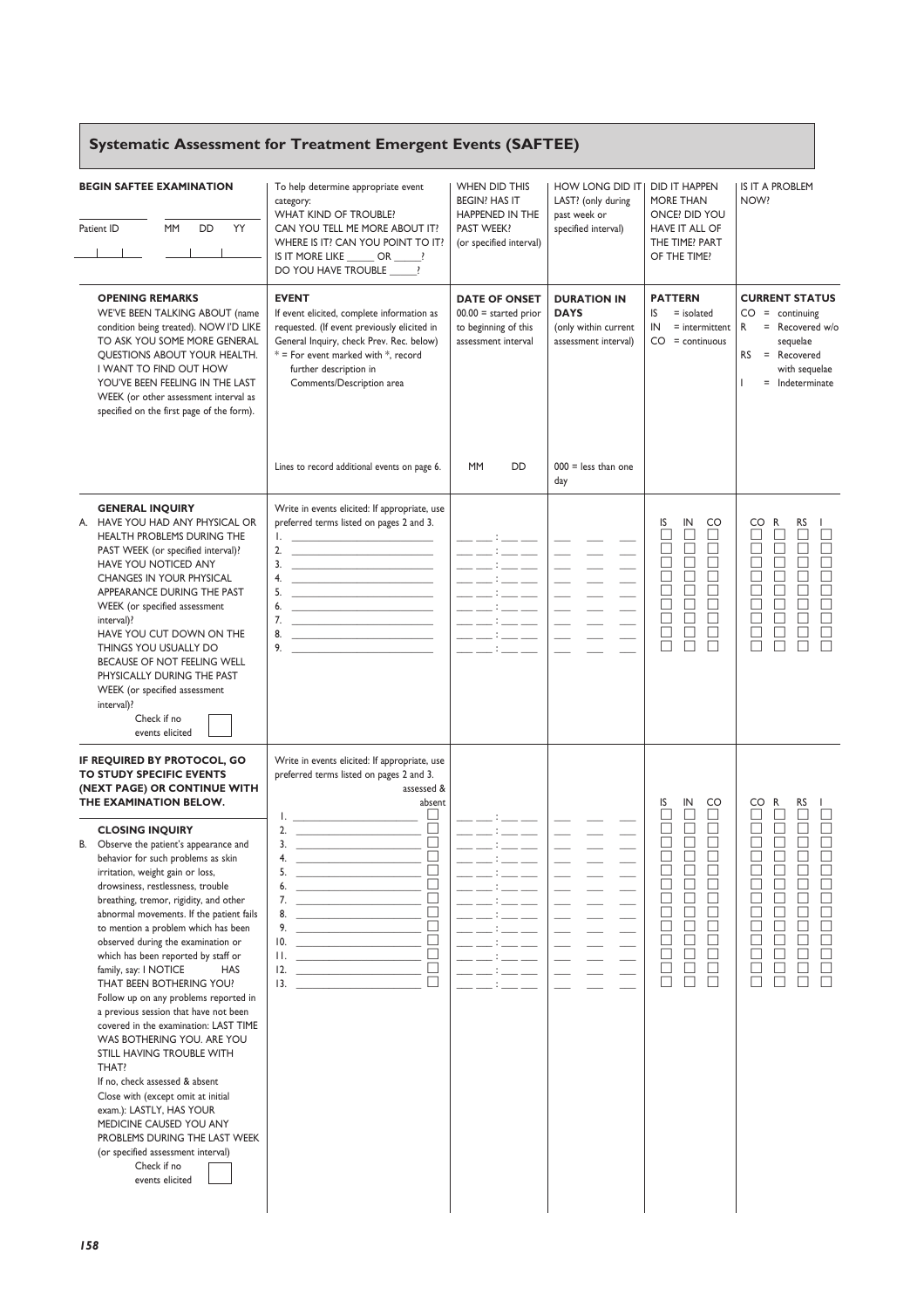# **Systematic Assessment for Treatment Emergent Events (SAFTEE)**

| <b>BEGIN SAFTEE EXAMINATION</b><br>Patient ID<br>DD<br>YY.<br><b>MM</b>                                                                                                                                                                                                                                                                                                                                                                                                                                                                                                                                                                                                                                                                                                                                                                                                                                                                                                                                            | To help determine appropriate event<br>category:<br>WHAT KIND OF TROUBLE?<br>CAN YOU TELL ME MORE ABOUT IT?<br>WHERE IS IT? CAN YOU POINT TO IT?<br>IS IT MORE LIKE _______ OR _____?<br>DO YOU HAVE TROUBLE _____?                                                                                                                                                                                                                                                                                                                                                                                                                                                        | WHEN DID THIS<br><b>BEGIN? HAS IT</b><br>HAPPENED IN THE<br>PAST WEEK?<br>(or specified interval)                                                                                                                                                                                                                                                                                                                                                                                                                                                                                                                                                                                                                                                                                                                                                                                                                                                                                                                                                                                                                                                                                                                                                                                                                                                                                                                         | HOW LONG DID IT<br>LAST? (only during<br>past week or<br>specified interval)      | <b>DID IT HAPPEN</b><br><b>MORE THAN</b><br>ONCE? DID YOU<br>HAVE IT ALL OF<br>THE TIME? PART<br>OF THE TIME?            | <b>IS IT A PROBLEM</b><br>NOW?                                                                                                                                                                                     |  |
|--------------------------------------------------------------------------------------------------------------------------------------------------------------------------------------------------------------------------------------------------------------------------------------------------------------------------------------------------------------------------------------------------------------------------------------------------------------------------------------------------------------------------------------------------------------------------------------------------------------------------------------------------------------------------------------------------------------------------------------------------------------------------------------------------------------------------------------------------------------------------------------------------------------------------------------------------------------------------------------------------------------------|----------------------------------------------------------------------------------------------------------------------------------------------------------------------------------------------------------------------------------------------------------------------------------------------------------------------------------------------------------------------------------------------------------------------------------------------------------------------------------------------------------------------------------------------------------------------------------------------------------------------------------------------------------------------------|---------------------------------------------------------------------------------------------------------------------------------------------------------------------------------------------------------------------------------------------------------------------------------------------------------------------------------------------------------------------------------------------------------------------------------------------------------------------------------------------------------------------------------------------------------------------------------------------------------------------------------------------------------------------------------------------------------------------------------------------------------------------------------------------------------------------------------------------------------------------------------------------------------------------------------------------------------------------------------------------------------------------------------------------------------------------------------------------------------------------------------------------------------------------------------------------------------------------------------------------------------------------------------------------------------------------------------------------------------------------------------------------------------------------------|-----------------------------------------------------------------------------------|--------------------------------------------------------------------------------------------------------------------------|--------------------------------------------------------------------------------------------------------------------------------------------------------------------------------------------------------------------|--|
| <b>OPENING REMARKS</b><br>WE'VE BEEN TALKING ABOUT (name<br>condition being treated). NOW I'D LIKE<br>TO ASK YOU SOME MORE GENERAL<br><b>OUESTIONS ABOUT YOUR HEALTH.</b><br>I WANT TO FIND OUT HOW<br>YOU'VE BEEN FEELING IN THE LAST<br>WEEK (or other assessment interval as<br>specified on the first page of the form).                                                                                                                                                                                                                                                                                                                                                                                                                                                                                                                                                                                                                                                                                       | <b>EVENT</b><br>If event elicited, complete information as<br>requested. (If event previously elicited in<br>General Inquiry, check Prev. Rec. below)<br>$*$ = For event marked with $*$ , record<br>further description in<br>Comments/Description area                                                                                                                                                                                                                                                                                                                                                                                                                   | <b>DATE OF ONSET</b><br>$00.00 =$ started prior<br>to beginning of this<br>assessment interval                                                                                                                                                                                                                                                                                                                                                                                                                                                                                                                                                                                                                                                                                                                                                                                                                                                                                                                                                                                                                                                                                                                                                                                                                                                                                                                            | <b>DURATION IN</b><br><b>DAYS</b><br>(only within current<br>assessment interval) | <b>PATTERN</b><br>IS<br>$=$ isolated<br>IN<br>$=$ intermittent<br>$CO =$ continuous                                      | <b>CURRENT STATUS</b><br>$CO =$ continuing<br>R<br>$=$ Recovered w/o<br>sequelae<br><b>RS</b><br>= Recovered<br>with sequelae<br>= Indeterminate                                                                   |  |
|                                                                                                                                                                                                                                                                                                                                                                                                                                                                                                                                                                                                                                                                                                                                                                                                                                                                                                                                                                                                                    | Lines to record additional events on page 6.                                                                                                                                                                                                                                                                                                                                                                                                                                                                                                                                                                                                                               | DD<br>MM                                                                                                                                                                                                                                                                                                                                                                                                                                                                                                                                                                                                                                                                                                                                                                                                                                                                                                                                                                                                                                                                                                                                                                                                                                                                                                                                                                                                                  | $000 =$ less than one<br>day                                                      |                                                                                                                          |                                                                                                                                                                                                                    |  |
| <b>GENERAL INQUIRY</b><br>A. HAVE YOU HAD ANY PHYSICAL OR<br><b>HEALTH PROBLEMS DURING THE</b><br>PAST WEEK (or specified interval)?<br>HAVE YOU NOTICED ANY<br><b>CHANGES IN YOUR PHYSICAL</b><br>APPEARANCE DURING THE PAST<br>WEEK (or specified assessment<br>interval)?<br>HAVE YOU CUT DOWN ON THE<br>THINGS YOU USUALLY DO<br>BECAUSE OF NOT FEELING WELL<br>PHYSICALLY DURING THE PAST<br>WEEK (or specified assessment<br>interval)?<br>Check if no<br>events elicited                                                                                                                                                                                                                                                                                                                                                                                                                                                                                                                                    | Write in events elicited: If appropriate, use<br>preferred terms listed on pages 2 and 3.<br>2. $\qquad \qquad$<br>4. $\qquad \qquad$<br>5. $\qquad \qquad$<br>6. $\qquad \qquad$<br>9. $\qquad \qquad$                                                                                                                                                                                                                                                                                                                                                                                                                                                                    | <u> 1999 - Paris Albert III, politik</u><br>$\frac{1}{2}$ and $\frac{1}{2}$ and $\frac{1}{2}$ and $\frac{1}{2}$ and $\frac{1}{2}$<br>$\begin{picture}(20,20) \put(0,0){\dashbox{0.5}(5,0){ }} \put(15,0){\circle{10}} \put(25,0){\circle{10}} \put(25,0){\circle{10}} \put(25,0){\circle{10}} \put(25,0){\circle{10}} \put(25,0){\circle{10}} \put(25,0){\circle{10}} \put(25,0){\circle{10}} \put(25,0){\circle{10}} \put(25,0){\circle{10}} \put(25,0){\circle{10}} \put(25,0){\circle{10}} \put(25,0){\circle{10}} \put(25,0$<br>$----$<br>$\frac{1}{1-\alpha}=\frac{1}{1-\alpha}=\frac{1}{1-\alpha}=\frac{1}{1-\alpha}=\frac{1}{1-\alpha}=\frac{1}{1-\alpha}=\frac{1}{1-\alpha}=\frac{1}{1-\alpha}=\frac{1}{1-\alpha}=\frac{1}{1-\alpha}=\frac{1}{1-\alpha}=\frac{1}{1-\alpha}=\frac{1}{1-\alpha}=\frac{1}{1-\alpha}=\frac{1}{1-\alpha}=\frac{1}{1-\alpha}=\frac{1}{1-\alpha}=\frac{1}{1-\alpha}=\frac{1}{1-\alpha}=\frac{1}{1-\alpha}=\frac{1}{1-\alpha}=\frac{1}{1-\alpha}=\frac{1}{1-\alpha}=\frac{1}{1-\alpha}=\frac{1$<br>$\begin{picture}(20,20) \put(0,0){\dashbox{0.5}(5,0){ }} \put(15,0){\dashbox{0.5}(5,0){ }} \put(15,0){\dashbox{0.5}(5,0){ }} \put(15,0){\dashbox{0.5}(5,0){ }} \put(15,0){\dashbox{0.5}(5,0){ }} \put(15,0){\dashbox{0.5}(5,0){ }} \put(15,0){\dashbox{0.5}(5,0){ }} \put(15,0){\dashbox{0.5}(5,0){ }} \put(15,0){\dashbox{0.5}(5,0){ }} \put(15,0){\dashbox{0.5}(5,0){ }}$<br>$--:--$ |                                                                                   | IN<br>CO<br>IS<br>□<br>□<br>П<br>□<br>П<br>П<br>П<br>П<br>П<br>П<br>П<br>П<br>П<br>П<br>П<br>П                           | CO<br>R<br>RS<br>$\mathbf{I}$<br>$\Box$<br>П<br>$\Box$<br>□<br>$\Box$<br>П<br>$\Box$<br>П<br>П<br>П<br>П<br>$\Box$<br>$\Box$<br>П<br>П<br>□<br>$\Box$<br>П<br>П<br>□<br>П<br>П<br>П                                |  |
| IF REQUIRED BY PROTOCOL, GO<br>TO STUDY SPECIFIC EVENTS<br>(NEXT PAGE) OR CONTINUE WITH<br>THE EXAMINATION BELOW.<br><b>CLOSING INQUIRY</b><br>B. Observe the patient's appearance and<br>behavior for such problems as skin<br>irritation, weight gain or loss,<br>drowsiness, restlessness, trouble<br>breathing, tremor, rigidity, and other<br>abnormal movements. If the patient fails<br>to mention a problem which has been<br>observed during the examination or<br>which has been reported by staff or<br>family, say: I NOTICE<br>HAS<br>THAT BEEN BOTHERING YOU?<br>Follow up on any problems reported in<br>a previous session that have not been<br>covered in the examination: LAST TIME<br>WAS BOTHERING YOU. ARE YOU<br>STILL HAVING TROUBLE WITH<br>THAT?<br>If no, check assessed & absent<br>Close with (except omit at initial<br>exam.): LASTLY, HAS YOUR<br>MEDICINE CAUSED YOU ANY<br>PROBLEMS DURING THE LAST WEEK<br>(or specified assessment interval)<br>Check if no<br>events elicited | Write in events elicited: If appropriate, use<br>preferred terms listed on pages 2 and 3.<br>assessed &<br>absent<br>$\Box$<br>$\Box$<br>2. $\qquad \qquad$<br>$\Box$<br><u> The Communication of the Communication</u><br>3.<br>$\Box$<br>П<br>5.<br>П<br>П<br>7.<br>П<br>8.<br><u>production and the contract of the contract</u><br>$\Box$<br>9. $\overline{\phantom{a}}$<br>$\Box$<br>10.<br><u> The Common State of the Common State of the Common State of the Common State of the Common State of the Common State of the Common State of the Common State of the Common State of the Common State of the Common State of </u><br>$\Box$<br>$\Box$<br>$\Box$<br>13. | $--\cdots-$                                                                                                                                                                                                                                                                                                                                                                                                                                                                                                                                                                                                                                                                                                                                                                                                                                                                                                                                                                                                                                                                                                                                                                                                                                                                                                                                                                                                               |                                                                                   | IN<br>CO<br>IS<br>□<br>□<br>П<br>П<br>П<br>П<br>□<br>Ш<br>$\Box$<br>$\perp$<br>Ш<br>$\Box$<br>П<br>$\Box$<br>□<br>П<br>П | CO R<br><b>RS</b><br>$\perp$<br>П<br>$\Box$<br>$\mathsf{L}$<br>$\Box$<br>$\Box$<br>П<br>П<br>$\Box$<br>П<br>П<br>П<br>$\Box$<br>$\Box$<br>П<br>$\Box$<br>П<br>П<br>П<br>П<br>□<br>П<br>$\vert \ \ \vert$<br>П<br>П |  |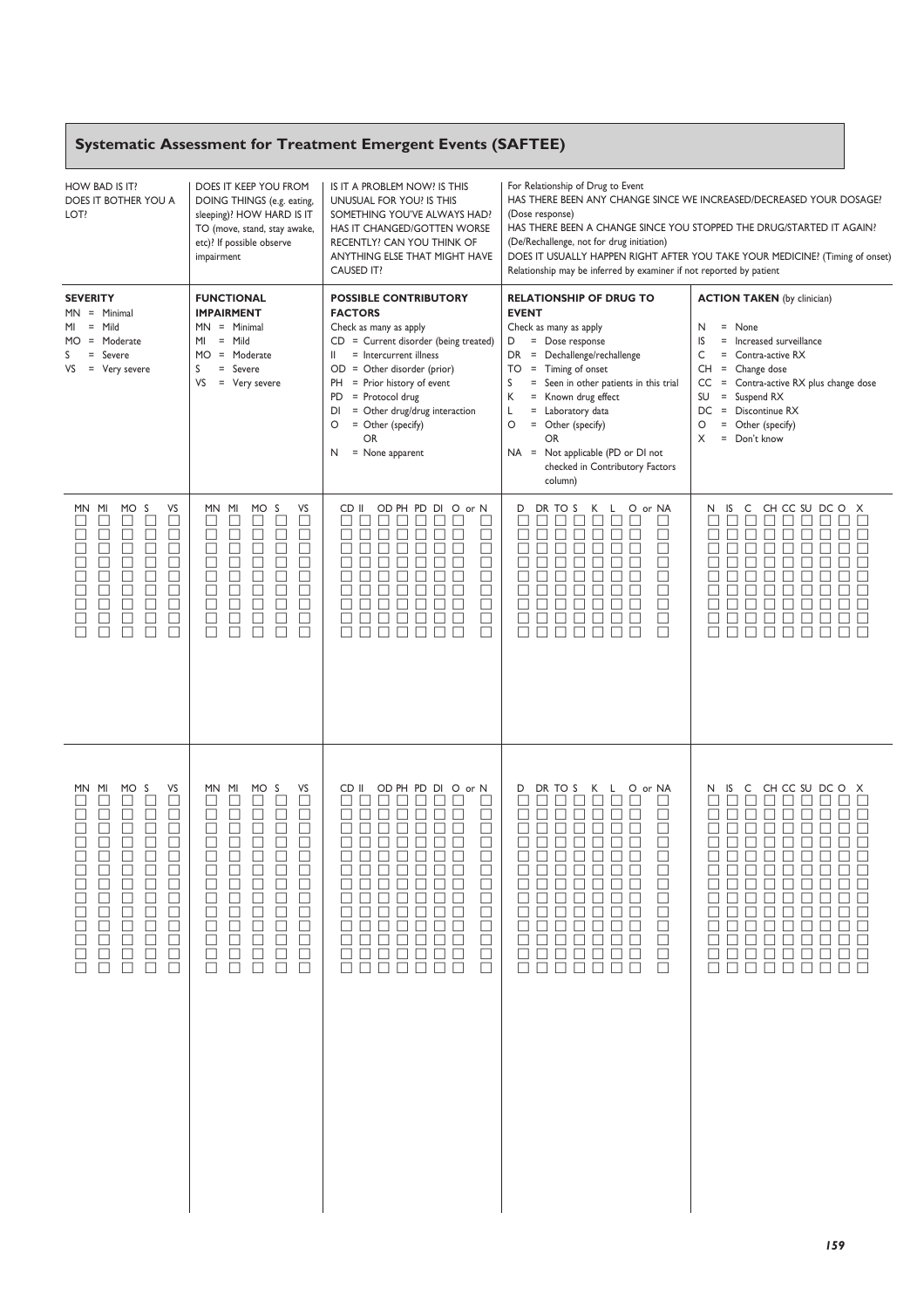| <b>Systematic Assessment for Treatment Emergent Events (SAFTEE)</b>                                                                                                                                                                                                                                                                                                                                                                                                                                                                                                                                                                                                                        |                                                                                                                                                                                                                                                                                                                                                                                                                                                                                                                                                                                                                                                              |                                                                                                                                                                                                                                                                                                                                                                                                                                                                            |                                                                                                                                                                                                                                                                                                                                                                                                                 |                                                                                                                                                                                                                                                                                                                                            |  |  |  |
|--------------------------------------------------------------------------------------------------------------------------------------------------------------------------------------------------------------------------------------------------------------------------------------------------------------------------------------------------------------------------------------------------------------------------------------------------------------------------------------------------------------------------------------------------------------------------------------------------------------------------------------------------------------------------------------------|--------------------------------------------------------------------------------------------------------------------------------------------------------------------------------------------------------------------------------------------------------------------------------------------------------------------------------------------------------------------------------------------------------------------------------------------------------------------------------------------------------------------------------------------------------------------------------------------------------------------------------------------------------------|----------------------------------------------------------------------------------------------------------------------------------------------------------------------------------------------------------------------------------------------------------------------------------------------------------------------------------------------------------------------------------------------------------------------------------------------------------------------------|-----------------------------------------------------------------------------------------------------------------------------------------------------------------------------------------------------------------------------------------------------------------------------------------------------------------------------------------------------------------------------------------------------------------|--------------------------------------------------------------------------------------------------------------------------------------------------------------------------------------------------------------------------------------------------------------------------------------------------------------------------------------------|--|--|--|
| HOW BAD IS IT?<br>DOES IT KEEP YOU FROM<br>DOES IT BOTHER YOU A<br>DOING THINGS (e.g. eating,<br>LOT?<br>sleeping)? HOW HARD IS IT<br>TO (move, stand, stay awake,<br>etc)? If possible observe<br>impairment                                                                                                                                                                                                                                                                                                                                                                                                                                                                              |                                                                                                                                                                                                                                                                                                                                                                                                                                                                                                                                                                                                                                                              | IS IT A PROBLEM NOW? IS THIS<br>UNUSUAL FOR YOU? IS THIS<br>SOMETHING YOU'VE ALWAYS HAD?<br>HAS IT CHANGED/GOTTEN WORSE<br>RECENTLY? CAN YOU THINK OF<br>ANYTHING ELSE THAT MIGHT HAVE<br><b>CAUSED IT?</b>                                                                                                                                                                                                                                                                | For Relationship of Drug to Event<br>HAS THERE BEEN ANY CHANGE SINCE WE INCREASED/DECREASED YOUR DOSAGE?<br>(Dose response)<br>HAS THERE BEEN A CHANGE SINCE YOU STOPPED THE DRUG/STARTED IT AGAIN?<br>(De/Rechallenge, not for drug initiation)<br>DOES IT USUALLY HAPPEN RIGHT AFTER YOU TAKE YOUR MEDICINE? (Timing of onset)<br>Relationship may be inferred by examiner if not reported by patient         |                                                                                                                                                                                                                                                                                                                                            |  |  |  |
| <b>SEVERITY</b><br><b>FUNCTIONAL</b><br><b>IMPAIRMENT</b><br>$MN = Minimal$<br>Mild<br>$MN =$ Minimal<br>$\equiv$<br>MI<br>MI<br>$MO = Modelrate$<br>$=$ Mild<br>= Severe<br>$MO = Modelrate$<br>S<br>S<br>= Very severe<br>$=$ Severe<br>VS.<br>VS<br>= Very severe                                                                                                                                                                                                                                                                                                                                                                                                                       |                                                                                                                                                                                                                                                                                                                                                                                                                                                                                                                                                                                                                                                              | <b>POSSIBLE CONTRIBUTORY</b><br><b>FACTORS</b><br>Check as many as apply<br>$CD = Current disorder (being treated)$<br>= Intercurrent illness<br>$\mathbb{I}$<br>$OD = Other disorder (prior)$<br>= Prior history of event<br>PH<br>= Protocol drug<br>PD<br>= Other drug/drug interaction<br>DI<br>= Other (specify)<br>O<br>OR<br>$=$ None apparent                                                                                                                      | <b>RELATIONSHIP OF DRUG TO</b><br><b>EVENT</b><br>Check as many as apply<br>D<br>= Dose response<br>DR<br>= Dechallenge/rechallenge<br>TO<br>= Timing of onset<br>S<br>= Seen in other patients in this trial<br>К<br>= Known drug effect<br>Г<br>= Laboratory data<br>$\circ$<br>= Other (specify)<br>OR<br>$NA = Not applicable (PD or DI not)$<br>checked in Contributory Factors<br>column)                 | <b>ACTION TAKEN</b> (by clinician)<br>$=$ None<br>N<br>IS<br>= Increased surveillance<br>C<br>= Contra-active RX<br>CH<br>Change dose<br>$\equiv$<br>Contra-active RX plus change dose<br>CC<br>$\equiv$<br>SU<br>Suspend RX<br>$\equiv$<br>DC<br>Discontinue RX<br>$\equiv$<br>Other (specify)<br>O<br>$\equiv$<br>X<br>Don't know<br>$=$ |  |  |  |
| S<br>MI<br>MO<br>VS<br>MN.<br>□<br>$\Box$<br>$\Box$<br>$\Box$<br>$\Box$<br>□<br>$\Box$<br>□<br>$\Box$<br>$\Box$<br>$\Box$<br>□<br>$\Box$<br>П<br>□<br>□<br>$\Box$<br>□<br>П                                                                                                                                                                                                                                                                                                                                                                                                                                                                                                                | MO <sub>S</sub><br>ΜN<br>MI<br>VS<br>$\Box$<br>⊔<br>$\Box$<br>Ш<br>$\Box$<br>$\Box$<br>$\Box$<br>$\Box$<br>$\Box$<br>$\Box$<br>$\Box$<br>□<br>$\Box$<br>$\Box$<br>$\Box$<br>$\Box$<br>$\Box$<br>$\Box$<br>$\Box$<br>$\Box$<br>□<br>$\Box$<br>$\Box$<br>$\Box$<br>$\Box$<br>□<br>$\Box$<br>$\Box$<br>□<br>□<br>$\Box$<br>$\Box$<br>□<br>□<br>П                                                                                                                                                                                                                                                                                                                | OD PH PD DI O or N<br>CD II<br>⊔<br>⊔<br>□<br>$\Box$<br>$\Box$<br>$\Box$<br>$\Box$<br>$\Box$<br>$\Box$<br>П                                                                                                                                                                                                                                                                                                                                                                | DR TO S<br>K L<br>O or NA<br>D<br>⊔<br>ш<br>$\Box$<br>$\Box$<br>$\Box$<br>$\Box$<br>$\Box$<br>$\Box$<br>ш<br>$\Box$<br>П                                                                                                                                                                                                                                                                                        | C CH CC SU DC O X<br>N<br>IS<br>$\Box$<br>⊔<br>Ш<br>$\Box$<br>$\Box$<br>$\vert \ \ \vert$<br>$\Box$                                                                                                                                                                                                                                        |  |  |  |
| MO <sub>S</sub><br>VS<br>MN MI<br>□<br>Ш<br>⊔<br>$\Box$ $\Box$ $\Box$<br>$\Box$<br>$\Box$<br>$\Box$<br>$\Box$<br>$\Box$ $\Box$ $\Box$<br>$\Box$<br>$\Box$<br>$\Box$<br>$\Box$<br>$\Box$<br>$\Box$<br>$\Box$<br>$\Box$<br>$\Box$<br>$\Box$<br>$\Box$<br>$\Box$<br>$\Box$<br>$\Box$<br>$\Box$<br>$\Box$<br>$\Box$<br>$\Box$<br>$\Box$<br>$\Box$<br>$\Box$<br>$\Box$<br>$\Box$<br>$\Box$<br>$\Box$<br>$\Box$<br>$\Box$<br>$\Box$<br>$\Box$<br>$\Box$<br>$\Box$<br>$\Box$<br>$\Box$<br>$\Box$<br>$\Box$<br>$\Box$<br>$\Box$<br>$\Box$<br>$\Box$<br>$\Box$<br>$\begin{array}{c} \square \\ \square \end{array}$<br>$\Box$<br>$\Box$<br>$\Box$<br>$\Box$<br>$\Box$<br>$\Box$<br>$\Box$<br>$\Box$ | MN MI<br>MO <sub>S</sub><br>VS<br>□<br>□<br>⊔<br>$\Box$<br>$\Box$<br>$\Box$ $\Box$ $\Box$<br>$\Box$<br>$\Box$<br>$\Box$<br>$\Box$<br>$\Box$<br>$\Box$ $\Box$<br>$\Box$<br>$\Box$<br>$\Box$<br>$\Box$<br>$\Box$<br>$\Box$<br>$\Box$<br>$\Box$<br>$\Box$<br>$\Box$<br>$\Box$<br>$\Box$<br>$\Box$<br>$\Box$<br>$\Box$<br>$\Box$<br>$\Box$<br>$\Box$<br>$\Box$<br>$\Box$<br>$\Box$<br>$\Box$<br>$\Box$<br>$\Box$<br>$\Box$<br>$\Box$<br>$\Box$<br>$\Box$<br>$\Box$<br>$\Box$<br>$\Box$<br>$\Box$<br>$\Box$<br>$\Box$<br>$\Box$<br>$\Box$<br>$\Box$<br>$\Box$<br>$\Box$<br>$\Box$<br>$\Box$<br>$\Box$<br>$\Box$<br>$\Box$<br>$\Box$<br>$\Box$<br>$\Box$<br>$\Box$ | OD PH PD DI O or N<br>CD II<br>Ш<br>ш<br>⊔<br>⊔<br>$\Box$<br>Ш<br>0000000<br>$\Box$<br>$\Box$<br>0000000<br>$\begin{array}{c c c c c} \square & \square & \square & \square & \square \end{array}$<br>$\Box$<br>$\square$<br>0000000<br>$\Box$<br>$\Box$<br>$\Box$<br>00000<br>$\Box$<br>$\Box$<br>$\Box$<br>00000<br>$\Box$<br>$\Box$<br>00000<br>$\Box$<br>$\Box$<br>$\Box$<br>88888<br>0000000<br>$\Box$<br>0000000<br>$\Box$<br>0000000<br>$\Box$<br>0000000<br>$\Box$ | DR TO S<br>D<br>K L<br>O or NA<br>□<br>Ш<br>⊔<br>$\Box$<br>$\Box$<br>$\Box$<br>0000000<br>0000000<br>$\Box$<br>0000000<br>$\Box$<br>$\Box$<br>8888888<br>000000<br>$\Box$<br>$\Box$<br>$\Box$<br>00000<br>$\Box$<br>00000<br>$\Box$<br>$\Box$<br>$\Box$<br>$\Box$<br>00000<br>$\Box$<br>$\Box$<br>000000<br>$\hfill \square$<br>$\Box$<br>0000000<br>$\hfill \square$<br>0000000<br>$\Box$<br>0000000<br>$\Box$ | CH CC SU DC O X<br>C<br>N.<br>IS<br>□<br>Ш<br>⊔<br>$\Box$<br>⊔<br>000000000<br>000000000<br>$\Box$<br>0000000<br>8888888<br>$\Box$ $\Box$<br>0000000<br>$\square$<br>0000000<br>$\Box$ $\Box$<br>$\Box$<br>0000<br>$\Box$ $\Box$<br>$\Box$<br>0000<br>$\Box$ $\Box$<br>0000000<br>$\square$<br>000000000<br>0000000<br>$\Box$<br>000000000 |  |  |  |

# *159*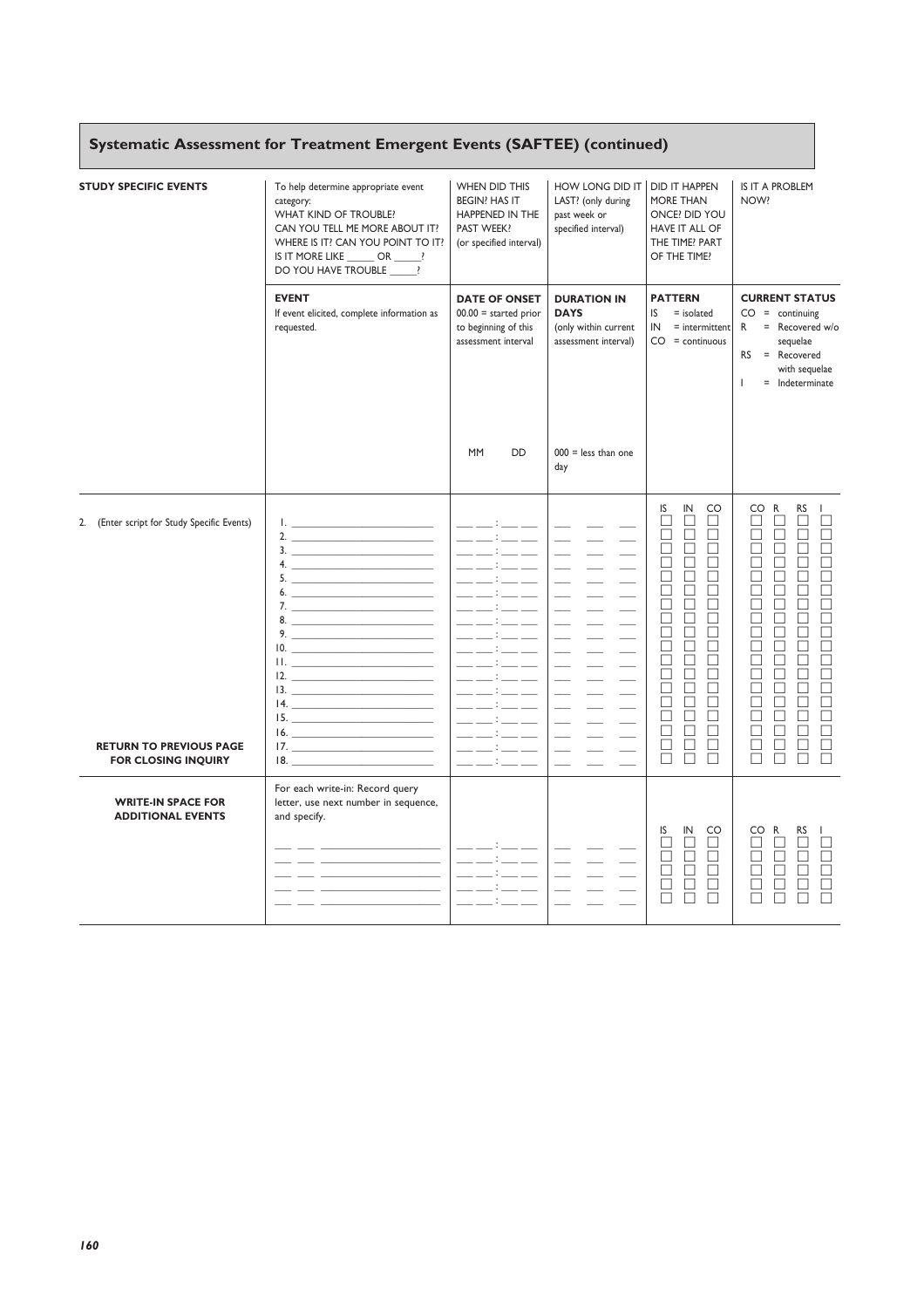# **Systematic Assessment for Treatment Emergent Events (SAFTEE) (continued)**

| <b>STUDY SPECIFIC EVENTS</b>                                                                                | To help determine appropriate event<br>category:<br><b>WHAT KIND OF TROUBLE?</b><br>CAN YOU TELL ME MORE ABOUT IT?<br>WHERE IS IT? CAN YOU POINT TO IT?<br>IS IT MORE LIKE _______ OR _____?<br>DO YOU HAVE TROUBLE _____?                                                                                                                                                                                                                                                                                                                                                                                                                                                                                                                                                                                                                                                                                                                                                                                                                                                                                                                                                                                                                                                                                                                                          | WHEN DID THIS<br><b>BEGIN? HAS IT</b><br>HAPPENED IN THE<br>PAST WEEK?<br>(or specified interval)                                                                                                                                                                                                                                                                                                                                                                                                                                                                                                                                                                                                                                                                                                                                                                                                                                                                                                                                                                                                                                                                                                                                                                                                                                                                                                                                                                                                                                                                                                                                                                                                                                                                                                                                                                                                                                                                                                                                                                                                                                                                                                                                          | HOW LONG DID IT<br>LAST? (only during<br>past week or<br>specified interval)      | <b>DID IT HAPPEN</b><br><b>MORE THAN</b><br>ONCE? DID YOU<br>HAVE IT ALL OF<br>THE TIME? PART<br>OF THE TIME?                                                                                                                                                            | <b>IS IT A PROBLEM</b><br>NOW?                                                                                                                                                                                                                                                                                                                          |  |
|-------------------------------------------------------------------------------------------------------------|---------------------------------------------------------------------------------------------------------------------------------------------------------------------------------------------------------------------------------------------------------------------------------------------------------------------------------------------------------------------------------------------------------------------------------------------------------------------------------------------------------------------------------------------------------------------------------------------------------------------------------------------------------------------------------------------------------------------------------------------------------------------------------------------------------------------------------------------------------------------------------------------------------------------------------------------------------------------------------------------------------------------------------------------------------------------------------------------------------------------------------------------------------------------------------------------------------------------------------------------------------------------------------------------------------------------------------------------------------------------|--------------------------------------------------------------------------------------------------------------------------------------------------------------------------------------------------------------------------------------------------------------------------------------------------------------------------------------------------------------------------------------------------------------------------------------------------------------------------------------------------------------------------------------------------------------------------------------------------------------------------------------------------------------------------------------------------------------------------------------------------------------------------------------------------------------------------------------------------------------------------------------------------------------------------------------------------------------------------------------------------------------------------------------------------------------------------------------------------------------------------------------------------------------------------------------------------------------------------------------------------------------------------------------------------------------------------------------------------------------------------------------------------------------------------------------------------------------------------------------------------------------------------------------------------------------------------------------------------------------------------------------------------------------------------------------------------------------------------------------------------------------------------------------------------------------------------------------------------------------------------------------------------------------------------------------------------------------------------------------------------------------------------------------------------------------------------------------------------------------------------------------------------------------------------------------------------------------------------------------------|-----------------------------------------------------------------------------------|--------------------------------------------------------------------------------------------------------------------------------------------------------------------------------------------------------------------------------------------------------------------------|---------------------------------------------------------------------------------------------------------------------------------------------------------------------------------------------------------------------------------------------------------------------------------------------------------------------------------------------------------|--|
|                                                                                                             | <b>EVENT</b><br>If event elicited, complete information as<br>requested.                                                                                                                                                                                                                                                                                                                                                                                                                                                                                                                                                                                                                                                                                                                                                                                                                                                                                                                                                                                                                                                                                                                                                                                                                                                                                            | <b>DATE OF ONSET</b><br>$00.00 =$ started prior<br>to beginning of this<br>assessment interval                                                                                                                                                                                                                                                                                                                                                                                                                                                                                                                                                                                                                                                                                                                                                                                                                                                                                                                                                                                                                                                                                                                                                                                                                                                                                                                                                                                                                                                                                                                                                                                                                                                                                                                                                                                                                                                                                                                                                                                                                                                                                                                                             | <b>DURATION IN</b><br><b>DAYS</b><br>(only within current<br>assessment interval) | <b>PATTERN</b><br>IS<br>$=$ isolated<br>$=$ intermittent<br>IN<br>$CO =$ continuous                                                                                                                                                                                      | <b>CURRENT STATUS</b><br>$CO =$ continuing<br>$\mathsf{R}$<br>$=$ Recovered w/o<br>sequelae<br><b>RS</b><br>= Recovered<br>with sequelae<br>$\mathbf{I}$<br>= Indeterminate                                                                                                                                                                             |  |
|                                                                                                             |                                                                                                                                                                                                                                                                                                                                                                                                                                                                                                                                                                                                                                                                                                                                                                                                                                                                                                                                                                                                                                                                                                                                                                                                                                                                                                                                                                     | MM<br>DD                                                                                                                                                                                                                                                                                                                                                                                                                                                                                                                                                                                                                                                                                                                                                                                                                                                                                                                                                                                                                                                                                                                                                                                                                                                                                                                                                                                                                                                                                                                                                                                                                                                                                                                                                                                                                                                                                                                                                                                                                                                                                                                                                                                                                                   | $000 =$ less than one<br>day                                                      |                                                                                                                                                                                                                                                                          |                                                                                                                                                                                                                                                                                                                                                         |  |
| 2. (Enter script for Study Specific Events)<br><b>RETURN TO PREVIOUS PAGE</b><br><b>FOR CLOSING INQUIRY</b> | <u>Light and the community of the community of the community of the community of the community of the community of the community of the community of the community of the community of the community of the community of the com</u><br>2. $\qquad \qquad$<br>$\mathbf{4.}$ $\blacksquare$<br>$6.$ $\overline{\phantom{a}}$<br>8.<br>9. $\frac{1}{2}$ $\frac{1}{2}$ $\frac{1}{2}$ $\frac{1}{2}$ $\frac{1}{2}$ $\frac{1}{2}$ $\frac{1}{2}$ $\frac{1}{2}$ $\frac{1}{2}$ $\frac{1}{2}$ $\frac{1}{2}$ $\frac{1}{2}$ $\frac{1}{2}$ $\frac{1}{2}$ $\frac{1}{2}$ $\frac{1}{2}$ $\frac{1}{2}$ $\frac{1}{2}$ $\frac{1}{2}$ $\frac{1}{2}$ $\frac{1}{2}$ $\frac{1}{2}$<br>$10.$ $\qquad \qquad$<br><u>H. _____________________</u> _<br>$13.$ $\frac{1}{2}$ $\frac{1}{2}$ $\frac{1}{2}$ $\frac{1}{2}$ $\frac{1}{2}$ $\frac{1}{2}$ $\frac{1}{2}$ $\frac{1}{2}$ $\frac{1}{2}$ $\frac{1}{2}$ $\frac{1}{2}$ $\frac{1}{2}$ $\frac{1}{2}$ $\frac{1}{2}$ $\frac{1}{2}$ $\frac{1}{2}$ $\frac{1}{2}$ $\frac{1}{2}$ $\frac{1}{2}$ $\frac{1}{2}$ $\frac{1}{2}$ $\frac{1$<br>$17.$ $\frac{17}{2}$ $\frac{17}{2}$ $\frac{17}{2}$ $\frac{17}{2}$ $\frac{17}{2}$ $\frac{17}{2}$ $\frac{17}{2}$ $\frac{17}{2}$ $\frac{17}{2}$ $\frac{17}{2}$ $\frac{17}{2}$ $\frac{17}{2}$ $\frac{17}{2}$ $\frac{17}{2}$ $\frac{17}{2}$ $\frac{17}{2}$ $\frac{17}{2}$ $\frac{17}{2}$ $\frac{17}{2}$ $\frac{17$ | $----$<br>$\begin{picture}(20,20) \put(0,0){\dashbox{0.5}(5,0){ }} \put(15,0){\circle{10}} \put(25,0){\circle{10}} \put(25,0){\circle{10}} \put(25,0){\circle{10}} \put(25,0){\circle{10}} \put(25,0){\circle{10}} \put(25,0){\circle{10}} \put(25,0){\circle{10}} \put(25,0){\circle{10}} \put(25,0){\circle{10}} \put(25,0){\circle{10}} \put(25,0){\circle{10}} \put(25,0){\circle{10}} \put(25,0$<br>$\frac{1}{1-\frac{1}{1-\frac{1}{1-\frac{1}{1-\frac{1}{1-\frac{1}{1-\frac{1}{1-\frac{1}{1-\frac{1}{1-\frac{1}{1-\frac{1}{1-\frac{1}{1-\frac{1}{1-\frac{1}{1-\frac{1}{1-\frac{1}{1-\frac{1}{1-\frac{1}{1-\frac{1}{1-\frac{1}{1-\frac{1}{1-\frac{1}{1-\frac{1}{1-\frac{1}{1-\frac{1}{1-\frac{1}{1-\frac{1}{1-\frac{1}{1-\frac{1}{1-\frac{1}{1-\frac{1}{1-\frac{1}{1-\frac{1}{1-\frac{1}{1-\frac{1}{1-\frac{1}{1-\frac{1$<br>$----$<br>$\frac{1}{2}$ and $\frac{1}{2}$ and $\frac{1}{2}$ and $\frac{1}{2}$ and $\frac{1}{2}$<br>$----$<br>$\frac{1}{2}$ and $\frac{1}{2}$ and $\frac{1}{2}$ and $\frac{1}{2}$ and $\frac{1}{2}$ and $\frac{1}{2}$<br>$----$<br>$----$<br>$----$<br>$\frac{1}{2}$ and $\frac{1}{2}$ and $\frac{1}{2}$ and $\frac{1}{2}$ and $\frac{1}{2}$ and $\frac{1}{2}$<br>$\frac{1}{2}$ and $\frac{1}{2}$ and $\frac{1}{2}$ and $\frac{1}{2}$ and $\frac{1}{2}$<br>$----$<br>$----$<br>$\frac{1}{1-\frac{1}{1-\frac{1}{1-\frac{1}{1-\frac{1}{1-\frac{1}{1-\frac{1}{1-\frac{1}{1-\frac{1}{1-\frac{1}{1-\frac{1}{1-\frac{1}{1-\frac{1}{1-\frac{1}{1-\frac{1}{1-\frac{1}{1-\frac{1}{1-\frac{1}{1-\frac{1}{1-\frac{1}{1-\frac{1}{1-\frac{1}{1-\frac{1}{1-\frac{1}{1-\frac{1}{1-\frac{1}{1-\frac{1}{1-\frac{1}{1-\frac{1}{1-\frac{1}{1-\frac{1}{1-\frac{1}{1-\frac{1}{1-\frac{1}{1-\frac{1}{1-\frac{1}{1-\frac{1$<br>$\begin{picture}(20,20) \put(0,0){\dashbox{0.5}(5,0){ }} \put(15,0){\circle{10}} \put(25,0){\circle{10}} \put(25,0){\circle{10}} \put(25,0){\circle{10}} \put(25,0){\circle{10}} \put(25,0){\circle{10}} \put(25,0){\circle{10}} \put(25,0){\circle{10}} \put(25,0){\circle{10}} \put(25,0){\circle{10}} \put(25,0){\circle{10}} \put(25,0){\circle{10}} \put(25,0){\circle{10}} \put(25,0$<br>$\frac{1}{2}$ and $\frac{1}{2}$ and $\frac{1}{2}$ and $\frac{1}{2}$ and $\frac{1}{2}$<br>$---:---$ |                                                                                   | IS<br>CO<br>IN<br>г<br>П<br>□<br>П<br>□<br>Г<br>П<br>П<br>П<br>П<br>П<br>П<br>П<br>П<br>П<br>□<br>Ш<br>Ш<br>П<br>П<br>$\Box$<br>□<br>П<br>П<br>П<br>П<br>П<br>П<br>П<br>П<br>П<br>П<br>П<br>П<br>П<br>П<br>$\Box$<br>□<br>П<br>П<br>Г<br>П<br>П<br>П<br>П<br>П<br>П<br>П | CO R<br><b>RS</b><br>H.<br>$\Box$<br>П<br>□<br>□<br>$\Box$<br>□<br>$\Box$<br>П<br>□<br>□<br>П<br>П<br>$\Box$<br>□<br>П<br>П<br>П<br>$\Box$<br>П<br>П<br>$\Box$<br>П<br>П<br>□<br>П<br>□<br>□<br>П<br>П<br>□<br>П<br>П<br>$\Box$<br>П<br>П<br>П<br>П<br>П<br>П<br>П<br>П<br>П<br>П<br>П<br>П<br>П<br>□<br>П<br>П<br>П<br>П<br>П<br>□<br>П<br>П<br>$\Box$ |  |
| <b>WRITE-IN SPACE FOR</b><br><b>ADDITIONAL EVENTS</b>                                                       | For each write-in: Record query<br>letter, use next number in sequence,<br>and specify.<br>$\overline{\phantom{a}}$<br>$\overline{a}$ and $\overline{a}$ and $\overline{a}$ and $\overline{a}$                                                                                                                                                                                                                                                                                                                                                                                                                                                                                                                                                                                                                                                                                                                                                                                                                                                                                                                                                                                                                                                                                                                                                                      | $\begin{tabular}{ll} \multicolumn{2}{c} {\textbf{1}} & \multicolumn{2}{c} {\textbf{2}} & \multicolumn{2}{c} {\textbf{3}} & \multicolumn{2}{c} {\textbf{4}} \\ \multicolumn{2}{c} {\textbf{1}} & \multicolumn{2}{c} {\textbf{2}} & \multicolumn{2}{c} {\textbf{3}} & \multicolumn{2}{c} {\textbf{4}} \\ \multicolumn{2}{c} {\textbf{1}} & \multicolumn{2}{c} {\textbf{2}} & \multicolumn{2}{c} {\textbf{4}} & \multicolumn{2}{c} {\textbf{5}} & \multicolumn{2}{c} {\textbf{6}} \\ \multicolumn$<br>$--\cdots-$<br>$--:--$<br>$\frac{1}{2}$ and $\frac{1}{2}$ and $\frac{1}{2}$ and $\frac{1}{2}$                                                                                                                                                                                                                                                                                                                                                                                                                                                                                                                                                                                                                                                                                                                                                                                                                                                                                                                                                                                                                                                                                                                                                                                                                                                                                                                                                                                                                                                                                                                                                                                                                                           |                                                                                   | IN<br>CO<br>IS<br>$\Box$<br>□<br>□<br>$\Box$<br>$\Box$<br>$\Box$<br>П<br>П<br>□<br>$\Box$<br>□<br>□                                                                                                                                                                      | R<br>RS<br>CO<br>$\perp$<br>П<br>$\Box$<br>□<br>□<br>$\Box$<br>$\Box$<br>$\Box$<br>П<br>$\Box$<br>$\Box$<br>П<br>П<br>П<br>$\Box$<br>□<br>П                                                                                                                                                                                                             |  |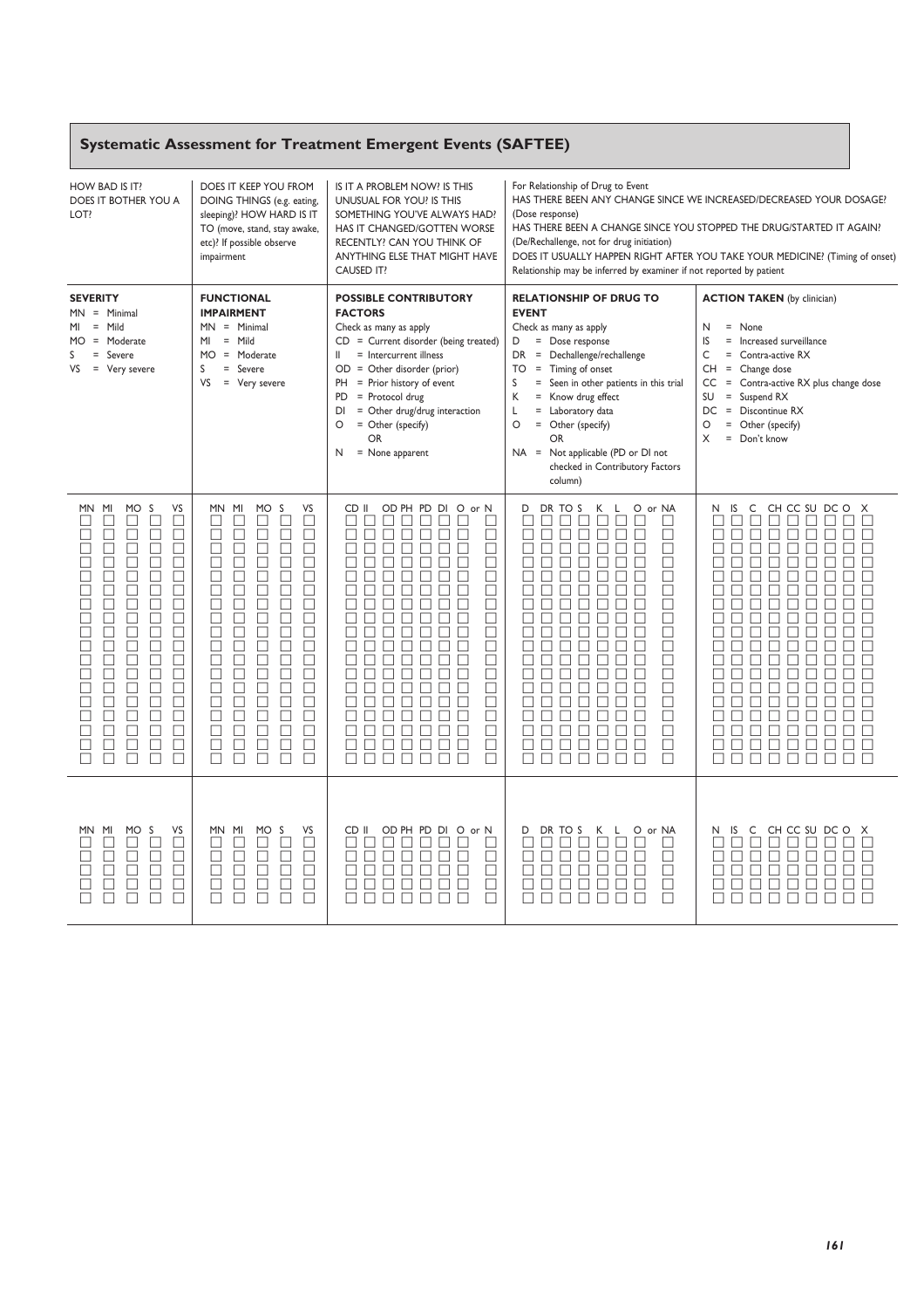| <b>Systematic Assessment for Treatment Emergent Events (SAFTEE)</b>                                                                                                                                                                                                                                                                                                                                                                                                                                                                                                                                                                                                                                                      |                                                                                                                                                                                                                                                                                                                                                                                                                                                                                                                                                                                                                                                                                                                                                                                                                                                              |                                                                                                                                                                                                                                                                                                                                                                                                                                                                                                                                                                                                                                                                                                                |                                                                                                                                                                                                                                                                                                                                                                                                                                                                                                                                                                                                                                                                                                                                                                                                                                                                                                                                                                  |                                                                                                                                                                                                                                                                                                                                                                                                                                                                                                                                                                                                                                                                               |  |  |  |  |
|--------------------------------------------------------------------------------------------------------------------------------------------------------------------------------------------------------------------------------------------------------------------------------------------------------------------------------------------------------------------------------------------------------------------------------------------------------------------------------------------------------------------------------------------------------------------------------------------------------------------------------------------------------------------------------------------------------------------------|--------------------------------------------------------------------------------------------------------------------------------------------------------------------------------------------------------------------------------------------------------------------------------------------------------------------------------------------------------------------------------------------------------------------------------------------------------------------------------------------------------------------------------------------------------------------------------------------------------------------------------------------------------------------------------------------------------------------------------------------------------------------------------------------------------------------------------------------------------------|----------------------------------------------------------------------------------------------------------------------------------------------------------------------------------------------------------------------------------------------------------------------------------------------------------------------------------------------------------------------------------------------------------------------------------------------------------------------------------------------------------------------------------------------------------------------------------------------------------------------------------------------------------------------------------------------------------------|------------------------------------------------------------------------------------------------------------------------------------------------------------------------------------------------------------------------------------------------------------------------------------------------------------------------------------------------------------------------------------------------------------------------------------------------------------------------------------------------------------------------------------------------------------------------------------------------------------------------------------------------------------------------------------------------------------------------------------------------------------------------------------------------------------------------------------------------------------------------------------------------------------------------------------------------------------------|-------------------------------------------------------------------------------------------------------------------------------------------------------------------------------------------------------------------------------------------------------------------------------------------------------------------------------------------------------------------------------------------------------------------------------------------------------------------------------------------------------------------------------------------------------------------------------------------------------------------------------------------------------------------------------|--|--|--|--|
| DOES IT KEEP YOU FROM<br>HOW BAD IS IT?<br>DOES IT BOTHER YOU A<br>DOING THINGS (e.g. eating,<br>LOT?<br>sleeping)? HOW HARD IS IT<br>TO (move, stand, stay awake,<br>etc)? If possible observe<br>impairment                                                                                                                                                                                                                                                                                                                                                                                                                                                                                                            |                                                                                                                                                                                                                                                                                                                                                                                                                                                                                                                                                                                                                                                                                                                                                                                                                                                              | IS IT A PROBLEM NOW? IS THIS<br>UNUSUAL FOR YOU? IS THIS<br>SOMETHING YOU'VE ALWAYS HAD?<br>HAS IT CHANGED/GOTTEN WORSE<br>RECENTLY? CAN YOU THINK OF<br>ANYTHING ELSE THAT MIGHT HAVE<br><b>CAUSED IT?</b>                                                                                                                                                                                                                                                                                                                                                                                                                                                                                                    | For Relationship of Drug to Event<br>HAS THERE BEEN ANY CHANGE SINCE WE INCREASED/DECREASED YOUR DOSAGE?<br>(Dose response)<br>HAS THERE BEEN A CHANGE SINCE YOU STOPPED THE DRUG/STARTED IT AGAIN?<br>(De/Rechallenge, not for drug initiation)<br>DOES IT USUALLY HAPPEN RIGHT AFTER YOU TAKE YOUR MEDICINE? (Timing of onset)<br>Relationship may be inferred by examiner if not reported by patient                                                                                                                                                                                                                                                                                                                                                                                                                                                                                                                                                          |                                                                                                                                                                                                                                                                                                                                                                                                                                                                                                                                                                                                                                                                               |  |  |  |  |
| <b>SEVERITY</b><br><b>FUNCTIONAL</b><br>$MN =$ Minimal<br><b>IMPAIRMENT</b><br>$=$ Mild<br>$MN = Minimal$<br>MI<br>$MO = Modelrate$<br>M <sub>l</sub><br>$=$ Mild<br>S<br>$=$ Severe<br><b>MO</b><br>$\equiv$<br>Moderate<br>VS<br>= Very severe<br>S<br>Severe<br>$\equiv$<br>VS<br>= Very severe                                                                                                                                                                                                                                                                                                                                                                                                                       |                                                                                                                                                                                                                                                                                                                                                                                                                                                                                                                                                                                                                                                                                                                                                                                                                                                              | <b>POSSIBLE CONTRIBUTORY</b><br><b>FACTORS</b><br>Check as many as apply<br>$CD = Current disorder (being treated)$<br>Ш<br>= Intercurrent illness<br>$OD = Other disorder (prior)$<br>PH<br>= Prior history of event<br>PD<br>= Protocol drug<br>DI<br>= Other drug/drug interaction<br>O<br>= Other (specify)<br>OR<br>$=$ None apparent<br>N                                                                                                                                                                                                                                                                                                                                                                | <b>RELATIONSHIP OF DRUG TO</b><br><b>EVENT</b><br>Check as many as apply<br>Dose response<br>D<br>$=$<br>DR<br>$\equiv$<br>Dechallenge/rechallenge<br><b>TO</b><br>$\equiv$<br>Timing of onset<br>S<br>$\equiv$<br>Seen in other patients in this trial<br>К<br>$\equiv$<br>Know drug effect<br>L<br>$\equiv$<br>Laboratory data<br>$\circ$<br>= Other (specify)<br>OR<br>$NA = Not applicable (PD or DI not)$<br>checked in Contributory Factors<br>column)                                                                                                                                                                                                                                                                                                                                                                                                                                                                                                     | <b>ACTION TAKEN</b> (by clinician)<br>$=$ None<br>N<br>IS<br>$\equiv$<br>Increased surveillance<br>C<br>$\equiv$<br>Contra-active RX<br><b>CH</b><br>$=$<br>Change dose<br>CC<br>$\equiv$<br>Contra-active RX plus change dose<br>SU<br>$\equiv$<br>Suspend RX<br>DC<br>$\equiv$<br>Discontinue RX<br>O<br>$=$<br>Other (specify)<br>X<br>$\equiv$<br>Don't know                                                                                                                                                                                                                                                                                                              |  |  |  |  |
| <b>MN</b><br>M <sub>l</sub><br><b>MO</b><br>S<br>VS<br>П<br>□<br>□<br>П<br>$\Box$<br>П<br>$\Box$<br>$\Box$<br>□<br>□<br>$\Box$<br>$\Box$<br>$\Box$<br>$\Box$<br>П<br>$\Box$<br>$\Box$<br>П<br>□<br>$\Box$<br>$\Box$<br>$\Box$<br>$\Box$<br>□<br>$\Box$<br>$\Box$<br>$\Box$<br>□<br>□<br>П<br>$\Box$<br>П<br>П<br>П<br>□<br>$\Box$<br>Г<br>П<br>$\Box$<br>$\Box$<br>$\Box$<br>$\Box$<br>Г<br>$\Box$<br>$\Box$<br>П<br>П<br>П<br>□<br>□<br>$\Box$<br>П<br>□<br>□<br>$\Box$<br>Г<br>П<br>П<br>П<br>$\Box$<br>$\Box$<br>$\Box$<br>Г<br>П<br>$\Box$<br>П<br>$\Box$<br>$\Box$<br>□<br>$\Box$<br>П<br>П<br>$\Box$<br>□<br>$\Box$<br>$\Box$<br>□<br>□<br>П<br>$\Box$<br>□<br>$\Box$<br>П<br>$\Box$<br>П<br>П<br>$\Box$<br>П<br>П | MN<br>MI<br>MO <sub>S</sub><br>VS<br>$\Box$<br>$\Box$<br>П<br>□<br>П<br>$\Box$<br>□<br>$\Box$<br>□<br>□<br>$\Box$<br>$\Box$<br>$\Box$<br>$\Box$<br>$\Box$<br>$\Box$<br>$\Box$<br>$\Box$<br>$\Box$<br>□<br>$\Box$<br>$\Box$<br>□<br>$\Box$<br>$\Box$<br>$\Box$<br>$\Box$<br>$\Box$<br>$\Box$<br>$\Box$<br>$\Box$<br>$\Box$<br>$\Box$<br>□<br>$\Box$<br>$\Box$<br>$\Box$<br>$\Box$<br>$\Box$<br>$\Box$<br>$\Box$<br>$\Box$<br>$\Box$<br>$\Box$<br>$\Box$<br>$\Box$<br>$\Box$<br>$\Box$<br>□<br>$\Box$<br>$\Box$<br>□<br>□<br>$\Box$<br>□<br>$\Box$<br>$\Box$<br>$\Box$<br>П<br>□<br>$\Box$<br>$\Box$<br>$\Box$<br>□<br>$\Box$<br>$\Box$<br>$\Box$<br>$\Box$<br>$\Box$<br>$\Box$<br>$\Box$<br>$\Box$<br>$\Box$<br>$\Box$<br>$\Box$<br>$\Box$<br>□<br>□<br>П<br>$\Box$<br>$\Box$<br>$\Box$<br>$\Box$<br>$\Box$<br>$\Box$<br>П<br>$\Box$<br>$\Box$<br>П<br>$\Box$ | OD PH PD DI<br>O or N<br>CD II<br>П<br>П<br>IJ<br>П<br>П<br>□<br>$\Box$<br>П<br>□<br>□<br>□<br>□<br>$\Box$<br>$\Box$<br>$\Box$<br>П<br>П<br>П<br>П<br>□<br>□<br>П<br>П<br>□<br>П<br>⊔<br>□<br>$\Box$<br>П<br>□<br>Ш<br>J.<br>П<br>П<br>$\overline{\phantom{a}}$<br>П<br>П<br>$\Box$<br>$\Box$<br>$\Box$<br>П<br>П<br>П<br>$\Box$<br>$\Box$<br>П<br>П<br>$\Box$<br>□<br>$\Box$<br>П<br>□<br>$\Box$<br>П<br>Ш<br>J.<br>П<br>П<br>П<br>□<br>П<br>П<br>П<br>П<br>П<br>П<br>□<br>П<br>П<br>П<br>П<br>П<br>П<br>□<br>□<br>П<br>□<br>□<br>⊔<br>Ш<br>П<br>□<br>□<br>□<br>$\Box$<br>П<br>П<br>П<br>□<br>П<br>□<br>□<br>П<br>П<br>$\Box$<br>$\Box$<br>□<br>$\Box$<br>$\Box$<br>$\Box$<br>□<br>П<br>П<br>П<br>П<br>□<br>П | D<br>DR TO S<br>К<br>L<br>O or NA<br>П<br>□<br>□<br>П<br>□<br>$\vert \ \ \vert$<br>$\perp$<br>□<br>□<br>$\Box$<br>□<br>П<br>П<br>$\perp$<br>Ш<br>□<br>$\Box$<br>$\Box$<br>□<br>□<br>П<br>□<br>П<br>□<br>П<br>П<br>П<br>□<br>П<br>$\overline{\phantom{0}}$<br>П<br>□<br>□<br>$\Box$<br>□<br>$\Box$<br>$\overline{\phantom{0}}$<br>$\Box$<br>П<br>П<br>□<br>П<br>П<br>П<br>□<br>П<br>□<br>П<br>П<br>$\Box$<br>$\Box$<br>П<br>$\Box$<br>П<br>П<br>П<br>П<br>$\Box$<br>$\Box$<br>П<br>$\Box$<br>$\Box$<br>□<br>$\Box$<br>$\overline{\phantom{0}}$<br>Ш<br>□<br>П<br>П<br>П<br>П<br>П<br>П<br>П<br>П<br>П<br>П<br>П<br>Г<br>□<br>$\Box$<br>□<br>□<br>$\Box$<br>□<br>□<br>$\Box$<br>□<br>□<br>□<br>$\Box$<br>Ш<br>$\Box$<br>$\overline{\phantom{0}}$<br>П<br>П<br>□<br>□<br>□<br>□<br>□<br>$\Box$<br>□<br>П<br>□<br>П<br>□<br>□<br>□<br>П<br>П<br>$\Box$<br>$\Box$<br>$\Box$<br>П<br>$\Box$<br>$\Box$<br>$\Box$<br>$\Box$<br>П<br>$\Box$<br>$\Box$<br>$\Box$<br>П<br>□ | IS<br>C<br>CH CC SU DC O X<br>N<br>П<br>П<br>□<br>П<br>□<br>$\perp$<br>□<br>□<br>$\Box$<br>$\Box$<br>$\Box$<br>П<br>□<br>□<br>П<br>□<br>$\Box$<br>$\Box$<br>⊔<br>$\mathbf{I}$<br>$\mathsf{L}$<br>□<br>$\Box$<br>$\Box$<br>Ш<br>$\Box$<br>□<br>□<br>$\Box$<br>$\mathsf{L}$<br>П<br>П<br>$\Box$<br>$\Box$<br>$\Box$<br>□<br>П<br>П<br>П<br>$\Box$<br>П<br>$\Box$<br>П<br>$\Box$<br>$\Box$<br>П<br>П<br>□<br>П<br>П<br>П<br>П<br>┓<br>П<br>П<br>$\Box$<br>□<br>$\Box$<br>П<br>□<br>П<br>$\Box$<br>$\Box$<br>Ш<br>$\overline{\phantom{a}}$<br>П<br>□<br>□<br>□<br>□<br>$\Box$<br>□<br>П<br>П<br>□<br>П<br>П<br>$\Box$<br>$\Box$<br>□<br>□<br>□<br>□<br>П<br>П<br>□<br>$\Box$<br>П |  |  |  |  |
| MO<br>VS<br>MI<br>S<br>ΜN<br>$\Box$<br>□<br>$\Box$<br>$\Box$<br>□<br>□<br>□<br>$\Box$<br>$\Box$<br>□<br>□<br>П<br>П<br>П<br>П<br>$\Box$<br>П<br>П<br>П<br>П                                                                                                                                                                                                                                                                                                                                                                                                                                                                                                                                                              | MO <sub>S</sub><br>VS<br>ΜN<br>MI<br>$\Box$<br>□<br>$\Box$<br>⊔<br>L<br>$\Box$<br>$\Box$<br>$\Box$<br>□<br>$\Box$<br>$\Box$<br>$\Box$<br>$\Box$<br>$\Box$<br>$\Box$<br>$\Box$<br>$\Box$<br>$\Box$<br>П<br>$\Box$<br>$\Box$<br>$\Box$<br>П<br>П<br>П                                                                                                                                                                                                                                                                                                                                                                                                                                                                                                                                                                                                          | OD PH PD DI O or N<br>CD<br>Ш<br>$\Box$<br>⊔<br>$\Box$<br>⊔<br>□<br>□<br>□<br>□<br>□<br>□<br>□<br>$\Box$<br>□<br>□<br>□<br>□<br>□<br>□<br>П<br>$\Box$<br>□<br>$\Box$<br>$\Box$<br>П<br>□<br>П<br>П<br>П<br>□<br>П                                                                                                                                                                                                                                                                                                                                                                                                                                                                                              | D<br>DR<br>TO S<br>$\circ$<br>or NA<br>Κ<br>L<br>□<br>□<br>$\Box$<br>П<br>$\mathsf{L}$<br>$\Box$<br>ш<br>□<br>□<br>$\Box$<br>□<br>□<br>□<br>□<br>$\Box$<br>□<br>$\Box$<br>□<br>□<br>□<br>$\Box$<br>$\Box$<br>П<br>П<br>$\Box$<br>□<br>П<br>□<br>$\Box$<br>□<br>П<br>П<br>П<br>$\Box$<br>П<br>$\Box$                                                                                                                                                                                                                                                                                                                                                                                                                                                                                                                                                                                                                                                              | CH CC SU DC O<br>IS<br>C<br>N<br>□<br>⊔<br>Ш<br>Ш<br>$\Box$<br>□<br>□<br>П<br>□<br>□<br>$\Box$<br>□<br>□<br>□<br>□<br>ш<br>П<br>□<br>$\Box$<br>□<br>□<br>□<br>□<br>П<br>□<br>$\Box$<br>П<br>П                                                                                                                                                                                                                                                                                                                                                                                                                                                                                 |  |  |  |  |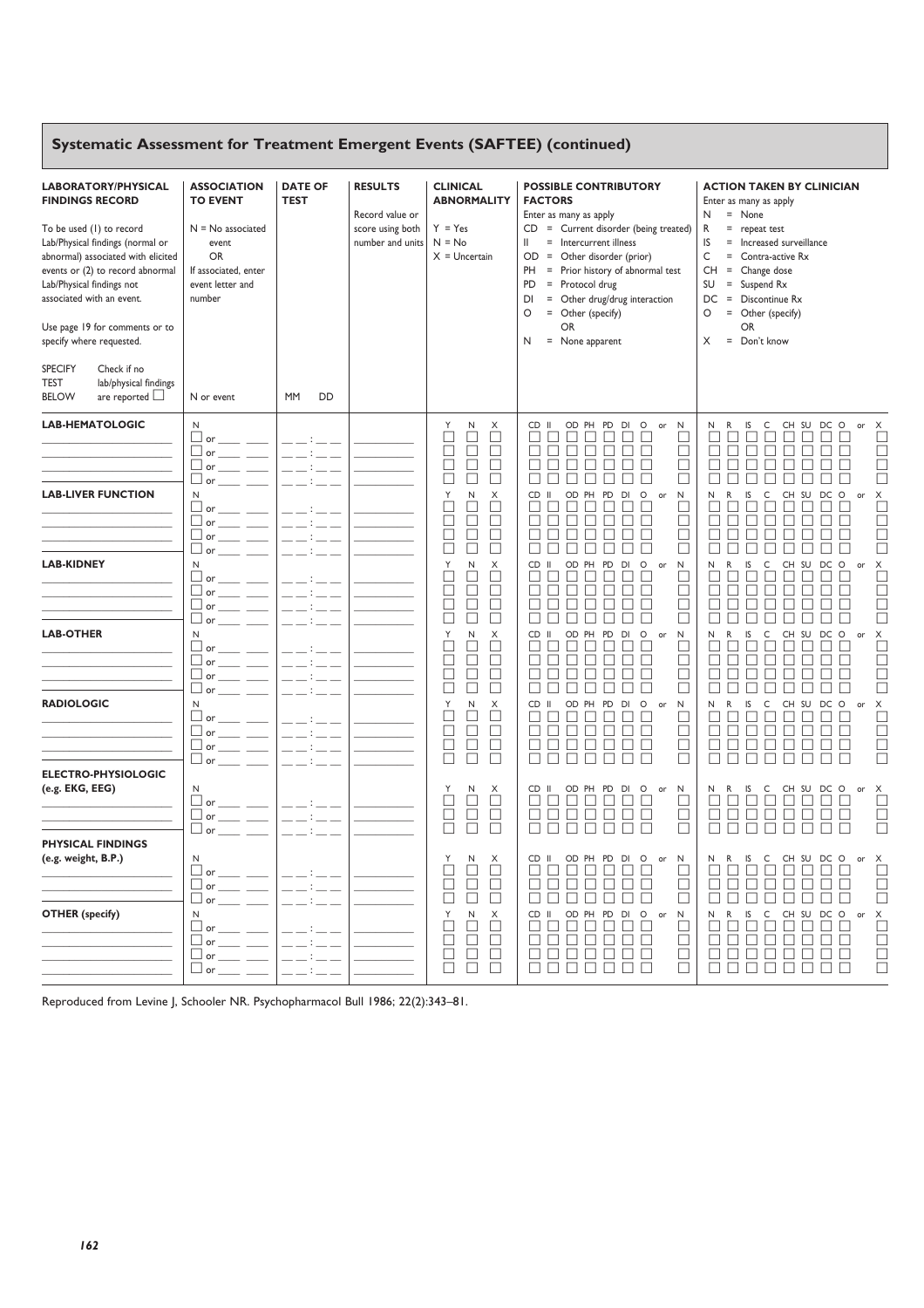| <b>LABORATORY/PHYSICAL</b><br><b>FINDINGS RECORD</b><br>To be used (I) to record<br>Lab/Physical findings (normal or<br>abnormal) associated with elicited<br>events or (2) to record abnormal<br>Lab/Physical findings not<br>associated with an event.<br>Use page 19 for comments or to<br>specify where requested.<br><b>SPECIFY</b><br>Check if no<br>lab/physical findings<br><b>TEST</b><br>are reported $\Box$<br><b>BELOW</b> | <b>ASSOCIATION</b><br><b>TO EVENT</b><br>$N = No$ associated<br>event<br><b>OR</b><br>If associated, enter<br>event letter and<br>number<br>N or event | <b>DATE OF</b><br><b>TEST</b><br>MM<br>DD | <b>RESULTS</b><br>Record value or<br>score using both<br>number and units | <b>CLINICAL</b><br><b>ABNORMALITY</b><br>$Y = Yes$<br>$N = No$<br>$X =$ Uncertain                                    | <b>POSSIBLE CONTRIBUTORY</b><br><b>FACTORS</b><br>Enter as many as apply<br>$CD =$ Current disorder (being treated)<br>= Intercurrent illness<br>Ш<br>$OD = Other disorder (prior)$<br>PH<br>= Prior history of abnormal test<br><b>PD</b><br>= Protocol drug<br>= Other drug/drug interaction<br>DI<br>= Other (specify)<br>O<br><b>OR</b><br>$=$ None apparent<br>N | <b>ACTION TAKEN BY CLINICIAN</b><br>Enter as many as apply<br>N<br>$=$ None<br>R<br>$=$ repeat test<br>IS<br>= Increased surveillance<br>$\mathsf C$<br>$=$ Contra-active $Rx$<br>CH<br>= Change dose<br>SU<br>$=$ Suspend Rx<br>$=$ Discontinue $Rx$<br>DC<br>= Other (specify)<br>$\circ$<br><b>OR</b><br>X<br>= Don't know |
|----------------------------------------------------------------------------------------------------------------------------------------------------------------------------------------------------------------------------------------------------------------------------------------------------------------------------------------------------------------------------------------------------------------------------------------|--------------------------------------------------------------------------------------------------------------------------------------------------------|-------------------------------------------|---------------------------------------------------------------------------|----------------------------------------------------------------------------------------------------------------------|-----------------------------------------------------------------------------------------------------------------------------------------------------------------------------------------------------------------------------------------------------------------------------------------------------------------------------------------------------------------------|-------------------------------------------------------------------------------------------------------------------------------------------------------------------------------------------------------------------------------------------------------------------------------------------------------------------------------|
| <b>LAB-HEMATOLOGIC</b>                                                                                                                                                                                                                                                                                                                                                                                                                 | $\mathsf{N}\xspace$<br>$\square$ or<br>$=$ $-$<br>$\Box$ or<br>$\overline{\phantom{a}}$ and $\overline{\phantom{a}}$<br>$\Box$ or<br>$\Box$ or         | $- -$ :<br>$-1$                           |                                                                           | Y<br>N<br>X<br>$\Box$<br>$\Box$<br>$\Box$<br>$\Box$<br>$\Box$<br>$\Box$<br>$\Box$<br>⊔<br>$\Box$<br>$\Box$           | OD PH PD<br>DI<br>$\circ$<br>CD<br>or<br>N<br>- II<br>$\Box$<br>$\Box$<br>ш<br>⊔<br>⊔<br>⊔<br>⊔<br>$\Box$<br>$\Box$<br>□<br>$\Box$                                                                                                                                                                                                                                    | CH SU DC O<br>or X<br>N<br>C<br>R<br>IS<br>⊏<br>⊏<br>┘<br>⊔<br>⊔<br>Г<br>Г                                                                                                                                                                                                                                                    |
| <b>LAB-LIVER FUNCTION</b>                                                                                                                                                                                                                                                                                                                                                                                                              | $\mathsf N$<br>$\square$ or<br>$\Box$ or<br>$\overline{\phantom{a}}$<br>$\Box$ or<br>⊔<br>or                                                           |                                           |                                                                           | Y<br>X<br>$\sf N$<br>$\Box$<br>Ū<br>$\Box$<br>⊔<br>$\Box$<br>$\Box$<br>⊔<br>$\Box$<br>$\Box$                         | OD<br>PH<br>PD<br>DI<br>$\circ$<br>$\sf N$<br>CD<br>or<br>Ш<br>$\Box$<br>$\Box$<br>$\mathcal{L}$<br>$\Box$<br>□                                                                                                                                                                                                                                                       | X<br>C<br>CH<br>SU<br>$\circ$<br>Ν<br>IS<br>DC<br>R<br>or<br>Е<br>⊏<br>⊏<br>Г                                                                                                                                                                                                                                                 |
| <b>LAB-KIDNEY</b>                                                                                                                                                                                                                                                                                                                                                                                                                      | $\mathsf{N}\xspace$<br>$\Box$ or<br>$\Box$ or<br>$\Box$ or<br>$\overline{\phantom{a}}$<br>$\sqcup$<br>or                                               | $\equiv$ $\equiv$<br>$- -$ :              |                                                                           | Y<br>$\sf N$<br>X<br>$\Box$<br>$\Box$<br>$\Box$<br>$\Box$<br>$\Box$<br>$\Box$<br>⊔<br>$\Box$<br>$\Box$               | CD<br>OD<br>PH<br>DI<br>$\circ$<br>$\sf N$<br>PD<br>$\mathbb{I}$<br>or<br>⊔<br>$\Box$<br>$\Box$<br>$\Box$<br>ப                                                                                                                                                                                                                                                        | X<br>C<br>$\circ$<br>N<br>IS<br>CH<br>SU<br>DC<br>or<br>L<br>⊏<br>⊏<br>⊏                                                                                                                                                                                                                                                      |
| <b>LAB-OTHER</b>                                                                                                                                                                                                                                                                                                                                                                                                                       | $\mathsf{N}$<br>$\Box$ or<br>$\Box$<br>or<br><u>and a station</u><br>$\Box$ or<br>or                                                                   |                                           |                                                                           | Y<br>X<br>N<br>$\Box$<br>$\Box$<br>$\Box$<br>$\Box$<br>⊔<br>$\Box$<br>$\Box$<br>$\Box$<br>$\Box$                     | $\circ$<br>$\sf N$<br>CD<br>OD<br>PH<br>PD<br>DI<br>or<br>Ш<br>$\mathcal{A}$<br>$\Box$<br>$\Box$<br>$\Box$                                                                                                                                                                                                                                                            | $\times$<br>C<br>N<br>IS<br>CH<br>SU<br>O<br>DC<br>or<br>⊏<br>⊏<br>⊏<br>Г                                                                                                                                                                                                                                                     |
| <b>RADIOLOGIC</b><br><b>ELECTRO-PHYSIOLOGIC</b>                                                                                                                                                                                                                                                                                                                                                                                        | $\mathsf{N}$<br>$\square$ or<br>$\Box$ or<br>$\Box$<br>or<br>$\Box$ or                                                                                 |                                           |                                                                           | Y<br>$\sf N$<br>X<br>$\Box$<br>$\Box$<br>$\Box$<br>$\Box$<br>$\Box$<br>$\Box$<br>$\Box$<br>⊔<br>П<br>$\Box$          | $\circ$<br>$\sf N$<br>CD<br>OD<br>PH<br>PD<br>DI<br>or<br>⊔<br>$\Box$<br>ш<br>⊔<br>⊔<br>ш<br>$\Box$<br>П                                                                                                                                                                                                                                                              | X<br>C<br>Ν<br>IS<br>CH<br>SU<br>DC<br>$\circ$<br>or<br>⊏<br>Г<br>□<br>□<br>П<br>⊏<br>П<br>г                                                                                                                                                                                                                                  |
| (e.g. EKG, EEG)                                                                                                                                                                                                                                                                                                                                                                                                                        | N<br>$\square$ or<br><u>and the state</u><br>$\Box$ or<br>$\Box$ or                                                                                    | $\frac{1}{2}$<br>$= -$                    |                                                                           | Υ<br>N<br>X<br>$\Box$<br>⊔<br>$\Box$<br>□<br>$\Box$<br>$\Box$                                                        | $\circ$<br>N<br>CD<br>OD PH PD<br>DI<br>or<br>Ш<br>$\Box$<br>ш<br>$\Box$<br>□                                                                                                                                                                                                                                                                                         | $\times$<br>C<br>CH<br>SU<br>DC<br>$\circ$<br>or<br>L<br>⊏<br>$\Box$<br>$\Box$                                                                                                                                                                                                                                                |
| <b>PHYSICAL FINDINGS</b><br>(e.g. weight, B.P.)                                                                                                                                                                                                                                                                                                                                                                                        | N<br>$\Box$ or<br>$\Box$ or<br>$\Box$ or                                                                                                               |                                           |                                                                           | Y<br>X<br>N<br>$\Box$<br>$\Box$<br>$\Box$<br>$\Box$<br>⊔<br>⊔<br>$\Box$<br>$\Box$<br>□                               | OD PH PD DI O<br>$\mathsf{N}$<br>CD II<br>or<br>□<br>$\Box$<br>$\Box$<br>$\Box$<br>ш                                                                                                                                                                                                                                                                                  | CH SU DC O or X<br>IS<br>C<br>N<br>R<br>$\Box$<br>$\Box$<br>$\boxed{\phantom{1}}$<br>П<br>$\boxed{\phantom{1}}$                                                                                                                                                                                                               |
| <b>OTHER</b> (specify)                                                                                                                                                                                                                                                                                                                                                                                                                 | $\mathsf N$<br>$\square$ or<br>$\Box$ or<br>$\Box$ or<br>$\square$ or $\square$                                                                        |                                           |                                                                           | Y<br>N<br>X<br>$\Box$<br>□<br>U<br>$\Box$<br>□<br>$\Box$<br>$\Box$<br>$\Box$<br>$\Box$<br>$\Box$<br>$\Box$<br>$\Box$ | CD<br>OD<br>PH<br>PD<br>DI<br>O or<br>N<br>$\Box$<br>$\overline{\phantom{a}}$<br>$\Box$<br>⊔<br>$\Box$<br>П                                                                                                                                                                                                                                                           | or $X$<br>C<br>CH<br>SU<br>DC<br>$\circ$<br>IS<br>$\Box$<br>□<br>$\Box$<br>П<br>$\Box$<br>$\Box$<br>$\Box$<br>П                                                                                                                                                                                                               |

#### **Systematic Assessment for Treatment Emergent Events (SAFTEE) (continued)**

Reproduced from Levine J, Schooler NR. Psychopharmacol Bull 1986; 22(2):343–81.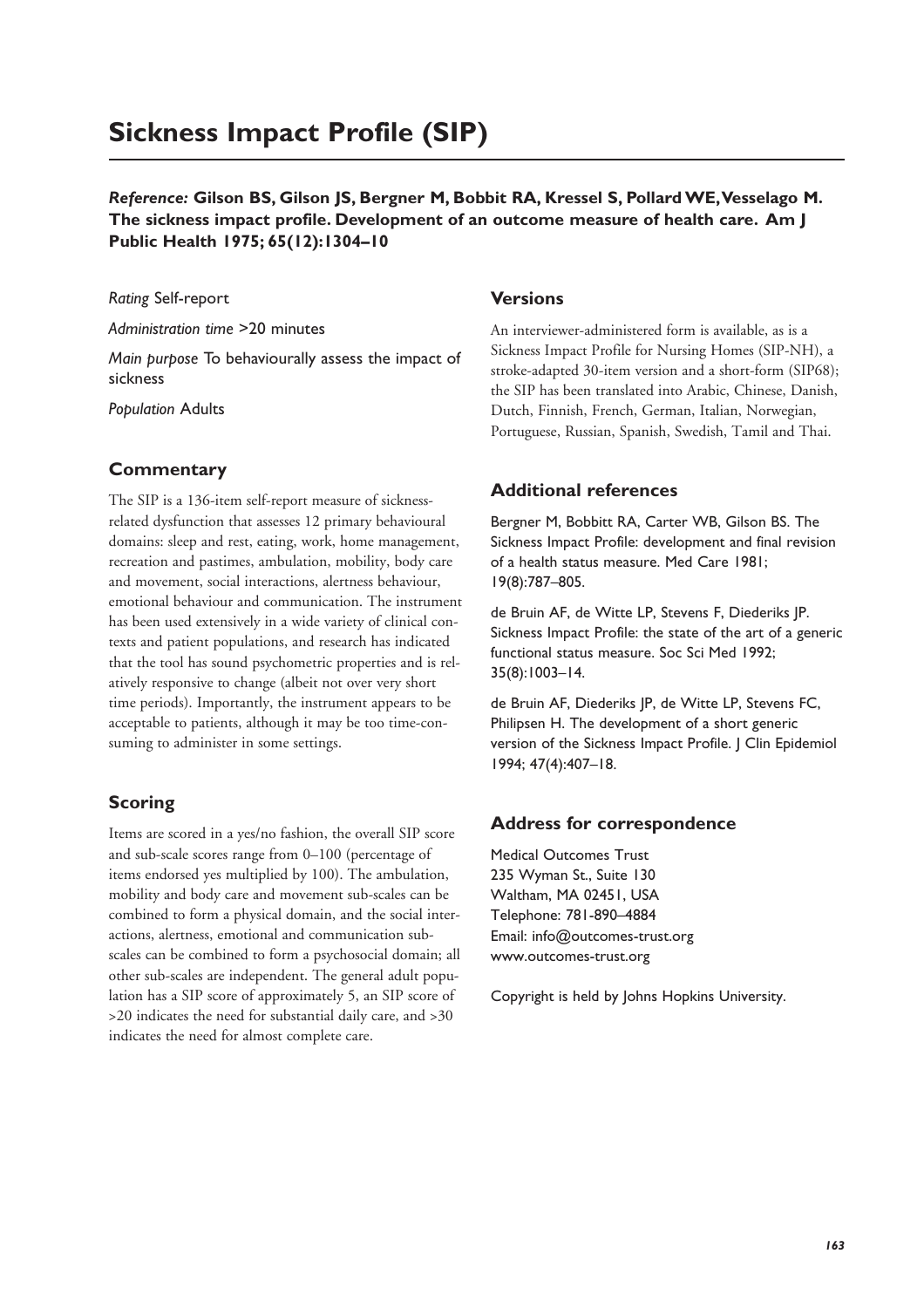# **Sickness Impact Profile (SIP)**

*Reference:* **Gilson BS, Gilson JS, Bergner M, Bobbit RA, Kressel S, Pollard WE,Vesselago M. The sickness impact profile. Development of an outcome measure of health care. Am J Public Health 1975; 65(12):1304–10**

*Rating* Self-report

*Administration time* >20 minutes

*Main purpose* To behaviourally assess the impact of sickness

*Population* Adults

#### **Commentary**

The SIP is a 136-item self-report measure of sicknessrelated dysfunction that assesses 12 primary behavioural domains: sleep and rest, eating, work, home management, recreation and pastimes, ambulation, mobility, body care and movement, social interactions, alertness behaviour, emotional behaviour and communication. The instrument has been used extensively in a wide variety of clinical contexts and patient populations, and research has indicated that the tool has sound psychometric properties and is relatively responsive to change (albeit not over very short time periods). Importantly, the instrument appears to be acceptable to patients, although it may be too time-consuming to administer in some settings.

## **Scoring**

Items are scored in a yes/no fashion, the overall SIP score and sub-scale scores range from 0–100 (percentage of items endorsed yes multiplied by 100). The ambulation, mobility and body care and movement sub-scales can be combined to form a physical domain, and the social interactions, alertness, emotional and communication subscales can be combined to form a psychosocial domain; all other sub-scales are independent. The general adult population has a SIP score of approximately 5, an SIP score of >20 indicates the need for substantial daily care, and >30 indicates the need for almost complete care.

#### **Versions**

An interviewer-administered form is available, as is a Sickness Impact Profile for Nursing Homes (SIP-NH), a stroke-adapted 30-item version and a short-form (SIP68); the SIP has been translated into Arabic, Chinese, Danish, Dutch, Finnish, French, German, Italian, Norwegian, Portuguese, Russian, Spanish, Swedish, Tamil and Thai.

#### **Additional references**

Bergner M, Bobbitt RA, Carter WB, Gilson BS. The Sickness Impact Profile: development and final revision of a health status measure. Med Care 1981; 19(8):787–805.

de Bruin AF, de Witte LP, Stevens F, Diederiks JP. Sickness Impact Profile: the state of the art of a generic functional status measure. Soc Sci Med 1992; 35(8):1003–14.

de Bruin AF, Diederiks JP, de Witte LP, Stevens FC, Philipsen H. The development of a short generic version of the Sickness Impact Profile. J Clin Epidemiol 1994; 47(4):407–18.

#### **Address for correspondence**

Medical Outcomes Trust 235 Wyman St., Suite 130 Waltham, MA 02451, USA Telephone: 781-890–4884 Email: info@outcomes-trust.org www.outcomes-trust.org

Copyright is held by Johns Hopkins University.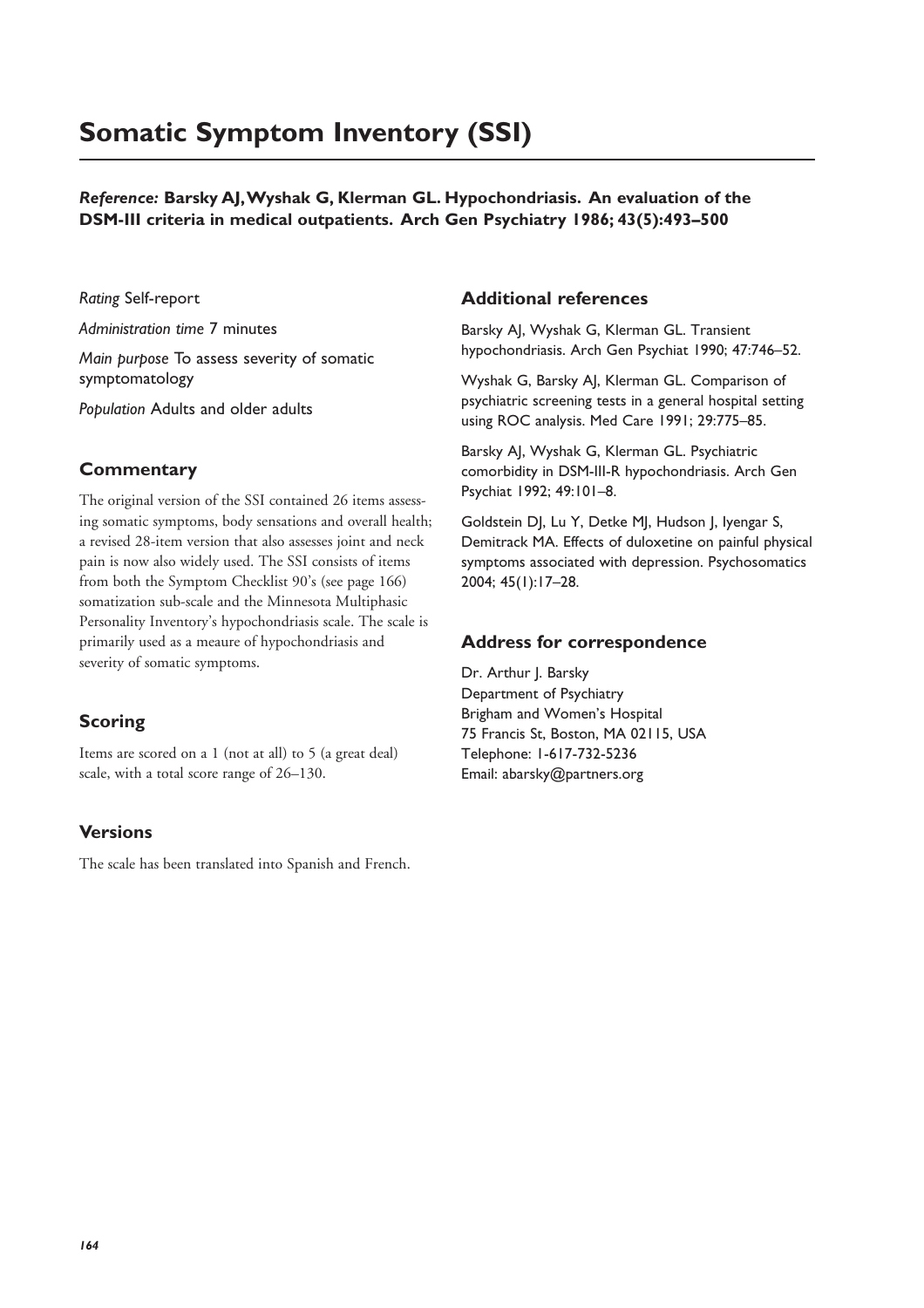# **Somatic Symptom Inventory (SSI)**

*Reference:* **Barsky AJ,Wyshak G, Klerman GL. Hypochondriasis. An evaluation of the DSM-III criteria in medical outpatients. Arch Gen Psychiatry 1986; 43(5):493–500**

*Rating* Self-report

*Administration time* 7 minutes

*Main purpose* To assess severity of somatic symptomatology

*Population* Adults and older adults

#### **Commentary**

The original version of the SSI contained 26 items assessing somatic symptoms, body sensations and overall health; a revised 28-item version that also assesses joint and neck pain is now also widely used. The SSI consists of items from both the Symptom Checklist 90's (see page 166) somatization sub-scale and the Minnesota Multiphasic Personality Inventory's hypochondriasis scale. The scale is primarily used as a meaure of hypochondriasis and severity of somatic symptoms.

#### **Scoring**

Items are scored on a 1 (not at all) to 5 (a great deal) scale, with a total score range of 26–130.

#### **Versions**

The scale has been translated into Spanish and French.

#### **Additional references**

Barsky AJ, Wyshak G, Klerman GL. Transient hypochondriasis. Arch Gen Psychiat 1990; 47:746–52.

Wyshak G, Barsky AJ, Klerman GL. Comparison of psychiatric screening tests in a general hospital setting using ROC analysis. Med Care 1991; 29:775–85.

Barsky AJ, Wyshak G, Klerman GL. Psychiatric comorbidity in DSM-III-R hypochondriasis. Arch Gen Psychiat 1992; 49:101–8.

Goldstein DJ, Lu Y, Detke MJ, Hudson J, Iyengar S, Demitrack MA. Effects of duloxetine on painful physical symptoms associated with depression. Psychosomatics 2004; 45(1):17–28.

#### **Address for correspondence**

Dr. Arthur J. Barsky Department of Psychiatry Brigham and Women's Hospital 75 Francis St, Boston, MA 02115, USA Telephone: 1-617-732-5236 Email: abarsky@partners.org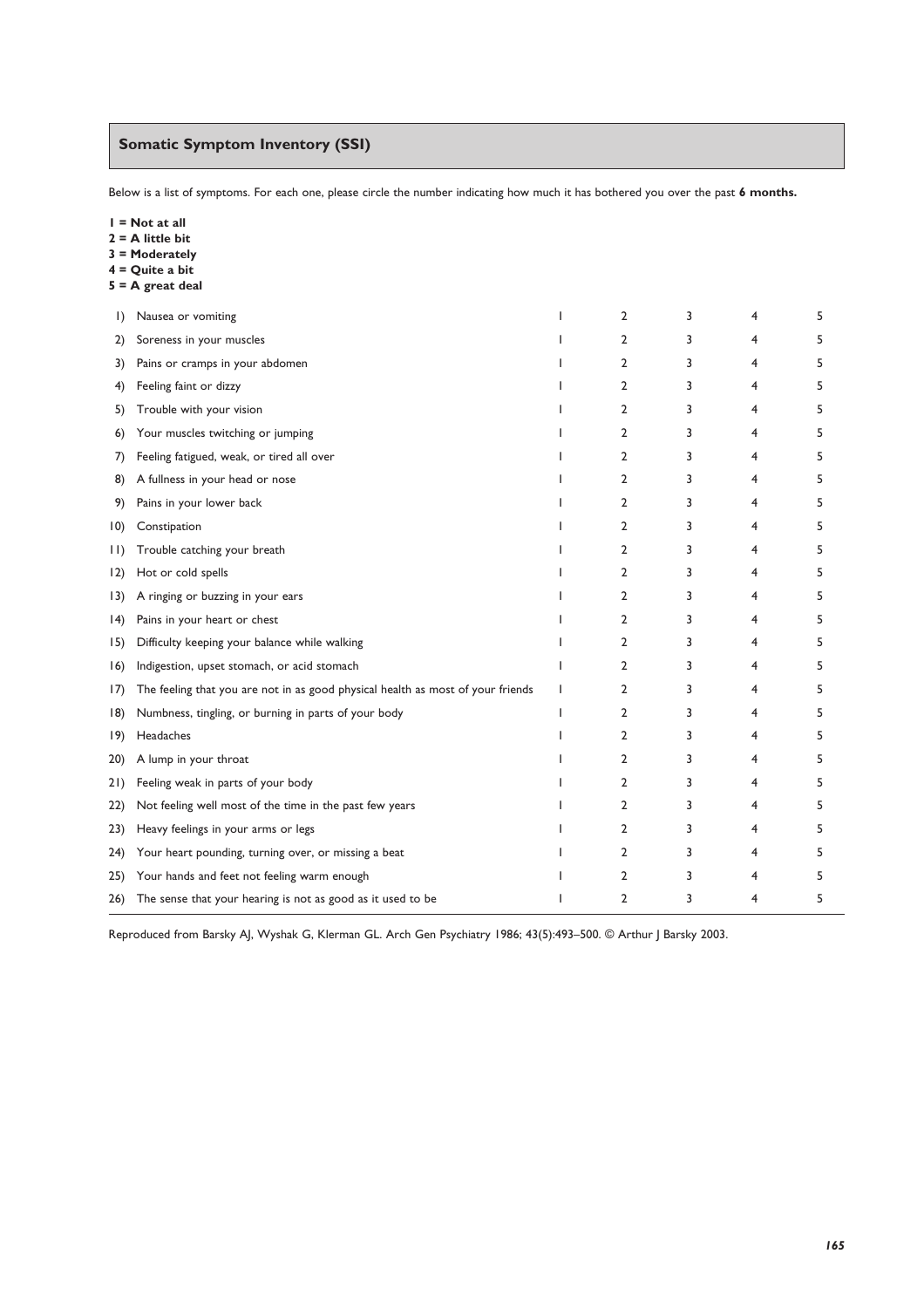#### **Somatic Symptom Inventory (SSI)**

Below is a list of symptoms. For each one, please circle the number indicating how much it has bothered you over the past **6 months.**

|             | I = Not at all                                                                  |              |                |   |   |   |
|-------------|---------------------------------------------------------------------------------|--------------|----------------|---|---|---|
|             | $=$ A little bit<br>= Moderately                                                |              |                |   |   |   |
|             | $=$ Quite a bit                                                                 |              |                |   |   |   |
|             | $5 = A$ great deal                                                              |              |                |   |   |   |
| $\vert$     | Nausea or vomiting                                                              | $\mathbf{I}$ | $\overline{2}$ | 3 | 4 | 5 |
| 2)          | Soreness in your muscles                                                        | T            | $\overline{2}$ | 3 | 4 | 5 |
| 3)          | Pains or cramps in your abdomen                                                 | $\mathbf{I}$ | $\overline{2}$ | 3 | 4 | 5 |
| 4)          | Feeling faint or dizzy                                                          | т            | $\overline{2}$ | 3 | 4 | 5 |
| 5)          | Trouble with your vision                                                        | т            | $\overline{2}$ | 3 | 4 | 5 |
| 6)          | Your muscles twitching or jumping                                               | L            | $\overline{2}$ | 3 | 4 | 5 |
| 7)          | Feeling fatigued, weak, or tired all over                                       | L            | $\overline{2}$ | 3 | 4 | 5 |
| 8)          | A fullness in your head or nose                                                 |              | $\overline{2}$ | 3 | 4 | 5 |
| 9)          | Pains in your lower back                                                        | L            | $\overline{2}$ | 3 | 4 | 5 |
| 10)         | Constipation                                                                    | L            | $\overline{2}$ | 3 | 4 | 5 |
| $  \,   \,$ | Trouble catching your breath                                                    | L            | $\overline{2}$ | 3 | 4 | 5 |
| 2)          | Hot or cold spells                                                              | L            | $\overline{2}$ | 3 | 4 | 5 |
| 13)         | A ringing or buzzing in your ears                                               | L            | $\overline{2}$ | 3 | 4 | 5 |
| $ 4\rangle$ | Pains in your heart or chest                                                    | L            | $\overline{2}$ | 3 | 4 | 5 |
| 15)         | Difficulty keeping your balance while walking                                   | L            | $\overline{2}$ | 3 | 4 | 5 |
| 16)         | Indigestion, upset stomach, or acid stomach                                     | ı            | $\overline{2}$ | 3 | 4 | 5 |
| 17)         | The feeling that you are not in as good physical health as most of your friends | ı            | $\overline{2}$ | 3 | 4 | 5 |
| $ 8\rangle$ | Numbness, tingling, or burning in parts of your body                            | ı            | $\overline{2}$ | 3 | 4 | 5 |
| 19)         | Headaches                                                                       |              | $\overline{2}$ | 3 | 4 | 5 |
| 20)         | A lump in your throat                                                           |              | $\overline{2}$ | 3 | 4 | 5 |
| 21)         | Feeling weak in parts of your body                                              |              | $\overline{2}$ | 3 | 4 | 5 |
| 22)         | Not feeling well most of the time in the past few years                         |              | $\overline{2}$ | 3 | 4 | 5 |
| 23)         | Heavy feelings in your arms or legs                                             |              | $\overline{2}$ | 3 | 4 | 5 |
| 24)         | Your heart pounding, turning over, or missing a beat                            |              | $\overline{2}$ | 3 | 4 | 5 |
| 25)         | Your hands and feet not feeling warm enough                                     | L            | $\overline{2}$ | 3 | 4 | 5 |
| 26)         | The sense that your hearing is not as good as it used to be                     | L            | $\overline{2}$ | 3 | 4 | 5 |
|             |                                                                                 |              |                |   |   |   |

Reproduced from Barsky AJ, Wyshak G, Klerman GL. Arch Gen Psychiatry 1986; 43(5):493–500. © Arthur J Barsky 2003.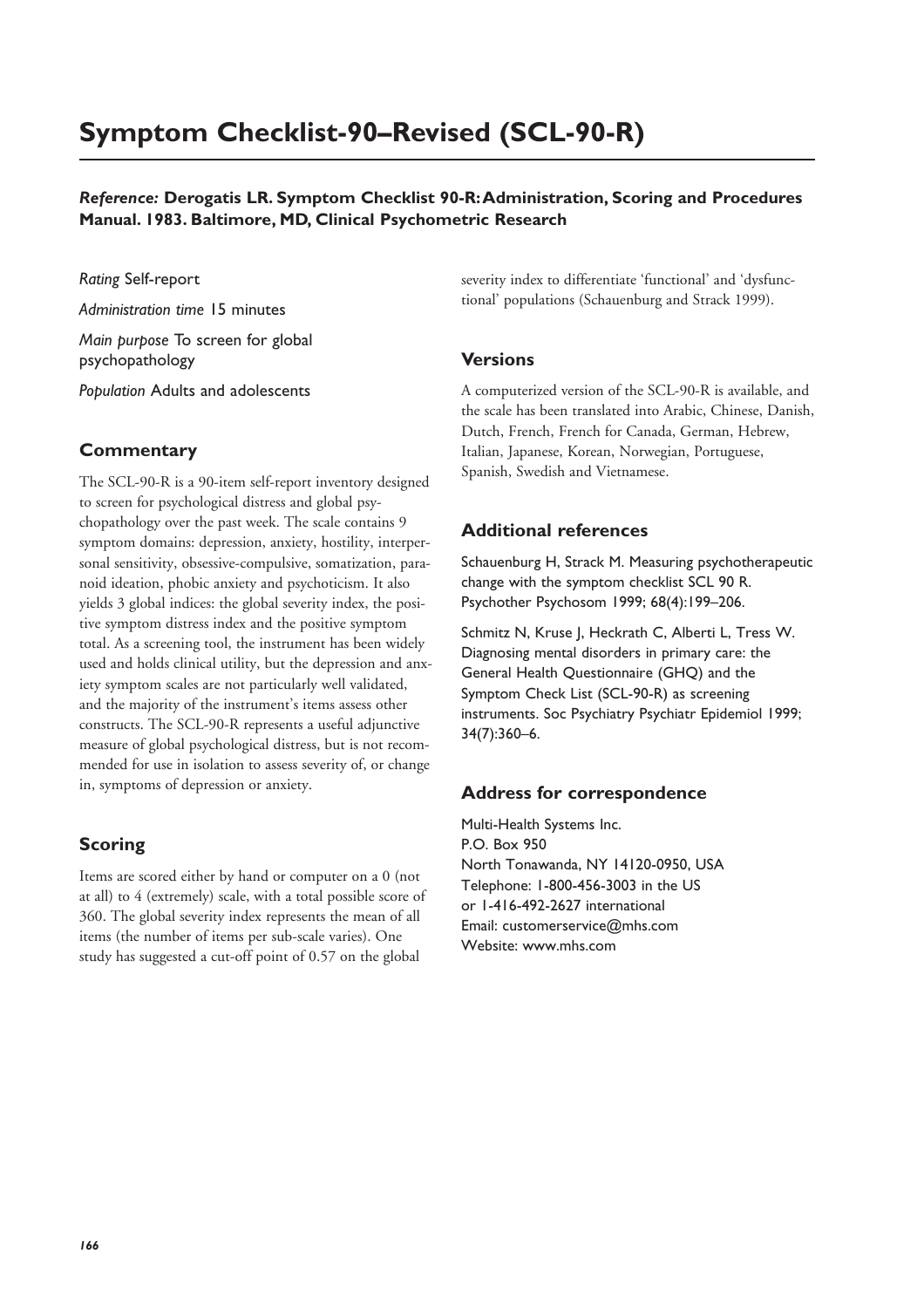# **Symptom Checklist-90–Revised (SCL-90-R)**

#### *Reference:* **Derogatis LR. Symptom Checklist 90-R:Administration, Scoring and Procedures Manual. 1983. Baltimore, MD, Clinical Psychometric Research**

*Rating* Self-report

*Administration time* 15 minutes

*Main purpose* To screen for global psychopathology

*Population* Adults and adolescents

#### **Commentary**

The SCL-90-R is a 90-item self-report inventory designed to screen for psychological distress and global psychopathology over the past week. The scale contains 9 symptom domains: depression, anxiety, hostility, interpersonal sensitivity, obsessive-compulsive, somatization, paranoid ideation, phobic anxiety and psychoticism. It also yields 3 global indices: the global severity index, the positive symptom distress index and the positive symptom total. As a screening tool, the instrument has been widely used and holds clinical utility, but the depression and anxiety symptom scales are not particularly well validated, and the majority of the instrument's items assess other constructs. The SCL-90-R represents a useful adjunctive measure of global psychological distress, but is not recommended for use in isolation to assess severity of, or change in, symptoms of depression or anxiety.

#### **Scoring**

Items are scored either by hand or computer on a 0 (not at all) to 4 (extremely) scale, with a total possible score of 360. The global severity index represents the mean of all items (the number of items per sub-scale varies). One study has suggested a cut-off point of 0.57 on the global

severity index to differentiate 'functional' and 'dysfunctional' populations (Schauenburg and Strack 1999).

#### **Versions**

A computerized version of the SCL-90-R is available, and the scale has been translated into Arabic, Chinese, Danish, Dutch, French, French for Canada, German, Hebrew, Italian, Japanese, Korean, Norwegian, Portuguese, Spanish, Swedish and Vietnamese.

#### **Additional references**

Schauenburg H, Strack M. Measuring psychotherapeutic change with the symptom checklist SCL 90 R. Psychother Psychosom 1999; 68(4):199–206.

Schmitz N, Kruse J, Heckrath C, Alberti L, Tress W. Diagnosing mental disorders in primary care: the General Health Questionnaire (GHQ) and the Symptom Check List (SCL-90-R) as screening instruments. Soc Psychiatry Psychiatr Epidemiol 1999; 34(7):360–6.

#### **Address for correspondence**

Multi-Health Systems Inc. P.O. Box 950 North Tonawanda, NY 14120-0950, USA Telephone: 1-800-456-3003 in the US or 1-416-492-2627 international Email: customerservice@mhs.com Website: www.mhs.com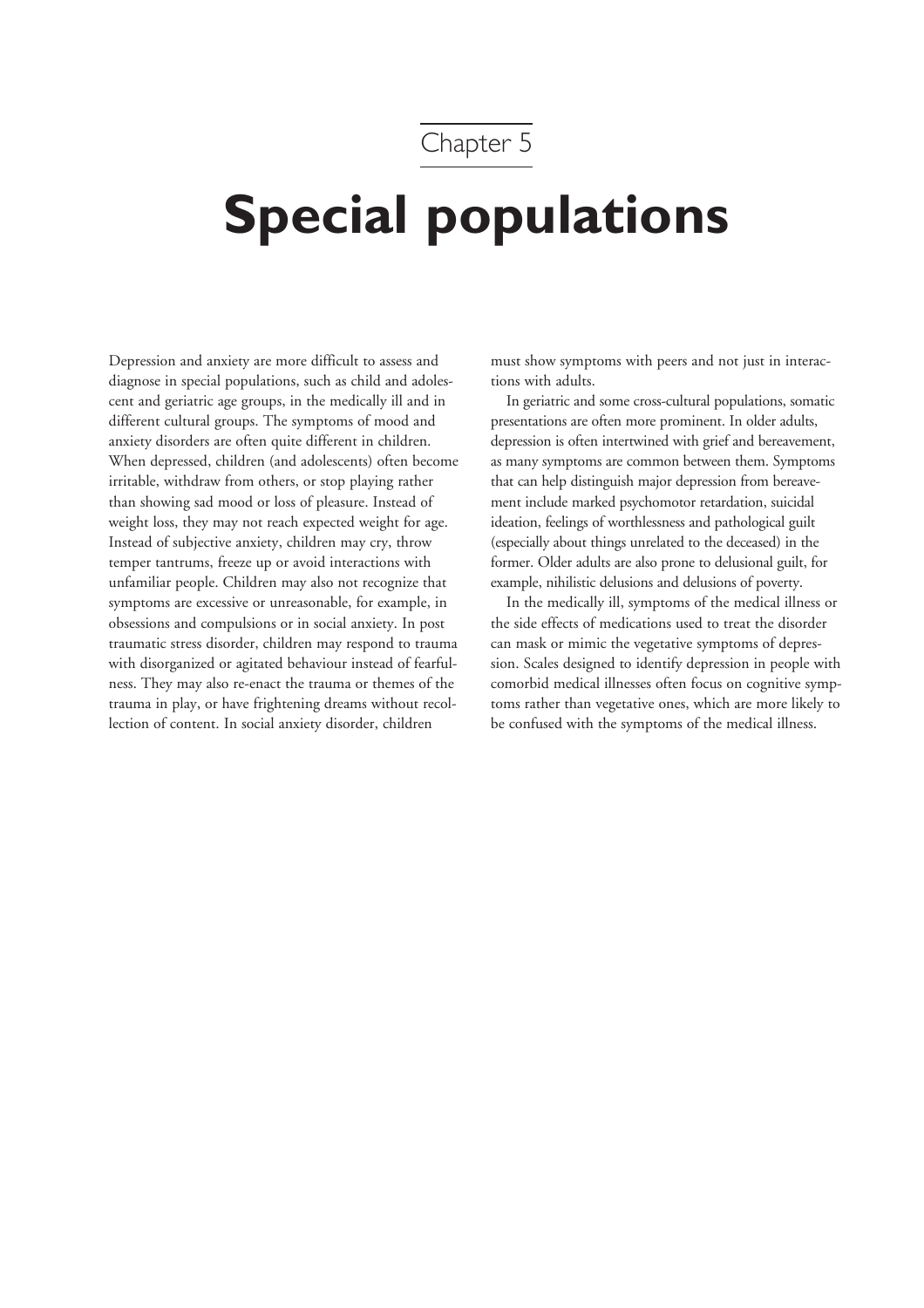# Chapter 5

# **Special populations**

Depression and anxiety are more difficult to assess and diagnose in special populations, such as child and adolescent and geriatric age groups, in the medically ill and in different cultural groups. The symptoms of mood and anxiety disorders are often quite different in children. When depressed, children (and adolescents) often become irritable, withdraw from others, or stop playing rather than showing sad mood or loss of pleasure. Instead of weight loss, they may not reach expected weight for age. Instead of subjective anxiety, children may cry, throw temper tantrums, freeze up or avoid interactions with unfamiliar people. Children may also not recognize that symptoms are excessive or unreasonable, for example, in obsessions and compulsions or in social anxiety. In post traumatic stress disorder, children may respond to trauma with disorganized or agitated behaviour instead of fearfulness. They may also re-enact the trauma or themes of the trauma in play, or have frightening dreams without recollection of content. In social anxiety disorder, children

must show symptoms with peers and not just in interactions with adults.

In geriatric and some cross-cultural populations, somatic presentations are often more prominent. In older adults, depression is often intertwined with grief and bereavement, as many symptoms are common between them. Symptoms that can help distinguish major depression from bereavement include marked psychomotor retardation, suicidal ideation, feelings of worthlessness and pathological guilt (especially about things unrelated to the deceased) in the former. Older adults are also prone to delusional guilt, for example, nihilistic delusions and delusions of poverty.

In the medically ill, symptoms of the medical illness or the side effects of medications used to treat the disorder can mask or mimic the vegetative symptoms of depression. Scales designed to identify depression in people with comorbid medical illnesses often focus on cognitive symptoms rather than vegetative ones, which are more likely to be confused with the symptoms of the medical illness.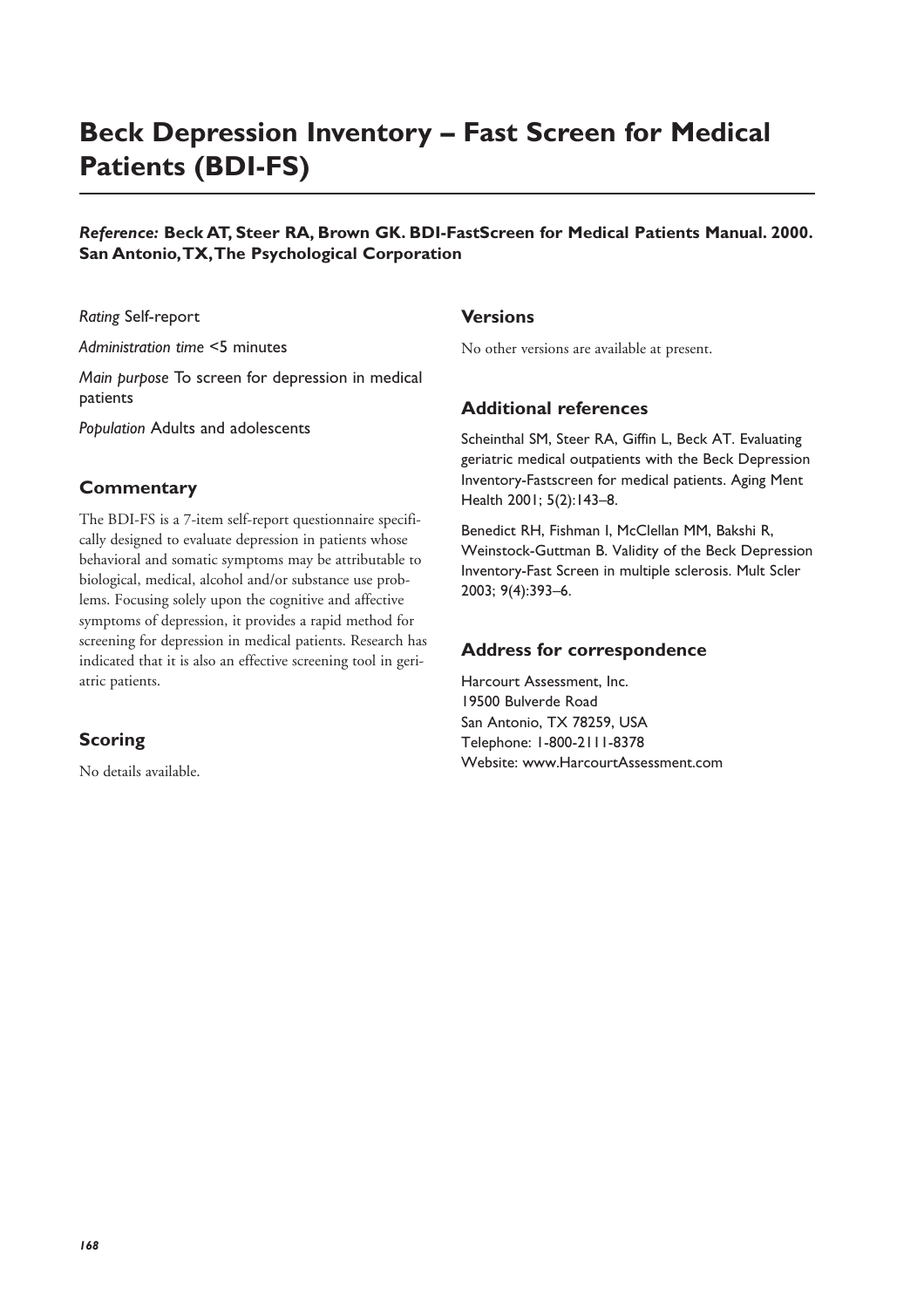# **Beck Depression Inventory – Fast Screen for Medical Patients (BDI-FS)**

*Reference:* **Beck AT, Steer RA, Brown GK. BDI-FastScreen for Medical Patients Manual. 2000. San Antonio,TX,The Psychological Corporation**

*Rating* Self-report *Administration time* <5 minutes *Main purpose* To screen for depression in medical patients *Population* Adults and adolescents

# **Commentary**

The BDI-FS is a 7-item self-report questionnaire specifically designed to evaluate depression in patients whose behavioral and somatic symptoms may be attributable to biological, medical, alcohol and/or substance use problems. Focusing solely upon the cognitive and affective symptoms of depression, it provides a rapid method for screening for depression in medical patients. Research has indicated that it is also an effective screening tool in geriatric patients.

## **Scoring**

No details available.

#### **Versions**

No other versions are available at present.

#### **Additional references**

Scheinthal SM, Steer RA, Giffin L, Beck AT. Evaluating geriatric medical outpatients with the Beck Depression Inventory-Fastscreen for medical patients. Aging Ment Health 2001; 5(2):143–8.

Benedict RH, Fishman I, McClellan MM, Bakshi R, Weinstock-Guttman B. Validity of the Beck Depression Inventory-Fast Screen in multiple sclerosis. Mult Scler 2003; 9(4):393–6.

# **Address for correspondence**

Harcourt Assessment, Inc. 19500 Bulverde Road San Antonio, TX 78259, USA Telephone: 1-800-2111-8378 Website: www.HarcourtAssessment.com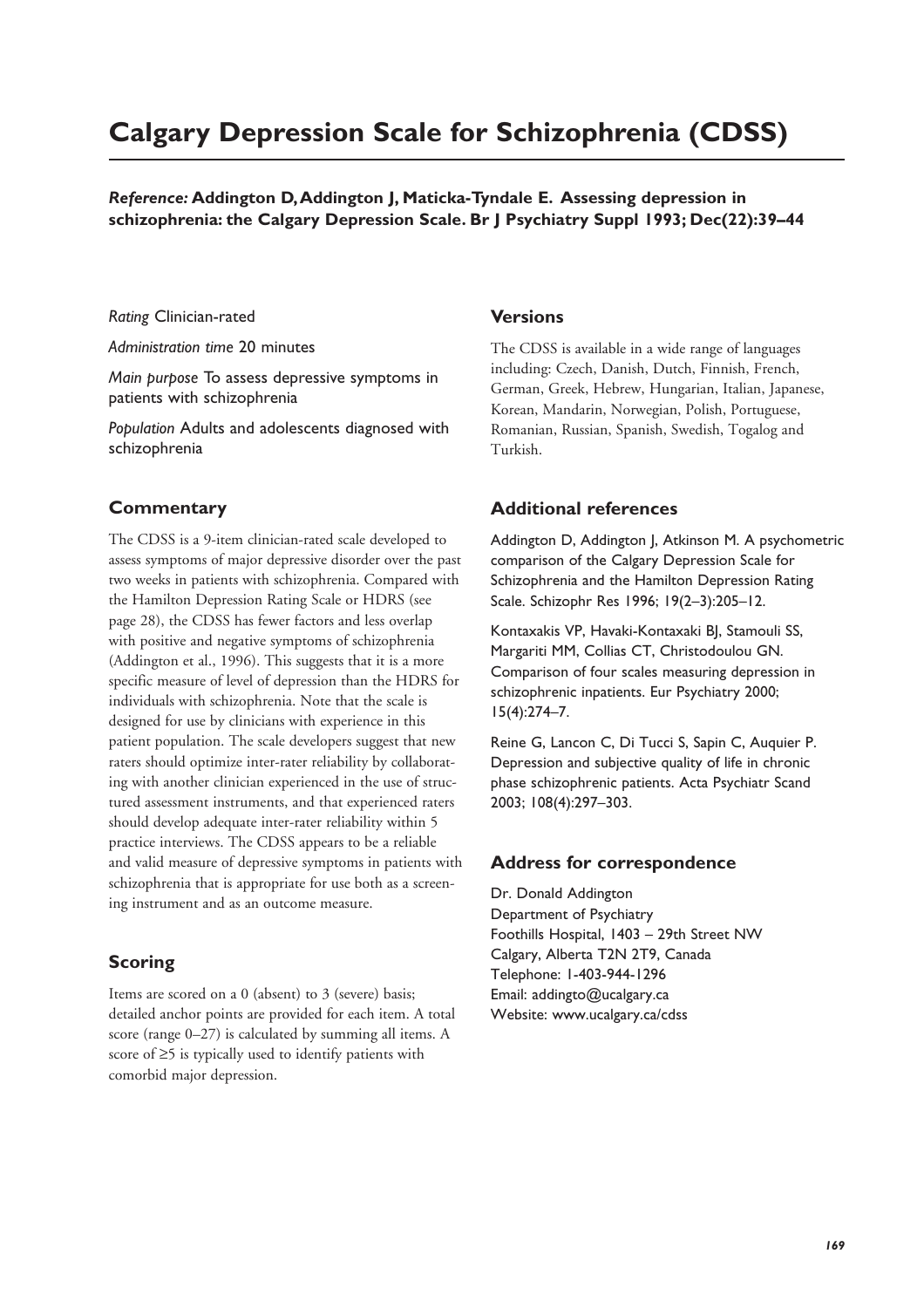# **Calgary Depression Scale for Schizophrenia (CDSS)**

*Reference:* **Addington D,Addington J, Maticka-Tyndale E. Assessing depression in schizophrenia: the Calgary Depression Scale. Br J Psychiatry Suppl 1993; Dec(22):39–44**

*Rating* Clinician-rated

*Administration time* 20 minutes

*Main purpose* To assess depressive symptoms in patients with schizophrenia

*Population* Adults and adolescents diagnosed with schizophrenia

#### **Commentary**

The CDSS is a 9-item clinician-rated scale developed to assess symptoms of major depressive disorder over the past two weeks in patients with schizophrenia. Compared with the Hamilton Depression Rating Scale or HDRS (see page 28), the CDSS has fewer factors and less overlap with positive and negative symptoms of schizophrenia (Addington et al., 1996). This suggests that it is a more specific measure of level of depression than the HDRS for individuals with schizophrenia. Note that the scale is designed for use by clinicians with experience in this patient population. The scale developers suggest that new raters should optimize inter-rater reliability by collaborating with another clinician experienced in the use of structured assessment instruments, and that experienced raters should develop adequate inter-rater reliability within 5 practice interviews. The CDSS appears to be a reliable and valid measure of depressive symptoms in patients with schizophrenia that is appropriate for use both as a screening instrument and as an outcome measure.

#### **Scoring**

Items are scored on a 0 (absent) to 3 (severe) basis; detailed anchor points are provided for each item. A total score (range 0–27) is calculated by summing all items. A score of ≥5 is typically used to identify patients with comorbid major depression.

#### **Versions**

The CDSS is available in a wide range of languages including: Czech, Danish, Dutch, Finnish, French, German, Greek, Hebrew, Hungarian, Italian, Japanese, Korean, Mandarin, Norwegian, Polish, Portuguese, Romanian, Russian, Spanish, Swedish, Togalog and Turkish.

#### **Additional references**

Addington D, Addington J, Atkinson M. A psychometric comparison of the Calgary Depression Scale for Schizophrenia and the Hamilton Depression Rating Scale. Schizophr Res 1996; 19(2–3):205–12.

Kontaxakis VP, Havaki-Kontaxaki BJ, Stamouli SS, Margariti MM, Collias CT, Christodoulou GN. Comparison of four scales measuring depression in schizophrenic inpatients. Eur Psychiatry 2000; 15(4):274–7.

Reine G, Lancon C, Di Tucci S, Sapin C, Auquier P. Depression and subjective quality of life in chronic phase schizophrenic patients. Acta Psychiatr Scand 2003; 108(4):297–303.

#### **Address for correspondence**

Dr. Donald Addington Department of Psychiatry Foothills Hospital, 1403 – 29th Street NW Calgary, Alberta T2N 2T9, Canada Telephone: 1-403-944-1296 Email: addingto@ucalgary.ca Website: www.ucalgary.ca/cdss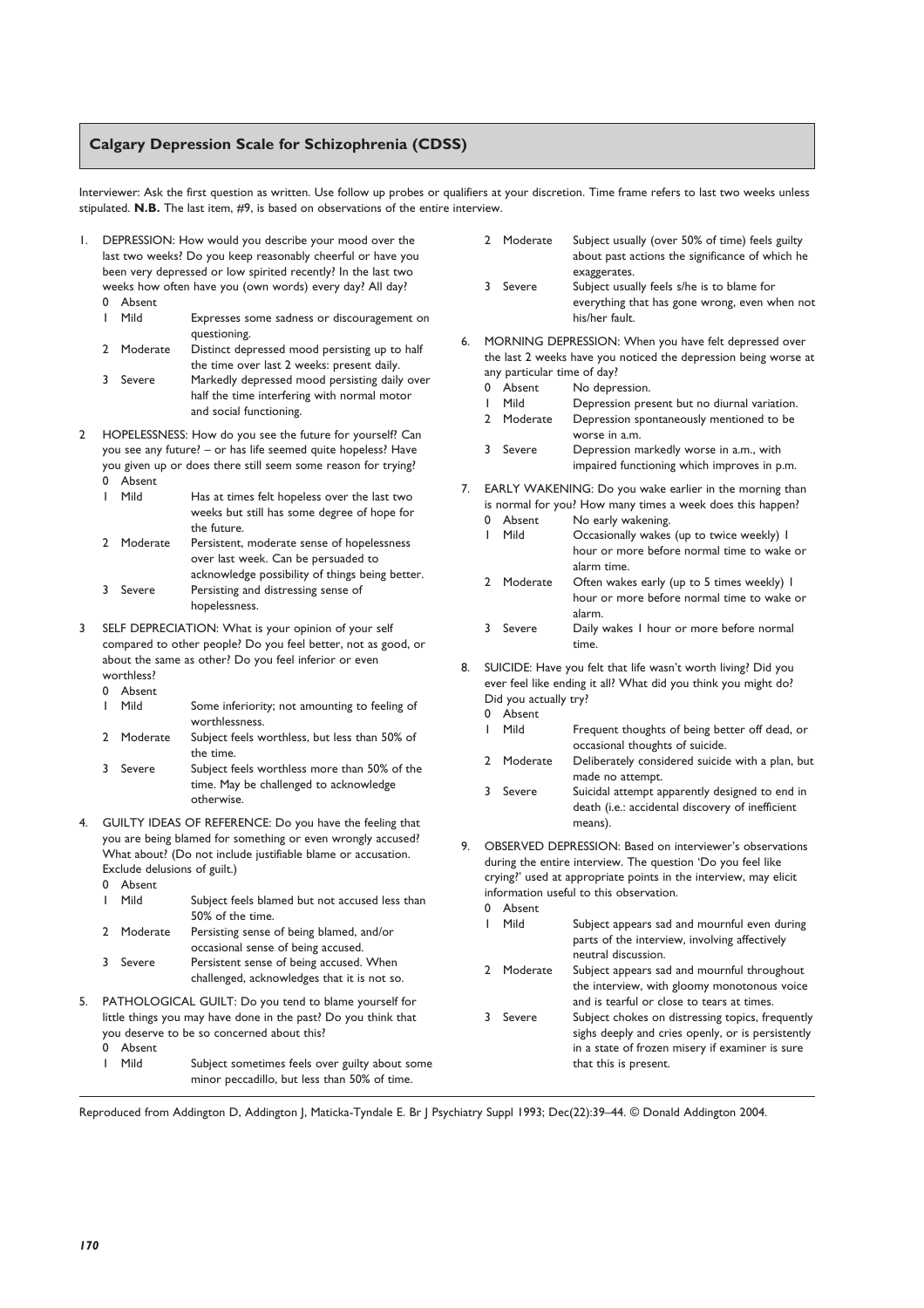#### **Calgary Depression Scale for Schizophrenia (CDSS)**

Interviewer: Ask the first question as written. Use follow up probes or qualifiers at your discretion. Time frame refers to last two weeks unless stipulated. **N.B.** The last item, #9, is based on observations of the entire interview.

- 1. DEPRESSION: How would you describe your mood over the last two weeks? Do you keep reasonably cheerful or have you been very depressed or low spirited recently? In the last two weeks how often have you (own words) every day? All day? 0 Absent<br>1 Mild
	- Expresses some sadness or discouragement on questioning.
	- 2 Moderate Distinct depressed mood persisting up to half the time over last 2 weeks: present daily.
	- 3 Severe Markedly depressed mood persisting daily over half the time interfering with normal motor and social functioning.
- HOPELESSNESS: How do you see the future for yourself? Can you see any future? – or has life seemed quite hopeless? Have you given up or does there still seem some reason for trying? 0 Absent
	- Mild Has at times felt hopeless over the last two weeks but still has some degree of hope for the future.
	- 2 Moderate Persistent, moderate sense of hopelessness over last week. Can be persuaded to acknowledge possibility of things being better.
	- 3 Severe Persisting and distressing sense of hopelessness.
- 3 SELF DEPRECIATION: What is your opinion of your self compared to other people? Do you feel better, not as good, or about the same as other? Do you feel inferior or even worthless?
	- 0 Absent<br>1 Mild
	- 1 Mild Some inferiority; not amounting to feeling of worthlessness.
	- 2 Moderate Subject feels worthless, but less than 50% of the time.
	- 3 Severe Subject feels worthless more than 50% of the time. May be challenged to acknowledge otherwise.
- 4. GUILTY IDEAS OF REFERENCE: Do you have the feeling that you are being blamed for something or even wrongly accused? What about? (Do not include justifiable blame or accusation. Exclude delusions of guilt.)
	- 0 Absent
	- 1 Mild Subject feels blamed but not accused less than 50% of the time. 2 Moderate Persisting sense of being blamed, and/or occasional sense of being accused.
	- 3 Severe Persistent sense of being accused. When challenged, acknowledges that it is not so.
- 5. PATHOLOGICAL GUILT: Do you tend to blame yourself for little things you may have done in the past? Do you think that you deserve to be so concerned about this?
	- 0 Absent<br>1 Mild
		- Subject sometimes feels over guilty about some minor peccadillo, but less than 50% of time.
- 2 Moderate Subject usually (over 50% of time) feels guilty about past actions the significance of which he exaggerates.
- 3 Severe Subject usually feels s/he is to blame for everything that has gone wrong, even when not his/her fault.
- 6. MORNING DEPRESSION: When you have felt depressed over the last 2 weeks have you noticed the depression being worse at any particular time of day?
	- 0 Absent No depression.
	- 1 Mild Depression present but no diurnal variation.
	- 2 Moderate Depression spontaneously mentioned to be worse in a.m.
	- 3 Severe Depression markedly worse in a.m., with impaired functioning which improves in p.m.
- 7. EARLY WAKENING: Do you wake earlier in the morning than is normal for you? How many times a week does this happen? No early wakening.
	- 1 Mild Occasionally wakes (up to twice weekly) 1 hour or more before normal time to wake or alarm time.
	- 2 Moderate Often wakes early (up to 5 times weekly) 1 hour or more before normal time to wake or alarm.
	- 3 Severe Daily wakes 1 hour or more before normal time.
- 8. SUICIDE: Have you felt that life wasn't worth living? Did you ever feel like ending it all? What did you think you might do? Did you actually try?
	- 0 Absent<br>1 Mild
	- 1 Mild Frequent thoughts of being better off dead, or occasional thoughts of suicide.
	- 2 Moderate Deliberately considered suicide with a plan, but made no attempt.
	- 3 Severe Suicidal attempt apparently designed to end in death (i.e.: accidental discovery of inefficient means).
- 9. OBSERVED DEPRESSION: Based on interviewer's observations during the entire interview. The question 'Do you feel like crying?' used at appropriate points in the interview, may elicit information useful to this observation.
	- 0 Absent<br>1 Mild
	- Subject appears sad and mournful even during parts of the interview, involving affectively neutral discussion.
	- 2 Moderate Subject appears sad and mournful throughout the interview, with gloomy monotonous voice and is tearful or close to tears at times.
	- 3 Severe Subject chokes on distressing topics, frequently sighs deeply and cries openly, or is persistently in a state of frozen misery if examiner is sure that this is present.

Reproduced from Addington D, Addington J, Maticka-Tyndale E. Br | Psychiatry Suppl 1993; Dec(22):39-44. © Donald Addington 2004.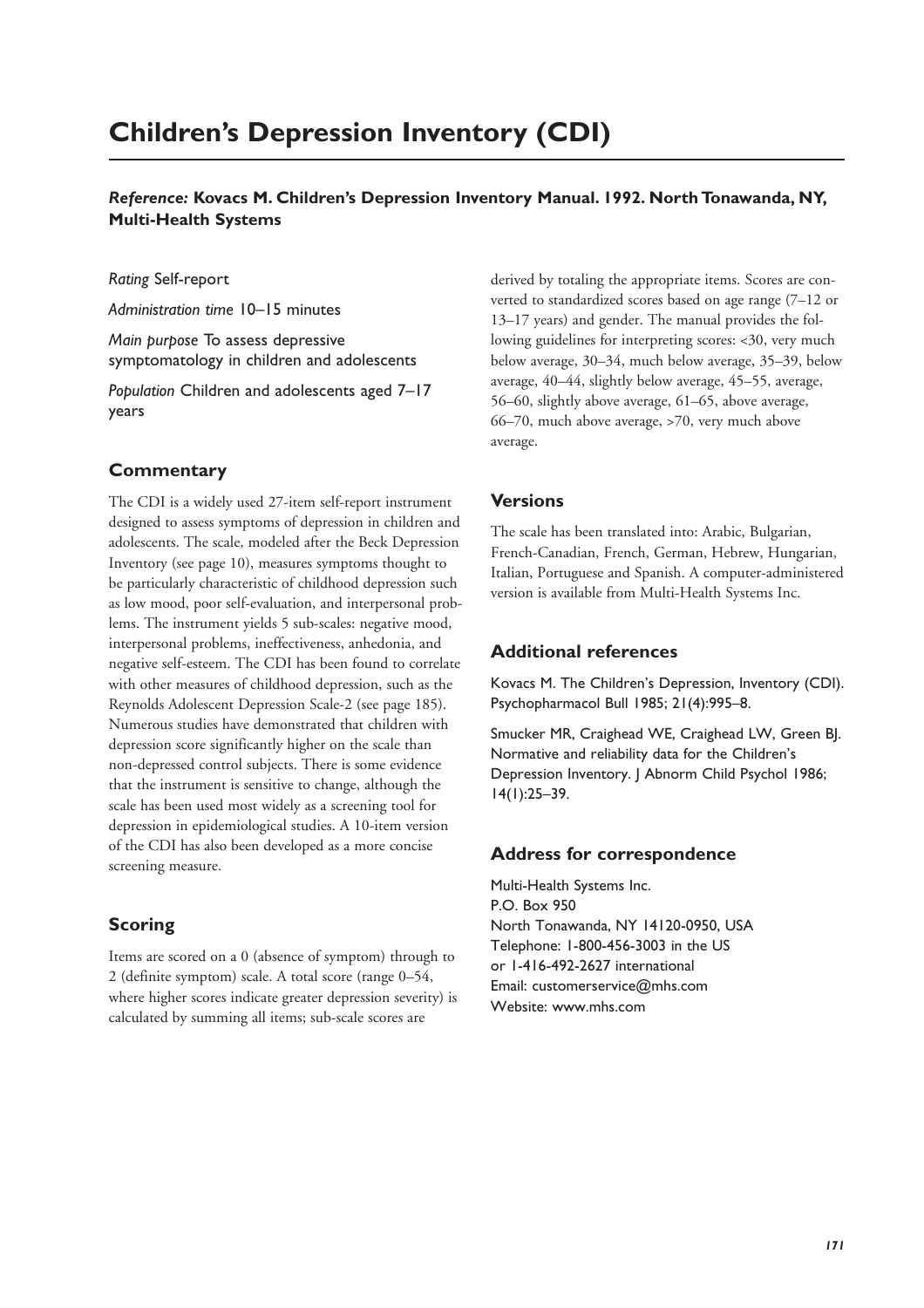#### *Reference:* **Kovacs M. Children's Depression Inventory Manual. 1992. North Tonawanda, NY, Multi-Health Systems**

*Rating* Self-report

*Administration time* 10–15 minutes

*Main purpose* To assess depressive symptomatology in children and adolescents

*Population* Children and adolescents aged 7–17 years

#### **Commentary**

The CDI is a widely used 27-item self-report instrument designed to assess symptoms of depression in children and adolescents. The scale, modeled after the Beck Depression Inventory (see page 10), measures symptoms thought to be particularly characteristic of childhood depression such as low mood, poor self-evaluation, and interpersonal problems. The instrument yields 5 sub-scales: negative mood, interpersonal problems, ineffectiveness, anhedonia, and negative self-esteem. The CDI has been found to correlate with other measures of childhood depression, such as the Reynolds Adolescent Depression Scale-2 (see page 185). Numerous studies have demonstrated that children with depression score significantly higher on the scale than non-depressed control subjects. There is some evidence that the instrument is sensitive to change, although the scale has been used most widely as a screening tool for depression in epidemiological studies. A 10-item version of the CDI has also been developed as a more concise screening measure.

#### **Scoring**

Items are scored on a 0 (absence of symptom) through to 2 (definite symptom) scale. A total score (range 0–54, where higher scores indicate greater depression severity) is calculated by summing all items; sub-scale scores are

derived by totaling the appropriate items. Scores are converted to standardized scores based on age range (7–12 or 13–17 years) and gender. The manual provides the following guidelines for interpreting scores: <30, very much below average, 30–34, much below average, 35–39, below average, 40–44, slightly below average, 45–55, average, 56–60, slightly above average, 61–65, above average, 66–70, much above average, >70, very much above average.

#### **Versions**

The scale has been translated into: Arabic, Bulgarian, French-Canadian, French, German, Hebrew, Hungarian, Italian, Portuguese and Spanish. A computer-administered version is available from Multi-Health Systems Inc.

#### **Additional references**

Kovacs M. The Children's Depression, Inventory (CDI). Psychopharmacol Bull 1985; 21(4):995–8.

Smucker MR, Craighead WE, Craighead LW, Green BJ. Normative and reliability data for the Children's Depression Inventory. J Abnorm Child Psychol 1986; 14(1):25–39.

#### **Address for correspondence**

Multi-Health Systems Inc. P.O. Box 950 North Tonawanda, NY 14120-0950, USA Telephone: 1-800-456-3003 in the US or 1-416-492-2627 international Email: customerservice@mhs.com Website: www.mhs.com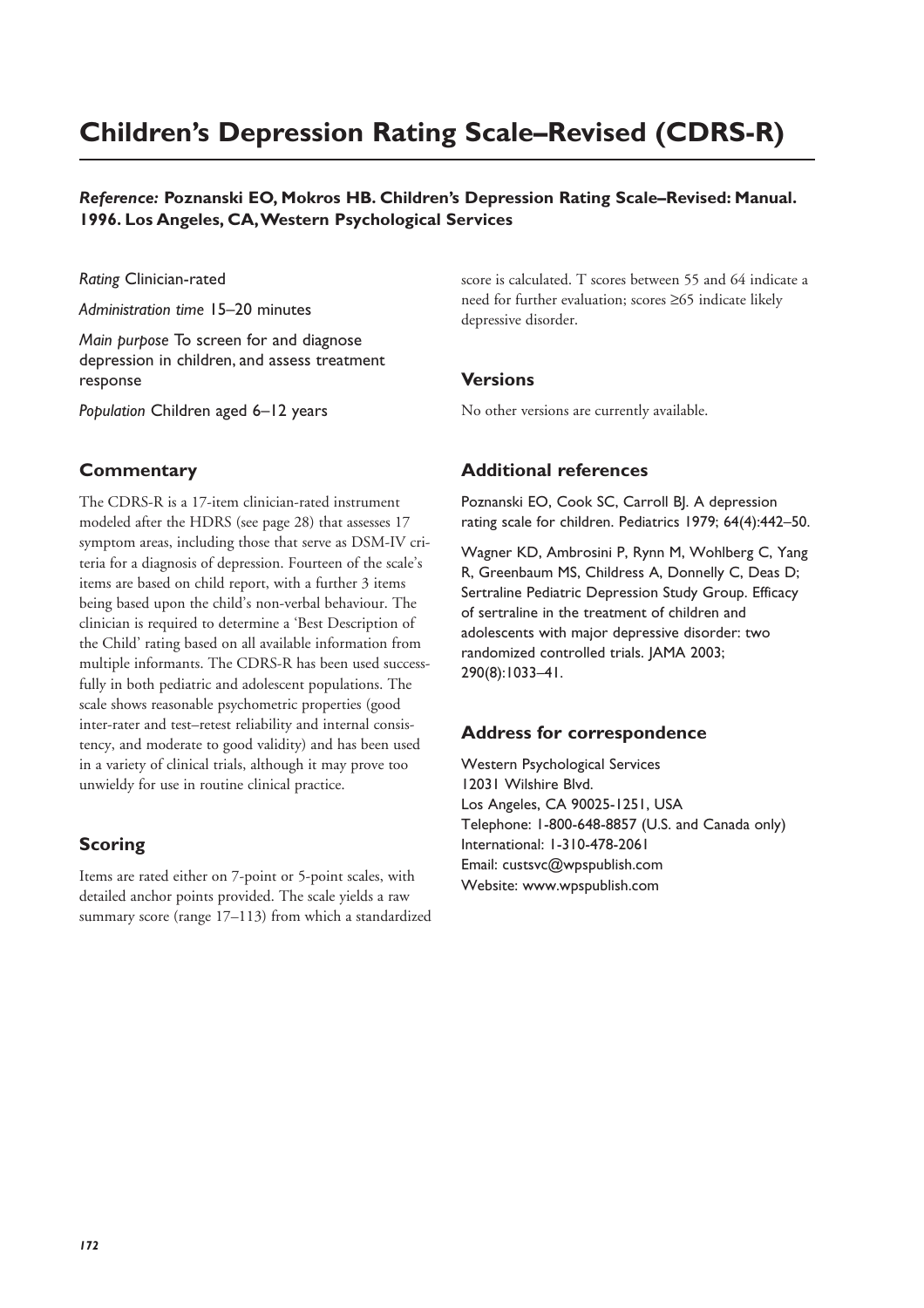## **Children's Depression Rating Scale–Revised (CDRS-R)**

#### *Reference:* **Poznanski EO, Mokros HB. Children's Depression Rating Scale–Revised: Manual. 1996. Los Angeles, CA,Western Psychological Services**

*Rating* Clinician-rated

*Administration time* 15–20 minutes

*Main purpose* To screen for and diagnose depression in children, and assess treatment response

*Population* Children aged 6–12 years

#### **Commentary**

The CDRS-R is a 17-item clinician-rated instrument modeled after the HDRS (see page 28) that assesses 17 symptom areas, including those that serve as DSM-IV criteria for a diagnosis of depression. Fourteen of the scale's items are based on child report, with a further 3 items being based upon the child's non-verbal behaviour. The clinician is required to determine a 'Best Description of the Child' rating based on all available information from multiple informants. The CDRS-R has been used successfully in both pediatric and adolescent populations. The scale shows reasonable psychometric properties (good inter-rater and test–retest reliability and internal consistency, and moderate to good validity) and has been used in a variety of clinical trials, although it may prove too unwieldy for use in routine clinical practice.

#### **Scoring**

Items are rated either on 7-point or 5-point scales, with detailed anchor points provided. The scale yields a raw summary score (range 17–113) from which a standardized

score is calculated. T scores between 55 and 64 indicate a need for further evaluation; scores ≥65 indicate likely depressive disorder.

#### **Versions**

No other versions are currently available.

#### **Additional references**

Poznanski EO, Cook SC, Carroll BJ. A depression rating scale for children. Pediatrics 1979; 64(4):442–50.

Wagner KD, Ambrosini P, Rynn M, Wohlberg C, Yang R, Greenbaum MS, Childress A, Donnelly C, Deas D; Sertraline Pediatric Depression Study Group. Efficacy of sertraline in the treatment of children and adolescents with major depressive disorder: two randomized controlled trials. JAMA 2003; 290(8):1033–41.

#### **Address for correspondence**

Western Psychological Services 12031 Wilshire Blvd. Los Angeles, CA 90025-1251, USA Telephone: 1-800-648-8857 (U.S. and Canada only) International: 1-310-478-2061 Email: custsvc@wpspublish.com Website: www.wpspublish.com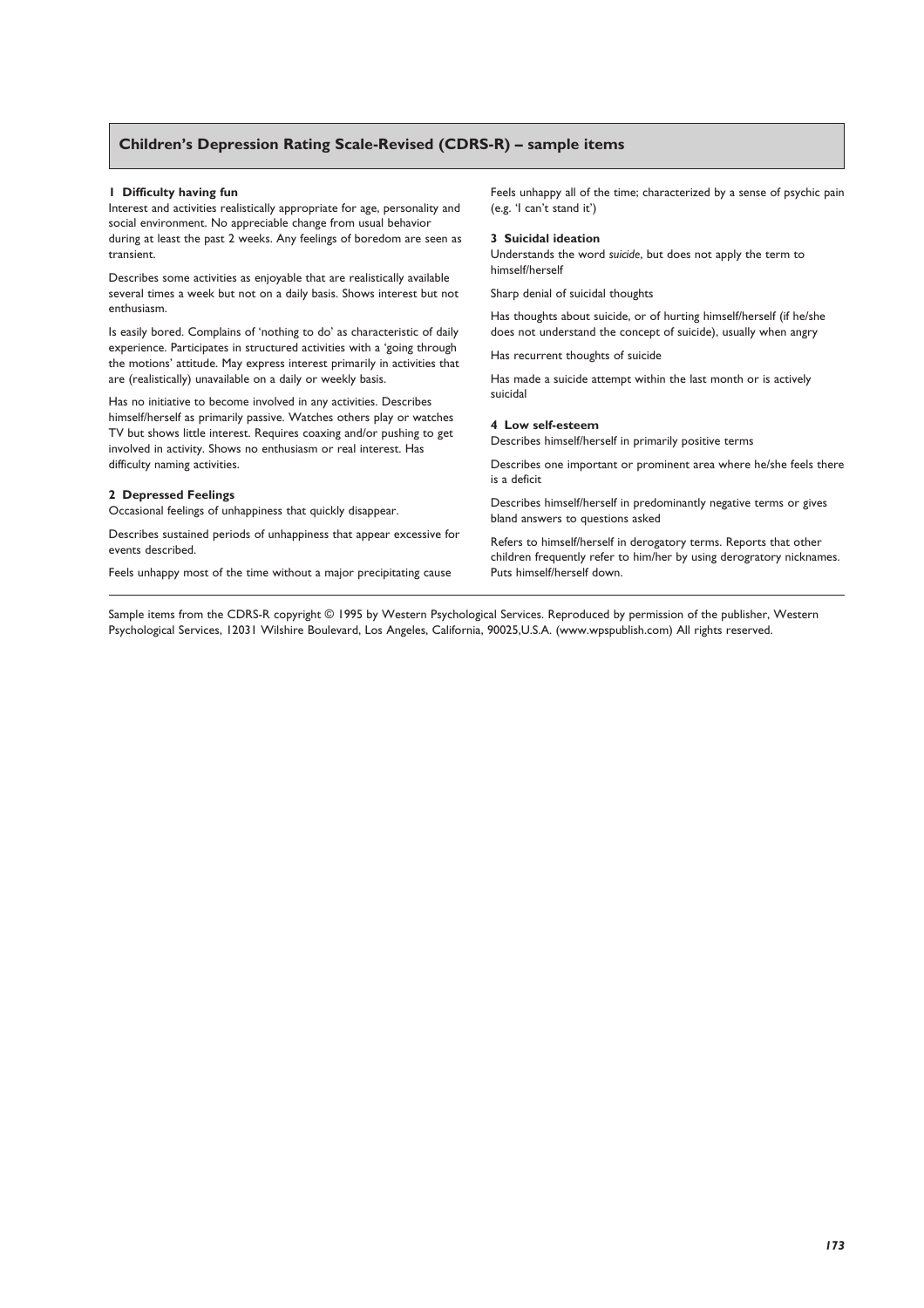#### **Children's Depression Rating Scale-Revised (CDRS-R) – sample items**

#### **1 Difficulty having fun**

Interest and activities realistically appropriate for age, personality and social environment. No appreciable change from usual behavior during at least the past 2 weeks. Any feelings of boredom are seen as transient.

Describes some activities as enjoyable that are realistically available several times a week but not on a daily basis. Shows interest but not enthusiasm.

Is easily bored. Complains of 'nothing to do' as characteristic of daily experience. Participates in structured activities with a 'going through the motions' attitude. May express interest primarily in activities that are (realistically) unavailable on a daily or weekly basis.

Has no initiative to become involved in any activities. Describes himself/herself as primarily passive. Watches others play or watches TV but shows little interest. Requires coaxing and/or pushing to get involved in activity. Shows no enthusiasm or real interest. Has difficulty naming activities.

#### **2 Depressed Feelings**

Occasional feelings of unhappiness that quickly disappear.

Describes sustained periods of unhappiness that appear excessive for events described.

Feels unhappy most of the time without a major precipitating cause

Feels unhappy all of the time; characterized by a sense of psychic pain (e.g. 'I can't stand it')

#### **3 Suicidal ideation**

Understands the word *suicide*, but does not apply the term to himself/herself

Sharp denial of suicidal thoughts

Has thoughts about suicide, or of hurting himself/herself (if he/she does not understand the concept of suicide), usually when angry

Has recurrent thoughts of suicide

Has made a suicide attempt within the last month or is actively suicidal

#### **4 Low self-esteem**

Describes himself/herself in primarily positive terms

Describes one important or prominent area where he/she feels there is a deficit

Describes himself/herself in predominantly negative terms or gives bland answers to questions asked

Refers to himself/herself in derogatory terms. Reports that other children frequently refer to him/her by using derogratory nicknames. Puts himself/herself down.

Sample items from the CDRS-R copyright © 1995 by Western Psychological Services. Reproduced by permission of the publisher, Western Psychological Services, 12031 Wilshire Boulevard, Los Angeles, California, 90025,U.S.A. (www.wpspublish.com) All rights reserved.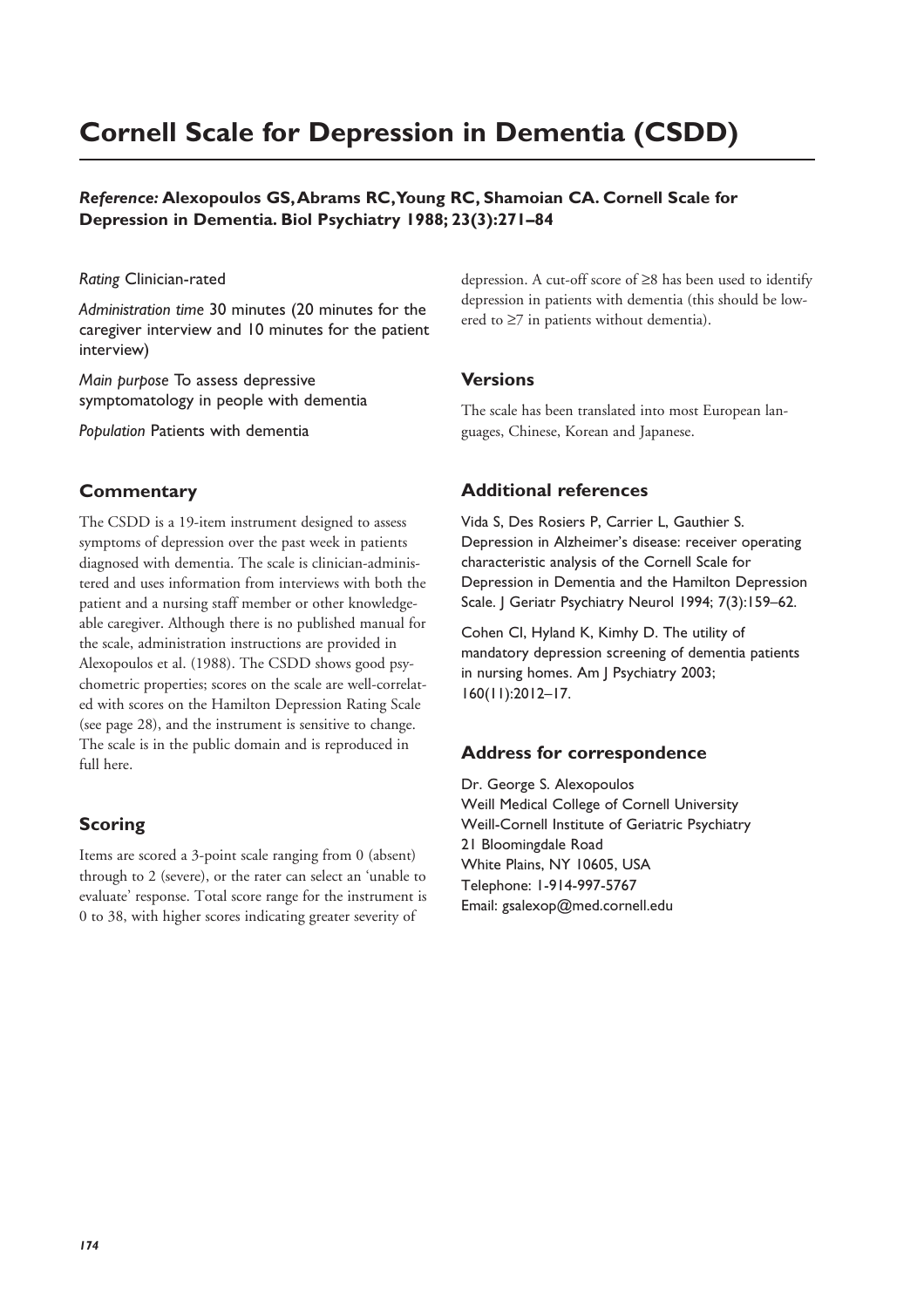## **Cornell Scale for Depression in Dementia (CSDD)**

#### *Reference:* **Alexopoulos GS,Abrams RC,Young RC, Shamoian CA. Cornell Scale for Depression in Dementia. Biol Psychiatry 1988; 23(3):271–84**

*Rating* Clinician-rated

*Administration time* 30 minutes (20 minutes for the caregiver interview and 10 minutes for the patient interview)

*Main purpose* To assess depressive symptomatology in people with dementia

*Population* Patients with dementia

#### **Commentary**

The CSDD is a 19-item instrument designed to assess symptoms of depression over the past week in patients diagnosed with dementia. The scale is clinician-administered and uses information from interviews with both the patient and a nursing staff member or other knowledgeable caregiver. Although there is no published manual for the scale, administration instructions are provided in Alexopoulos et al. (1988). The CSDD shows good psychometric properties; scores on the scale are well-correlated with scores on the Hamilton Depression Rating Scale (see page 28), and the instrument is sensitive to change. The scale is in the public domain and is reproduced in full here.

#### **Scoring**

Items are scored a 3-point scale ranging from 0 (absent) through to 2 (severe), or the rater can select an 'unable to evaluate' response. Total score range for the instrument is 0 to 38, with higher scores indicating greater severity of

depression. A cut-off score of ≥8 has been used to identify depression in patients with dementia (this should be lowered to ≥7 in patients without dementia).

#### **Versions**

The scale has been translated into most European languages, Chinese, Korean and Japanese.

#### **Additional references**

Vida S, Des Rosiers P, Carrier L, Gauthier S. Depression in Alzheimer's disease: receiver operating characteristic analysis of the Cornell Scale for Depression in Dementia and the Hamilton Depression Scale. J Geriatr Psychiatry Neurol 1994; 7(3):159-62.

Cohen CI, Hyland K, Kimhy D. The utility of mandatory depression screening of dementia patients in nursing homes. Am | Psychiatry 2003; 160(11):2012–17.

#### **Address for correspondence**

Dr. George S. Alexopoulos Weill Medical College of Cornell University Weill-Cornell Institute of Geriatric Psychiatry 21 Bloomingdale Road White Plains, NY 10605, USA Telephone: 1-914-997-5767 Email: gsalexop@med.cornell.edu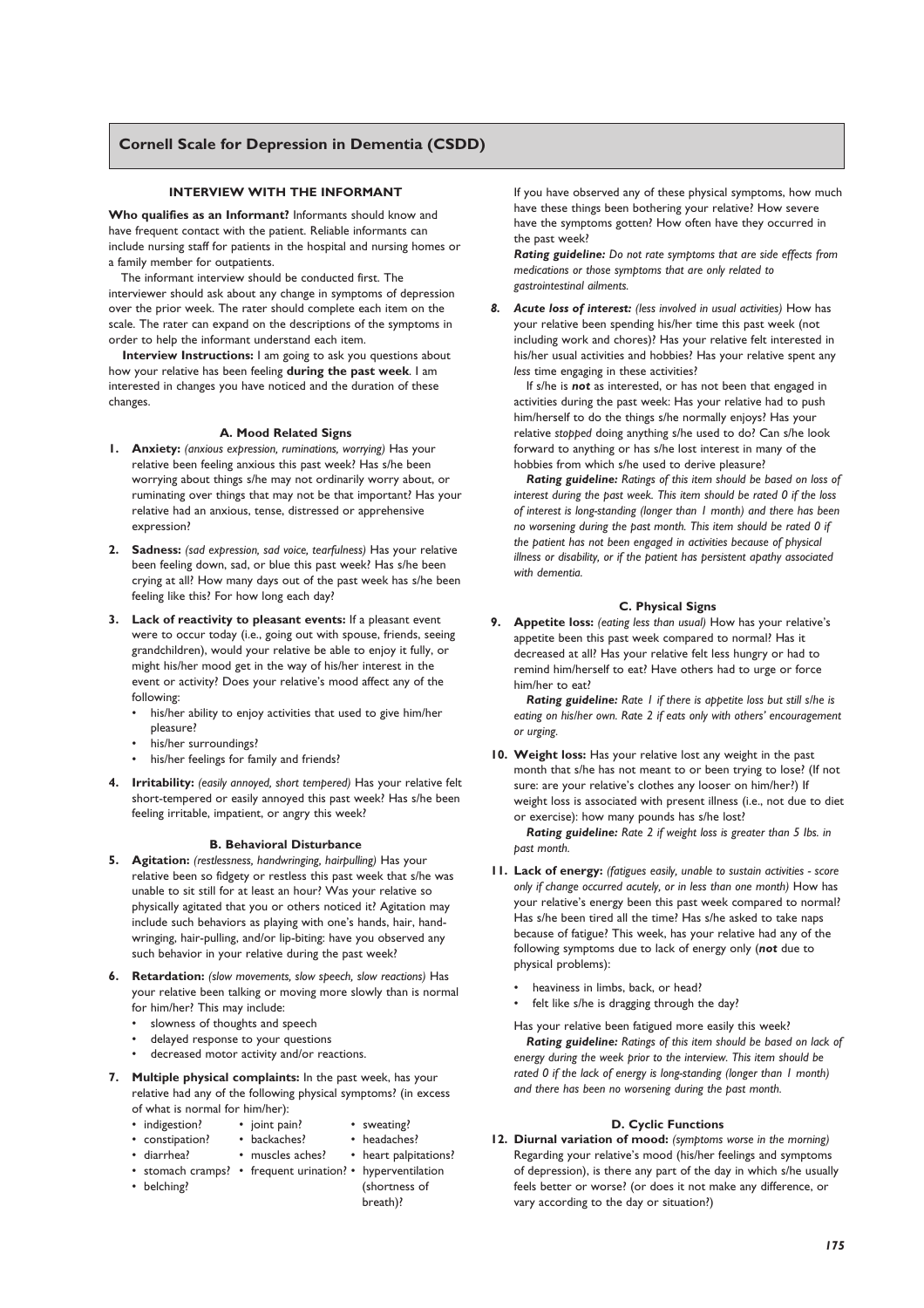#### **Cornell Scale for Depression in Dementia (CSDD)**

#### **INTERVIEW WITH THE INFORMANT**

**Who qualifies as an Informant?** Informants should know and have frequent contact with the patient. Reliable informants can include nursing staff for patients in the hospital and nursing homes or a family member for outpatients.

The informant interview should be conducted first. The interviewer should ask about any change in symptoms of depression over the prior week. The rater should complete each item on the scale. The rater can expand on the descriptions of the symptoms in order to help the informant understand each item.

**Interview Instructions:** I am going to ask you questions about how your relative has been feeling **during the past week**. I am interested in changes you have noticed and the duration of these changes.

#### **A. Mood Related Signs**

- **1. Anxiety:** *(anxious expression, ruminations, worrying)* Has your relative been feeling anxious this past week? Has s/he been worrying about things s/he may not ordinarily worry about, or ruminating over things that may not be that important? Has your relative had an anxious, tense, distressed or apprehensive expression?
- **2. Sadness:** *(sad expression, sad voice, tearfulness)* Has your relative been feeling down, sad, or blue this past week? Has s/he been crying at all? How many days out of the past week has s/he been feeling like this? For how long each day?
- **3. Lack of reactivity to pleasant events:** If a pleasant event were to occur today (i.e., going out with spouse, friends, seeing grandchildren), would your relative be able to enjoy it fully, or might his/her mood get in the way of his/her interest in the event or activity? Does your relative's mood affect any of the following:
	- his/her ability to enjoy activities that used to give him/her pleasure?
	- his/her surroundings?
	- his/her feelings for family and friends?
- **4. Irritability:** *(easily annoyed, short tempered)* Has your relative felt short-tempered or easily annoyed this past week? Has s/he been feeling irritable, impatient, or angry this week?

#### **B. Behavioral Disturbance**

- **5. Agitation:** *(restlessness, handwringing, hairpulling)* Has your relative been so fidgety or restless this past week that s/he was unable to sit still for at least an hour? Was your relative so physically agitated that you or others noticed it? Agitation may include such behaviors as playing with one's hands, hair, handwringing, hair-pulling, and/or lip-biting: have you observed any such behavior in your relative during the past week?
- **6. Retardation:** *(slow movements, slow speech, slow reactions)* Has your relative been talking or moving more slowly than is normal for him/her? This may include:
	- slowness of thoughts and speech
	- delayed response to your questions
	- decreased motor activity and/or reactions.
- **7. Multiple physical complaints:** In the past week, has your relative had any of the following physical symptoms? (in excess of what is normal for him/her):
	- indigestion? joint pain? sweating?<br>• constipation? backaches? headaches?
	- constipation? backaches?
		-
	- diarrhea? muscles aches? heart palpitations?
		-
	-
	- stomach cramps? frequent urination? hyperventilation • belching? (shortness of breath)?

If you have observed any of these physical symptoms, how much have these things been bothering your relative? How severe have the symptoms gotten? How often have they occurred in the past week?

*Rating guideline: Do not rate symptoms that are side effects from medications or those symptoms that are only related to gastrointestinal ailments.*

*8. Acute loss of interest: (less involved in usual activities)* How has your relative been spending his/her time this past week (not including work and chores)? Has your relative felt interested in his/her usual activities and hobbies? Has your relative spent any *less* time engaging in these activities?

If s/he is *not* as interested, or has not been that engaged in activities during the past week: Has your relative had to push him/herself to do the things s/he normally enjoys? Has your relative *stopped* doing anything s/he used to do? Can s/he look forward to anything or has s/he lost interest in many of the hobbies from which s/he used to derive pleasure?

*Rating guideline: Ratings of this item should be based on loss of interest during the past week. This item should be rated 0 if the loss of interest is long-standing (longer than 1 month) and there has been no worsening during the past month. This item should be rated 0 if the patient has not been engaged in activities because of physical illness or disability, or if the patient has persistent apathy associated with dementia.*

#### **C. Physical Signs**

**9. Appetite loss:** *(eating less than usual)* How has your relative's appetite been this past week compared to normal? Has it decreased at all? Has your relative felt less hungry or had to remind him/herself to eat? Have others had to urge or force him/her to eat?

*Rating guideline: Rate 1 if there is appetite loss but still s/he is eating on his/her own. Rate 2 if eats only with others' encouragement or urging.*

**10. Weight loss:** Has your relative lost any weight in the past month that s/he has not meant to or been trying to lose? (If not sure: are your relative's clothes any looser on him/her?) If weight loss is associated with present illness (i.e., not due to diet or exercise): how many pounds has s/he lost?

*Rating guideline: Rate 2 if weight loss is greater than 5 Ibs. in past month.*

- **11. Lack of energy:** *(fatigues easily, unable to sustain activities score only if change occurred acutely, or in less than one month)* How has your relative's energy been this past week compared to normal? Has s/he been tired all the time? Has s/he asked to take naps because of fatigue? This week, has your relative had any of the following symptoms due to lack of energy only (*not* due to physical problems):
	- heaviness in limbs, back, or head?
	- felt like s/he is dragging through the day?

Has your relative been fatigued more easily this week? *Rating guideline: Ratings of this item should be based on lack of energy during the week prior to the interview. This item should be rated 0 if the lack of energy is long-standing (longer than 1 month) and there has been no worsening during the past month.*

#### **D. Cyclic Functions**

**12. Diurnal variation of mood:** *(symptoms worse in the morning)* Regarding your relative's mood (his/her feelings and symptoms of depression), is there any part of the day in which s/he usually feels better or worse? (or does it not make any difference, or vary according to the day or situation?)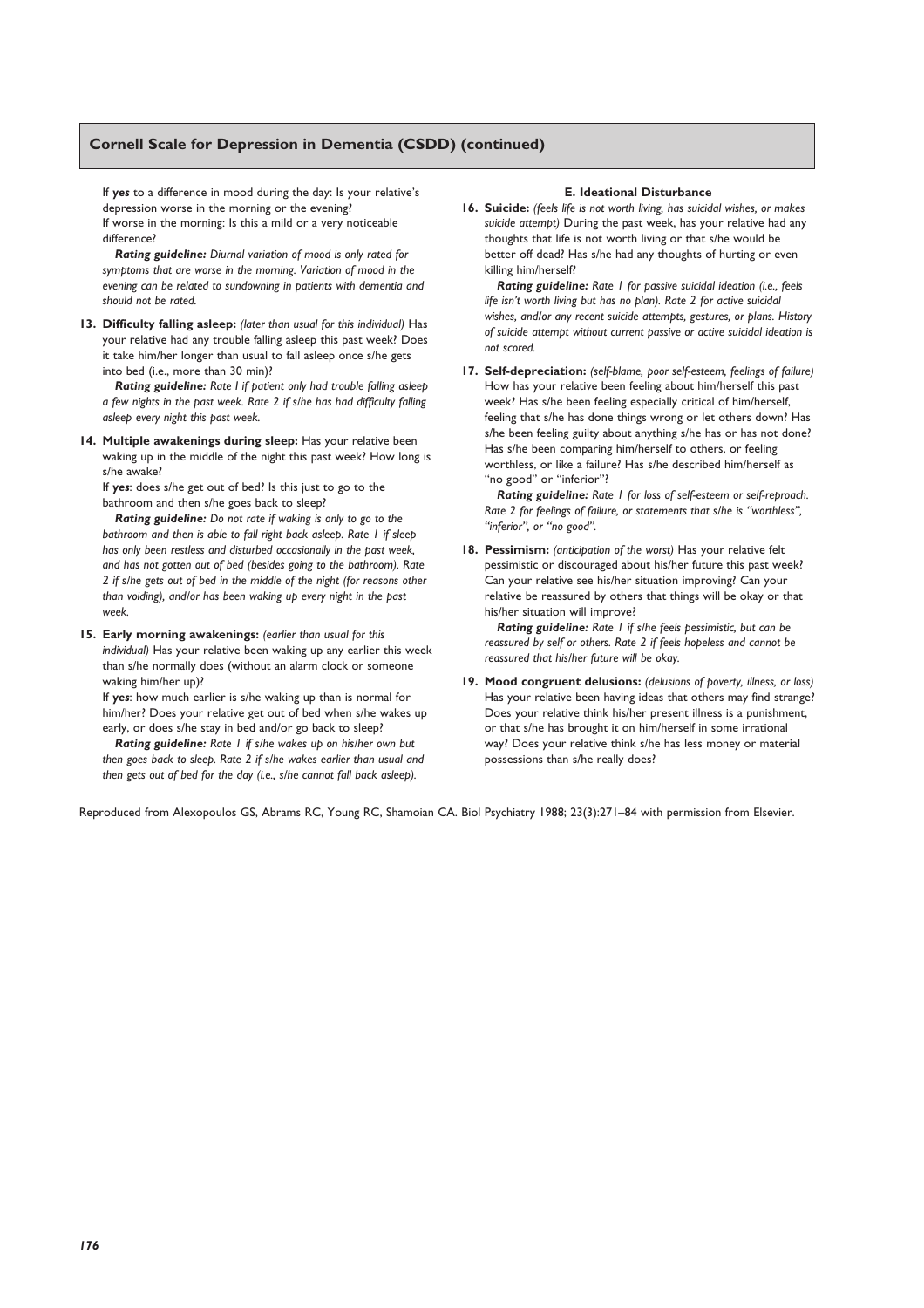#### **Cornell Scale for Depression in Dementia (CSDD) (continued)**

If *yes* to a difference in mood during the day: Is your relative's depression worse in the morning or the evening? If worse in the morning: Is this a mild or a very noticeable difference?

*Rating guideline: Diurnal variation of mood is only rated for symptoms that are worse in the morning. Variation of mood in the evening can be related to sundowning in patients with dementia and should not be rated.*

**13. Difficulty falling asleep:** *(later than usual for this individual)* Has your relative had any trouble falling asleep this past week? Does it take him/her longer than usual to fall asleep once s/he gets into bed (i.e., more than 30 min)?

*Rating guideline: Rate I if patient only had trouble falling asleep a few nights in the past week. Rate 2 if s/he has had difficulty falling asleep every night this past week.*

**14. Multiple awakenings during sleep:** Has your relative been waking up in the middle of the night this past week? How long is s/he awake?

If *yes*: does s/he get out of bed? Is this just to go to the bathroom and then s/he goes back to sleep?

*Rating guideline: Do not rate if waking is only to go to the bathroom and then is able to fall right back asleep. Rate 1 if sleep has only been restless and disturbed occasionally in the past week, and has not gotten out of bed (besides going to the bathroom). Rate 2 if s/he gets out of bed in the middle of the night (for reasons other than voiding), and/or has been waking up every night in the past week.*

**15. Early morning awakenings:** *(earlier than usual for this individual)* Has your relative been waking up any earlier this week than s/he normally does (without an alarm clock or someone waking him/her up)?

If *yes*: how much earlier is s/he waking up than is normal for him/her? Does your relative get out of bed when s/he wakes up early, or does s/he stay in bed and/or go back to sleep?

*Rating guideline: Rate 1 if s/he wakes up on his/her own but then goes back to sleep. Rate 2 if s/he wakes earlier than usual and then gets out of bed for the day (i.e., s/he cannot fall back asleep).*

#### **E. Ideational Disturbance**

**16. Suicide:** *(feels life is not worth living, has suicidal wishes, or makes suicide attempt)* During the past week, has your relative had any thoughts that life is not worth living or that s/he would be better off dead? Has s/he had any thoughts of hurting or even killing him/herself?

*Rating guideline: Rate 1 for passive suicidal ideation (i.e., feels life isn't worth living but has no plan). Rate 2 for active suicidal wishes, and/or any recent suicide attempts, gestures, or plans. History of suicide attempt without current passive or active suicidal ideation is not scored.*

**17. Self-depreciation:** *(self-blame, poor self-esteem, feelings of failure)* How has your relative been feeling about him/herself this past week? Has s/he been feeling especially critical of him/herself, feeling that s/he has done things wrong or let others down? Has s/he been feeling guilty about anything s/he has or has not done? Has s/he been comparing him/herself to others, or feeling worthless, or like a failure? Has s/he described him/herself as "no good" or "inferior"?

*Rating guideline: Rate 1 for loss of self-esteem or self-reproach. Rate 2 for feelings of failure, or statements that s/he is "worthless", "inferior", or "no good".*

**18. Pessimism:** *(anticipation of the worst)* Has your relative felt pessimistic or discouraged about his/her future this past week? Can your relative see his/her situation improving? Can your relative be reassured by others that things will be okay or that his/her situation will improve?

*Rating guideline: Rate 1 if s/he feels pessimistic, but can be reassured by self or others. Rate 2 if feels hopeless and cannot be reassured that his/her future will be okay.*

**19. Mood congruent delusions:** *(delusions of poverty, illness, or loss)* Has your relative been having ideas that others may find strange? Does your relative think his/her present illness is a punishment, or that s/he has brought it on him/herself in some irrational way? Does your relative think s/he has less money or material possessions than s/he really does?

Reproduced from Alexopoulos GS, Abrams RC, Young RC, Shamoian CA. Biol Psychiatry 1988; 23(3):271–84 with permission from Elsevier.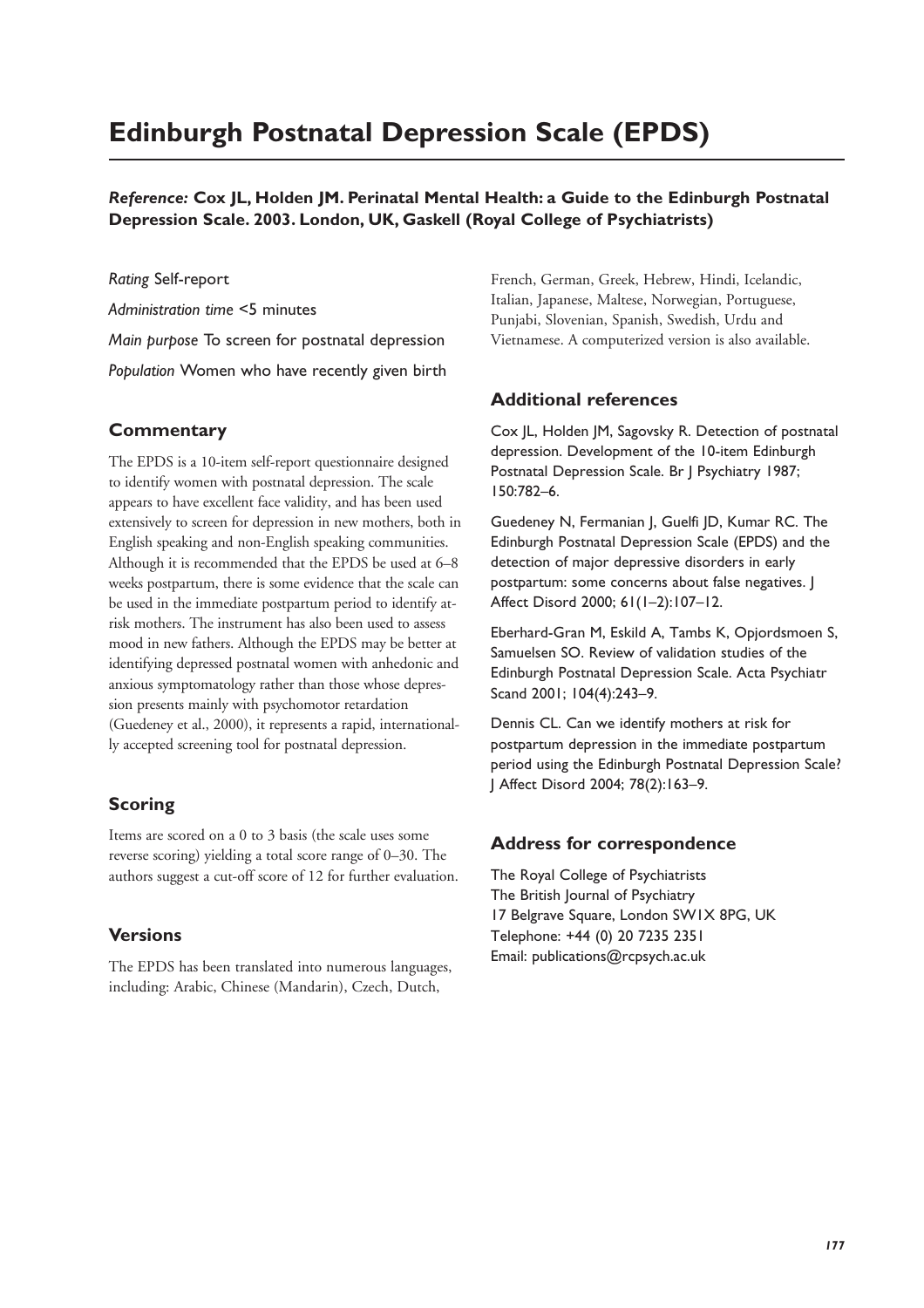## **Edinburgh Postnatal Depression Scale (EPDS)**

*Reference:* **Cox JL, Holden JM. Perinatal Mental Health: a Guide to the Edinburgh Postnatal Depression Scale. 2003. London, UK, Gaskell (Royal College of Psychiatrists)**

*Rating* Self-report *Administration time* <5 minutes *Main purpose* To screen for postnatal depression *Population* Women who have recently given birth

#### **Commentary**

The EPDS is a 10-item self-report questionnaire designed to identify women with postnatal depression. The scale appears to have excellent face validity, and has been used extensively to screen for depression in new mothers, both in English speaking and non-English speaking communities. Although it is recommended that the EPDS be used at 6–8 weeks postpartum, there is some evidence that the scale can be used in the immediate postpartum period to identify atrisk mothers. The instrument has also been used to assess mood in new fathers. Although the EPDS may be better at identifying depressed postnatal women with anhedonic and anxious symptomatology rather than those whose depression presents mainly with psychomotor retardation (Guedeney et al., 2000), it represents a rapid, internationally accepted screening tool for postnatal depression.

#### **Scoring**

Items are scored on a 0 to 3 basis (the scale uses some reverse scoring) yielding a total score range of 0–30. The authors suggest a cut-off score of 12 for further evaluation.

#### **Versions**

The EPDS has been translated into numerous languages, including: Arabic, Chinese (Mandarin), Czech, Dutch,

French, German, Greek, Hebrew, Hindi, Icelandic, Italian, Japanese, Maltese, Norwegian, Portuguese, Punjabi, Slovenian, Spanish, Swedish, Urdu and Vietnamese. A computerized version is also available.

#### **Additional references**

Cox JL, Holden JM, Sagovsky R. Detection of postnatal depression. Development of the 10-item Edinburgh Postnatal Depression Scale. Br | Psychiatry 1987; 150:782–6.

Guedeney N, Fermanian J, Guelfi JD, Kumar RC. The Edinburgh Postnatal Depression Scale (EPDS) and the detection of major depressive disorders in early postpartum: some concerns about false negatives. | Affect Disord 2000; 61(1–2):107–12.

Eberhard-Gran M, Eskild A, Tambs K, Opjordsmoen S, Samuelsen SO. Review of validation studies of the Edinburgh Postnatal Depression Scale. Acta Psychiatr Scand 2001; 104(4):243–9.

Dennis CL. Can we identify mothers at risk for postpartum depression in the immediate postpartum period using the Edinburgh Postnatal Depression Scale? J Affect Disord 2004; 78(2):163–9.

#### **Address for correspondence**

The Royal College of Psychiatrists The British Journal of Psychiatry 17 Belgrave Square, London SW1X 8PG, UK Telephone: +44 (0) 20 7235 2351 Email: publications@rcpsych.ac.uk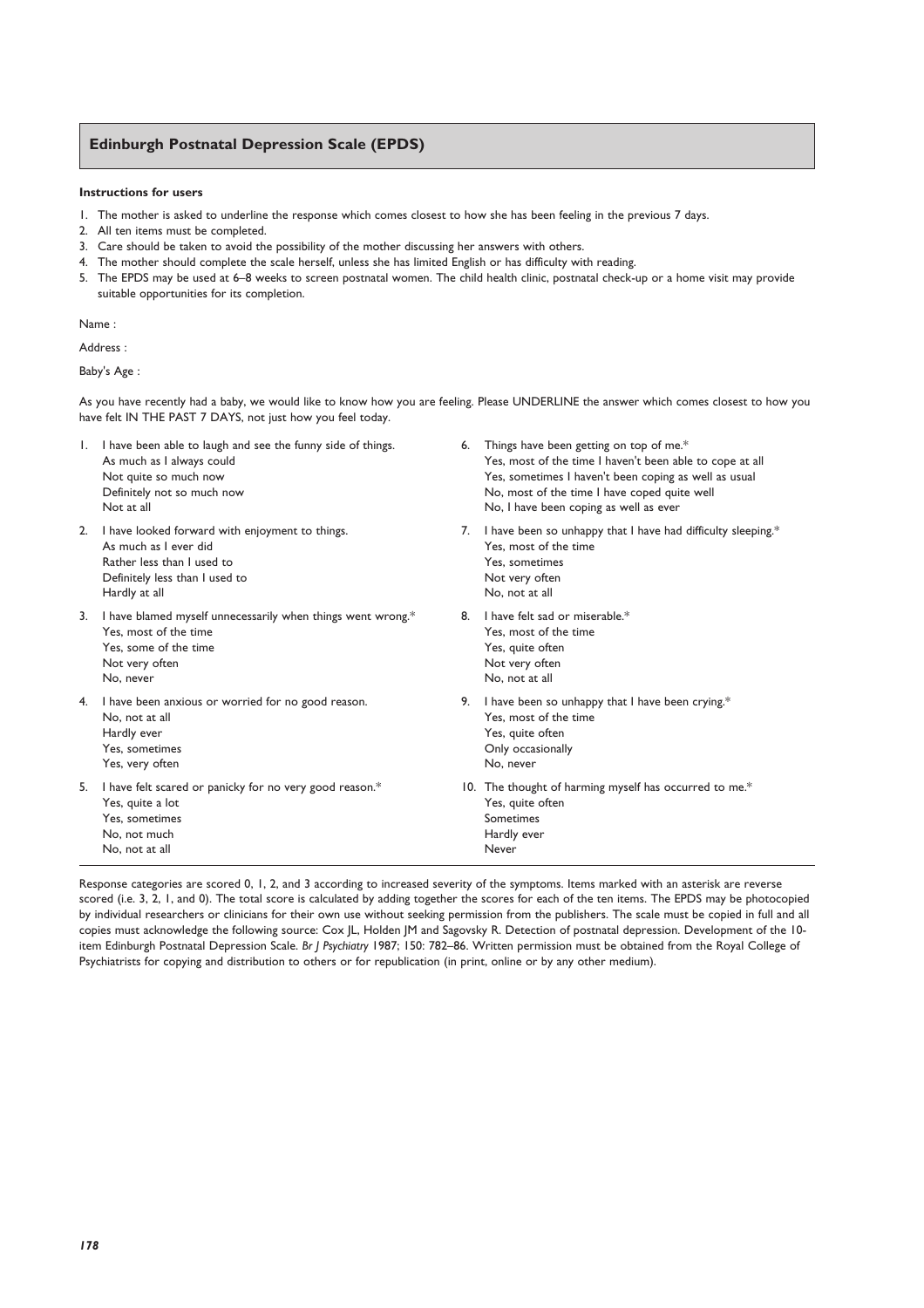#### **Edinburgh Postnatal Depression Scale (EPDS)**

#### **Instructions for users**

- 1. The mother is asked to underline the response which comes closest to how she has been feeling in the previous 7 days.
- 2. All ten items must be completed.
- 3. Care should be taken to avoid the possibility of the mother discussing her answers with others.
- 4. The mother should complete the scale herself, unless she has limited English or has difficulty with reading.
- 5. The EPDS may be used at 6–8 weeks to screen postnatal women. The child health clinic, postnatal check-up or a home visit may provide suitable opportunities for its completion.

Name :

Address :

Baby's Age :

As you have recently had a baby, we would like to know how you are feeling. Please UNDERLINE the answer which comes closest to how you have felt IN THE PAST 7 DAYS, not just how you feel today.

| Ι. | I have been able to laugh and see the funny side of things.<br>As much as I always could<br>Not quite so much now<br>Definitely not so much now<br>Not at all | 6. | Things have been getting on top of me.*<br>Yes, most of the time I haven't been able to cope at all<br>Yes, sometimes I haven't been coping as well as usual<br>No, most of the time I have coped quite well<br>No, I have been coping as well as ever |
|----|---------------------------------------------------------------------------------------------------------------------------------------------------------------|----|--------------------------------------------------------------------------------------------------------------------------------------------------------------------------------------------------------------------------------------------------------|
| 2. | I have looked forward with enjoyment to things.<br>As much as I ever did<br>Rather less than I used to<br>Definitely less than I used to<br>Hardly at all     | 7. | I have been so unhappy that I have had difficulty sleeping.*<br>Yes, most of the time<br>Yes, sometimes<br>Not very often<br>No, not at all                                                                                                            |
| 3. | I have blamed myself unnecessarily when things went wrong.*<br>Yes, most of the time<br>Yes, some of the time<br>Not very often<br>No, never                  | 8. | I have felt sad or miserable.*<br>Yes, most of the time<br>Yes, quite often<br>Not very often<br>No, not at all                                                                                                                                        |
| 4. | I have been anxious or worried for no good reason.<br>No, not at all<br>Hardly ever<br>Yes, sometimes<br>Yes, very often                                      | 9. | I have been so unhappy that I have been crying.*<br>Yes, most of the time<br>Yes, quite often<br>Only occasionally<br>No. never                                                                                                                        |
| 5. | I have felt scared or panicky for no very good reason.*<br>Yes, quite a lot<br>Yes, sometimes<br>No, not much<br>No, not at all                               |    | 10. The thought of harming myself has occurred to me.*<br>Yes, quite often<br>Sometimes<br>Hardly ever<br>Never                                                                                                                                        |

Response categories are scored 0, 1, 2, and 3 according to increased severity of the symptoms. Items marked with an asterisk are reverse scored (i.e. 3, 2, 1, and 0). The total score is calculated by adding together the scores for each of the ten items. The EPDS may be photocopied by individual researchers or clinicians for their own use without seeking permission from the publishers. The scale must be copied in full and all copies must acknowledge the following source: Cox JL, Holden JM and Sagovsky R. Detection of postnatal depression. Development of the 10 item Edinburgh Postnatal Depression Scale. *Br J Psychiatry* 1987; 150: 782–86. Written permission must be obtained from the Royal College of Psychiatrists for copying and distribution to others or for republication (in print, online or by any other medium).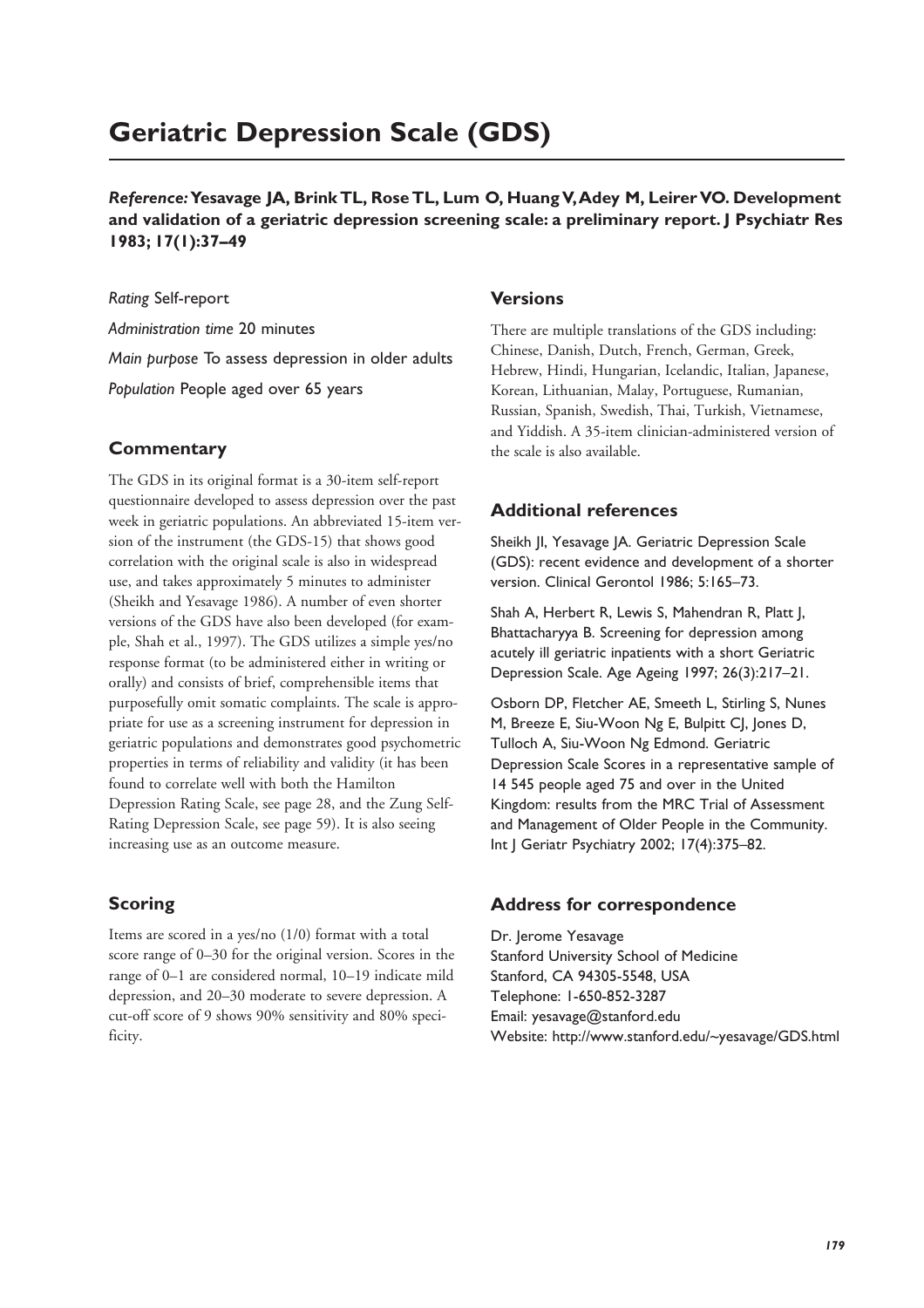## **Geriatric Depression Scale (GDS)**

*Reference:***Yesavage JA, Brink TL, Rose TL, Lum O, Huang V,Adey M, Leirer VO. Development and validation of a geriatric depression screening scale: a preliminary report. J Psychiatr Res 1983; 17(1):37–49**

*Rating* Self-report

*Administration time* 20 minutes

*Main purpose* To assess depression in older adults

*Population* People aged over 65 years

#### **Commentary**

The GDS in its original format is a 30-item self-report questionnaire developed to assess depression over the past week in geriatric populations. An abbreviated 15-item version of the instrument (the GDS-15) that shows good correlation with the original scale is also in widespread use, and takes approximately 5 minutes to administer (Sheikh and Yesavage 1986). A number of even shorter versions of the GDS have also been developed (for example, Shah et al., 1997). The GDS utilizes a simple yes/no response format (to be administered either in writing or orally) and consists of brief, comprehensible items that purposefully omit somatic complaints. The scale is appropriate for use as a screening instrument for depression in geriatric populations and demonstrates good psychometric properties in terms of reliability and validity (it has been found to correlate well with both the Hamilton Depression Rating Scale, see page 28, and the Zung Self-Rating Depression Scale, see page 59). It is also seeing increasing use as an outcome measure.

#### **Scoring**

Items are scored in a yes/no (1/0) format with a total score range of 0–30 for the original version. Scores in the range of 0–1 are considered normal, 10–19 indicate mild depression, and 20–30 moderate to severe depression. A cut-off score of 9 shows 90% sensitivity and 80% specificity.

#### **Versions**

There are multiple translations of the GDS including: Chinese, Danish, Dutch, French, German, Greek, Hebrew, Hindi, Hungarian, Icelandic, Italian, Japanese, Korean, Lithuanian, Malay, Portuguese, Rumanian, Russian, Spanish, Swedish, Thai, Turkish, Vietnamese, and Yiddish. A 35-item clinician-administered version of the scale is also available.

#### **Additional references**

Sheikh JI, Yesavage JA. Geriatric Depression Scale (GDS): recent evidence and development of a shorter version. Clinical Gerontol 1986; 5:165–73.

Shah A, Herbert R, Lewis S, Mahendran R, Platt J, Bhattacharyya B. Screening for depression among acutely ill geriatric inpatients with a short Geriatric Depression Scale. Age Ageing 1997; 26(3):217–21.

Osborn DP, Fletcher AE, Smeeth L, Stirling S, Nunes M, Breeze E, Siu-Woon Ng E, Bulpitt CJ, Jones D, Tulloch A, Siu-Woon Ng Edmond. Geriatric Depression Scale Scores in a representative sample of 14 545 people aged 75 and over in the United Kingdom: results from the MRC Trial of Assessment and Management of Older People in the Community. Int J Geriatr Psychiatry 2002; 17(4):375–82.

#### **Address for correspondence**

Dr. Jerome Yesavage Stanford University School of Medicine Stanford, CA 94305-5548, USA Telephone: 1-650-852-3287 Email: yesavage@stanford.edu Website: http://www.stanford.edu/~yesavage/GDS.html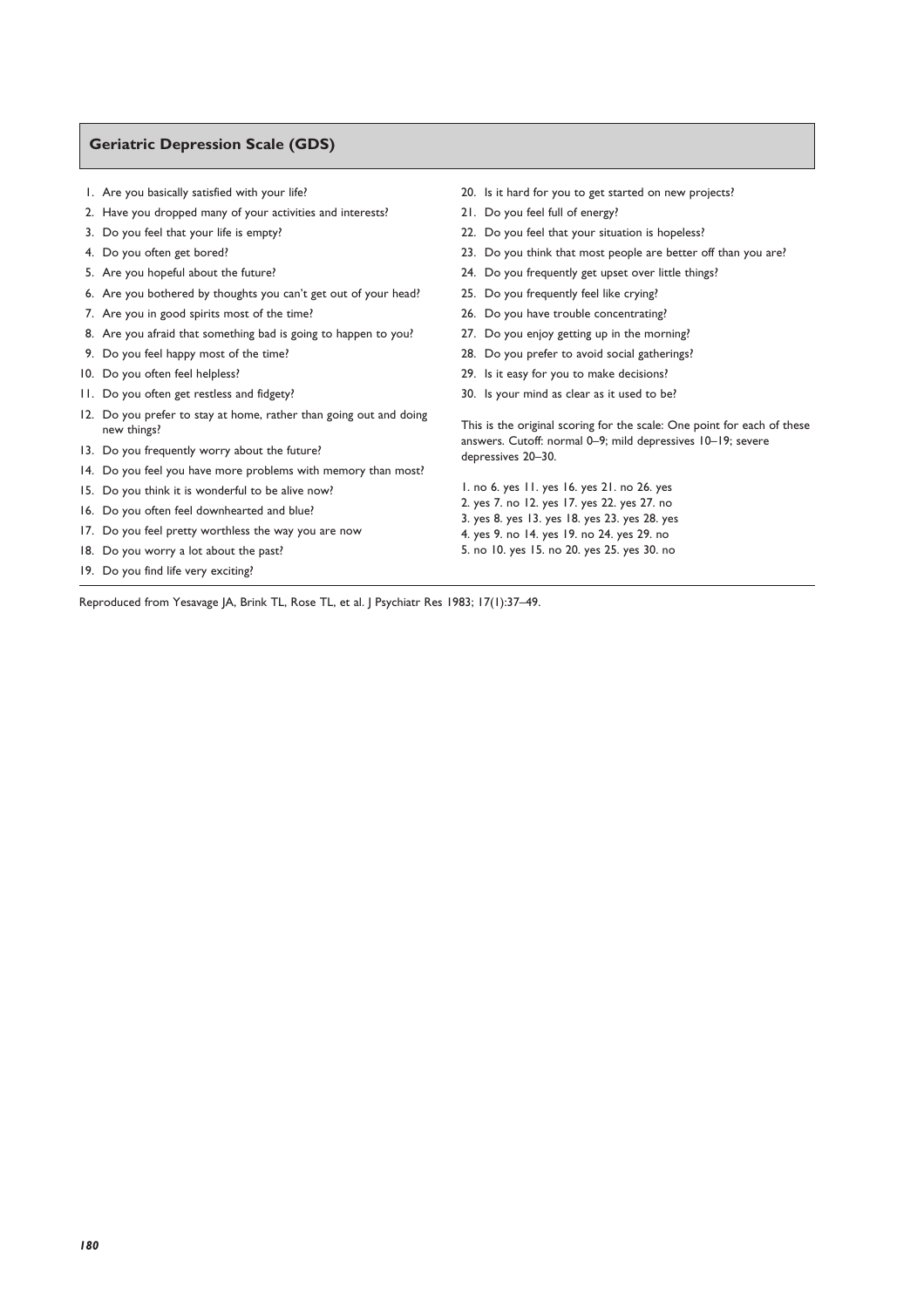#### **Geriatric Depression Scale (GDS)**

- 1. Are you basically satisfied with your life?
- 2. Have you dropped many of your activities and interests?
- 3. Do you feel that your life is empty?
- 4. Do you often get bored?
- 5. Are you hopeful about the future?
- 6. Are you bothered by thoughts you can't get out of your head?
- 7. Are you in good spirits most of the time?
- 8. Are you afraid that something bad is going to happen to you?
- 9. Do you feel happy most of the time?
- 10. Do you often feel helpless?
- 11. Do you often get restless and fidgety?
- 12. Do you prefer to stay at home, rather than going out and doing new things?
- 13. Do you frequently worry about the future?
- 14. Do you feel you have more problems with memory than most?
- 15. Do you think it is wonderful to be alive now?
- 16. Do you often feel downhearted and blue?
- 17. Do you feel pretty worthless the way you are now
- 18. Do you worry a lot about the past?
- 19. Do you find life very exciting?
- 20. Is it hard for you to get started on new projects?
- 21. Do you feel full of energy?
- 22. Do you feel that your situation is hopeless?
- 23. Do you think that most people are better off than you are?
- 24. Do you frequently get upset over little things?
- 25. Do you frequently feel like crying?
- 26. Do you have trouble concentrating?
- 27. Do you enjoy getting up in the morning?
- 28. Do you prefer to avoid social gatherings?
- 29. Is it easy for you to make decisions?
- 30. Is your mind as clear as it used to be?

This is the original scoring for the scale: One point for each of these answers. Cutoff: normal 0–9; mild depressives 10–19; severe depressives 20–30.

1. no 6. yes 11. yes 16. yes 21. no 26. yes 2. yes 7. no 12. yes 17. yes 22. yes 27. no 3. yes 8. yes 13. yes 18. yes 23. yes 28. yes 4. yes 9. no 14. yes 19. no 24. yes 29. no 5. no 10. yes 15. no 20. yes 25. yes 30. no

Reproduced from Yesavage JA, Brink TL, Rose TL, et al. J Psychiatr Res 1983; 17(1):37–49.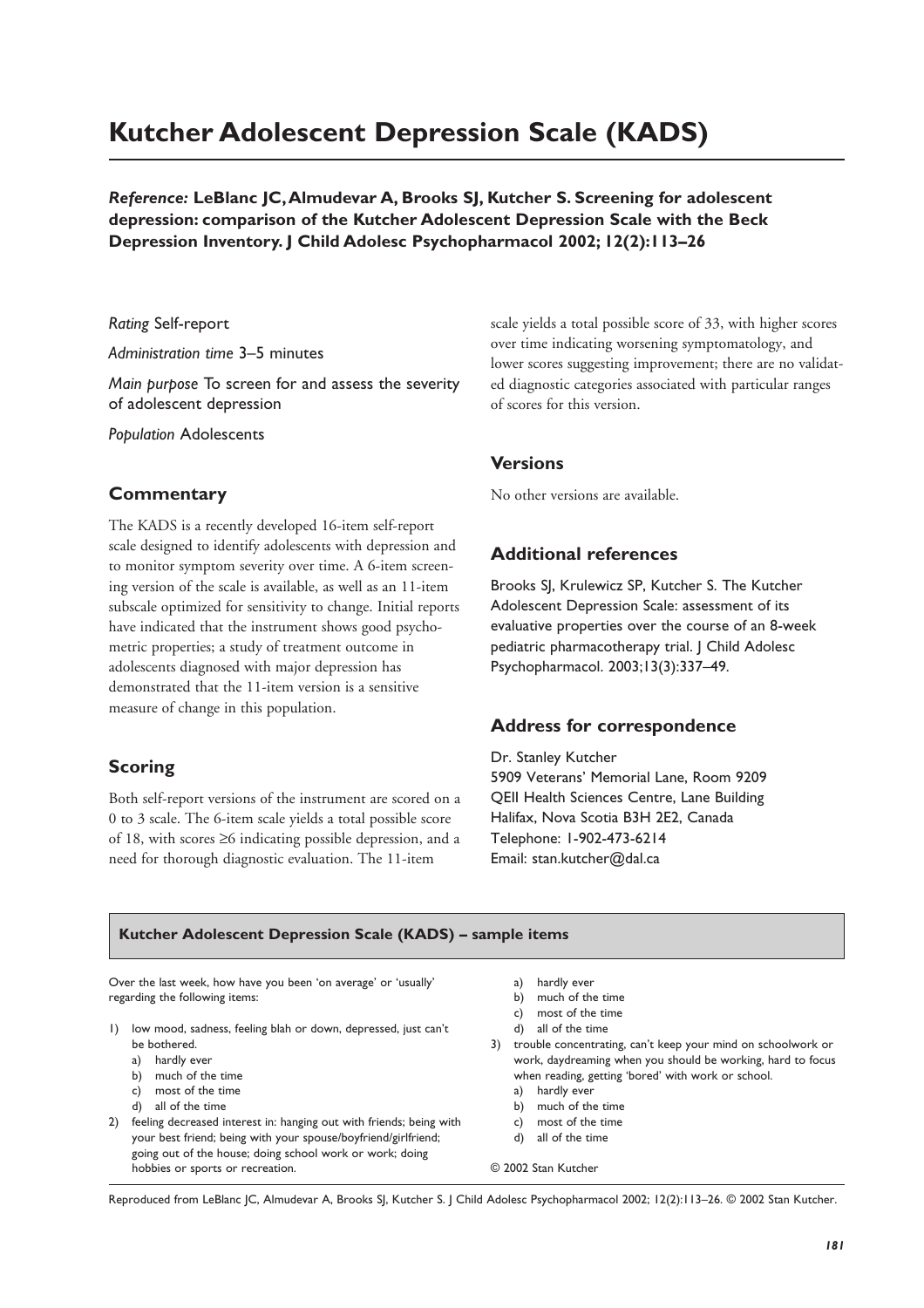## **Kutcher Adolescent Depression Scale (KADS)**

*Reference:* **LeBlanc JC,Almudevar A, Brooks SJ, Kutcher S. Screening for adolescent depression: comparison of the Kutcher Adolescent Depression Scale with the Beck Depression Inventory. J Child Adolesc Psychopharmacol 2002; 12(2):113–26**

#### *Rating* Self-report

*Administration time* 3–5 minutes

*Main purpose* To screen for and assess the severity of adolescent depression

*Population* Adolescents

#### **Commentary**

The KADS is a recently developed 16-item self-report scale designed to identify adolescents with depression and to monitor symptom severity over time. A 6-item screening version of the scale is available, as well as an 11-item subscale optimized for sensitivity to change. Initial reports have indicated that the instrument shows good psychometric properties; a study of treatment outcome in adolescents diagnosed with major depression has demonstrated that the 11-item version is a sensitive measure of change in this population.

#### **Scoring**

Both self-report versions of the instrument are scored on a 0 to 3 scale. The 6-item scale yields a total possible score of 18, with scores ≥6 indicating possible depression, and a need for thorough diagnostic evaluation. The 11-item

scale yields a total possible score of 33, with higher scores over time indicating worsening symptomatology, and lower scores suggesting improvement; there are no validated diagnostic categories associated with particular ranges of scores for this version.

#### **Versions**

No other versions are available.

#### **Additional references**

Brooks SJ, Krulewicz SP, Kutcher S. The Kutcher Adolescent Depression Scale: assessment of its evaluative properties over the course of an 8-week pediatric pharmacotherapy trial. | Child Adolesc Psychopharmacol. 2003;13(3):337–49.

#### **Address for correspondence**

Dr. Stanley Kutcher 5909 Veterans' Memorial Lane, Room 9209 QEII Health Sciences Centre, Lane Building Halifax, Nova Scotia B3H 2E2, Canada Telephone: 1-902-473-6214 Email: stan.kutcher@dal.ca

#### **Kutcher Adolescent Depression Scale (KADS) – sample items**

Over the last week, how have you been 'on average' or 'usually' regarding the following items:

- 1) low mood, sadness, feeling blah or down, depressed, just can't be bothered.
	- a) hardly ever
	- b) much of the time
	- c) most of the time
	- d) all of the time
- 2) feeling decreased interest in: hanging out with friends; being with your best friend; being with your spouse/boyfriend/girlfriend; going out of the house; doing school work or work; doing hobbies or sports or recreation.
- a) hardly ever
- b) much of the time
- c) most of the time
- d) all of the time
- 3) trouble concentrating, can't keep your mind on schoolwork or work, daydreaming when you should be working, hard to focus when reading, getting 'bored' with work or school.
	- a) hardly ever
	- b) much of the time
	- c) most of the time
	- d) all of the time
- © 2002 Stan Kutcher

Reproduced from LeBlanc JC, Almudevar A, Brooks SJ, Kutcher S. J Child Adolesc Psychopharmacol 2002; 12(2):113–26. © 2002 Stan Kutcher.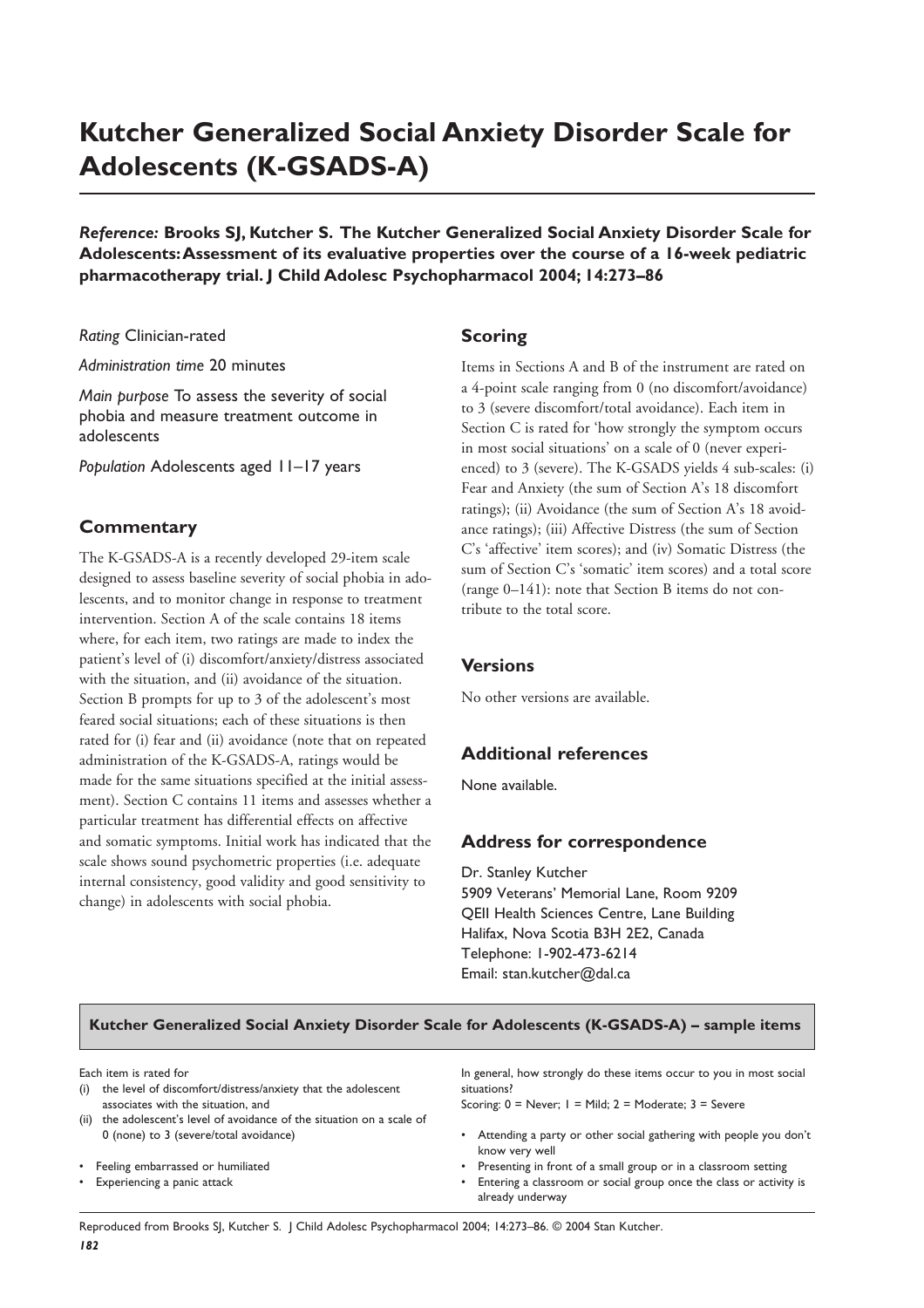## **Kutcher Generalized Social Anxiety Disorder Scale for Adolescents (K-GSADS-A)**

*Reference:* **Brooks SJ, Kutcher S. The Kutcher Generalized Social Anxiety Disorder Scale for Adolescents:Assessment of its evaluative properties over the course of a 16-week pediatric pharmacotherapy trial. J Child Adolesc Psychopharmacol 2004; 14:273–86**

*Rating* Clinician-rated

*Administration time* 20 minutes

*Main purpose* To assess the severity of social phobia and measure treatment outcome in adolescents

*Population* Adolescents aged 11–17 years

#### **Commentary**

The K-GSADS-A is a recently developed 29-item scale designed to assess baseline severity of social phobia in adolescents, and to monitor change in response to treatment intervention. Section A of the scale contains 18 items where, for each item, two ratings are made to index the patient's level of (i) discomfort/anxiety/distress associated with the situation, and (ii) avoidance of the situation. Section B prompts for up to 3 of the adolescent's most feared social situations; each of these situations is then rated for (i) fear and (ii) avoidance (note that on repeated administration of the K-GSADS-A, ratings would be made for the same situations specified at the initial assessment). Section C contains 11 items and assesses whether a particular treatment has differential effects on affective and somatic symptoms. Initial work has indicated that the scale shows sound psychometric properties (i.e. adequate internal consistency, good validity and good sensitivity to change) in adolescents with social phobia.

#### **Scoring**

Items in Sections A and B of the instrument are rated on a 4-point scale ranging from 0 (no discomfort/avoidance) to 3 (severe discomfort/total avoidance). Each item in Section C is rated for 'how strongly the symptom occurs in most social situations' on a scale of 0 (never experienced) to 3 (severe). The K-GSADS yields 4 sub-scales: (i) Fear and Anxiety (the sum of Section A's 18 discomfort ratings); (ii) Avoidance (the sum of Section A's 18 avoidance ratings); (iii) Affective Distress (the sum of Section C's 'affective' item scores); and (iv) Somatic Distress (the sum of Section C's 'somatic' item scores) and a total score (range 0–141): note that Section B items do not contribute to the total score.

#### **Versions**

No other versions are available.

#### **Additional references**

None available.

#### **Address for correspondence**

Dr. Stanley Kutcher 5909 Veterans' Memorial Lane, Room 9209 QEII Health Sciences Centre, Lane Building Halifax, Nova Scotia B3H 2E2, Canada Telephone: 1-902-473-6214 Email: stan.kutcher@dal.ca

#### **Kutcher Generalized Social Anxiety Disorder Scale for Adolescents (K-GSADS-A) – sample items**

Each item is rated for

- (i) the level of discomfort/distress/anxiety that the adolescent associates with the situation, and
- (ii) the adolescent's level of avoidance of the situation on a scale of 0 (none) to 3 (severe/total avoidance)
- Feeling embarrassed or humiliated
- Experiencing a panic attack

In general, how strongly do these items occur to you in most social situations?

Scoring:  $0 =$  Never;  $1 =$  Mild;  $2 =$  Moderate;  $3 =$  Severe

- Attending a party or other social gathering with people you don't know very well
- Presenting in front of a small group or in a classroom setting
- Entering a classroom or social group once the class or activity is already underway

*182* Reproduced from Brooks SJ, Kutcher S. J Child Adolesc Psychopharmacol 2004; 14:273–86. © 2004 Stan Kutcher.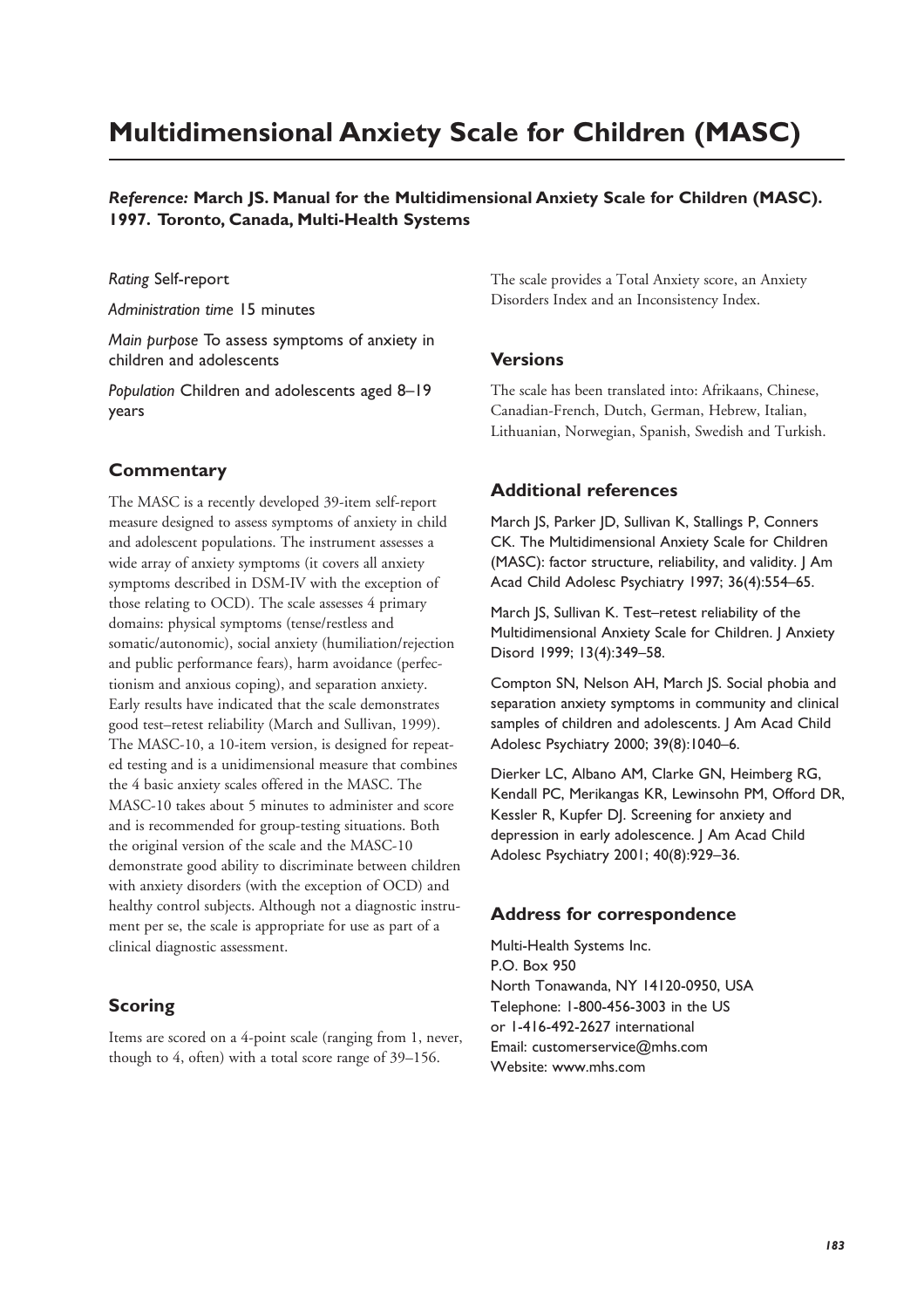## **Multidimensional Anxiety Scale for Children (MASC)**

*Reference:* **March JS. Manual for the Multidimensional Anxiety Scale for Children (MASC). 1997. Toronto, Canada, Multi-Health Systems**

#### *Rating* Self-report

*Administration time* 15 minutes

*Main purpose* To assess symptoms of anxiety in children and adolescents

*Population* Children and adolescents aged 8–19 years

#### **Commentary**

The MASC is a recently developed 39-item self-report measure designed to assess symptoms of anxiety in child and adolescent populations. The instrument assesses a wide array of anxiety symptoms (it covers all anxiety symptoms described in DSM-IV with the exception of those relating to OCD). The scale assesses 4 primary domains: physical symptoms (tense/restless and somatic/autonomic), social anxiety (humiliation/rejection and public performance fears), harm avoidance (perfectionism and anxious coping), and separation anxiety. Early results have indicated that the scale demonstrates good test–retest reliability (March and Sullivan, 1999). The MASC-10, a 10-item version, is designed for repeated testing and is a unidimensional measure that combines the 4 basic anxiety scales offered in the MASC. The MASC-10 takes about 5 minutes to administer and score and is recommended for group-testing situations. Both the original version of the scale and the MASC-10 demonstrate good ability to discriminate between children with anxiety disorders (with the exception of OCD) and healthy control subjects. Although not a diagnostic instrument per se, the scale is appropriate for use as part of a clinical diagnostic assessment.

#### **Scoring**

Items are scored on a 4-point scale (ranging from 1, never, though to 4, often) with a total score range of 39–156.

The scale provides a Total Anxiety score, an Anxiety Disorders Index and an Inconsistency Index.

#### **Versions**

The scale has been translated into: Afrikaans, Chinese, Canadian-French, Dutch, German, Hebrew, Italian, Lithuanian, Norwegian, Spanish, Swedish and Turkish.

#### **Additional references**

March JS, Parker JD, Sullivan K, Stallings P, Conners CK. The Multidimensional Anxiety Scale for Children (MASC): factor structure, reliability, and validity. J Am Acad Child Adolesc Psychiatry 1997; 36(4):554–65.

March JS, Sullivan K. Test–retest reliability of the Multidimensional Anxiety Scale for Children. J Anxiety Disord 1999; 13(4):349–58.

Compton SN, Nelson AH, March JS. Social phobia and separation anxiety symptoms in community and clinical samples of children and adolescents. J Am Acad Child Adolesc Psychiatry 2000; 39(8):1040–6.

Dierker LC, Albano AM, Clarke GN, Heimberg RG, Kendall PC, Merikangas KR, Lewinsohn PM, Offord DR, Kessler R, Kupfer DJ. Screening for anxiety and depression in early adolescence. J Am Acad Child Adolesc Psychiatry 2001; 40(8):929–36.

#### **Address for correspondence**

Multi-Health Systems Inc. P.O. Box 950 North Tonawanda, NY 14120-0950, USA Telephone: 1-800-456-3003 in the US or 1-416-492-2627 international Email: customerservice@mhs.com Website: www.mhs.com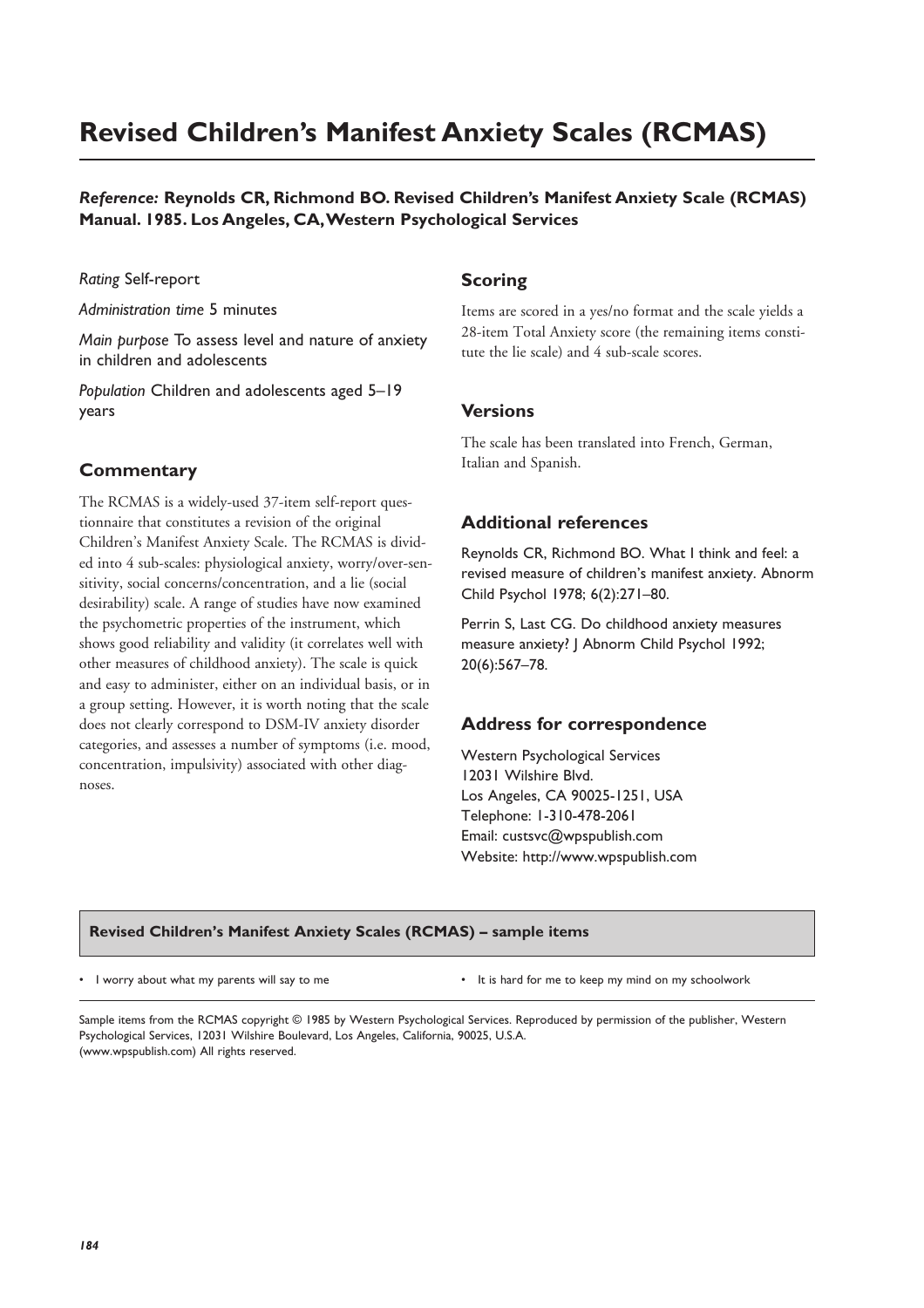## **Revised Children's Manifest Anxiety Scales (RCMAS)**

*Reference:* **Reynolds CR, Richmond BO. Revised Children's Manifest Anxiety Scale (RCMAS) Manual. 1985. Los Angeles, CA,Western Psychological Services**

*Rating* Self-report

*Administration time* 5 minutes

*Main purpose* To assess level and nature of anxiety in children and adolescents

*Population* Children and adolescents aged 5–19 years

#### **Commentary**

The RCMAS is a widely-used 37-item self-report questionnaire that constitutes a revision of the original Children's Manifest Anxiety Scale. The RCMAS is divided into 4 sub-scales: physiological anxiety, worry/over-sensitivity, social concerns/concentration, and a lie (social desirability) scale. A range of studies have now examined the psychometric properties of the instrument, which shows good reliability and validity (it correlates well with other measures of childhood anxiety). The scale is quick and easy to administer, either on an individual basis, or in a group setting. However, it is worth noting that the scale does not clearly correspond to DSM-IV anxiety disorder categories, and assesses a number of symptoms (i.e. mood, concentration, impulsivity) associated with other diagnoses.

#### **Scoring**

Items are scored in a yes/no format and the scale yields a 28-item Total Anxiety score (the remaining items constitute the lie scale) and 4 sub-scale scores.

#### **Versions**

The scale has been translated into French, German, Italian and Spanish.

#### **Additional references**

Reynolds CR, Richmond BO. What I think and feel: a revised measure of children's manifest anxiety. Abnorm Child Psychol 1978; 6(2):271–80.

Perrin S, Last CG. Do childhood anxiety measures measure anxiety? | Abnorm Child Psychol 1992; 20(6):567–78.

#### **Address for correspondence**

Western Psychological Services 12031 Wilshire Blvd. Los Angeles, CA 90025-1251, USA Telephone: 1-310-478-2061 Email: custsvc@wpspublish.com Website: http://www.wpspublish.com

#### **Revised Children's Manifest Anxiety Scales (RCMAS) – sample items**

• I worry about what my parents will say to me **• If is hard for me to keep my mind on my schoolwor**k

Sample items from the RCMAS copyright © 1985 by Western Psychological Services. Reproduced by permission of the publisher, Western Psychological Services, 12031 Wilshire Boulevard, Los Angeles, California, 90025, U.S.A. (www.wpspublish.com) All rights reserved.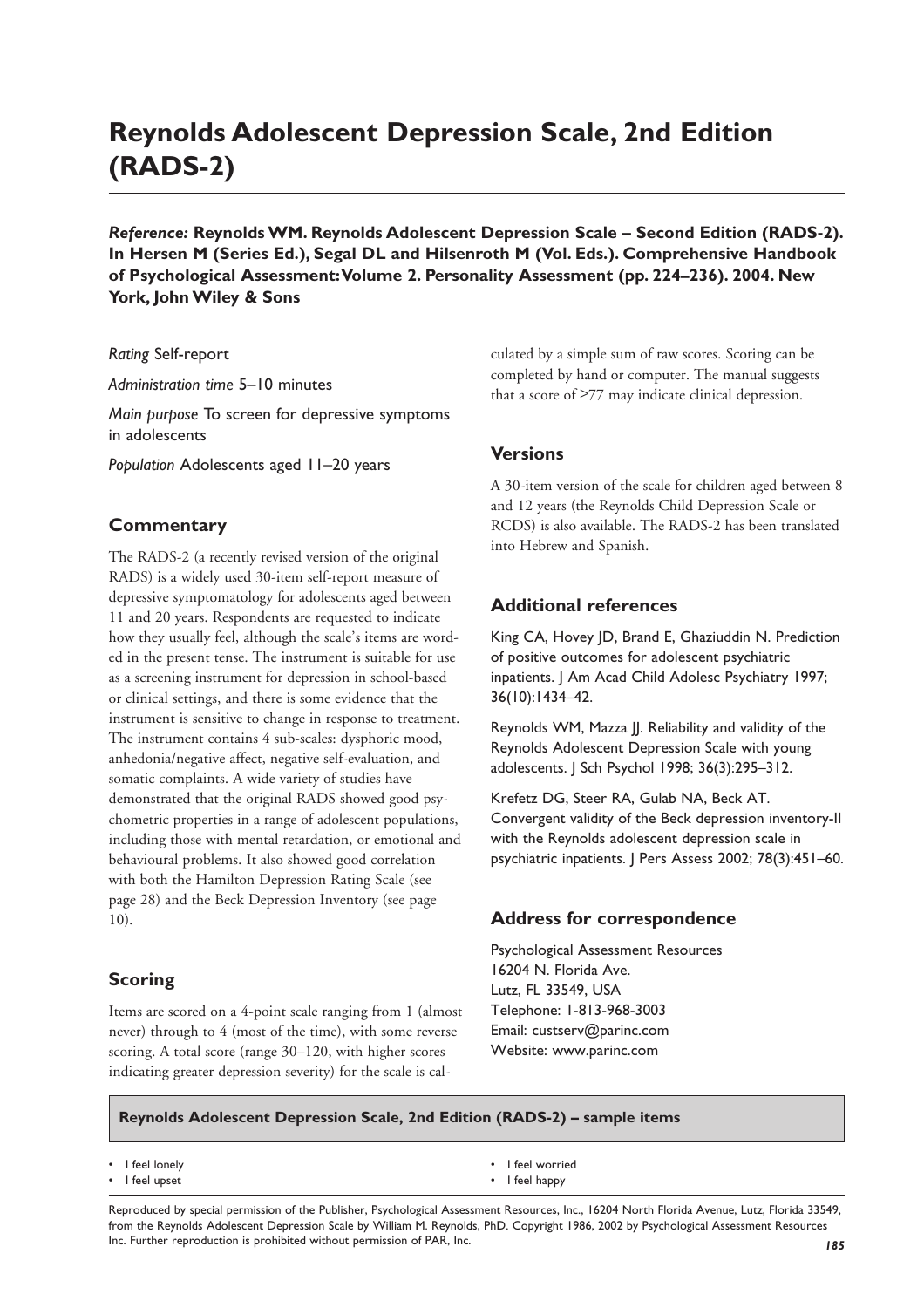## **Reynolds Adolescent Depression Scale, 2nd Edition (RADS-2)**

*Reference:* **Reynolds WM. Reynolds Adolescent Depression Scale – Second Edition (RADS-2). In Hersen M (Series Ed.), Segal DL and Hilsenroth M (Vol. Eds.). Comprehensive Handbook of Psychological Assessment:Volume 2. Personality Assessment (pp. 224–236). 2004. New York, John Wiley & Sons**

*Rating* Self-report

*Administration time* 5–10 minutes

*Main purpose* To screen for depressive symptoms in adolescents

*Population* Adolescents aged 11–20 years

#### **Commentary**

The RADS-2 (a recently revised version of the original RADS) is a widely used 30-item self-report measure of depressive symptomatology for adolescents aged between 11 and 20 years. Respondents are requested to indicate how they usually feel, although the scale's items are worded in the present tense. The instrument is suitable for use as a screening instrument for depression in school-based or clinical settings, and there is some evidence that the instrument is sensitive to change in response to treatment. The instrument contains 4 sub-scales: dysphoric mood, anhedonia/negative affect, negative self-evaluation, and somatic complaints. A wide variety of studies have demonstrated that the original RADS showed good psychometric properties in a range of adolescent populations, including those with mental retardation, or emotional and behavioural problems. It also showed good correlation with both the Hamilton Depression Rating Scale (see page 28) and the Beck Depression Inventory (see page 10).

#### **Scoring**

Items are scored on a 4-point scale ranging from 1 (almost never) through to 4 (most of the time), with some reverse scoring. A total score (range 30–120, with higher scores indicating greater depression severity) for the scale is calculated by a simple sum of raw scores. Scoring can be completed by hand or computer. The manual suggests that a score of ≥77 may indicate clinical depression.

#### **Versions**

A 30-item version of the scale for children aged between 8 and 12 years (the Reynolds Child Depression Scale or RCDS) is also available. The RADS-2 has been translated into Hebrew and Spanish.

#### **Additional references**

King CA, Hovey JD, Brand E, Ghaziuddin N. Prediction of positive outcomes for adolescent psychiatric inpatients. J Am Acad Child Adolesc Psychiatry 1997; 36(10):1434–42.

Reynolds WM, Mazza JJ. Reliability and validity of the Reynolds Adolescent Depression Scale with young adolescents. J Sch Psychol 1998; 36(3):295–312.

Krefetz DG, Steer RA, Gulab NA, Beck AT. Convergent validity of the Beck depression inventory-II with the Reynolds adolescent depression scale in psychiatric inpatients. J Pers Assess 2002; 78(3):451–60.

#### **Address for correspondence**

Psychological Assessment Resources 16204 N. Florida Ave. Lutz, FL 33549, USA Telephone: 1-813-968-3003 Email: custserv@parinc.com Website: www.parinc.com

#### **Reynolds Adolescent Depression Scale, 2nd Edition (RADS-2) – sample items**

- I feel lonely
- I feel upset
- I feel worried
- I feel happy

*185* Reproduced by special permission of the Publisher, Psychological Assessment Resources, Inc., 16204 North Florida Avenue, Lutz, Florida 33549, from the Reynolds Adolescent Depression Scale by William M. Reynolds, PhD. Copyright 1986, 2002 by Psychological Assessment Resources Inc. Further reproduction is prohibited without permission of PAR, Inc.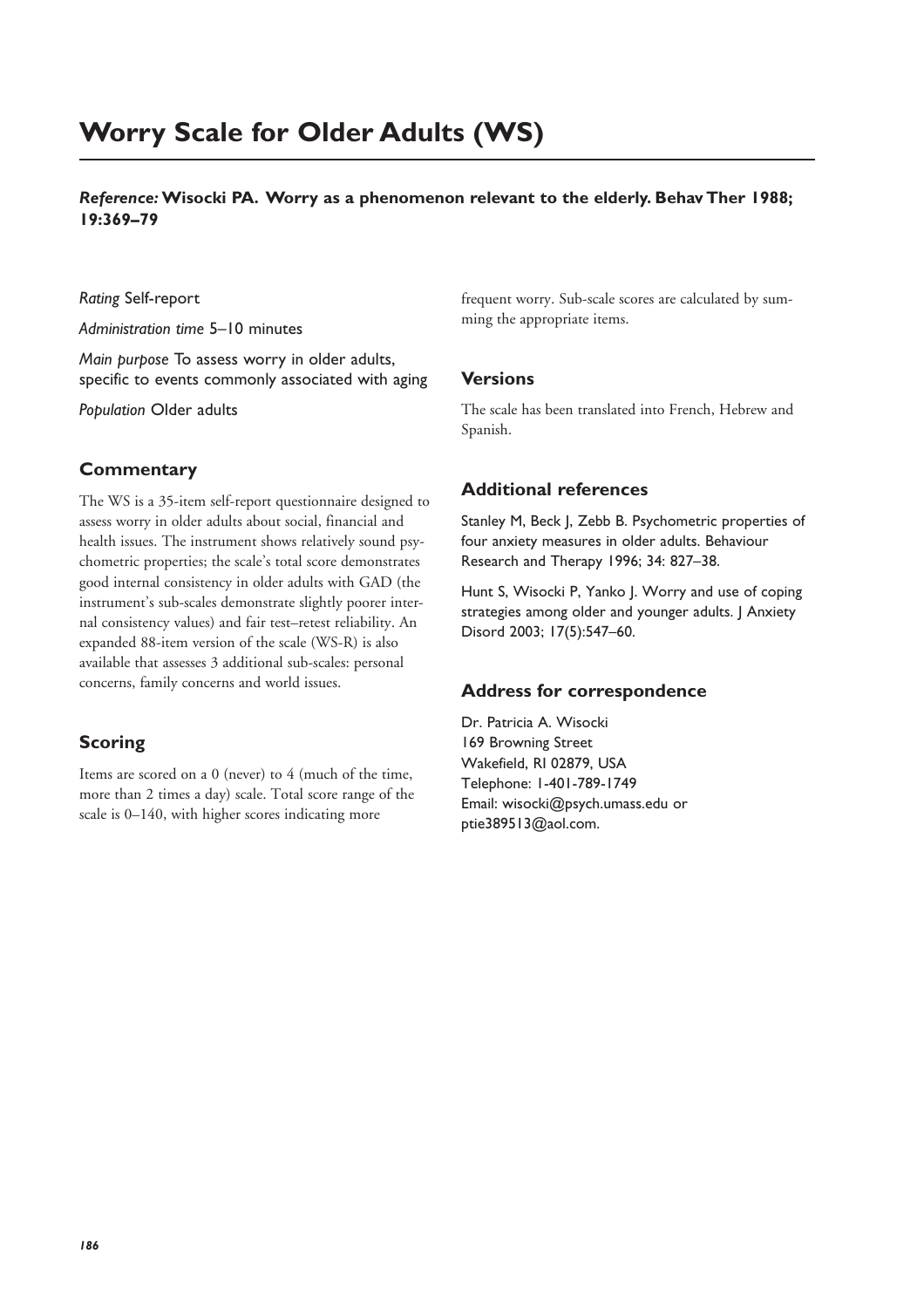## **Worry Scale for Older Adults (WS)**

#### *Reference:***Wisocki PA. Worry as a phenomenon relevant to the elderly. Behav Ther 1988; 19:369–79**

*Rating* Self-report

*Administration time* 5–10 minutes

*Main purpose* To assess worry in older adults, specific to events commonly associated with aging

*Population* Older adults

#### **Commentary**

The WS is a 35-item self-report questionnaire designed to assess worry in older adults about social, financial and health issues. The instrument shows relatively sound psychometric properties; the scale's total score demonstrates good internal consistency in older adults with GAD (the instrument's sub-scales demonstrate slightly poorer internal consistency values) and fair test–retest reliability. An expanded 88-item version of the scale (WS-R) is also available that assesses 3 additional sub-scales: personal concerns, family concerns and world issues.

#### **Scoring**

Items are scored on a 0 (never) to 4 (much of the time, more than 2 times a day) scale. Total score range of the scale is 0–140, with higher scores indicating more

frequent worry. Sub-scale scores are calculated by summing the appropriate items.

#### **Versions**

The scale has been translated into French, Hebrew and Spanish.

#### **Additional references**

Stanley M, Beck J, Zebb B. Psychometric properties of four anxiety measures in older adults. Behaviour Research and Therapy 1996; 34: 827–38.

Hunt S, Wisocki P, Yanko J. Worry and use of coping strategies among older and younger adults. J Anxiety Disord 2003; 17(5):547–60.

#### **Address for correspondence**

Dr. Patricia A. Wisocki 169 Browning Street Wakefield, RI 02879, USA Telephone: 1-401-789-1749 Email: wisocki@psych.umass.edu or ptie389513@aol.com.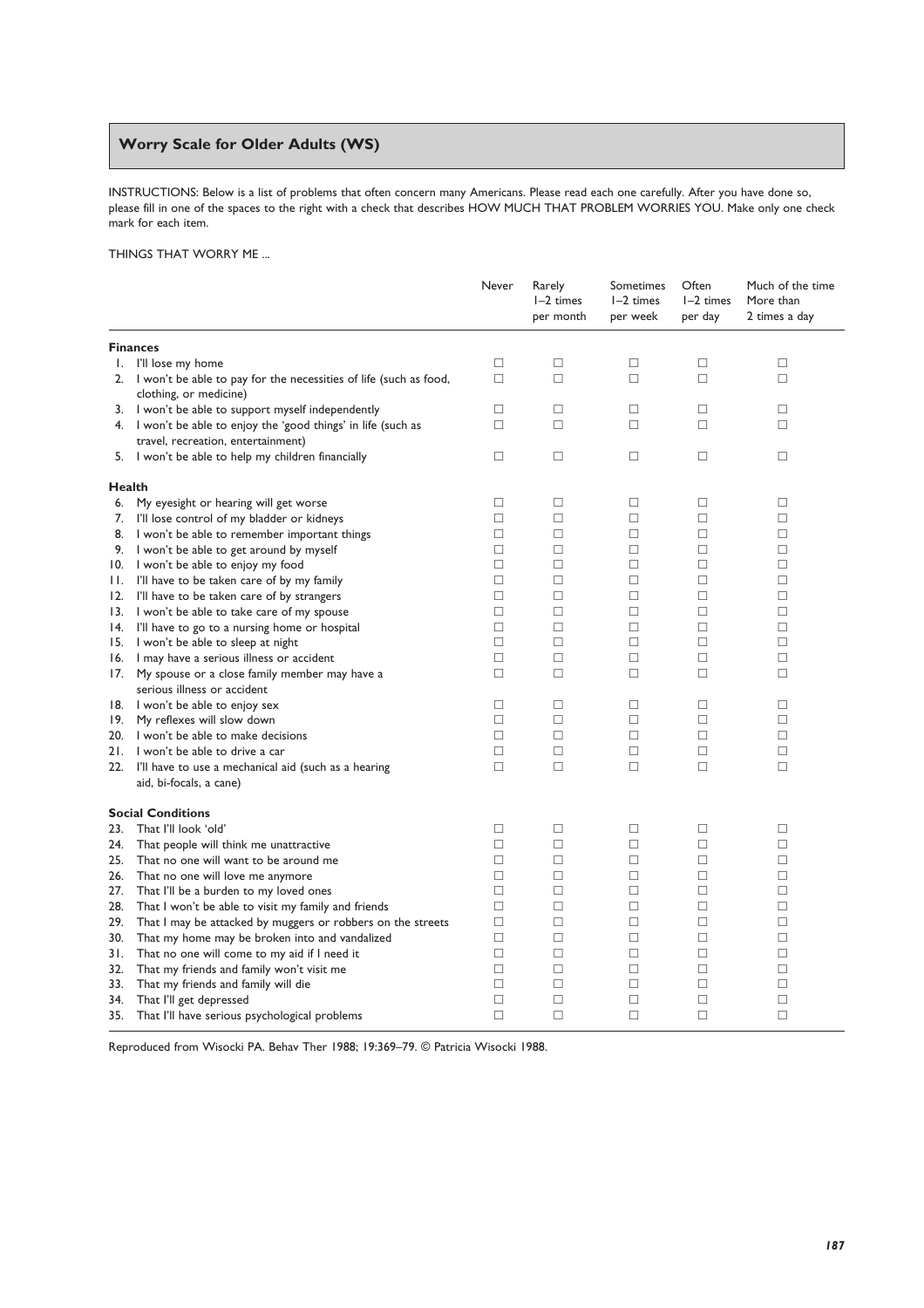#### **Worry Scale for Older Adults (WS)**

INSTRUCTIONS: Below is a list of problems that often concern many Americans. Please read each one carefully. After you have done so, please fill in one of the spaces to the right with a check that describes HOW MUCH THAT PROBLEM WORRIES YOU. Make only one check mark for each item.

#### THINGS THAT WORRY ME ...

| <b>Finances</b><br>1. I'll lose my home<br>$\Box$<br>$\Box$<br>□<br>□<br>□<br>$\Box$<br>$\Box$<br>2. I won't be able to pay for the necessities of life (such as food,<br>□                                  | □<br>□<br>□<br>□<br>□ |
|--------------------------------------------------------------------------------------------------------------------------------------------------------------------------------------------------------------|-----------------------|
|                                                                                                                                                                                                              |                       |
|                                                                                                                                                                                                              |                       |
| clothing, or medicine)                                                                                                                                                                                       |                       |
| 3. I won't be able to support myself independently<br>□<br>$\Box$<br>□<br>□<br>4. I won't be able to enjoy the 'good things' in life (such as<br>□<br>$\Box$<br>□<br>□<br>travel, recreation, entertainment) |                       |
| I won't be able to help my children financially<br>$\Box$<br>□<br>□<br>□<br>5.                                                                                                                               |                       |
| Health                                                                                                                                                                                                       |                       |
| My eyesight or hearing will get worse<br>□<br>□<br>□<br>□<br>6.<br>П<br>□<br>П<br>$\Box$<br>I'll lose control of my bladder or kidneys<br>7.<br>□<br>□<br>П<br>$\Box$                                        | □<br>□<br>□           |
| I won't be able to remember important things<br>8.<br>□<br>□<br>$\Box$<br>$\Box$                                                                                                                             | □                     |
| I won't be able to get around by myself<br>9.<br>10. I won't be able to enjoy my food<br>П<br>П<br>П<br>П                                                                                                    | П                     |
| П<br>П<br>П<br>П<br>11. I'll have to be taken care of by my family                                                                                                                                           | П                     |
| П<br>П<br>П<br>П<br>12. I'll have to be taken care of by strangers                                                                                                                                           | П                     |
| П<br>П<br>П<br>П<br>13. I won't be able to take care of my spouse                                                                                                                                            | □                     |
| П<br>П<br>П<br>I'll have to go to a nursing home or hospital<br>п<br>14.                                                                                                                                     | □                     |
| П<br>П<br>П<br>П<br>I won't be able to sleep at night<br>15.                                                                                                                                                 | П                     |
| П<br>$\Box$<br>П<br>П<br>I may have a serious illness or accident<br>16.                                                                                                                                     | П                     |
| П<br>$\Box$<br>П<br>П<br>My spouse or a close family member may have a<br>17.                                                                                                                                | П                     |
| serious illness or accident                                                                                                                                                                                  |                       |
| I won't be able to enjoy sex<br>$\Box$<br>$\Box$<br>$\Box$<br>$\Box$<br>18.                                                                                                                                  | □                     |
| My reflexes will slow down<br>$\Box$<br>$\Box$<br>$\Box$<br>$\Box$<br>19.                                                                                                                                    | □                     |
| 20. I won't be able to make decisions<br>$\Box$<br>$\Box$<br>$\Box$<br>$\Box$                                                                                                                                | □                     |
| $\Box$<br>$\Box$<br>$\Box$<br>I won't be able to drive a car<br>$\Box$<br>21.                                                                                                                                | $\Box$                |
| $\Box$<br>$\Box$<br>$\Box$<br>□<br>22. I'll have to use a mechanical aid (such as a hearing<br>aid, bi-focals, a cane)                                                                                       | □                     |
| <b>Social Conditions</b>                                                                                                                                                                                     |                       |
| That I'll look 'old'<br>$\Box$<br>$\Box$<br>□<br>□<br>23.                                                                                                                                                    | □                     |
| That people will think me unattractive<br>□<br>□<br>□<br>□<br>24.                                                                                                                                            | □                     |
| That no one will want to be around me<br>□<br>$\Box$<br>□<br>□<br>25.                                                                                                                                        | □                     |
| П<br>□<br>П<br>$\Box$<br>26.<br>That no one will love me anymore                                                                                                                                             | □                     |
| That I'll be a burden to my loved ones<br>П<br>П<br>П<br>□<br>27.                                                                                                                                            | □                     |
| That I won't be able to visit my family and friends<br>□<br>□<br>П<br>□<br>28.                                                                                                                               | □                     |
| $\Box$<br>$\Box$<br>$\Box$<br>That I may be attacked by muggers or robbers on the streets<br>□<br>29.                                                                                                        | □                     |
| □<br>□<br>$\Box$<br>$\Box$<br>30.<br>That my home may be broken into and vandalized<br>□<br>□<br>$\Box$<br>$\Box$                                                                                            | □<br>□                |
| That no one will come to my aid if I need it<br>31.<br>□<br>□<br>П<br>$\Box$<br>32.                                                                                                                          | □                     |
| That my friends and family won't visit me<br>П<br>П<br>□<br>□<br>33.<br>That my friends and family will die                                                                                                  | □                     |
| □<br>$\Box$<br>□<br>□<br>34.<br>That I'll get depressed                                                                                                                                                      | □                     |
| П<br>That I'll have serious psychological problems<br>П<br>П<br>□<br>35.                                                                                                                                     | □                     |

Reproduced from Wisocki PA. Behav Ther 1988; 19:369–79. © Patricia Wisocki 1988.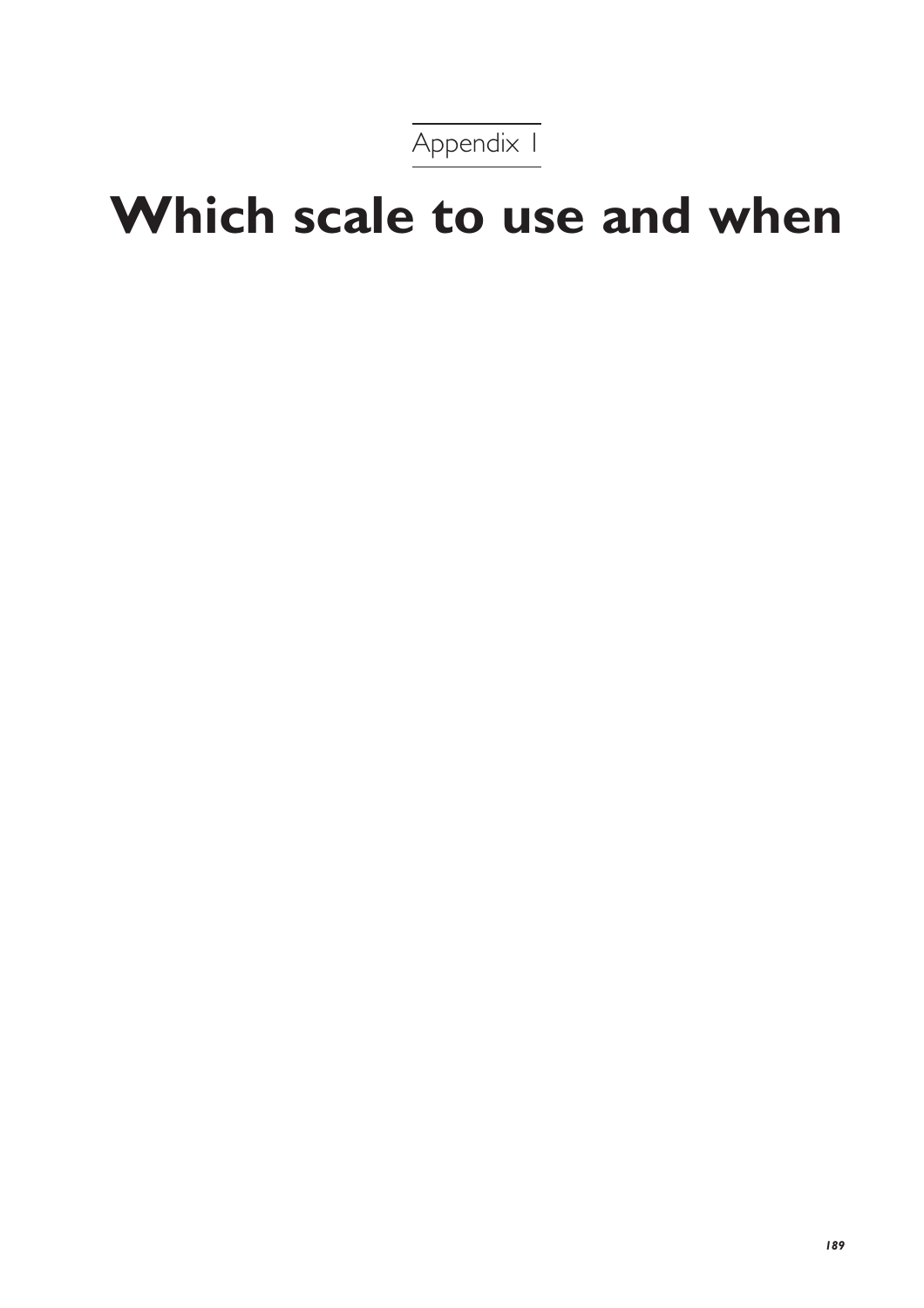Appendix 1

# **Which scale to use and when**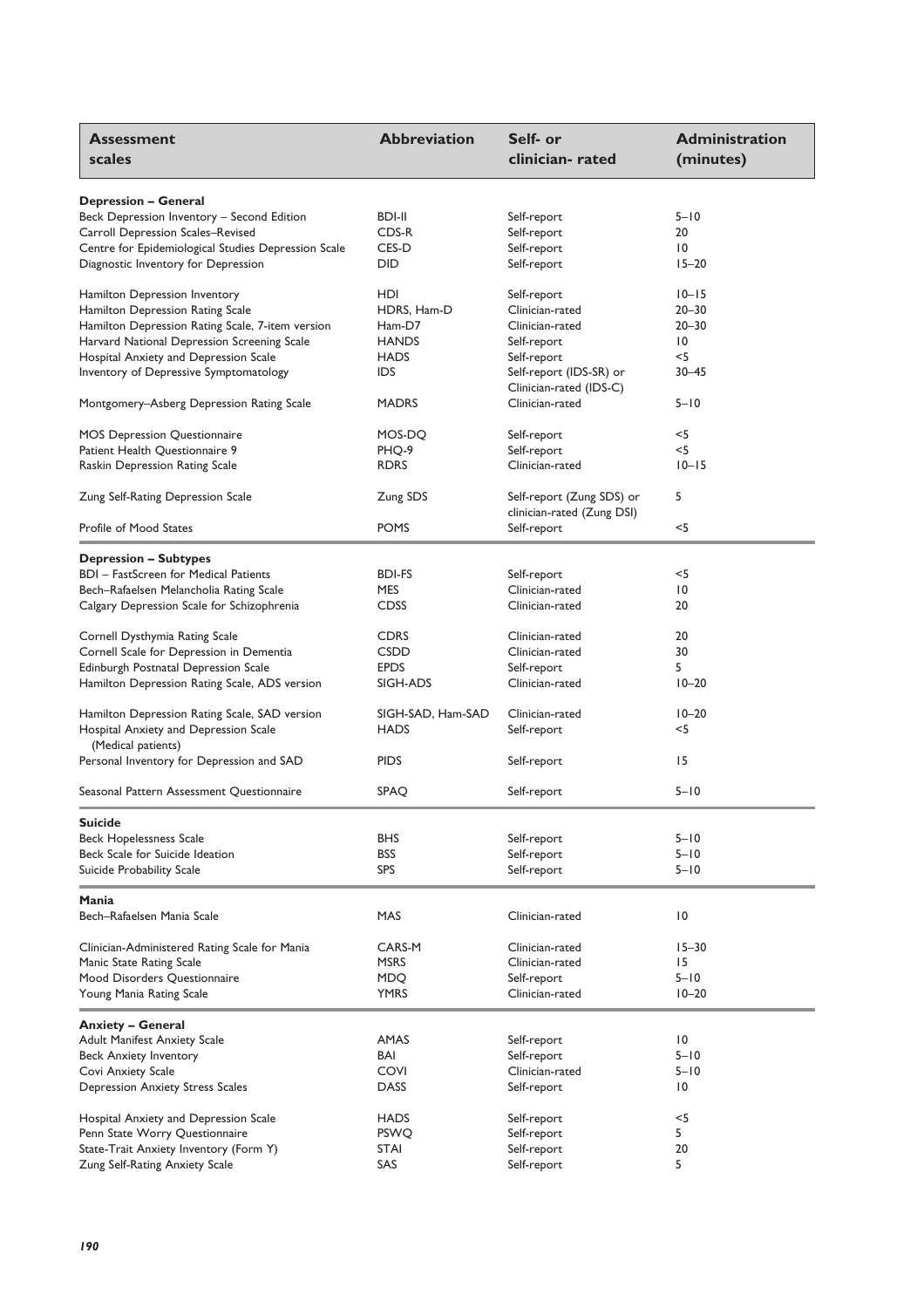| <b>Assessment</b>                                                                        | <b>Abbreviation</b>    | Self- or                                                | <b>Administration</b>    |
|------------------------------------------------------------------------------------------|------------------------|---------------------------------------------------------|--------------------------|
| scales                                                                                   |                        | clinician-rated                                         | (minutes)                |
|                                                                                          |                        |                                                         |                          |
| Depression - General                                                                     |                        |                                                         |                          |
| Beck Depression Inventory - Second Edition                                               | <b>BDI-II</b><br>CDS-R | Self-report                                             | $5 - 10$<br>20           |
| Carroll Depression Scales-Revised<br>Centre for Epidemiological Studies Depression Scale | CES-D                  | Self-report<br>Self-report                              | $\overline{10}$          |
| Diagnostic Inventory for Depression                                                      | DID                    | Self-report                                             | $15 - 20$                |
|                                                                                          |                        |                                                         |                          |
| Hamilton Depression Inventory                                                            | HDI                    | Self-report                                             | $10 - 15$                |
| Hamilton Depression Rating Scale                                                         | HDRS, Ham-D            | Clinician-rated                                         | $20 - 30$                |
| Hamilton Depression Rating Scale, 7-item version                                         | Ham-D7                 | Clinician-rated                                         | $20 - 30$                |
| Harvard National Depression Screening Scale                                              | <b>HANDS</b>           | Self-report                                             | 10                       |
| Hospital Anxiety and Depression Scale                                                    | <b>HADS</b>            | Self-report                                             | $<$ 5                    |
| Inventory of Depressive Symptomatology                                                   | IDS                    | Self-report (IDS-SR) or<br>Clinician-rated (IDS-C)      | $30 - 45$                |
| Montgomery–Asberg Depression Rating Scale                                                | <b>MADRS</b>           | Clinician-rated                                         | $5 - 10$                 |
| <b>MOS Depression Questionnaire</b>                                                      | MOS-DO                 | Self-report                                             | <5                       |
| Patient Health Questionnaire 9                                                           | PHQ-9                  | Self-report                                             | $<$ 5                    |
| Raskin Depression Rating Scale                                                           | <b>RDRS</b>            | Clinician-rated                                         | $10 - 15$                |
|                                                                                          |                        |                                                         |                          |
| Zung Self-Rating Depression Scale                                                        | Zung SDS               | Self-report (Zung SDS) or<br>clinician-rated (Zung DSI) | 5                        |
| <b>Profile of Mood States</b>                                                            | <b>POMS</b>            | Self-report                                             | $<$ 5                    |
|                                                                                          |                        |                                                         |                          |
| <b>Depression – Subtypes</b>                                                             |                        |                                                         |                          |
| <b>BDI</b> - FastScreen for Medical Patients                                             | <b>BDI-FS</b><br>MES   | Self-report<br>Clinician-rated                          | $<$ 5<br>$\overline{10}$ |
| Bech-Rafaelsen Melancholia Rating Scale                                                  | CDSS                   | Clinician-rated                                         | 20                       |
| Calgary Depression Scale for Schizophrenia                                               |                        |                                                         |                          |
| Cornell Dysthymia Rating Scale                                                           | <b>CDRS</b>            | Clinician-rated                                         | 20                       |
| Cornell Scale for Depression in Dementia                                                 | <b>CSDD</b>            | Clinician-rated                                         | 30                       |
| Edinburgh Postnatal Depression Scale                                                     | <b>EPDS</b>            | Self-report                                             | 5                        |
| Hamilton Depression Rating Scale, ADS version                                            | SIGH-ADS               | Clinician-rated                                         | $10 - 20$                |
| Hamilton Depression Rating Scale, SAD version                                            | SIGH-SAD, Ham-SAD      | Clinician-rated                                         | $10 - 20$                |
| Hospital Anxiety and Depression Scale                                                    | <b>HADS</b>            | Self-report                                             | <5                       |
| (Medical patients)                                                                       |                        |                                                         |                          |
| Personal Inventory for Depression and SAD                                                | <b>PIDS</b>            | Self-report                                             | 15                       |
| Seasonal Pattern Assessment Questionnaire                                                | SPAQ                   |                                                         | $5 - 10$                 |
|                                                                                          |                        | Self-report                                             |                          |
| <b>Suicide</b>                                                                           |                        |                                                         |                          |
| <b>Beck Hopelessness Scale</b>                                                           | <b>BHS</b>             | Self-report                                             | $5 - 10$                 |
| Beck Scale for Suicide Ideation                                                          | <b>BSS</b>             | Self-report                                             | $5 - 10$                 |
| Suicide Probability Scale                                                                | SPS                    | Self-report                                             | $5 - 10$                 |
| <b>Mania</b>                                                                             |                        |                                                         |                          |
| Bech-Rafaelsen Mania Scale                                                               | <b>MAS</b>             | Clinician-rated                                         | 10                       |
| Clinician-Administered Rating Scale for Mania                                            | CARS-M                 | Clinician-rated                                         | $15 - 30$                |
| Manic State Rating Scale                                                                 | MSRS                   | Clinician-rated                                         | 15                       |
| Mood Disorders Questionnaire                                                             | MDQ                    | Self-report                                             | $5 - 10$                 |
| Young Mania Rating Scale                                                                 | YMRS                   | Clinician-rated                                         | $10 - 20$                |
| <b>Anxiety - General</b>                                                                 |                        |                                                         |                          |
| Adult Manifest Anxiety Scale                                                             | AMAS                   | Self-report                                             | 10                       |
| Beck Anxiety Inventory                                                                   | BAI                    | Self-report                                             | $5 - 10$                 |
| Covi Anxiety Scale                                                                       | COVI                   | Clinician-rated                                         | $5 - 10$                 |
| Depression Anxiety Stress Scales                                                         | DASS                   | Self-report                                             | 10                       |
| Hospital Anxiety and Depression Scale                                                    | <b>HADS</b>            | Self-report                                             | <5                       |
| Penn State Worry Questionnaire                                                           | <b>PSWQ</b>            | Self-report                                             | 5                        |
| State-Trait Anxiety Inventory (Form Y)                                                   | STAI                   | Self-report                                             | 20                       |
| Zung Self-Rating Anxiety Scale                                                           | SAS                    | Self-report                                             | 5                        |
|                                                                                          |                        |                                                         |                          |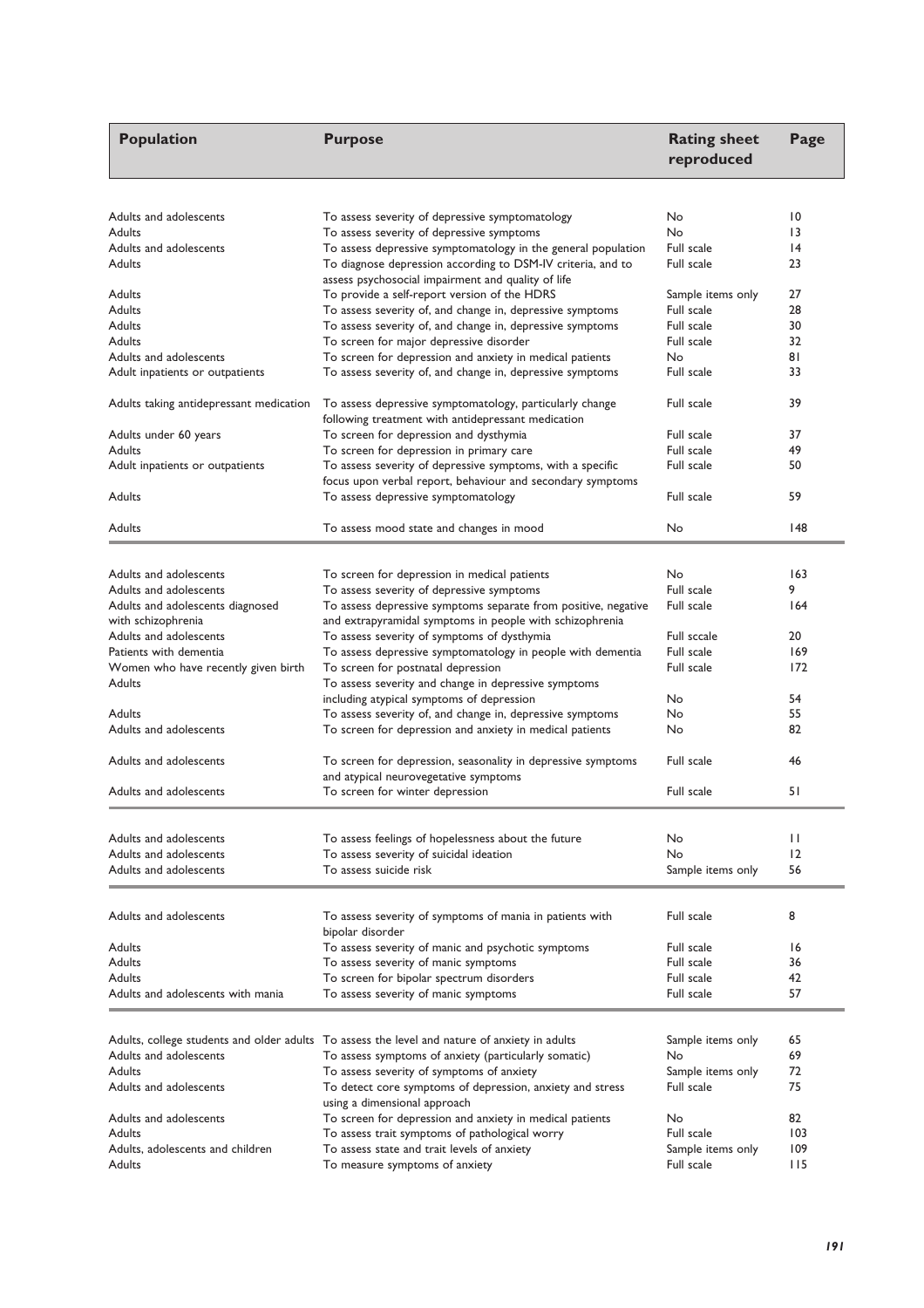| <b>Population</b>                                | <b>Purpose</b>                                                                                | <b>Rating sheet</b><br>reproduced | Page            |
|--------------------------------------------------|-----------------------------------------------------------------------------------------------|-----------------------------------|-----------------|
|                                                  |                                                                                               |                                   |                 |
|                                                  |                                                                                               |                                   |                 |
| Adults and adolescents                           | To assess severity of depressive symptomatology                                               | No.                               | $\overline{10}$ |
| <b>Adults</b>                                    | To assess severity of depressive symptoms                                                     | <b>No</b>                         | $\overline{13}$ |
| Adults and adolescents                           | To assess depressive symptomatology in the general population                                 | Full scale                        | 4               |
| <b>Adults</b>                                    | To diagnose depression according to DSM-IV criteria, and to                                   | Full scale                        | 23              |
|                                                  | assess psychosocial impairment and quality of life                                            |                                   |                 |
| <b>Adults</b>                                    | To provide a self-report version of the HDRS                                                  | Sample items only                 | 27              |
| <b>Adults</b>                                    | To assess severity of, and change in, depressive symptoms                                     | Full scale                        | 28              |
| <b>Adults</b>                                    | To assess severity of, and change in, depressive symptoms                                     | Full scale                        | 30              |
| <b>Adults</b>                                    | To screen for major depressive disorder                                                       | Full scale                        | 32              |
| Adults and adolescents                           | To screen for depression and anxiety in medical patients                                      | No.                               | 81              |
| Adult inpatients or outpatients                  | To assess severity of, and change in, depressive symptoms                                     | Full scale                        | 33              |
| Adults taking antidepressant medication          | To assess depressive symptomatology, particularly change                                      | Full scale                        | 39              |
|                                                  | following treatment with antidepressant medication                                            |                                   |                 |
| Adults under 60 years                            | To screen for depression and dysthymia                                                        | Full scale                        | 37              |
| <b>Adults</b>                                    | To screen for depression in primary care                                                      | Full scale                        | 49              |
| Adult inpatients or outpatients                  | To assess severity of depressive symptoms, with a specific                                    | Full scale                        | 50              |
|                                                  | focus upon verbal report, behaviour and secondary symptoms                                    |                                   |                 |
| Adults                                           | To assess depressive symptomatology                                                           | Full scale                        | 59              |
|                                                  |                                                                                               |                                   |                 |
| Adults                                           | To assess mood state and changes in mood                                                      | No                                | 48              |
|                                                  |                                                                                               |                                   |                 |
| Adults and adolescents                           | To screen for depression in medical patients                                                  | <b>No</b>                         | 163             |
| Adults and adolescents                           | To assess severity of depressive symptoms                                                     | Full scale                        | 9.              |
| Adults and adolescents diagnosed                 | To assess depressive symptoms separate from positive, negative                                | Full scale                        | 164             |
| with schizophrenia                               | and extrapyramidal symptoms in people with schizophrenia                                      |                                   |                 |
| Adults and adolescents                           | To assess severity of symptoms of dysthymia                                                   | Full sccale                       | 20              |
| Patients with dementia                           | To assess depressive symptomatology in people with dementia                                   | Full scale                        | 169             |
| Women who have recently given birth              | To screen for postnatal depression                                                            | Full scale                        | 172             |
| Adults                                           | To assess severity and change in depressive symptoms                                          |                                   |                 |
|                                                  | including atypical symptoms of depression                                                     | No                                | 54              |
| <b>Adults</b>                                    | To assess severity of, and change in, depressive symptoms                                     | No                                | 55              |
| Adults and adolescents                           | To screen for depression and anxiety in medical patients                                      | No.                               | 82              |
| Adults and adolescents                           | To screen for depression, seasonality in depressive symptoms                                  | Full scale                        | 46              |
|                                                  | and atypical neurovegetative symptoms                                                         |                                   |                 |
| Adults and adolescents                           | To screen for winter depression                                                               | Full scale                        | 51              |
|                                                  |                                                                                               |                                   |                 |
|                                                  |                                                                                               |                                   |                 |
| Adults and adolescents                           | To assess feelings of hopelessness about the future                                           | No                                | $\mathbf{H}$    |
| Adults and adolescents<br>Adults and adolescents | To assess severity of suicidal ideation                                                       | No                                | 12              |
|                                                  | To assess suicide risk                                                                        | Sample items only                 | 56              |
|                                                  |                                                                                               |                                   |                 |
| Adults and adolescents                           | To assess severity of symptoms of mania in patients with                                      | Full scale                        | 8               |
|                                                  | bipolar disorder                                                                              |                                   |                 |
| <b>Adults</b>                                    | To assess severity of manic and psychotic symptoms                                            | Full scale                        | 16              |
| <b>Adults</b>                                    | To assess severity of manic symptoms                                                          | Full scale                        | 36              |
| <b>Adults</b>                                    | To screen for bipolar spectrum disorders                                                      | Full scale                        | 42              |
| Adults and adolescents with mania                | To assess severity of manic symptoms                                                          | Full scale                        | 57              |
|                                                  |                                                                                               |                                   |                 |
|                                                  | Adults, college students and older adults To assess the level and nature of anxiety in adults | Sample items only                 | 65              |
| Adults and adolescents                           | To assess symptoms of anxiety (particularly somatic)                                          | No                                | 69              |
| <b>Adults</b>                                    | To assess severity of symptoms of anxiety                                                     | Sample items only                 | 72              |
| Adults and adolescents                           | To detect core symptoms of depression, anxiety and stress                                     | Full scale                        | 75              |
|                                                  | using a dimensional approach                                                                  |                                   |                 |
| Adults and adolescents                           | To screen for depression and anxiety in medical patients                                      | No                                | 82              |
| <b>Adults</b>                                    | To assess trait symptoms of pathological worry                                                | Full scale                        | 103             |
| Adults, adolescents and children                 | To assess state and trait levels of anxiety                                                   | Sample items only                 | 109             |
| Adults                                           | To measure symptoms of anxiety                                                                | Full scale                        | 115             |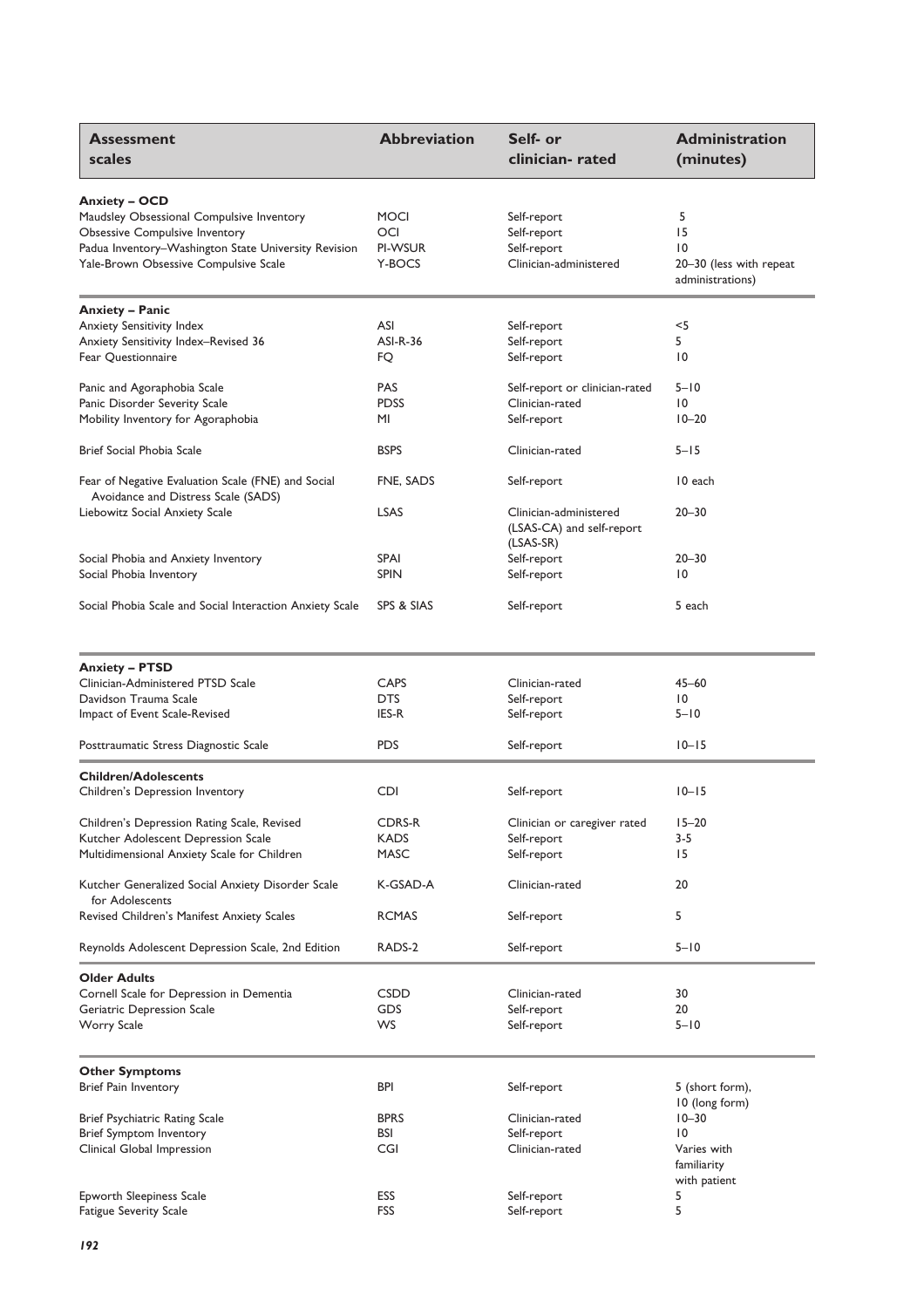| <b>Assessment</b><br>scales                                       | <b>Abbreviation</b> | Self- or<br>clinician-rated                         | <b>Administration</b><br>(minutes)          |
|-------------------------------------------------------------------|---------------------|-----------------------------------------------------|---------------------------------------------|
|                                                                   |                     |                                                     |                                             |
| <b>Anxiety - OCD</b><br>Maudsley Obsessional Compulsive Inventory | <b>MOCI</b>         |                                                     | 5                                           |
| <b>Obsessive Compulsive Inventory</b>                             | OCI                 | Self-report                                         | 15                                          |
| Padua Inventory-Washington State University Revision              | PI-WSUR             | Self-report<br>Self-report                          | $\overline{10}$                             |
| Yale-Brown Obsessive Compulsive Scale                             | Y-BOCS              | Clinician-administered                              |                                             |
|                                                                   |                     |                                                     | 20–30 (less with repeat<br>administrations) |
| <b>Anxiety - Panic</b>                                            |                     |                                                     |                                             |
| Anxiety Sensitivity Index                                         | ASI                 | Self-report                                         | $<$ 5                                       |
| Anxiety Sensitivity Index-Revised 36                              | <b>ASI-R-36</b>     | Self-report                                         | 5                                           |
| Fear Questionnaire                                                | FQ                  | Self-report                                         | $\overline{10}$                             |
| Panic and Agoraphobia Scale                                       | <b>PAS</b>          | Self-report or clinician-rated                      | $5 - 10$                                    |
| Panic Disorder Severity Scale                                     | <b>PDSS</b>         | Clinician-rated                                     | $\overline{10}$                             |
| Mobility Inventory for Agoraphobia                                | MI                  | Self-report                                         | $10 - 20$                                   |
| Brief Social Phobia Scale                                         | <b>BSPS</b>         | Clinician-rated                                     | $5 - 15$                                    |
| Fear of Negative Evaluation Scale (FNE) and Social                | FNE, SADS           | Self-report                                         | 10 each                                     |
| Avoidance and Distress Scale (SADS)                               |                     |                                                     |                                             |
| Liebowitz Social Anxiety Scale                                    | <b>LSAS</b>         | Clinician-administered<br>(LSAS-CA) and self-report | $20 - 30$                                   |
|                                                                   |                     | (LSAS-SR)                                           |                                             |
| Social Phobia and Anxiety Inventory                               | <b>SPAI</b>         | Self-report                                         | $20 - 30$                                   |
| Social Phobia Inventory                                           | <b>SPIN</b>         | Self-report                                         | $\overline{10}$                             |
| Social Phobia Scale and Social Interaction Anxiety Scale          | SPS & SIAS          | Self-report                                         | 5 each                                      |
| <b>Anxiety – PTSD</b>                                             |                     |                                                     |                                             |
| Clinician-Administered PTSD Scale                                 | <b>CAPS</b>         | Clinician-rated                                     | $45 - 60$                                   |
| Davidson Trauma Scale                                             | <b>DTS</b>          | Self-report                                         | $\overline{10}$                             |
| Impact of Event Scale-Revised                                     | IES-R               | Self-report                                         | $5 - 10$                                    |
| Posttraumatic Stress Diagnostic Scale                             | <b>PDS</b>          | Self-report                                         | $10 - 15$                                   |
| <b>Children/Adolescents</b>                                       |                     |                                                     |                                             |
| Children's Depression Inventory                                   | CDI                 | Self-report                                         | $10 - 15$                                   |
| Children's Depression Rating Scale, Revised                       | CDRS-R              | Clinician or caregiver rated                        | $15 - 20$                                   |
| Kutcher Adolescent Depression Scale                               | KADS                | Self-report                                         | $3 - 5$                                     |
| Multidimensional Anxiety Scale for Children                       | <b>MASC</b>         | Self-report                                         | 15                                          |
| Kutcher Generalized Social Anxiety Disorder Scale                 | K-GSAD-A            | Clinician-rated                                     | 20                                          |
| for Adolescents<br>Revised Children's Manifest Anxiety Scales     | <b>RCMAS</b>        | Self-report                                         | 5                                           |
| Reynolds Adolescent Depression Scale, 2nd Edition                 | RADS-2              | Self-report                                         | $5 - 10$                                    |
|                                                                   |                     |                                                     |                                             |
| <b>Older Adults</b><br>Cornell Scale for Depression in Dementia   | <b>CSDD</b>         | Clinician-rated                                     | 30                                          |
| Geriatric Depression Scale                                        | GDS                 | Self-report                                         | 20                                          |
| Worry Scale                                                       | WS                  | Self-report                                         | $5 - 10$                                    |
|                                                                   |                     |                                                     |                                             |
| Other Symptoms<br>Brief Pain Inventory                            | <b>BPI</b>          | Self-report                                         | 5 (short form),                             |
|                                                                   |                     |                                                     | 10 (long form)                              |
| Brief Psychiatric Rating Scale                                    | <b>BPRS</b>         | Clinician-rated                                     | $10 - 30$                                   |
| Brief Symptom Inventory                                           | <b>BSI</b>          | Self-report                                         | $\overline{0}$                              |
| Clinical Global Impression                                        | CGI                 | Clinician-rated                                     | Varies with                                 |
|                                                                   |                     |                                                     | familiarity                                 |
|                                                                   |                     |                                                     | with patient                                |
| <b>Epworth Sleepiness Scale</b>                                   | ESS                 | Self-report                                         | 5                                           |
| <b>Fatigue Severity Scale</b>                                     | FSS                 | Self-report                                         | 5                                           |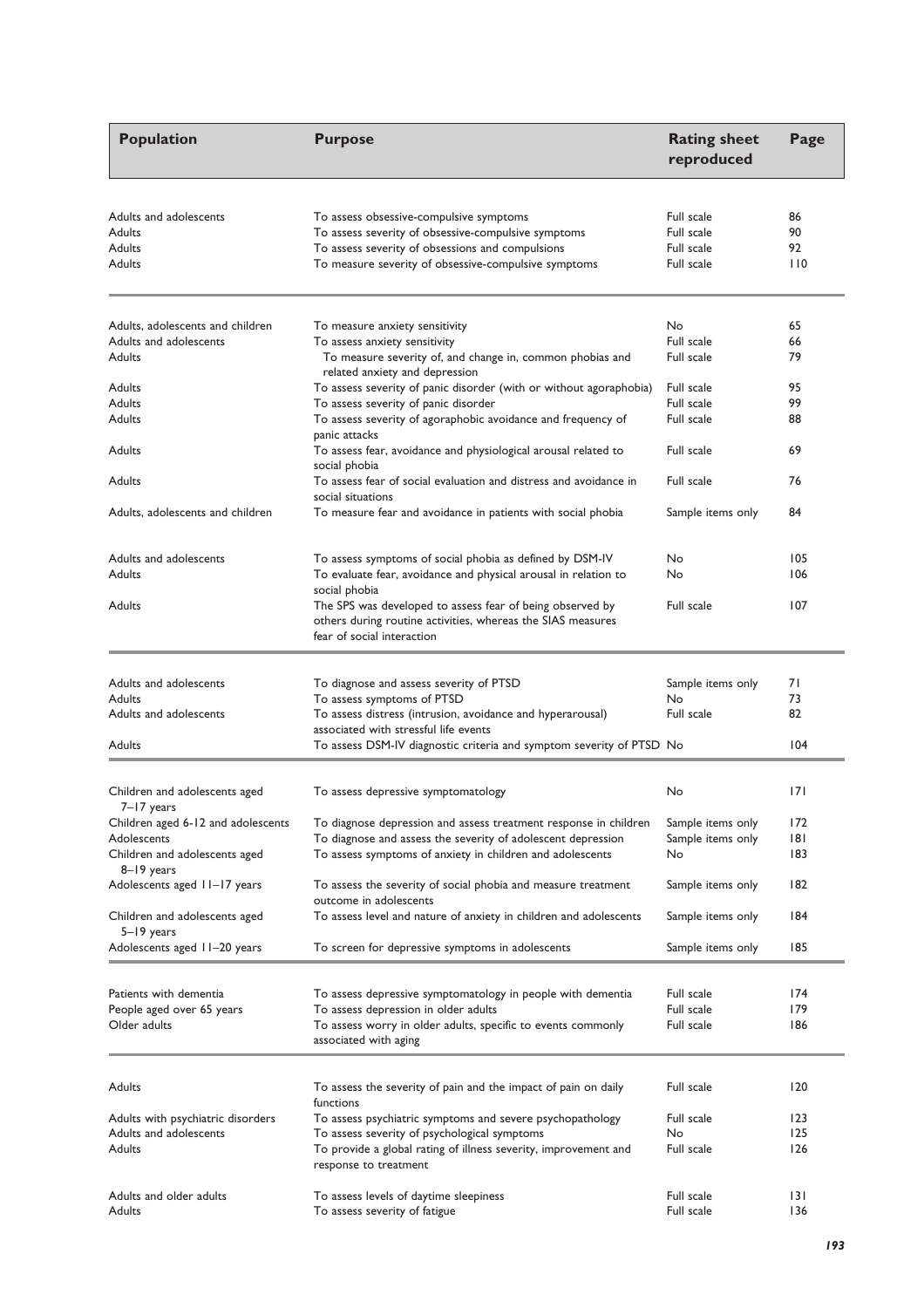| <b>Population</b>                              | <b>Purpose</b>                                                                                                                                         | <b>Rating sheet</b><br>reproduced | Page |
|------------------------------------------------|--------------------------------------------------------------------------------------------------------------------------------------------------------|-----------------------------------|------|
|                                                |                                                                                                                                                        |                                   |      |
| Adults and adolescents                         | To assess obsessive-compulsive symptoms                                                                                                                | Full scale                        | 86   |
| <b>Adults</b>                                  | To assess severity of obsessive-compulsive symptoms                                                                                                    | Full scale                        | 90   |
| <b>Adults</b>                                  | To assess severity of obsessions and compulsions                                                                                                       | Full scale                        | 92   |
| <b>Adults</b>                                  | To measure severity of obsessive-compulsive symptoms                                                                                                   | Full scale                        | 110  |
|                                                |                                                                                                                                                        |                                   |      |
| Adults, adolescents and children               | To measure anxiety sensitivity                                                                                                                         | No                                | 65   |
| Adults and adolescents                         | To assess anxiety sensitivity                                                                                                                          | Full scale                        | 66   |
| <b>Adults</b>                                  | To measure severity of, and change in, common phobias and<br>related anxiety and depression                                                            | Full scale                        | 79   |
| <b>Adults</b>                                  | To assess severity of panic disorder (with or without agoraphobia)                                                                                     | Full scale                        | 95   |
| <b>Adults</b>                                  | To assess severity of panic disorder                                                                                                                   | Full scale                        | 99   |
| <b>Adults</b>                                  | To assess severity of agoraphobic avoidance and frequency of<br>panic attacks                                                                          | Full scale                        | 88   |
| Adults                                         | To assess fear, avoidance and physiological arousal related to<br>social phobia                                                                        | Full scale                        | 69   |
| <b>Adults</b>                                  | To assess fear of social evaluation and distress and avoidance in<br>social situations                                                                 | Full scale                        | 76   |
| Adults, adolescents and children               | To measure fear and avoidance in patients with social phobia                                                                                           | Sample items only                 | 84   |
| Adults and adolescents                         |                                                                                                                                                        |                                   | 105  |
| <b>Adults</b>                                  | To assess symptoms of social phobia as defined by DSM-IV<br>To evaluate fear, avoidance and physical arousal in relation to                            | No<br>No                          | 106  |
|                                                | social phobia                                                                                                                                          |                                   |      |
| Adults                                         | The SPS was developed to assess fear of being observed by<br>others during routine activities, whereas the SIAS measures<br>fear of social interaction | Full scale                        | 107  |
|                                                |                                                                                                                                                        |                                   |      |
| Adults and adolescents                         | To diagnose and assess severity of PTSD                                                                                                                | Sample items only                 | 71   |
| <b>Adults</b>                                  | To assess symptoms of PTSD                                                                                                                             | No                                | 73   |
| Adults and adolescents                         | To assess distress (intrusion, avoidance and hyperarousal)                                                                                             | Full scale                        | 82   |
| Adults                                         | associated with stressful life events<br>To assess DSM-IV diagnostic criteria and symptom severity of PTSD No                                          |                                   | 104  |
|                                                |                                                                                                                                                        |                                   |      |
| Children and adolescents aged<br>7–17 years    | To assess depressive symptomatology                                                                                                                    | No                                | 7    |
| Children aged 6-12 and adolescents             | To diagnose depression and assess treatment response in children                                                                                       | Sample items only                 | 172  |
| Adolescents                                    | To diagnose and assess the severity of adolescent depression                                                                                           | Sample items only                 | 181  |
| Children and adolescents aged<br>8–19 years    | To assess symptoms of anxiety in children and adolescents                                                                                              | No                                | 183  |
| Adolescents aged 11-17 years                   | To assess the severity of social phobia and measure treatment                                                                                          | Sample items only                 | 182  |
| Children and adolescents aged                  | outcome in adolescents<br>To assess level and nature of anxiety in children and adolescents                                                            | Sample items only                 | 184  |
| $5 - 19$ years<br>Adolescents aged 11-20 years | To screen for depressive symptoms in adolescents                                                                                                       | Sample items only                 | 185  |
|                                                |                                                                                                                                                        |                                   |      |
| Patients with dementia                         | To assess depressive symptomatology in people with dementia                                                                                            | Full scale                        | 174  |
| People aged over 65 years                      | To assess depression in older adults                                                                                                                   | Full scale                        | 179  |
| Older adults                                   | To assess worry in older adults, specific to events commonly<br>associated with aging                                                                  | Full scale                        | 186  |
|                                                |                                                                                                                                                        |                                   |      |
| Adults                                         | To assess the severity of pain and the impact of pain on daily<br>functions                                                                            | Full scale                        | 120  |
| Adults with psychiatric disorders              | To assess psychiatric symptoms and severe psychopathology                                                                                              | Full scale                        | 123  |
| Adults and adolescents                         | To assess severity of psychological symptoms                                                                                                           | No                                | 125  |
| Adults                                         | To provide a global rating of illness severity, improvement and<br>response to treatment                                                               | Full scale                        | 126  |
| Adults and older adults                        |                                                                                                                                                        | Full scale                        | 3    |
| Adults                                         | To assess levels of daytime sleepiness<br>To assess severity of fatigue                                                                                | Full scale                        | 136  |
|                                                |                                                                                                                                                        |                                   |      |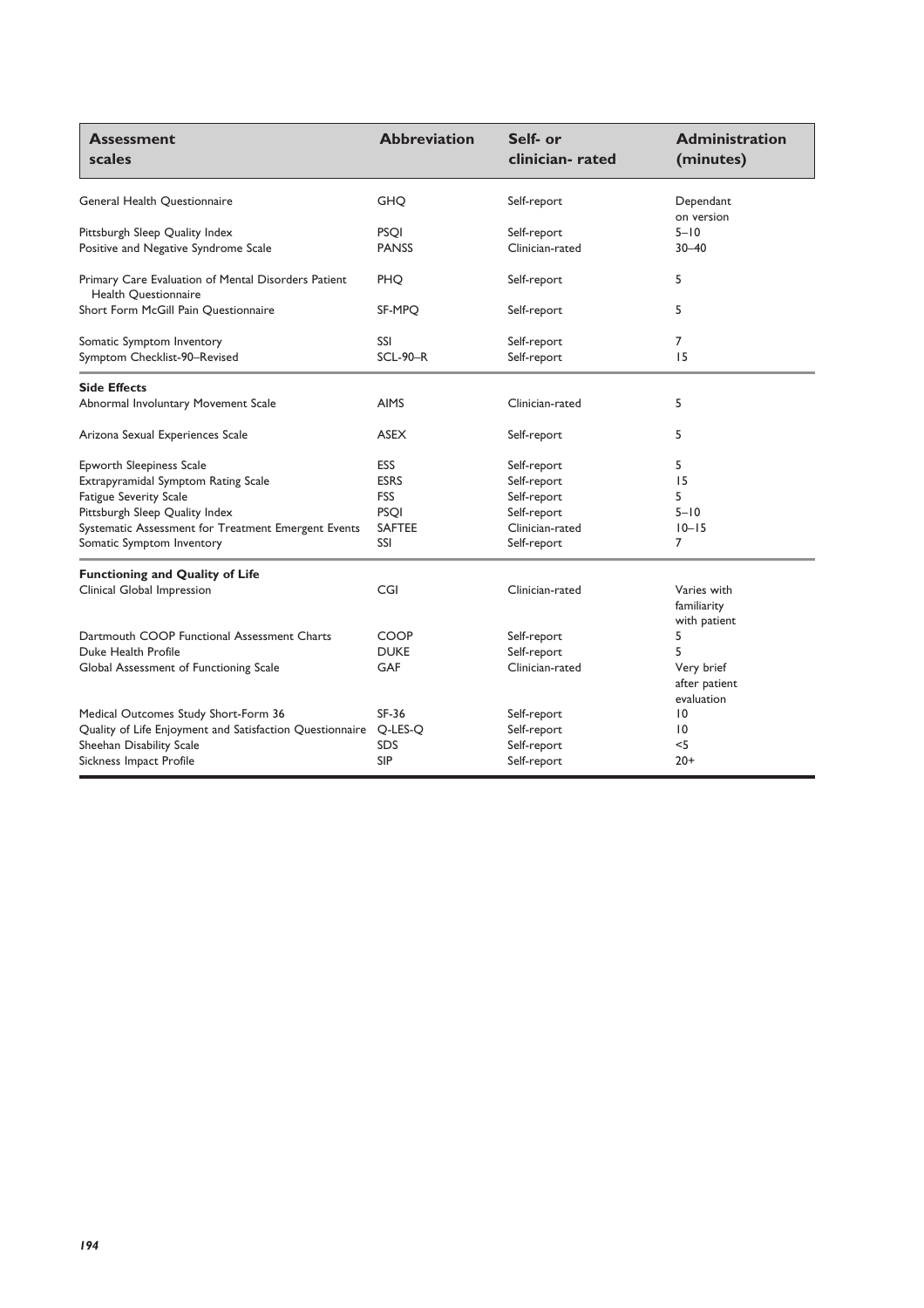| <b>Assessment</b><br>scales                                                 | <b>Abbreviation</b> | Self- or<br>clinician-rated | <b>Administration</b><br>(minutes)         |
|-----------------------------------------------------------------------------|---------------------|-----------------------------|--------------------------------------------|
| General Health Questionnaire                                                | <b>GHO</b>          | Self-report                 | Dependant<br>on version                    |
| Pittsburgh Sleep Quality Index                                              | PSOI                | Self-report                 | 5-10                                       |
| Positive and Negative Syndrome Scale                                        | <b>PANSS</b>        | Clinician-rated             | 30-40                                      |
| Primary Care Evaluation of Mental Disorders Patient<br>Health Questionnaire | <b>PHO</b>          | Self-report                 | 5                                          |
| Short Form McGill Pain Questionnaire                                        | SF-MPO              | Self-report                 | 5                                          |
| Somatic Symptom Inventory                                                   | SSI                 | Self-report                 | 7                                          |
| Symptom Checklist-90-Revised                                                | SCL-90-R            | Self-report                 | 15                                         |
| <b>Side Effects</b>                                                         |                     |                             |                                            |
| Abnormal Involuntary Movement Scale                                         | <b>AIMS</b>         | Clinician-rated             | 5                                          |
| Arizona Sexual Experiences Scale                                            | <b>ASEX</b>         | Self-report                 | 5                                          |
| Epworth Sleepiness Scale                                                    | ESS                 | Self-report                 | 5                                          |
| Extrapyramidal Symptom Rating Scale                                         | <b>ESRS</b>         | Self-report                 | 15                                         |
| Fatigue Severity Scale                                                      | <b>FSS</b>          | Self-report                 | 5                                          |
| Pittsburgh Sleep Quality Index                                              | <b>PSOI</b>         | Self-report                 | $5 - 10$                                   |
| Systematic Assessment for Treatment Emergent Events                         | <b>SAFTEE</b>       | Clinician-rated             | $10 - 15$                                  |
| Somatic Symptom Inventory                                                   | SSI                 | Self-report                 | 7                                          |
| <b>Functioning and Quality of Life</b>                                      |                     |                             |                                            |
| Clinical Global Impression                                                  | CGI                 | Clinician-rated             | Varies with<br>familiarity<br>with patient |
| Dartmouth COOP Functional Assessment Charts                                 | <b>COOP</b>         | Self-report                 | 5                                          |
| Duke Health Profile                                                         | <b>DUKE</b>         | Self-report                 | 5                                          |
| Global Assessment of Functioning Scale                                      | GAF                 | Clinician-rated             | Very brief                                 |
|                                                                             |                     |                             | after patient<br>evaluation                |
| Medical Outcomes Study Short-Form 36                                        | SF-36               | Self-report                 | 10                                         |
| Quality of Life Enjoyment and Satisfaction Questionnaire                    | Q-LES-Q             | Self-report                 | 10                                         |
| Sheehan Disability Scale                                                    | SDS                 | Self-report                 | <5                                         |
| Sickness Impact Profile                                                     | <b>SIP</b>          | Self-report                 | $20+$                                      |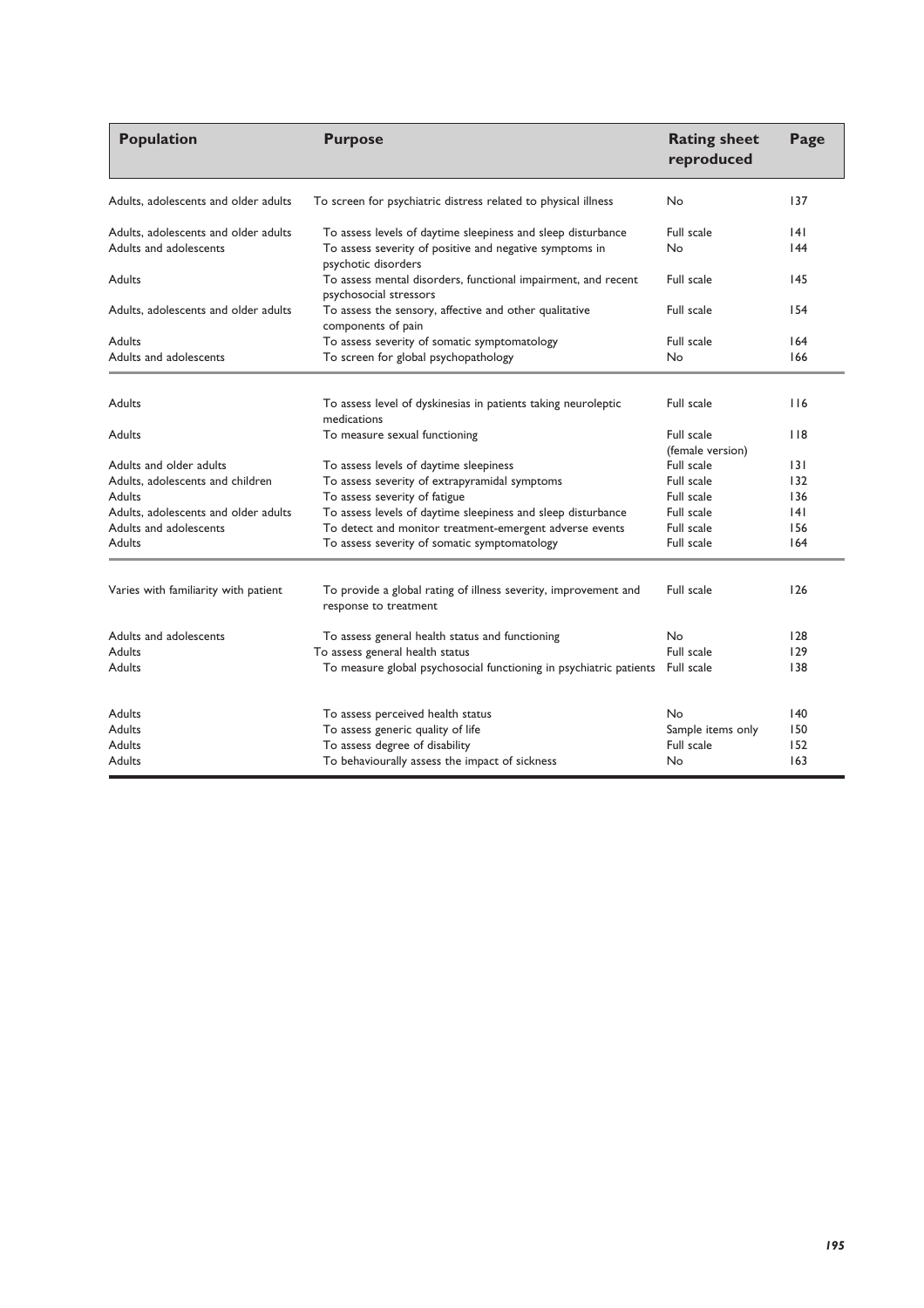| <b>Population</b>                                              | <b>Purpose</b>                                                                                                          | <b>Rating sheet</b><br>reproduced | Page       |
|----------------------------------------------------------------|-------------------------------------------------------------------------------------------------------------------------|-----------------------------------|------------|
| Adults, adolescents and older adults                           | To screen for psychiatric distress related to physical illness                                                          | No                                | 137        |
| Adults, adolescents and older adults<br>Adults and adolescents | To assess levels of daytime sleepiness and sleep disturbance<br>To assess severity of positive and negative symptoms in | Full scale<br>No                  | 4 <br> 44  |
| Adults                                                         | psychotic disorders<br>To assess mental disorders, functional impairment, and recent<br>psychosocial stressors          | Full scale                        | 145        |
| Adults, adolescents and older adults                           | To assess the sensory, affective and other qualitative<br>components of pain                                            | Full scale                        | 154        |
| Adults<br>Adults and adolescents                               | To assess severity of somatic symptomatology<br>To screen for global psychopathology                                    | Full scale<br>No                  | 164<br>166 |
| <b>Adults</b>                                                  | To assess level of dyskinesias in patients taking neuroleptic<br>medications                                            | Full scale                        | 116        |
| <b>Adults</b>                                                  | To measure sexual functioning                                                                                           | Full scale<br>(female version)    | 118        |
| Adults and older adults                                        | To assess levels of daytime sleepiness                                                                                  | Full scale                        | 3          |
| Adults, adolescents and children                               | To assess severity of extrapyramidal symptoms                                                                           | Full scale                        | 132        |
| Adults                                                         | To assess severity of fatigue                                                                                           | Full scale                        | 136        |
| Adults, adolescents and older adults                           | To assess levels of daytime sleepiness and sleep disturbance                                                            | Full scale                        | 4          |
| Adults and adolescents                                         | To detect and monitor treatment-emergent adverse events                                                                 | Full scale                        | 156        |
| Adults                                                         | To assess severity of somatic symptomatology                                                                            | Full scale                        | 164        |
| Varies with familiarity with patient                           | To provide a global rating of illness severity, improvement and<br>response to treatment                                | Full scale                        | 126        |
| Adults and adolescents                                         | To assess general health status and functioning                                                                         | No.                               | 128        |
| <b>Adults</b>                                                  | To assess general health status                                                                                         | Full scale                        | 129        |
| <b>Adults</b>                                                  | To measure global psychosocial functioning in psychiatric patients Full scale                                           |                                   | 138        |
| Adults                                                         | To assess perceived health status                                                                                       | <b>No</b>                         | 140        |
| Adults                                                         | To assess generic quality of life                                                                                       | Sample items only                 | 150        |
| <b>Adults</b>                                                  | To assess degree of disability                                                                                          | Full scale                        | 152        |
| <b>Adults</b>                                                  | To behaviourally assess the impact of sickness                                                                          | No                                | 163        |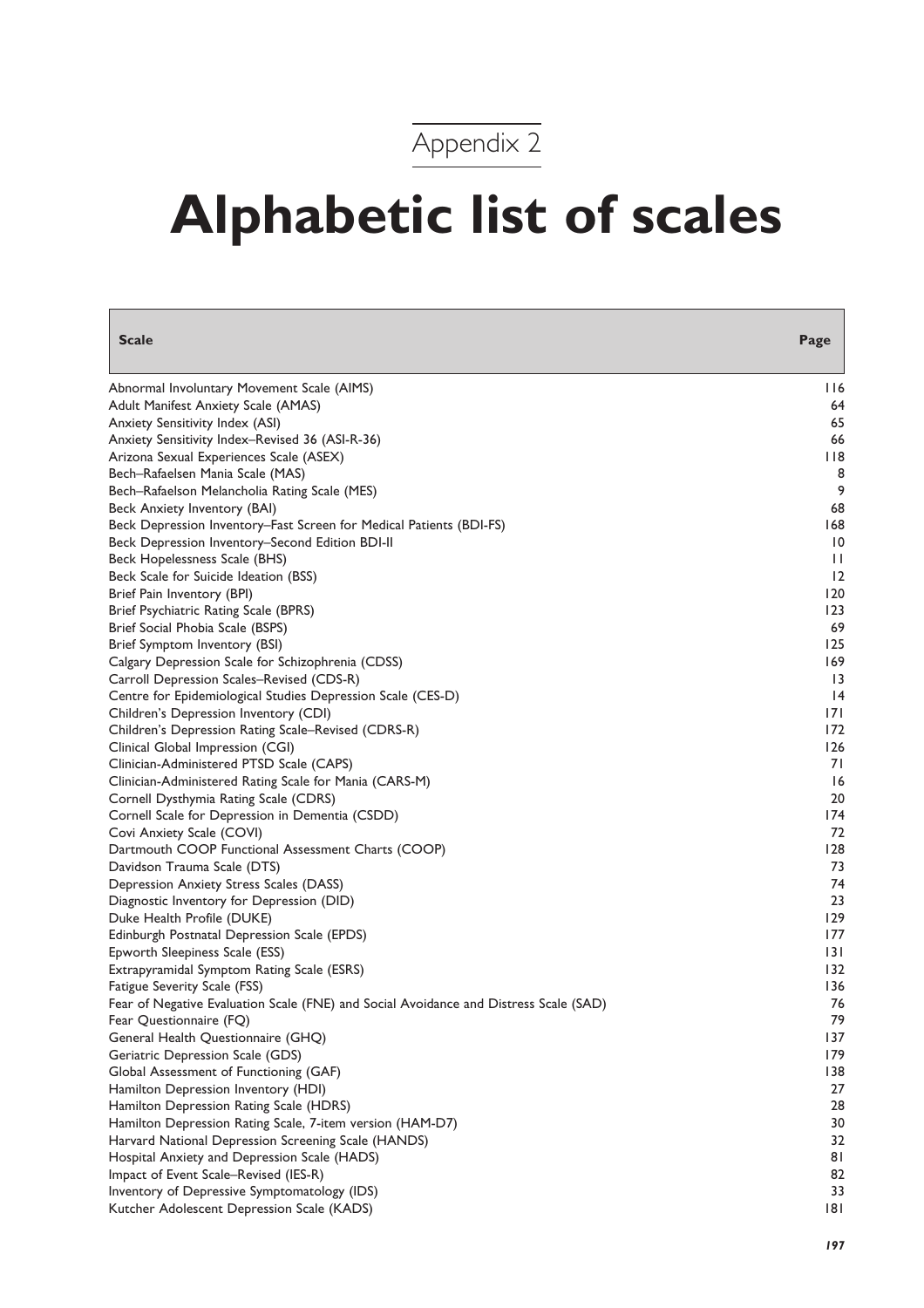## Appendix 2

# **Alphabetic list of scales**

| <b>Scale</b>                                                                          | Page            |
|---------------------------------------------------------------------------------------|-----------------|
| Abnormal Involuntary Movement Scale (AIMS)                                            | 116             |
| Adult Manifest Anxiety Scale (AMAS)                                                   | 64              |
| Anxiety Sensitivity Index (ASI)                                                       | 65              |
| Anxiety Sensitivity Index-Revised 36 (ASI-R-36)                                       | 66              |
| Arizona Sexual Experiences Scale (ASEX)                                               | <b>118</b>      |
| Bech-Rafaelsen Mania Scale (MAS)                                                      | 8               |
| Bech-Rafaelson Melancholia Rating Scale (MES)                                         | 9               |
| Beck Anxiety Inventory (BAI)                                                          | 68              |
| Beck Depression Inventory-Fast Screen for Medical Patients (BDI-FS)                   | 168             |
| Beck Depression Inventory-Second Edition BDI-II                                       | $\overline{10}$ |
| Beck Hopelessness Scale (BHS)                                                         | $\mathbf{H}$    |
| Beck Scale for Suicide Ideation (BSS)                                                 | 12              |
| Brief Pain Inventory (BPI)                                                            | 120             |
| Brief Psychiatric Rating Scale (BPRS)                                                 | 123             |
| Brief Social Phobia Scale (BSPS)                                                      | 69              |
| Brief Symptom Inventory (BSI)                                                         | 125             |
| Calgary Depression Scale for Schizophrenia (CDSS)                                     | 169             |
| Carroll Depression Scales-Revised (CDS-R)                                             | 13              |
| Centre for Epidemiological Studies Depression Scale (CES-D)                           | 14              |
| Children's Depression Inventory (CDI)                                                 | 171             |
| Children's Depression Rating Scale–Revised (CDRS-R)                                   | 172             |
| Clinical Global Impression (CGI)                                                      | 126             |
| Clinician-Administered PTSD Scale (CAPS)                                              | 71              |
| Clinician-Administered Rating Scale for Mania (CARS-M)                                | 16              |
| Cornell Dysthymia Rating Scale (CDRS)                                                 | 20              |
| Cornell Scale for Depression in Dementia (CSDD)                                       | 174             |
| Covi Anxiety Scale (COVI)                                                             | 72              |
| Dartmouth COOP Functional Assessment Charts (COOP)                                    | 128             |
| Davidson Trauma Scale (DTS)                                                           | 73              |
| Depression Anxiety Stress Scales (DASS)                                               | 74              |
| Diagnostic Inventory for Depression (DID)                                             | 23              |
| Duke Health Profile (DUKE)                                                            | 129             |
| Edinburgh Postnatal Depression Scale (EPDS)                                           | 177             |
| Epworth Sleepiness Scale (ESS)                                                        | 131             |
| Extrapyramidal Symptom Rating Scale (ESRS)                                            | 132             |
| Fatigue Severity Scale (FSS)                                                          | 136             |
| Fear of Negative Evaluation Scale (FNE) and Social Avoidance and Distress Scale (SAD) | 76              |
| Fear Questionnaire (FQ)                                                               | 79              |
| General Health Questionnaire (GHQ)                                                    | 137             |
| Geriatric Depression Scale (GDS)                                                      | 179             |
| Global Assessment of Functioning (GAF)                                                | 138             |
| Hamilton Depression Inventory (HDI)                                                   | 27              |
| Hamilton Depression Rating Scale (HDRS)                                               | 28              |
| Hamilton Depression Rating Scale, 7-item version (HAM-D7)                             | 30              |
| Harvard National Depression Screening Scale (HANDS)                                   | 32              |
| Hospital Anxiety and Depression Scale (HADS)                                          | 81              |
| Impact of Event Scale-Revised (IES-R)                                                 | 82              |
| Inventory of Depressive Symptomatology (IDS)                                          | 33              |
| Kutcher Adolescent Depression Scale (KADS)                                            | 181             |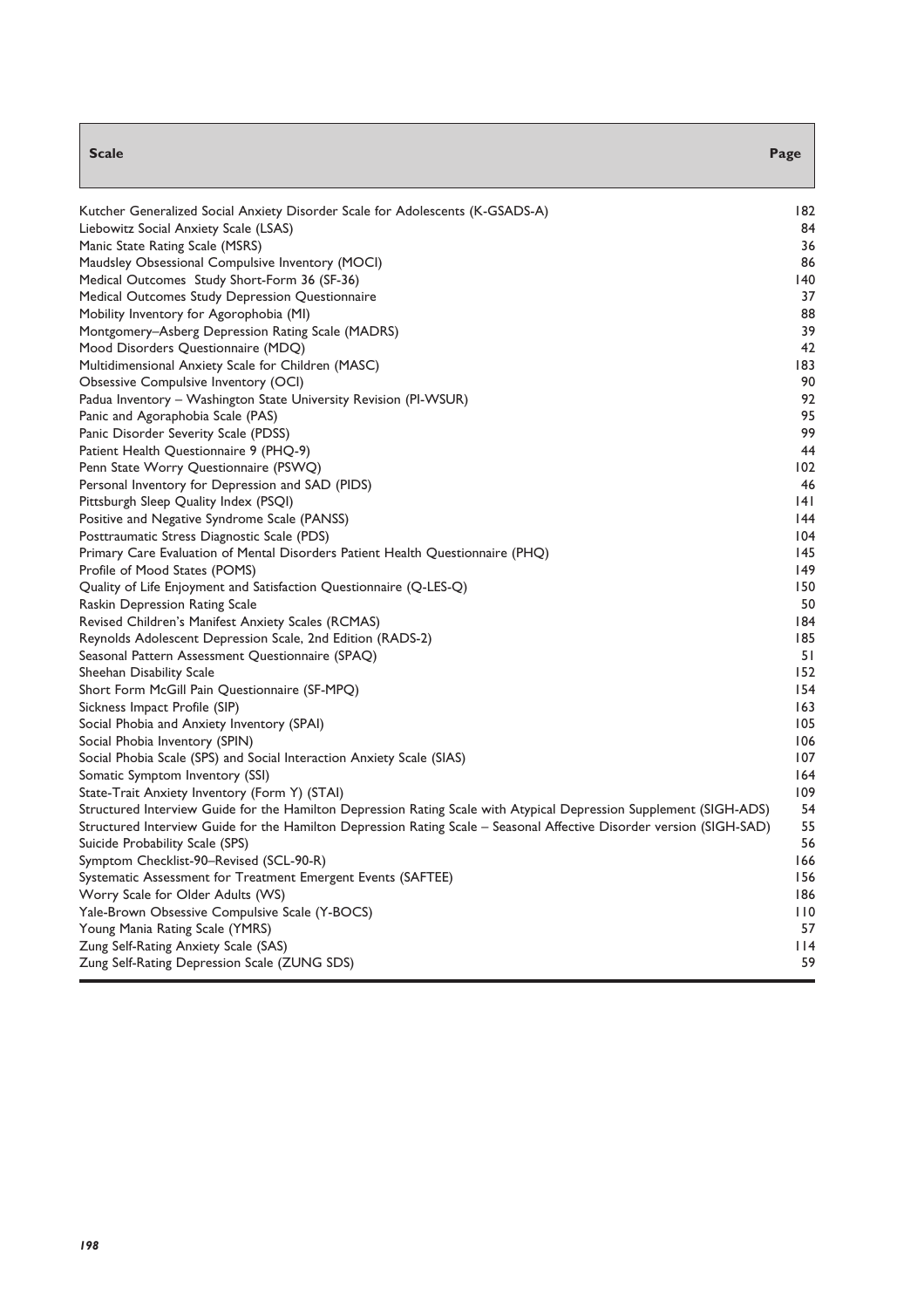| <b>Scale</b>                                                                                                         | Page   |
|----------------------------------------------------------------------------------------------------------------------|--------|
| Kutcher Generalized Social Anxiety Disorder Scale for Adolescents (K-GSADS-A)                                        | 182    |
| Liebowitz Social Anxiety Scale (LSAS)                                                                                | 84     |
| Manic State Rating Scale (MSRS)                                                                                      | 36     |
| Maudsley Obsessional Compulsive Inventory (MOCI)                                                                     | 86     |
| Medical Outcomes Study Short-Form 36 (SF-36)                                                                         | 140    |
| Medical Outcomes Study Depression Questionnaire                                                                      | 37     |
| Mobility Inventory for Agorophobia (MI)                                                                              | 88     |
| Montgomery-Asberg Depression Rating Scale (MADRS)                                                                    | 39     |
| Mood Disorders Questionnaire (MDQ)                                                                                   | 42     |
| Multidimensional Anxiety Scale for Children (MASC)                                                                   | 183    |
| Obsessive Compulsive Inventory (OCI)                                                                                 | 90     |
| Padua Inventory - Washington State University Revision (PI-WSUR)                                                     | 92     |
| Panic and Agoraphobia Scale (PAS)                                                                                    | 95     |
| Panic Disorder Severity Scale (PDSS)                                                                                 | 99     |
| Patient Health Questionnaire 9 (PHQ-9)                                                                               | 44     |
| Penn State Worry Questionnaire (PSWQ)                                                                                | 102    |
| Personal Inventory for Depression and SAD (PIDS)                                                                     | 46     |
| Pittsburgh Sleep Quality Index (PSQI)                                                                                | 4      |
| Positive and Negative Syndrome Scale (PANSS)                                                                         | 144    |
| Posttraumatic Stress Diagnostic Scale (PDS)                                                                          | 104    |
| Primary Care Evaluation of Mental Disorders Patient Health Questionnaire (PHQ)                                       | 145    |
| Profile of Mood States (POMS)                                                                                        | 149    |
| Quality of Life Enjoyment and Satisfaction Questionnaire (Q-LES-Q)                                                   | 150    |
| Raskin Depression Rating Scale                                                                                       | 50     |
| Revised Children's Manifest Anxiety Scales (RCMAS)                                                                   | 184    |
| Reynolds Adolescent Depression Scale, 2nd Edition (RADS-2)                                                           | 185    |
| Seasonal Pattern Assessment Questionnaire (SPAQ)                                                                     | 51     |
| Sheehan Disability Scale                                                                                             | 152    |
| Short Form McGill Pain Questionnaire (SF-MPQ)                                                                        | 154    |
| Sickness Impact Profile (SIP)                                                                                        | 163    |
| Social Phobia and Anxiety Inventory (SPAI)                                                                           | 105    |
| Social Phobia Inventory (SPIN)                                                                                       | 106    |
| Social Phobia Scale (SPS) and Social Interaction Anxiety Scale (SIAS)                                                | 107    |
| Somatic Symptom Inventory (SSI)                                                                                      | 164    |
| State-Trait Anxiety Inventory (Form Y) (STAI)                                                                        | 109    |
| Structured Interview Guide for the Hamilton Depression Rating Scale with Atypical Depression Supplement (SIGH-ADS)   | 54     |
| Structured Interview Guide for the Hamilton Depression Rating Scale - Seasonal Affective Disorder version (SIGH-SAD) | 55     |
| Suicide Probability Scale (SPS)                                                                                      | 56     |
| Symptom Checklist-90-Revised (SCL-90-R)                                                                              | 166    |
| Systematic Assessment for Treatment Emergent Events (SAFTEE)                                                         | 156    |
| Worry Scale for Older Adults (WS)                                                                                    | 186    |
| Yale-Brown Obsessive Compulsive Scale (Y-BOCS)                                                                       | 110    |
| Young Mania Rating Scale (YMRS)                                                                                      | 57     |
| Zung Self-Rating Anxiety Scale (SAS)                                                                                 | $ $  4 |
| Zung Self-Rating Depression Scale (ZUNG SDS)                                                                         | 59     |